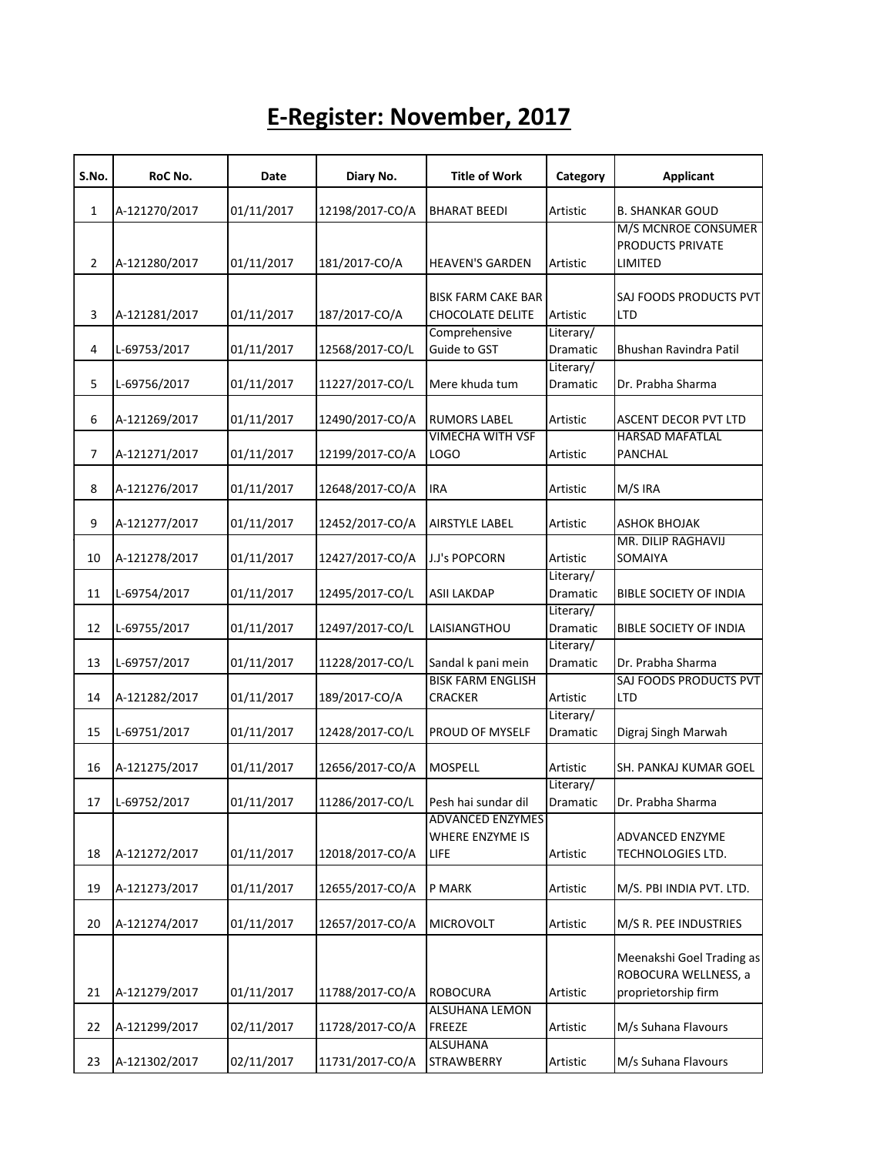## **E-Register: November, 2017**

| S.No. | RoC No.       | Date       | Diary No.       | <b>Title of Work</b>                               | Category              | <b>Applicant</b>                                                         |
|-------|---------------|------------|-----------------|----------------------------------------------------|-----------------------|--------------------------------------------------------------------------|
| 1     | A-121270/2017 | 01/11/2017 | 12198/2017-CO/A | <b>BHARAT BEEDI</b>                                | Artistic              | <b>B. SHANKAR GOUD</b>                                                   |
| 2     | A-121280/2017 | 01/11/2017 | 181/2017-CO/A   | <b>HEAVEN'S GARDEN</b>                             | Artistic              | M/S MCNROE CONSUMER<br>PRODUCTS PRIVATE<br>LIMITED                       |
|       |               |            |                 |                                                    |                       |                                                                          |
| 3     | A-121281/2017 | 01/11/2017 | 187/2017-CO/A   | <b>BISK FARM CAKE BAR</b><br>CHOCOLATE DELITE      | Artistic              | SAJ FOODS PRODUCTS PVT<br><b>LTD</b>                                     |
| 4     | L-69753/2017  | 01/11/2017 | 12568/2017-CO/L | Comprehensive<br>Guide to GST                      | Literary/<br>Dramatic | Bhushan Ravindra Patil                                                   |
| 5     | L-69756/2017  | 01/11/2017 | 11227/2017-CO/L | Mere khuda tum                                     | Literary/<br>Dramatic | Dr. Prabha Sharma                                                        |
| 6     | A-121269/2017 | 01/11/2017 | 12490/2017-CO/A | <b>RUMORS LABEL</b>                                | Artistic              | ASCENT DECOR PVT LTD                                                     |
| 7     | A-121271/2017 | 01/11/2017 | 12199/2017-CO/A | <b>VIMECHA WITH VSF</b><br>LOGO                    | Artistic              | <b>HARSAD MAFATLAL</b><br>PANCHAL                                        |
| 8     | A-121276/2017 | 01/11/2017 | 12648/2017-CO/A | <b>IRA</b>                                         | Artistic              | M/S IRA                                                                  |
| 9     | A-121277/2017 | 01/11/2017 | 12452/2017-CO/A | AIRSTYLE LABEL                                     | Artistic              | ASHOK BHOJAK                                                             |
| 10    | A-121278/2017 | 01/11/2017 | 12427/2017-CO/A | J.J's POPCORN                                      | Artistic              | MR. DILIP RAGHAVIJ<br>SOMAIYA                                            |
| 11    | L-69754/2017  | 01/11/2017 | 12495/2017-CO/L | <b>ASII LAKDAP</b>                                 | Literary/<br>Dramatic | <b>BIBLE SOCIETY OF INDIA</b>                                            |
| 12    | L-69755/2017  | 01/11/2017 | 12497/2017-CO/L | LAISIANGTHOU                                       | Literary/<br>Dramatic | <b>BIBLE SOCIETY OF INDIA</b>                                            |
| 13    | L-69757/2017  | 01/11/2017 | 11228/2017-CO/L | Sandal k pani mein                                 | Literary/<br>Dramatic | Dr. Prabha Sharma                                                        |
| 14    | A-121282/2017 | 01/11/2017 | 189/2017-CO/A   | <b>BISK FARM ENGLISH</b><br><b>CRACKER</b>         | Artistic              | SAJ FOODS PRODUCTS PVT<br><b>LTD</b>                                     |
| 15    | L-69751/2017  | 01/11/2017 | 12428/2017-CO/L | PROUD OF MYSELF                                    | Literary/<br>Dramatic | Digraj Singh Marwah                                                      |
| 16    | A-121275/2017 | 01/11/2017 | 12656/2017-CO/A | <b>MOSPELL</b>                                     | Artistic              | SH. PANKAJ KUMAR GOEL                                                    |
| 17    | L-69752/2017  | 01/11/2017 | 11286/2017-CO/L | Pesh hai sundar dil                                | Literary/<br>Dramatic | Dr. Prabha Sharma                                                        |
| 18    | A-121272/2017 | 01/11/2017 | 12018/2017-CO/A | <b>ADVANCED ENZYMES</b><br>WHERE ENZYME IS<br>LIFE | Artistic              | <b>ADVANCED ENZYME</b><br><b>TECHNOLOGIES LTD.</b>                       |
| 19    | A-121273/2017 | 01/11/2017 | 12655/2017-CO/A | P MARK                                             | Artistic              | M/S. PBI INDIA PVT. LTD.                                                 |
| 20    | A-121274/2017 | 01/11/2017 | 12657/2017-CO/A | <b>MICROVOLT</b>                                   | Artistic              | M/S R. PEE INDUSTRIES                                                    |
| 21    | A-121279/2017 | 01/11/2017 | 11788/2017-CO/A | <b>ROBOCURA</b>                                    | Artistic              | Meenakshi Goel Trading as<br>ROBOCURA WELLNESS, a<br>proprietorship firm |
| 22    | A-121299/2017 | 02/11/2017 | 11728/2017-CO/A | ALSUHANA LEMON<br><b>FREEZE</b>                    | Artistic              | M/s Suhana Flavours                                                      |
| 23    | A-121302/2017 | 02/11/2017 | 11731/2017-CO/A | <b>ALSUHANA</b><br><b>STRAWBERRY</b>               | Artistic              | M/s Suhana Flavours                                                      |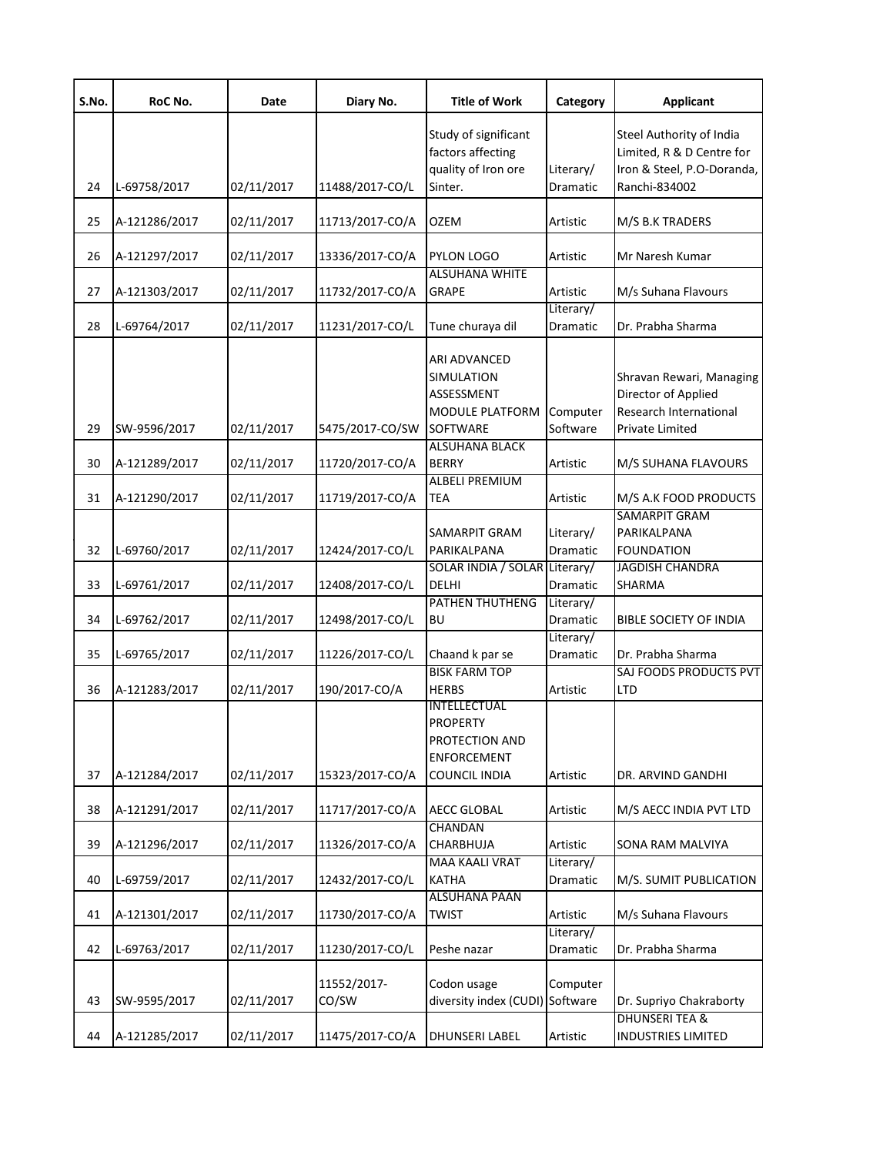| S.No. | RoC No.       | Date       | Diary No.       | <b>Title of Work</b>                  | Category             | <b>Applicant</b>              |
|-------|---------------|------------|-----------------|---------------------------------------|----------------------|-------------------------------|
|       |               |            |                 | Study of significant                  |                      | Steel Authority of India      |
|       |               |            |                 | factors affecting                     |                      | Limited, R & D Centre for     |
|       |               |            |                 | quality of Iron ore                   | Literary/            | Iron & Steel, P.O-Doranda,    |
| 24    | L-69758/2017  | 02/11/2017 | 11488/2017-CO/L | Sinter.                               | Dramatic             | Ranchi-834002                 |
| 25    | A-121286/2017 | 02/11/2017 | 11713/2017-CO/A | <b>OZEM</b>                           | Artistic             | M/S B.K TRADERS               |
| 26    | A-121297/2017 | 02/11/2017 | 13336/2017-CO/A | <b>PYLON LOGO</b>                     | Artistic             | Mr Naresh Kumar               |
| 27    | A-121303/2017 | 02/11/2017 | 11732/2017-CO/A | <b>ALSUHANA WHITE</b><br><b>GRAPE</b> | Artistic             | M/s Suhana Flavours           |
|       |               |            |                 |                                       | Literary/            |                               |
| 28    | L-69764/2017  | 02/11/2017 | 11231/2017-CO/L | Tune churaya dil                      | Dramatic             | Dr. Prabha Sharma             |
|       |               |            |                 |                                       |                      |                               |
|       |               |            |                 | ARI ADVANCED                          |                      |                               |
|       |               |            |                 | SIMULATION                            |                      | Shravan Rewari, Managing      |
|       |               |            |                 | ASSESSMENT                            |                      | Director of Applied           |
|       |               | 02/11/2017 |                 | <b>MODULE PLATFORM</b><br>SOFTWARE    | Computer<br>Software | Research International        |
| 29    | SW-9596/2017  |            | 5475/2017-CO/SW | <b>ALSUHANA BLACK</b>                 |                      | Private Limited               |
| 30    | A-121289/2017 | 02/11/2017 | 11720/2017-CO/A | <b>BERRY</b>                          | Artistic             | M/S SUHANA FLAVOURS           |
|       |               |            |                 | <b>ALBELI PREMIUM</b>                 |                      |                               |
| 31    | A-121290/2017 | 02/11/2017 | 11719/2017-CO/A | TEA                                   | Artistic             | M/S A.K FOOD PRODUCTS         |
|       |               |            |                 |                                       |                      | <b>SAMARPIT GRAM</b>          |
|       |               |            |                 | SAMARPIT GRAM                         | Literary/            | PARIKALPANA                   |
| 32    | L-69760/2017  | 02/11/2017 | 12424/2017-CO/L | PARIKALPANA                           | Dramatic             | <b>FOUNDATION</b>             |
|       |               |            |                 | SOLAR INDIA / SOLAR Literary/         |                      | <b>JAGDISH CHANDRA</b>        |
| 33    | L-69761/2017  | 02/11/2017 | 12408/2017-CO/L | <b>DELHI</b>                          | Dramatic             | SHARMA                        |
|       |               |            |                 | PATHEN THUTHENG                       | Literary/            |                               |
| 34    | L-69762/2017  | 02/11/2017 | 12498/2017-CO/L | <b>BU</b>                             | Dramatic             | <b>BIBLE SOCIETY OF INDIA</b> |
|       |               |            |                 |                                       | Literary/            |                               |
| 35    | L-69765/2017  | 02/11/2017 | 11226/2017-CO/L | Chaand k par se                       | Dramatic             | Dr. Prabha Sharma             |
|       |               |            |                 | <b>BISK FARM TOP</b>                  |                      | SAJ FOODS PRODUCTS PVT        |
| 36    | A-121283/2017 | 02/11/2017 | 190/2017-CO/A   | <b>HERBS</b>                          | Artistic             | <b>LTD</b>                    |
|       |               |            |                 | INTELLECTUAL                          |                      |                               |
|       |               |            |                 | <b>PROPERTY</b>                       |                      |                               |
|       |               |            |                 | PROTECTION AND                        |                      |                               |
|       |               |            |                 | <b>ENFORCEMENT</b>                    |                      |                               |
| 37    | A-121284/2017 | 02/11/2017 | 15323/2017-CO/A | <b>COUNCIL INDIA</b>                  | Artistic             | DR. ARVIND GANDHI             |
| 38    | A-121291/2017 | 02/11/2017 | 11717/2017-CO/A | <b>AECC GLOBAL</b>                    | Artistic             | M/S AECC INDIA PVT LTD        |
|       |               |            |                 | <b>CHANDAN</b>                        |                      |                               |
| 39    | A-121296/2017 | 02/11/2017 | 11326/2017-CO/A | <b>CHARBHUJA</b>                      | Artistic             | SONA RAM MALVIYA              |
|       |               |            |                 | <b>MAA KAALI VRAT</b>                 | Literary/            |                               |
| 40    | L-69759/2017  | 02/11/2017 | 12432/2017-CO/L | <b>KATHA</b>                          | Dramatic             | M/S. SUMIT PUBLICATION        |
|       |               |            |                 | <b>ALSUHANA PAAN</b>                  |                      |                               |
| 41    | A-121301/2017 | 02/11/2017 | 11730/2017-CO/A | <b>TWIST</b>                          | Artistic             | M/s Suhana Flavours           |
|       |               |            |                 |                                       | Literary/            |                               |
| 42    | L-69763/2017  | 02/11/2017 | 11230/2017-CO/L | Peshe nazar                           | Dramatic             | Dr. Prabha Sharma             |
|       |               |            |                 |                                       |                      |                               |
|       |               |            | 11552/2017-     | Codon usage                           | Computer             |                               |
| 43    | SW-9595/2017  | 02/11/2017 | CO/SW           | diversity index (CUDI) Software       |                      | Dr. Supriyo Chakraborty       |
|       |               |            |                 |                                       |                      | <b>DHUNSERI TEA &amp;</b>     |
| 44    | A-121285/2017 | 02/11/2017 | 11475/2017-CO/A | <b>DHUNSERI LABEL</b>                 | Artistic             | <b>INDUSTRIES LIMITED</b>     |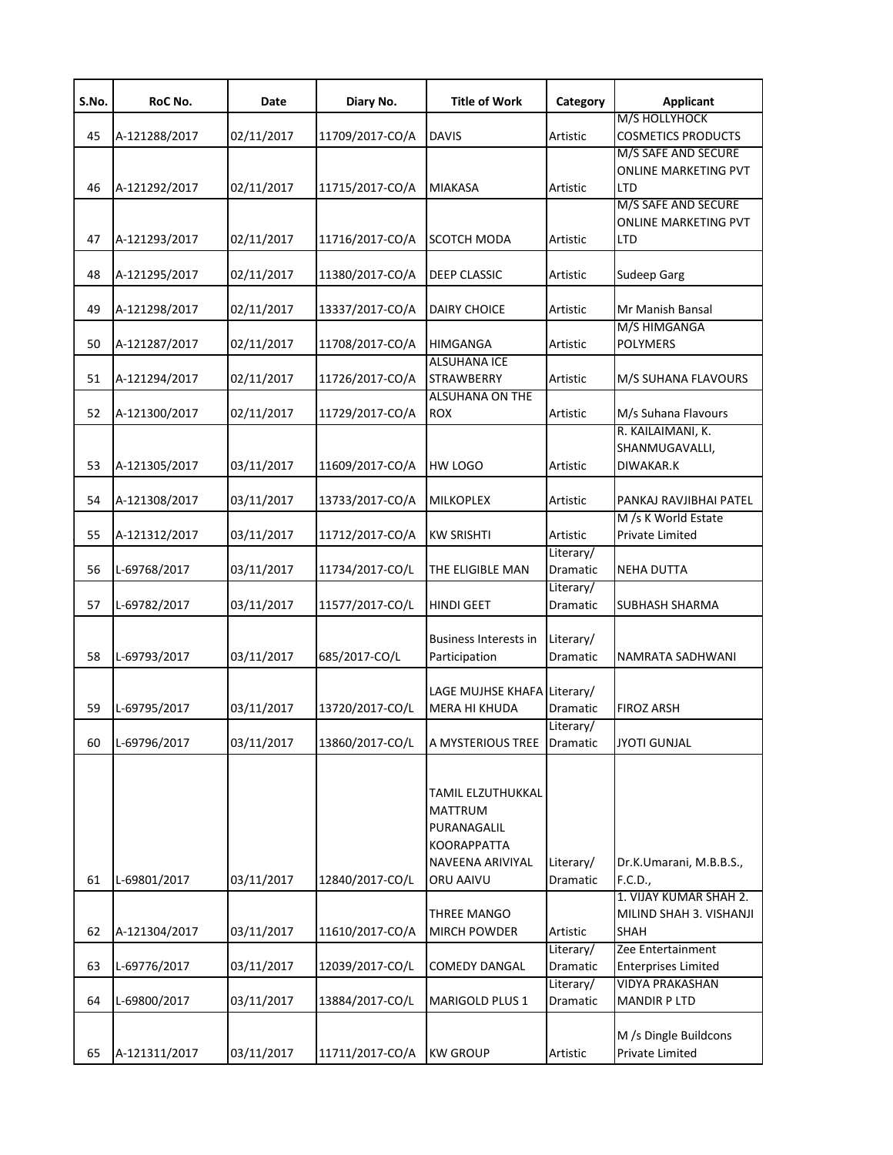| S.No. | RoC No.       | Date       | Diary No.       | <b>Title of Work</b>                                                                               | Category                     | <b>Applicant</b>                                                 |
|-------|---------------|------------|-----------------|----------------------------------------------------------------------------------------------------|------------------------------|------------------------------------------------------------------|
| 45    | A-121288/2017 | 02/11/2017 | 11709/2017-CO/A | <b>DAVIS</b>                                                                                       | Artistic                     | M/S HOLLYHOCK<br><b>COSMETICS PRODUCTS</b>                       |
| 46    | A-121292/2017 | 02/11/2017 | 11715/2017-CO/A | <b>MIAKASA</b>                                                                                     | Artistic                     | M/S SAFE AND SECURE<br><b>ONLINE MARKETING PVT</b><br><b>LTD</b> |
| 47    | A-121293/2017 | 02/11/2017 | 11716/2017-CO/A | SCOTCH MODA                                                                                        | Artistic                     | M/S SAFE AND SECURE<br><b>ONLINE MARKETING PVT</b><br><b>LTD</b> |
| 48    | A-121295/2017 | 02/11/2017 | 11380/2017-CO/A | DEEP CLASSIC                                                                                       | Artistic                     | Sudeep Garg                                                      |
| 49    | A-121298/2017 | 02/11/2017 | 13337/2017-CO/A | <b>DAIRY CHOICE</b>                                                                                | Artistic                     | Mr Manish Bansal                                                 |
| 50    | A-121287/2017 | 02/11/2017 | 11708/2017-CO/A | <b>HIMGANGA</b>                                                                                    | Artistic                     | M/S HIMGANGA<br><b>POLYMERS</b>                                  |
| 51    | A-121294/2017 | 02/11/2017 | 11726/2017-CO/A | <b>ALSUHANA ICE</b><br><b>STRAWBERRY</b>                                                           | Artistic                     | M/S SUHANA FLAVOURS                                              |
| 52    | A-121300/2017 | 02/11/2017 | 11729/2017-CO/A | <b>ALSUHANA ON THE</b><br><b>ROX</b>                                                               | Artistic                     | M/s Suhana Flavours                                              |
| 53    | A-121305/2017 | 03/11/2017 | 11609/2017-CO/A | HW LOGO                                                                                            | Artistic                     | R. KAILAIMANI, K.<br>SHANMUGAVALLI,<br>DIWAKAR.K                 |
| 54    | A-121308/2017 | 03/11/2017 | 13733/2017-CO/A | <b>MILKOPLEX</b>                                                                                   | Artistic                     | PANKAJ RAVJIBHAI PATEL                                           |
| 55    | A-121312/2017 | 03/11/2017 | 11712/2017-CO/A | <b>KW SRISHTI</b>                                                                                  | Artistic                     | M /s K World Estate<br>Private Limited                           |
| 56    | L-69768/2017  | 03/11/2017 | 11734/2017-CO/L | THE ELIGIBLE MAN                                                                                   | Literary/<br>Dramatic        | <b>NEHA DUTTA</b>                                                |
| 57    | L-69782/2017  | 03/11/2017 | 11577/2017-CO/L | HINDI GEET                                                                                         | Literary/<br>Dramatic        | SUBHASH SHARMA                                                   |
| 58    | L-69793/2017  | 03/11/2017 | 685/2017-CO/L   | <b>Business Interests in</b><br>Participation                                                      | Literary/<br><b>Dramatic</b> | NAMRATA SADHWANI                                                 |
| 59    | L-69795/2017  | 03/11/2017 | 13720/2017-CO/L | LAGE MUJHSE KHAFA Literary/<br><b>MERA HI KHUDA</b>                                                | <b>Dramatic</b>              | <b>FIROZ ARSH</b>                                                |
| 60    | L-69796/2017  | 03/11/2017 | 13860/2017-CO/L | A MYSTERIOUS TREE                                                                                  | Literary/<br>Dramatic        | <b>JYOTI GUNJAL</b>                                              |
| 61    | L-69801/2017  | 03/11/2017 | 12840/2017-CO/L | TAMIL ELZUTHUKKAL<br>MATTRUM<br>PURANAGALIL<br><b>KOORAPPATTA</b><br>NAVEENA ARIVIYAL<br>ORU AAIVU | Literary/<br>Dramatic        | Dr.K.Umarani, M.B.B.S.,<br>F.C.D.,                               |
| 62    | A-121304/2017 | 03/11/2017 | 11610/2017-CO/A | THREE MANGO<br>MIRCH POWDER                                                                        | Artistic                     | 1. VIJAY KUMAR SHAH 2.<br>MILIND SHAH 3. VISHANJI<br><b>SHAH</b> |
| 63    | L-69776/2017  | 03/11/2017 | 12039/2017-CO/L | <b>COMEDY DANGAL</b>                                                                               | Literary/<br>Dramatic        | Zee Entertainment<br><b>Enterprises Limited</b>                  |
| 64    | L-69800/2017  | 03/11/2017 | 13884/2017-CO/L | MARIGOLD PLUS 1                                                                                    | Literary/<br>Dramatic        | <b>VIDYA PRAKASHAN</b><br><b>MANDIR PLTD</b>                     |
| 65    | A-121311/2017 | 03/11/2017 | 11711/2017-CO/A | <b>KW GROUP</b>                                                                                    | Artistic                     | M /s Dingle Buildcons<br>Private Limited                         |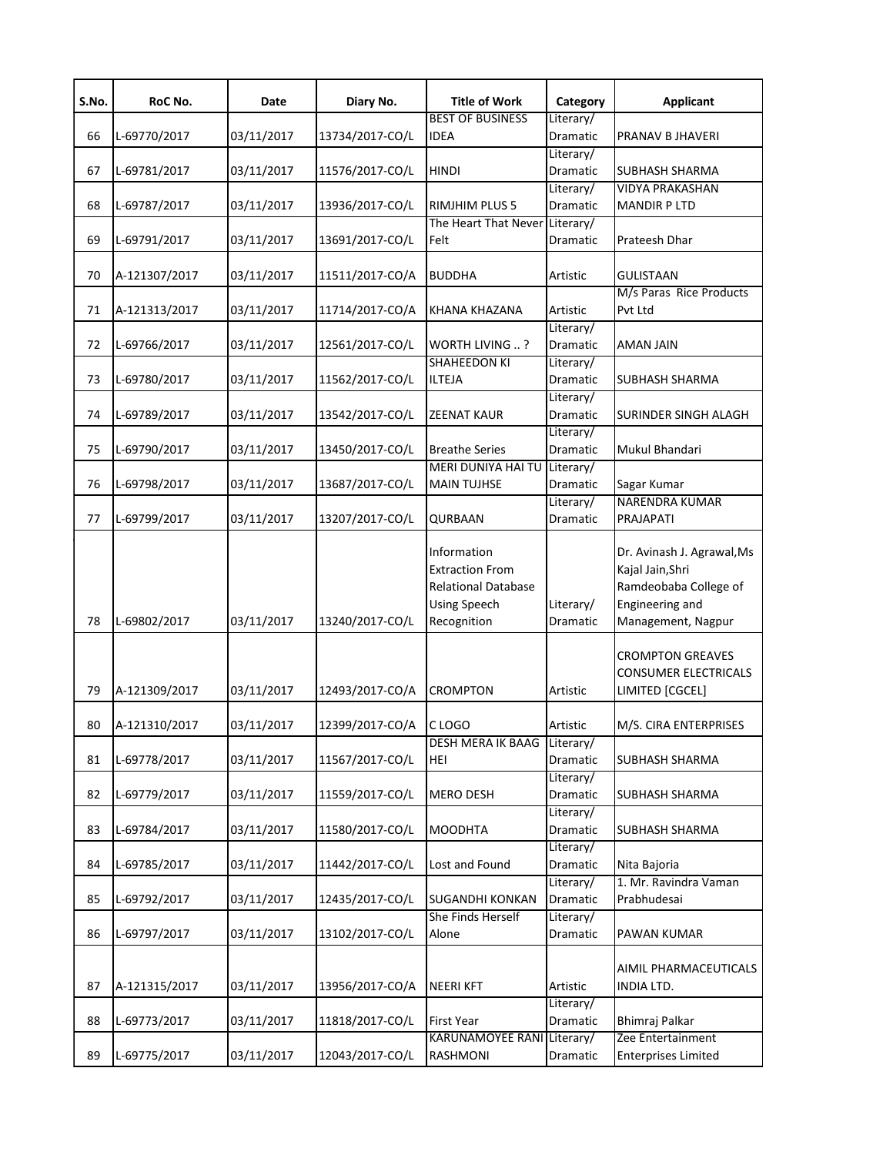| S.No. | RoC No.       | Date       | Diary No.       | <b>Title of Work</b>                                                                                      | Category              | <b>Applicant</b>                                                                                                 |
|-------|---------------|------------|-----------------|-----------------------------------------------------------------------------------------------------------|-----------------------|------------------------------------------------------------------------------------------------------------------|
| 66    | L-69770/2017  | 03/11/2017 | 13734/2017-CO/L | <b>BEST OF BUSINESS</b><br><b>IDEA</b>                                                                    | Literary/<br>Dramatic | PRANAV B JHAVERI                                                                                                 |
|       |               |            |                 |                                                                                                           | Literary/             |                                                                                                                  |
| 67    | L-69781/2017  | 03/11/2017 | 11576/2017-CO/L | <b>HINDI</b>                                                                                              | Dramatic              | SUBHASH SHARMA                                                                                                   |
|       |               |            |                 |                                                                                                           | Literary/             | <b>VIDYA PRAKASHAN</b>                                                                                           |
| 68    | L-69787/2017  | 03/11/2017 | 13936/2017-CO/L | <b>RIMJHIM PLUS 5</b>                                                                                     | Dramatic              | <b>MANDIR P LTD</b>                                                                                              |
| 69    | L-69791/2017  | 03/11/2017 | 13691/2017-CO/L | The Heart That Never Literary/<br>Felt                                                                    | Dramatic              | Prateesh Dhar                                                                                                    |
|       |               |            |                 |                                                                                                           |                       |                                                                                                                  |
| 70    | A-121307/2017 | 03/11/2017 | 11511/2017-CO/A | <b>BUDDHA</b>                                                                                             | Artistic              | GULISTAAN                                                                                                        |
| 71    | A-121313/2017 | 03/11/2017 | 11714/2017-CO/A | KHANA KHAZANA                                                                                             | Artistic              | M/s Paras Rice Products<br>Pvt Ltd                                                                               |
|       |               |            |                 |                                                                                                           | Literary/             |                                                                                                                  |
| 72    | L-69766/2017  | 03/11/2017 | 12561/2017-CO/L | WORTH LIVING ?                                                                                            | Dramatic              | AMAN JAIN                                                                                                        |
|       |               |            |                 | <b>SHAHEEDON KI</b>                                                                                       | Literary/             |                                                                                                                  |
| 73    | L-69780/2017  | 03/11/2017 | 11562/2017-CO/L | <b>ILTEJA</b>                                                                                             | Dramatic              | <b>SUBHASH SHARMA</b>                                                                                            |
|       |               |            |                 |                                                                                                           | Literary/             |                                                                                                                  |
| 74    | L-69789/2017  | 03/11/2017 | 13542/2017-CO/L | <b>ZEENAT KAUR</b>                                                                                        | Dramatic              | SURINDER SINGH ALAGH                                                                                             |
| 75    | L-69790/2017  | 03/11/2017 | 13450/2017-CO/L | <b>Breathe Series</b>                                                                                     | Literary/<br>Dramatic | Mukul Bhandari                                                                                                   |
|       |               |            |                 | MERI DUNIYA HAI TU Literary/                                                                              |                       |                                                                                                                  |
| 76    | L-69798/2017  | 03/11/2017 | 13687/2017-CO/L | <b>MAIN TUJHSE</b>                                                                                        | Dramatic              | Sagar Kumar                                                                                                      |
|       |               |            |                 |                                                                                                           | Literary/             | NARENDRA KUMAR                                                                                                   |
| 77    | L-69799/2017  | 03/11/2017 | 13207/2017-CO/L | QURBAAN                                                                                                   | Dramatic              | PRAJAPATI                                                                                                        |
| 78    | L-69802/2017  | 03/11/2017 | 13240/2017-CO/L | Information<br><b>Extraction From</b><br><b>Relational Database</b><br><b>Using Speech</b><br>Recognition | Literary/<br>Dramatic | Dr. Avinash J. Agrawal, Ms<br>Kajal Jain, Shri<br>Ramdeobaba College of<br>Engineering and<br>Management, Nagpur |
| 79    | A-121309/2017 | 03/11/2017 | 12493/2017-CO/A | <b>CROMPTON</b>                                                                                           | Artistic              | <b>CROMPTON GREAVES</b><br><b>CONSUMER ELECTRICALS</b><br>LIMITED [CGCEL]                                        |
| 80    | A-121310/2017 | 03/11/2017 | 12399/2017-CO/A | C LOGO                                                                                                    | Artistic              | M/S. CIRA ENTERPRISES                                                                                            |
| 81    | L-69778/2017  | 03/11/2017 | 11567/2017-CO/L | DESH MERA IK BAAG Literary/<br>HEI                                                                        | Dramatic              | SUBHASH SHARMA                                                                                                   |
| 82    | L-69779/2017  | 03/11/2017 | 11559/2017-CO/L | <b>MERO DESH</b>                                                                                          | Literary/<br>Dramatic | <b>SUBHASH SHARMA</b>                                                                                            |
|       |               |            |                 |                                                                                                           | Literary/             |                                                                                                                  |
| 83    | L-69784/2017  | 03/11/2017 | 11580/2017-CO/L | <b>MOODHTA</b>                                                                                            | Dramatic<br>Literary/ | SUBHASH SHARMA                                                                                                   |
| 84    | L-69785/2017  | 03/11/2017 | 11442/2017-CO/L | Lost and Found                                                                                            | Dramatic              | Nita Bajoria                                                                                                     |
| 85    | L-69792/2017  | 03/11/2017 | 12435/2017-CO/L | <b>SUGANDHI KONKAN</b>                                                                                    | Literary/<br>Dramatic | 1. Mr. Ravindra Vaman<br>Prabhudesai                                                                             |
| 86    | L-69797/2017  | 03/11/2017 | 13102/2017-CO/L | She Finds Herself<br>Alone                                                                                | Literary/<br>Dramatic | PAWAN KUMAR                                                                                                      |
| 87    | A-121315/2017 | 03/11/2017 | 13956/2017-CO/A | <b>NEERI KFT</b>                                                                                          | Artistic              | AIMIL PHARMACEUTICALS<br>INDIA LTD.                                                                              |
| 88    | L-69773/2017  | 03/11/2017 | 11818/2017-CO/L | <b>First Year</b>                                                                                         | Literary/<br>Dramatic | Bhimraj Palkar                                                                                                   |
| 89    | L-69775/2017  | 03/11/2017 | 12043/2017-CO/L | <b>KARUNAMOYEE RANI Literary/</b><br><b>RASHMONI</b>                                                      | Dramatic              | Zee Entertainment<br><b>Enterprises Limited</b>                                                                  |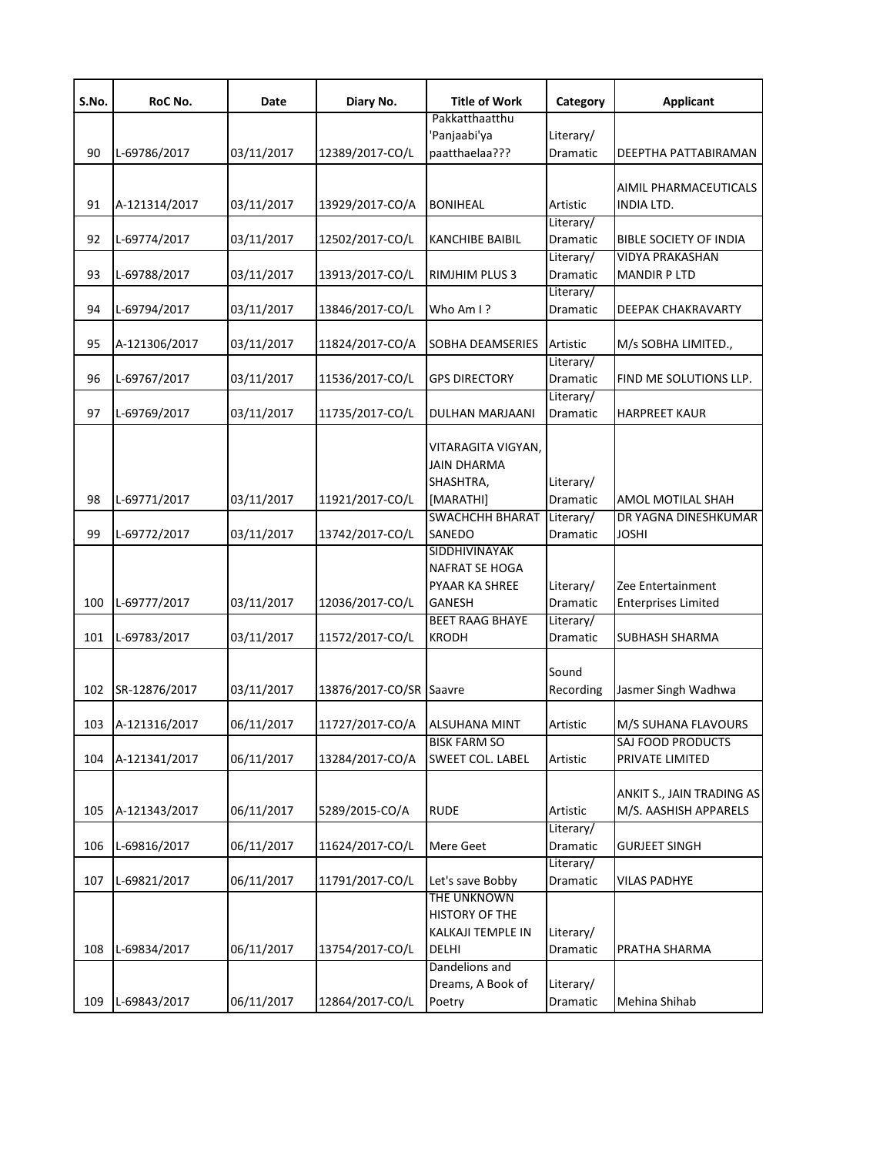| S.No. | RoC No.       | Date       | Diary No.               | <b>Title of Work</b>   | Category  | <b>Applicant</b>              |
|-------|---------------|------------|-------------------------|------------------------|-----------|-------------------------------|
|       |               |            |                         | Pakkatthaatthu         |           |                               |
|       |               |            |                         | Panjaabi'ya            | Literary/ |                               |
| 90    | L-69786/2017  | 03/11/2017 | 12389/2017-CO/L         | paatthaelaa???         | Dramatic  | DEEPTHA PATTABIRAMAN          |
|       |               |            |                         |                        |           |                               |
|       |               |            |                         |                        |           | AIMIL PHARMACEUTICALS         |
| 91    | A-121314/2017 | 03/11/2017 | 13929/2017-CO/A         | <b>BONIHEAL</b>        | Artistic  | INDIA LTD.                    |
|       |               |            |                         |                        | Literary/ |                               |
| 92    | L-69774/2017  | 03/11/2017 | 12502/2017-CO/L         | <b>KANCHIBE BAIBIL</b> | Dramatic  | <b>BIBLE SOCIETY OF INDIA</b> |
|       |               |            |                         |                        | Literary/ | <b>VIDYA PRAKASHAN</b>        |
| 93    | L-69788/2017  | 03/11/2017 | 13913/2017-CO/L         | <b>RIMJHIM PLUS 3</b>  | Dramatic  | <b>MANDIR P LTD</b>           |
|       |               |            |                         |                        | Literary/ |                               |
| 94    | L-69794/2017  | 03/11/2017 | 13846/2017-CO/L         | Who Am I ?             | Dramatic  | DEEPAK CHAKRAVARTY            |
|       |               |            |                         |                        |           |                               |
| 95    | A-121306/2017 | 03/11/2017 | 11824/2017-CO/A         | SOBHA DEAMSERIES       | Artistic  | M/s SOBHA LIMITED.,           |
|       |               |            |                         |                        | Literary/ |                               |
| 96    | L-69767/2017  | 03/11/2017 | 11536/2017-CO/L         | <b>GPS DIRECTORY</b>   | Dramatic  | FIND ME SOLUTIONS LLP.        |
|       |               |            |                         |                        | Literary/ |                               |
| 97    | L-69769/2017  | 03/11/2017 | 11735/2017-CO/L         | DULHAN MARJAANI        | Dramatic  | <b>HARPREET KAUR</b>          |
|       |               |            |                         |                        |           |                               |
|       |               |            |                         | VITARAGITA VIGYAN,     |           |                               |
|       |               |            |                         | <b>JAIN DHARMA</b>     |           |                               |
|       |               |            |                         | SHASHTRA,              | Literary/ |                               |
| 98    | L-69771/2017  | 03/11/2017 | 11921/2017-CO/L         | [MARATHI]              | Dramatic  | AMOL MOTILAL SHAH             |
|       |               |            |                         | <b>SWACHCHH BHARAT</b> | Literary/ | DR YAGNA DINESHKUMAR          |
| 99    | L-69772/2017  | 03/11/2017 | 13742/2017-CO/L         | <b>SANEDO</b>          | Dramatic  | <b>JOSHI</b>                  |
|       |               |            |                         | SIDDHIVINAYAK          |           |                               |
|       |               |            |                         |                        |           |                               |
|       |               |            |                         | NAFRAT SE HOGA         |           |                               |
|       |               |            |                         | PYAAR KA SHREE         | Literary/ | Zee Entertainment             |
| 100   | L-69777/2017  | 03/11/2017 | 12036/2017-CO/L         | <b>GANESH</b>          | Dramatic  | <b>Enterprises Limited</b>    |
|       |               |            |                         | <b>BEET RAAG BHAYE</b> | Literary/ |                               |
| 101   | L-69783/2017  | 03/11/2017 | 11572/2017-CO/L         | <b>KRODH</b>           | Dramatic  | <b>SUBHASH SHARMA</b>         |
|       |               |            |                         |                        |           |                               |
|       |               |            |                         |                        | Sound     |                               |
| 102   | SR-12876/2017 | 03/11/2017 | 13876/2017-CO/SR Saavre |                        | Recording | Jasmer Singh Wadhwa           |
|       |               |            |                         |                        |           |                               |
| 103   | A-121316/2017 | 06/11/2017 | 11727/2017-CO/A         | <b>ALSUHANA MINT</b>   | Artistic  | M/S SUHANA FLAVOURS           |
|       |               |            |                         | <b>BISK FARM SO</b>    |           | SAJ FOOD PRODUCTS             |
| 104   | A-121341/2017 | 06/11/2017 | 13284/2017-CO/A         | SWEET COL. LABEL       | Artistic  | PRIVATE LIMITED               |
|       |               |            |                         |                        |           |                               |
|       |               |            |                         |                        |           | ANKIT S., JAIN TRADING AS     |
| 105   | A-121343/2017 | 06/11/2017 | 5289/2015-CO/A          | <b>RUDE</b>            | Artistic  | M/S. AASHISH APPARELS         |
|       |               |            |                         |                        | Literary/ |                               |
| 106   | L-69816/2017  | 06/11/2017 | 11624/2017-CO/L         | Mere Geet              | Dramatic  | <b>GURJEET SINGH</b>          |
|       |               |            |                         |                        | Literary/ |                               |
| 107   | L-69821/2017  | 06/11/2017 | 11791/2017-CO/L         | Let's save Bobby       | Dramatic  | <b>VILAS PADHYE</b>           |
|       |               |            |                         | THE UNKNOWN            |           |                               |
|       |               |            |                         | HISTORY OF THE         |           |                               |
|       |               |            |                         | KALKAJI TEMPLE IN      | Literary/ |                               |
| 108   | L-69834/2017  | 06/11/2017 | 13754/2017-CO/L         | <b>DELHI</b>           | Dramatic  | PRATHA SHARMA                 |
|       |               |            |                         | Dandelions and         |           |                               |
|       |               |            |                         | Dreams, A Book of      | Literary/ |                               |
| 109   | L-69843/2017  | 06/11/2017 | 12864/2017-CO/L         | Poetry                 | Dramatic  | Mehina Shihab                 |
|       |               |            |                         |                        |           |                               |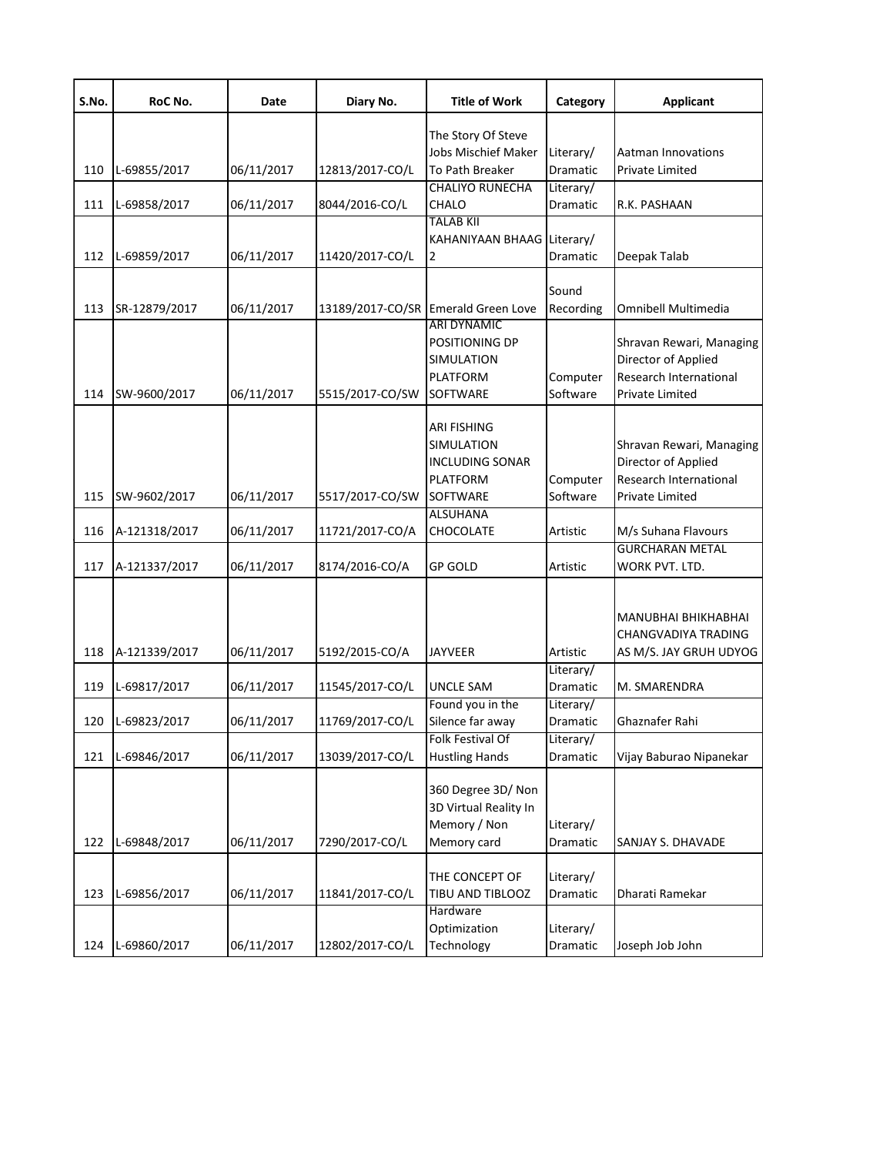| S.No. | RoC No.       | Date       | Diary No.       | <b>Title of Work</b>                | Category  | <b>Applicant</b>                              |
|-------|---------------|------------|-----------------|-------------------------------------|-----------|-----------------------------------------------|
|       |               |            |                 | The Story Of Steve                  |           |                                               |
|       |               |            |                 | Jobs Mischief Maker                 | Literary/ | <b>Aatman Innovations</b>                     |
| 110   | L-69855/2017  | 06/11/2017 | 12813/2017-CO/L | To Path Breaker                     | Dramatic  | <b>Private Limited</b>                        |
|       |               |            |                 | <b>CHALIYO RUNECHA</b>              | Literary/ |                                               |
| 111   | L-69858/2017  | 06/11/2017 | 8044/2016-CO/L  | CHALO                               | Dramatic  | R.K. PASHAAN                                  |
|       |               |            |                 | <b>TALAB KII</b>                    |           |                                               |
|       |               |            |                 | KAHANIYAAN BHAAG Literary/          |           |                                               |
| 112   | L-69859/2017  | 06/11/2017 | 11420/2017-CO/L | $\overline{2}$                      | Dramatic  | Deepak Talab                                  |
|       |               |            |                 |                                     | Sound     |                                               |
| 113   | SR-12879/2017 | 06/11/2017 |                 | 13189/2017-CO/SR Emerald Green Love | Recording | Omnibell Multimedia                           |
|       |               |            |                 | <b>ARI DYNAMIC</b>                  |           |                                               |
|       |               |            |                 | POSITIONING DP                      |           | Shravan Rewari, Managing                      |
|       |               |            |                 | <b>SIMULATION</b>                   |           | Director of Applied                           |
|       |               |            |                 | <b>PLATFORM</b>                     | Computer  | Research International                        |
| 114   | SW-9600/2017  | 06/11/2017 | 5515/2017-CO/SW | SOFTWARE                            | Software  | Private Limited                               |
|       |               |            |                 |                                     |           |                                               |
|       |               |            |                 | <b>ARI FISHING</b>                  |           |                                               |
|       |               |            |                 | <b>SIMULATION</b>                   |           | Shravan Rewari, Managing                      |
|       |               |            |                 | <b>INCLUDING SONAR</b>              |           | Director of Applied                           |
|       |               |            |                 | <b>PLATFORM</b>                     | Computer  | Research International                        |
| 115   | SW-9602/2017  | 06/11/2017 | 5517/2017-CO/SW | SOFTWARE                            | Software  | Private Limited                               |
|       |               |            |                 | <b>ALSUHANA</b>                     |           |                                               |
| 116   | A-121318/2017 | 06/11/2017 | 11721/2017-CO/A | CHOCOLATE                           | Artistic  | M/s Suhana Flavours<br><b>GURCHARAN METAL</b> |
| 117   | A-121337/2017 | 06/11/2017 | 8174/2016-CO/A  | <b>GP GOLD</b>                      | Artistic  | WORK PVT. LTD.                                |
|       |               |            |                 |                                     |           |                                               |
|       |               |            |                 |                                     |           |                                               |
|       |               |            |                 |                                     |           | MANUBHAI BHIKHABHAI                           |
|       |               |            |                 |                                     |           | CHANGVADIYA TRADING                           |
| 118   | A-121339/2017 | 06/11/2017 | 5192/2015-CO/A  | <b>JAYVEER</b>                      | Artistic  | AS M/S. JAY GRUH UDYOG                        |
|       |               |            |                 |                                     | Literary/ |                                               |
| 119   | L-69817/2017  | 06/11/2017 | 11545/2017-CO/L | <b>UNCLE SAM</b>                    | Dramatic  | M. SMARENDRA                                  |
|       |               |            |                 | Found you in the                    | Literary/ |                                               |
| 120   | L-69823/2017  | 06/11/2017 | 11769/2017-CO/L | Silence far away                    | Dramatic  | Ghaznafer Rahi                                |
|       |               |            |                 | Folk Festival Of                    | Literary/ |                                               |
| 121   | L-69846/2017  | 06/11/2017 | 13039/2017-CO/L | <b>Hustling Hands</b>               | Dramatic  | Vijay Baburao Nipanekar                       |
|       |               |            |                 | 360 Degree 3D/Non                   |           |                                               |
|       |               |            |                 | 3D Virtual Reality In               |           |                                               |
|       |               |            |                 | Memory / Non                        |           |                                               |
|       | L-69848/2017  | 06/11/2017 |                 |                                     | Literary/ | SANJAY S. DHAVADE                             |
| 122   |               |            | 7290/2017-CO/L  | Memory card                         | Dramatic  |                                               |
|       |               |            |                 | THE CONCEPT OF                      | Literary/ |                                               |
| 123   | L-69856/2017  | 06/11/2017 | 11841/2017-CO/L | TIBU AND TIBLOOZ                    | Dramatic  | Dharati Ramekar                               |
|       |               |            |                 | Hardware                            |           |                                               |
|       |               |            |                 | Optimization                        | Literary/ |                                               |
| 124   | L-69860/2017  | 06/11/2017 | 12802/2017-CO/L | Technology                          | Dramatic  | Joseph Job John                               |
|       |               |            |                 |                                     |           |                                               |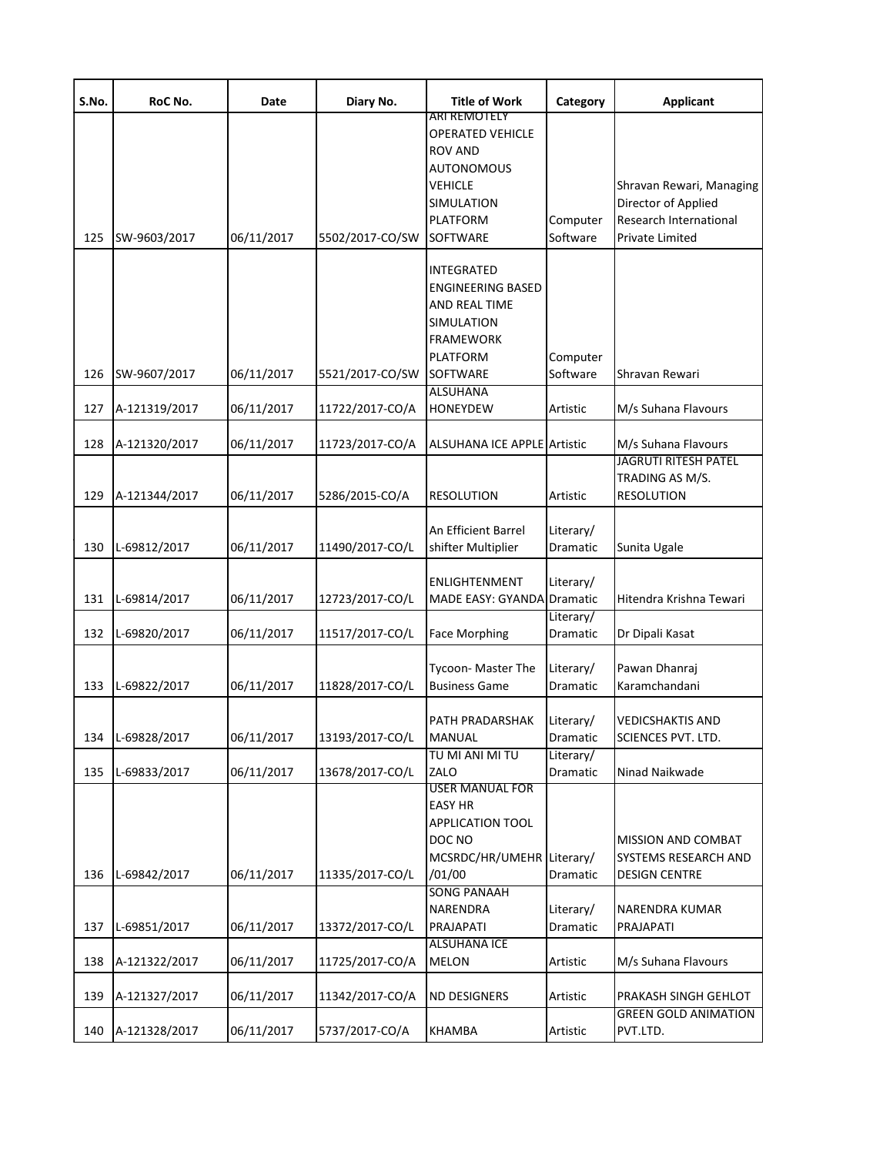| S.No. | RoC No.       | Date       | Diary No.       | <b>Title of Work</b>                                                                                              | Category              | <b>Applicant</b>                                                                             |
|-------|---------------|------------|-----------------|-------------------------------------------------------------------------------------------------------------------|-----------------------|----------------------------------------------------------------------------------------------|
| 125   | SW-9603/2017  | 06/11/2017 | 5502/2017-CO/SW | ARI REMOTELY<br><b>OPERATED VEHICLE</b><br>ROV AND<br>AUTONOMOUS<br>VEHICLE<br>SIMULATION<br>PLATFORM<br>SOFTWARE | Computer<br>Software  | Shravan Rewari, Managing<br>Director of Applied<br>Research International<br>Private Limited |
|       |               |            |                 | INTEGRATED<br><b>ENGINEERING BASED</b><br>AND REAL TIME<br>SIMULATION<br><b>FRAMEWORK</b><br>PLATFORM             | Computer              |                                                                                              |
| 126   | SW-9607/2017  | 06/11/2017 | 5521/2017-CO/SW | <b>SOFTWARE</b><br><b>ALSUHANA</b>                                                                                | Software              | Shravan Rewari                                                                               |
| 127   | A-121319/2017 | 06/11/2017 | 11722/2017-CO/A | <b>HONEYDEW</b>                                                                                                   | Artistic              | M/s Suhana Flavours                                                                          |
| 128   | A-121320/2017 | 06/11/2017 | 11723/2017-CO/A | <b>ALSUHANA ICE APPLE Artistic</b>                                                                                |                       | M/s Suhana Flavours<br><b>JAGRUTI RITESH PATEL</b>                                           |
| 129   | A-121344/2017 | 06/11/2017 | 5286/2015-CO/A  | RESOLUTION                                                                                                        | Artistic              | TRADING AS M/S.<br><b>RESOLUTION</b>                                                         |
| 130   | L-69812/2017  | 06/11/2017 | 11490/2017-CO/L | An Efficient Barrel<br>shifter Multiplier                                                                         | Literary/<br>Dramatic | Sunita Ugale                                                                                 |
| 131   | L-69814/2017  | 06/11/2017 | 12723/2017-CO/L | ENLIGHTENMENT<br>MADE EASY: GYANDA Dramatic                                                                       | Literary/             | Hitendra Krishna Tewari                                                                      |
| 132   | L-69820/2017  | 06/11/2017 | 11517/2017-CO/L | <b>Face Morphing</b>                                                                                              | Literary/<br>Dramatic | Dr Dipali Kasat                                                                              |
| 133   | L-69822/2017  | 06/11/2017 | 11828/2017-CO/L | Tycoon- Master The<br><b>Business Game</b>                                                                        | Literary/<br>Dramatic | Pawan Dhanraj<br>Karamchandani                                                               |
| 134   | L-69828/2017  | 06/11/2017 | 13193/2017-CO/L | PATH PRADARSHAK<br><b>MANUAL</b>                                                                                  | Literary/<br>Dramatic | <b>VEDICSHAKTIS AND</b><br><b>SCIENCES PVT. LTD.</b>                                         |
| 135   | L-69833/2017  | 06/11/2017 | 13678/2017-CO/L | TU MI ANI MI TU<br>ZALO<br>USER MANUAL FOR                                                                        | Literary/<br>Dramatic | Ninad Naikwade                                                                               |
| 136   | L-69842/2017  | 06/11/2017 | 11335/2017-CO/L | <b>EASY HR</b><br>APPLICATION TOOL<br>DOC NO<br>MCSRDC/HR/UMEHR Literary/<br>/01/00                               | Dramatic              | <b>MISSION AND COMBAT</b><br>SYSTEMS RESEARCH AND<br><b>DESIGN CENTRE</b>                    |
| 137   | L-69851/2017  | 06/11/2017 | 13372/2017-CO/L | <b>SONG PANAAH</b><br>NARENDRA<br>PRAJAPATI                                                                       | Literary/<br>Dramatic | <b>NARENDRA KUMAR</b><br>PRAJAPATI                                                           |
| 138   | A-121322/2017 | 06/11/2017 | 11725/2017-CO/A | ALSUHANA ICE<br><b>MELON</b>                                                                                      | Artistic              | M/s Suhana Flavours                                                                          |
| 139   | A-121327/2017 | 06/11/2017 | 11342/2017-CO/A | <b>ND DESIGNERS</b>                                                                                               | Artistic              | PRAKASH SINGH GEHLOT                                                                         |
| 140   | A-121328/2017 | 06/11/2017 | 5737/2017-CO/A  | KHAMBA                                                                                                            | Artistic              | <b>GREEN GOLD ANIMATION</b><br>PVT.LTD.                                                      |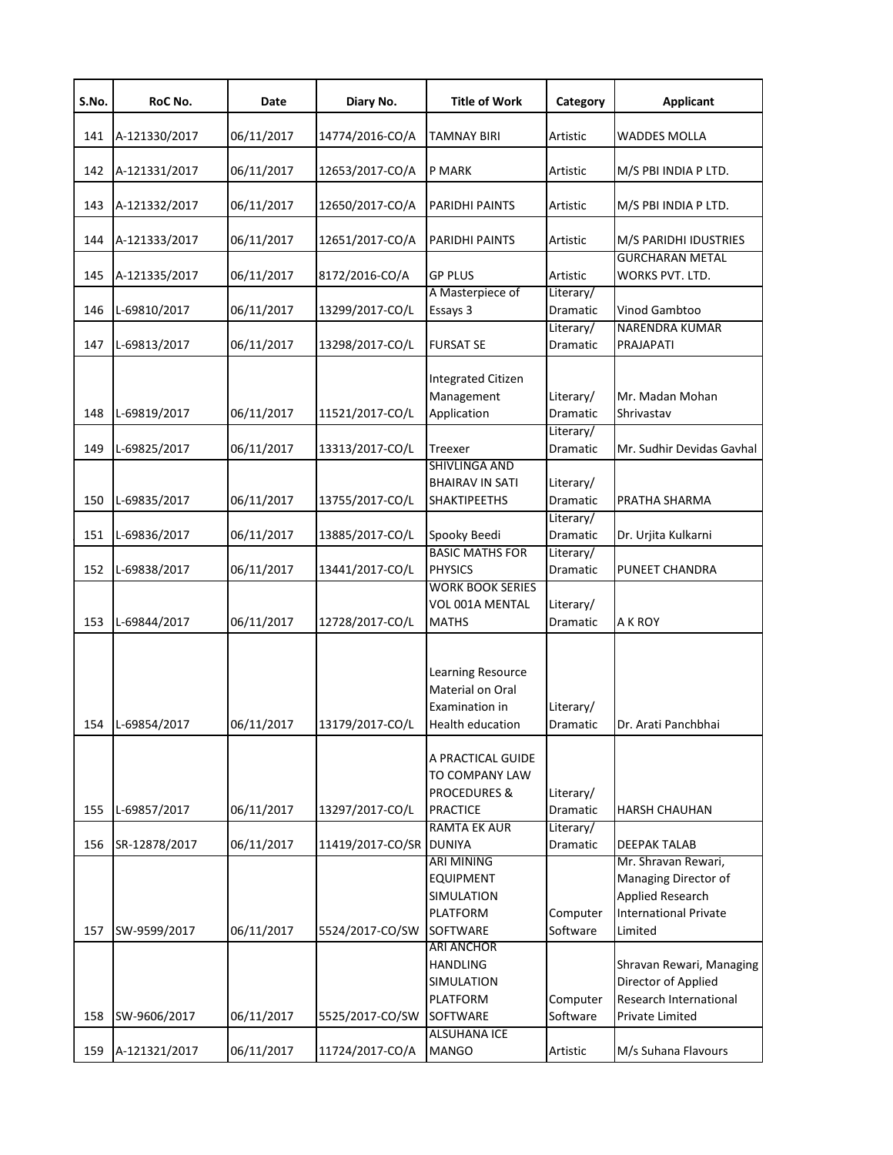| S.No. | RoC No.       | Date       | Diary No.        | <b>Title of Work</b>                                                              | Category              | <b>Applicant</b>                                                                                                  |
|-------|---------------|------------|------------------|-----------------------------------------------------------------------------------|-----------------------|-------------------------------------------------------------------------------------------------------------------|
| 141   | A-121330/2017 | 06/11/2017 | 14774/2016-CO/A  | <b>TAMNAY BIRI</b>                                                                | Artistic              | <b>WADDES MOLLA</b>                                                                                               |
| 142   | A-121331/2017 | 06/11/2017 | 12653/2017-CO/A  | P MARK                                                                            | Artistic              | M/S PBI INDIA P LTD.                                                                                              |
| 143   | A-121332/2017 | 06/11/2017 | 12650/2017-CO/A  | PARIDHI PAINTS                                                                    | Artistic              | M/S PBI INDIA P LTD.                                                                                              |
| 144   | A-121333/2017 | 06/11/2017 | 12651/2017-CO/A  | PARIDHI PAINTS                                                                    | Artistic              | M/S PARIDHI IDUSTRIES                                                                                             |
| 145   | A-121335/2017 | 06/11/2017 | 8172/2016-CO/A   | <b>GP PLUS</b>                                                                    | Artistic              | <b>GURCHARAN METAL</b><br>WORKS PVT. LTD.                                                                         |
| 146   | L-69810/2017  | 06/11/2017 | 13299/2017-CO/L  | A Masterpiece of<br>Essays 3                                                      | Literary/<br>Dramatic | Vinod Gambtoo                                                                                                     |
| 147   | L-69813/2017  | 06/11/2017 | 13298/2017-CO/L  | <b>FURSAT SE</b>                                                                  | Literary/<br>Dramatic | <b>NARENDRA KUMAR</b><br>PRAJAPATI                                                                                |
| 148   | L-69819/2017  | 06/11/2017 | 11521/2017-CO/L  | <b>Integrated Citizen</b><br>Management<br>Application                            | Literary/<br>Dramatic | Mr. Madan Mohan<br>Shrivastav                                                                                     |
| 149   | L-69825/2017  | 06/11/2017 | 13313/2017-CO/L  | Treexer                                                                           | Literary/<br>Dramatic | Mr. Sudhir Devidas Gavhal                                                                                         |
| 150   | L-69835/2017  | 06/11/2017 | 13755/2017-CO/L  | SHIVLINGA AND<br><b>BHAIRAV IN SATI</b><br><b>SHAKTIPEETHS</b>                    | Literary/<br>Dramatic | PRATHA SHARMA                                                                                                     |
| 151   | L-69836/2017  | 06/11/2017 | 13885/2017-CO/L  | Spooky Beedi                                                                      | Literary/<br>Dramatic | Dr. Urjita Kulkarni                                                                                               |
| 152   | L-69838/2017  | 06/11/2017 | 13441/2017-CO/L  | <b>BASIC MATHS FOR</b><br><b>PHYSICS</b>                                          | Literary/<br>Dramatic | PUNEET CHANDRA                                                                                                    |
| 153   | L-69844/2017  | 06/11/2017 | 12728/2017-CO/L  | <b>WORK BOOK SERIES</b><br>VOL 001A MENTAL<br>MATHS                               | Literary/<br>Dramatic | A K ROY                                                                                                           |
| 154   | L-69854/2017  | 06/11/2017 | 13179/2017-CO/L  | Learning Resource<br>Material on Oral<br>Examination in<br>Health education       | Literary/<br>Dramatic | Dr. Arati Panchbhai                                                                                               |
| 155   | L-69857/2017  | 06/11/2017 | 13297/2017-CO/L  | A PRACTICAL GUIDE<br>TO COMPANY LAW<br><b>PROCEDURES &amp;</b><br><b>PRACTICE</b> | Literary/<br>Dramatic | <b>HARSH CHAUHAN</b>                                                                                              |
| 156   | SR-12878/2017 | 06/11/2017 | 11419/2017-CO/SR | <b>RAMTA EK AUR</b><br><b>DUNIYA</b>                                              | Literary/<br>Dramatic | <b>DEEPAK TALAB</b>                                                                                               |
| 157   | SW-9599/2017  | 06/11/2017 | 5524/2017-CO/SW  | ARI MINING<br><b>EQUIPMENT</b><br>SIMULATION<br><b>PLATFORM</b><br>SOFTWARE       | Computer<br>Software  | Mr. Shravan Rewari,<br>Managing Director of<br><b>Applied Research</b><br><b>International Private</b><br>Limited |
| 158   | SW-9606/2017  | 06/11/2017 | 5525/2017-CO/SW  | <b>ARI ANCHOR</b><br><b>HANDLING</b><br>SIMULATION<br><b>PLATFORM</b><br>SOFTWARE | Computer<br>Software  | Shravan Rewari, Managing<br>Director of Applied<br>Research International<br>Private Limited                      |
| 159   | A-121321/2017 | 06/11/2017 | 11724/2017-CO/A  | <b>ALSUHANA ICE</b><br><b>MANGO</b>                                               | Artistic              | M/s Suhana Flavours                                                                                               |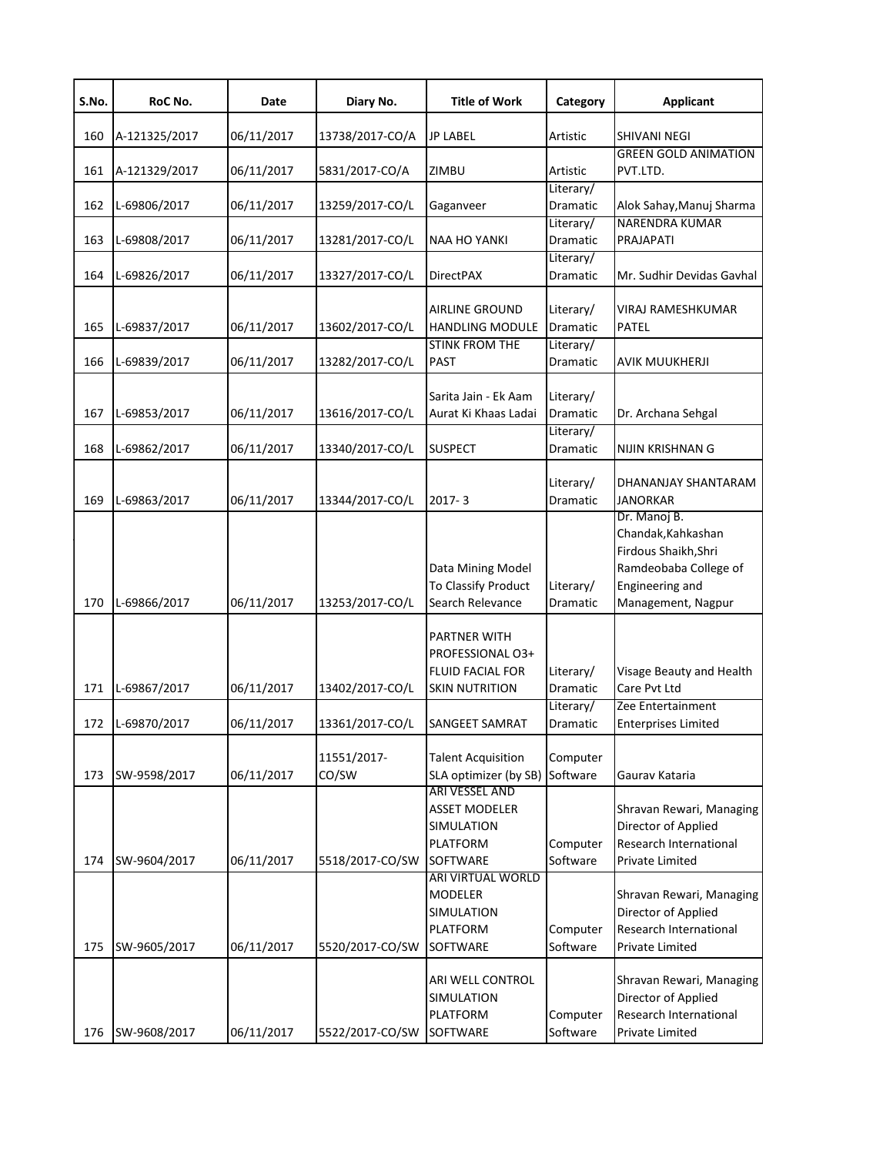| S.No. | RoC No.            | Date       | Diary No.            | <b>Title of Work</b>                               | Category              | <b>Applicant</b>                |
|-------|--------------------|------------|----------------------|----------------------------------------------------|-----------------------|---------------------------------|
| 160   | A-121325/2017      | 06/11/2017 | 13738/2017-CO/A      | <b>JP LABEL</b>                                    | Artistic              | <b>SHIVANI NEGI</b>             |
|       |                    |            |                      |                                                    |                       | <b>GREEN GOLD ANIMATION</b>     |
| 161   | A-121329/2017      | 06/11/2017 | 5831/2017-CO/A       | ZIMBU                                              | Artistic<br>Literary/ | PVT.LTD.                        |
| 162   | L-69806/2017       | 06/11/2017 | 13259/2017-CO/L      | Gaganveer                                          | Dramatic              | Alok Sahay, Manuj Sharma        |
|       |                    |            |                      |                                                    | Literary/             | <b>NARENDRA KUMAR</b>           |
| 163   | L-69808/2017       | 06/11/2017 | 13281/2017-CO/L      | <b>NAA HO YANKI</b>                                | Dramatic              | PRAJAPATI                       |
|       |                    |            |                      |                                                    | Literary/             |                                 |
| 164   | L-69826/2017       | 06/11/2017 | 13327/2017-CO/L      | <b>DirectPAX</b>                                   | Dramatic              | Mr. Sudhir Devidas Gavhal       |
|       |                    |            |                      | AIRLINE GROUND                                     | Literary/             | VIRAJ RAMESHKUMAR               |
|       |                    |            |                      | <b>HANDLING MODULE</b>                             | Dramatic              | <b>PATEL</b>                    |
| 165   | L-69837/2017       | 06/11/2017 | 13602/2017-CO/L      | <b>STINK FROM THE</b>                              | Literary/             |                                 |
| 166   | L-69839/2017       | 06/11/2017 | 13282/2017-CO/L      | <b>PAST</b>                                        | <b>Dramatic</b>       | <b>AVIK MUUKHERJI</b>           |
|       |                    |            |                      |                                                    |                       |                                 |
|       |                    |            |                      | Sarita Jain - Ek Aam                               | Literary/             |                                 |
| 167   | L-69853/2017       | 06/11/2017 | 13616/2017-CO/L      | Aurat Ki Khaas Ladai                               | Dramatic              | Dr. Archana Sehgal              |
|       |                    |            |                      |                                                    | Literary/             |                                 |
| 168   | L-69862/2017       | 06/11/2017 | 13340/2017-CO/L      | <b>SUSPECT</b>                                     | Dramatic              | NIJIN KRISHNAN G                |
|       |                    |            |                      |                                                    |                       |                                 |
|       |                    |            |                      |                                                    | Literary/             | DHANANJAY SHANTARAM             |
| 169   | L-69863/2017       | 06/11/2017 | 13344/2017-CO/L      | 2017-3                                             | Dramatic              | <b>JANORKAR</b><br>Dr. Manoj B. |
|       |                    |            |                      |                                                    |                       | Chandak, Kahkashan              |
|       |                    |            |                      |                                                    |                       | Firdous Shaikh, Shri            |
|       |                    |            |                      | Data Mining Model                                  |                       | Ramdeobaba College of           |
|       |                    |            |                      | To Classify Product                                | Literary/             | Engineering and                 |
| 170   | L-69866/2017       | 06/11/2017 | 13253/2017-CO/L      | Search Relevance                                   | Dramatic              | Management, Nagpur              |
|       |                    |            |                      |                                                    |                       |                                 |
|       |                    |            |                      | PARTNER WITH                                       |                       |                                 |
|       |                    |            |                      | PROFESSIONAL O3+                                   |                       |                                 |
|       |                    |            |                      | <b>FLUID FACIAL FOR</b>                            | Literary/             | Visage Beauty and Health        |
| 171   | L-69867/2017       | 06/11/2017 | 13402/2017-CO/L      | <b>SKIN NUTRITION</b>                              | Dramatic              | Care Pvt Ltd                    |
|       |                    |            |                      |                                                    | Literary/             | Zee Entertainment               |
|       | 172   L-69870/2017 | 06/11/2017 | 13361/2017-CO/L      | <b>SANGEET SAMRAT</b>                              | Dramatic              | <b>Enterprises Limited</b>      |
|       |                    |            |                      |                                                    |                       |                                 |
| 173   | SW-9598/2017       | 06/11/2017 | 11551/2017-<br>CO/SW | <b>Talent Acquisition</b><br>SLA optimizer (by SB) | Computer<br>Software  | Gaurav Kataria                  |
|       |                    |            |                      | ARI VESSEL AND                                     |                       |                                 |
|       |                    |            |                      | <b>ASSET MODELER</b>                               |                       | Shravan Rewari, Managing        |
|       |                    |            |                      | SIMULATION                                         |                       | Director of Applied             |
|       |                    |            |                      | <b>PLATFORM</b>                                    | Computer              | Research International          |
| 174   | SW-9604/2017       | 06/11/2017 | 5518/2017-CO/SW      | SOFTWARE                                           | Software              | <b>Private Limited</b>          |
|       |                    |            |                      | <b>ARI VIRTUAL WORLD</b>                           |                       |                                 |
|       |                    |            |                      | MODELER                                            |                       | Shravan Rewari, Managing        |
|       |                    |            |                      | SIMULATION                                         |                       | Director of Applied             |
|       |                    |            |                      | PLATFORM                                           | Computer              | Research International          |
| 175   | SW-9605/2017       | 06/11/2017 | 5520/2017-CO/SW      | SOFTWARE                                           | Software              | Private Limited                 |
|       |                    |            |                      | ARI WELL CONTROL                                   |                       | Shravan Rewari, Managing        |
|       |                    |            |                      | SIMULATION                                         |                       | Director of Applied             |
|       |                    |            |                      | PLATFORM                                           | Computer              | Research International          |
| 176   | SW-9608/2017       | 06/11/2017 | 5522/2017-CO/SW      | SOFTWARE                                           | Software              | Private Limited                 |
|       |                    |            |                      |                                                    |                       |                                 |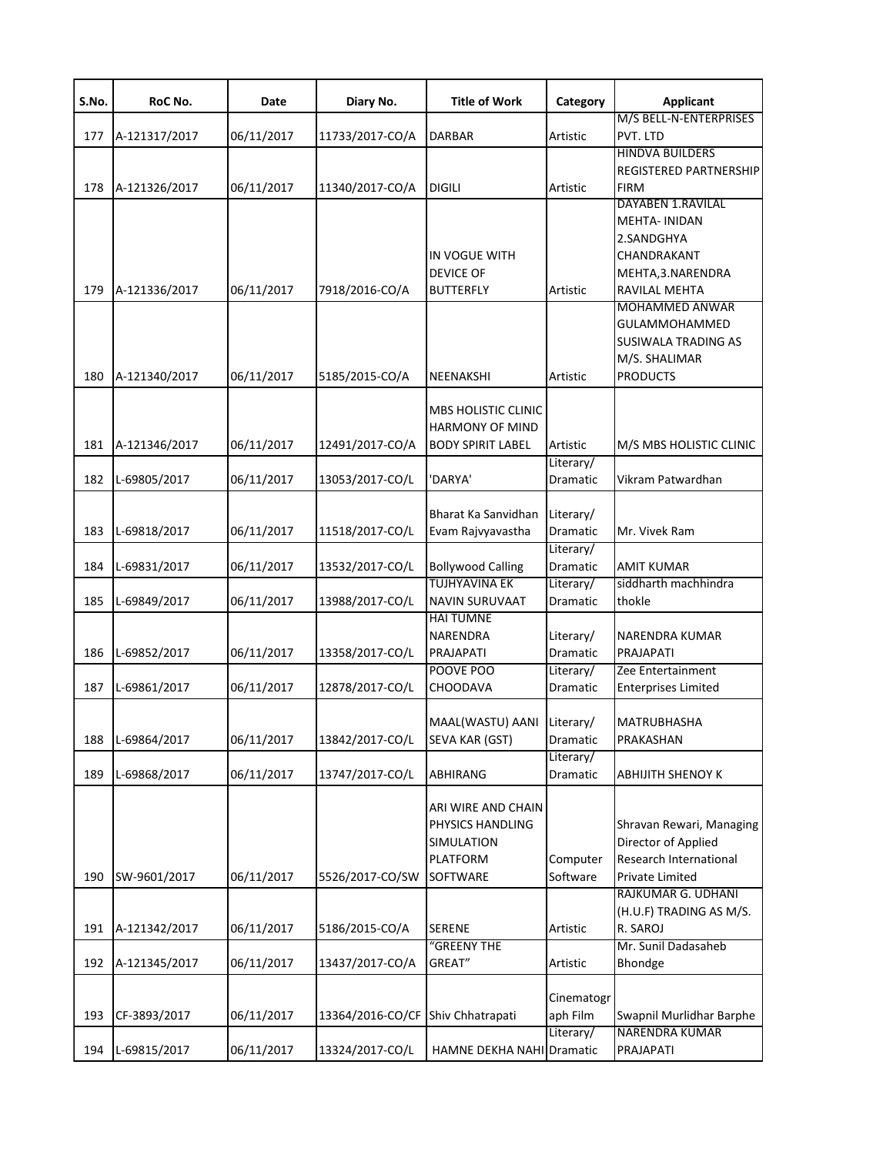| S.No. | RoC No.       | Date       | Diary No.                         | <b>Title of Work</b>                                                             | Category                                  | <b>Applicant</b>                                                                                                                             |
|-------|---------------|------------|-----------------------------------|----------------------------------------------------------------------------------|-------------------------------------------|----------------------------------------------------------------------------------------------------------------------------------------------|
| 177   | A-121317/2017 | 06/11/2017 | 11733/2017-CO/A                   | <b>DARBAR</b>                                                                    | Artistic                                  | M/S BELL-N-ENTERPRISES<br>PVT. LTD                                                                                                           |
| 178   | A-121326/2017 | 06/11/2017 | 11340/2017-CO/A                   | <b>DIGILI</b>                                                                    | Artistic                                  | <b>HINDVA BUILDERS</b><br><b>REGISTERED PARTNERSHIP</b><br><b>FIRM</b>                                                                       |
| 179   | A-121336/2017 | 06/11/2017 | 7918/2016-CO/A                    | IN VOGUE WITH<br><b>DEVICE OF</b><br><b>BUTTERFLY</b>                            | Artistic                                  | <b>DAYABEN 1.RAVILAL</b><br><b>MEHTA-INIDAN</b><br>2.SANDGHYA<br>CHANDRAKANT<br>MEHTA, 3. NARENDRA<br>RAVILAL MEHTA<br><b>MOHAMMED ANWAR</b> |
| 180   | A-121340/2017 | 06/11/2017 | 5185/2015-CO/A                    | NEENAKSHI                                                                        | Artistic                                  | <b>GULAMMOHAMMED</b><br>SUSIWALA TRADING AS<br>M/S. SHALIMAR<br><b>PRODUCTS</b>                                                              |
| 181   | A-121346/2017 | 06/11/2017 | 12491/2017-CO/A                   | <b>MBS HOLISTIC CLINIC</b><br><b>HARMONY OF MIND</b><br><b>BODY SPIRIT LABEL</b> | Artistic<br>Literary/                     | M/S MBS HOLISTIC CLINIC                                                                                                                      |
| 182   | L-69805/2017  | 06/11/2017 | 13053/2017-CO/L                   | 'DARYA'                                                                          | Dramatic                                  | Vikram Patwardhan                                                                                                                            |
| 183   | L-69818/2017  | 06/11/2017 | 11518/2017-CO/L                   | Bharat Ka Sanvidhan<br>Evam Rajvyavastha                                         | Literary/<br>Dramatic                     | Mr. Vivek Ram                                                                                                                                |
| 184   | L-69831/2017  | 06/11/2017 | 13532/2017-CO/L                   | <b>Bollywood Calling</b>                                                         | Literary/<br>Dramatic                     | <b>AMIT KUMAR</b>                                                                                                                            |
| 185   | L-69849/2017  | 06/11/2017 | 13988/2017-CO/L                   | <b>TUJHYAVINA EK</b><br><b>NAVIN SURUVAAT</b>                                    | Literary/<br>Dramatic                     | siddharth machhindra<br>thokle                                                                                                               |
| 186   | L-69852/2017  | 06/11/2017 | 13358/2017-CO/L                   | <b>HAI TUMNE</b><br><b>NARENDRA</b><br>PRAJAPATI<br>POOVE POO                    | Literary/<br><b>Dramatic</b><br>Literary/ | <b>NARENDRA KUMAR</b><br>PRAJAPATI<br>Zee Entertainment                                                                                      |
| 187   | L-69861/2017  | 06/11/2017 | 12878/2017-CO/L                   | <b>CHOODAVA</b>                                                                  | Dramatic                                  | <b>Enterprises Limited</b>                                                                                                                   |
| 188   | L-69864/2017  | 06/11/2017 | 13842/2017-CO/L                   | MAAL(WASTU) AANI<br><b>SEVA KAR (GST)</b>                                        | Literary/<br>Dramatic                     | <b>MATRUBHASHA</b><br>PRAKASHAN                                                                                                              |
| 189   | L-69868/2017  | 06/11/2017 | 13747/2017-CO/L                   | ABHIRANG                                                                         | Literary/<br>Dramatic                     | <b>ABHIJITH SHENOY K</b>                                                                                                                     |
| 190   | SW-9601/2017  | 06/11/2017 | 5526/2017-CO/SW                   | ARI WIRE AND CHAIN<br>PHYSICS HANDLING<br>SIMULATION<br>PLATFORM<br>SOFTWARE     | Computer<br>Software                      | Shravan Rewari, Managing<br>Director of Applied<br>Research International<br>Private Limited                                                 |
| 191   | A-121342/2017 | 06/11/2017 | 5186/2015-CO/A                    | <b>SERENE</b>                                                                    | Artistic                                  | RAJKUMAR G. UDHANI<br>(H.U.F) TRADING AS M/S.<br>R. SAROJ                                                                                    |
| 192   | A-121345/2017 | 06/11/2017 | 13437/2017-CO/A                   | "GREENY THE<br>GREAT"                                                            | Artistic                                  | Mr. Sunil Dadasaheb<br>Bhondge                                                                                                               |
| 193   | CF-3893/2017  | 06/11/2017 | 13364/2016-CO/CF Shiv Chhatrapati |                                                                                  | Cinematogr<br>aph Film                    | Swapnil Murlidhar Barphe                                                                                                                     |
| 194   | L-69815/2017  | 06/11/2017 | 13324/2017-CO/L                   | <b>HAMNE DEKHA NAHI Dramatic</b>                                                 | Literary/                                 | <b>NARENDRA KUMAR</b><br>PRAJAPATI                                                                                                           |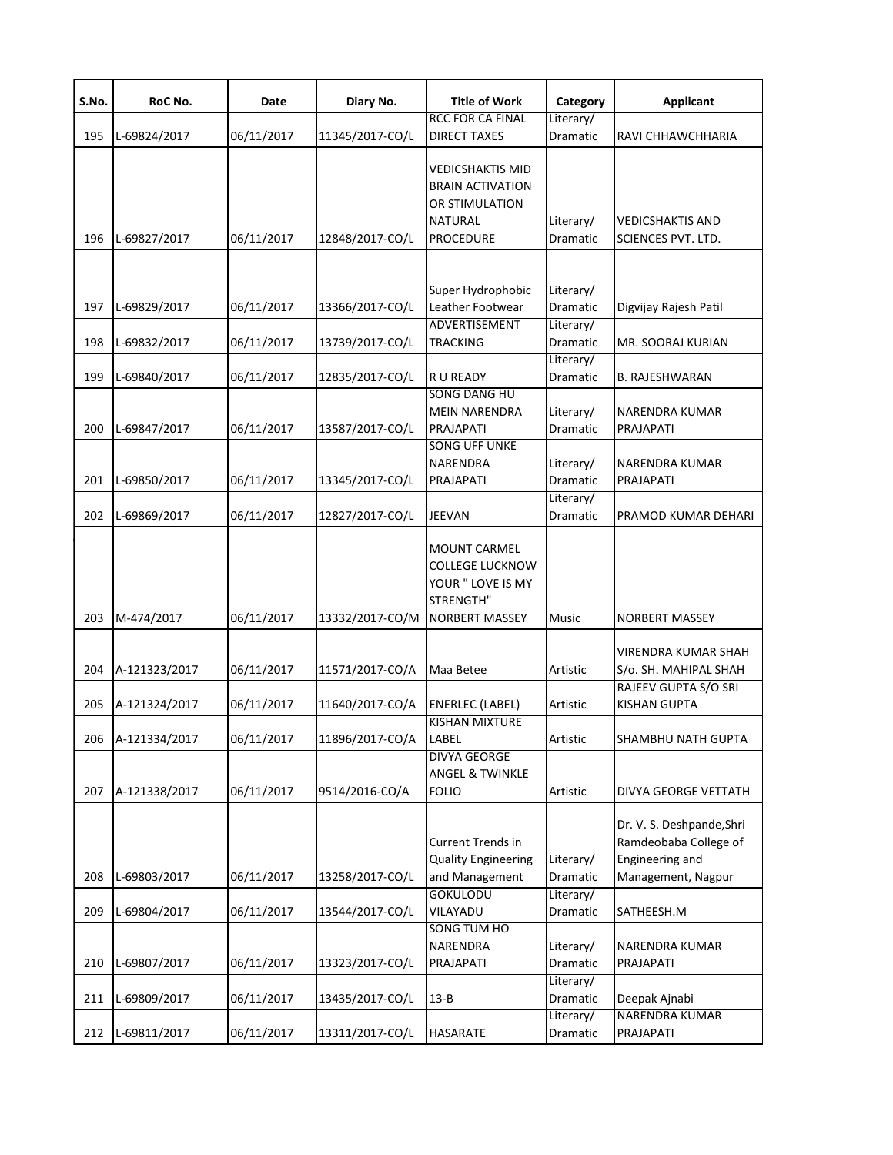| S.No. | RoC No.       | Date       | Diary No.       | <b>Title of Work</b>                                                                                       | Category              | <b>Applicant</b>                                                                            |
|-------|---------------|------------|-----------------|------------------------------------------------------------------------------------------------------------|-----------------------|---------------------------------------------------------------------------------------------|
| 195   | L-69824/2017  | 06/11/2017 | 11345/2017-CO/L | RCC FOR CA FINAL<br><b>DIRECT TAXES</b>                                                                    | Literary/<br>Dramatic | RAVI CHHAWCHHARIA                                                                           |
| 196   | L-69827/2017  | 06/11/2017 | 12848/2017-CO/L | <b>VEDICSHAKTIS MID</b><br><b>BRAIN ACTIVATION</b><br>OR STIMULATION<br><b>NATURAL</b><br><b>PROCEDURE</b> | Literary/<br>Dramatic | <b>VEDICSHAKTIS AND</b><br>SCIENCES PVT. LTD.                                               |
| 197   | L-69829/2017  | 06/11/2017 | 13366/2017-CO/L | Super Hydrophobic<br>Leather Footwear                                                                      | Literary/<br>Dramatic | Digvijay Rajesh Patil                                                                       |
| 198   | L-69832/2017  | 06/11/2017 | 13739/2017-CO/L | ADVERTISEMENT<br><b>TRACKING</b>                                                                           | Literary/<br>Dramatic | MR. SOORAJ KURIAN                                                                           |
| 199   | L-69840/2017  | 06/11/2017 | 12835/2017-CO/L | R U READY<br><b>SONG DANG HU</b>                                                                           | Literary/<br>Dramatic | <b>B. RAJESHWARAN</b>                                                                       |
| 200   | L-69847/2017  | 06/11/2017 | 13587/2017-CO/L | <b>MEIN NARENDRA</b><br>PRAJAPATI                                                                          | Literary/<br>Dramatic | <b>NARENDRA KUMAR</b><br>PRAJAPATI                                                          |
| 201   | L-69850/2017  | 06/11/2017 | 13345/2017-CO/L | <b>SONG UFF UNKE</b><br>NARENDRA<br>PRAJAPATI                                                              | Literary/<br>Dramatic | NARENDRA KUMAR<br>PRAJAPATI                                                                 |
| 202   | L-69869/2017  | 06/11/2017 | 12827/2017-CO/L | <b>JEEVAN</b>                                                                                              | Literary/<br>Dramatic | PRAMOD KUMAR DEHARI                                                                         |
| 203   | M-474/2017    | 06/11/2017 | 13332/2017-CO/M | <b>MOUNT CARMEL</b><br><b>COLLEGE LUCKNOW</b><br>YOUR " LOVE IS MY<br>STRENGTH"<br><b>NORBERT MASSEY</b>   | Music                 | <b>NORBERT MASSEY</b>                                                                       |
| 204   | A-121323/2017 | 06/11/2017 | 11571/2017-CO/A | Maa Betee                                                                                                  | Artistic              | <b>VIRENDRA KUMAR SHAH</b><br>S/o. SH. MAHIPAL SHAH                                         |
| 205   | A-121324/2017 | 06/11/2017 | 11640/2017-CO/A | <b>ENERLEC (LABEL)</b>                                                                                     | <b>Artistic</b>       | RAJEEV GUPTA S/O SRI<br><b>KISHAN GUPTA</b>                                                 |
| 206   | A-121334/2017 | 06/11/2017 | 11896/2017-CO/A | <b>KISHAN MIXTURE</b><br>LABEL<br><b>DIVYA GEORGE</b>                                                      | Artistic              | SHAMBHU NATH GUPTA                                                                          |
| 207   | A-121338/2017 | 06/11/2017 | 9514/2016-CO/A  | <b>ANGEL &amp; TWINKLE</b><br><b>FOLIO</b>                                                                 | Artistic              | <b>DIVYA GEORGE VETTATH</b>                                                                 |
| 208   | L-69803/2017  | 06/11/2017 | 13258/2017-CO/L | <b>Current Trends in</b><br><b>Quality Engineering</b><br>and Management                                   | Literary/<br>Dramatic | Dr. V. S. Deshpande, Shri<br>Ramdeobaba College of<br>Engineering and<br>Management, Nagpur |
| 209   | L-69804/2017  | 06/11/2017 | 13544/2017-CO/L | <b>GOKULODU</b><br>VILAYADU                                                                                | Literary/<br>Dramatic | SATHEESH.M                                                                                  |
| 210   | L-69807/2017  | 06/11/2017 | 13323/2017-CO/L | SONG TUM HO<br>NARENDRA<br>PRAJAPATI                                                                       | Literary/<br>Dramatic | NARENDRA KUMAR<br>PRAJAPATI                                                                 |
| 211   | L-69809/2017  | 06/11/2017 | 13435/2017-CO/L | $13 - B$                                                                                                   | Literary/<br>Dramatic | Deepak Ajnabi                                                                               |
| 212   | L-69811/2017  | 06/11/2017 | 13311/2017-CO/L | <b>HASARATE</b>                                                                                            | Literary/<br>Dramatic | NARENDRA KUMAR<br>PRAJAPATI                                                                 |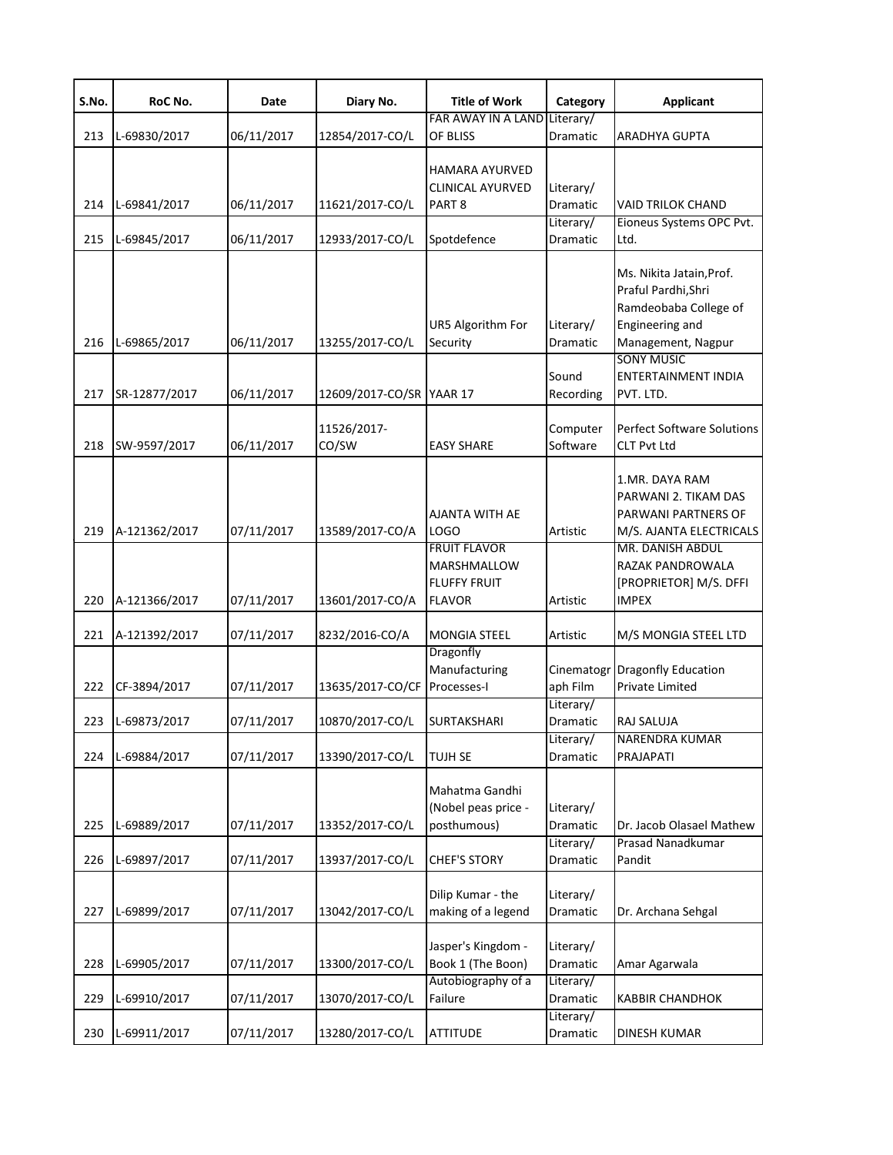| S.No.      | RoC No.                        | Date                     | Diary No.                          | <b>Title of Work</b>                                                                                        | Category                                       | <b>Applicant</b>                                                                                                                                                           |
|------------|--------------------------------|--------------------------|------------------------------------|-------------------------------------------------------------------------------------------------------------|------------------------------------------------|----------------------------------------------------------------------------------------------------------------------------------------------------------------------------|
| 213        | L-69830/2017                   | 06/11/2017               | 12854/2017-CO/L                    | FAR AWAY IN A LAND<br>OF BLISS                                                                              | Literary/<br>Dramatic                          | <b>ARADHYA GUPTA</b>                                                                                                                                                       |
| 214<br>215 | L-69841/2017<br>L-69845/2017   | 06/11/2017<br>06/11/2017 | 11621/2017-CO/L<br>12933/2017-CO/L | <b>HAMARA AYURVED</b><br><b>CLINICAL AYURVED</b><br>PART <sub>8</sub><br>Spotdefence                        | Literary/<br>Dramatic<br>Literary/<br>Dramatic | <b>VAID TRILOK CHAND</b><br>Eioneus Systems OPC Pvt.<br>Ltd.                                                                                                               |
| 216        | L-69865/2017                   | 06/11/2017               | 13255/2017-CO/L                    | UR5 Algorithm For<br>Security                                                                               | Literary/<br>Dramatic                          | Ms. Nikita Jatain, Prof.<br>Praful Pardhi, Shri<br>Ramdeobaba College of<br>Engineering and<br>Management, Nagpur<br><b>SONY MUSIC</b>                                     |
| 217        | SR-12877/2017                  | 06/11/2017               | 12609/2017-CO/SR YAAR 17           |                                                                                                             | Sound<br>Recording                             | <b>ENTERTAINMENT INDIA</b><br>PVT. LTD.                                                                                                                                    |
| 218        | SW-9597/2017                   | 06/11/2017               | 11526/2017-<br>CO/SW               | <b>EASY SHARE</b>                                                                                           | Computer<br>Software                           | <b>Perfect Software Solutions</b><br><b>CLT Pvt Ltd</b>                                                                                                                    |
| 219<br>220 | A-121362/2017<br>A-121366/2017 | 07/11/2017<br>07/11/2017 | 13589/2017-CO/A<br>13601/2017-CO/A | AJANTA WITH AE<br><b>LOGO</b><br><b>FRUIT FLAVOR</b><br>MARSHMALLOW<br><b>FLUFFY FRUIT</b><br><b>FLAVOR</b> | Artistic<br>Artistic                           | 1.MR. DAYA RAM<br>PARWANI 2. TIKAM DAS<br>PARWANI PARTNERS OF<br>M/S. AJANTA ELECTRICALS<br>MR. DANISH ABDUL<br>RAZAK PANDROWALA<br>[PROPRIETOR] M/S. DFFI<br><b>IMPEX</b> |
| 221        | A-121392/2017                  | 07/11/2017               | 8232/2016-CO/A                     | <b>MONGIA STEEL</b>                                                                                         | Artistic                                       | M/S MONGIA STEEL LTD                                                                                                                                                       |
| 222        | CF-3894/2017                   | 07/11/2017               | 13635/2017-CO/CF                   | Dragonfly<br>Manufacturing<br>Processes-I                                                                   | aph Film<br>Literary/                          | Cinematogr Dragonfly Education<br><b>Private Limited</b>                                                                                                                   |
| 223        | L-69873/2017                   | 07/11/2017               | 10870/2017-CO/L                    | <b>SURTAKSHARI</b>                                                                                          | Dramatic<br>Literary/                          | RAJ SALUJA<br><b>NARENDRA KUMAR</b>                                                                                                                                        |
| 224        | L-69884/2017                   | 07/11/2017               | 13390/2017-CO/L                    | <b>TUJH SE</b>                                                                                              | Dramatic                                       | PRAJAPATI                                                                                                                                                                  |
| 225        | L-69889/2017                   | 07/11/2017               | 13352/2017-CO/L                    | Mahatma Gandhi<br>(Nobel peas price -<br>posthumous)                                                        | Literary/<br>Dramatic                          | Dr. Jacob Olasael Mathew                                                                                                                                                   |
| 226        | L-69897/2017                   | 07/11/2017               | 13937/2017-CO/L                    | <b>CHEF'S STORY</b>                                                                                         | Literary/<br>Dramatic                          | Prasad Nanadkumar<br>Pandit                                                                                                                                                |
| 227        | L-69899/2017                   | 07/11/2017               | 13042/2017-CO/L                    | Dilip Kumar - the<br>making of a legend                                                                     | Literary/<br>Dramatic                          | Dr. Archana Sehgal                                                                                                                                                         |
| 228        | L-69905/2017                   | 07/11/2017               | 13300/2017-CO/L                    | Jasper's Kingdom -<br>Book 1 (The Boon)                                                                     | Literary/<br>Dramatic                          | Amar Agarwala                                                                                                                                                              |
| 229        | L-69910/2017                   | 07/11/2017               | 13070/2017-CO/L                    | Autobiography of a<br>Failure                                                                               | Literary/<br>Dramatic                          | <b>KABBIR CHANDHOK</b>                                                                                                                                                     |
| 230        | L-69911/2017                   | 07/11/2017               | 13280/2017-CO/L                    | <b>ATTITUDE</b>                                                                                             | Literary/<br>Dramatic                          | <b>DINESH KUMAR</b>                                                                                                                                                        |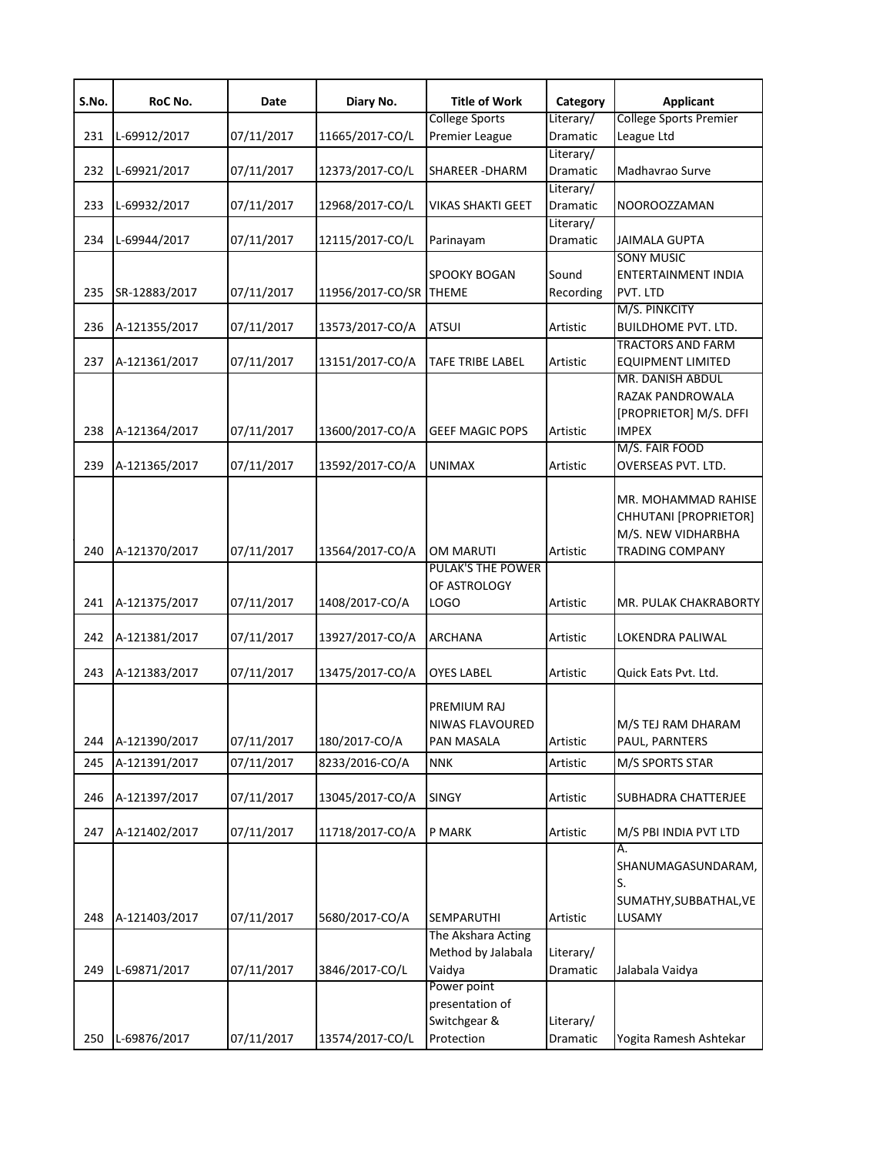| S.No. | RoC No.       | Date       | Diary No.        | <b>Title of Work</b>     | Category  | <b>Applicant</b>                   |
|-------|---------------|------------|------------------|--------------------------|-----------|------------------------------------|
|       |               |            |                  | <b>College Sports</b>    | Literary/ | <b>College Sports Premier</b>      |
| 231   | L-69912/2017  | 07/11/2017 | 11665/2017-CO/L  | Premier League           | Dramatic  | League Ltd                         |
|       |               |            |                  |                          | Literary/ |                                    |
| 232   | L-69921/2017  | 07/11/2017 | 12373/2017-CO/L  | <b>SHAREER - DHARM</b>   | Dramatic  | Madhavrao Surve                    |
|       |               |            |                  |                          | Literary/ |                                    |
| 233   | L-69932/2017  | 07/11/2017 | 12968/2017-CO/L  | <b>VIKAS SHAKTI GEET</b> | Dramatic  | NOOROOZZAMAN                       |
|       |               |            |                  |                          | Literary/ |                                    |
| 234   | L-69944/2017  | 07/11/2017 | 12115/2017-CO/L  | Parinayam                | Dramatic  | JAIMALA GUPTA<br><b>SONY MUSIC</b> |
|       |               |            |                  | <b>SPOOKY BOGAN</b>      | Sound     | <b>ENTERTAINMENT INDIA</b>         |
| 235   | SR-12883/2017 | 07/11/2017 | 11956/2017-CO/SR | <b>THEME</b>             | Recording | PVT. LTD                           |
|       |               |            |                  |                          |           | M/S. PINKCITY                      |
| 236   | A-121355/2017 | 07/11/2017 | 13573/2017-CO/A  | ATSUI                    | Artistic  | <b>BUILDHOME PVT. LTD.</b>         |
|       |               |            |                  |                          |           | <b>TRACTORS AND FARM</b>           |
| 237   | A-121361/2017 | 07/11/2017 | 13151/2017-CO/A  | TAFE TRIBE LABEL         | Artistic  | <b>EQUIPMENT LIMITED</b>           |
|       |               |            |                  |                          |           | MR. DANISH ABDUL                   |
|       |               |            |                  |                          |           | RAZAK PANDROWALA                   |
|       |               |            |                  |                          |           | [PROPRIETOR] M/S. DFFI             |
| 238   | A-121364/2017 | 07/11/2017 | 13600/2017-CO/A  | <b>GEEF MAGIC POPS</b>   | Artistic  | <b>IMPEX</b>                       |
|       |               |            |                  |                          |           | M/S. FAIR FOOD                     |
| 239   | A-121365/2017 | 07/11/2017 | 13592/2017-CO/A  | <b>UNIMAX</b>            | Artistic  | OVERSEAS PVT. LTD.                 |
|       |               |            |                  |                          |           |                                    |
|       |               |            |                  |                          |           | MR. MOHAMMAD RAHISE                |
|       |               |            |                  |                          |           | CHHUTANI [PROPRIETOR]              |
|       |               |            |                  |                          |           | M/S. NEW VIDHARBHA                 |
| 240   | A-121370/2017 | 07/11/2017 | 13564/2017-CO/A  | OM MARUTI                | Artistic  | <b>TRADING COMPANY</b>             |
|       |               |            |                  | <b>PULAK'S THE POWER</b> |           |                                    |
|       |               |            |                  | OF ASTROLOGY             |           |                                    |
| 241   | A-121375/2017 | 07/11/2017 | 1408/2017-CO/A   | LOGO                     | Artistic  | MR. PULAK CHAKRABORTY              |
|       |               |            |                  |                          |           |                                    |
| 242   | A-121381/2017 | 07/11/2017 | 13927/2017-CO/A  | ARCHANA                  | Artistic  | LOKENDRA PALIWAL                   |
|       |               |            |                  |                          |           |                                    |
| 243   | A-121383/2017 | 07/11/2017 | 13475/2017-CO/A  | OYES LABEL               | Artistic  | Quick Eats Pvt. Ltd.               |
|       |               |            |                  | PREMIUM RAJ              |           |                                    |
|       |               |            |                  | NIWAS FLAVOURED          |           | M/S TEJ RAM DHARAM                 |
| 244   | A-121390/2017 | 07/11/2017 | 180/2017-CO/A    | PAN MASALA               | Artistic  | PAUL, PARNTERS                     |
|       |               |            |                  |                          |           |                                    |
| 245   | A-121391/2017 | 07/11/2017 | 8233/2016-CO/A   | NNK                      | Artistic  | M/S SPORTS STAR                    |
|       |               |            | 13045/2017-CO/A  |                          |           | SUBHADRA CHATTERJEE                |
| 246   | A-121397/2017 | 07/11/2017 |                  | <b>SINGY</b>             | Artistic  |                                    |
| 247   | A-121402/2017 | 07/11/2017 | 11718/2017-CO/A  | P MARK                   | Artistic  | M/S PBI INDIA PVT LTD              |
|       |               |            |                  |                          |           | A.                                 |
|       |               |            |                  |                          |           | SHANUMAGASUNDARAM,                 |
|       |               |            |                  |                          |           | S.                                 |
|       |               |            |                  |                          |           | SUMATHY, SUBBATHAL, VE             |
| 248   | A-121403/2017 | 07/11/2017 | 5680/2017-CO/A   | SEMPARUTHI               | Artistic  | LUSAMY                             |
|       |               |            |                  | The Akshara Acting       |           |                                    |
|       |               |            |                  | Method by Jalabala       | Literary/ |                                    |
| 249   | L-69871/2017  | 07/11/2017 | 3846/2017-CO/L   | Vaidya                   | Dramatic  | Jalabala Vaidya                    |
|       |               |            |                  | Power point              |           |                                    |
|       |               |            |                  | presentation of          |           |                                    |
|       |               |            |                  | Switchgear &             | Literary/ |                                    |
| 250   | L-69876/2017  | 07/11/2017 | 13574/2017-CO/L  | Protection               | Dramatic  | Yogita Ramesh Ashtekar             |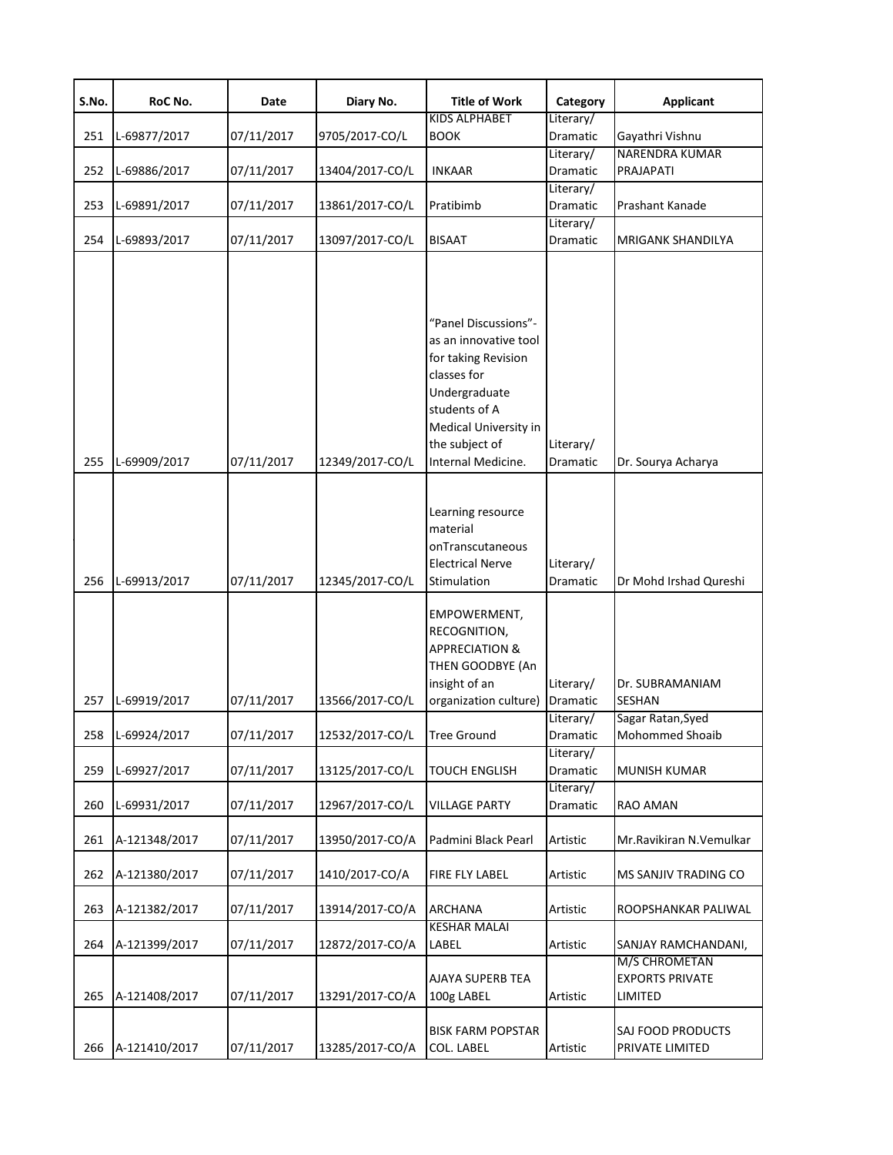| S.No.      | RoC No.                        | Date                     | Diary No.                          | <b>Title of Work</b>                                                                                                                                             | Category              | <b>Applicant</b>                                                          |
|------------|--------------------------------|--------------------------|------------------------------------|------------------------------------------------------------------------------------------------------------------------------------------------------------------|-----------------------|---------------------------------------------------------------------------|
|            |                                |                          |                                    | <b>KIDS ALPHABET</b>                                                                                                                                             | Literary/             |                                                                           |
| 251        | L-69877/2017                   | 07/11/2017               | 9705/2017-CO/L                     | <b>BOOK</b>                                                                                                                                                      | Dramatic              | Gayathri Vishnu                                                           |
| 252        | L-69886/2017                   | 07/11/2017               | 13404/2017-CO/L                    | <b>INKAAR</b>                                                                                                                                                    | Literary/<br>Dramatic | <b>NARENDRA KUMAR</b><br><b>PRAJAPATI</b>                                 |
|            |                                |                          |                                    |                                                                                                                                                                  | Literary/             |                                                                           |
| 253        | L-69891/2017                   | 07/11/2017               | 13861/2017-CO/L                    | Pratibimb                                                                                                                                                        | Dramatic              | Prashant Kanade                                                           |
|            |                                |                          |                                    |                                                                                                                                                                  | Literary/             |                                                                           |
| 254        | L-69893/2017                   | 07/11/2017               | 13097/2017-CO/L                    | <b>BISAAT</b>                                                                                                                                                    | Dramatic              | <b>MRIGANK SHANDILYA</b>                                                  |
|            |                                |                          |                                    | "Panel Discussions"-<br>as an innovative tool<br>for taking Revision<br>classes for<br>Undergraduate<br>students of A<br>Medical University in<br>the subject of | Literary/             |                                                                           |
| 255        | L-69909/2017                   | 07/11/2017               | 12349/2017-CO/L                    | Internal Medicine.                                                                                                                                               | Dramatic              | Dr. Sourya Acharya                                                        |
| 256        | L-69913/2017                   | 07/11/2017               | 12345/2017-CO/L                    | Learning resource<br>material<br>onTranscutaneous<br><b>Electrical Nerve</b><br>Stimulation                                                                      | Literary/<br>Dramatic | Dr Mohd Irshad Qureshi                                                    |
| 257        | L-69919/2017                   | 07/11/2017               | 13566/2017-CO/L                    | <b>EMPOWERMENT,</b><br>RECOGNITION,<br><b>APPRECIATION &amp;</b><br>THEN GOODBYE (An<br>insight of an<br>organization culture)                                   | Literary/<br>Dramatic | Dr. SUBRAMANIAM<br><b>SESHAN</b>                                          |
|            |                                |                          |                                    |                                                                                                                                                                  | Literary/             | Sagar Ratan, Syed                                                         |
| 258        | L-69924/2017                   | 07/11/2017               | 12532/2017-CO/L                    | Tree Ground                                                                                                                                                      | Dramatic              | Mohommed Shoaib                                                           |
| 259        | L-69927/2017                   | 07/11/2017               | 13125/2017-CO/L                    | <b>TOUCH ENGLISH</b>                                                                                                                                             | Literary/<br>Dramatic | MUNISH KUMAR                                                              |
| 260        | L-69931/2017                   | 07/11/2017               | 12967/2017-CO/L                    | <b>VILLAGE PARTY</b>                                                                                                                                             | Literary/<br>Dramatic | RAO AMAN                                                                  |
| 261        | A-121348/2017                  | 07/11/2017               | 13950/2017-CO/A                    | Padmini Black Pearl                                                                                                                                              | Artistic              | Mr.Ravikiran N.Vemulkar                                                   |
| 262        | A-121380/2017                  | 07/11/2017               | 1410/2017-CO/A                     | FIRE FLY LABEL                                                                                                                                                   | Artistic              | MS SANJIV TRADING CO                                                      |
| 263        | A-121382/2017                  | 07/11/2017               | 13914/2017-CO/A                    | <b>ARCHANA</b>                                                                                                                                                   | Artistic              | ROOPSHANKAR PALIWAL                                                       |
|            |                                |                          |                                    | <b>KESHAR MALAI</b>                                                                                                                                              |                       |                                                                           |
| 264<br>265 | A-121399/2017<br>A-121408/2017 | 07/11/2017<br>07/11/2017 | 12872/2017-CO/A<br>13291/2017-CO/A | LABEL<br>AJAYA SUPERB TEA<br>100g LABEL                                                                                                                          | Artistic<br>Artistic  | SANJAY RAMCHANDANI,<br>M/S CHROMETAN<br><b>EXPORTS PRIVATE</b><br>LIMITED |
| 266        | A-121410/2017                  | 07/11/2017               | 13285/2017-CO/A                    | <b>BISK FARM POPSTAR</b><br><b>COL. LABEL</b>                                                                                                                    | Artistic              | SAJ FOOD PRODUCTS<br>PRIVATE LIMITED                                      |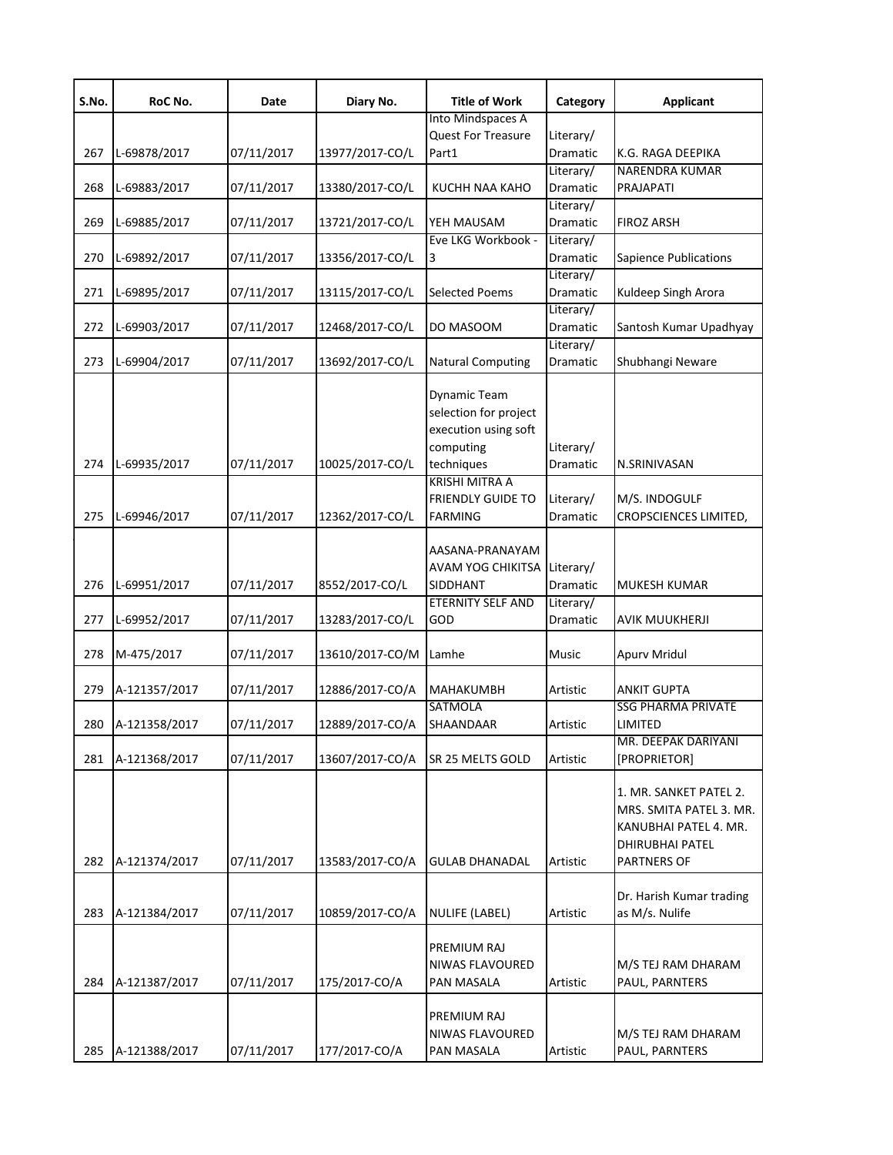| S.No. | RoC No.       | Date       | Diary No.       | <b>Title of Work</b>                                                                                                     | Category              | <b>Applicant</b>                                                                                             |
|-------|---------------|------------|-----------------|--------------------------------------------------------------------------------------------------------------------------|-----------------------|--------------------------------------------------------------------------------------------------------------|
|       |               |            |                 | Into Mindspaces A                                                                                                        |                       |                                                                                                              |
|       |               |            |                 | Quest For Treasure                                                                                                       | Literary/             |                                                                                                              |
| 267   | L-69878/2017  | 07/11/2017 | 13977/2017-CO/L | Part1                                                                                                                    | Dramatic              | K.G. RAGA DEEPIKA                                                                                            |
|       |               |            |                 |                                                                                                                          | Literary/             | <b>NARENDRA KUMAR</b>                                                                                        |
| 268   | L-69883/2017  | 07/11/2017 | 13380/2017-CO/L | KUCHH NAA KAHO                                                                                                           | Dramatic              | PRAJAPATI                                                                                                    |
|       |               |            |                 |                                                                                                                          | Literary/             |                                                                                                              |
| 269   | L-69885/2017  | 07/11/2017 | 13721/2017-CO/L | YEH MAUSAM                                                                                                               | Dramatic              | <b>FIROZ ARSH</b>                                                                                            |
|       |               |            |                 | Eve LKG Workbook -                                                                                                       | Literary/             |                                                                                                              |
| 270   | L-69892/2017  | 07/11/2017 | 13356/2017-CO/L | 3                                                                                                                        | Dramatic              | Sapience Publications                                                                                        |
|       |               |            |                 |                                                                                                                          | Literary/             |                                                                                                              |
| 271   | L-69895/2017  | 07/11/2017 | 13115/2017-CO/L | <b>Selected Poems</b>                                                                                                    | Dramatic              | Kuldeep Singh Arora                                                                                          |
|       |               |            |                 |                                                                                                                          | Literary/             |                                                                                                              |
| 272   | L-69903/2017  | 07/11/2017 | 12468/2017-CO/L | DO MASOOM                                                                                                                | Dramatic              | Santosh Kumar Upadhyay                                                                                       |
|       |               |            |                 |                                                                                                                          | Literary/             |                                                                                                              |
| 273   | L-69904/2017  | 07/11/2017 | 13692/2017-CO/L | <b>Natural Computing</b>                                                                                                 | Dramatic              | Shubhangi Neware                                                                                             |
| 274   | L-69935/2017  | 07/11/2017 | 10025/2017-CO/L | <b>Dynamic Team</b><br>selection for project<br>execution using soft<br>computing<br>techniques<br><b>KRISHI MITRA A</b> | Literary/<br>Dramatic | N.SRINIVASAN                                                                                                 |
|       |               |            |                 | <b>FRIENDLY GUIDE TO</b>                                                                                                 | Literary/             | M/S. INDOGULF                                                                                                |
| 275   | L-69946/2017  | 07/11/2017 | 12362/2017-CO/L | FARMING                                                                                                                  | Dramatic              | CROPSCIENCES LIMITED,                                                                                        |
| 276   | L-69951/2017  | 07/11/2017 | 8552/2017-CO/L  | AASANA-PRANAYAM<br>AVAM YOG CHIKITSA<br>SIDDHANT                                                                         | Literary/<br>Dramatic | MUKESH KUMAR                                                                                                 |
|       |               |            |                 | ETERNITY SELF AND                                                                                                        | Literary/             |                                                                                                              |
| 277   | L-69952/2017  | 07/11/2017 | 13283/2017-CO/L | GOD                                                                                                                      | Dramatic              | AVIK MUUKHERJI                                                                                               |
| 278   | M-475/2017    | 07/11/2017 | 13610/2017-CO/M | Lamhe                                                                                                                    | Music                 | Apurv Mridul                                                                                                 |
| 279   | A-121357/2017 | 07/11/2017 | 12886/2017-CO/A | <b>MAHAKUMBH</b>                                                                                                         | Artistic              | ANKIT GUPTA                                                                                                  |
|       |               |            |                 | <b>SATMOLA</b>                                                                                                           |                       | <b>SSG PHARMA PRIVATE</b>                                                                                    |
| 280   | A-121358/2017 | 07/11/2017 | 12889/2017-CO/A | SHAANDAAR                                                                                                                | Artistic              | LIMITED                                                                                                      |
|       |               |            |                 |                                                                                                                          |                       | MR. DEEPAK DARIYANI                                                                                          |
| 281   | A-121368/2017 | 07/11/2017 | 13607/2017-CO/A | SR 25 MELTS GOLD                                                                                                         | Artistic              | [PROPRIETOR]                                                                                                 |
| 282   | A-121374/2017 | 07/11/2017 | 13583/2017-CO/A | <b>GULAB DHANADAL</b>                                                                                                    | Artistic              | 1. MR. SANKET PATEL 2.<br>MRS. SMITA PATEL 3. MR.<br>KANUBHAI PATEL 4. MR.<br>DHIRUBHAI PATEL<br>PARTNERS OF |
|       |               |            |                 |                                                                                                                          |                       |                                                                                                              |
| 283   | A-121384/2017 | 07/11/2017 | 10859/2017-CO/A | NULIFE (LABEL)                                                                                                           | Artistic              | Dr. Harish Kumar trading<br>as M/s. Nulife                                                                   |
| 284   | A-121387/2017 | 07/11/2017 | 175/2017-CO/A   | PREMIUM RAJ<br>NIWAS FLAVOURED<br>PAN MASALA                                                                             | Artistic              | M/S TEJ RAM DHARAM<br>PAUL, PARNTERS                                                                         |
| 285   | A-121388/2017 | 07/11/2017 | 177/2017-CO/A   | PREMIUM RAJ<br>NIWAS FLAVOURED<br>PAN MASALA                                                                             | Artistic              | M/S TEJ RAM DHARAM<br>PAUL, PARNTERS                                                                         |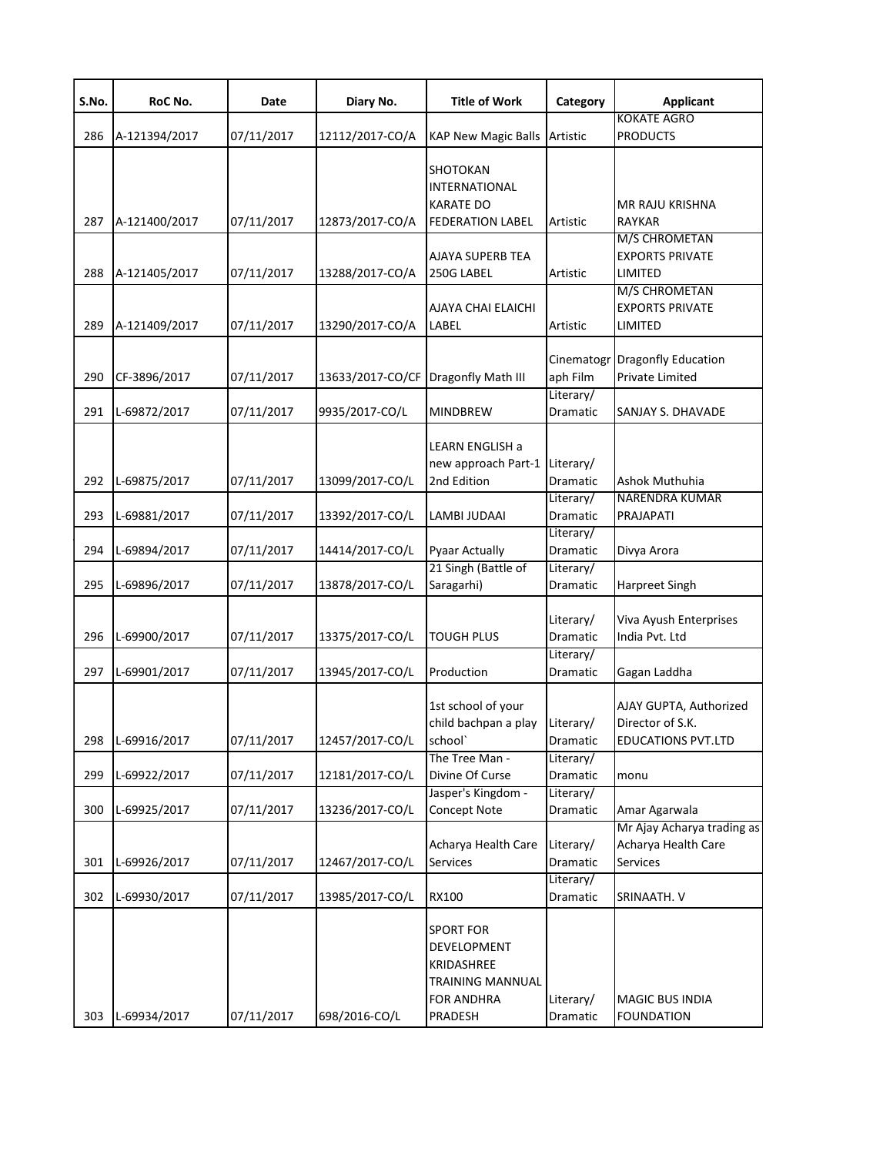| S.No. | RoC No.       | Date       | Diary No.                           | <b>Title of Work</b>                                                                                     | Category              | <b>Applicant</b>                                                        |
|-------|---------------|------------|-------------------------------------|----------------------------------------------------------------------------------------------------------|-----------------------|-------------------------------------------------------------------------|
| 286   | A-121394/2017 | 07/11/2017 | 12112/2017-CO/A                     | <b>KAP New Magic Balls</b>                                                                               | Artistic              | <b>KOKATE AGRO</b><br><b>PRODUCTS</b>                                   |
| 287   | A-121400/2017 | 07/11/2017 | 12873/2017-CO/A                     | SHOTOKAN<br><b>INTERNATIONAL</b><br><b>KARATE DO</b><br><b>FEDERATION LABEL</b>                          | Artistic              | MR RAJU KRISHNA<br><b>RAYKAR</b>                                        |
| 288   | A-121405/2017 | 07/11/2017 | 13288/2017-CO/A                     | AJAYA SUPERB TEA<br>250G LABEL                                                                           | Artistic              | M/S CHROMETAN<br><b>EXPORTS PRIVATE</b><br>LIMITED                      |
| 289   | A-121409/2017 | 07/11/2017 | 13290/2017-CO/A                     | AJAYA CHAI ELAICHI<br>LABEL                                                                              | Artistic              | M/S CHROMETAN<br><b>EXPORTS PRIVATE</b><br>LIMITED                      |
| 290   | CF-3896/2017  | 07/11/2017 | 13633/2017-CO/CF Dragonfly Math III |                                                                                                          | aph Film              | Cinematogr Dragonfly Education<br>Private Limited                       |
| 291   | L-69872/2017  | 07/11/2017 | 9935/2017-CO/L                      | <b>MINDBREW</b>                                                                                          | Literary/<br>Dramatic | SANJAY S. DHAVADE                                                       |
| 292   | L-69875/2017  | 07/11/2017 | 13099/2017-CO/L                     | LEARN ENGLISH a<br>new approach Part-1 Literary/<br>2nd Edition                                          | Dramatic              | Ashok Muthuhia                                                          |
| 293   | L-69881/2017  | 07/11/2017 | 13392/2017-CO/L                     | LAMBI JUDAAI                                                                                             | Literary/<br>Dramatic | <b>NARENDRA KUMAR</b><br>PRAJAPATI                                      |
| 294   | L-69894/2017  | 07/11/2017 | 14414/2017-CO/L                     | <b>Pyaar Actually</b>                                                                                    | Literary/<br>Dramatic | Divya Arora                                                             |
| 295   | L-69896/2017  | 07/11/2017 | 13878/2017-CO/L                     | 21 Singh (Battle of<br>Saragarhi)                                                                        | Literary/<br>Dramatic | Harpreet Singh                                                          |
| 296   | L-69900/2017  | 07/11/2017 | 13375/2017-CO/L                     | <b>TOUGH PLUS</b>                                                                                        | Literary/<br>Dramatic | Viva Ayush Enterprises<br>India Pvt. Ltd                                |
| 297   | L-69901/2017  | 07/11/2017 | 13945/2017-CO/L                     | Production                                                                                               | Literary/<br>Dramatic | Gagan Laddha                                                            |
| 298   | L-69916/2017  | 07/11/2017 | 12457/2017-CO/L                     | 1st school of your<br>child bachpan a play<br>school`                                                    | Literary/<br>Dramatic | AJAY GUPTA, Authorized<br>Director of S.K.<br><b>EDUCATIONS PVT.LTD</b> |
| 299   | L-69922/2017  | 07/11/2017 | 12181/2017-CO/L                     | The Tree Man -<br>Divine Of Curse                                                                        | Literary/<br>Dramatic | monu                                                                    |
| 300   | L-69925/2017  | 07/11/2017 | 13236/2017-CO/L                     | Jasper's Kingdom -<br><b>Concept Note</b>                                                                | Literary/<br>Dramatic | Amar Agarwala                                                           |
| 301   | L-69926/2017  | 07/11/2017 | 12467/2017-CO/L                     | Acharya Health Care<br>Services                                                                          | Literary/<br>Dramatic | Mr Ajay Acharya trading as<br>Acharya Health Care<br><b>Services</b>    |
| 302   | L-69930/2017  | 07/11/2017 | 13985/2017-CO/L                     | <b>RX100</b>                                                                                             | Literary/<br>Dramatic | SRINAATH. V                                                             |
| 303   | L-69934/2017  | 07/11/2017 | 698/2016-CO/L                       | <b>SPORT FOR</b><br>DEVELOPMENT<br>KRIDASHREE<br><b>TRAINING MANNUAL</b><br><b>FOR ANDHRA</b><br>PRADESH | Literary/<br>Dramatic | <b>MAGIC BUS INDIA</b><br><b>FOUNDATION</b>                             |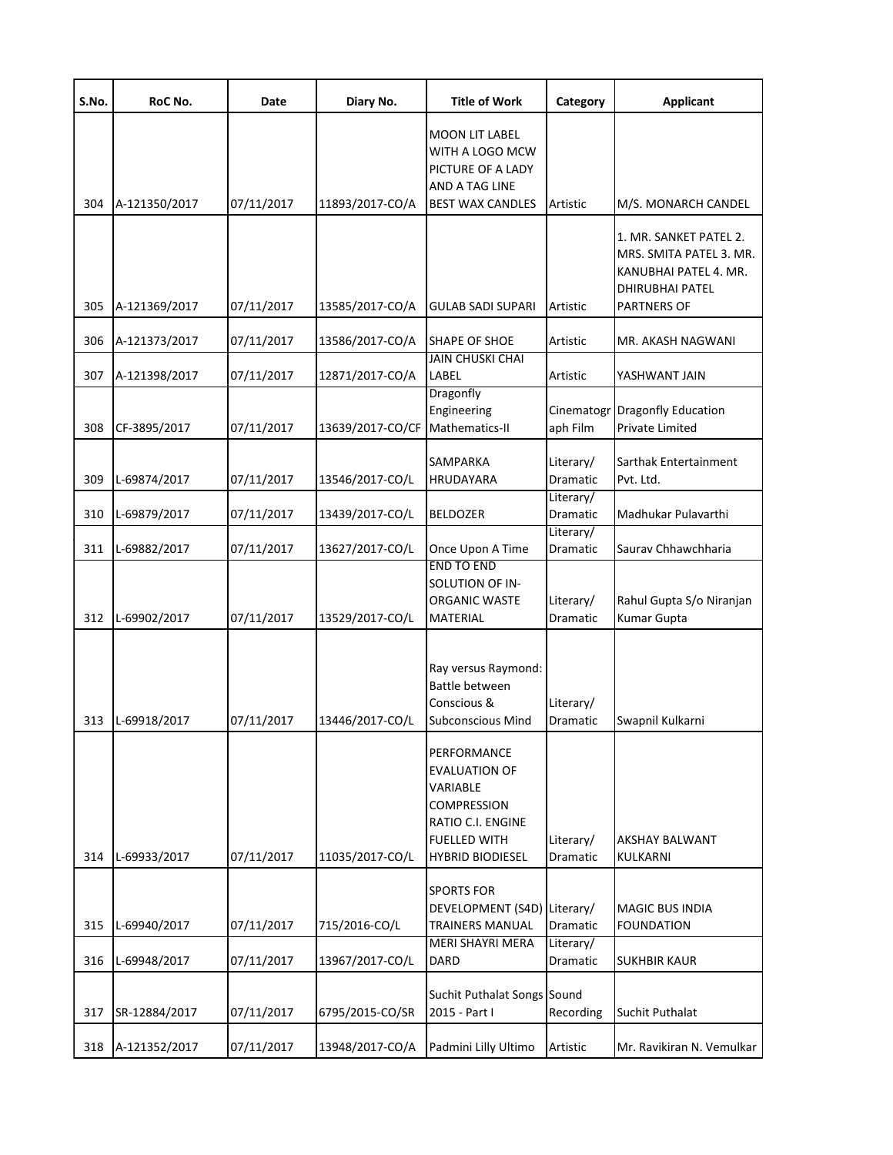| S.No. | RoC No.       | Date       | Diary No.        | <b>Title of Work</b>                                                                                                                         | Category               | <b>Applicant</b>                                                                                                     |
|-------|---------------|------------|------------------|----------------------------------------------------------------------------------------------------------------------------------------------|------------------------|----------------------------------------------------------------------------------------------------------------------|
|       |               |            |                  | <b>MOON LIT LABEL</b><br>WITH A LOGO MCW<br>PICTURE OF A LADY<br>AND A TAG LINE                                                              |                        |                                                                                                                      |
| 304   | A-121350/2017 | 07/11/2017 | 11893/2017-CO/A  | <b>BEST WAX CANDLES</b>                                                                                                                      | Artistic               | M/S. MONARCH CANDEL<br>1. MR. SANKET PATEL 2.<br>MRS. SMITA PATEL 3. MR.<br>KANUBHAI PATEL 4. MR.<br>DHIRUBHAI PATEL |
| 305   | A-121369/2017 | 07/11/2017 | 13585/2017-CO/A  | <b>GULAB SADI SUPARI</b>                                                                                                                     | Artistic               | <b>PARTNERS OF</b>                                                                                                   |
| 306   | A-121373/2017 | 07/11/2017 | 13586/2017-CO/A  | <b>SHAPE OF SHOE</b>                                                                                                                         | Artistic               | MR. AKASH NAGWANI                                                                                                    |
| 307   | A-121398/2017 | 07/11/2017 | 12871/2017-CO/A  | <b>JAIN CHUSKI CHAI</b><br>LABEL                                                                                                             | Artistic               | YASHWANT JAIN                                                                                                        |
| 308   | CF-3895/2017  | 07/11/2017 | 13639/2017-CO/CF | Dragonfly<br>Engineering<br>Mathematics-II                                                                                                   | Cinematogr<br>aph Film | <b>Dragonfly Education</b><br>Private Limited                                                                        |
| 309   | L-69874/2017  | 07/11/2017 | 13546/2017-CO/L  | <b>SAMPARKA</b><br>HRUDAYARA                                                                                                                 | Literary/<br>Dramatic  | Sarthak Entertainment<br>Pvt. Ltd.                                                                                   |
| 310   | L-69879/2017  | 07/11/2017 | 13439/2017-CO/L  | <b>BELDOZER</b>                                                                                                                              | Literary/<br>Dramatic  | Madhukar Pulavarthi                                                                                                  |
| 311   | L-69882/2017  | 07/11/2017 | 13627/2017-CO/L  | Once Upon A Time                                                                                                                             | Literary/<br>Dramatic  | Saurav Chhawchharia                                                                                                  |
| 312   | L-69902/2017  | 07/11/2017 | 13529/2017-CO/L  | <b>END TO END</b><br>SOLUTION OF IN-<br><b>ORGANIC WASTE</b><br>MATERIAL                                                                     | Literary/<br>Dramatic  | Rahul Gupta S/o Niranjan<br>Kumar Gupta                                                                              |
| 313   | L-69918/2017  | 07/11/2017 | 13446/2017-CO/L  | Ray versus Raymond:<br>Battle between<br>Conscious &<br><b>Subconscious Mind</b>                                                             | Literary/<br>Dramatic  | Swapnil Kulkarni                                                                                                     |
| 314   | L-69933/2017  | 07/11/2017 | 11035/2017-CO/L  | PERFORMANCE<br><b>EVALUATION OF</b><br>VARIABLE<br><b>COMPRESSION</b><br>RATIO C.I. ENGINE<br><b>FUELLED WITH</b><br><b>HYBRID BIODIESEL</b> | Literary/<br>Dramatic  | AKSHAY BALWANT<br>KULKARNI                                                                                           |
|       |               |            |                  | <b>SPORTS FOR</b><br>DEVELOPMENT (S4D) Literary/                                                                                             |                        | <b>MAGIC BUS INDIA</b>                                                                                               |
| 315   | L-69940/2017  | 07/11/2017 | 715/2016-CO/L    | <b>TRAINERS MANUAL</b><br><b>MERI SHAYRI MERA</b>                                                                                            | Dramatic<br>Literary/  | FOUNDATION                                                                                                           |
| 316   | L-69948/2017  | 07/11/2017 | 13967/2017-CO/L  | DARD                                                                                                                                         | Dramatic               | <b>SUKHBIR KAUR</b>                                                                                                  |
| 317   | SR-12884/2017 | 07/11/2017 | 6795/2015-CO/SR  | Suchit Puthalat Songs Sound<br>2015 - Part I                                                                                                 | Recording              | Suchit Puthalat                                                                                                      |
| 318   | A-121352/2017 | 07/11/2017 | 13948/2017-CO/A  | Padmini Lilly Ultimo                                                                                                                         | Artistic               | Mr. Ravikiran N. Vemulkar                                                                                            |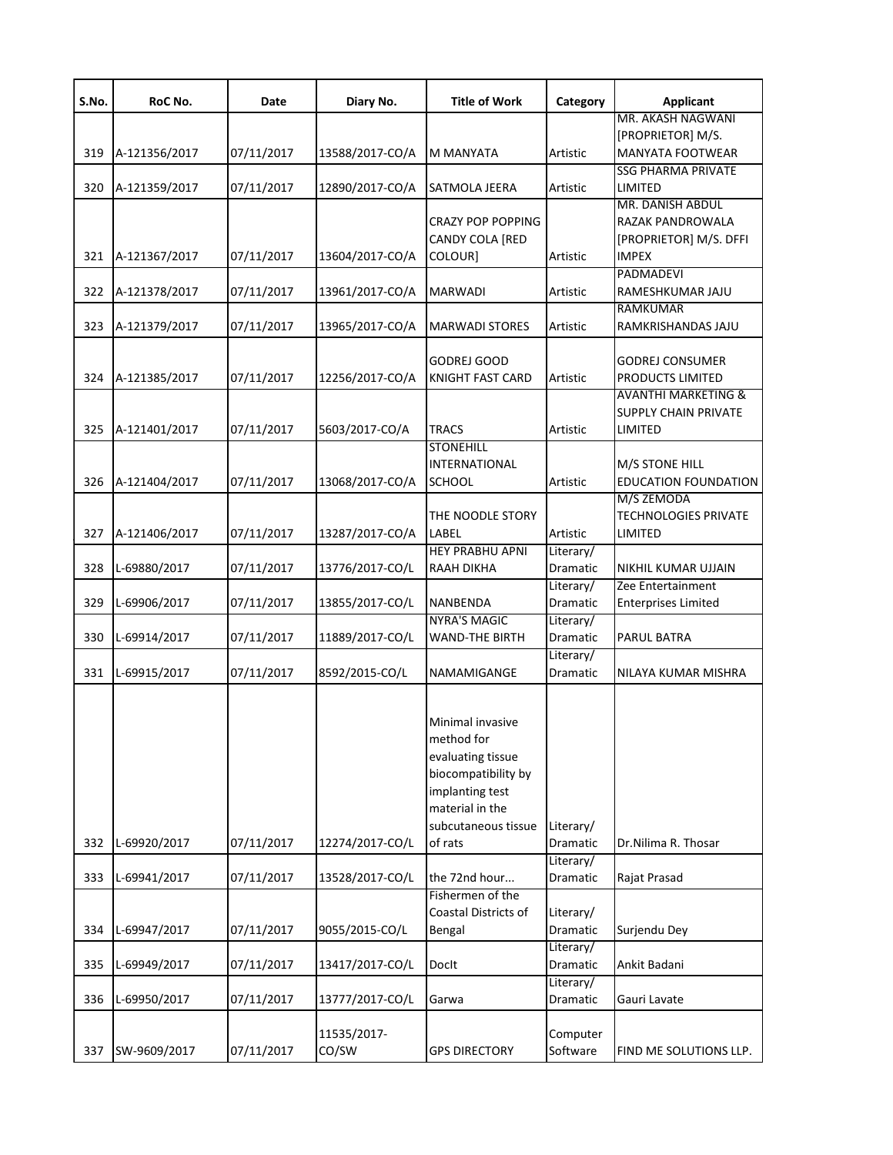| S.No. | RoC No.       | Date       | Diary No.       | <b>Title of Work</b>     | Category  | <b>Applicant</b>               |
|-------|---------------|------------|-----------------|--------------------------|-----------|--------------------------------|
|       |               |            |                 |                          |           | MR. AKASH NAGWANI              |
|       |               |            |                 |                          |           | [PROPRIETOR] M/S.              |
| 319   | A-121356/2017 | 07/11/2017 | 13588/2017-CO/A | M MANYATA                | Artistic  | <b>MANYATA FOOTWEAR</b>        |
|       |               |            |                 |                          |           | <b>SSG PHARMA PRIVATE</b>      |
| 320   | A-121359/2017 | 07/11/2017 | 12890/2017-CO/A | SATMOLA JEERA            | Artistic  | LIMITED                        |
|       |               |            |                 |                          |           | <b>MR. DANISH ABDUL</b>        |
|       |               |            |                 | <b>CRAZY POP POPPING</b> |           | RAZAK PANDROWALA               |
|       |               |            |                 | <b>CANDY COLA [RED</b>   |           | [PROPRIETOR] M/S. DFFI         |
| 321   | A-121367/2017 | 07/11/2017 | 13604/2017-CO/A | COLOUR]                  | Artistic  | <b>IMPEX</b>                   |
|       |               |            |                 |                          |           | <b>PADMADEVI</b>               |
| 322   | A-121378/2017 | 07/11/2017 | 13961/2017-CO/A | <b>MARWADI</b>           | Artistic  | RAMESHKUMAR JAJU               |
|       |               |            |                 |                          |           | <b>RAMKUMAR</b>                |
| 323   | A-121379/2017 | 07/11/2017 | 13965/2017-CO/A | <b>MARWADI STORES</b>    | Artistic  | RAMKRISHANDAS JAJU             |
|       |               |            |                 |                          |           |                                |
|       |               |            |                 | <b>GODREJ GOOD</b>       |           | <b>GODREJ CONSUMER</b>         |
| 324   | A-121385/2017 | 07/11/2017 | 12256/2017-CO/A | <b>KNIGHT FAST CARD</b>  | Artistic  | PRODUCTS LIMITED               |
|       |               |            |                 |                          |           | <b>AVANTHI MARKETING &amp;</b> |
|       |               |            |                 |                          |           | <b>SUPPLY CHAIN PRIVATE</b>    |
| 325   | A-121401/2017 | 07/11/2017 | 5603/2017-CO/A  | <b>TRACS</b>             | Artistic  | LIMITED                        |
|       |               |            |                 | <b>STONEHILL</b>         |           |                                |
|       |               |            |                 | <b>INTERNATIONAL</b>     |           | M/S STONE HILL                 |
| 326   | A-121404/2017 | 07/11/2017 | 13068/2017-CO/A | <b>SCHOOL</b>            | Artistic  | <b>EDUCATION FOUNDATION</b>    |
|       |               |            |                 |                          |           | M/S ZEMODA                     |
|       |               |            |                 | THE NOODLE STORY         |           | <b>TECHNOLOGIES PRIVATE</b>    |
| 327   | A-121406/2017 | 07/11/2017 | 13287/2017-CO/A | LABEL                    | Artistic  | LIMITED                        |
|       |               |            |                 | <b>HEY PRABHU APNI</b>   | Literary/ |                                |
| 328   | L-69880/2017  | 07/11/2017 | 13776/2017-CO/L | RAAH DIKHA               | Dramatic  | NIKHIL KUMAR UJJAIN            |
|       |               |            |                 |                          | Literary/ | Zee Entertainment              |
| 329   | L-69906/2017  | 07/11/2017 | 13855/2017-CO/L | NANBENDA                 | Dramatic  | <b>Enterprises Limited</b>     |
|       |               |            |                 | <b>NYRA'S MAGIC</b>      | Literary/ |                                |
| 330   | L-69914/2017  | 07/11/2017 | 11889/2017-CO/L | <b>WAND-THE BIRTH</b>    | Dramatic  | PARUL BATRA                    |
|       |               |            |                 |                          | Literary/ |                                |
| 331   | L-69915/2017  | 07/11/2017 | 8592/2015-CO/L  | NAMAMIGANGE              | Dramatic  | NILAYA KUMAR MISHRA            |
|       |               |            |                 |                          |           |                                |
|       |               |            |                 | Minimal invasive         |           |                                |
|       |               |            |                 | method for               |           |                                |
|       |               |            |                 | evaluating tissue        |           |                                |
|       |               |            |                 | biocompatibility by      |           |                                |
|       |               |            |                 | implanting test          |           |                                |
|       |               |            |                 | material in the          |           |                                |
|       |               |            |                 | subcutaneous tissue      | Literary/ |                                |
| 332   | L-69920/2017  | 07/11/2017 | 12274/2017-CO/L | of rats                  | Dramatic  | Dr.Nilima R. Thosar            |
|       |               |            |                 |                          | Literary/ |                                |
| 333   | L-69941/2017  | 07/11/2017 | 13528/2017-CO/L | the 72nd hour            | Dramatic  | Rajat Prasad                   |
|       |               |            |                 | Fishermen of the         |           |                                |
|       |               |            |                 | Coastal Districts of     | Literary/ |                                |
| 334   | L-69947/2017  | 07/11/2017 | 9055/2015-CO/L  | Bengal                   | Dramatic  | Surjendu Dey                   |
|       |               |            |                 |                          | Literary/ |                                |
| 335   | L-69949/2017  | 07/11/2017 | 13417/2017-CO/L | Doclt                    | Dramatic  | Ankit Badani                   |
|       |               |            |                 |                          |           |                                |
|       |               |            |                 |                          | Literary/ |                                |
| 336   | L-69950/2017  | 07/11/2017 | 13777/2017-CO/L | Garwa                    | Dramatic  | Gauri Lavate                   |
|       |               |            |                 |                          |           |                                |
|       |               |            | 11535/2017-     |                          | Computer  |                                |
| 337   | SW-9609/2017  | 07/11/2017 | CO/SW           | <b>GPS DIRECTORY</b>     | Software  | FIND ME SOLUTIONS LLP.         |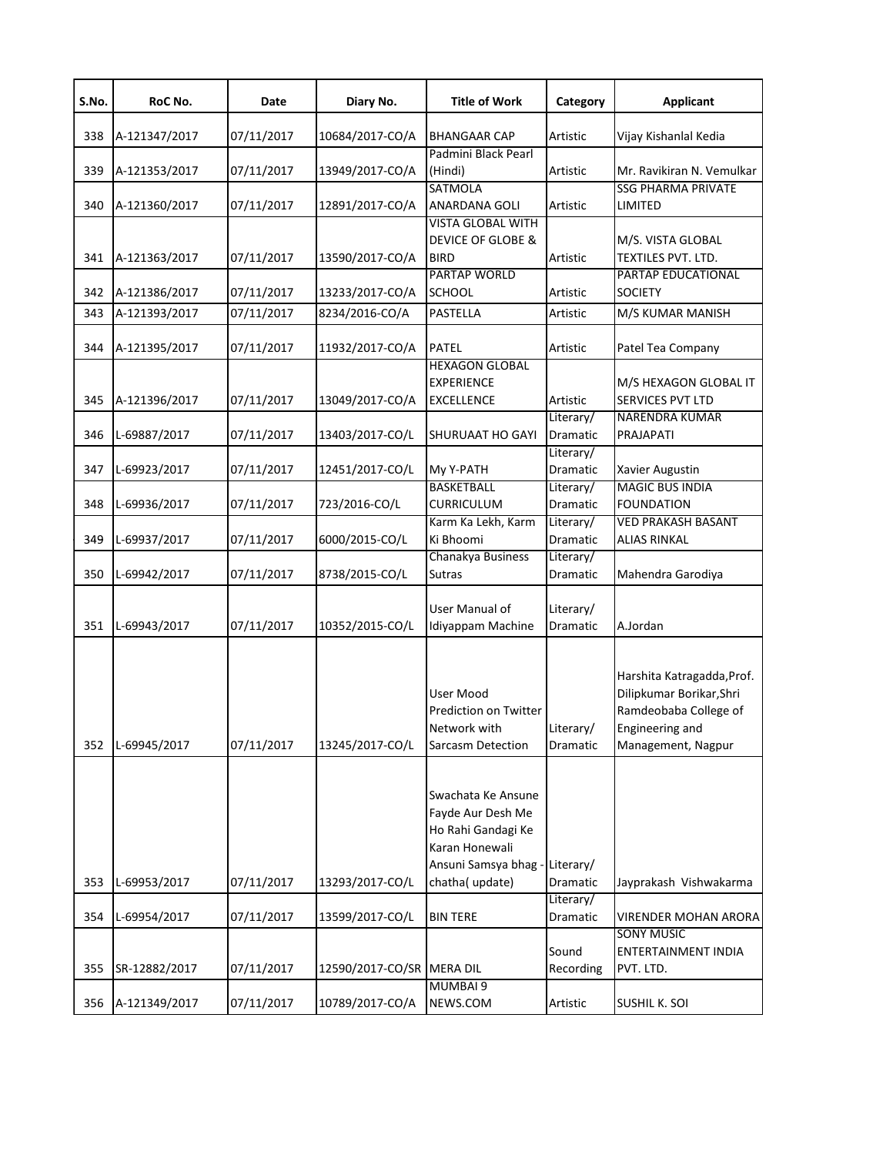| S.No. | RoC No.       | Date       | Diary No.        | <b>Title of Work</b>                                                                                  | Category              | <b>Applicant</b>                                                                                                                |
|-------|---------------|------------|------------------|-------------------------------------------------------------------------------------------------------|-----------------------|---------------------------------------------------------------------------------------------------------------------------------|
| 338   | A-121347/2017 | 07/11/2017 | 10684/2017-CO/A  | <b>BHANGAAR CAP</b>                                                                                   | Artistic              | Vijay Kishanlal Kedia                                                                                                           |
| 339   | A-121353/2017 | 07/11/2017 | 13949/2017-CO/A  | Padmini Black Pearl<br>(Hindi)<br><b>SATMOLA</b>                                                      | Artistic              | Mr. Ravikiran N. Vemulkar<br><b>SSG PHARMA PRIVATE</b>                                                                          |
| 340   | A-121360/2017 | 07/11/2017 | 12891/2017-CO/A  | ANARDANA GOLI<br><b>VISTA GLOBAL WITH</b>                                                             | Artistic              | LIMITED                                                                                                                         |
| 341   | A-121363/2017 | 07/11/2017 | 13590/2017-CO/A  | <b>DEVICE OF GLOBE &amp;</b><br><b>BIRD</b>                                                           | Artistic              | M/S. VISTA GLOBAL<br>TEXTILES PVT. LTD.                                                                                         |
| 342   | A-121386/2017 | 07/11/2017 | 13233/2017-CO/A  | PARTAP WORLD<br>SCHOOL                                                                                | Artistic              | PARTAP EDUCATIONAL<br><b>SOCIETY</b>                                                                                            |
| 343   | A-121393/2017 | 07/11/2017 | 8234/2016-CO/A   | PASTELLA                                                                                              | Artistic              | M/S KUMAR MANISH                                                                                                                |
| 344   | A-121395/2017 | 07/11/2017 | 11932/2017-CO/A  | <b>PATEL</b>                                                                                          | Artistic              | Patel Tea Company                                                                                                               |
| 345   | A-121396/2017 | 07/11/2017 | 13049/2017-CO/A  | <b>HEXAGON GLOBAL</b><br><b>EXPERIENCE</b><br><b>EXCELLENCE</b>                                       | Artistic<br>Literary/ | M/S HEXAGON GLOBAL IT<br>SERVICES PVT LTD<br><b>NARENDRA KUMAR</b>                                                              |
| 346   | L-69887/2017  | 07/11/2017 | 13403/2017-CO/L  | SHURUAAT HO GAYI                                                                                      | Dramatic              | PRAJAPATI                                                                                                                       |
| 347   | L-69923/2017  | 07/11/2017 | 12451/2017-CO/L  | My Y-PATH                                                                                             | Literary/<br>Dramatic | Xavier Augustin                                                                                                                 |
| 348   | L-69936/2017  | 07/11/2017 | 723/2016-CO/L    | <b>BASKETBALL</b><br><b>CURRICULUM</b>                                                                | Literary/<br>Dramatic | <b>MAGIC BUS INDIA</b><br><b>FOUNDATION</b>                                                                                     |
| 349   | L-69937/2017  | 07/11/2017 | 6000/2015-CO/L   | Karm Ka Lekh, Karm<br>Ki Bhoomi                                                                       | Literary/<br>Dramatic | <b>VED PRAKASH BASANT</b><br><b>ALIAS RINKAL</b>                                                                                |
| 350   | L-69942/2017  | 07/11/2017 | 8738/2015-CO/L   | Chanakya Business<br><b>Sutras</b>                                                                    | Literary/<br>Dramatic | Mahendra Garodiya                                                                                                               |
| 351   | L-69943/2017  | 07/11/2017 | 10352/2015-CO/L  | User Manual of<br>Idiyappam Machine                                                                   | Literary/<br>Dramatic | A.Jordan                                                                                                                        |
| 352   | L-69945/2017  | 07/11/2017 | 13245/2017-CO/L  | User Mood<br>Prediction on Twitter<br>Network with<br><b>Sarcasm Detection</b>                        | Literary/<br>Dramatic | Harshita Katragadda, Prof.<br>Dilipkumar Borikar, Shri<br>Ramdeobaba College of<br><b>Engineering and</b><br>Management, Nagpur |
|       |               |            |                  | Swachata Ke Ansune<br>Fayde Aur Desh Me<br>Ho Rahi Gandagi Ke<br>Karan Honewali<br>Ansuni Samsya bhag | Literary/             |                                                                                                                                 |
| 353   | L-69953/2017  | 07/11/2017 | 13293/2017-CO/L  | chatha(update)                                                                                        | Dramatic              | Jayprakash Vishwakarma                                                                                                          |
| 354   | L-69954/2017  | 07/11/2017 | 13599/2017-CO/L  | <b>BIN TERE</b>                                                                                       | Literary/<br>Dramatic | <b>VIRENDER MOHAN ARORA</b>                                                                                                     |
| 355   | SR-12882/2017 | 07/11/2017 | 12590/2017-CO/SR | <b>MERA DIL</b>                                                                                       | Sound<br>Recording    | <b>SONY MUSIC</b><br>ENTERTAINMENT INDIA<br>PVT. LTD.                                                                           |
|       |               |            |                  | <b>MUMBAI 9</b>                                                                                       |                       |                                                                                                                                 |
| 356   | A-121349/2017 | 07/11/2017 | 10789/2017-CO/A  | NEWS.COM                                                                                              | Artistic              | SUSHIL K. SOI                                                                                                                   |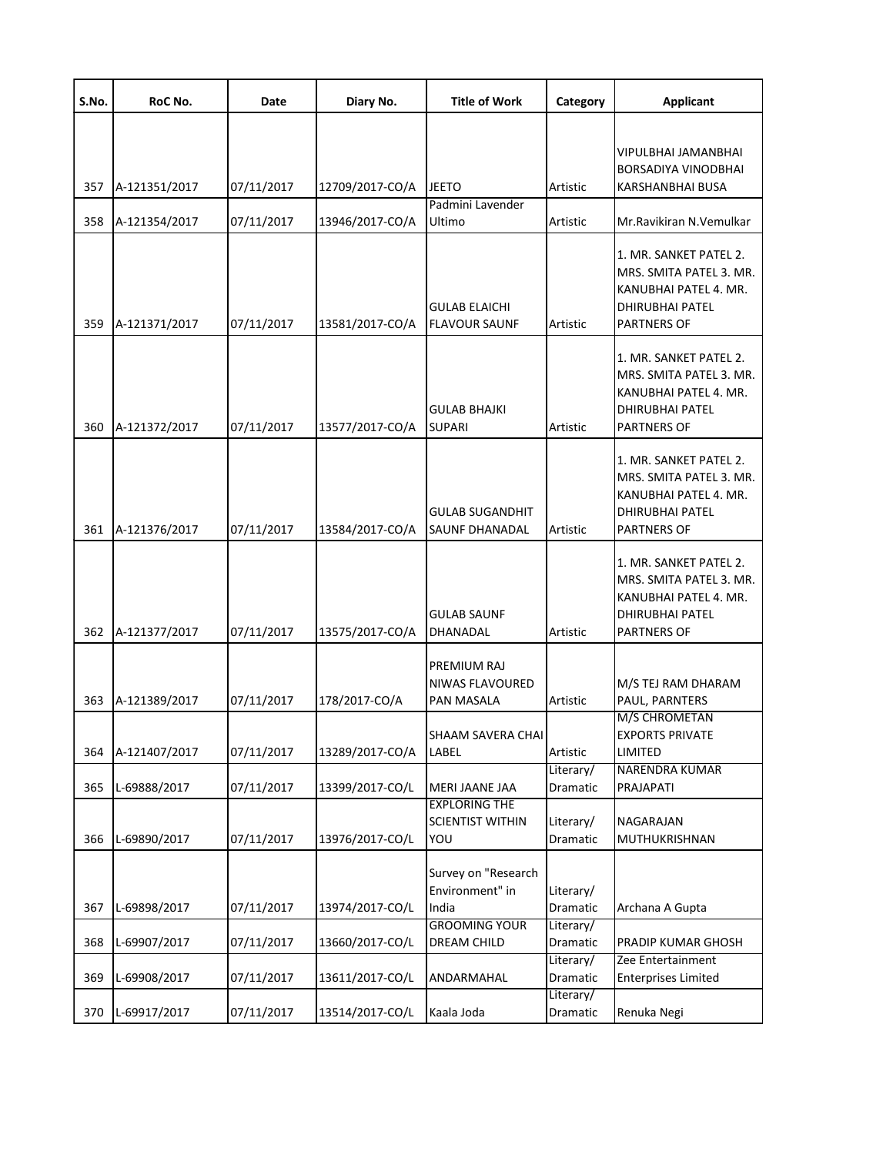| S.No. | RoC No.       | Date       | Diary No.       | <b>Title of Work</b>                                                    | Category                           | <b>Applicant</b>                                                                                                           |
|-------|---------------|------------|-----------------|-------------------------------------------------------------------------|------------------------------------|----------------------------------------------------------------------------------------------------------------------------|
| 357   | A-121351/2017 | 07/11/2017 | 12709/2017-CO/A | JEETO                                                                   | Artistic                           | VIPULBHAI JAMANBHAI<br><b>BORSADIYA VINODBHAI</b><br>KARSHANBHAI BUSA                                                      |
| 358   | A-121354/2017 | 07/11/2017 | 13946/2017-CO/A | Padmini Lavender<br>Ultimo                                              | Artistic                           | Mr.Ravikiran N.Vemulkar                                                                                                    |
| 359   | A-121371/2017 | 07/11/2017 | 13581/2017-CO/A | <b>GULAB ELAICHI</b><br><b>FLAVOUR SAUNF</b>                            | Artistic                           | 1. MR. SANKET PATEL 2.<br>MRS. SMITA PATEL 3. MR.<br>KANUBHAI PATEL 4. MR.<br>DHIRUBHAI PATEL<br><b>PARTNERS OF</b>        |
| 360   | A-121372/2017 | 07/11/2017 | 13577/2017-CO/A | <b>GULAB BHAJKI</b><br><b>SUPARI</b>                                    | Artistic                           | 1. MR. SANKET PATEL 2.<br>MRS. SMITA PATEL 3. MR.<br>KANUBHAI PATEL 4. MR.<br><b>DHIRUBHAI PATEL</b><br><b>PARTNERS OF</b> |
| 361   | A-121376/2017 | 07/11/2017 | 13584/2017-CO/A | <b>GULAB SUGANDHIT</b><br>SAUNF DHANADAL                                | Artistic                           | 1. MR. SANKET PATEL 2.<br>MRS. SMITA PATEL 3. MR.<br>KANUBHAI PATEL 4. MR.<br>DHIRUBHAI PATEL<br>PARTNERS OF               |
| 362   | A-121377/2017 | 07/11/2017 | 13575/2017-CO/A | <b>GULAB SAUNF</b><br>DHANADAL                                          | Artistic                           | 1. MR. SANKET PATEL 2.<br>MRS. SMITA PATEL 3. MR.<br>KANUBHAI PATEL 4. MR.<br>DHIRUBHAI PATEL<br><b>PARTNERS OF</b>        |
| 363   | A-121389/2017 | 07/11/2017 | 178/2017-CO/A   | PREMIUM RAJ<br>NIWAS FLAVOURED<br>PAN MASALA                            | Artistic                           | M/S TEJ RAM DHARAM<br>PAUL, PARNTERS<br>M/S CHROMETAN                                                                      |
| 364   | A-121407/2017 | 07/11/2017 | 13289/2017-CO/A | SHAAM SAVERA CHAI<br>LABEL                                              | Artistic                           | <b>EXPORTS PRIVATE</b><br>LIMITED                                                                                          |
| 365   | L-69888/2017  | 07/11/2017 | 13399/2017-CO/L | MERI JAANE JAA                                                          | Literary/<br>Dramatic              | NARENDRA KUMAR<br>PRAJAPATI                                                                                                |
| 366   | L-69890/2017  | 07/11/2017 | 13976/2017-CO/L | <b>EXPLORING THE</b><br><b>SCIENTIST WITHIN</b><br>YOU                  | Literary/<br>Dramatic              | NAGARAJAN<br>MUTHUKRISHNAN                                                                                                 |
| 367   | L-69898/2017  | 07/11/2017 | 13974/2017-CO/L | Survey on "Research<br>Environment" in<br>India<br><b>GROOMING YOUR</b> | Literary/<br>Dramatic<br>Literary/ | Archana A Gupta                                                                                                            |
| 368   | L-69907/2017  | 07/11/2017 | 13660/2017-CO/L | DREAM CHILD                                                             | Dramatic                           | PRADIP KUMAR GHOSH                                                                                                         |
| 369   | L-69908/2017  | 07/11/2017 | 13611/2017-CO/L | ANDARMAHAL                                                              | Literary/<br>Dramatic              | Zee Entertainment<br><b>Enterprises Limited</b>                                                                            |
| 370   | L-69917/2017  | 07/11/2017 | 13514/2017-CO/L | Kaala Joda                                                              | Literary/<br>Dramatic              | Renuka Negi                                                                                                                |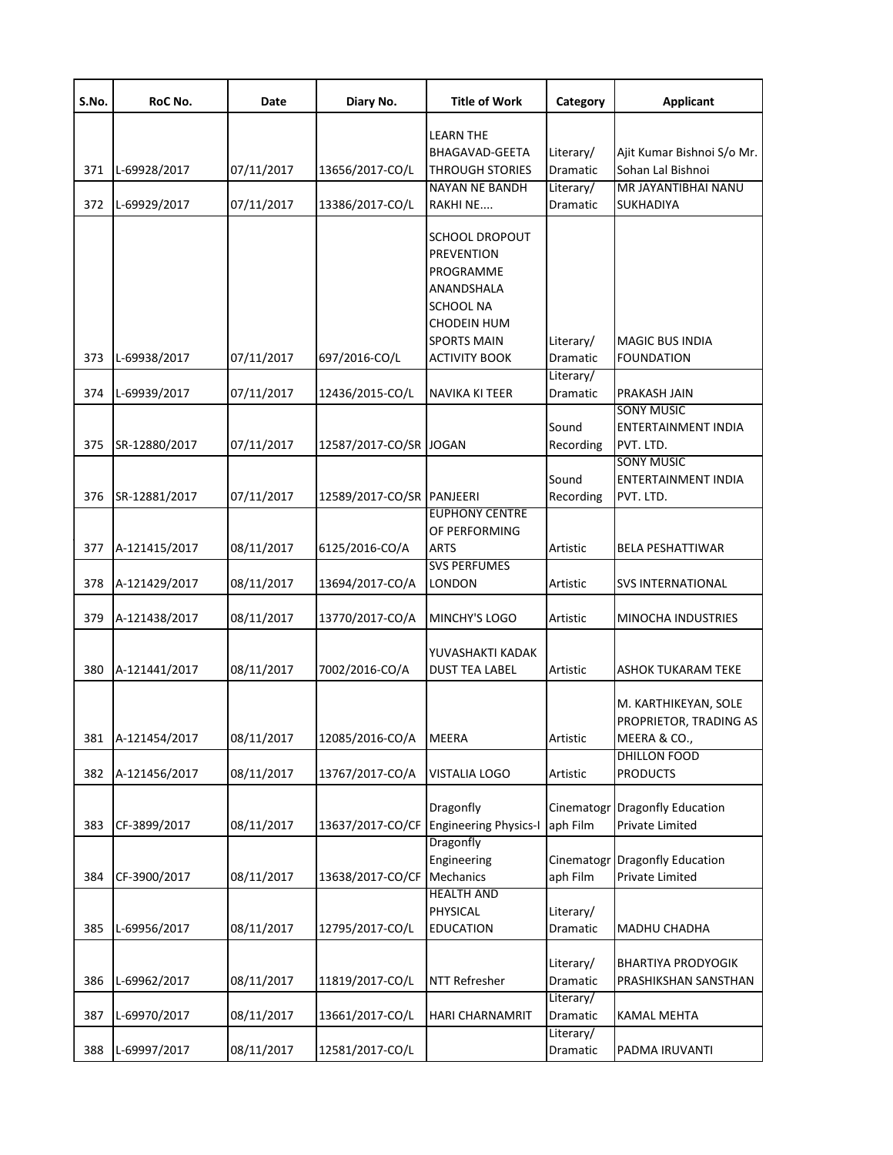| S.No.      | RoC No.                       | Date                     | Diary No.                                 | <b>Title of Work</b>                                                                                                                                          | Category                                       | <b>Applicant</b>                                                                                  |
|------------|-------------------------------|--------------------------|-------------------------------------------|---------------------------------------------------------------------------------------------------------------------------------------------------------------|------------------------------------------------|---------------------------------------------------------------------------------------------------|
| 371<br>372 | L-69928/2017<br>L-69929/2017  | 07/11/2017<br>07/11/2017 | 13656/2017-CO/L<br>13386/2017-CO/L        | <b>LEARN THE</b><br>BHAGAVAD-GEETA<br><b>THROUGH STORIES</b><br><b>NAYAN NE BANDH</b><br>RAKHI NE                                                             | Literary/<br>Dramatic<br>Literary/<br>Dramatic | Ajit Kumar Bishnoi S/o Mr.<br>Sohan Lal Bishnoi<br>MR JAYANTIBHAI NANU<br><b>SUKHADIYA</b>        |
| 373        | L-69938/2017                  | 07/11/2017               | 697/2016-CO/L                             | <b>SCHOOL DROPOUT</b><br><b>PREVENTION</b><br>PROGRAMME<br>ANANDSHALA<br><b>SCHOOL NA</b><br><b>CHODEIN HUM</b><br><b>SPORTS MAIN</b><br><b>ACTIVITY BOOK</b> | Literary/<br>Dramatic                          | <b>MAGIC BUS INDIA</b><br>FOUNDATION                                                              |
|            |                               |                          |                                           |                                                                                                                                                               | Literary/                                      |                                                                                                   |
| 374<br>375 | L-69939/2017<br>SR-12880/2017 | 07/11/2017<br>07/11/2017 | 12436/2015-CO/L<br>12587/2017-CO/SR JOGAN | <b>NAVIKA KI TEER</b>                                                                                                                                         | Dramatic<br>Sound<br>Recording                 | PRAKASH JAIN<br><b>SONY MUSIC</b><br><b>ENTERTAINMENT INDIA</b><br>PVT. LTD.<br><b>SONY MUSIC</b> |
| 376        | SR-12881/2017                 | 07/11/2017               | 12589/2017-CO/SR PANJEERI                 |                                                                                                                                                               | Sound<br>Recording                             | ENTERTAINMENT INDIA<br>PVT. LTD.                                                                  |
| 377        | A-121415/2017                 | 08/11/2017               | 6125/2016-CO/A                            | <b>EUPHONY CENTRE</b><br>OF PERFORMING<br><b>ARTS</b>                                                                                                         | Artistic                                       | <b>BELA PESHATTIWAR</b>                                                                           |
| 378        | A-121429/2017                 | 08/11/2017               | 13694/2017-CO/A                           | <b>SVS PERFUMES</b><br>LONDON                                                                                                                                 | Artistic                                       | <b>SVS INTERNATIONAL</b>                                                                          |
| 379        | A-121438/2017                 | 08/11/2017               | 13770/2017-CO/A                           | MINCHY'S LOGO                                                                                                                                                 | Artistic                                       | MINOCHA INDUSTRIES                                                                                |
| 380        | A-121441/2017                 | 08/11/2017               | 7002/2016-CO/A                            | YUVASHAKTI KADAK<br><b>DUST TEA LABEL</b>                                                                                                                     | Artistic                                       | <b>ASHOK TUKARAM TEKE</b>                                                                         |
| 381        | A-121454/2017                 | 08/11/2017               | 12085/2016-CO/A                           | <b>MEERA</b>                                                                                                                                                  | Artistic                                       | M. KARTHIKEYAN, SOLE<br>PROPRIETOR, TRADING AS<br>MEERA & CO.,                                    |
| 382        | A-121456/2017                 | 08/11/2017               | 13767/2017-CO/A                           | <b>VISTALIA LOGO</b>                                                                                                                                          | Artistic                                       | DHILLON FOOD<br><b>PRODUCTS</b>                                                                   |
| 383        | CF-3899/2017                  | 08/11/2017               | 13637/2017-CO/CF                          | Dragonfly<br><b>Engineering Physics-I</b>                                                                                                                     | Cinematogr<br>aph Film                         | <b>Dragonfly Education</b><br>Private Limited                                                     |
| 384        | CF-3900/2017                  | 08/11/2017               | 13638/2017-CO/CF                          | Dragonfly<br>Engineering<br>Mechanics                                                                                                                         | Cinematogr<br>aph Film                         | <b>Dragonfly Education</b><br><b>Private Limited</b>                                              |
| 385        | L-69956/2017                  | 08/11/2017               | 12795/2017-CO/L                           | <b>HEALTH AND</b><br>PHYSICAL<br><b>EDUCATION</b>                                                                                                             | Literary/<br>Dramatic                          | MADHU CHADHA                                                                                      |
| 386        | L-69962/2017                  | 08/11/2017               | 11819/2017-CO/L                           | <b>NTT Refresher</b>                                                                                                                                          | Literary/<br>Dramatic                          | <b>BHARTIYA PRODYOGIK</b><br>PRASHIKSHAN SANSTHAN                                                 |
| 387        | L-69970/2017                  | 08/11/2017               | 13661/2017-CO/L                           | <b>HARI CHARNAMRIT</b>                                                                                                                                        | Literary/<br>Dramatic                          | <b>KAMAL MEHTA</b>                                                                                |
| 388        | L-69997/2017                  | 08/11/2017               | 12581/2017-CO/L                           |                                                                                                                                                               | Literary/<br>Dramatic                          | PADMA IRUVANTI                                                                                    |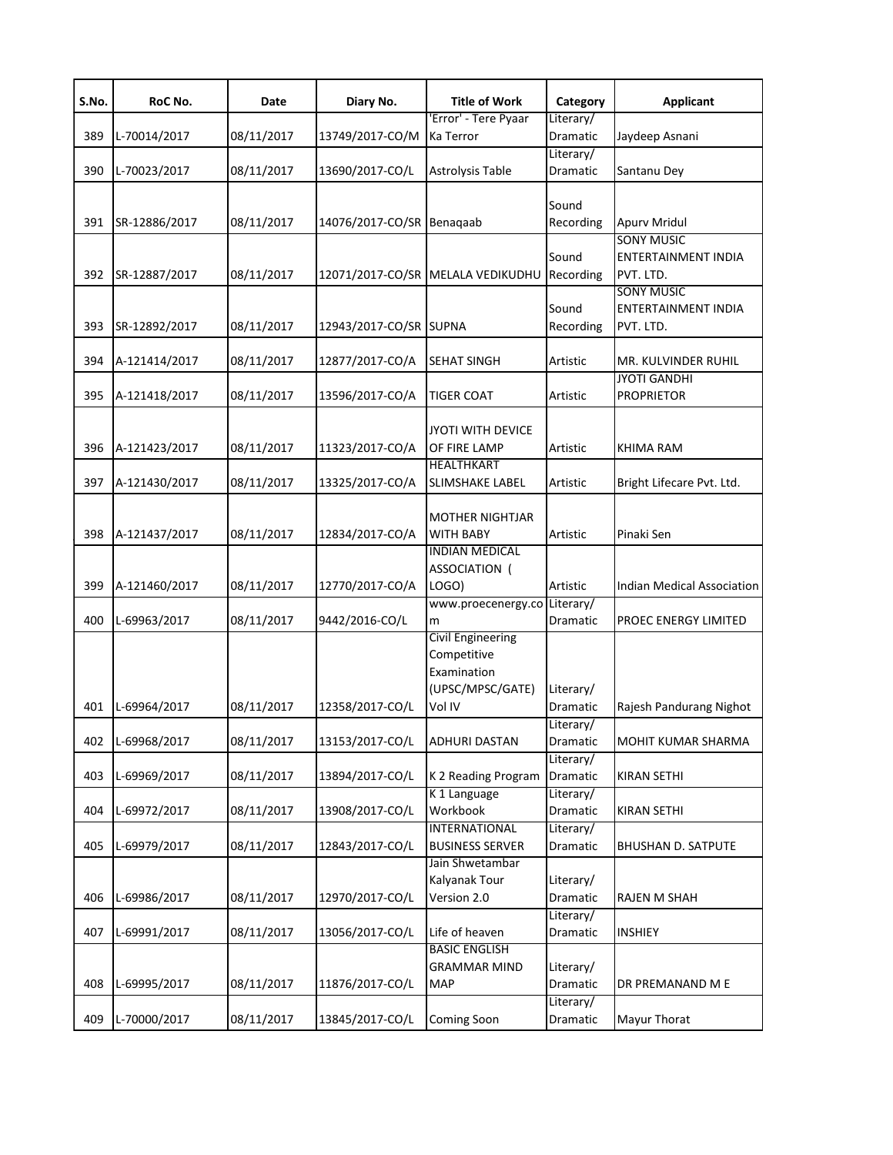| S.No. | RoC No.       | Date       | Diary No.                 | <b>Title of Work</b>                                                                 | Category              | <b>Applicant</b>                                             |
|-------|---------------|------------|---------------------------|--------------------------------------------------------------------------------------|-----------------------|--------------------------------------------------------------|
| 389   | L-70014/2017  | 08/11/2017 | 13749/2017-CO/M           | 'Error' - Tere Pyaar<br>Ka Terror                                                    | Literary/<br>Dramatic | Jaydeep Asnani                                               |
| 390   | L-70023/2017  | 08/11/2017 | 13690/2017-CO/L           | <b>Astrolysis Table</b>                                                              | Literary/<br>Dramatic | Santanu Dey                                                  |
|       |               |            |                           |                                                                                      | Sound                 |                                                              |
| 391   | SR-12886/2017 | 08/11/2017 | 14076/2017-CO/SR Benagaab |                                                                                      | Recording             | <b>Apurv Mridul</b>                                          |
| 392   | SR-12887/2017 | 08/11/2017 |                           | 12071/2017-CO/SR MELALA VEDIKUDHU                                                    | Sound<br>Recording    | <b>SONY MUSIC</b><br><b>ENTERTAINMENT INDIA</b><br>PVT. LTD. |
| 393   | SR-12892/2017 | 08/11/2017 | 12943/2017-CO/SR SUPNA    |                                                                                      | Sound<br>Recording    | <b>SONY MUSIC</b><br><b>ENTERTAINMENT INDIA</b><br>PVT. LTD. |
| 394   | A-121414/2017 | 08/11/2017 | 12877/2017-CO/A           | <b>SEHAT SINGH</b>                                                                   | Artistic              | MR. KULVINDER RUHIL                                          |
| 395   | A-121418/2017 | 08/11/2017 | 13596/2017-CO/A           | <b>TIGER COAT</b>                                                                    | Artistic              | <b>JYOTI GANDHI</b><br><b>PROPRIETOR</b>                     |
| 396   | A-121423/2017 | 08/11/2017 | 11323/2017-CO/A           | <b>JYOTI WITH DEVICE</b><br>OF FIRE LAMP                                             | Artistic              | <b>KHIMA RAM</b>                                             |
| 397   | A-121430/2017 | 08/11/2017 | 13325/2017-CO/A           | HEALTHKART<br><b>SLIMSHAKE LABEL</b>                                                 | Artistic              | Bright Lifecare Pvt. Ltd.                                    |
| 398   | A-121437/2017 | 08/11/2017 | 12834/2017-CO/A           | <b>MOTHER NIGHTJAR</b><br><b>WITH BABY</b>                                           | Artistic              | Pinaki Sen                                                   |
| 399   | A-121460/2017 | 08/11/2017 | 12770/2017-CO/A           | <b>INDIAN MEDICAL</b><br>ASSOCIATION (<br>LOGO)                                      | Artistic              | Indian Medical Association                                   |
| 400   | L-69963/2017  | 08/11/2017 | 9442/2016-CO/L            | www.proecenergy.co Literary/<br>m                                                    | Dramatic              | PROEC ENERGY LIMITED                                         |
| 401   | L-69964/2017  | 08/11/2017 | 12358/2017-CO/L           | <b>Civil Engineering</b><br>Competitive<br>Examination<br>(UPSC/MPSC/GATE)<br>Vol IV | Literary/<br>Dramatic | Rajesh Pandurang Nighot                                      |
| 402   | L-69968/2017  | 08/11/2017 | 13153/2017-CO/L           | <b>ADHURI DASTAN</b>                                                                 | Literary/<br>Dramatic | MOHIT KUMAR SHARMA                                           |
| 403   | L-69969/2017  | 08/11/2017 | 13894/2017-CO/L           | K 2 Reading Program                                                                  | Literary/<br>Dramatic | <b>KIRAN SETHI</b>                                           |
| 404   | L-69972/2017  | 08/11/2017 | 13908/2017-CO/L           | K 1 Language<br>Workbook                                                             | Literary/<br>Dramatic | <b>KIRAN SETHI</b>                                           |
| 405   | L-69979/2017  | 08/11/2017 | 12843/2017-CO/L           | <b>INTERNATIONAL</b><br><b>BUSINESS SERVER</b>                                       | Literary/<br>Dramatic | <b>BHUSHAN D. SATPUTE</b>                                    |
| 406   | L-69986/2017  | 08/11/2017 | 12970/2017-CO/L           | Jain Shwetambar<br>Kalyanak Tour<br>Version 2.0                                      | Literary/<br>Dramatic | <b>RAJEN M SHAH</b>                                          |
| 407   | L-69991/2017  | 08/11/2017 | 13056/2017-CO/L           | Life of heaven                                                                       | Literary/<br>Dramatic | <b>INSHIEY</b>                                               |
| 408   | L-69995/2017  | 08/11/2017 | 11876/2017-CO/L           | <b>BASIC ENGLISH</b><br><b>GRAMMAR MIND</b><br><b>MAP</b>                            | Literary/<br>Dramatic | DR PREMANAND M E                                             |
| 409   | L-70000/2017  | 08/11/2017 | 13845/2017-CO/L           | <b>Coming Soon</b>                                                                   | Literary/<br>Dramatic | Mayur Thorat                                                 |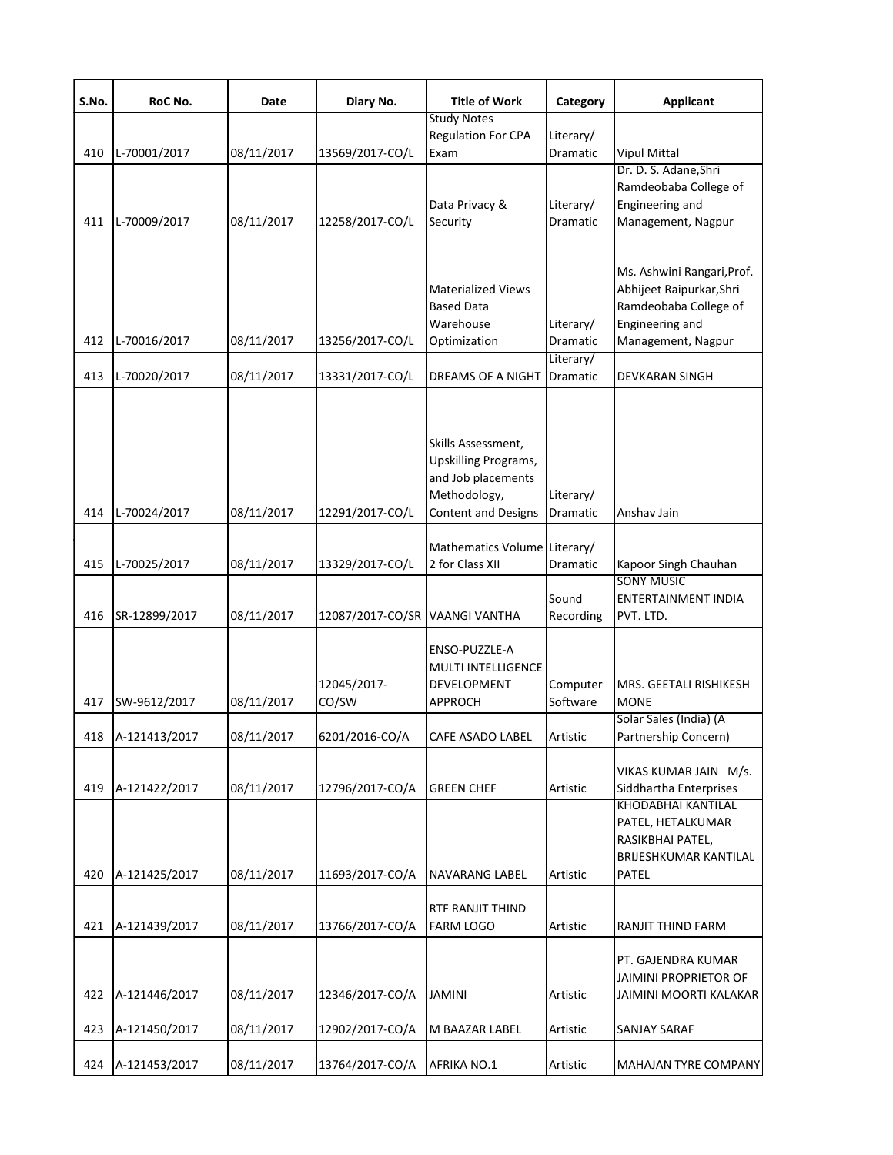| S.No. | RoC No.       | Date       | Diary No.                      | <b>Title of Work</b>                                                                                                  | Category                           | <b>Applicant</b>                                                                                                         |
|-------|---------------|------------|--------------------------------|-----------------------------------------------------------------------------------------------------------------------|------------------------------------|--------------------------------------------------------------------------------------------------------------------------|
|       |               |            |                                | <b>Study Notes</b><br>Regulation For CPA                                                                              | Literary/                          |                                                                                                                          |
| 410   | L-70001/2017  | 08/11/2017 | 13569/2017-CO/L                | Exam                                                                                                                  | Dramatic                           | <b>Vipul Mittal</b>                                                                                                      |
| 411   | L-70009/2017  | 08/11/2017 | 12258/2017-CO/L                | Data Privacy &<br>Security                                                                                            | Literary/<br>Dramatic              | Dr. D. S. Adane, Shri<br>Ramdeobaba College of<br>Engineering and<br>Management, Nagpur                                  |
| 412   | L-70016/2017  | 08/11/2017 | 13256/2017-CO/L                | <b>Materialized Views</b><br><b>Based Data</b><br>Warehouse<br>Optimization                                           | Literary/<br>Dramatic<br>Literary/ | Ms. Ashwini Rangari, Prof.<br>Abhijeet Raipurkar, Shri<br>Ramdeobaba College of<br>Engineering and<br>Management, Nagpur |
| 413   | L-70020/2017  | 08/11/2017 | 13331/2017-CO/L                | DREAMS OF A NIGHT                                                                                                     | Dramatic                           | DEVKARAN SINGH                                                                                                           |
| 414   | L-70024/2017  | 08/11/2017 | 12291/2017-CO/L                | Skills Assessment,<br><b>Upskilling Programs,</b><br>and Job placements<br>Methodology,<br><b>Content and Designs</b> | Literary/<br>Dramatic              | Anshav Jain                                                                                                              |
| 415   | L-70025/2017  | 08/11/2017 | 13329/2017-CO/L                | Mathematics Volume Literary/<br>2 for Class XII                                                                       | Dramatic                           | Kapoor Singh Chauhan                                                                                                     |
| 416   | SR-12899/2017 | 08/11/2017 | 12087/2017-CO/SR VAANGI VANTHA |                                                                                                                       | Sound<br>Recording                 | <b>SONY MUSIC</b><br><b>ENTERTAINMENT INDIA</b><br>PVT. LTD.                                                             |
| 417   | SW-9612/2017  | 08/11/2017 | 12045/2017-<br>CO/SW           | ENSO-PUZZLE-A<br><b>MULTI INTELLIGENCE</b><br>DEVELOPMENT<br>APPROCH                                                  | Computer<br>Software               | MRS. GEETALI RISHIKESH<br><b>MONE</b><br>Solar Sales (India) (A                                                          |
| 418   | A-121413/2017 | 08/11/2017 | 6201/2016-CO/A                 | CAFE ASADO LABEL                                                                                                      | Artistic                           | Partnership Concern)                                                                                                     |
| 419   | A-121422/2017 | 08/11/2017 | 12796/2017-CO/A                | <b>GREEN CHEF</b>                                                                                                     | Artistic                           | VIKAS KUMAR JAIN M/s.<br>Siddhartha Enterprises                                                                          |
| 420   | A-121425/2017 | 08/11/2017 | 11693/2017-CO/A                | <b>NAVARANG LABEL</b>                                                                                                 | Artistic                           | <b>KHODABHAI KANTILAL</b><br>PATEL, HETALKUMAR<br>RASIKBHAI PATEL,<br><b>BRIJESHKUMAR KANTILAL</b><br><b>PATEL</b>       |
| 421   | A-121439/2017 | 08/11/2017 | 13766/2017-CO/A                | RTF RANJIT THIND<br><b>FARM LOGO</b>                                                                                  | Artistic                           | RANJIT THIND FARM                                                                                                        |
| 422   | A-121446/2017 | 08/11/2017 | 12346/2017-CO/A                | <b>JAMINI</b>                                                                                                         | Artistic                           | PT. GAJENDRA KUMAR<br>JAIMINI PROPRIETOR OF<br>JAIMINI MOORTI KALAKAR                                                    |
| 423   | A-121450/2017 | 08/11/2017 | 12902/2017-CO/A                | M BAAZAR LABEL                                                                                                        | Artistic                           | <b>SANJAY SARAF</b>                                                                                                      |
| 424   | A-121453/2017 | 08/11/2017 | 13764/2017-CO/A                | <b>AFRIKA NO.1</b>                                                                                                    | Artistic                           | <b>MAHAJAN TYRE COMPANY</b>                                                                                              |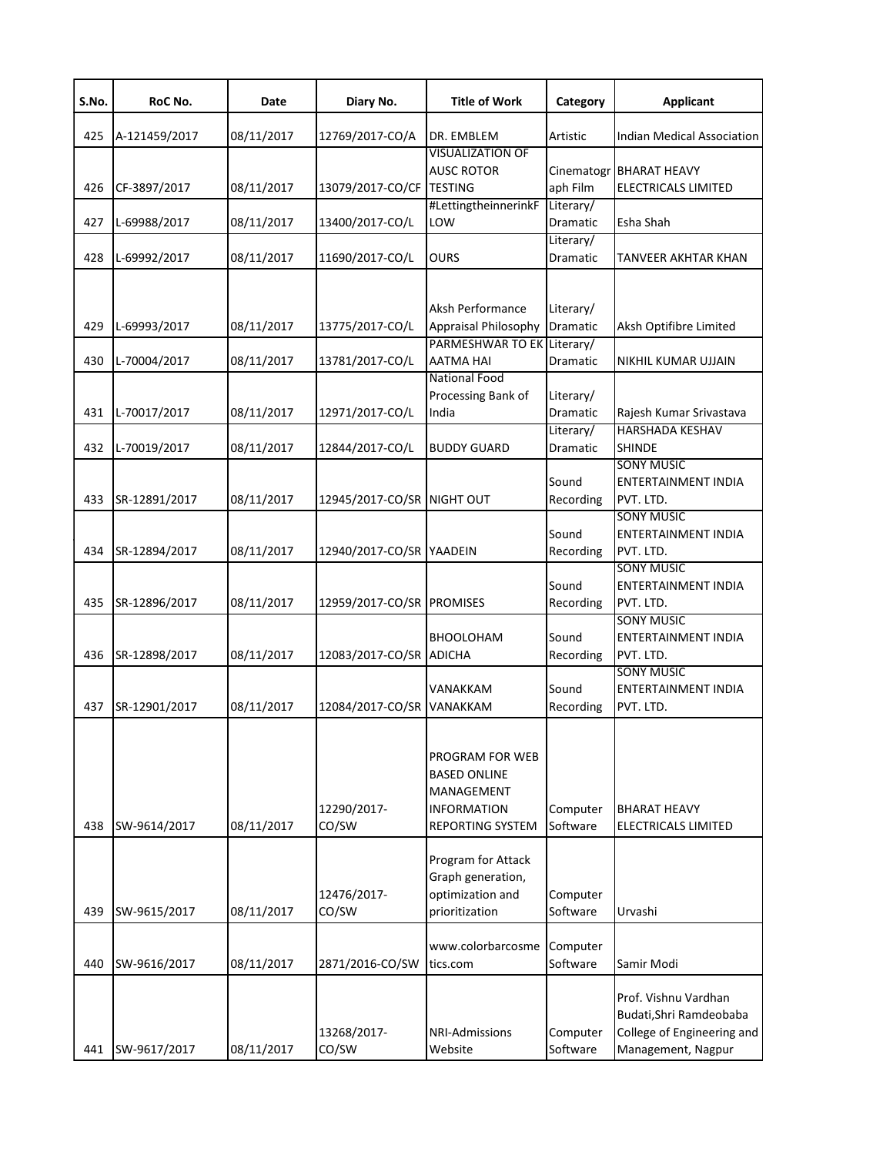| S.No. | RoC No.       | Date       | Diary No.                  | <b>Title of Work</b>                                                                                         | Category              | Applicant                                                                                           |
|-------|---------------|------------|----------------------------|--------------------------------------------------------------------------------------------------------------|-----------------------|-----------------------------------------------------------------------------------------------------|
| 425   | A-121459/2017 | 08/11/2017 | 12769/2017-CO/A            | DR. EMBLEM                                                                                                   | Artistic              | Indian Medical Association                                                                          |
| 426   | CF-3897/2017  | 08/11/2017 | 13079/2017-CO/CF TESTING   | <b>VISUALIZATION OF</b><br><b>AUSC ROTOR</b>                                                                 | aph Film              | Cinematogr BHARAT HEAVY<br><b>ELECTRICALS LIMITED</b>                                               |
| 427   | L-69988/2017  | 08/11/2017 | 13400/2017-CO/L            | #LettingtheinnerinkF<br>LOW                                                                                  | Literary/<br>Dramatic | Esha Shah                                                                                           |
| 428   | L-69992/2017  | 08/11/2017 | 11690/2017-CO/L            | <b>OURS</b>                                                                                                  | Literary/<br>Dramatic | <b>TANVEER AKHTAR KHAN</b>                                                                          |
| 429   | L-69993/2017  | 08/11/2017 | 13775/2017-CO/L            | Aksh Performance<br>Appraisal Philosophy<br>PARMESHWAR TO EK Literary/                                       | Literary/<br>Dramatic | Aksh Optifibre Limited                                                                              |
| 430   | L-70004/2017  | 08/11/2017 | 13781/2017-CO/L            | <b>AATMA HAI</b>                                                                                             | Dramatic              | NIKHIL KUMAR UJJAIN                                                                                 |
| 431   | L-70017/2017  | 08/11/2017 | 12971/2017-CO/L            | <b>National Food</b><br>Processing Bank of<br>India                                                          | Literary/<br>Dramatic | Rajesh Kumar Srivastava                                                                             |
| 432   | L-70019/2017  | 08/11/2017 | 12844/2017-CO/L            | <b>BUDDY GUARD</b>                                                                                           | Literary/<br>Dramatic | <b>HARSHADA KESHAV</b><br><b>SHINDE</b>                                                             |
| 433   | SR-12891/2017 | 08/11/2017 | 12945/2017-CO/SR NIGHT OUT |                                                                                                              | Sound<br>Recording    | <b>SONY MUSIC</b><br><b>ENTERTAINMENT INDIA</b><br>PVT. LTD.                                        |
| 434   | SR-12894/2017 | 08/11/2017 | 12940/2017-CO/SR YAADEIN   |                                                                                                              | Sound<br>Recording    | <b>SONY MUSIC</b><br><b>ENTERTAINMENT INDIA</b><br>PVT. LTD.                                        |
| 435   | SR-12896/2017 | 08/11/2017 | 12959/2017-CO/SR PROMISES  |                                                                                                              | Sound<br>Recording    | <b>SONY MUSIC</b><br><b>ENTERTAINMENT INDIA</b><br>PVT. LTD.                                        |
| 436   | SR-12898/2017 | 08/11/2017 | 12083/2017-CO/SR ADICHA    | <b>BHOOLOHAM</b>                                                                                             | Sound<br>Recording    | <b>SONY MUSIC</b><br>ENTERTAINMENT INDIA<br>PVT. LTD.                                               |
| 437   | SR-12901/2017 | 08/11/2017 | 12084/2017-CO/SR VANAKKAM  | VANAKKAM                                                                                                     | Sound<br>Recording    | <b>SONY MUSIC</b><br><b>ENTERTAINMENT INDIA</b><br>PVT. LTD.                                        |
| 438   | SW-9614/2017  | 08/11/2017 | 12290/2017-<br>CO/SW       | PROGRAM FOR WEB<br><b>BASED ONLINE</b><br><b>MANAGEMENT</b><br><b>INFORMATION</b><br><b>REPORTING SYSTEM</b> | Computer<br>Software  | <b>BHARAT HEAVY</b><br>ELECTRICALS LIMITED                                                          |
|       |               |            | 12476/2017-                | Program for Attack<br>Graph generation,<br>optimization and                                                  | Computer              |                                                                                                     |
| 439   | SW-9615/2017  | 08/11/2017 | CO/SW                      | prioritization                                                                                               | Software              | Urvashi                                                                                             |
| 440   | SW-9616/2017  | 08/11/2017 | 2871/2016-CO/SW            | www.colorbarcosme<br>tics.com                                                                                | Computer<br>Software  | Samir Modi                                                                                          |
| 441   | SW-9617/2017  | 08/11/2017 | 13268/2017-<br>CO/SW       | <b>NRI-Admissions</b><br>Website                                                                             | Computer<br>Software  | Prof. Vishnu Vardhan<br>Budati, Shri Ramdeobaba<br>College of Engineering and<br>Management, Nagpur |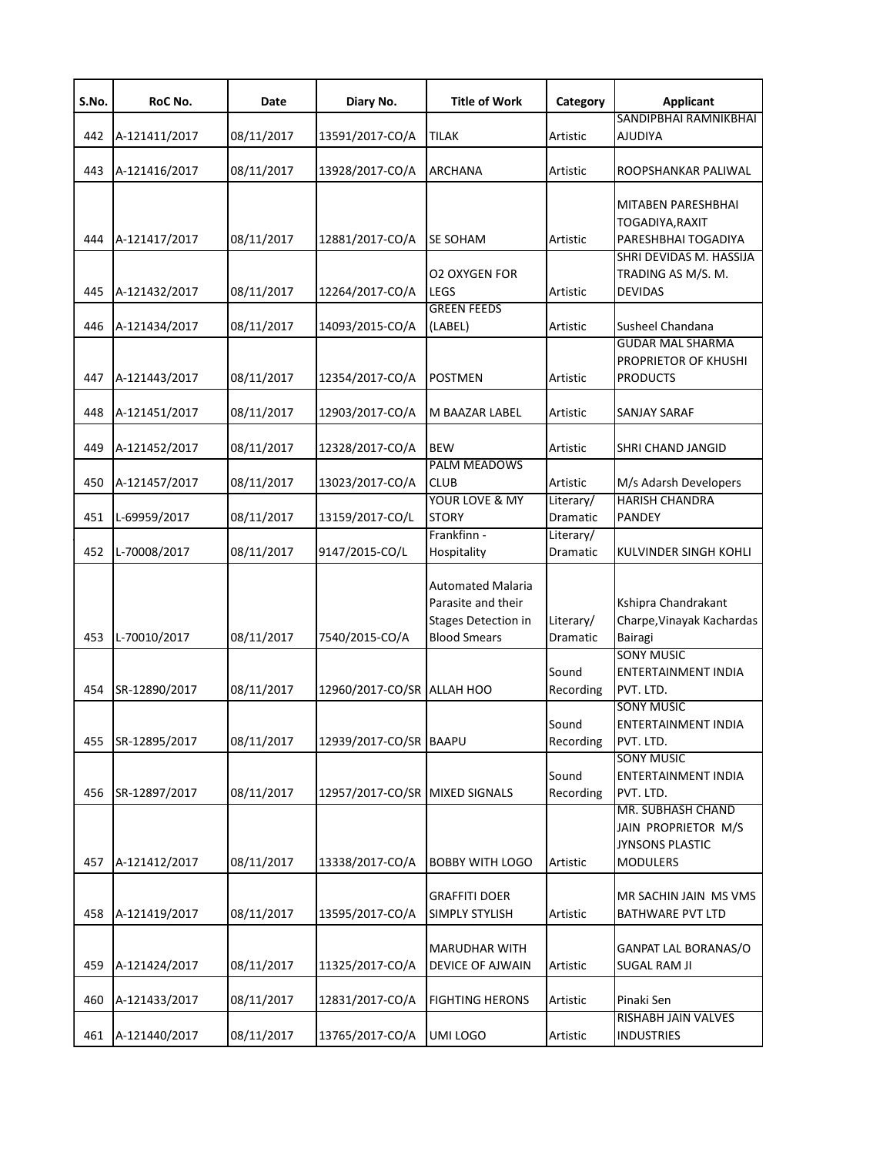| S.No. | RoC No.       | Date       | Diary No.                      | <b>Title of Work</b>                                                                                | Category              | <b>Applicant</b>                                                                        |
|-------|---------------|------------|--------------------------------|-----------------------------------------------------------------------------------------------------|-----------------------|-----------------------------------------------------------------------------------------|
| 442   | A-121411/2017 | 08/11/2017 | 13591/2017-CO/A                | <b>TILAK</b>                                                                                        | Artistic              | SANDIPBHAI RAMNIKBHAI<br><b>AJUDIYA</b>                                                 |
| 443   | A-121416/2017 | 08/11/2017 | 13928/2017-CO/A                | ARCHANA                                                                                             | Artistic              | ROOPSHANKAR PALIWAL                                                                     |
| 444   | A-121417/2017 | 08/11/2017 | 12881/2017-CO/A                | SE SOHAM                                                                                            | Artistic              | MITABEN PARESHBHAI<br>TOGADIYA, RAXIT<br>PARESHBHAI TOGADIYA<br>SHRI DEVIDAS M. HASSIJA |
| 445   | A-121432/2017 | 08/11/2017 | 12264/2017-CO/A                | <b>O2 OXYGEN FOR</b><br><b>LEGS</b>                                                                 | Artistic              | TRADING AS M/S. M.<br><b>DEVIDAS</b>                                                    |
| 446   | A-121434/2017 | 08/11/2017 | 14093/2015-CO/A                | <b>GREEN FEEDS</b><br>(LABEL)                                                                       | Artistic              | Susheel Chandana                                                                        |
| 447   | A-121443/2017 | 08/11/2017 | 12354/2017-CO/A                | <b>POSTMEN</b>                                                                                      | Artistic              | <b>GUDAR MAL SHARMA</b><br>PROPRIETOR OF KHUSHI<br><b>PRODUCTS</b>                      |
| 448   | A-121451/2017 | 08/11/2017 | 12903/2017-CO/A                | M BAAZAR LABEL                                                                                      | Artistic              | SANJAY SARAF                                                                            |
| 449   | A-121452/2017 | 08/11/2017 | 12328/2017-CO/A                | <b>BEW</b>                                                                                          | Artistic              | SHRI CHAND JANGID                                                                       |
| 450   | A-121457/2017 | 08/11/2017 | 13023/2017-CO/A                | <b>PALM MEADOWS</b><br><b>CLUB</b>                                                                  | Artistic              | M/s Adarsh Developers                                                                   |
| 451   | L-69959/2017  | 08/11/2017 | 13159/2017-CO/L                | YOUR LOVE & MY<br><b>STORY</b>                                                                      | Literary/<br>Dramatic | <b>HARISH CHANDRA</b><br><b>PANDEY</b>                                                  |
| 452   | L-70008/2017  | 08/11/2017 | 9147/2015-CO/L                 | Frankfinn -<br>Hospitality                                                                          | Literary/<br>Dramatic | KULVINDER SINGH KOHLI                                                                   |
| 453   | L-70010/2017  | 08/11/2017 | 7540/2015-CO/A                 | <b>Automated Malaria</b><br>Parasite and their<br><b>Stages Detection in</b><br><b>Blood Smears</b> | Literary/<br>Dramatic | Kshipra Chandrakant<br>Charpe, Vinayak Kachardas<br>Bairagi                             |
| 454   | SR-12890/2017 | 08/11/2017 | 12960/2017-CO/SR ALLAH HOO     |                                                                                                     | Sound<br>Recording    | <b>SONY MUSIC</b><br>ENTERTAINMENT INDIA<br>PVT. LTD.                                   |
| 455   | SR-12895/2017 | 08/11/2017 | 12939/2017-CO/SR BAAPU         |                                                                                                     | Sound<br>Recording    | <b>SONY MUSIC</b><br>ENTERTAINMENT INDIA<br>PVT. LTD.                                   |
| 456   | SR-12897/2017 | 08/11/2017 | 12957/2017-CO/SR MIXED SIGNALS |                                                                                                     | Sound<br>Recording    | <b>SONY MUSIC</b><br>ENTERTAINMENT INDIA<br>PVT. LTD.                                   |
| 457   | A-121412/2017 | 08/11/2017 | 13338/2017-CO/A                | <b>BOBBY WITH LOGO</b>                                                                              | Artistic              | MR. SUBHASH CHAND<br>JAIN PROPRIETOR M/S<br><b>JYNSONS PLASTIC</b><br><b>MODULERS</b>   |
| 458   | A-121419/2017 | 08/11/2017 | 13595/2017-CO/A                | <b>GRAFFITI DOER</b><br><b>SIMPLY STYLISH</b>                                                       | Artistic              | MR SACHIN JAIN MS VMS<br><b>BATHWARE PVT LTD</b>                                        |
| 459   | A-121424/2017 | 08/11/2017 | 11325/2017-CO/A                | <b>MARUDHAR WITH</b><br><b>DEVICE OF AJWAIN</b>                                                     | Artistic              | <b>GANPAT LAL BORANAS/O</b><br><b>SUGAL RAM JI</b>                                      |
| 460   | A-121433/2017 | 08/11/2017 | 12831/2017-CO/A                | <b>FIGHTING HERONS</b>                                                                              | Artistic              | Pinaki Sen                                                                              |
| 461   | A-121440/2017 | 08/11/2017 | 13765/2017-CO/A                | UMI LOGO                                                                                            | Artistic              | <b>RISHABH JAIN VALVES</b><br><b>INDUSTRIES</b>                                         |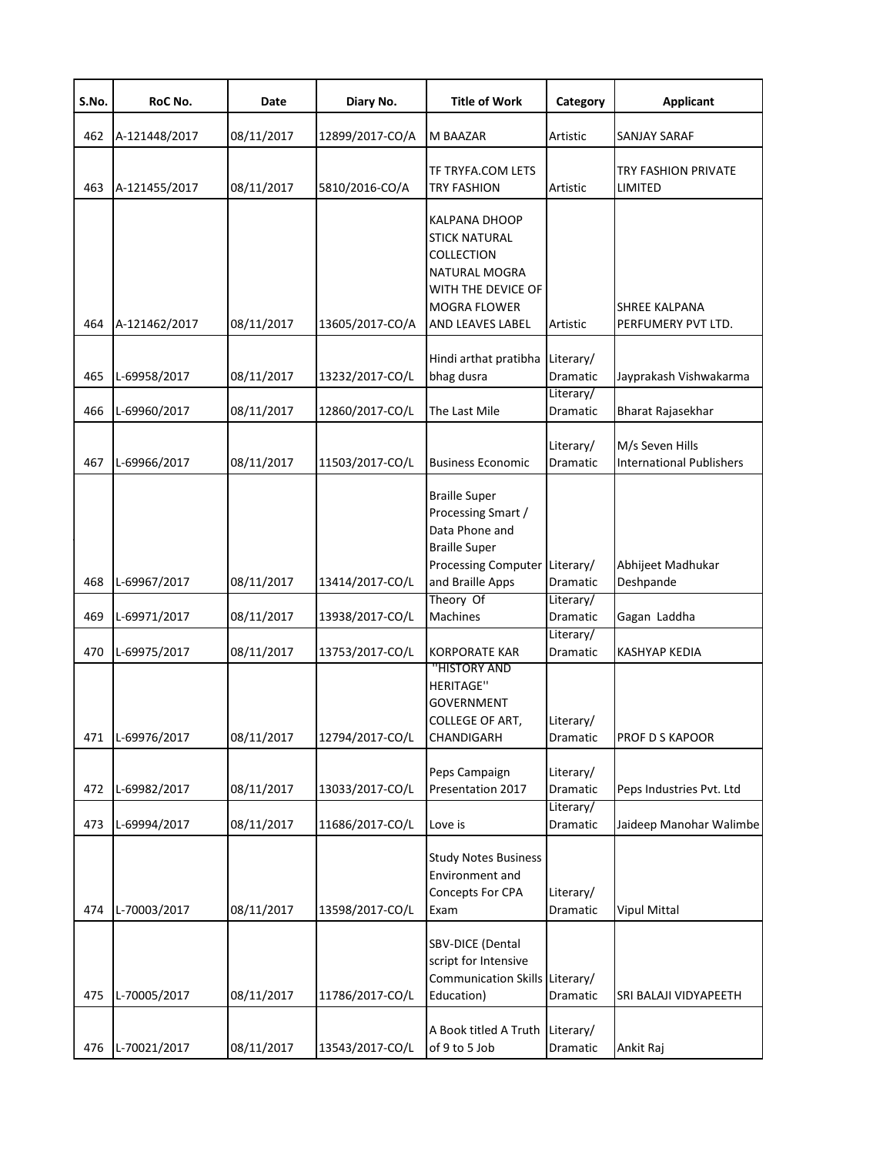| S.No.      | RoC No.                      | Date                     | Diary No.                          | <b>Title of Work</b>                                                                                                                                | Category                          | <b>Applicant</b>                                   |
|------------|------------------------------|--------------------------|------------------------------------|-----------------------------------------------------------------------------------------------------------------------------------------------------|-----------------------------------|----------------------------------------------------|
| 462        | A-121448/2017                | 08/11/2017               | 12899/2017-CO/A                    | M BAAZAR                                                                                                                                            | Artistic                          | SANJAY SARAF                                       |
| 463        | A-121455/2017                | 08/11/2017               | 5810/2016-CO/A                     | TF TRYFA.COM LETS<br><b>TRY FASHION</b>                                                                                                             | Artistic                          | TRY FASHION PRIVATE<br>LIMITED                     |
| 464        | A-121462/2017                | 08/11/2017               | 13605/2017-CO/A                    | <b>KALPANA DHOOP</b><br><b>STICK NATURAL</b><br>COLLECTION<br>NATURAL MOGRA<br>WITH THE DEVICE OF<br><b>MOGRA FLOWER</b><br><b>AND LEAVES LABEL</b> | Artistic                          | <b>SHREE KALPANA</b><br>PERFUMERY PVT LTD.         |
|            |                              |                          |                                    | Hindi arthat pratibha                                                                                                                               | Literary/                         |                                                    |
| 465        | L-69958/2017                 | 08/11/2017               | 13232/2017-CO/L                    | bhag dusra                                                                                                                                          | Dramatic<br>Literary/             | Jayprakash Vishwakarma                             |
| 466        | L-69960/2017                 | 08/11/2017               | 12860/2017-CO/L                    | The Last Mile                                                                                                                                       | Dramatic                          | Bharat Rajasekhar                                  |
| 467        | L-69966/2017                 | 08/11/2017               | 11503/2017-CO/L                    | <b>Business Economic</b>                                                                                                                            | Literary/<br>Dramatic             | M/s Seven Hills<br><b>International Publishers</b> |
| 468        | L-69967/2017                 | 08/11/2017               | 13414/2017-CO/L                    | <b>Braille Super</b><br>Processing Smart /<br>Data Phone and<br><b>Braille Super</b><br>Processing Computer Literary/<br>and Braille Apps           | Dramatic                          | Abhijeet Madhukar<br>Deshpande                     |
|            |                              |                          |                                    | Theory Of                                                                                                                                           | Literary/                         |                                                    |
| 469<br>470 | L-69971/2017<br>L-69975/2017 | 08/11/2017<br>08/11/2017 | 13938/2017-CO/L<br>13753/2017-CO/L | Machines<br><b>KORPORATE KAR</b>                                                                                                                    | Dramatic<br>Literary/<br>Dramatic | Gagan Laddha<br><b>KASHYAP KEDIA</b>               |
| 471        | L-69976/2017                 | 08/11/2017               | 12794/2017-CO/L                    | "HISTORY AND<br><b>HERITAGE"</b><br><b>GOVERNMENT</b><br>COLLEGE OF ART,<br>CHANDIGARH                                                              | Literary/<br>Dramatic             | PROF D S KAPOOR                                    |
| 472        | L-69982/2017                 | 08/11/2017               | 13033/2017-CO/L                    | Peps Campaign<br>Presentation 2017                                                                                                                  | Literary/<br>Dramatic             | Peps Industries Pvt. Ltd                           |
| 473        | L-69994/2017                 | 08/11/2017               | 11686/2017-CO/L                    | Love is                                                                                                                                             | Literary/<br>Dramatic             | Jaideep Manohar Walimbe                            |
| 474        | L-70003/2017                 | 08/11/2017               | 13598/2017-CO/L                    | <b>Study Notes Business</b><br>Environment and<br>Concepts For CPA<br>Exam                                                                          | Literary/<br>Dramatic             | <b>Vipul Mittal</b>                                |
| 475        | L-70005/2017                 | 08/11/2017               | 11786/2017-CO/L                    | SBV-DICE (Dental<br>script for Intensive<br>Communication Skills Literary/<br>Education)                                                            | Dramatic                          | SRI BALAJI VIDYAPEETH                              |
| 476        | L-70021/2017                 | 08/11/2017               | 13543/2017-CO/L                    | A Book titled A Truth<br>of 9 to 5 Job                                                                                                              | Literary/<br>Dramatic             | Ankit Raj                                          |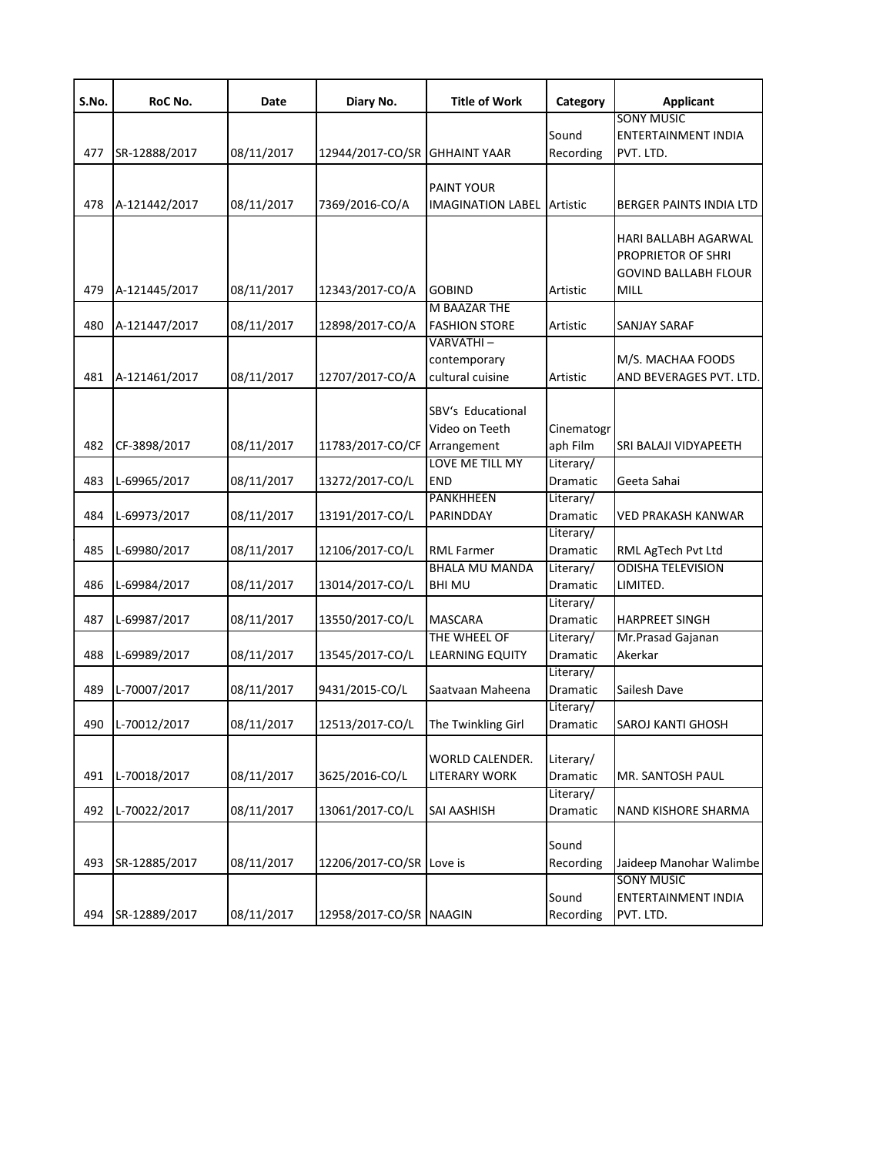| S.No. | RoC No.       | Date       | Diary No.                     | <b>Title of Work</b>   | Category              | <b>Applicant</b>               |
|-------|---------------|------------|-------------------------------|------------------------|-----------------------|--------------------------------|
|       |               |            |                               |                        |                       | <b>SONY MUSIC</b>              |
|       |               |            |                               |                        | Sound                 | ENTERTAINMENT INDIA            |
| 477   | SR-12888/2017 | 08/11/2017 | 12944/2017-CO/SR GHHAINT YAAR |                        | Recording             | PVT. LTD.                      |
|       |               |            |                               |                        |                       |                                |
|       |               |            |                               | PAINT YOUR             |                       |                                |
| 478   | A-121442/2017 | 08/11/2017 | 7369/2016-CO/A                | IMAGINATION LABEL      | Artistic              | <b>BERGER PAINTS INDIA LTD</b> |
|       |               |            |                               |                        |                       | HARI BALLABH AGARWAL           |
|       |               |            |                               |                        |                       | PROPRIETOR OF SHRI             |
|       |               |            |                               |                        |                       | <b>GOVIND BALLABH FLOUR</b>    |
| 479   | A-121445/2017 | 08/11/2017 | 12343/2017-CO/A               | <b>GOBIND</b>          | Artistic              | MILL                           |
|       |               |            |                               | M BAAZAR THE           |                       |                                |
| 480   | A-121447/2017 | 08/11/2017 | 12898/2017-CO/A               | <b>FASHION STORE</b>   | Artistic              | SANJAY SARAF                   |
|       |               |            |                               | VARVATHI –             |                       |                                |
|       |               |            |                               | contemporary           |                       | M/S. MACHAA FOODS              |
| 481   | A-121461/2017 | 08/11/2017 | 12707/2017-CO/A               | cultural cuisine       | Artistic              | AND BEVERAGES PVT. LTD.        |
|       |               |            |                               |                        |                       |                                |
|       |               |            |                               | SBV's Educational      |                       |                                |
|       |               |            |                               | Video on Teeth         | Cinematogr            |                                |
| 482   | CF-3898/2017  | 08/11/2017 | 11783/2017-CO/CF              | Arrangement            | aph Film              | SRI BALAJI VIDYAPEETH          |
|       |               |            |                               | LOVE ME TILL MY        | Literary/             |                                |
| 483   | L-69965/2017  | 08/11/2017 | 13272/2017-CO/L               | <b>END</b>             | Dramatic              | Geeta Sahai                    |
|       |               |            |                               | <b>PANKHHEEN</b>       | Literary/             |                                |
| 484   | L-69973/2017  | 08/11/2017 | 13191/2017-CO/L               | PARINDDAY              | Dramatic              | VED PRAKASH KANWAR             |
|       |               |            |                               |                        | Literary/             |                                |
| 485   | L-69980/2017  | 08/11/2017 | 12106/2017-CO/L               | <b>RML Farmer</b>      | Dramatic              | RML AgTech Pvt Ltd             |
|       |               |            |                               | <b>BHALA MU MANDA</b>  | Literary/             | <b>ODISHA TELEVISION</b>       |
| 486   | L-69984/2017  | 08/11/2017 | 13014/2017-CO/L               | <b>BHI MU</b>          | Dramatic              | LIMITED.                       |
| 487   | L-69987/2017  | 08/11/2017 | 13550/2017-CO/L               | <b>MASCARA</b>         | Literary/<br>Dramatic | <b>HARPREET SINGH</b>          |
|       |               |            |                               | THE WHEEL OF           | Literary/             | Mr.Prasad Gajanan              |
| 488   | L-69989/2017  | 08/11/2017 | 13545/2017-CO/L               | <b>LEARNING EQUITY</b> | Dramatic              | Akerkar                        |
|       |               |            |                               |                        | Literary/             |                                |
| 489   | L-70007/2017  | 08/11/2017 | 9431/2015-CO/L                | Saatvaan Maheena       | Dramatic              | Sailesh Dave                   |
|       |               |            |                               |                        | Literary/             |                                |
| 490   | L-70012/2017  | 08/11/2017 | 12513/2017-CO/L               | The Twinkling Girl     | Dramatic              | <b>SAROJ KANTI GHOSH</b>       |
|       |               |            |                               |                        |                       |                                |
|       |               |            |                               | WORLD CALENDER.        | Literary/             |                                |
| 491   | L-70018/2017  | 08/11/2017 | 3625/2016-CO/L                | LITERARY WORK          | Dramatic              | MR. SANTOSH PAUL               |
|       |               |            |                               |                        | Literary/             |                                |
| 492   | L-70022/2017  | 08/11/2017 | 13061/2017-CO/L               | SAI AASHISH            | Dramatic              | NAND KISHORE SHARMA            |
|       |               |            |                               |                        |                       |                                |
|       |               |            |                               |                        | Sound                 |                                |
| 493   | SR-12885/2017 | 08/11/2017 | 12206/2017-CO/SR Love is      |                        | Recording             | Jaideep Manohar Walimbe        |
|       |               |            |                               |                        |                       | <b>SONY MUSIC</b>              |
|       |               |            |                               |                        | Sound                 | <b>ENTERTAINMENT INDIA</b>     |
| 494   | SR-12889/2017 | 08/11/2017 | 12958/2017-CO/SR NAAGIN       |                        | Recording             | PVT. LTD.                      |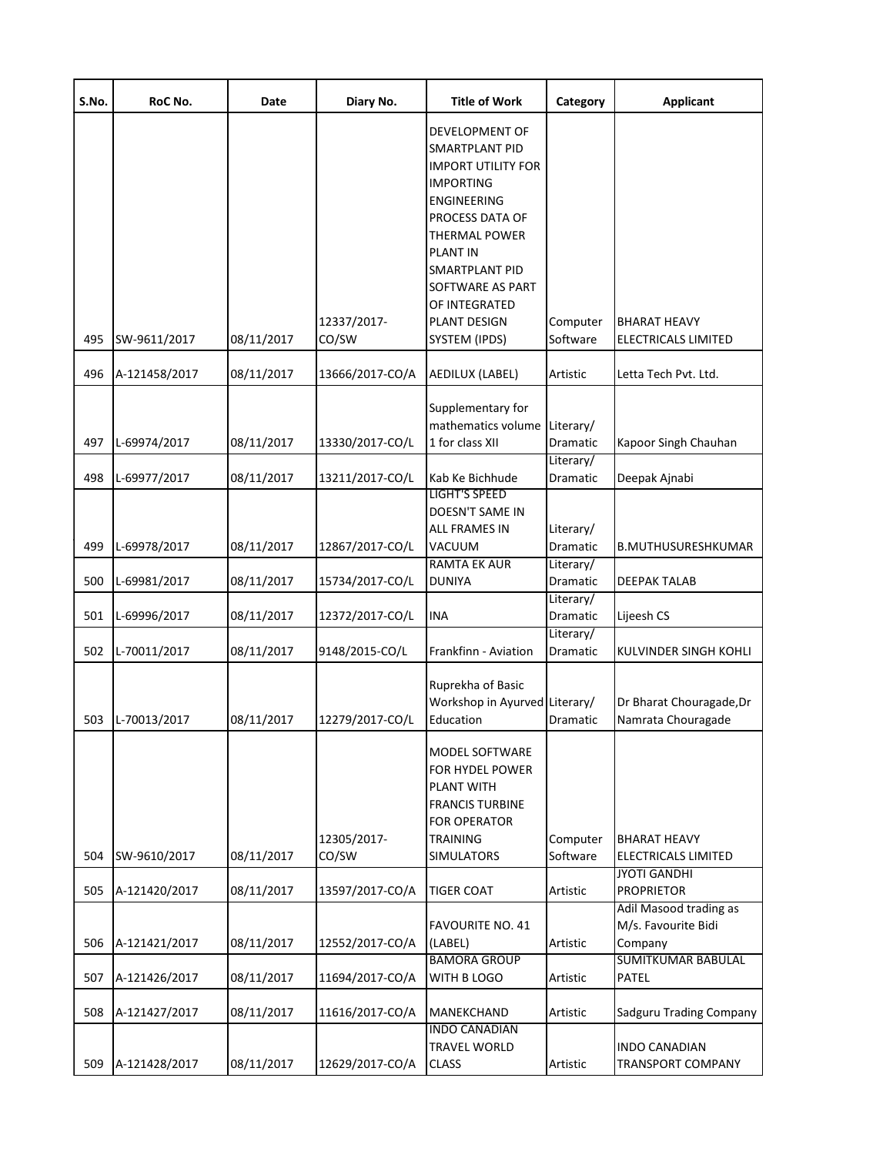| S.No. | RoC No.       | Date       | Diary No.       | <b>Title of Work</b>                                                                                                                                                                                                                                       | Category                           | <b>Applicant</b>                                                                      |
|-------|---------------|------------|-----------------|------------------------------------------------------------------------------------------------------------------------------------------------------------------------------------------------------------------------------------------------------------|------------------------------------|---------------------------------------------------------------------------------------|
|       |               |            | 12337/2017-     | DEVELOPMENT OF<br><b>SMARTPLANT PID</b><br><b>IMPORT UTILITY FOR</b><br><b>IMPORTING</b><br><b>ENGINEERING</b><br>PROCESS DATA OF<br><b>THERMAL POWER</b><br><b>PLANT IN</b><br>SMARTPLANT PID<br>SOFTWARE AS PART<br>OF INTEGRATED<br><b>PLANT DESIGN</b> | Computer                           | <b>BHARAT HEAVY</b>                                                                   |
| 495   | SW-9611/2017  | 08/11/2017 | CO/SW           | SYSTEM (IPDS)                                                                                                                                                                                                                                              | Software                           | <b>ELECTRICALS LIMITED</b>                                                            |
| 496   | A-121458/2017 | 08/11/2017 | 13666/2017-CO/A | AEDILUX (LABEL)                                                                                                                                                                                                                                            | Artistic                           | Letta Tech Pvt. Ltd.                                                                  |
| 497   | L-69974/2017  | 08/11/2017 | 13330/2017-CO/L | Supplementary for<br>mathematics volume<br>1 for class XII                                                                                                                                                                                                 | Literary/<br>Dramatic<br>Literary/ | Kapoor Singh Chauhan                                                                  |
| 498   | L-69977/2017  | 08/11/2017 | 13211/2017-CO/L | Kab Ke Bichhude                                                                                                                                                                                                                                            | Dramatic                           | Deepak Ajnabi                                                                         |
| 499   | L-69978/2017  | 08/11/2017 | 12867/2017-CO/L | <b>LIGHT'S SPEED</b><br>DOESN'T SAME IN<br><b>ALL FRAMES IN</b><br>VACUUM<br><b>RAMTA EK AUR</b>                                                                                                                                                           | Literary/<br>Dramatic<br>Literary/ | <b>B.MUTHUSURESHKUMAR</b>                                                             |
| 500   | L-69981/2017  | 08/11/2017 | 15734/2017-CO/L | <b>DUNIYA</b>                                                                                                                                                                                                                                              | Dramatic                           | <b>DEEPAK TALAB</b>                                                                   |
| 501   | L-69996/2017  | 08/11/2017 | 12372/2017-CO/L | INA                                                                                                                                                                                                                                                        | Literary/<br>Dramatic              | Lijeesh CS                                                                            |
| 502   | L-70011/2017  | 08/11/2017 | 9148/2015-CO/L  | Frankfinn - Aviation                                                                                                                                                                                                                                       | Literary/<br>Dramatic              | KULVINDER SINGH KOHLI                                                                 |
| 503   | L-70013/2017  | 08/11/2017 | 12279/2017-CO/L | Ruprekha of Basic<br>Workshop in Ayurved Literary/<br>Education                                                                                                                                                                                            | Dramatic                           | Dr Bharat Chouragade, Dr<br>Namrata Chouragade                                        |
|       |               |            | 12305/2017-     | <b>MODEL SOFTWARE</b><br>FOR HYDEL POWER<br><b>PLANT WITH</b><br><b>FRANCIS TURBINE</b><br><b>FOR OPERATOR</b><br><b>TRAINING</b>                                                                                                                          | Computer                           | <b>BHARAT HEAVY</b>                                                                   |
| 504   | SW-9610/2017  | 08/11/2017 | CO/SW           | <b>SIMULATORS</b>                                                                                                                                                                                                                                          | Software                           | <b>ELECTRICALS LIMITED</b>                                                            |
| 505   | A-121420/2017 | 08/11/2017 | 13597/2017-CO/A | <b>TIGER COAT</b>                                                                                                                                                                                                                                          | Artistic                           | <b>JYOTI GANDHI</b><br><b>PROPRIETOR</b>                                              |
| 506   | A-121421/2017 | 08/11/2017 | 12552/2017-CO/A | <b>FAVOURITE NO. 41</b><br>(LABEL)<br><b>BAMORA GROUP</b>                                                                                                                                                                                                  | Artistic                           | Adil Masood trading as<br>M/s. Favourite Bidi<br>Company<br><b>SUMITKUMAR BABULAL</b> |
| 507   | A-121426/2017 | 08/11/2017 | 11694/2017-CO/A | WITH B LOGO                                                                                                                                                                                                                                                | Artistic                           | PATEL                                                                                 |
| 508   | A-121427/2017 | 08/11/2017 | 11616/2017-CO/A | MANEKCHAND<br><b>INDO CANADIAN</b>                                                                                                                                                                                                                         | Artistic                           | Sadguru Trading Company                                                               |
| 509   | A-121428/2017 | 08/11/2017 | 12629/2017-CO/A | <b>TRAVEL WORLD</b><br><b>CLASS</b>                                                                                                                                                                                                                        | Artistic                           | <b>INDO CANADIAN</b><br>TRANSPORT COMPANY                                             |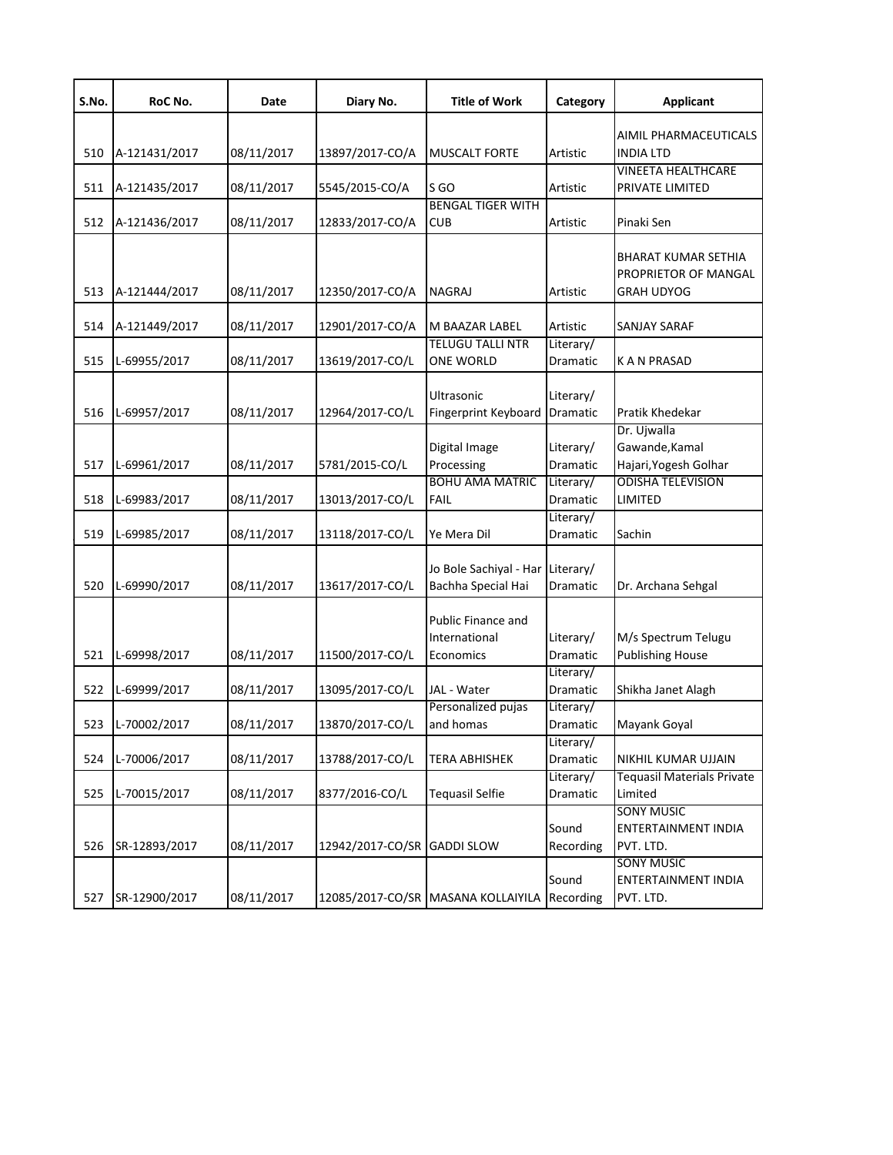| S.No. | RoC No.       | Date       | Diary No.        | <b>Title of Work</b>               | Category  | <b>Applicant</b>                  |
|-------|---------------|------------|------------------|------------------------------------|-----------|-----------------------------------|
|       |               |            |                  |                                    |           | AIMIL PHARMACEUTICALS             |
| 510   | A-121431/2017 | 08/11/2017 | 13897/2017-CO/A  | <b>MUSCALT FORTE</b>               | Artistic  | INDIA LTD                         |
|       |               |            |                  |                                    |           | <b>VINEETA HEALTHCARE</b>         |
| 511   | A-121435/2017 | 08/11/2017 | 5545/2015-CO/A   | S <sub>GO</sub>                    | Artistic  | PRIVATE LIMITED                   |
|       |               |            |                  | <b>BENGAL TIGER WITH</b>           |           |                                   |
| 512   | A-121436/2017 | 08/11/2017 | 12833/2017-CO/A  | <b>CUB</b>                         | Artistic  | Pinaki Sen                        |
|       |               |            |                  |                                    |           |                                   |
|       |               |            |                  |                                    |           | <b>BHARAT KUMAR SETHIA</b>        |
|       |               |            |                  |                                    |           | PROPRIETOR OF MANGAL              |
| 513   | A-121444/2017 | 08/11/2017 | 12350/2017-CO/A  | <b>NAGRAJ</b>                      | Artistic  | GRAH UDYOG                        |
|       |               |            |                  |                                    |           |                                   |
| 514   | A-121449/2017 | 08/11/2017 | 12901/2017-CO/A  | M BAAZAR LABEL                     | Artistic  | SANJAY SARAF                      |
|       |               |            |                  | <b>TELUGU TALLI NTR</b>            | Literary/ |                                   |
| 515   | L-69955/2017  | 08/11/2017 | 13619/2017-CO/L  | <b>ONE WORLD</b>                   | Dramatic  | K A N PRASAD                      |
|       |               |            |                  |                                    |           |                                   |
|       |               |            |                  | Ultrasonic                         | Literary/ |                                   |
| 516   | L-69957/2017  | 08/11/2017 | 12964/2017-CO/L  | Fingerprint Keyboard               | Dramatic  | Pratik Khedekar                   |
|       |               |            |                  |                                    |           | Dr. Ujwalla                       |
|       |               |            |                  | Digital Image                      | Literary/ | Gawande, Kamal                    |
| 517   | L-69961/2017  | 08/11/2017 | 5781/2015-CO/L   | Processing                         | Dramatic  | Hajari, Yogesh Golhar             |
|       |               |            |                  | <b>BOHU AMA MATRIC</b>             | Literary/ | ODISHA TELEVISION                 |
| 518   | L-69983/2017  | 08/11/2017 | 13013/2017-CO/L  | <b>FAIL</b>                        | Dramatic  | LIMITED                           |
|       |               |            |                  |                                    | Literary/ |                                   |
| 519   | L-69985/2017  | 08/11/2017 | 13118/2017-CO/L  | Ye Mera Dil                        | Dramatic  | Sachin                            |
|       |               |            |                  |                                    |           |                                   |
|       |               |            |                  | Jo Bole Sachiyal - Har Literary/   |           |                                   |
| 520   | L-69990/2017  | 08/11/2017 | 13617/2017-CO/L  | Bachha Special Hai                 | Dramatic  | Dr. Archana Sehgal                |
|       |               |            |                  |                                    |           |                                   |
|       |               |            |                  | Public Finance and                 |           |                                   |
|       |               |            |                  | International                      | Literary/ | M/s Spectrum Telugu               |
| 521   | L-69998/2017  | 08/11/2017 | 11500/2017-CO/L  | Economics                          | Dramatic  | <b>Publishing House</b>           |
|       |               |            |                  |                                    | Literary/ |                                   |
| 522   | L-69999/2017  | 08/11/2017 | 13095/2017-CO/L  | JAL - Water                        | Dramatic  | Shikha Janet Alagh                |
|       |               |            |                  | Personalized pujas                 | Literary/ |                                   |
| 523   | L-70002/2017  | 08/11/2017 | 13870/2017-CO/L  | and homas                          | Dramatic  | Mayank Goyal                      |
|       |               |            |                  |                                    | Literary/ |                                   |
| 524   | L-70006/2017  | 08/11/2017 | 13788/2017-CO/L  | <b>TERA ABHISHEK</b>               | Dramatic  | NIKHIL KUMAR UJJAIN               |
|       |               |            |                  |                                    | Literary/ | <b>Tequasil Materials Private</b> |
| 525   | L-70015/2017  | 08/11/2017 | 8377/2016-CO/L   | <b>Tequasil Selfie</b>             | Dramatic  | Limited                           |
|       |               |            |                  |                                    |           | <b>SONY MUSIC</b>                 |
|       |               |            |                  |                                    | Sound     | ENTERTAINMENT INDIA               |
| 526   | SR-12893/2017 | 08/11/2017 | 12942/2017-CO/SR | <b>GADDI SLOW</b>                  | Recording | PVT. LTD.                         |
|       |               |            |                  |                                    |           | <b>SONY MUSIC</b>                 |
|       |               |            |                  |                                    | Sound     | ENTERTAINMENT INDIA               |
| 527   | SR-12900/2017 | 08/11/2017 |                  | 12085/2017-CO/SR MASANA KOLLAIYILA | Recording | PVT. LTD.                         |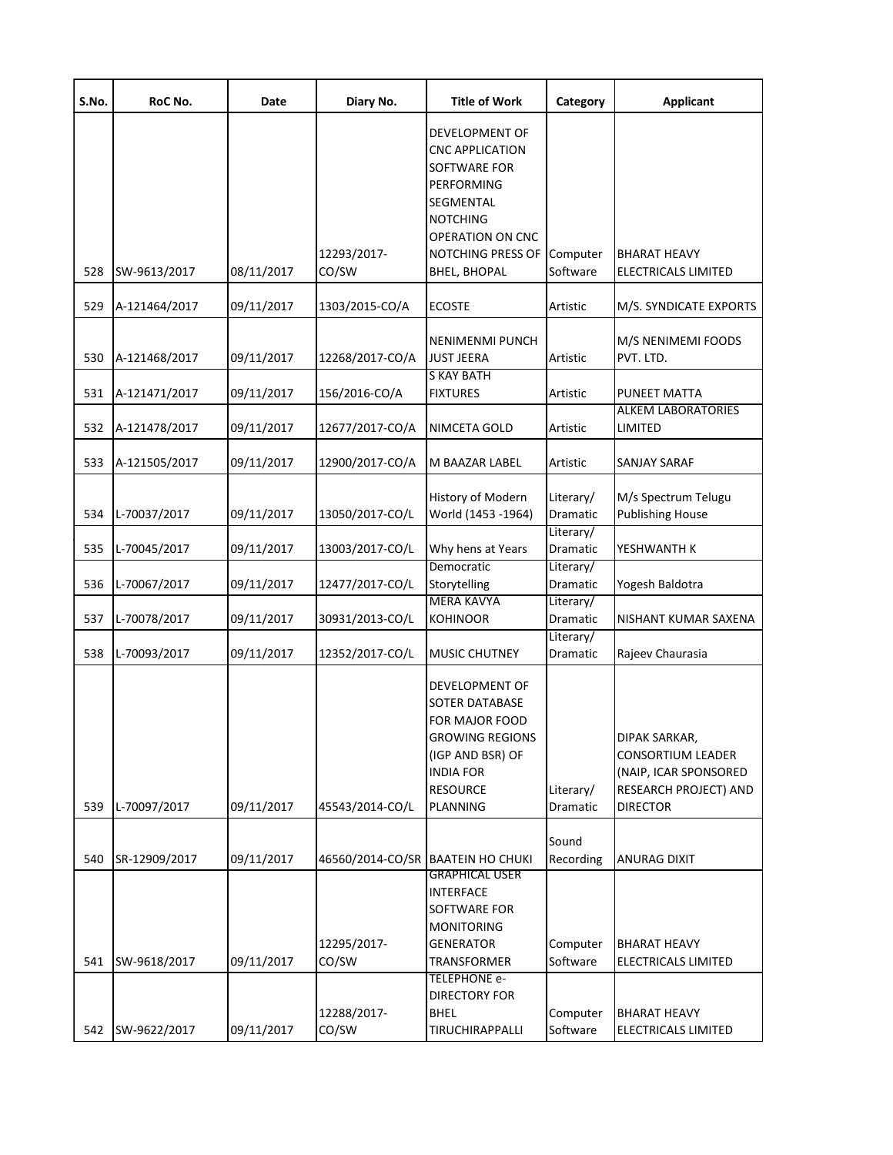| S.No. | RoC No.       | Date       | Diary No.            | <b>Title of Work</b>                                                                                                                                              | Category              | <b>Applicant</b>                                                                                                      |
|-------|---------------|------------|----------------------|-------------------------------------------------------------------------------------------------------------------------------------------------------------------|-----------------------|-----------------------------------------------------------------------------------------------------------------------|
|       |               |            | 12293/2017-          | DEVELOPMENT OF<br><b>CNC APPLICATION</b><br>SOFTWARE FOR<br>PERFORMING<br>SEGMENTAL<br><b>NOTCHING</b><br>OPERATION ON CNC<br>NOTCHING PRESS OF                   | Computer              | <b>BHARAT HEAVY</b>                                                                                                   |
| 528   | SW-9613/2017  | 08/11/2017 | CO/SW                | BHEL, BHOPAL                                                                                                                                                      | Software              | ELECTRICALS LIMITED                                                                                                   |
| 529   | A-121464/2017 | 09/11/2017 | 1303/2015-CO/A       | <b>ECOSTE</b>                                                                                                                                                     | Artistic              | M/S. SYNDICATE EXPORTS                                                                                                |
| 530   | A-121468/2017 | 09/11/2017 | 12268/2017-CO/A      | NENIMENMI PUNCH<br><b>JUST JEERA</b>                                                                                                                              | Artistic              | M/S NENIMEMI FOODS<br>PVT. LTD.                                                                                       |
| 531   | A-121471/2017 | 09/11/2017 | 156/2016-CO/A        | <b>S KAY BATH</b><br><b>FIXTURES</b>                                                                                                                              | Artistic              | PUNEET MATTA                                                                                                          |
| 532   | A-121478/2017 | 09/11/2017 | 12677/2017-CO/A      | NIMCETA GOLD                                                                                                                                                      | Artistic              | <b>ALKEM LABORATORIES</b><br>LIMITED                                                                                  |
| 533   | A-121505/2017 | 09/11/2017 | 12900/2017-CO/A      | M BAAZAR LABEL                                                                                                                                                    | Artistic              | SANJAY SARAF                                                                                                          |
| 534   | L-70037/2017  | 09/11/2017 | 13050/2017-CO/L      | History of Modern<br>World (1453 -1964)                                                                                                                           | Literary/<br>Dramatic | M/s Spectrum Telugu<br><b>Publishing House</b>                                                                        |
| 535   | L-70045/2017  | 09/11/2017 | 13003/2017-CO/L      | Why hens at Years<br>Democratic                                                                                                                                   | Literary/<br>Dramatic | YESHWANTH K                                                                                                           |
| 536   | L-70067/2017  | 09/11/2017 | 12477/2017-CO/L      | Storytelling                                                                                                                                                      | Literary/<br>Dramatic | Yogesh Baldotra                                                                                                       |
| 537   | L-70078/2017  | 09/11/2017 | 30931/2013-CO/L      | <b>MERA KAVYA</b><br><b>KOHINOOR</b>                                                                                                                              | Literary/<br>Dramatic | NISHANT KUMAR SAXENA                                                                                                  |
| 538   | L-70093/2017  | 09/11/2017 | 12352/2017-CO/L      | <b>MUSIC CHUTNEY</b>                                                                                                                                              | Literary/<br>Dramatic | Rajeev Chaurasia                                                                                                      |
| 539   | L-70097/2017  | 09/11/2017 | 45543/2014-CO/L      | DEVELOPMENT OF<br><b>SOTER DATABASE</b><br>FOR MAJOR FOOD<br><b>GROWING REGIONS</b><br>(IGP AND BSR) OF<br><b>INDIA FOR</b><br><b>RESOURCE</b><br><b>PLANNING</b> | Literary/<br>Dramatic | DIPAK SARKAR,<br><b>CONSORTIUM LEADER</b><br>(NAIP, ICAR SPONSORED<br><b>RESEARCH PROJECT) AND</b><br><b>DIRECTOR</b> |
|       |               |            |                      |                                                                                                                                                                   | Sound                 |                                                                                                                       |
| 540   | SR-12909/2017 | 09/11/2017 |                      | 46560/2014-CO/SR BAATEIN HO CHUKI                                                                                                                                 | Recording             | <b>ANURAG DIXIT</b>                                                                                                   |
| 541   | SW-9618/2017  | 09/11/2017 | 12295/2017-<br>CO/SW | <b>GRAPHICAL USER</b><br><b>INTERFACE</b><br>SOFTWARE FOR<br><b>MONITORING</b><br>GENERATOR<br>TRANSFORMER                                                        | Computer<br>Software  | <b>BHARAT HEAVY</b><br>ELECTRICALS LIMITED                                                                            |
|       |               |            | 12288/2017-          | TELEPHONE e-<br>DIRECTORY FOR<br><b>BHEL</b>                                                                                                                      | Computer              | <b>BHARAT HEAVY</b>                                                                                                   |
| 542   | SW-9622/2017  | 09/11/2017 | CO/SW                | TIRUCHIRAPPALLI                                                                                                                                                   | Software              | ELECTRICALS LIMITED                                                                                                   |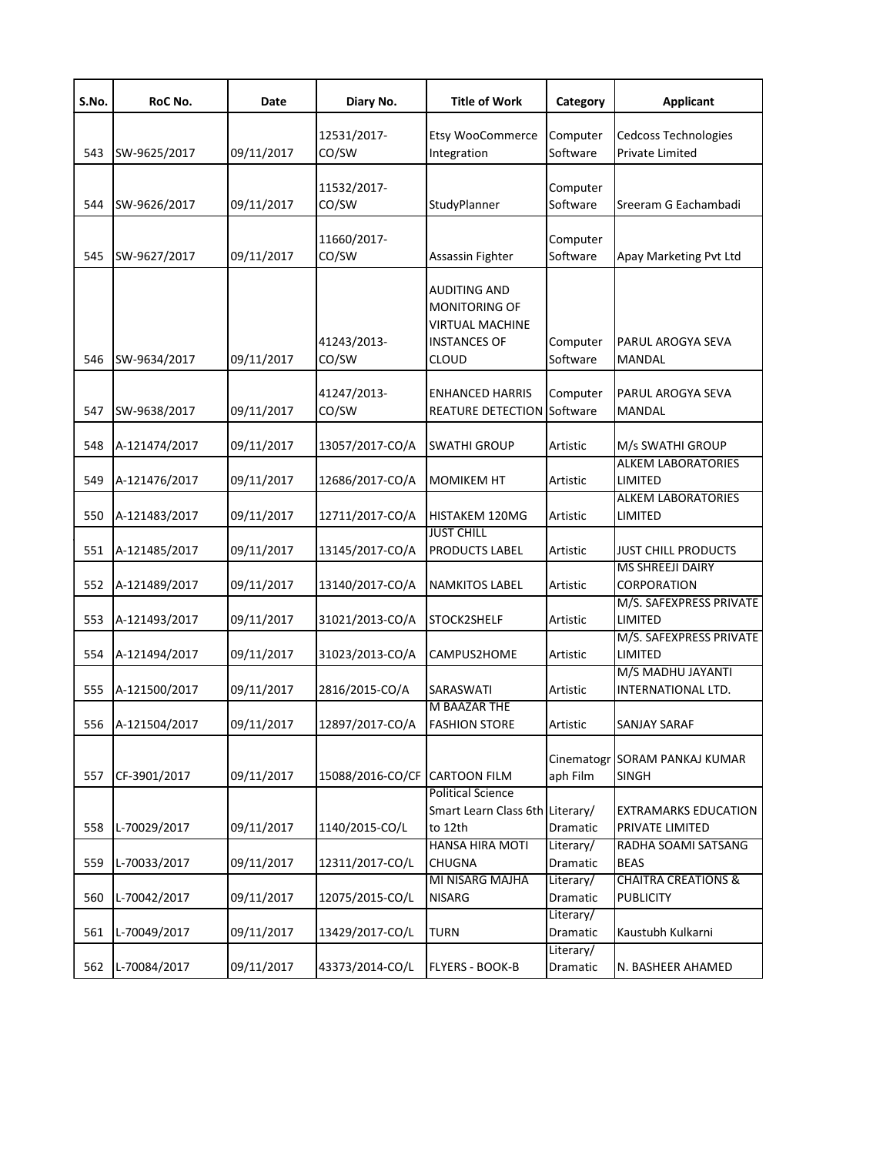| S.No. | RoC No.       | Date       | Diary No.                     | <b>Title of Work</b>                                                                                  | Category               | <b>Applicant</b>                                   |
|-------|---------------|------------|-------------------------------|-------------------------------------------------------------------------------------------------------|------------------------|----------------------------------------------------|
| 543   | SW-9625/2017  | 09/11/2017 | 12531/2017-<br>CO/SW          | Etsy WooCommerce<br>Integration                                                                       | Computer<br>Software   | Cedcoss Technologies<br>Private Limited            |
| 544   | SW-9626/2017  | 09/11/2017 | 11532/2017-<br>CO/SW          | StudyPlanner                                                                                          | Computer<br>Software   | Sreeram G Eachambadi                               |
| 545   | SW-9627/2017  | 09/11/2017 | 11660/2017-<br>CO/SW          | Assassin Fighter                                                                                      | Computer<br>Software   | Apay Marketing Pvt Ltd                             |
| 546   | SW-9634/2017  | 09/11/2017 | 41243/2013-<br>CO/SW          | <b>AUDITING AND</b><br>MONITORING OF<br><b>VIRTUAL MACHINE</b><br><b>INSTANCES OF</b><br><b>CLOUD</b> | Computer<br>Software   | PARUL AROGYA SEVA<br>MANDAL                        |
| 547   | SW-9638/2017  | 09/11/2017 | 41247/2013-<br>CO/SW          | <b>ENHANCED HARRIS</b><br><b>REATURE DETECTION Software</b>                                           | Computer               | PARUL AROGYA SEVA<br>MANDAL                        |
| 548   | A-121474/2017 | 09/11/2017 | 13057/2017-CO/A               | <b>SWATHI GROUP</b>                                                                                   | Artistic               | M/s SWATHI GROUP                                   |
| 549   | A-121476/2017 | 09/11/2017 | 12686/2017-CO/A               | <b>MOMIKEM HT</b>                                                                                     | Artistic               | <b>ALKEM LABORATORIES</b><br>LIMITED               |
| 550   | A-121483/2017 | 09/11/2017 | 12711/2017-CO/A               | HISTAKEM 120MG                                                                                        | Artistic               | <b>ALKEM LABORATORIES</b><br>LIMITED               |
| 551   | A-121485/2017 | 09/11/2017 | 13145/2017-CO/A               | <b>JUST CHILL</b><br><b>PRODUCTS LABEL</b>                                                            | Artistic               | <b>JUST CHILL PRODUCTS</b>                         |
| 552   | A-121489/2017 | 09/11/2017 | 13140/2017-CO/A               | <b>NAMKITOS LABEL</b>                                                                                 | Artistic               | <b>MS SHREEJI DAIRY</b><br>CORPORATION             |
| 553   | A-121493/2017 | 09/11/2017 | 31021/2013-CO/A               | STOCK2SHELF                                                                                           | Artistic               | M/S. SAFEXPRESS PRIVATE<br>LIMITED                 |
| 554   | A-121494/2017 | 09/11/2017 | 31023/2013-CO/A               | CAMPUS2HOME                                                                                           | Artistic               | M/S. SAFEXPRESS PRIVATE<br>LIMITED                 |
| 555   | A-121500/2017 | 09/11/2017 | 2816/2015-CO/A                | SARASWATI                                                                                             | Artistic               | M/S MADHU JAYANTI<br>INTERNATIONAL LTD.            |
| 556   | A-121504/2017 | 09/11/2017 | 12897/2017-CO/A               | M BAAZAR THE<br><b>FASHION STORE</b>                                                                  | Artistic               | SANJAY SARAF                                       |
| 557   | CF-3901/2017  | 09/11/2017 | 15088/2016-CO/CF CARTOON FILM |                                                                                                       | Cinematogr<br>aph Film | <b>SORAM PANKAJ KUMAR</b><br><b>SINGH</b>          |
| 558   | L-70029/2017  | 09/11/2017 | 1140/2015-CO/L                | <b>Political Science</b><br>Smart Learn Class 6th Literary/<br>to 12th                                | Dramatic               | EXTRAMARKS EDUCATION<br>PRIVATE LIMITED            |
| 559   | L-70033/2017  | 09/11/2017 | 12311/2017-CO/L               | <b>HANSA HIRA MOTI</b><br><b>CHUGNA</b>                                                               | Literary/<br>Dramatic  | RADHA SOAMI SATSANG<br><b>BEAS</b>                 |
| 560   | L-70042/2017  | 09/11/2017 | 12075/2015-CO/L               | MI NISARG MAJHA<br><b>NISARG</b>                                                                      | Literary/<br>Dramatic  | <b>CHAITRA CREATIONS &amp;</b><br><b>PUBLICITY</b> |
| 561   | L-70049/2017  | 09/11/2017 | 13429/2017-CO/L               | <b>TURN</b>                                                                                           | Literary/<br>Dramatic  | Kaustubh Kulkarni                                  |
| 562   | L-70084/2017  | 09/11/2017 | 43373/2014-CO/L               | FLYERS - BOOK-B                                                                                       | Literary/<br>Dramatic  | N. BASHEER AHAMED                                  |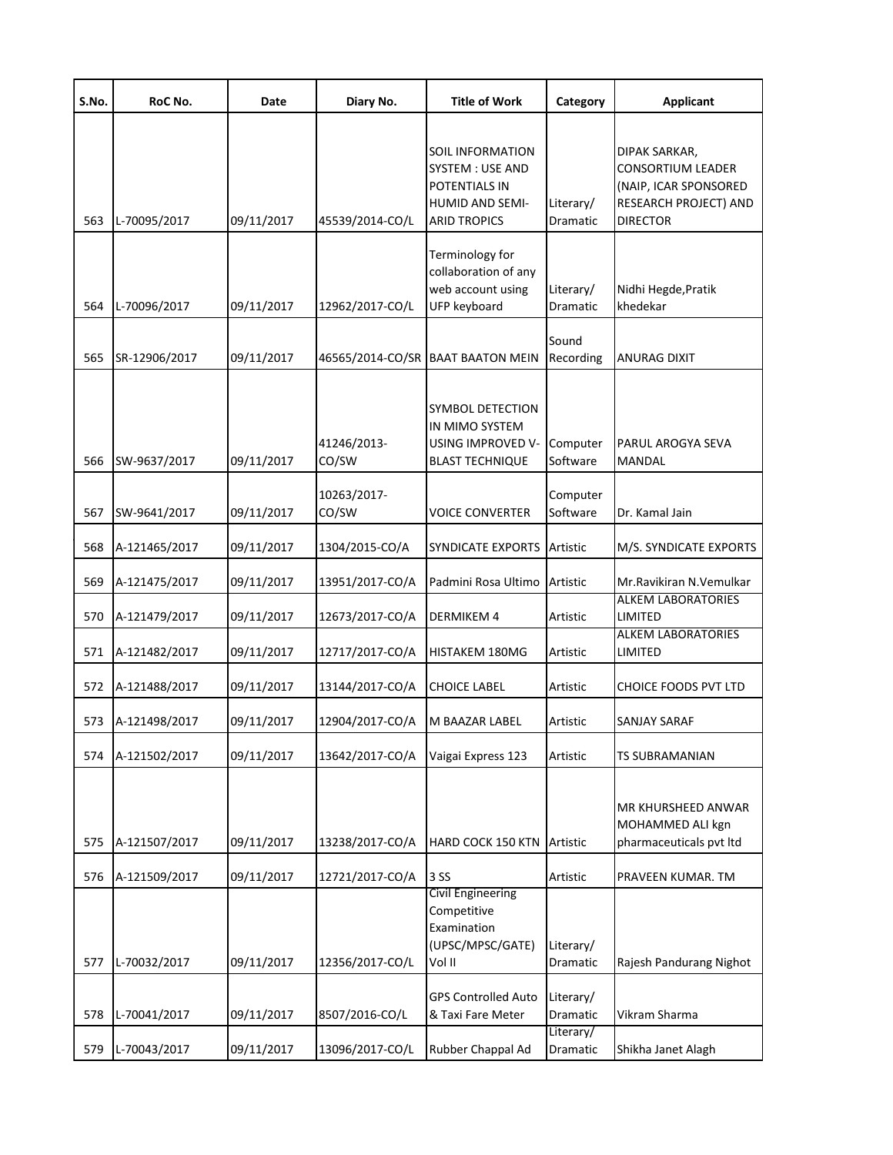| S.No. | RoC No.       | Date       | Diary No.            | <b>Title of Work</b>                                                                                   | Category              | <b>Applicant</b>                                                                                               |
|-------|---------------|------------|----------------------|--------------------------------------------------------------------------------------------------------|-----------------------|----------------------------------------------------------------------------------------------------------------|
| 563   | L-70095/2017  | 09/11/2017 | 45539/2014-CO/L      | SOIL INFORMATION<br>SYSTEM : USE AND<br>POTENTIALS IN<br><b>HUMID AND SEMI-</b><br><b>ARID TROPICS</b> | Literary/<br>Dramatic | DIPAK SARKAR,<br><b>CONSORTIUM LEADER</b><br>(NAIP, ICAR SPONSORED<br>RESEARCH PROJECT) AND<br><b>DIRECTOR</b> |
| 564   | L-70096/2017  | 09/11/2017 | 12962/2017-CO/L      | Terminology for<br>collaboration of any<br>web account using<br>UFP keyboard                           | Literary/<br>Dramatic | Nidhi Hegde, Pratik<br>khedekar                                                                                |
| 565   | SR-12906/2017 | 09/11/2017 |                      | 46565/2014-CO/SR BAAT BAATON MEIN                                                                      | Sound<br>Recording    | <b>ANURAG DIXIT</b>                                                                                            |
| 566   | SW-9637/2017  | 09/11/2017 | 41246/2013-<br>CO/SW | <b>SYMBOL DETECTION</b><br>IN MIMO SYSTEM<br>USING IMPROVED V-<br><b>BLAST TECHNIQUE</b>               | Computer<br>Software  | PARUL AROGYA SEVA<br><b>MANDAL</b>                                                                             |
| 567   | SW-9641/2017  | 09/11/2017 | 10263/2017-<br>CO/SW | <b>VOICE CONVERTER</b>                                                                                 | Computer<br>Software  | Dr. Kamal Jain                                                                                                 |
| 568   | A-121465/2017 | 09/11/2017 | 1304/2015-CO/A       | SYNDICATE EXPORTS                                                                                      | Artistic              | M/S. SYNDICATE EXPORTS                                                                                         |
| 569   | A-121475/2017 | 09/11/2017 | 13951/2017-CO/A      | Padmini Rosa Ultimo                                                                                    | Artistic              | Mr.Ravikiran N.Vemulkar                                                                                        |
| 570   | A-121479/2017 | 09/11/2017 | 12673/2017-CO/A      | <b>DERMIKEM 4</b>                                                                                      | Artistic              | <b>ALKEM LABORATORIES</b><br>LIMITED                                                                           |
| 571   | A-121482/2017 | 09/11/2017 | 12717/2017-CO/A      | HISTAKEM 180MG                                                                                         | Artistic              | <b>ALKEM LABORATORIES</b><br>LIMITED                                                                           |
| 572   | A-121488/2017 | 09/11/2017 | 13144/2017-CO/A      | <b>CHOICE LABEL</b>                                                                                    | Artistic              | CHOICE FOODS PVT LTD                                                                                           |
| 573   | A-121498/2017 | 09/11/2017 | 12904/2017-CO/A      | M BAAZAR LABEL                                                                                         | Artistic              | SANJAY SARAF                                                                                                   |
| 574   | A-121502/2017 | 09/11/2017 | 13642/2017-CO/A      | Vaigai Express 123                                                                                     | Artistic              | TS SUBRAMANIAN                                                                                                 |
| 575   | A-121507/2017 | 09/11/2017 | 13238/2017-CO/A      | <b>HARD COCK 150 KTN</b>                                                                               | Artistic              | MR KHURSHEED ANWAR<br>MOHAMMED ALI kgn<br>pharmaceuticals pvt ltd                                              |
| 576   | A-121509/2017 | 09/11/2017 | 12721/2017-CO/A      | 3 SS                                                                                                   | Artistic              | PRAVEEN KUMAR. TM                                                                                              |
| 577   | L-70032/2017  | 09/11/2017 | 12356/2017-CO/L      | Civil Engineering<br>Competitive<br>Examination<br>(UPSC/MPSC/GATE)<br>Vol II                          | Literary/<br>Dramatic | Rajesh Pandurang Nighot                                                                                        |
| 578   | L-70041/2017  | 09/11/2017 | 8507/2016-CO/L       | <b>GPS Controlled Auto</b><br>& Taxi Fare Meter                                                        | Literary/<br>Dramatic | Vikram Sharma                                                                                                  |
| 579   | L-70043/2017  | 09/11/2017 | 13096/2017-CO/L      | Rubber Chappal Ad                                                                                      | Literary/<br>Dramatic | Shikha Janet Alagh                                                                                             |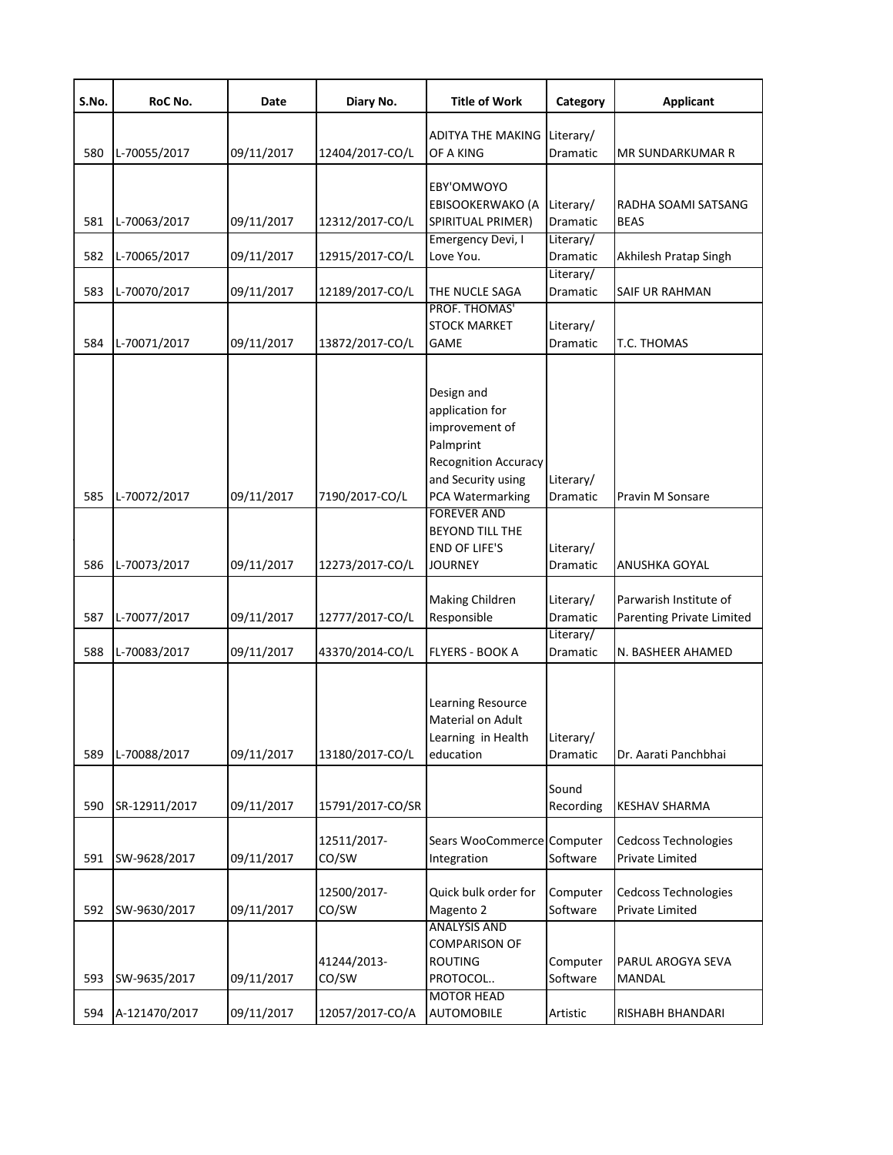| S.No. | RoC No.       | Date       | Diary No.            | <b>Title of Work</b>                                                                                                                         | Category              | <b>Applicant</b>                                      |
|-------|---------------|------------|----------------------|----------------------------------------------------------------------------------------------------------------------------------------------|-----------------------|-------------------------------------------------------|
| 580   | L-70055/2017  | 09/11/2017 | 12404/2017-CO/L      | <b>ADITYA THE MAKING</b><br>OF A KING                                                                                                        | Literary/<br>Dramatic | MR SUNDARKUMAR R                                      |
| 581   | L-70063/2017  | 09/11/2017 | 12312/2017-CO/L      | EBY'OMWOYO<br>EBISOOKERWAKO (A<br>SPIRITUAL PRIMER)                                                                                          | Literary/<br>Dramatic | RADHA SOAMI SATSANG<br><b>BEAS</b>                    |
| 582   | L-70065/2017  | 09/11/2017 | 12915/2017-CO/L      | Emergency Devi, I<br>Love You.                                                                                                               | Literary/<br>Dramatic | Akhilesh Pratap Singh                                 |
| 583   | L-70070/2017  | 09/11/2017 | 12189/2017-CO/L      | THE NUCLE SAGA                                                                                                                               | Literary/<br>Dramatic | SAIF UR RAHMAN                                        |
| 584   | L-70071/2017  | 09/11/2017 | 13872/2017-CO/L      | PROF. THOMAS'<br><b>STOCK MARKET</b><br><b>GAME</b>                                                                                          | Literary/<br>Dramatic | T.C. THOMAS                                           |
| 585   | L-70072/2017  | 09/11/2017 | 7190/2017-CO/L       | Design and<br>application for<br>improvement of<br>Palmprint<br><b>Recognition Accuracy</b><br>and Security using<br><b>PCA Watermarking</b> | Literary/<br>Dramatic | Pravin M Sonsare                                      |
| 586   | L-70073/2017  | 09/11/2017 | 12273/2017-CO/L      | <b>FOREVER AND</b><br><b>BEYOND TILL THE</b><br><b>END OF LIFE'S</b><br><b>JOURNEY</b>                                                       | Literary/<br>Dramatic | ANUSHKA GOYAL                                         |
| 587   | L-70077/2017  | 09/11/2017 | 12777/2017-CO/L      | <b>Making Children</b><br>Responsible                                                                                                        | Literary/<br>Dramatic | Parwarish Institute of<br>Parenting Private Limited   |
| 588   | L-70083/2017  | 09/11/2017 | 43370/2014-CO/L      | <b>FLYERS - BOOK A</b>                                                                                                                       | Literary/<br>Dramatic | N. BASHEER AHAMED                                     |
| 589   | L-70088/2017  | 09/11/2017 | 13180/2017-CO/L      | Learning Resource<br><b>Material on Adult</b><br>Learning in Health<br>education                                                             | Literary/<br>Dramatic | Dr. Aarati Panchbhai                                  |
| 590   | SR-12911/2017 | 09/11/2017 | 15791/2017-CO/SR     |                                                                                                                                              | Sound<br>Recording    | <b>KESHAV SHARMA</b>                                  |
| 591   | SW-9628/2017  | 09/11/2017 | 12511/2017-<br>CO/SW | Sears WooCommerce<br>Integration                                                                                                             | Computer<br>Software  | <b>Cedcoss Technologies</b><br>Private Limited        |
| 592   | SW-9630/2017  | 09/11/2017 | 12500/2017-<br>CO/SW | Quick bulk order for<br>Magento 2                                                                                                            | Computer<br>Software  | <b>Cedcoss Technologies</b><br><b>Private Limited</b> |
| 593   | SW-9635/2017  | 09/11/2017 | 41244/2013-<br>CO/SW | <b>ANALYSIS AND</b><br><b>COMPARISON OF</b><br><b>ROUTING</b><br>PROTOCOL                                                                    | Computer<br>Software  | PARUL AROGYA SEVA<br>MANDAL                           |
| 594   | A-121470/2017 | 09/11/2017 | 12057/2017-CO/A      | <b>MOTOR HEAD</b><br><b>AUTOMOBILE</b>                                                                                                       | Artistic              | RISHABH BHANDARI                                      |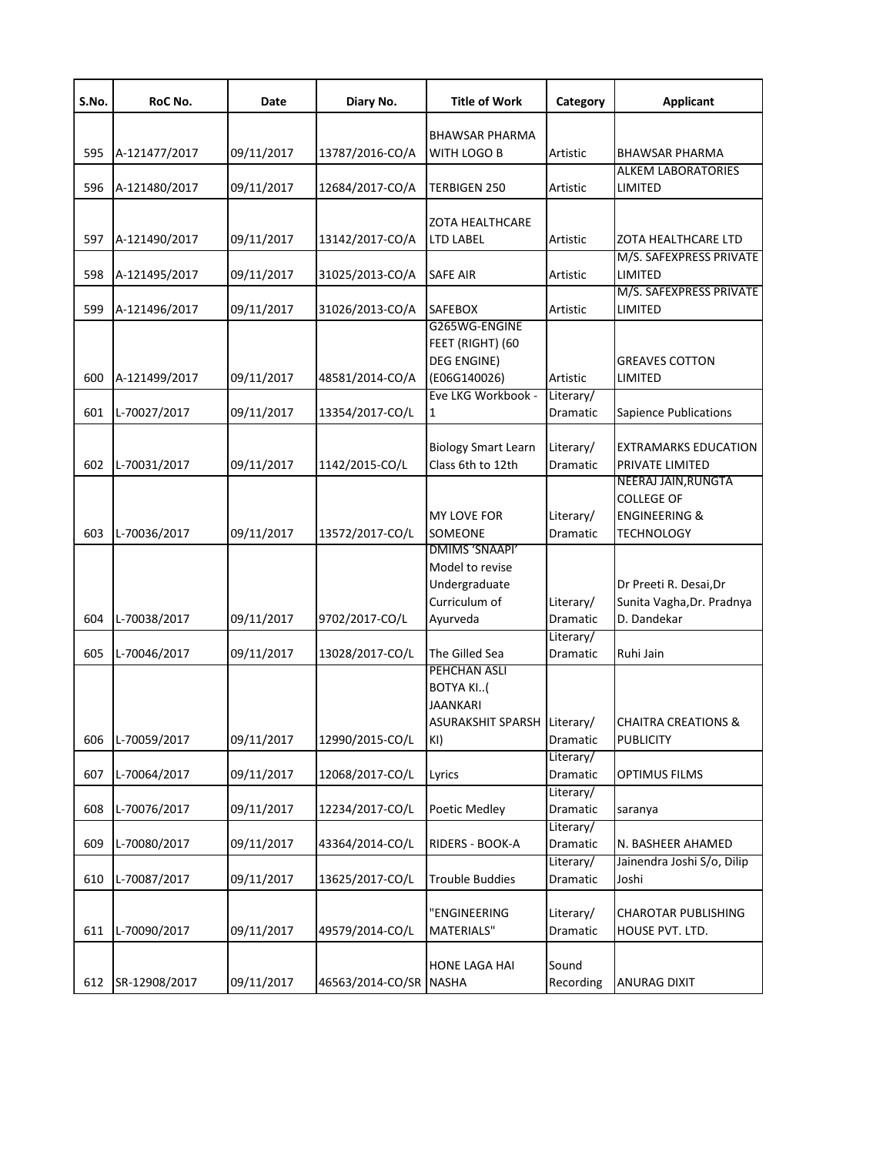| S.No. | RoC No.       | Date       | Diary No.              | <b>Title of Work</b>                       | Category              | <b>Applicant</b>                              |
|-------|---------------|------------|------------------------|--------------------------------------------|-----------------------|-----------------------------------------------|
|       |               |            |                        | <b>BHAWSAR PHARMA</b>                      |                       |                                               |
| 595   | A-121477/2017 | 09/11/2017 | 13787/2016-CO/A        | <b>WITH LOGO B</b>                         | Artistic              | <b>BHAWSAR PHARMA</b>                         |
|       |               |            |                        |                                            |                       | <b>ALKEM LABORATORIES</b>                     |
| 596   | A-121480/2017 | 09/11/2017 | 12684/2017-CO/A        | <b>TERBIGEN 250</b>                        | Artistic              | LIMITED                                       |
|       |               |            |                        |                                            |                       |                                               |
| 597   | A-121490/2017 | 09/11/2017 | 13142/2017-CO/A        | <b>ZOTA HEALTHCARE</b><br><b>LTD LABEL</b> | Artistic              | ZOTA HEALTHCARE LTD                           |
|       |               |            |                        |                                            |                       | M/S. SAFEXPRESS PRIVATE                       |
| 598   | A-121495/2017 | 09/11/2017 | 31025/2013-CO/A        | <b>SAFE AIR</b>                            | Artistic              | LIMITED                                       |
|       |               |            |                        |                                            |                       | M/S. SAFEXPRESS PRIVATE                       |
| 599   | A-121496/2017 | 09/11/2017 | 31026/2013-CO/A        | <b>SAFEBOX</b>                             | Artistic              | LIMITED                                       |
|       |               |            |                        | G265WG-ENGINE                              |                       |                                               |
|       |               |            |                        | FEET (RIGHT) (60<br><b>DEG ENGINE)</b>     |                       | <b>GREAVES COTTON</b>                         |
| 600   | A-121499/2017 | 09/11/2017 | 48581/2014-CO/A        | (E06G140026)                               | Artistic              | LIMITED                                       |
|       |               |            |                        | Eve LKG Workbook -                         | Literary/             |                                               |
| 601   | L-70027/2017  | 09/11/2017 | 13354/2017-CO/L        | $\mathbf{1}$                               | Dramatic              | Sapience Publications                         |
|       |               |            |                        |                                            |                       |                                               |
|       |               |            |                        | <b>Biology Smart Learn</b>                 | Literary/             | EXTRAMARKS EDUCATION                          |
| 602   | L-70031/2017  | 09/11/2017 | 1142/2015-CO/L         | Class 6th to 12th                          | Dramatic              | PRIVATE LIMITED                               |
|       |               |            |                        |                                            |                       | NEERAJ JAIN, RUNGTA                           |
|       |               |            |                        |                                            |                       | <b>COLLEGE OF</b>                             |
| 603   | L-70036/2017  | 09/11/2017 | 13572/2017-CO/L        | <b>MY LOVE FOR</b><br>SOMEONE              | Literary/<br>Dramatic | <b>ENGINEERING &amp;</b><br><b>TECHNOLOGY</b> |
|       |               |            |                        | DMIMS 'SNAAPI'                             |                       |                                               |
|       |               |            |                        | Model to revise                            |                       |                                               |
|       |               |            |                        | Undergraduate                              |                       | Dr Preeti R. Desai, Dr                        |
|       |               |            |                        | Curriculum of                              | Literary/             | Sunita Vagha, Dr. Pradnya                     |
| 604   | L-70038/2017  | 09/11/2017 | 9702/2017-CO/L         | Ayurveda                                   | Dramatic              | D. Dandekar                                   |
|       |               |            |                        |                                            | Literary/             |                                               |
| 605   | L-70046/2017  | 09/11/2017 | 13028/2017-CO/L        | The Gilled Sea                             | Dramatic              | Ruhi Jain                                     |
|       |               |            |                        | PEHCHAN ASLI                               |                       |                                               |
|       |               |            |                        | <b>BOTYA KI(</b>                           |                       |                                               |
|       |               |            |                        | JAANKARI<br>ASURAKSHIT SPARSH Literary/    |                       | <b>CHAITRA CREATIONS &amp;</b>                |
| 606   | L-70059/2017  | 09/11/2017 | 12990/2015-CO/L        | KI)                                        | Dramatic              | <b>PUBLICITY</b>                              |
|       |               |            |                        |                                            | Literary/             |                                               |
| 607   | L-70064/2017  | 09/11/2017 | 12068/2017-CO/L        | Lyrics                                     | Dramatic              | <b>OPTIMUS FILMS</b>                          |
|       |               |            |                        |                                            | Literary/             |                                               |
| 608   | L-70076/2017  | 09/11/2017 | 12234/2017-CO/L        | Poetic Medley                              | Dramatic              | saranya                                       |
|       |               |            |                        |                                            | Literary/             |                                               |
| 609   | L-70080/2017  | 09/11/2017 | 43364/2014-CO/L        | RIDERS - BOOK-A                            | Dramatic              | N. BASHEER AHAMED                             |
|       |               |            |                        |                                            | Literary/             | Jainendra Joshi S/o, Dilip                    |
| 610   | L-70087/2017  | 09/11/2017 | 13625/2017-CO/L        | <b>Trouble Buddies</b>                     | Dramatic              | Joshi                                         |
|       |               |            |                        | "ENGINEERING                               | Literary/             | CHAROTAR PUBLISHING                           |
| 611   | L-70090/2017  | 09/11/2017 | 49579/2014-CO/L        | <b>MATERIALS"</b>                          | Dramatic              | HOUSE PVT. LTD.                               |
|       |               |            |                        |                                            |                       |                                               |
|       |               |            |                        | <b>HONE LAGA HAI</b>                       | Sound                 |                                               |
| 612   | SR-12908/2017 | 09/11/2017 | 46563/2014-CO/SR NASHA |                                            | Recording             | ANURAG DIXIT                                  |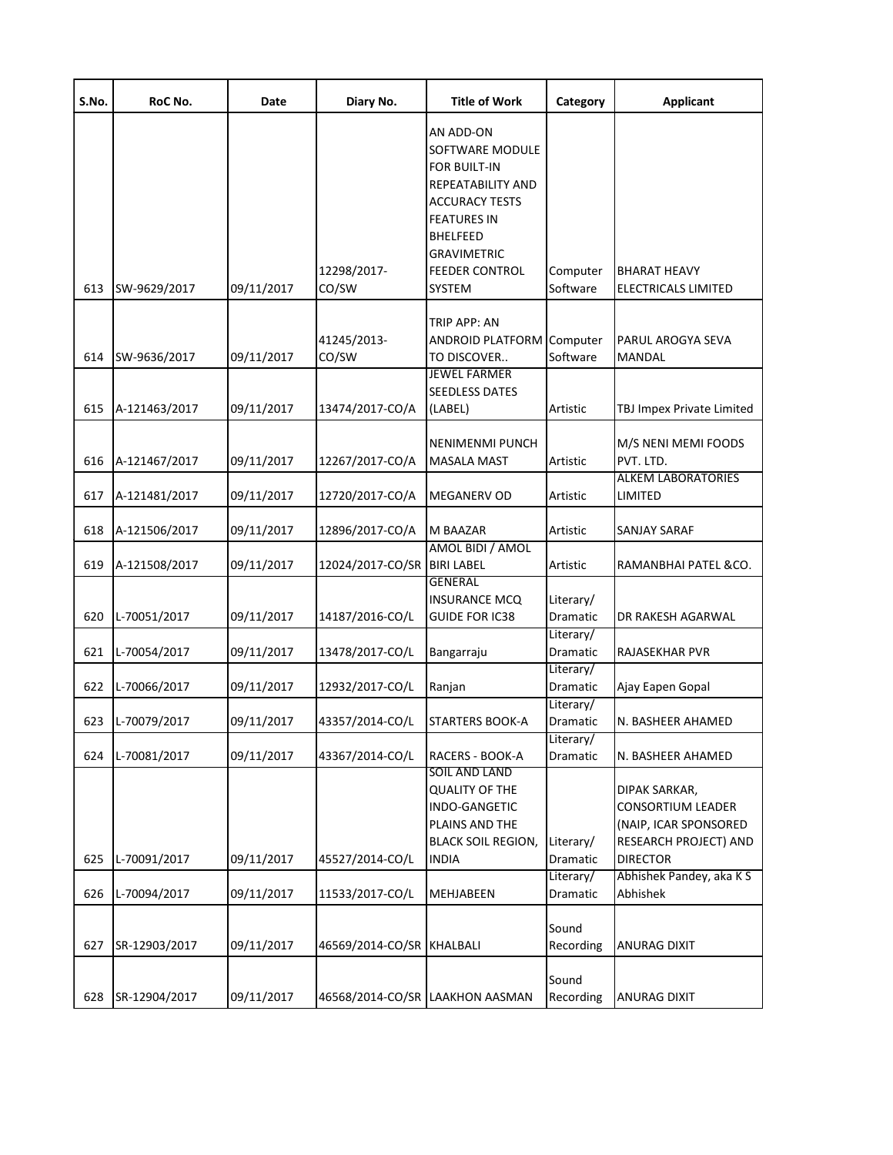| S.No. | RoC No.       | Date       | Diary No.                 | <b>Title of Work</b>                                                                                                                                                    | Category              | <b>Applicant</b>                                                                                               |
|-------|---------------|------------|---------------------------|-------------------------------------------------------------------------------------------------------------------------------------------------------------------------|-----------------------|----------------------------------------------------------------------------------------------------------------|
| 613   | SW-9629/2017  | 09/11/2017 | 12298/2017-<br>CO/SW      | AN ADD-ON<br>SOFTWARE MODULE<br>FOR BUILT-IN<br>REPEATABILITY AND<br><b>ACCURACY TESTS</b><br>FEATURES IN<br>BHELFEED<br>GRAVIMETRIC<br><b>FEEDER CONTROL</b><br>SYSTEM | Computer<br>Software  | <b>BHARAT HEAVY</b><br>ELECTRICALS LIMITED                                                                     |
|       |               |            |                           | TRIP APP: AN                                                                                                                                                            |                       |                                                                                                                |
| 614   | SW-9636/2017  | 09/11/2017 | 41245/2013-<br>CO/SW      | ANDROID PLATFORM Computer<br>TO DISCOVER                                                                                                                                | Software              | PARUL AROGYA SEVA<br><b>MANDAL</b>                                                                             |
| 615   | A-121463/2017 | 09/11/2017 | 13474/2017-CO/A           | <b>JEWEL FARMER</b><br><b>SEEDLESS DATES</b><br>(LABEL)                                                                                                                 | Artistic              | <b>TBJ Impex Private Limited</b>                                                                               |
| 616   | A-121467/2017 | 09/11/2017 | 12267/2017-CO/A           | <b>NENIMENMI PUNCH</b><br><b>MASALA MAST</b>                                                                                                                            | Artistic              | M/S NENI MEMI FOODS<br>PVT. LTD.                                                                               |
| 617   | A-121481/2017 | 09/11/2017 | 12720/2017-CO/A           | <b>MEGANERV OD</b>                                                                                                                                                      | Artistic              | <b>ALKEM LABORATORIES</b><br>LIMITED                                                                           |
| 618   | A-121506/2017 | 09/11/2017 | 12896/2017-CO/A           | M BAAZAR                                                                                                                                                                | Artistic              | <b>SANJAY SARAF</b>                                                                                            |
| 619   | A-121508/2017 | 09/11/2017 | 12024/2017-CO/SR          | AMOL BIDI / AMOL<br><b>BIRI LABEL</b>                                                                                                                                   | Artistic              | RAMANBHAI PATEL &CO.                                                                                           |
| 620   | L-70051/2017  | 09/11/2017 | 14187/2016-CO/L           | <b>GENERAL</b><br><b>INSURANCE MCQ</b><br><b>GUIDE FOR IC38</b>                                                                                                         | Literary/<br>Dramatic | DR RAKESH AGARWAL                                                                                              |
| 621   | L-70054/2017  | 09/11/2017 | 13478/2017-CO/L           | Bangarraju                                                                                                                                                              | Literary/<br>Dramatic | <b>RAJASEKHAR PVR</b>                                                                                          |
| 622   | L-70066/2017  | 09/11/2017 | 12932/2017-CO/L           | Ranjan                                                                                                                                                                  | Literary/<br>Dramatic | Ajay Eapen Gopal                                                                                               |
| 623   | L-70079/2017  | 09/11/2017 | 43357/2014-CO/L           | <b>STARTERS BOOK-A</b>                                                                                                                                                  | Literary/<br>Dramatic | N. BASHEER AHAMED                                                                                              |
| 624   | L-70081/2017  | 09/11/2017 | 43367/2014-CO/L           | <b>RACERS - BOOK-A</b>                                                                                                                                                  | Literary/<br>Dramatic | N. BASHEER AHAMED                                                                                              |
| 625   | L-70091/2017  | 09/11/2017 | 45527/2014-CO/L           | SOIL AND LAND<br><b>QUALITY OF THE</b><br>INDO-GANGETIC<br>PLAINS AND THE<br><b>BLACK SOIL REGION,</b><br>INDIA                                                         | Literary/<br>Dramatic | DIPAK SARKAR,<br><b>CONSORTIUM LEADER</b><br>(NAIP, ICAR SPONSORED<br>RESEARCH PROJECT) AND<br><b>DIRECTOR</b> |
| 626   | L-70094/2017  | 09/11/2017 | 11533/2017-CO/L           | MEHJABEEN                                                                                                                                                               | Literary/<br>Dramatic | Abhishek Pandey, aka K S<br>Abhishek                                                                           |
| 627   | SR-12903/2017 | 09/11/2017 | 46569/2014-CO/SR KHALBALI |                                                                                                                                                                         | Sound<br>Recording    | <b>ANURAG DIXIT</b>                                                                                            |
| 628   | SR-12904/2017 | 09/11/2017 |                           | 46568/2014-CO/SR LAAKHON AASMAN                                                                                                                                         | Sound<br>Recording    | <b>ANURAG DIXIT</b>                                                                                            |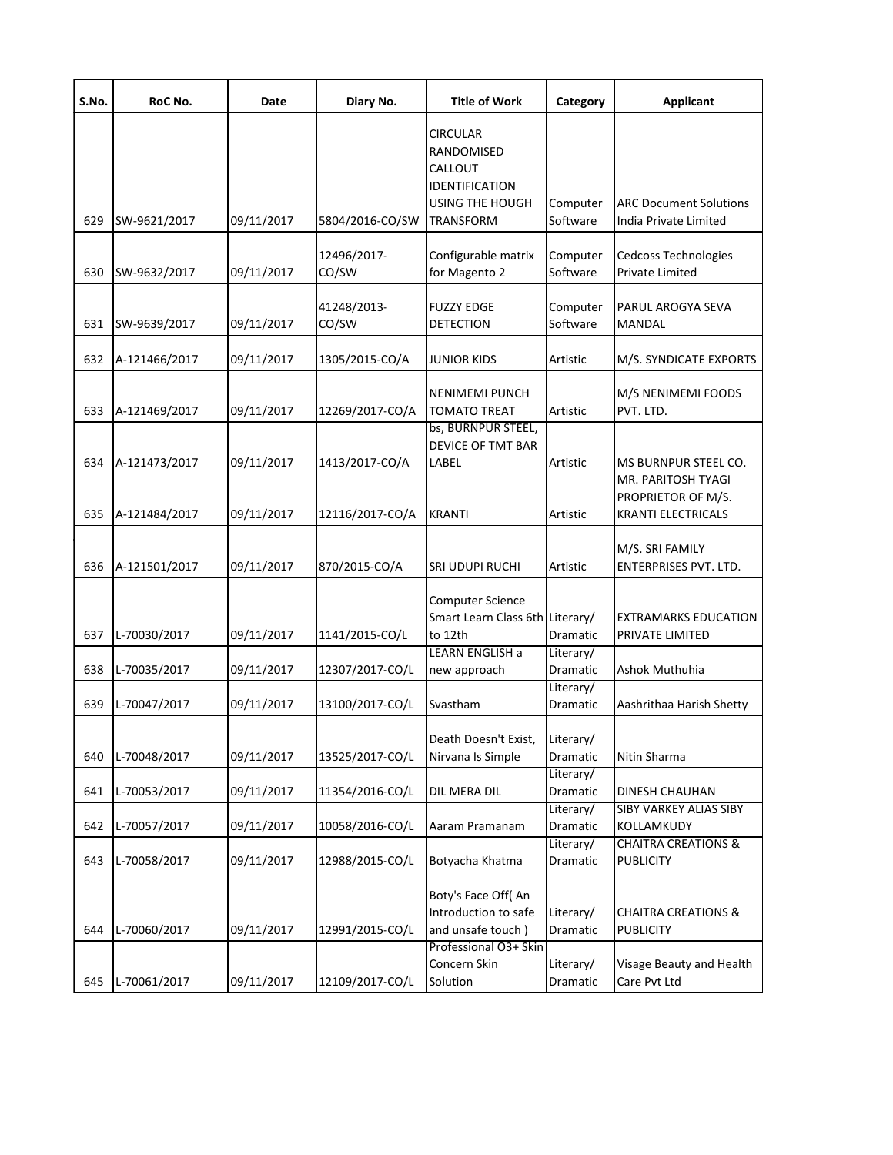| S.No. | RoC No.       | Date       | Diary No.            | <b>Title of Work</b>                                                                                     | Category              | <b>Applicant</b>                                                      |
|-------|---------------|------------|----------------------|----------------------------------------------------------------------------------------------------------|-----------------------|-----------------------------------------------------------------------|
| 629   | SW-9621/2017  | 09/11/2017 | 5804/2016-CO/SW      | <b>CIRCULAR</b><br>RANDOMISED<br>CALLOUT<br>IDENTIFICATION<br><b>USING THE HOUGH</b><br><b>TRANSFORM</b> | Computer<br>Software  | <b>ARC Document Solutions</b><br>India Private Limited                |
|       |               |            |                      |                                                                                                          |                       |                                                                       |
| 630   | SW-9632/2017  | 09/11/2017 | 12496/2017-<br>CO/SW | Configurable matrix<br>for Magento 2                                                                     | Computer<br>Software  | <b>Cedcoss Technologies</b><br>Private Limited                        |
| 631   | SW-9639/2017  | 09/11/2017 | 41248/2013-<br>CO/SW | <b>FUZZY EDGE</b><br><b>DETECTION</b>                                                                    | Computer<br>Software  | PARUL AROGYA SEVA<br>MANDAL                                           |
| 632   | A-121466/2017 | 09/11/2017 | 1305/2015-CO/A       | <b>JUNIOR KIDS</b>                                                                                       | Artistic              | M/S. SYNDICATE EXPORTS                                                |
| 633   | A-121469/2017 | 09/11/2017 | 12269/2017-CO/A      | <b>NENIMEMI PUNCH</b><br><b>TOMATO TREAT</b>                                                             | Artistic              | M/S NENIMEMI FOODS<br>PVT. LTD.                                       |
| 634   | A-121473/2017 | 09/11/2017 | 1413/2017-CO/A       | bs, BURNPUR STEEL,<br><b>DEVICE OF TMT BAR</b><br>LABEL                                                  | Artistic              | MS BURNPUR STEEL CO.                                                  |
| 635   | A-121484/2017 | 09/11/2017 | 12116/2017-CO/A      | <b>KRANTI</b>                                                                                            | Artistic              | MR. PARITOSH TYAGI<br>PROPRIETOR OF M/S.<br><b>KRANTI ELECTRICALS</b> |
| 636   | A-121501/2017 | 09/11/2017 | 870/2015-CO/A        | <b>SRI UDUPI RUCHI</b>                                                                                   | Artistic              | M/S. SRI FAMILY<br><b>ENTERPRISES PVT. LTD.</b>                       |
| 637   | L-70030/2017  | 09/11/2017 | 1141/2015-CO/L       | <b>Computer Science</b><br>Smart Learn Class 6th Literary/<br>to 12th                                    | Dramatic              | EXTRAMARKS EDUCATION<br>PRIVATE LIMITED                               |
| 638   | L-70035/2017  | 09/11/2017 | 12307/2017-CO/L      | LEARN ENGLISH a<br>new approach                                                                          | Literary/<br>Dramatic | Ashok Muthuhia                                                        |
| 639   | L-70047/2017  | 09/11/2017 | 13100/2017-CO/L      | Svastham                                                                                                 | Literary/<br>Dramatic | Aashrithaa Harish Shetty                                              |
| 640   | L-70048/2017  | 09/11/2017 | 13525/2017-CO/L      | Death Doesn't Exist,<br>Nirvana Is Simple                                                                | Literary/<br>Dramatic | Nitin Sharma                                                          |
| 641   | L-70053/2017  | 09/11/2017 | 11354/2016-CO/L      | DIL MERA DIL                                                                                             | Literary/<br>Dramatic | DINESH CHAUHAN                                                        |
| 642   | L-70057/2017  | 09/11/2017 | 10058/2016-CO/L      | Aaram Pramanam                                                                                           | Literary/<br>Dramatic | <b>SIBY VARKEY ALIAS SIBY</b><br>KOLLAMKUDY                           |
| 643   | L-70058/2017  | 09/11/2017 | 12988/2015-CO/L      | Botyacha Khatma                                                                                          | Literary/<br>Dramatic | <b>CHAITRA CREATIONS &amp;</b><br><b>PUBLICITY</b>                    |
| 644   | L-70060/2017  | 09/11/2017 | 12991/2015-CO/L      | Boty's Face Off( An<br>Introduction to safe<br>and unsafe touch)                                         | Literary/<br>Dramatic | <b>CHAITRA CREATIONS &amp;</b><br>PUBLICITY                           |
| 645   | L-70061/2017  | 09/11/2017 | 12109/2017-CO/L      | Professional O3+ Skin<br>Concern Skin<br>Solution                                                        | Literary/<br>Dramatic | Visage Beauty and Health<br>Care Pvt Ltd                              |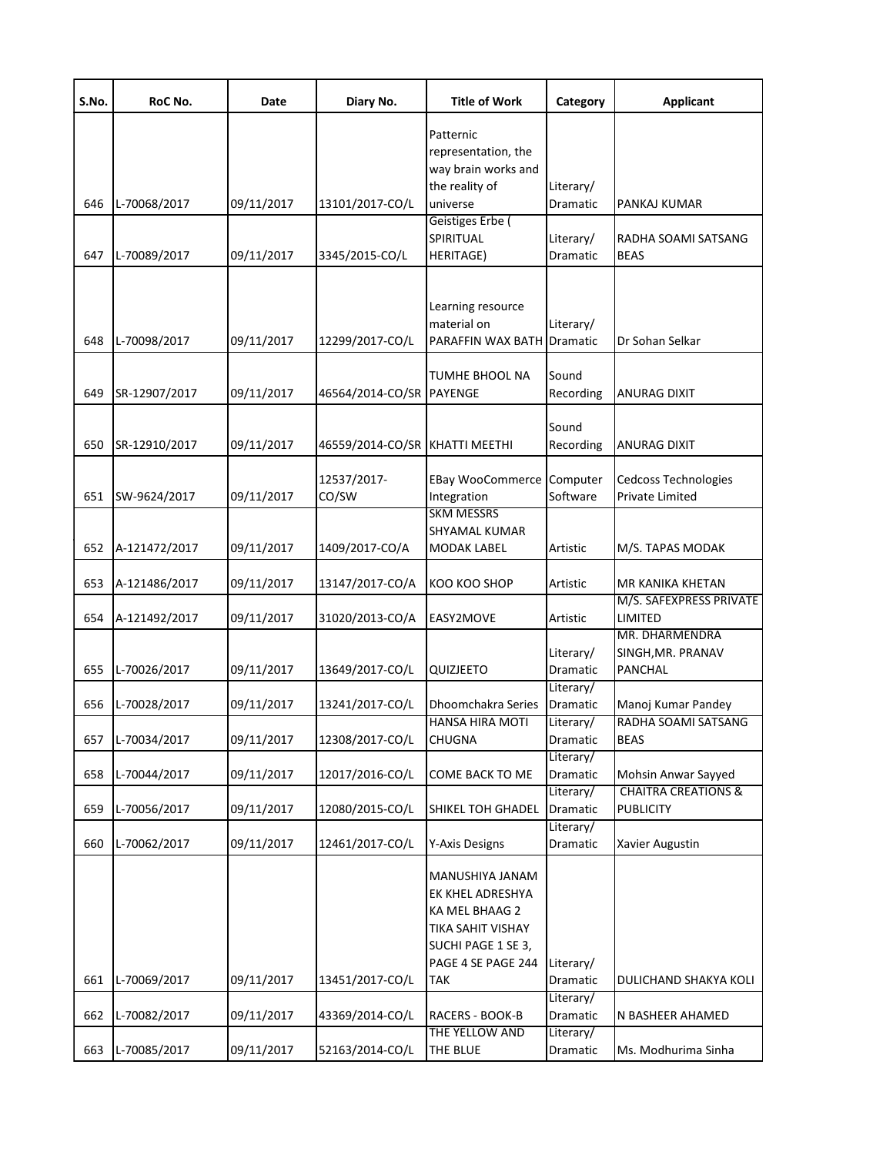| S.No. | RoC No.       | Date       | Diary No.                      | <b>Title of Work</b>                                                                                                          | Category              | <b>Applicant</b>                                      |
|-------|---------------|------------|--------------------------------|-------------------------------------------------------------------------------------------------------------------------------|-----------------------|-------------------------------------------------------|
|       |               |            |                                | Patternic<br>representation, the<br>way brain works and<br>the reality of                                                     | Literary/             |                                                       |
| 646   | L-70068/2017  | 09/11/2017 | 13101/2017-CO/L                | universe                                                                                                                      | Dramatic              | PANKAJ KUMAR                                          |
| 647   | L-70089/2017  | 09/11/2017 | 3345/2015-CO/L                 | Geistiges Erbe (<br>SPIRITUAL<br><b>HERITAGE)</b>                                                                             | Literary/<br>Dramatic | RADHA SOAMI SATSANG<br><b>BEAS</b>                    |
|       |               |            |                                |                                                                                                                               |                       |                                                       |
| 648   | L-70098/2017  | 09/11/2017 | 12299/2017-CO/L                | Learning resource<br>material on<br>PARAFFIN WAX BATH Dramatic                                                                | Literary/             | Dr Sohan Selkar                                       |
|       |               |            |                                | TUMHE BHOOL NA                                                                                                                | Sound                 |                                                       |
| 649   | SR-12907/2017 | 09/11/2017 | 46564/2014-CO/SR PAYENGE       |                                                                                                                               | Recording             | ANURAG DIXIT                                          |
| 650   | SR-12910/2017 | 09/11/2017 | 46559/2014-CO/SR KHATTI MEETHI |                                                                                                                               | Sound<br>Recording    | <b>ANURAG DIXIT</b>                                   |
| 651   | SW-9624/2017  | 09/11/2017 | 12537/2017-<br>CO/SW           | <b>EBay WooCommerce</b><br>Integration                                                                                        | Computer<br>Software  | <b>Cedcoss Technologies</b><br><b>Private Limited</b> |
| 652   | A-121472/2017 | 09/11/2017 | 1409/2017-CO/A                 | <b>SKM MESSRS</b><br>SHYAMAL KUMAR<br><b>MODAK LABEL</b>                                                                      | Artistic              | M/S. TAPAS MODAK                                      |
|       |               |            |                                |                                                                                                                               |                       |                                                       |
| 653   | A-121486/2017 | 09/11/2017 | 13147/2017-CO/A                | KOO KOO SHOP                                                                                                                  | Artistic              | MR KANIKA KHETAN<br>M/S. SAFEXPRESS PRIVATE           |
| 654   | A-121492/2017 | 09/11/2017 | 31020/2013-CO/A                | EASY2MOVE                                                                                                                     | Artistic              | LIMITED                                               |
|       |               |            |                                |                                                                                                                               | Literary/             | MR. DHARMENDRA<br>SINGH, MR. PRANAV                   |
| 655   | L-70026/2017  | 09/11/2017 | 13649/2017-CO/L                | QUIZJEETO                                                                                                                     | Dramatic              | <b>PANCHAL</b>                                        |
| 656   | L-70028/2017  | 09/11/2017 | 13241/2017-CO/L                | Dhoomchakra Series                                                                                                            | Literary/<br>Dramatic |                                                       |
|       |               |            |                                | <b>HANSA HIRA MOTI</b>                                                                                                        | Literary/             | Manoj Kumar Pandey<br>RADHA SOAMI SATSANG             |
| 657   | L-70034/2017  | 09/11/2017 | 12308/2017-CO/L                | <b>CHUGNA</b>                                                                                                                 | Dramatic              | <b>BEAS</b>                                           |
|       |               |            |                                |                                                                                                                               | Literary/             |                                                       |
| 658   | L-70044/2017  | 09/11/2017 | 12017/2016-CO/L                | COME BACK TO ME                                                                                                               | Dramatic<br>Literary/ | Mohsin Anwar Sayyed<br><b>CHAITRA CREATIONS &amp;</b> |
| 659   | L-70056/2017  | 09/11/2017 | 12080/2015-CO/L                | SHIKEL TOH GHADEL                                                                                                             | Dramatic              | <b>PUBLICITY</b>                                      |
|       |               |            |                                |                                                                                                                               | Literary/             |                                                       |
| 660   | L-70062/2017  | 09/11/2017 | 12461/2017-CO/L                | Y-Axis Designs                                                                                                                | Dramatic              | Xavier Augustin                                       |
| 661   | L-70069/2017  | 09/11/2017 | 13451/2017-CO/L                | MANUSHIYA JANAM<br>EK KHEL ADRESHYA<br>KA MEL BHAAG 2<br>TIKA SAHIT VISHAY<br>SUCHI PAGE 1 SE 3,<br>PAGE 4 SE PAGE 244<br>TAK | Literary/<br>Dramatic | DULICHAND SHAKYA KOLI                                 |
|       |               |            |                                |                                                                                                                               | Literary/             |                                                       |
| 662   | L-70082/2017  | 09/11/2017 | 43369/2014-CO/L                | RACERS - BOOK-B<br>THE YELLOW AND                                                                                             | Dramatic<br>Literary/ | N BASHEER AHAMED                                      |
| 663   | L-70085/2017  | 09/11/2017 | 52163/2014-CO/L                | THE BLUE                                                                                                                      | Dramatic              | Ms. Modhurima Sinha                                   |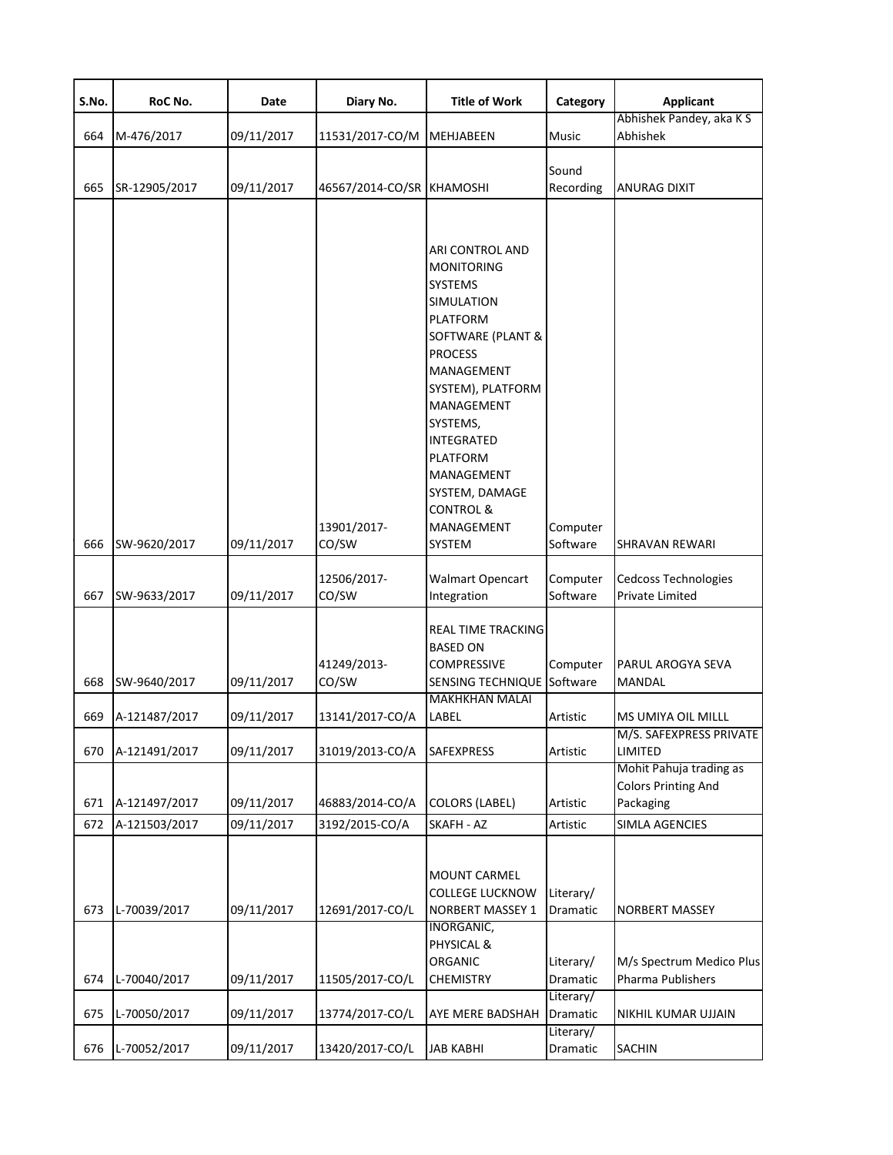| S.No. | RoC No.       | Date       | Diary No.                 | <b>Title of Work</b>                                                                                                                                                                                                                                                                                  | Category              | <b>Applicant</b>                                                   |
|-------|---------------|------------|---------------------------|-------------------------------------------------------------------------------------------------------------------------------------------------------------------------------------------------------------------------------------------------------------------------------------------------------|-----------------------|--------------------------------------------------------------------|
| 664   | M-476/2017    | 09/11/2017 | 11531/2017-CO/M           | MEHJABEEN                                                                                                                                                                                                                                                                                             | Music                 | Abhishek Pandey, aka K S<br>Abhishek                               |
| 665   | SR-12905/2017 | 09/11/2017 | 46567/2014-CO/SR KHAMOSHI |                                                                                                                                                                                                                                                                                                       | Sound<br>Recording    | ANURAG DIXIT                                                       |
| 666   | SW-9620/2017  | 09/11/2017 | 13901/2017-<br>CO/SW      | ARI CONTROL AND<br><b>MONITORING</b><br><b>SYSTEMS</b><br>SIMULATION<br>PLATFORM<br>SOFTWARE (PLANT &<br><b>PROCESS</b><br>MANAGEMENT<br>SYSTEM), PLATFORM<br>MANAGEMENT<br>SYSTEMS,<br><b>INTEGRATED</b><br>PLATFORM<br>MANAGEMENT<br>SYSTEM, DAMAGE<br><b>CONTROL &amp;</b><br>MANAGEMENT<br>SYSTEM | Computer<br>Software  | SHRAVAN REWARI                                                     |
| 667   | SW-9633/2017  | 09/11/2017 | 12506/2017-<br>CO/SW      | <b>Walmart Opencart</b><br>Integration                                                                                                                                                                                                                                                                | Computer<br>Software  | Cedcoss Technologies<br>Private Limited                            |
| 668   | SW-9640/2017  | 09/11/2017 | 41249/2013-<br>CO/SW      | REAL TIME TRACKING<br><b>BASED ON</b><br><b>COMPRESSIVE</b><br>SENSING TECHNIQUE Software<br><b>MAKHKHAN MALAI</b>                                                                                                                                                                                    | Computer              | PARUL AROGYA SEVA<br>MANDAL                                        |
| 669   | A-121487/2017 | 09/11/2017 | 13141/2017-CO/A           | LABEL                                                                                                                                                                                                                                                                                                 | Artistic              | MS UMIYA OIL MILLL<br>M/S. SAFEXPRESS PRIVATE                      |
| 670   | A-121491/2017 | 09/11/2017 | 31019/2013-CO/A           | <b>SAFEXPRESS</b>                                                                                                                                                                                                                                                                                     | Artistic              | LIMITED                                                            |
| 671   | A-121497/2017 | 09/11/2017 | 46883/2014-CO/A           | <b>COLORS (LABEL)</b>                                                                                                                                                                                                                                                                                 | Artistic              | Mohit Pahuja trading as<br><b>Colors Printing And</b><br>Packaging |
| 672   | A-121503/2017 | 09/11/2017 | 3192/2015-CO/A            | SKAFH - AZ                                                                                                                                                                                                                                                                                            | Artistic              | SIMLA AGENCIES                                                     |
| 673   | L-70039/2017  | 09/11/2017 | 12691/2017-CO/L           | MOUNT CARMEL<br><b>COLLEGE LUCKNOW</b><br>NORBERT MASSEY 1<br>INORGANIC,                                                                                                                                                                                                                              | Literary/<br>Dramatic | NORBERT MASSEY                                                     |
| 674   | L-70040/2017  | 09/11/2017 | 11505/2017-CO/L           | PHYSICAL &<br>ORGANIC<br><b>CHEMISTRY</b>                                                                                                                                                                                                                                                             | Literary/<br>Dramatic | M/s Spectrum Medico Plus<br>Pharma Publishers                      |
| 675   | L-70050/2017  | 09/11/2017 | 13774/2017-CO/L           | AYE MERE BADSHAH                                                                                                                                                                                                                                                                                      | Literary/<br>Dramatic | NIKHIL KUMAR UJJAIN                                                |
| 676   | L-70052/2017  | 09/11/2017 | 13420/2017-CO/L           | <b>JAB KABHI</b>                                                                                                                                                                                                                                                                                      | Literary/<br>Dramatic | SACHIN                                                             |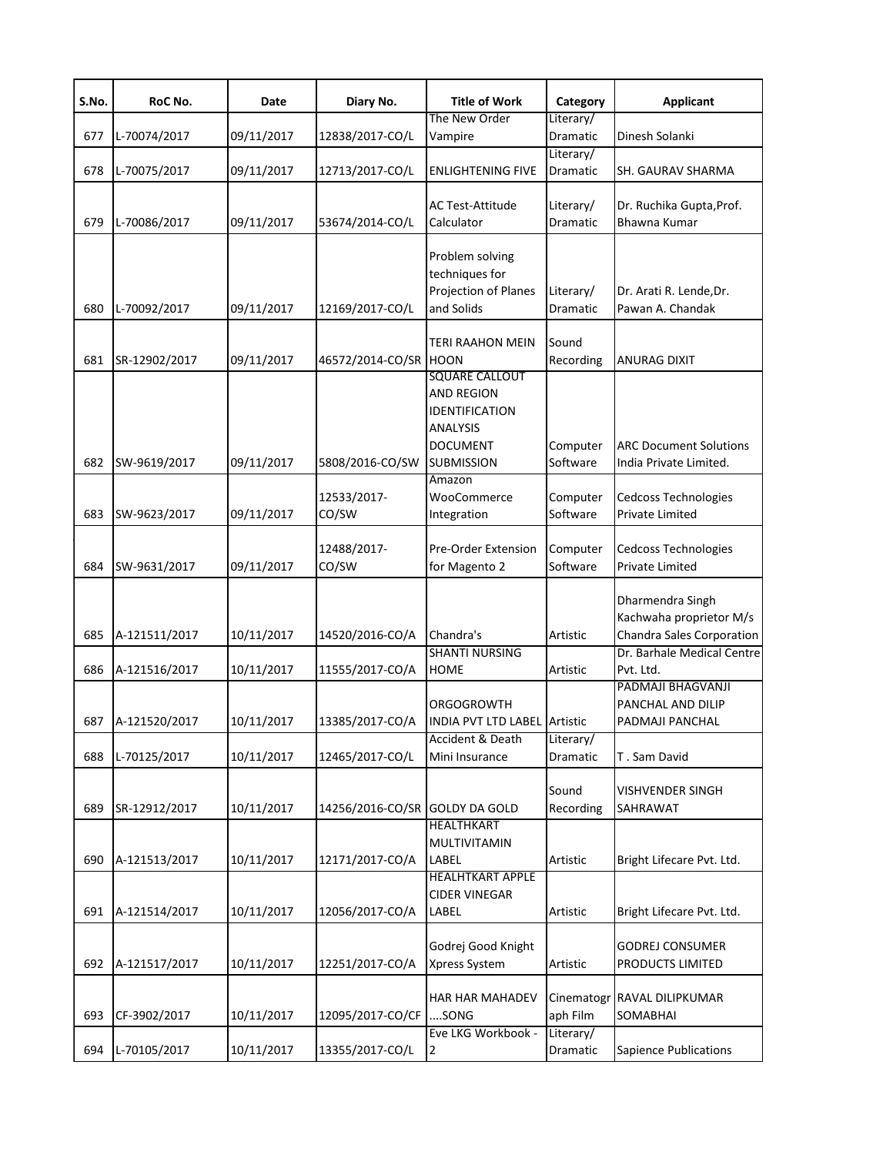| S.No. | RoC No.       | Date       | Diary No.                      | <b>Title of Work</b>                                                                                                              | Category              | <b>Applicant</b>                                                         |
|-------|---------------|------------|--------------------------------|-----------------------------------------------------------------------------------------------------------------------------------|-----------------------|--------------------------------------------------------------------------|
| 677   | L-70074/2017  | 09/11/2017 | 12838/2017-CO/L                | The New Order<br>Vampire                                                                                                          | Literary/<br>Dramatic | Dinesh Solanki                                                           |
| 678   | L-70075/2017  | 09/11/2017 | 12713/2017-CO/L                | <b>ENLIGHTENING FIVE</b>                                                                                                          | Literary/<br>Dramatic | SH. GAURAV SHARMA                                                        |
| 679   | L-70086/2017  | 09/11/2017 | 53674/2014-CO/L                | <b>AC Test-Attitude</b><br>Calculator                                                                                             | Literary/<br>Dramatic | Dr. Ruchika Gupta, Prof.<br><b>Bhawna Kumar</b>                          |
| 680   | L-70092/2017  | 09/11/2017 | 12169/2017-CO/L                | Problem solving<br>techniques for<br>Projection of Planes<br>and Solids                                                           | Literary/<br>Dramatic | Dr. Arati R. Lende, Dr.<br>Pawan A. Chandak                              |
| 681   | SR-12902/2017 | 09/11/2017 | 46572/2014-CO/SR HOON          | TERI RAAHON MEIN                                                                                                                  | Sound<br>Recording    | ANURAG DIXIT                                                             |
| 682   | SW-9619/2017  | 09/11/2017 | 5808/2016-CO/SW                | <b>SQUARE CALLOUT</b><br><b>AND REGION</b><br>IDENTIFICATION<br><b>ANALYSIS</b><br><b>DOCUMENT</b><br><b>SUBMISSION</b><br>Amazon | Computer<br>Software  | <b>ARC Document Solutions</b><br>India Private Limited.                  |
| 683   | SW-9623/2017  | 09/11/2017 | 12533/2017-<br>CO/SW           | WooCommerce<br>Integration                                                                                                        | Computer<br>Software  | <b>Cedcoss Technologies</b><br>Private Limited                           |
| 684   | SW-9631/2017  | 09/11/2017 | 12488/2017-<br>CO/SW           | <b>Pre-Order Extension</b><br>for Magento 2                                                                                       | Computer<br>Software  | <b>Cedcoss Technologies</b><br>Private Limited                           |
| 685   | A-121511/2017 | 10/11/2017 | 14520/2016-CO/A                | Chandra's                                                                                                                         | Artistic              | Dharmendra Singh<br>Kachwaha proprietor M/s<br>Chandra Sales Corporation |
| 686   | A-121516/2017 | 10/11/2017 | 11555/2017-CO/A                | <b>SHANTI NURSING</b><br><b>HOME</b>                                                                                              | Artistic              | Dr. Barhale Medical Centre<br>Pvt. Ltd.<br>PADMAJI BHAGVANJI             |
| 687   | A-121520/2017 | 10/11/2017 | 13385/2017-CO/A                | ORGOGROWTH<br><b>INDIA PVT LTD LABEL Artistic</b>                                                                                 |                       | PANCHAL AND DILIP<br>PADMAJI PANCHAL                                     |
| 688   | L-70125/2017  | 10/11/2017 | 12465/2017-CO/L                | Accident & Death<br>Mini Insurance                                                                                                | Literary/<br>Dramatic | T. Sam David                                                             |
| 689   | SR-12912/2017 | 10/11/2017 | 14256/2016-CO/SR GOLDY DA GOLD |                                                                                                                                   | Sound<br>Recording    | <b>VISHVENDER SINGH</b><br>SAHRAWAT                                      |
| 690   | A-121513/2017 | 10/11/2017 | 12171/2017-CO/A                | HEALTHKART<br>MULTIVITAMIN<br>LABEL                                                                                               | Artistic              | Bright Lifecare Pvt. Ltd.                                                |
| 691   | A-121514/2017 | 10/11/2017 | 12056/2017-CO/A                | <b>HEALHTKART APPLE</b><br><b>CIDER VINEGAR</b><br>LABEL                                                                          | Artistic              | Bright Lifecare Pvt. Ltd.                                                |
| 692   | A-121517/2017 | 10/11/2017 | 12251/2017-CO/A                | Godrej Good Knight<br>Xpress System                                                                                               | Artistic              | <b>GODREJ CONSUMER</b><br>PRODUCTS LIMITED                               |
| 693   | CF-3902/2017  | 10/11/2017 | 12095/2017-CO/CF               | <b>HAR HAR MAHADEV</b><br>SONG                                                                                                    | aph Film              | Cinematogr RAVAL DILIPKUMAR<br>SOMABHAI                                  |
| 694   | L-70105/2017  | 10/11/2017 | 13355/2017-CO/L                | Eve LKG Workbook -<br>$\overline{2}$                                                                                              | Literary/<br>Dramatic | Sapience Publications                                                    |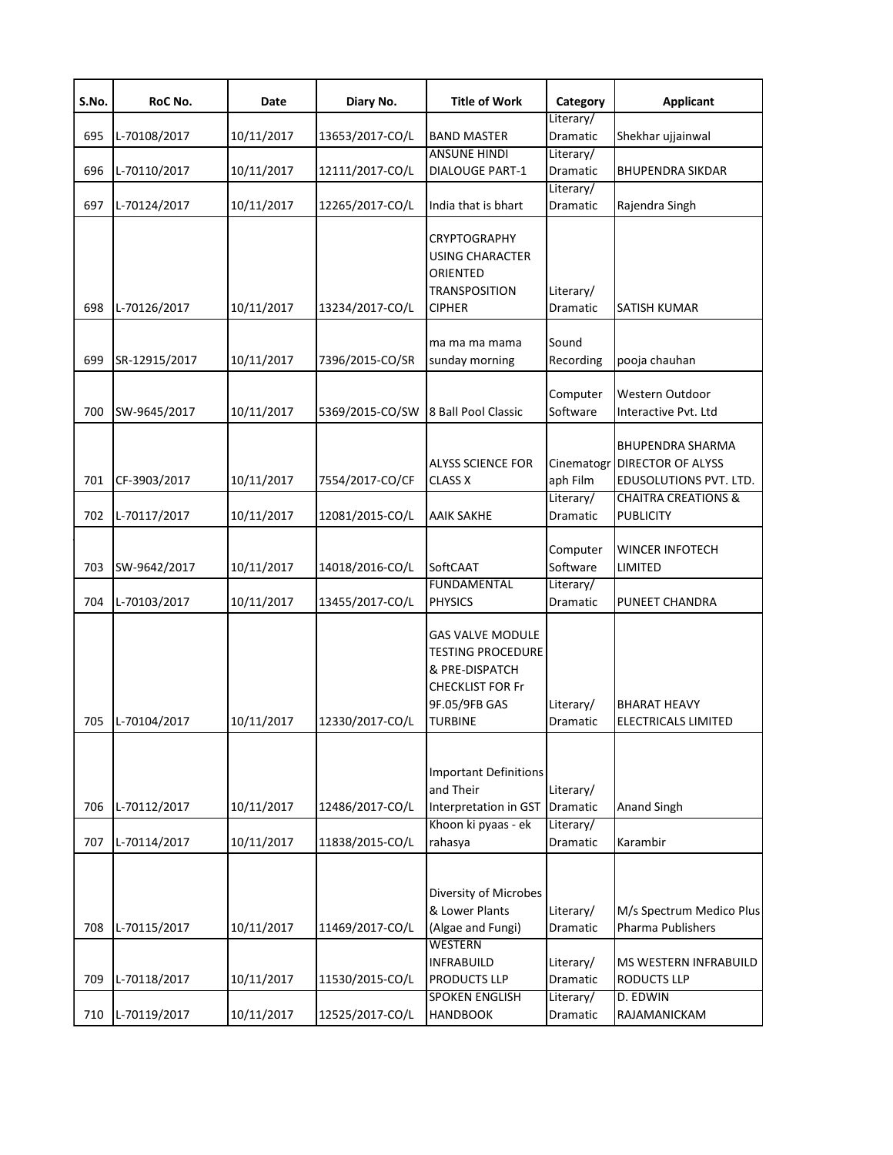| S.No.      | RoC No.                      | Date                     | Diary No.                          | <b>Title of Work</b>                                                                                                                | Category                                        | <b>Applicant</b>                                                                                                             |
|------------|------------------------------|--------------------------|------------------------------------|-------------------------------------------------------------------------------------------------------------------------------------|-------------------------------------------------|------------------------------------------------------------------------------------------------------------------------------|
| 695        | L-70108/2017                 | 10/11/2017               | 13653/2017-CO/L                    | <b>BAND MASTER</b>                                                                                                                  | Literary/<br>Dramatic                           | Shekhar ujjainwal                                                                                                            |
| 696        | L-70110/2017                 | 10/11/2017               | 12111/2017-CO/L                    | <b>ANSUNE HINDI</b><br><b>DIALOUGE PART-1</b>                                                                                       | Literary/<br>Dramatic                           | <b>BHUPENDRA SIKDAR</b>                                                                                                      |
| 697        | L-70124/2017                 | 10/11/2017               | 12265/2017-CO/L                    | India that is bhart                                                                                                                 | Literary/<br>Dramatic                           | Rajendra Singh                                                                                                               |
| 698        | L-70126/2017                 | 10/11/2017               | 13234/2017-CO/L                    | <b>CRYPTOGRAPHY</b><br><b>USING CHARACTER</b><br>ORIENTED<br><b>TRANSPOSITION</b><br><b>CIPHER</b>                                  | Literary/<br>Dramatic                           | SATISH KUMAR                                                                                                                 |
| 699        | SR-12915/2017                | 10/11/2017               | 7396/2015-CO/SR                    | ma ma ma mama<br>sunday morning                                                                                                     | Sound<br>Recording                              | pooja chauhan                                                                                                                |
| 700        | SW-9645/2017                 | 10/11/2017               | 5369/2015-CO/SW                    | 8 Ball Pool Classic                                                                                                                 | Computer<br>Software                            | Western Outdoor<br>Interactive Pvt. Ltd                                                                                      |
| 701<br>702 | CF-3903/2017<br>L-70117/2017 | 10/11/2017<br>10/11/2017 | 7554/2017-CO/CF<br>12081/2015-CO/L | ALYSS SCIENCE FOR<br><b>CLASS X</b><br>AAIK SAKHE                                                                                   | Cinematogr<br>aph Film<br>Literary/<br>Dramatic | <b>BHUPENDRA SHARMA</b><br><b>DIRECTOR OF ALYSS</b><br>EDUSOLUTIONS PVT. LTD.<br><b>CHAITRA CREATIONS &amp;</b><br>PUBLICITY |
| 703        | SW-9642/2017                 | 10/11/2017               | 14018/2016-CO/L                    | SoftCAAT                                                                                                                            | Computer<br>Software                            | WINCER INFOTECH<br>LIMITED                                                                                                   |
| 704        | L-70103/2017                 | 10/11/2017               | 13455/2017-CO/L                    | <b>FUNDAMENTAL</b><br><b>PHYSICS</b>                                                                                                | Literary/<br>Dramatic                           | PUNEET CHANDRA                                                                                                               |
| 705        | L-70104/2017                 | 10/11/2017               | 12330/2017-CO/L                    | <b>GAS VALVE MODULE</b><br><b>TESTING PROCEDURE</b><br>& PRE-DISPATCH<br><b>CHECKLIST FOR Fr</b><br>9F.05/9FB GAS<br><b>TURBINE</b> | Literary/<br>Dramatic                           | <b>BHARAT HEAVY</b><br>ELECTRICALS LIMITED                                                                                   |
| 706        | L-70112/2017                 | 10/11/2017               | 12486/2017-CO/L                    | <b>Important Definitions</b><br>and Their<br>Interpretation in GST                                                                  | Literary/<br><b>Dramatic</b>                    | Anand Singh                                                                                                                  |
| 707        | L-70114/2017                 | 10/11/2017               | 11838/2015-CO/L                    | Khoon ki pyaas - ek<br>rahasya                                                                                                      | Literary/<br>Dramatic                           | Karambir                                                                                                                     |
| 708        | L-70115/2017                 | 10/11/2017               | 11469/2017-CO/L                    | Diversity of Microbes<br>& Lower Plants<br>(Algae and Fungi)<br><b>WESTERN</b>                                                      | Literary/<br>Dramatic                           | M/s Spectrum Medico Plus<br>Pharma Publishers                                                                                |
| 709        | L-70118/2017                 | 10/11/2017               | 11530/2015-CO/L                    | <b>INFRABUILD</b><br>PRODUCTS LLP                                                                                                   | Literary/<br>Dramatic                           | MS WESTERN INFRABUILD<br><b>RODUCTS LLP</b>                                                                                  |
| 710        | L-70119/2017                 | 10/11/2017               | 12525/2017-CO/L                    | <b>SPOKEN ENGLISH</b><br><b>HANDBOOK</b>                                                                                            | Literary/<br>Dramatic                           | D. EDWIN<br>RAJAMANICKAM                                                                                                     |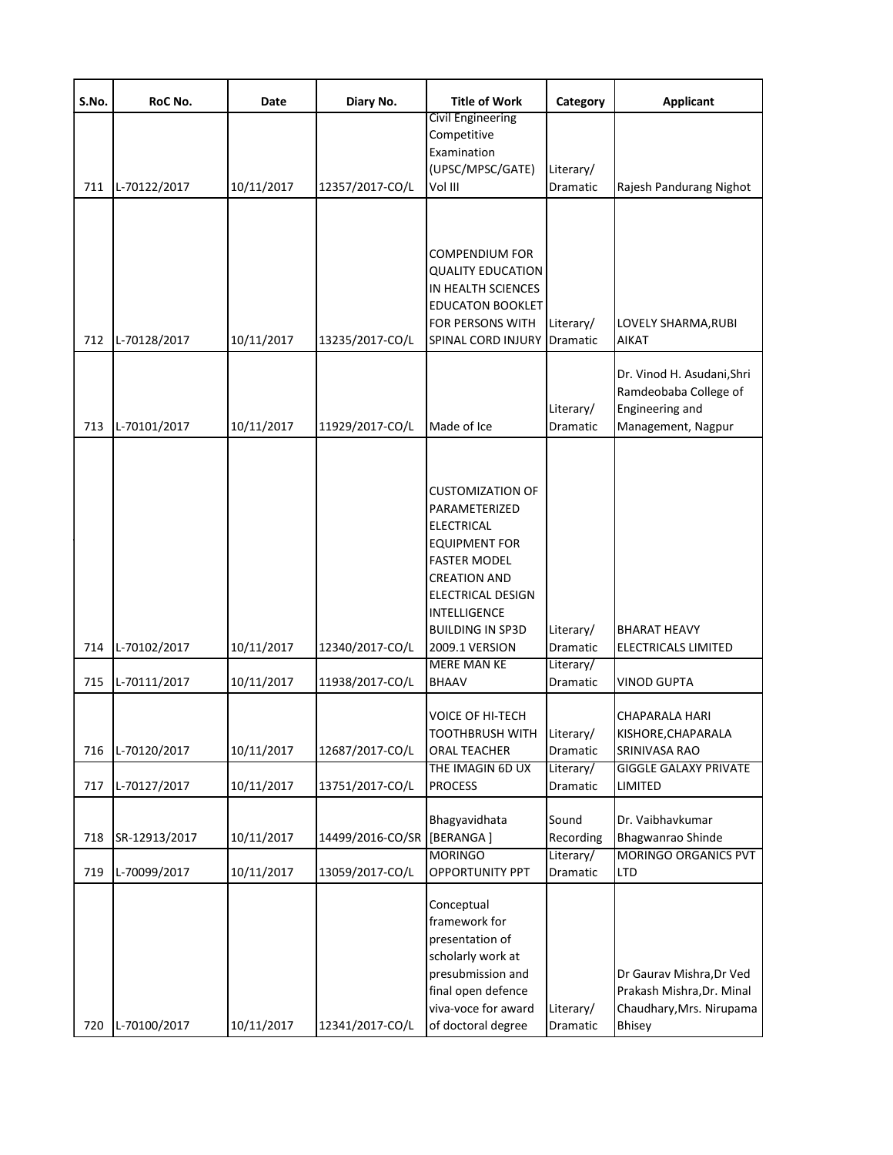| S.No.      | RoC No.                      | Date                     | Diary No.                          | <b>Title of Work</b>                                                                                                                                                                                | Category                          | <b>Applicant</b>                                                                                                   |
|------------|------------------------------|--------------------------|------------------------------------|-----------------------------------------------------------------------------------------------------------------------------------------------------------------------------------------------------|-----------------------------------|--------------------------------------------------------------------------------------------------------------------|
|            |                              |                          |                                    | Civil Engineering<br>Competitive<br>Examination<br>(UPSC/MPSC/GATE)                                                                                                                                 | Literary/                         |                                                                                                                    |
| 711        | L-70122/2017                 | 10/11/2017               | 12357/2017-CO/L                    | Vol III                                                                                                                                                                                             | Dramatic                          | Rajesh Pandurang Nighot                                                                                            |
| 712        | L-70128/2017                 | 10/11/2017               | 13235/2017-CO/L                    | COMPENDIUM FOR<br><b>QUALITY EDUCATION</b><br>IN HEALTH SCIENCES<br><b>EDUCATON BOOKLET</b><br>FOR PERSONS WITH<br>SPINAL CORD INJURY                                                               | Literary/<br>Dramatic             | LOVELY SHARMA, RUBI<br>AIKAT                                                                                       |
| 713        | L-70101/2017                 | 10/11/2017               | 11929/2017-CO/L                    | Made of Ice                                                                                                                                                                                         | Literary/<br>Dramatic             | Dr. Vinod H. Asudani, Shri<br>Ramdeobaba College of<br>Engineering and<br>Management, Nagpur                       |
|            |                              |                          |                                    | <b>CUSTOMIZATION OF</b><br>PARAMETERIZED<br><b>ELECTRICAL</b><br><b>EQUIPMENT FOR</b><br><b>FASTER MODEL</b><br><b>CREATION AND</b><br>ELECTRICAL DESIGN<br>INTELLIGENCE<br><b>BUILDING IN SP3D</b> | Literary/                         | <b>BHARAT HEAVY</b>                                                                                                |
| 714        | L-70102/2017                 | 10/11/2017               | 12340/2017-CO/L                    | 2009.1 VERSION<br><b>MERE MAN KE</b>                                                                                                                                                                | Dramatic<br>Literary/             | <b>ELECTRICALS LIMITED</b>                                                                                         |
| 715<br>716 | L-70111/2017<br>L-70120/2017 | 10/11/2017<br>10/11/2017 | 11938/2017-CO/L<br>12687/2017-CO/L | <b>BHAAV</b><br><b>VOICE OF HI-TECH</b><br>TOOTHBRUSH WITH Literary/<br>ORAL TEACHER<br>THE IMAGIN 6D UX                                                                                            | Dramatic<br>Dramatic<br>Literary/ | <b>VINOD GUPTA</b><br><b>CHAPARALA HARI</b><br>KISHORE, CHAPARALA<br>SRINIVASA RAO<br><b>GIGGLE GALAXY PRIVATE</b> |
| 717        | L-70127/2017                 | 10/11/2017               | 13751/2017-CO/L                    | <b>PROCESS</b>                                                                                                                                                                                      | Dramatic                          | LIMITED                                                                                                            |
| 718        | SR-12913/2017                | 10/11/2017               | 14499/2016-CO/SR                   | Bhagyavidhata<br>[BERANGA]<br><b>MORINGO</b>                                                                                                                                                        | Sound<br>Recording<br>Literary/   | Dr. Vaibhavkumar<br>Bhagwanrao Shinde<br><b>MORINGO ORGANICS PVT</b>                                               |
| 719        | L-70099/2017                 | 10/11/2017               | 13059/2017-CO/L                    | <b>OPPORTUNITY PPT</b>                                                                                                                                                                              | Dramatic                          | <b>LTD</b>                                                                                                         |
| 720        | L-70100/2017                 | 10/11/2017               | 12341/2017-CO/L                    | Conceptual<br>framework for<br>presentation of<br>scholarly work at<br>presubmission and<br>final open defence<br>viva-voce for award<br>of doctoral degree                                         | Literary/<br>Dramatic             | Dr Gaurav Mishra, Dr Ved<br>Prakash Mishra, Dr. Minal<br>Chaudhary, Mrs. Nirupama<br><b>Bhisey</b>                 |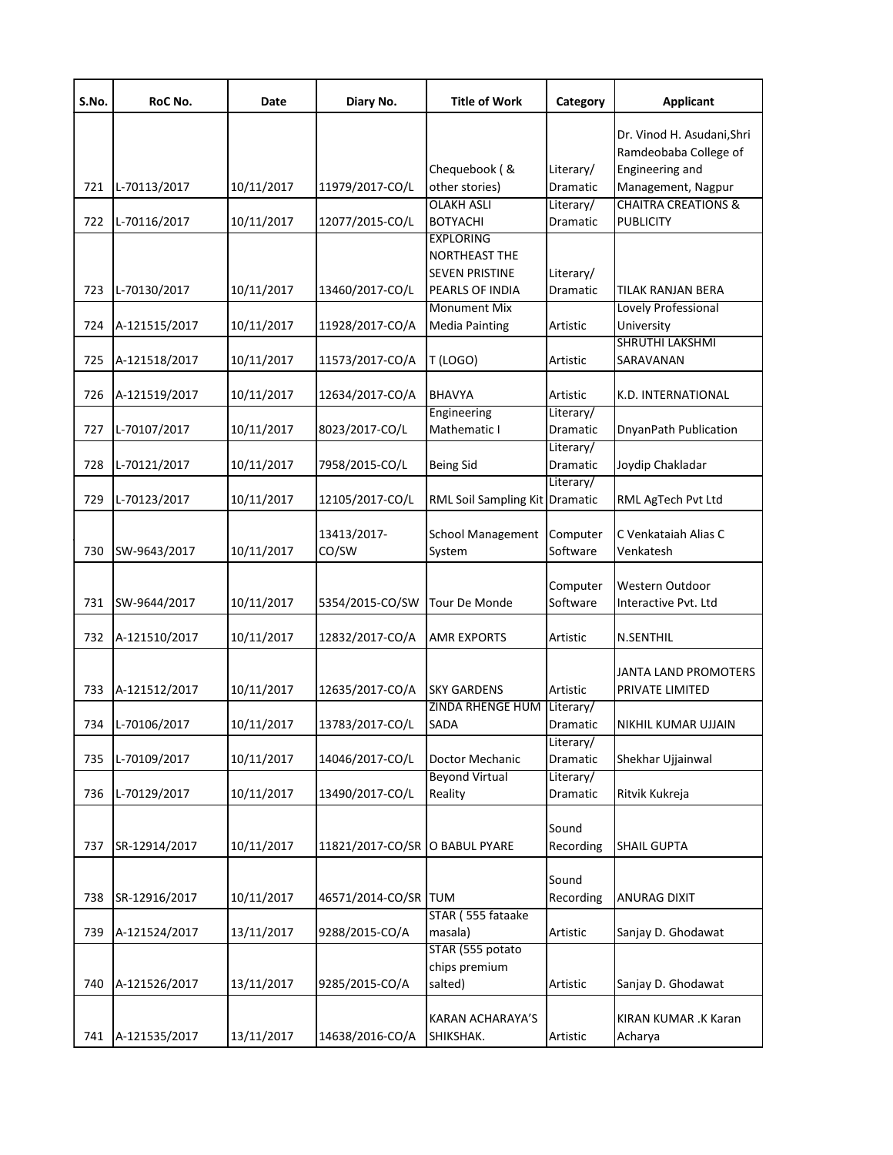| S.No. | RoC No.       | Date       | Diary No.                      | <b>Title of Work</b>           | Category  | <b>Applicant</b>               |
|-------|---------------|------------|--------------------------------|--------------------------------|-----------|--------------------------------|
|       |               |            |                                |                                |           | Dr. Vinod H. Asudani, Shri     |
|       |               |            |                                |                                |           | Ramdeobaba College of          |
|       |               |            |                                | Chequebook (&                  | Literary/ | Engineering and                |
| 721   | L-70113/2017  | 10/11/2017 | 11979/2017-CO/L                | other stories)                 | Dramatic  | Management, Nagpur             |
|       |               |            |                                | <b>OLAKH ASLI</b>              | Literary/ | <b>CHAITRA CREATIONS &amp;</b> |
| 722   | L-70116/2017  | 10/11/2017 | 12077/2015-CO/L                | <b>BOTYACHI</b>                | Dramatic  | <b>PUBLICITY</b>               |
|       |               |            |                                | <b>EXPLORING</b>               |           |                                |
|       |               |            |                                | <b>NORTHEAST THE</b>           |           |                                |
|       |               |            |                                | <b>SEVEN PRISTINE</b>          | Literary/ |                                |
| 723   | L-70130/2017  | 10/11/2017 | 13460/2017-CO/L                | PEARLS OF INDIA                | Dramatic  | TILAK RANJAN BERA              |
|       |               |            |                                | <b>Monument Mix</b>            |           | Lovely Professional            |
| 724   | A-121515/2017 | 10/11/2017 | 11928/2017-CO/A                | <b>Media Painting</b>          | Artistic  | University                     |
|       |               |            |                                |                                |           | SHRUTHI LAKSHMI                |
| 725   | A-121518/2017 | 10/11/2017 | 11573/2017-CO/A                | T (LOGO)                       | Artistic  | SARAVANAN                      |
|       |               |            |                                |                                |           |                                |
| 726   | A-121519/2017 | 10/11/2017 | 12634/2017-CO/A                | <b>BHAVYA</b>                  | Artistic  | K.D. INTERNATIONAL             |
|       |               |            |                                | Engineering                    | Literary/ |                                |
| 727   | L-70107/2017  | 10/11/2017 | 8023/2017-CO/L                 | Mathematic I                   | Dramatic  | DnyanPath Publication          |
|       |               |            |                                |                                | Literary/ |                                |
| 728   | L-70121/2017  | 10/11/2017 | 7958/2015-CO/L                 | <b>Being Sid</b>               | Dramatic  | Joydip Chakladar               |
|       |               |            |                                |                                | Literary/ |                                |
| 729   | L-70123/2017  | 10/11/2017 | 12105/2017-CO/L                | RML Soil Sampling Kit Dramatic |           | RML AgTech Pvt Ltd             |
|       |               |            |                                |                                |           |                                |
|       |               |            | 13413/2017-                    | <b>School Management</b>       | Computer  | C Venkataiah Alias C           |
| 730   | SW-9643/2017  | 10/11/2017 | CO/SW                          | System                         | Software  | Venkatesh                      |
|       |               |            |                                |                                |           |                                |
|       |               |            |                                |                                | Computer  | Western Outdoor                |
| 731   | SW-9644/2017  | 10/11/2017 | 5354/2015-CO/SW                | Tour De Monde                  | Software  | Interactive Pvt. Ltd           |
|       |               |            |                                |                                |           |                                |
| 732   | A-121510/2017 | 10/11/2017 | 12832/2017-CO/A                | <b>AMR EXPORTS</b>             | Artistic  | N.SENTHIL                      |
|       |               |            |                                |                                |           |                                |
|       |               |            |                                |                                |           | JANTA LAND PROMOTERS           |
| 733   | A-121512/2017 | 10/11/2017 | 12635/2017-CO/A                | <b>SKY GARDENS</b>             | Artistic  | PRIVATE LIMITED                |
|       |               |            |                                | ZINDA RHENGE HUM               | Literary/ |                                |
| 734   | L-70106/2017  | 10/11/2017 | 13783/2017-CO/L                | SADA                           | Dramatic  | NIKHIL KUMAR UJJAIN            |
|       |               |            |                                |                                | Literary/ |                                |
| 735   | L-70109/2017  | 10/11/2017 | 14046/2017-CO/L                | Doctor Mechanic                | Dramatic  | Shekhar Ujjainwal              |
|       |               |            |                                | <b>Beyond Virtual</b>          | Literary/ |                                |
| 736   | L-70129/2017  | 10/11/2017 | 13490/2017-CO/L                | Reality                        | Dramatic  | Ritvik Kukreja                 |
|       |               |            |                                |                                |           |                                |
|       |               |            |                                |                                | Sound     |                                |
| 737   | SR-12914/2017 | 10/11/2017 | 11821/2017-CO/SR O BABUL PYARE |                                | Recording | <b>SHAIL GUPTA</b>             |
|       |               |            |                                |                                |           |                                |
|       |               |            |                                |                                | Sound     |                                |
| 738   | SR-12916/2017 | 10/11/2017 | 46571/2014-CO/SR               | <b>TUM</b>                     | Recording | <b>ANURAG DIXIT</b>            |
|       |               |            |                                | STAR (555 fataake              |           |                                |
| 739   | A-121524/2017 | 13/11/2017 | 9288/2015-CO/A                 | masala)                        | Artistic  | Sanjay D. Ghodawat             |
|       |               |            |                                | STAR (555 potato               |           |                                |
|       |               |            |                                | chips premium                  |           |                                |
| 740   | A-121526/2017 | 13/11/2017 | 9285/2015-CO/A                 | salted)                        | Artistic  | Sanjay D. Ghodawat             |
|       |               |            |                                |                                |           |                                |
|       |               |            |                                | KARAN ACHARAYA'S               |           | KIRAN KUMAR .K Karan           |
| 741   | A-121535/2017 | 13/11/2017 | 14638/2016-CO/A                | SHIKSHAK.                      | Artistic  | Acharya                        |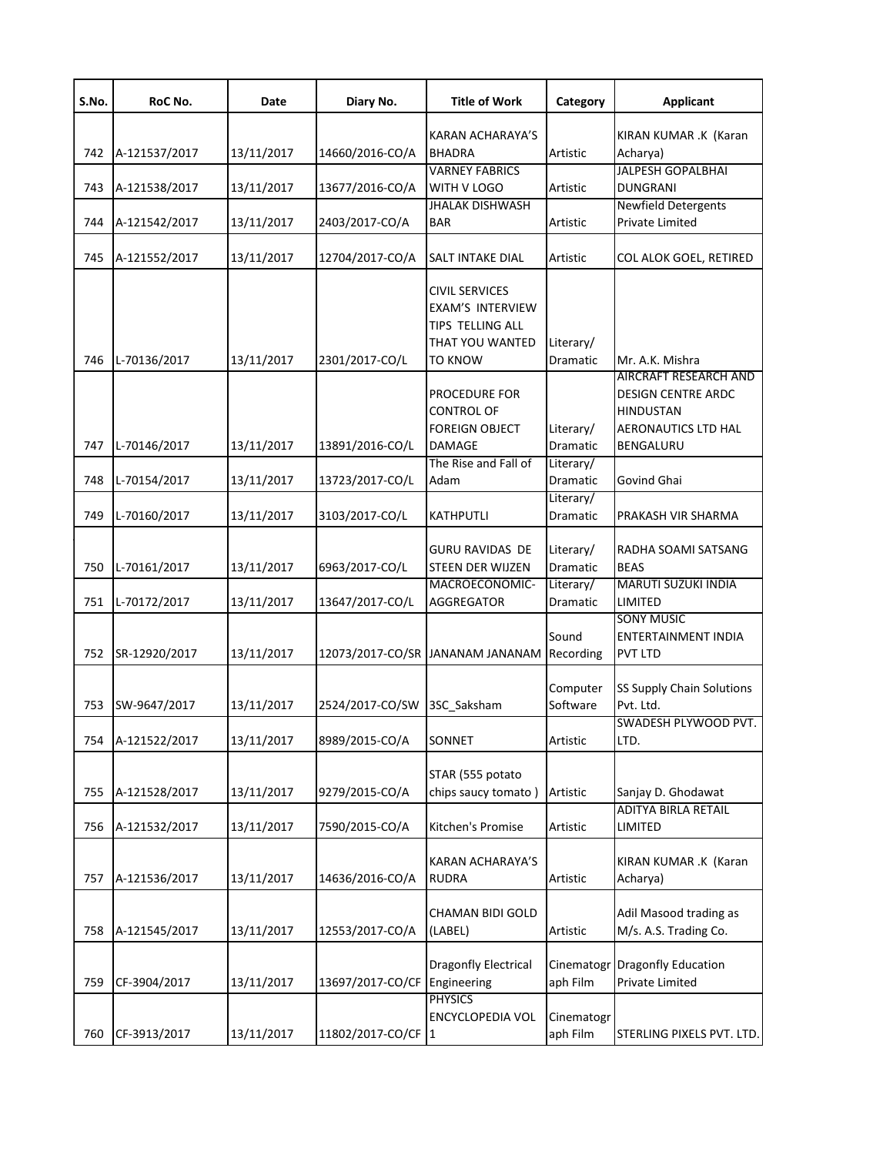| S.No. | RoC No.       | Date       | Diary No.          | <b>Title of Work</b>                                                                        | Category               | <b>Applicant</b>                                                                                           |
|-------|---------------|------------|--------------------|---------------------------------------------------------------------------------------------|------------------------|------------------------------------------------------------------------------------------------------------|
| 742   | A-121537/2017 | 13/11/2017 | 14660/2016-CO/A    | <b>KARAN ACHARAYA'S</b><br><b>BHADRA</b>                                                    | Artistic               | KIRAN KUMAR .K (Karan<br>Acharya)                                                                          |
| 743   | A-121538/2017 | 13/11/2017 | 13677/2016-CO/A    | <b>VARNEY FABRICS</b><br>WITH V LOGO                                                        | Artistic               | <b>JALPESH GOPALBHAI</b><br><b>DUNGRANI</b>                                                                |
| 744   | A-121542/2017 | 13/11/2017 | 2403/2017-CO/A     | <b>JHALAK DISHWASH</b><br><b>BAR</b>                                                        | Artistic               | <b>Newfield Detergents</b><br><b>Private Limited</b>                                                       |
| 745   | A-121552/2017 | 13/11/2017 | 12704/2017-CO/A    | SALT INTAKE DIAL                                                                            | Artistic               | COL ALOK GOEL, RETIRED                                                                                     |
| 746   | L-70136/2017  | 13/11/2017 | 2301/2017-CO/L     | <b>CIVIL SERVICES</b><br>EXAM'S INTERVIEW<br>TIPS TELLING ALL<br>THAT YOU WANTED<br>TO KNOW | Literary/<br>Dramatic  | Mr. A.K. Mishra                                                                                            |
| 747   | L-70146/2017  | 13/11/2017 | 13891/2016-CO/L    | PROCEDURE FOR<br><b>CONTROL OF</b><br><b>FOREIGN OBJECT</b><br><b>DAMAGE</b>                | Literary/<br>Dramatic  | AIRCRAFT RESEARCH AND<br><b>DESIGN CENTRE ARDC</b><br><b>HINDUSTAN</b><br>AERONAUTICS LTD HAL<br>BENGALURU |
| 748   | L-70154/2017  | 13/11/2017 | 13723/2017-CO/L    | The Rise and Fall of<br>Adam                                                                | Literary/<br>Dramatic  | Govind Ghai                                                                                                |
| 749   | L-70160/2017  | 13/11/2017 | 3103/2017-CO/L     | KATHPUTLI                                                                                   | Literary/<br>Dramatic  | PRAKASH VIR SHARMA                                                                                         |
| 750   | L-70161/2017  | 13/11/2017 | 6963/2017-CO/L     | <b>GURU RAVIDAS DE</b><br><b>STEEN DER WIJZEN</b>                                           | Literary/<br>Dramatic  | RADHA SOAMI SATSANG<br><b>BEAS</b>                                                                         |
| 751   | L-70172/2017  | 13/11/2017 | 13647/2017-CO/L    | MACROECONOMIC-<br><b>AGGREGATOR</b>                                                         | Literary/<br>Dramatic  | <b>MARUTI SUZUKI INDIA</b><br>LIMITED                                                                      |
| 752   | SR-12920/2017 | 13/11/2017 |                    | 12073/2017-CO/SR JANANAM JANANAM                                                            | Sound<br>Recording     | <b>SONY MUSIC</b><br>ENTERTAINMENT INDIA<br><b>PVT LTD</b>                                                 |
| 753   | SW-9647/2017  | 13/11/2017 | 2524/2017-CO/SW    | 3SC Saksham                                                                                 | Computer<br>Software   | SS Supply Chain Solutions<br>Pvt. Ltd.                                                                     |
| 754   | A-121522/2017 | 13/11/2017 | 8989/2015-CO/A     | SONNET                                                                                      | Artistic               | SWADESH PLYWOOD PVT.<br>LTD.                                                                               |
| 755   | A-121528/2017 | 13/11/2017 | 9279/2015-CO/A     | STAR (555 potato<br>chips saucy tomato)                                                     | Artistic               | Sanjay D. Ghodawat                                                                                         |
| 756   | A-121532/2017 | 13/11/2017 | 7590/2015-CO/A     | Kitchen's Promise                                                                           | Artistic               | <b>ADITYA BIRLA RETAIL</b><br>LIMITED                                                                      |
| 757   | A-121536/2017 | 13/11/2017 | 14636/2016-CO/A    | KARAN ACHARAYA'S<br><b>RUDRA</b>                                                            | Artistic               | KIRAN KUMAR .K (Karan<br>Acharya)                                                                          |
| 758   | A-121545/2017 | 13/11/2017 | 12553/2017-CO/A    | <b>CHAMAN BIDI GOLD</b><br>(LABEL)                                                          | Artistic               | Adil Masood trading as<br>M/s. A.S. Trading Co.                                                            |
| 759   | CF-3904/2017  | 13/11/2017 | 13697/2017-CO/CF   | Dragonfly Electrical<br>Engineering                                                         | Cinematogr<br>aph Film | <b>Dragonfly Education</b><br><b>Private Limited</b>                                                       |
| 760   | CF-3913/2017  | 13/11/2017 | 11802/2017-CO/CF 1 | <b>PHYSICS</b><br><b>ENCYCLOPEDIA VOL</b>                                                   | Cinematogr<br>aph Film | STERLING PIXELS PVT. LTD.                                                                                  |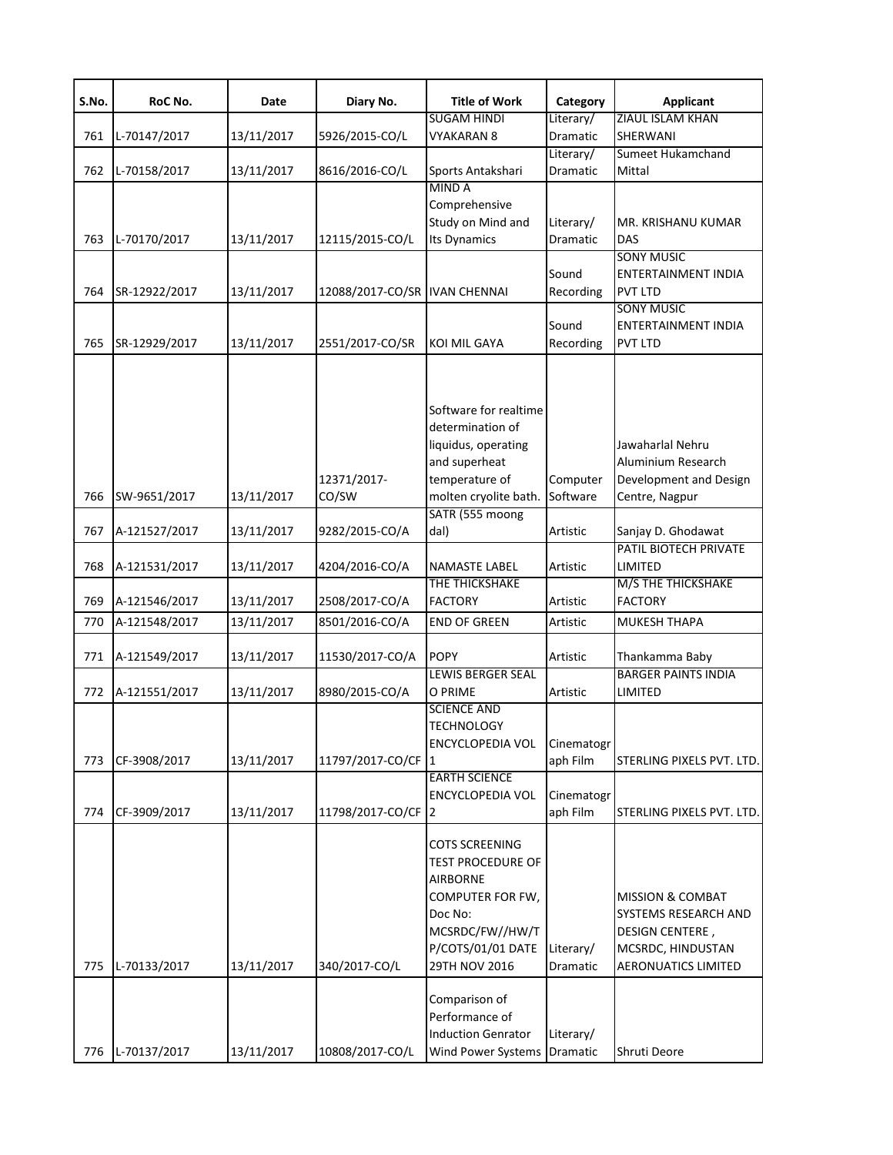| S.No. | RoC No.       | Date       | Diary No.                     | <b>Title of Work</b>                     | Category                     | <b>Applicant</b>                         |
|-------|---------------|------------|-------------------------------|------------------------------------------|------------------------------|------------------------------------------|
|       |               |            |                               | <b>SUGAM HINDI</b>                       | Literary/                    | ZIAUL ISLAM KHAN                         |
| 761   | L-70147/2017  | 13/11/2017 | 5926/2015-CO/L                | <b>VYAKARAN 8</b>                        | Dramatic                     | SHERWANI                                 |
|       |               |            |                               |                                          | Literary/                    | Sumeet Hukamchand                        |
| 762   | L-70158/2017  | 13/11/2017 | 8616/2016-CO/L                | Sports Antakshari<br><b>MINDA</b>        | <b>Dramatic</b>              | Mittal                                   |
|       |               |            |                               |                                          |                              |                                          |
|       |               |            |                               | Comprehensive<br>Study on Mind and       |                              |                                          |
|       |               |            |                               |                                          | Literary/<br><b>Dramatic</b> | MR. KRISHANU KUMAR<br><b>DAS</b>         |
| 763   | L-70170/2017  | 13/11/2017 | 12115/2015-CO/L               | <b>Its Dynamics</b>                      |                              | <b>SONY MUSIC</b>                        |
|       |               |            |                               |                                          | Sound                        | <b>ENTERTAINMENT INDIA</b>               |
| 764   | SR-12922/2017 | 13/11/2017 | 12088/2017-CO/SR IVAN CHENNAI |                                          | Recording                    | <b>PVT LTD</b>                           |
|       |               |            |                               |                                          |                              | <b>SONY MUSIC</b>                        |
|       |               |            |                               |                                          | Sound                        | <b>ENTERTAINMENT INDIA</b>               |
| 765   | SR-12929/2017 | 13/11/2017 | 2551/2017-CO/SR               | <b>KOI MIL GAYA</b>                      | Recording                    | <b>PVT LTD</b>                           |
|       |               |            |                               |                                          |                              |                                          |
|       |               |            |                               |                                          |                              |                                          |
|       |               |            |                               | Software for realtime                    |                              |                                          |
|       |               |            |                               | determination of                         |                              |                                          |
|       |               |            |                               | liquidus, operating                      |                              | Jawaharlal Nehru                         |
|       |               |            |                               | and superheat                            |                              | Aluminium Research                       |
|       | SW-9651/2017  |            | 12371/2017-<br>CO/SW          | temperature of                           | Computer<br>Software         | Development and Design<br>Centre, Nagpur |
| 766   |               | 13/11/2017 |                               | molten cryolite bath.                    |                              |                                          |
|       |               |            |                               | SATR (555 moong                          |                              |                                          |
| 767   | A-121527/2017 | 13/11/2017 | 9282/2015-CO/A                | dal)                                     | Artistic                     | Sanjay D. Ghodawat                       |
| 768   | A-121531/2017 | 13/11/2017 | 4204/2016-CO/A                | <b>NAMASTE LABEL</b>                     | Artistic                     | PATIL BIOTECH PRIVATE<br>LIMITED         |
|       |               |            |                               | THE THICKSHAKE                           |                              | M/S THE THICKSHAKE                       |
|       |               | 13/11/2017 |                               | <b>FACTORY</b>                           | Artistic                     | <b>FACTORY</b>                           |
| 769   | A-121546/2017 |            | 2508/2017-CO/A                |                                          |                              |                                          |
| 770   | A-121548/2017 | 13/11/2017 | 8501/2016-CO/A                | <b>END OF GREEN</b>                      | Artistic                     | MUKESH THAPA                             |
|       |               |            |                               | <b>POPY</b>                              |                              |                                          |
| 771   | A-121549/2017 | 13/11/2017 | 11530/2017-CO/A               |                                          | Artistic                     | Thankamma Baby                           |
|       |               |            |                               | <b>LEWIS BERGER SEAL</b>                 |                              | <b>BARGER PAINTS INDIA</b>               |
| 772   | A-121551/2017 | 13/11/2017 | 8980/2015-CO/A                | O PRIME<br><b>SCIENCE AND</b>            | Artistic                     | LIMITED                                  |
|       |               |            |                               |                                          |                              |                                          |
|       |               |            |                               | <b>TECHNOLOGY</b>                        |                              |                                          |
| 773   | CF-3908/2017  | 13/11/2017 | 11797/2017-CO/CF              | <b>ENCYCLOPEDIA VOL</b><br>$\mathbf{11}$ | Cinematogr<br>aph Film       | STERLING PIXELS PVT. LTD.                |
|       |               |            |                               | <b>EARTH SCIENCE</b>                     |                              |                                          |
|       |               |            |                               | <b>ENCYCLOPEDIA VOL</b>                  | Cinematogr                   |                                          |
| 774   | CF-3909/2017  | 13/11/2017 | 11798/2017-CO/CF              | $\mathsf{I}2$                            | aph Film                     | STERLING PIXELS PVT. LTD.                |
|       |               |            |                               |                                          |                              |                                          |
|       |               |            |                               | <b>COTS SCREENING</b>                    |                              |                                          |
|       |               |            |                               | <b>TEST PROCEDURE OF</b>                 |                              |                                          |
|       |               |            |                               | <b>AIRBORNE</b>                          |                              |                                          |
|       |               |            |                               | COMPUTER FOR FW,                         |                              | <b>MISSION &amp; COMBAT</b>              |
|       |               |            |                               | Doc No:                                  |                              | SYSTEMS RESEARCH AND                     |
|       |               |            |                               | MCSRDC/FW//HW/T                          |                              | <b>DESIGN CENTERE,</b>                   |
|       |               |            |                               | P/COTS/01/01 DATE                        | Literary/                    | MCSRDC, HINDUSTAN                        |
| 775   | L-70133/2017  | 13/11/2017 | 340/2017-CO/L                 | 29TH NOV 2016                            | Dramatic                     | <b>AERONUATICS LIMITED</b>               |
|       |               |            |                               |                                          |                              |                                          |
|       |               |            |                               | Comparison of                            |                              |                                          |
|       |               |            |                               | Performance of                           |                              |                                          |
|       |               |            |                               | <b>Induction Genrator</b>                | Literary/                    |                                          |
| 776   | L-70137/2017  | 13/11/2017 | 10808/2017-CO/L               | Wind Power Systems Dramatic              |                              | Shruti Deore                             |
|       |               |            |                               |                                          |                              |                                          |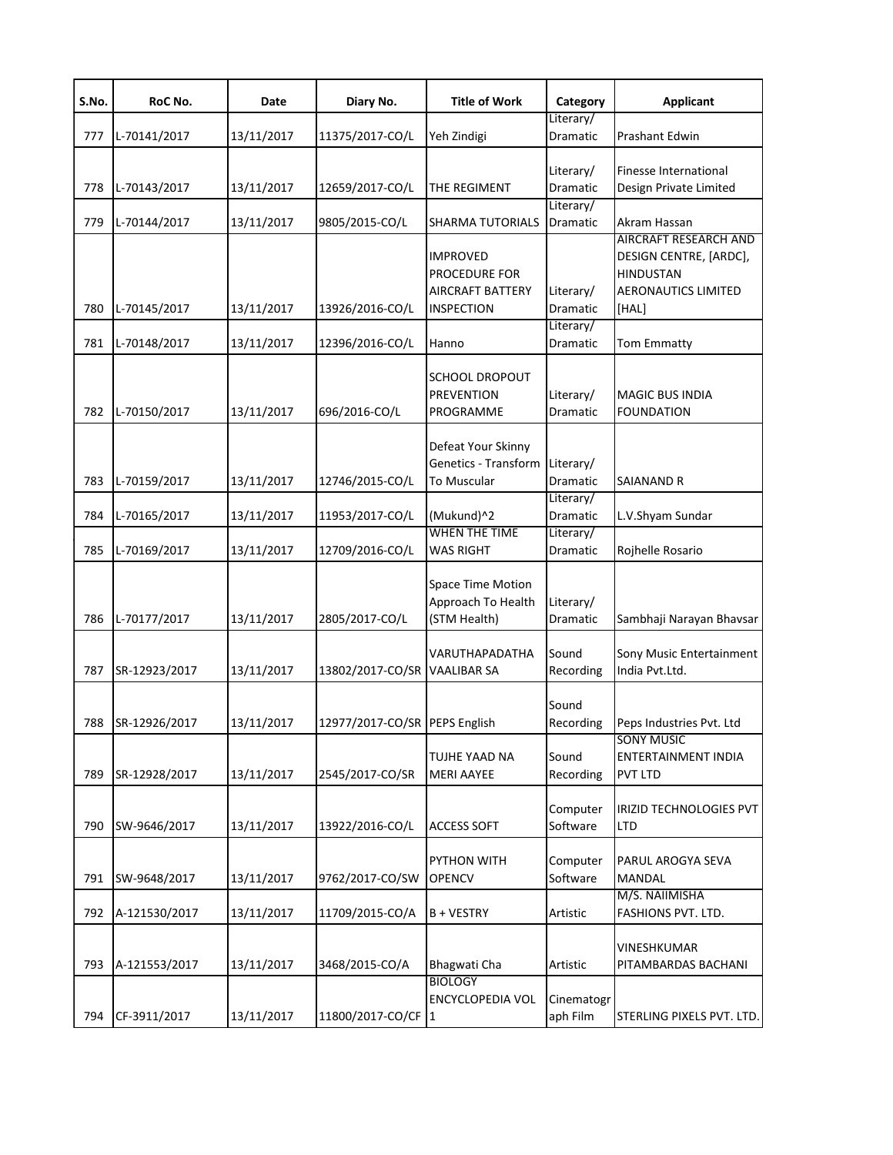| S.No. | RoC No.       | Date       | Diary No.                     | <b>Title of Work</b>                                                      | Category                           | <b>Applicant</b>                                                                                           |
|-------|---------------|------------|-------------------------------|---------------------------------------------------------------------------|------------------------------------|------------------------------------------------------------------------------------------------------------|
| 777   | L-70141/2017  | 13/11/2017 | 11375/2017-CO/L               | Yeh Zindigi                                                               | Literary/<br>Dramatic              | Prashant Edwin                                                                                             |
| 778   | L-70143/2017  | 13/11/2017 | 12659/2017-CO/L               | THE REGIMENT                                                              | Literary/<br>Dramatic              | Finesse International<br>Design Private Limited                                                            |
| 779   | L-70144/2017  | 13/11/2017 | 9805/2015-CO/L                | <b>SHARMA TUTORIALS</b>                                                   | Literary/<br>Dramatic              | Akram Hassan                                                                                               |
| 780   | L-70145/2017  | 13/11/2017 | 13926/2016-CO/L               | <b>IMPROVED</b><br>PROCEDURE FOR<br>AIRCRAFT BATTERY<br><b>INSPECTION</b> | Literary/<br>Dramatic<br>Literary/ | AIRCRAFT RESEARCH AND<br>DESIGN CENTRE, [ARDC],<br><b>HINDUSTAN</b><br><b>AERONAUTICS LIMITED</b><br>[HAL] |
| 781   | L-70148/2017  | 13/11/2017 | 12396/2016-CO/L               | Hanno                                                                     | Dramatic                           | Tom Emmatty                                                                                                |
| 782   | L-70150/2017  | 13/11/2017 | 696/2016-CO/L                 | <b>SCHOOL DROPOUT</b><br><b>PREVENTION</b><br>PROGRAMME                   | Literary/<br>Dramatic              | <b>MAGIC BUS INDIA</b><br><b>FOUNDATION</b>                                                                |
| 783   | L-70159/2017  | 13/11/2017 | 12746/2015-CO/L               | Defeat Your Skinny<br>Genetics - Transform<br>To Muscular                 | Literary/<br><b>Dramatic</b>       | <b>SAIANAND R</b>                                                                                          |
| 784   | L-70165/2017  | 13/11/2017 | 11953/2017-CO/L               | (Mukund)^2                                                                | Literary/<br>Dramatic              | L.V.Shyam Sundar                                                                                           |
| 785   | L-70169/2017  | 13/11/2017 | 12709/2016-CO/L               | <b>WHEN THE TIME</b><br><b>WAS RIGHT</b>                                  | Literary/<br>Dramatic              | Rojhelle Rosario                                                                                           |
| 786   | L-70177/2017  | 13/11/2017 | 2805/2017-CO/L                | Space Time Motion<br>Approach To Health<br>(STM Health)                   | Literary/<br>Dramatic              | Sambhaji Narayan Bhavsar                                                                                   |
| 787   | SR-12923/2017 | 13/11/2017 | 13802/2017-CO/SR              | VARUTHAPADATHA<br><b>VAALIBAR SA</b>                                      | Sound<br>Recording                 | Sony Music Entertainment<br>India Pvt.Ltd.                                                                 |
| 788   | SR-12926/2017 | 13/11/2017 | 12977/2017-CO/SR PEPS English |                                                                           | Sound<br>Recording                 | Peps Industries Pvt. Ltd                                                                                   |
| 789   | SR-12928/2017 | 13/11/2017 | 2545/2017-CO/SR               | TUJHE YAAD NA<br><b>MERI AAYEE</b>                                        | Sound<br>Recording                 | <b>SONY MUSIC</b><br><b>ENTERTAINMENT INDIA</b><br><b>PVT LTD</b>                                          |
| 790   | SW-9646/2017  | 13/11/2017 | 13922/2016-CO/L               | <b>ACCESS SOFT</b>                                                        | Computer<br>Software               | IRIZID TECHNOLOGIES PVT<br>LTD                                                                             |
| 791   | SW-9648/2017  | 13/11/2017 | 9762/2017-CO/SW               | PYTHON WITH<br><b>OPENCV</b>                                              | Computer<br>Software               | PARUL AROGYA SEVA<br><b>MANDAL</b>                                                                         |
| 792   | A-121530/2017 | 13/11/2017 | 11709/2015-CO/A               | B + VESTRY                                                                | Artistic                           | M/S. NAIIMISHA<br>FASHIONS PVT. LTD.                                                                       |
| 793   | A-121553/2017 | 13/11/2017 | 3468/2015-CO/A                | Bhagwati Cha<br><b>BIOLOGY</b>                                            | Artistic                           | VINESHKUMAR<br>PITAMBARDAS BACHANI                                                                         |
| 794   | CF-3911/2017  | 13/11/2017 | 11800/2017-CO/CF 1            | <b>ENCYCLOPEDIA VOL</b>                                                   | Cinematogr<br>aph Film             | STERLING PIXELS PVT. LTD.                                                                                  |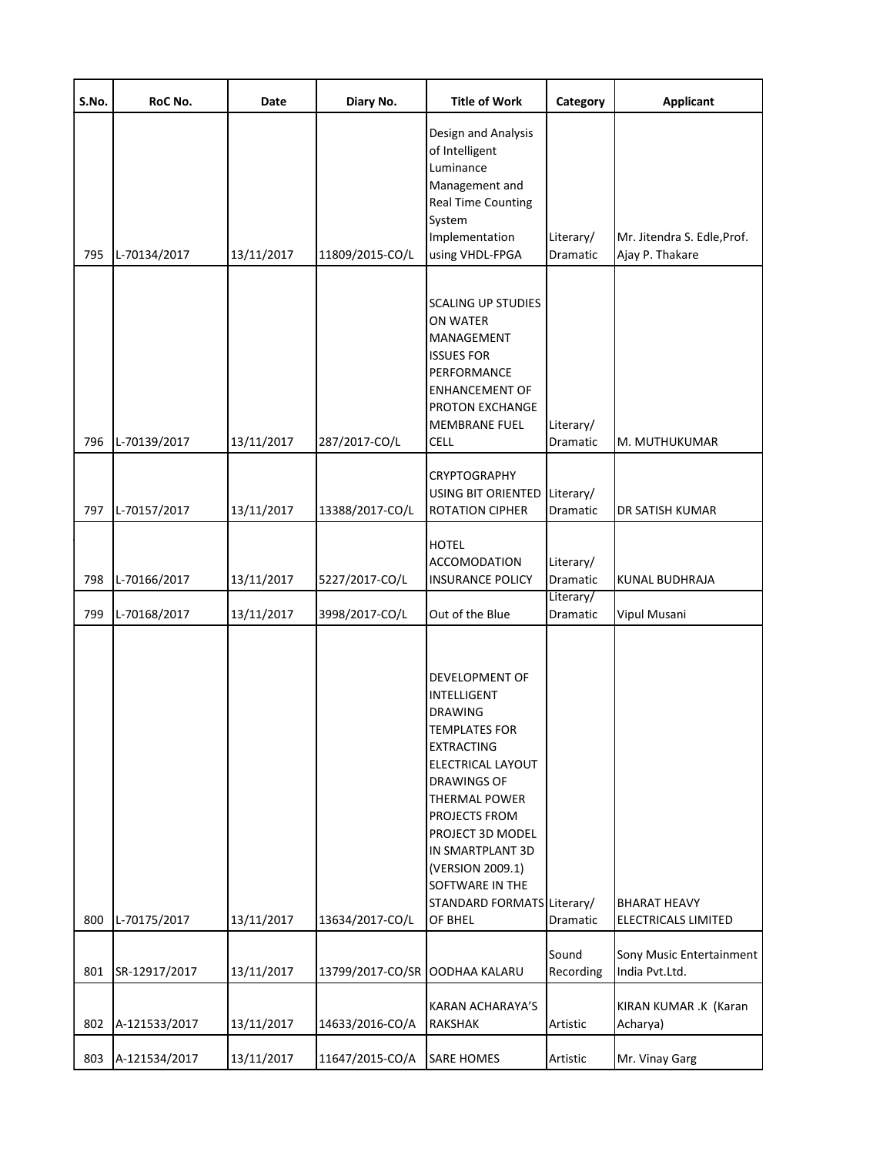| S.No. | RoC No.       | Date       | Diary No.                      | <b>Title of Work</b>                                                                                                                                                                                                                                                                                     | Category              | <b>Applicant</b>                           |
|-------|---------------|------------|--------------------------------|----------------------------------------------------------------------------------------------------------------------------------------------------------------------------------------------------------------------------------------------------------------------------------------------------------|-----------------------|--------------------------------------------|
|       |               |            |                                | Design and Analysis<br>of Intelligent<br>Luminance<br>Management and<br><b>Real Time Counting</b><br>System                                                                                                                                                                                              |                       |                                            |
|       |               |            |                                | Implementation                                                                                                                                                                                                                                                                                           | Literary/             | Mr. Jitendra S. Edle, Prof.                |
| 795   | L-70134/2017  | 13/11/2017 | 11809/2015-CO/L                | using VHDL-FPGA                                                                                                                                                                                                                                                                                          | Dramatic              | Ajay P. Thakare                            |
| 796   | L-70139/2017  | 13/11/2017 | 287/2017-CO/L                  | <b>SCALING UP STUDIES</b><br>ON WATER<br>MANAGEMENT<br><b>ISSUES FOR</b><br>PERFORMANCE<br><b>ENHANCEMENT OF</b><br><b>PROTON EXCHANGE</b><br><b>MEMBRANE FUEL</b><br><b>CELL</b>                                                                                                                        | Literary/<br>Dramatic | M. MUTHUKUMAR                              |
| 797   | L-70157/2017  | 13/11/2017 | 13388/2017-CO/L                | <b>CRYPTOGRAPHY</b><br><b>USING BIT ORIENTED</b><br><b>ROTATION CIPHER</b>                                                                                                                                                                                                                               | Literary/<br>Dramatic | DR SATISH KUMAR                            |
| 798   | L-70166/2017  | 13/11/2017 | 5227/2017-CO/L                 | <b>HOTEL</b><br><b>ACCOMODATION</b><br><b>INSURANCE POLICY</b>                                                                                                                                                                                                                                           | Literary/<br>Dramatic | <b>KUNAL BUDHRAJA</b>                      |
| 799   | L-70168/2017  | 13/11/2017 | 3998/2017-CO/L                 | Out of the Blue                                                                                                                                                                                                                                                                                          | Literary/<br>Dramatic | Vipul Musani                               |
| 800   | L-70175/2017  | 13/11/2017 | 13634/2017-CO/L                | DEVELOPMENT OF<br>INTELLIGENT<br><b>DRAWING</b><br><b>TEMPLATES FOR</b><br><b>EXTRACTING</b><br>ELECTRICAL LAYOUT<br><b>DRAWINGS OF</b><br><b>THERMAL POWER</b><br>PROJECTS FROM<br>PROJECT 3D MODEL<br>IN SMARTPLANT 3D<br>(VERSION 2009.1)<br>SOFTWARE IN THE<br>STANDARD FORMATS Literary/<br>OF BHEL | Dramatic              | <b>BHARAT HEAVY</b><br>ELECTRICALS LIMITED |
| 801   | SR-12917/2017 | 13/11/2017 | 13799/2017-CO/SR OODHAA KALARU |                                                                                                                                                                                                                                                                                                          | Sound<br>Recording    | Sony Music Entertainment<br>India Pvt.Ltd. |
| 802   | A-121533/2017 | 13/11/2017 | 14633/2016-CO/A                | <b>KARAN ACHARAYA'S</b><br><b>RAKSHAK</b>                                                                                                                                                                                                                                                                | Artistic              | KIRAN KUMAR .K (Karan<br>Acharya)          |
| 803   | A-121534/2017 | 13/11/2017 | 11647/2015-CO/A                | <b>SARE HOMES</b>                                                                                                                                                                                                                                                                                        | Artistic              | Mr. Vinay Garg                             |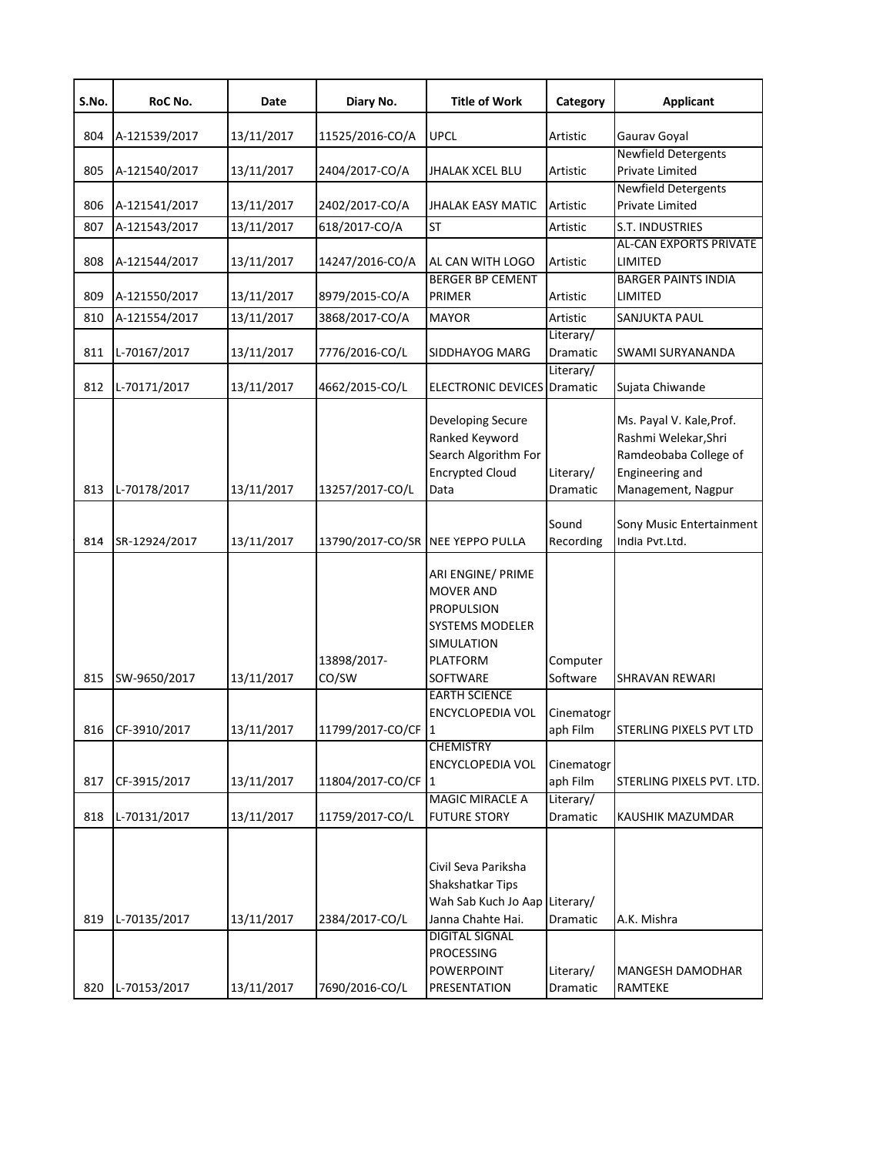| S.No. | RoC No.          | Date       | Diary No.            | <b>Title of Work</b>                                                                                                       | Category               | <b>Applicant</b>                                                                                                   |
|-------|------------------|------------|----------------------|----------------------------------------------------------------------------------------------------------------------------|------------------------|--------------------------------------------------------------------------------------------------------------------|
| 804   | A-121539/2017    | 13/11/2017 | 11525/2016-CO/A      | <b>UPCL</b>                                                                                                                | Artistic               | Gaurav Goyal                                                                                                       |
| 805   | A-121540/2017    | 13/11/2017 | 2404/2017-CO/A       | <b>JHALAK XCEL BLU</b>                                                                                                     | Artistic               | <b>Newfield Detergents</b><br><b>Private Limited</b>                                                               |
| 806   | A-121541/2017    | 13/11/2017 | 2402/2017-CO/A       | JHALAK EASY MATIC                                                                                                          | Artistic               | <b>Newfield Detergents</b><br><b>Private Limited</b>                                                               |
| 807   | A-121543/2017    | 13/11/2017 | 618/2017-CO/A        | <b>ST</b>                                                                                                                  | Artistic               | S.T. INDUSTRIES                                                                                                    |
| 808   | A-121544/2017    | 13/11/2017 | 14247/2016-CO/A      | AL CAN WITH LOGO                                                                                                           | <b>Artistic</b>        | <b>AL-CAN EXPORTS PRIVATE</b><br>LIMITED                                                                           |
| 809   | A-121550/2017    | 13/11/2017 | 8979/2015-CO/A       | <b>BERGER BP CEMENT</b><br>PRIMER                                                                                          | Artistic               | <b>BARGER PAINTS INDIA</b><br>LIMITED                                                                              |
| 810   | A-121554/2017    | 13/11/2017 | 3868/2017-CO/A       | <b>MAYOR</b>                                                                                                               | Artistic               | SANJUKTA PAUL                                                                                                      |
| 811   | L-70167/2017     | 13/11/2017 | 7776/2016-CO/L       | SIDDHAYOG MARG                                                                                                             | Literary/<br>Dramatic  | SWAMI SURYANANDA                                                                                                   |
| 812   | L-70171/2017     | 13/11/2017 | 4662/2015-CO/L       | <b>ELECTRONIC DEVICES</b> Dramatic                                                                                         | Literary/              | Sujata Chiwande                                                                                                    |
| 813   | L-70178/2017     | 13/11/2017 | 13257/2017-CO/L      | Developing Secure<br>Ranked Keyword<br>Search Algorithm For<br><b>Encrypted Cloud</b><br>Data                              | Literary/<br>Dramatic  | Ms. Payal V. Kale, Prof.<br>Rashmi Welekar, Shri<br>Ramdeobaba College of<br>Engineering and<br>Management, Nagpur |
| 814   | SR-12924/2017    | 13/11/2017 | 13790/2017-CO/SR     | <b>NEE YEPPO PULLA</b>                                                                                                     | Sound<br>Recording     | Sony Music Entertainment<br>India Pvt.Ltd.                                                                         |
| 815   | SW-9650/2017     | 13/11/2017 | 13898/2017-<br>CO/SW | ARI ENGINE/ PRIME<br><b>MOVER AND</b><br><b>PROPULSION</b><br><b>SYSTEMS MODELER</b><br>SIMULATION<br>PLATFORM<br>SOFTWARE | Computer<br>Software   | SHRAVAN REWARI                                                                                                     |
|       | 816 CF-3910/2017 | 13/11/2017 | 11799/2017-CO/CF 1   | <b>EARTH SCIENCE</b><br>ENCYCLOPEDIA VOL                                                                                   | Cinematogr<br>aph Film | STERLING PIXELS PVT LTD                                                                                            |
|       |                  |            |                      | <b>CHEMISTRY</b>                                                                                                           |                        |                                                                                                                    |
| 817   | CF-3915/2017     | 13/11/2017 | 11804/2017-CO/CF     | <b>ENCYCLOPEDIA VOL</b><br>11                                                                                              | Cinematogr<br>aph Film | STERLING PIXELS PVT. LTD.                                                                                          |
| 818   | L-70131/2017     | 13/11/2017 | 11759/2017-CO/L      | <b>MAGIC MIRACLE A</b><br><b>FUTURE STORY</b>                                                                              | Literary/<br>Dramatic  | KAUSHIK MAZUMDAR                                                                                                   |
| 819   | L-70135/2017     | 13/11/2017 | 2384/2017-CO/L       | Civil Seva Pariksha<br>Shakshatkar Tips<br>Wah Sab Kuch Jo Aap<br>Janna Chahte Hai.<br><b>DIGITAL SIGNAL</b><br>PROCESSING | Literary/<br>Dramatic  | A.K. Mishra                                                                                                        |
| 820   | L-70153/2017     | 13/11/2017 | 7690/2016-CO/L       | POWERPOINT<br>PRESENTATION                                                                                                 | Literary/<br>Dramatic  | MANGESH DAMODHAR<br>RAMTEKE                                                                                        |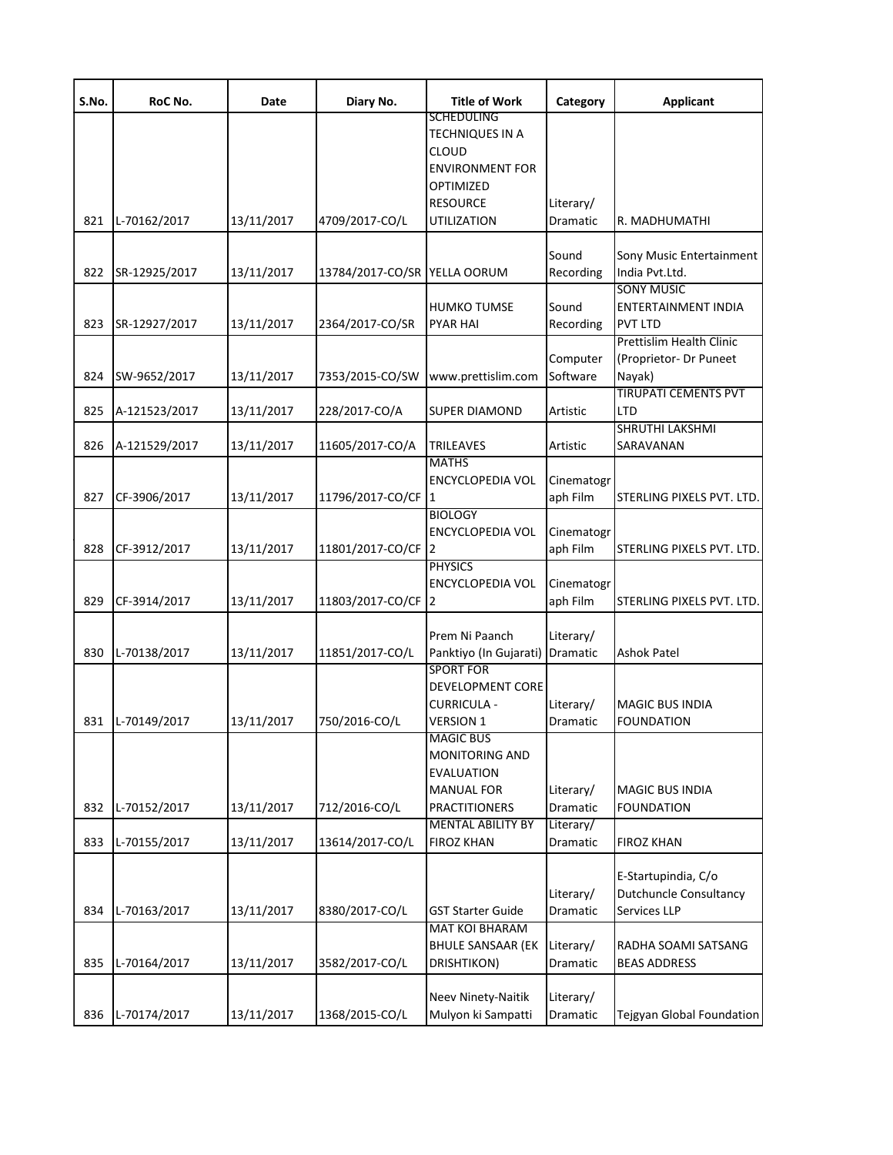| S.No. | RoC No.          | Date       | Diary No.                    | <b>Title of Work</b>                                                                                 | Category                     | <b>Applicant</b>                                                     |
|-------|------------------|------------|------------------------------|------------------------------------------------------------------------------------------------------|------------------------------|----------------------------------------------------------------------|
|       |                  |            |                              | SCHEDULING<br><b>TECHNIQUES IN A</b><br><b>CLOUD</b><br><b>ENVIRONMENT FOR</b>                       |                              |                                                                      |
|       |                  |            |                              | OPTIMIZED<br><b>RESOURCE</b>                                                                         |                              |                                                                      |
| 821   | L-70162/2017     | 13/11/2017 | 4709/2017-CO/L               | UTILIZATION                                                                                          | Literary/<br>Dramatic        | R. MADHUMATHI                                                        |
| 822   | SR-12925/2017    | 13/11/2017 | 13784/2017-CO/SR YELLA OORUM |                                                                                                      | Sound<br>Recording           | Sony Music Entertainment<br>India Pvt.Ltd.                           |
| 823   | SR-12927/2017    | 13/11/2017 | 2364/2017-CO/SR              | <b>HUMKO TUMSE</b><br><b>PYAR HAI</b>                                                                | Sound<br>Recording           | <b>SONY MUSIC</b><br>ENTERTAINMENT INDIA<br><b>PVT LTD</b>           |
| 824   | SW-9652/2017     | 13/11/2017 | 7353/2015-CO/SW              | www.prettislim.com                                                                                   | Computer<br>Software         | <b>Prettislim Health Clinic</b><br>(Proprietor- Dr Puneet<br>Nayak)  |
| 825   | A-121523/2017    | 13/11/2017 | 228/2017-CO/A                | <b>SUPER DIAMOND</b>                                                                                 | Artistic                     | <b>TIRUPATI CEMENTS PVT</b><br>LTD                                   |
| 826   | A-121529/2017    | 13/11/2017 | 11605/2017-CO/A              | <b>TRILEAVES</b>                                                                                     | Artistic                     | <b>SHRUTHI LAKSHMI</b><br>SARAVANAN                                  |
| 827   | CF-3906/2017     | 13/11/2017 | 11796/2017-CO/CF 1           | <b>MATHS</b><br><b>ENCYCLOPEDIA VOL</b>                                                              | Cinematogr<br>aph Film       | STERLING PIXELS PVT. LTD.                                            |
| 828   | CF-3912/2017     | 13/11/2017 | 11801/2017-CO/CF 2           | <b>BIOLOGY</b><br><b>ENCYCLOPEDIA VOL</b>                                                            | Cinematogr<br>aph Film       | STERLING PIXELS PVT. LTD                                             |
| 829   | CF-3914/2017     | 13/11/2017 | 11803/2017-CO/CF 2           | <b>PHYSICS</b><br><b>ENCYCLOPEDIA VOL</b>                                                            | Cinematogr<br>aph Film       | STERLING PIXELS PVT. LTD.                                            |
| 830   | L-70138/2017     | 13/11/2017 | 11851/2017-CO/L              | Prem Ni Paanch<br>Panktiyo (In Gujarati)                                                             | Literary/<br>Dramatic        | <b>Ashok Patel</b>                                                   |
|       | 831 L-70149/2017 | 13/11/2017 | 750/2016-CO/L                | <b>SPORT FOR</b><br><b>DEVELOPMENT CORE</b><br><b>CURRICULA -</b><br><b>VERSION 1</b>                | Literary/<br>Dramatic        | <b>MAGIC BUS INDIA</b><br><b>FOUNDATION</b>                          |
| 832   | L-70152/2017     | 13/11/2017 | 712/2016-CO/L                | <b>MAGIC BUS</b><br><b>MONITORING AND</b><br>EVALUATION<br><b>MANUAL FOR</b><br><b>PRACTITIONERS</b> | Literary/<br>Dramatic        | <b>MAGIC BUS INDIA</b><br><b>FOUNDATION</b>                          |
| 833   | L-70155/2017     | 13/11/2017 | 13614/2017-CO/L              | <b>MENTAL ABILITY BY</b><br><b>FIROZ KHAN</b>                                                        | Literary/<br><b>Dramatic</b> | <b>FIROZ KHAN</b>                                                    |
| 834   | L-70163/2017     | 13/11/2017 | 8380/2017-CO/L               | <b>GST Starter Guide</b>                                                                             | Literary/<br>Dramatic        | E-Startupindia, C/o<br><b>Dutchuncle Consultancy</b><br>Services LLP |
| 835   | L-70164/2017     | 13/11/2017 | 3582/2017-CO/L               | <b>MAT KOI BHARAM</b><br><b>BHULE SANSAAR (EK)</b><br>DRISHTIKON)                                    | Literary/<br>Dramatic        | RADHA SOAMI SATSANG<br><b>BEAS ADDRESS</b>                           |
| 836   | L-70174/2017     | 13/11/2017 | 1368/2015-CO/L               | Neev Ninety-Naitik<br>Mulyon ki Sampatti                                                             | Literary/<br>Dramatic        | Tejgyan Global Foundation                                            |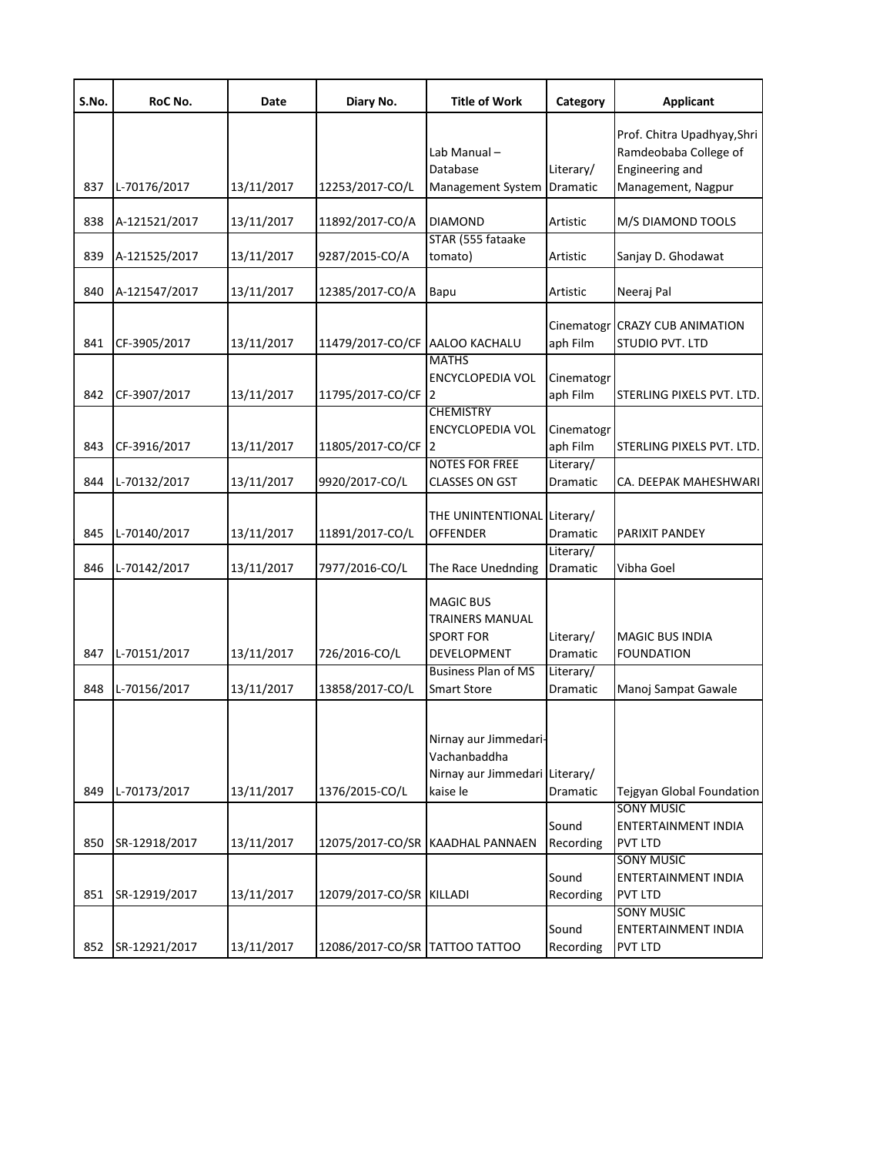| S.No. | RoC No.       | Date       | Diary No.                      | <b>Title of Work</b>                                                                 | Category               | <b>Applicant</b>                                                        |
|-------|---------------|------------|--------------------------------|--------------------------------------------------------------------------------------|------------------------|-------------------------------------------------------------------------|
|       |               |            |                                | Lab Manual-<br>Database                                                              | Literary/              | Prof. Chitra Upadhyay, Shri<br>Ramdeobaba College of<br>Engineering and |
| 837   | L-70176/2017  | 13/11/2017 | 12253/2017-CO/L                | <b>Management System</b>                                                             | Dramatic               | Management, Nagpur                                                      |
| 838   | A-121521/2017 | 13/11/2017 | 11892/2017-CO/A                | <b>DIAMOND</b>                                                                       | Artistic               | M/S DIAMOND TOOLS                                                       |
| 839   | A-121525/2017 | 13/11/2017 | 9287/2015-CO/A                 | STAR (555 fataake<br>tomato)                                                         | Artistic               | Sanjay D. Ghodawat                                                      |
| 840   | A-121547/2017 | 13/11/2017 | 12385/2017-CO/A                | Bapu                                                                                 | Artistic               | Neeraj Pal                                                              |
| 841   | CF-3905/2017  | 13/11/2017 | 11479/2017-CO/CF AALOO KACHALU |                                                                                      | aph Film               | Cinematogr CRAZY CUB ANIMATION<br>STUDIO PVT. LTD                       |
| 842   | CF-3907/2017  | 13/11/2017 | 11795/2017-CO/CF 2             | <b>MATHS</b><br><b>ENCYCLOPEDIA VOL</b>                                              | Cinematogr<br>aph Film | STERLING PIXELS PVT. LTD.                                               |
| 843   | CF-3916/2017  | 13/11/2017 | 11805/2017-CO/CF 2             | <b>CHEMISTRY</b><br><b>ENCYCLOPEDIA VOL</b>                                          | Cinematogr<br>aph Film | STERLING PIXELS PVT. LTD.                                               |
| 844   | L-70132/2017  | 13/11/2017 | 9920/2017-CO/L                 | <b>NOTES FOR FREE</b><br><b>CLASSES ON GST</b>                                       | Literary/<br>Dramatic  | CA. DEEPAK MAHESHWARI                                                   |
| 845   | L-70140/2017  | 13/11/2017 | 11891/2017-CO/L                | THE UNINTENTIONAL Literary/<br><b>OFFENDER</b>                                       | Dramatic               | PARIXIT PANDEY                                                          |
| 846   | L-70142/2017  | 13/11/2017 | 7977/2016-CO/L                 | The Race Unednding                                                                   | Literary/<br>Dramatic  | Vibha Goel                                                              |
| 847   | L-70151/2017  | 13/11/2017 | 726/2016-CO/L                  | <b>MAGIC BUS</b><br><b>TRAINERS MANUAL</b><br><b>SPORT FOR</b><br><b>DEVELOPMENT</b> | Literary/<br>Dramatic  | <b>MAGIC BUS INDIA</b><br><b>FOUNDATION</b>                             |
| 848   | L-70156/2017  | 13/11/2017 | 13858/2017-CO/L                | <b>Business Plan of MS</b><br><b>Smart Store</b>                                     | Literary/<br>Dramatic  | Manoj Sampat Gawale                                                     |
| 849   | L-70173/2017  | 13/11/2017 | 1376/2015-CO/L                 | Nirnay aur Jimmedari-<br>Vachanbaddha<br>Nirnay aur Jimmedari Literary/<br>kaise le  | Dramatic               | Tejgyan Global Foundation                                               |
| 850   | SR-12918/2017 | 13/11/2017 |                                | 12075/2017-CO/SR KAADHAL PANNAEN                                                     | Sound<br>Recording     | <b>SONY MUSIC</b><br><b>ENTERTAINMENT INDIA</b><br><b>PVT LTD</b>       |
| 851   | SR-12919/2017 | 13/11/2017 | 12079/2017-CO/SR KILLADI       |                                                                                      | Sound<br>Recording     | <b>SONY MUSIC</b><br>ENTERTAINMENT INDIA<br><b>PVT LTD</b>              |
| 852   | SR-12921/2017 | 13/11/2017 | 12086/2017-CO/SR TATTOO TATTOO |                                                                                      | Sound<br>Recording     | <b>SONY MUSIC</b><br><b>ENTERTAINMENT INDIA</b><br><b>PVT LTD</b>       |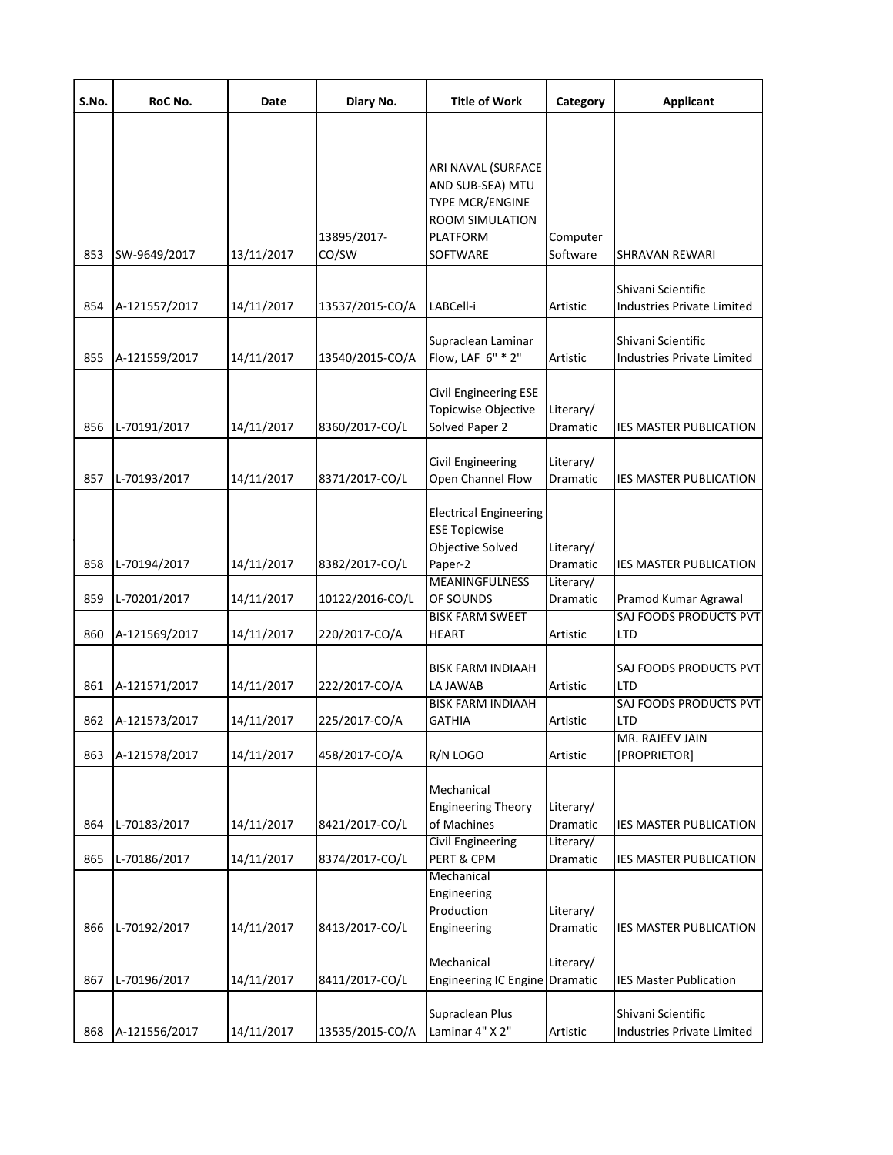| S.No.      | RoC No.                        | Date                     | Diary No.                          | <b>Title of Work</b>                                                                                        | Category              | <b>Applicant</b>                                                               |
|------------|--------------------------------|--------------------------|------------------------------------|-------------------------------------------------------------------------------------------------------------|-----------------------|--------------------------------------------------------------------------------|
| 853        | SW-9649/2017                   | 13/11/2017               | 13895/2017-<br>CO/SW               | ARI NAVAL (SURFACE<br>AND SUB-SEA) MTU<br>TYPE MCR/ENGINE<br>ROOM SIMULATION<br><b>PLATFORM</b><br>SOFTWARE | Computer<br>Software  | SHRAVAN REWARI                                                                 |
|            |                                |                          |                                    |                                                                                                             |                       | Shivani Scientific                                                             |
| 854<br>855 | A-121557/2017<br>A-121559/2017 | 14/11/2017<br>14/11/2017 | 13537/2015-CO/A<br>13540/2015-CO/A | LABCell-i<br>Supraclean Laminar<br>Flow, LAF 6" * 2"                                                        | Artistic<br>Artistic  | Industries Private Limited<br>Shivani Scientific<br>Industries Private Limited |
| 856        | L-70191/2017                   | 14/11/2017               | 8360/2017-CO/L                     | Civil Engineering ESE<br>Topicwise Objective<br>Solved Paper 2                                              | Literary/<br>Dramatic | IES MASTER PUBLICATION                                                         |
| 857        | L-70193/2017                   | 14/11/2017               | 8371/2017-CO/L                     | Civil Engineering<br>Open Channel Flow                                                                      | Literary/<br>Dramatic | IES MASTER PUBLICATION                                                         |
| 858        | L-70194/2017                   | 14/11/2017               | 8382/2017-CO/L                     | <b>Electrical Engineering</b><br><b>ESE Topicwise</b><br>Objective Solved<br>Paper-2                        | Literary/<br>Dramatic | <b>IES MASTER PUBLICATION</b>                                                  |
| 859        | L-70201/2017                   | 14/11/2017               | 10122/2016-CO/L                    | <b>MEANINGFULNESS</b><br>OF SOUNDS<br><b>BISK FARM SWEET</b>                                                | Literary/<br>Dramatic | Pramod Kumar Agrawal<br>SAJ FOODS PRODUCTS PVT                                 |
| 860        | A-121569/2017                  | 14/11/2017               | 220/2017-CO/A                      | <b>HEART</b>                                                                                                | Artistic              | LTD                                                                            |
| 861        | A-121571/2017                  | 14/11/2017               | 222/2017-CO/A                      | BISK FARM INDIAAH<br>LA JAWAB                                                                               | Artistic              | SAJ FOODS PRODUCTS PVT<br>LTD                                                  |
| 862        | A-121573/2017                  | 14/11/2017               | 225/2017-CO/A                      | <b>BISK FARM INDIAAH</b><br>GATHIA                                                                          | Artistic              | SAJ FOODS PRODUCTS PVT<br>LTD                                                  |
| 863        | A-121578/2017                  | 14/11/2017               | 458/2017-CO/A                      | R/N LOGO                                                                                                    | Artistic              | MR. RAJEEV JAIN<br>[PROPRIETOR]                                                |
| 864        | L-70183/2017                   | 14/11/2017               | 8421/2017-CO/L                     | Mechanical<br><b>Engineering Theory</b><br>of Machines                                                      | Literary/<br>Dramatic | <b>IES MASTER PUBLICATION</b>                                                  |
| 865        | L-70186/2017                   | 14/11/2017               | 8374/2017-CO/L                     | <b>Civil Engineering</b><br>PERT & CPM                                                                      | Literary/<br>Dramatic | <b>IES MASTER PUBLICATION</b>                                                  |
| 866        | L-70192/2017                   | 14/11/2017               | 8413/2017-CO/L                     | Mechanical<br>Engineering<br>Production<br>Engineering                                                      | Literary/<br>Dramatic | <b>IES MASTER PUBLICATION</b>                                                  |
| 867        | L-70196/2017                   | 14/11/2017               | 8411/2017-CO/L                     | Mechanical<br>Engineering IC Engine Dramatic                                                                | Literary/             | <b>IES Master Publication</b>                                                  |
| 868        | A-121556/2017                  | 14/11/2017               | 13535/2015-CO/A                    | Supraclean Plus<br>Laminar 4" X 2"                                                                          | Artistic              | Shivani Scientific<br>Industries Private Limited                               |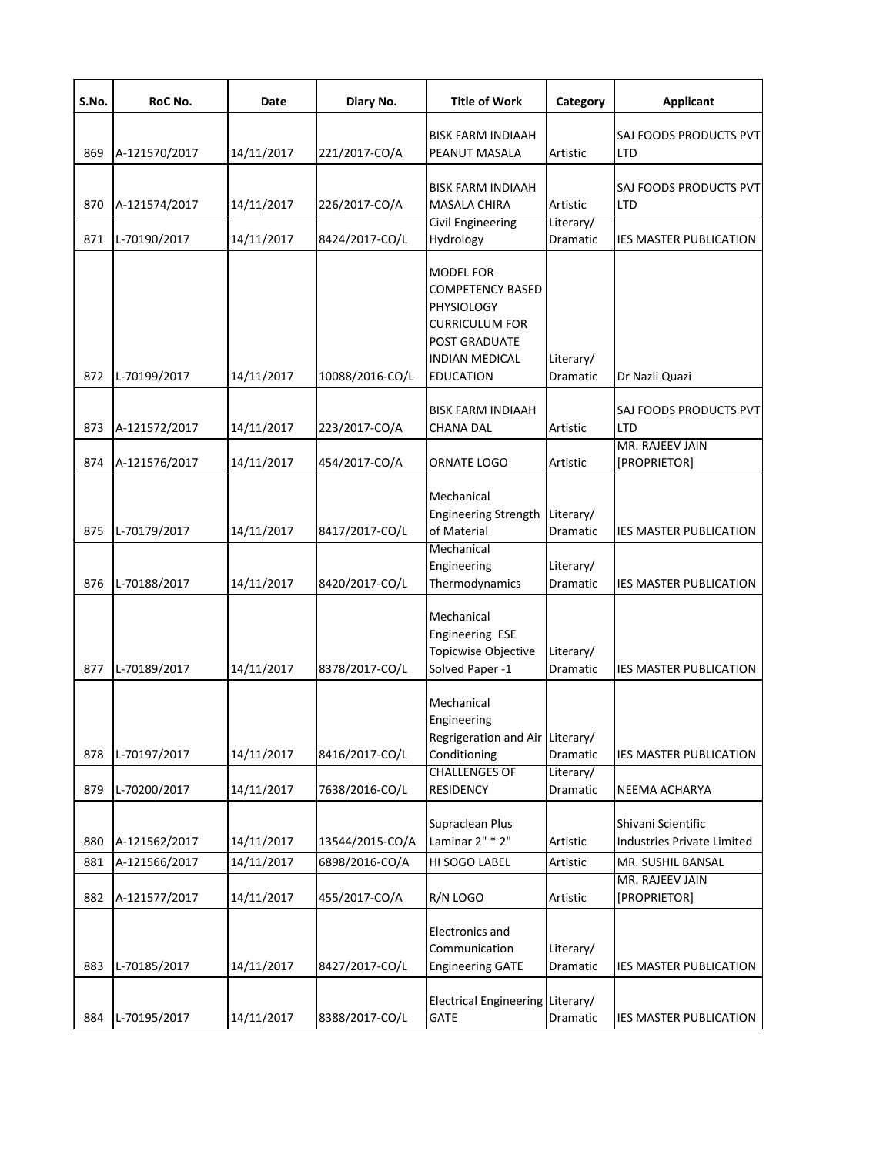| S.No. | RoC No.       | Date       | Diary No.       | <b>Title of Work</b>                                                                                                                      | Category              | <b>Applicant</b>                     |
|-------|---------------|------------|-----------------|-------------------------------------------------------------------------------------------------------------------------------------------|-----------------------|--------------------------------------|
|       |               |            |                 | <b>BISK FARM INDIAAH</b>                                                                                                                  |                       | SAJ FOODS PRODUCTS PVT               |
| 869   | A-121570/2017 | 14/11/2017 | 221/2017-CO/A   | PEANUT MASALA                                                                                                                             | Artistic              | LTD                                  |
| 870   | A-121574/2017 | 14/11/2017 | 226/2017-CO/A   | <b>BISK FARM INDIAAH</b><br><b>MASALA CHIRA</b>                                                                                           | Artistic              | SAJ FOODS PRODUCTS PVT<br><b>LTD</b> |
|       |               |            |                 | <b>Civil Engineering</b>                                                                                                                  | Literary/             |                                      |
| 871   | L-70190/2017  | 14/11/2017 | 8424/2017-CO/L  | Hydrology                                                                                                                                 | Dramatic              | <b>IES MASTER PUBLICATION</b>        |
| 872   | L-70199/2017  | 14/11/2017 | 10088/2016-CO/L | MODEL FOR<br>COMPETENCY BASED<br><b>PHYSIOLOGY</b><br><b>CURRICULUM FOR</b><br>POST GRADUATE<br><b>INDIAN MEDICAL</b><br><b>EDUCATION</b> | Literary/<br>Dramatic | Dr Nazli Quazi                       |
|       |               |            |                 |                                                                                                                                           |                       |                                      |
| 873   | A-121572/2017 | 14/11/2017 | 223/2017-CO/A   | <b>BISK FARM INDIAAH</b><br>CHANA DAL                                                                                                     | Artistic              | SAJ FOODS PRODUCTS PVT<br>LTD        |
|       |               |            |                 |                                                                                                                                           |                       | MR. RAJEEV JAIN                      |
| 874   | A-121576/2017 | 14/11/2017 | 454/2017-CO/A   | ORNATE LOGO                                                                                                                               | Artistic              | [PROPRIETOR]                         |
| 875   | L-70179/2017  | 14/11/2017 | 8417/2017-CO/L  | Mechanical<br>Engineering Strength Literary/<br>of Material<br>Mechanical                                                                 | Dramatic              | IES MASTER PUBLICATION               |
| 876   | L-70188/2017  | 14/11/2017 | 8420/2017-CO/L  | Engineering<br>Thermodynamics                                                                                                             | Literary/<br>Dramatic | <b>IES MASTER PUBLICATION</b>        |
| 877   | L-70189/2017  | 14/11/2017 | 8378/2017-CO/L  | Mechanical<br>Engineering ESE<br>Topicwise Objective<br>Solved Paper -1                                                                   | Literary/<br>Dramatic | <b>IES MASTER PUBLICATION</b>        |
| 878   | L-70197/2017  | 14/11/2017 | 8416/2017-CO/L  | Mechanical<br>Engineering<br>Regrigeration and Air Literary/<br>Conditioning                                                              | Dramatic              | <b>IES MASTER PUBLICATION</b>        |
| 879   | L-70200/2017  | 14/11/2017 | 7638/2016-CO/L  | <b>CHALLENGES OF</b><br><b>RESIDENCY</b>                                                                                                  | Literary/<br>Dramatic | NEEMA ACHARYA                        |
|       |               |            |                 |                                                                                                                                           |                       |                                      |
|       |               |            | 13544/2015-CO/A | Supraclean Plus<br>Laminar 2" * 2"                                                                                                        |                       | Shivani Scientific                   |
| 880   | A-121562/2017 | 14/11/2017 |                 |                                                                                                                                           | Artistic              | Industries Private Limited           |
| 881   | A-121566/2017 | 14/11/2017 | 6898/2016-CO/A  | HI SOGO LABEL                                                                                                                             | Artistic              | MR. SUSHIL BANSAL<br>MR. RAJEEV JAIN |
| 882   | A-121577/2017 | 14/11/2017 | 455/2017-CO/A   | R/N LOGO                                                                                                                                  | Artistic              | [PROPRIETOR]                         |
| 883   | L-70185/2017  | 14/11/2017 | 8427/2017-CO/L  | <b>Electronics and</b><br>Communication<br><b>Engineering GATE</b>                                                                        | Literary/<br>Dramatic | <b>IES MASTER PUBLICATION</b>        |
| 884   | L-70195/2017  | 14/11/2017 | 8388/2017-CO/L  | Electrical Engineering Literary/<br><b>GATE</b>                                                                                           | Dramatic              | <b>IES MASTER PUBLICATION</b>        |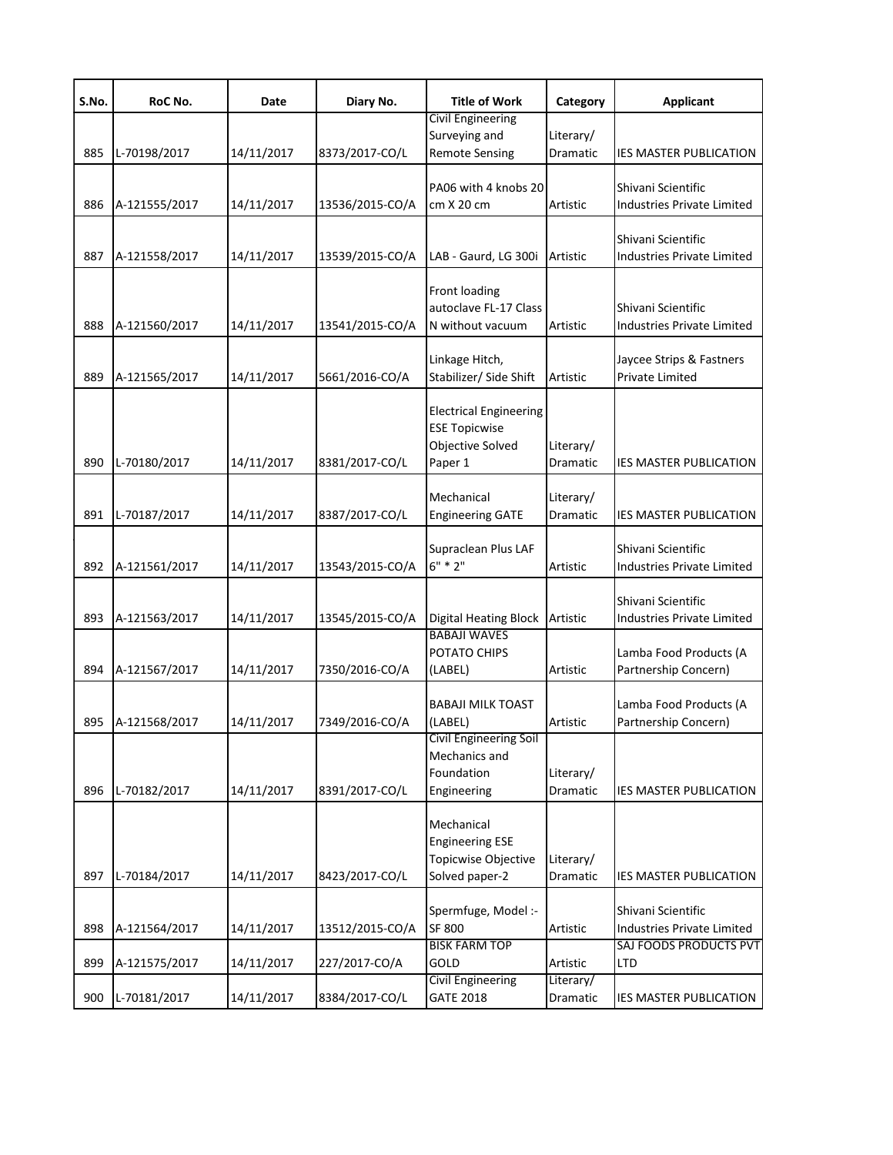| S.No. | RoC No.       | Date       | Diary No.       | <b>Title of Work</b>                                                                 | Category                     | <b>Applicant</b>                                        |
|-------|---------------|------------|-----------------|--------------------------------------------------------------------------------------|------------------------------|---------------------------------------------------------|
|       |               |            |                 | <b>Civil Engineering</b>                                                             |                              |                                                         |
| 885   | L-70198/2017  | 14/11/2017 | 8373/2017-CO/L  | Surveying and<br><b>Remote Sensing</b>                                               | Literary/<br>Dramatic        | <b>IES MASTER PUBLICATION</b>                           |
| 886   | A-121555/2017 | 14/11/2017 | 13536/2015-CO/A | PA06 with 4 knobs 20<br>cm X 20 cm                                                   | Artistic                     | Shivani Scientific<br><b>Industries Private Limited</b> |
|       |               |            |                 |                                                                                      |                              |                                                         |
| 887   | A-121558/2017 | 14/11/2017 | 13539/2015-CO/A | LAB - Gaurd, LG 300i                                                                 | Artistic                     | Shivani Scientific<br><b>Industries Private Limited</b> |
| 888   | A-121560/2017 | 14/11/2017 | 13541/2015-CO/A | Front loading<br>autoclave FL-17 Class<br>N without vacuum                           | Artistic                     | Shivani Scientific<br><b>Industries Private Limited</b> |
| 889   | A-121565/2017 | 14/11/2017 | 5661/2016-CO/A  | Linkage Hitch,<br>Stabilizer/ Side Shift                                             | Artistic                     | Jaycee Strips & Fastners<br><b>Private Limited</b>      |
| 890   | L-70180/2017  | 14/11/2017 | 8381/2017-CO/L  | <b>Electrical Engineering</b><br><b>ESE Topicwise</b><br>Objective Solved<br>Paper 1 | Literary/<br>Dramatic        | IES MASTER PUBLICATION                                  |
| 891   | L-70187/2017  | 14/11/2017 | 8387/2017-CO/L  | Mechanical<br><b>Engineering GATE</b>                                                | Literary/<br>Dramatic        | IES MASTER PUBLICATION                                  |
| 892   | A-121561/2017 | 14/11/2017 | 13543/2015-CO/A | Supraclean Plus LAF<br>$6" * 2"$                                                     | Artistic                     | Shivani Scientific<br>Industries Private Limited        |
| 893   | A-121563/2017 | 14/11/2017 | 13545/2015-CO/A | <b>Digital Heating Block</b>                                                         | Artistic                     | Shivani Scientific<br>Industries Private Limited        |
| 894   | A-121567/2017 | 14/11/2017 | 7350/2016-CO/A  | <b>BABAJI WAVES</b><br>POTATO CHIPS<br>(LABEL)                                       | Artistic                     | Lamba Food Products (A<br>Partnership Concern)          |
| 895   | A-121568/2017 | 14/11/2017 | 7349/2016-CO/A  | <b>BABAJI MILK TOAST</b><br>(LABEL)                                                  | Artistic                     | Lamba Food Products (A<br>Partnership Concern)          |
| 896   | L-70182/2017  | 14/11/2017 | 8391/2017-CO/L  | Civil Engineering Soil<br>Mechanics and<br>Foundation<br>Engineering                 | Literary/<br><b>Dramatic</b> | <b>IES MASTER PUBLICATION</b>                           |
| 897   | L-70184/2017  | 14/11/2017 | 8423/2017-CO/L  | Mechanical<br><b>Engineering ESE</b><br>Topicwise Objective<br>Solved paper-2        | Literary/<br>Dramatic        | <b>IES MASTER PUBLICATION</b>                           |
| 898   | A-121564/2017 | 14/11/2017 | 13512/2015-CO/A | Spermfuge, Model :-<br><b>SF 800</b>                                                 | Artistic                     | Shivani Scientific<br>Industries Private Limited        |
| 899   | A-121575/2017 | 14/11/2017 | 227/2017-CO/A   | <b>BISK FARM TOP</b><br>GOLD                                                         | Artistic                     | SAJ FOODS PRODUCTS PVT<br>LTD.                          |
| 900   | L-70181/2017  | 14/11/2017 | 8384/2017-CO/L  | <b>Civil Engineering</b><br><b>GATE 2018</b>                                         | Literary/<br>Dramatic        | <b>IES MASTER PUBLICATION</b>                           |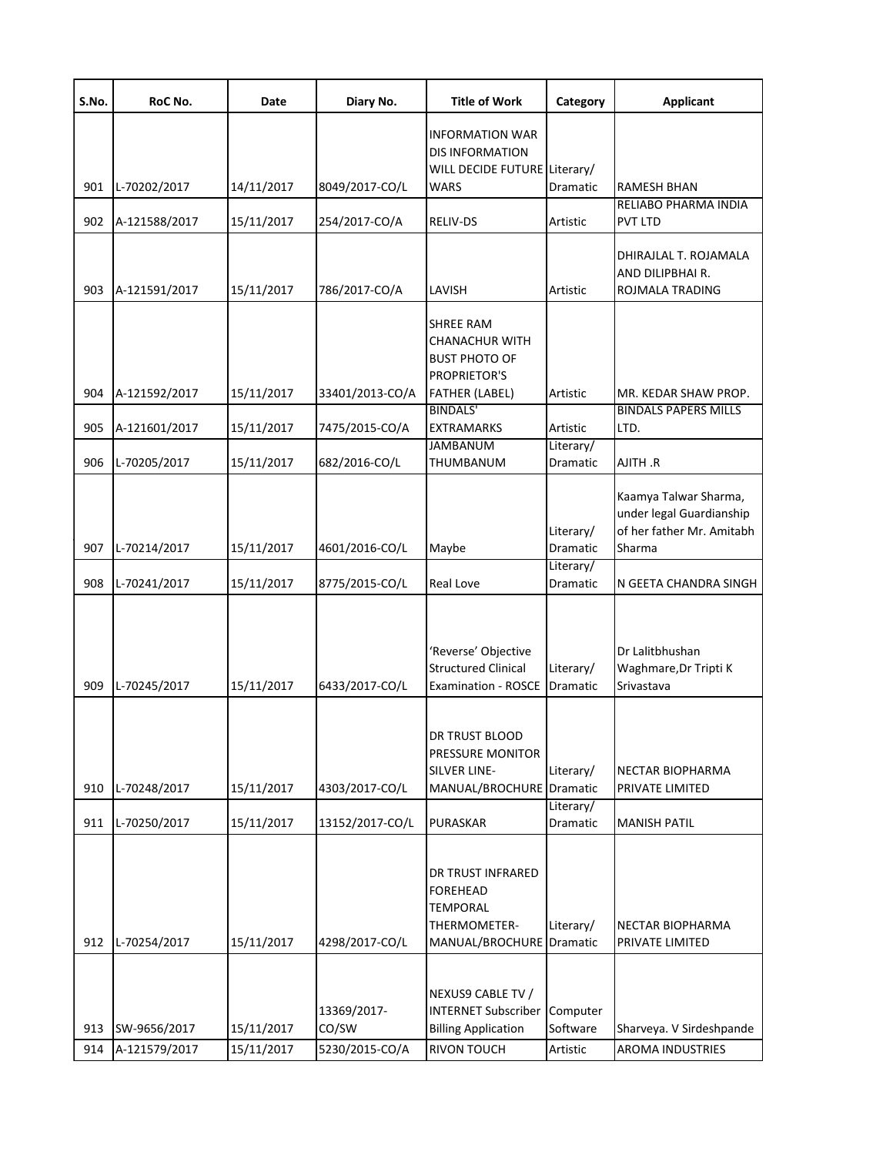| S.No.      | RoC No.                       | Date                     | Diary No.                              | <b>Title of Work</b>                                                                                       | Category                         | <b>Applicant</b>                                                                         |
|------------|-------------------------------|--------------------------|----------------------------------------|------------------------------------------------------------------------------------------------------------|----------------------------------|------------------------------------------------------------------------------------------|
| 901        | L-70202/2017                  | 14/11/2017               | 8049/2017-CO/L                         | <b>INFORMATION WAR</b><br><b>DIS INFORMATION</b><br>WILL DECIDE FUTURE Literary/<br><b>WARS</b>            | <b>Dramatic</b>                  | <b>RAMESH BHAN</b>                                                                       |
|            |                               |                          |                                        |                                                                                                            |                                  | RELIABO PHARMA INDIA                                                                     |
| 902        | A-121588/2017                 | 15/11/2017               | 254/2017-CO/A                          | RELIV-DS                                                                                                   | Artistic                         | <b>PVT LTD</b>                                                                           |
| 903        | A-121591/2017                 | 15/11/2017               | 786/2017-CO/A                          | LAVISH                                                                                                     | Artistic                         | DHIRAJLAL T. ROJAMALA<br>AND DILIPBHAI R.<br>ROJMALA TRADING                             |
| 904        | A-121592/2017                 | 15/11/2017               | 33401/2013-CO/A                        | <b>SHREE RAM</b><br>CHANACHUR WITH<br><b>BUST PHOTO OF</b><br><b>PROPRIETOR'S</b><br><b>FATHER (LABEL)</b> | Artistic                         | MR. KEDAR SHAW PROP.                                                                     |
|            |                               |                          |                                        | <b>BINDALS'</b>                                                                                            |                                  | <b>BINDALS PAPERS MILLS</b>                                                              |
| 905        | A-121601/2017                 | 15/11/2017               | 7475/2015-CO/A                         | <b>EXTRAMARKS</b>                                                                                          | Artistic                         | LTD.                                                                                     |
| 906        | L-70205/2017                  | 15/11/2017               | 682/2016-CO/L                          | <b>JAMBANUM</b><br><b>THUMBANUM</b>                                                                        | Literary/<br><b>Dramatic</b>     | AJITH .R                                                                                 |
| 907        | L-70214/2017                  | 15/11/2017               | 4601/2016-CO/L                         | Maybe                                                                                                      | Literary/<br>Dramatic            | Kaamya Talwar Sharma,<br>under legal Guardianship<br>of her father Mr. Amitabh<br>Sharma |
| 908        | L-70241/2017                  | 15/11/2017               | 8775/2015-CO/L                         | Real Love                                                                                                  | Literary/<br>Dramatic            | N GEETA CHANDRA SINGH                                                                    |
| 909        | L-70245/2017                  | 15/11/2017               | 6433/2017-CO/L                         | 'Reverse' Objective<br><b>Structured Clinical</b><br><b>Examination - ROSCE</b>                            | Literary/<br><b>Dramatic</b>     | Dr Lalitbhushan<br>Waghmare, Dr Tripti K<br>Srivastava                                   |
| 910        | L-70248/2017                  | 15/11/2017               | 4303/2017-CO/L                         | DR TRUST BLOOD<br>PRESSURE MONITOR<br>SILVER LINE-<br>MANUAL/BROCHURE Dramatic                             | Literary/                        | NECTAR BIOPHARMA<br>PRIVATE LIMITED                                                      |
| 911        | L-70250/2017                  | 15/11/2017               | 13152/2017-CO/L                        | PURASKAR                                                                                                   | Literary/<br>Dramatic            | <b>MANISH PATIL</b>                                                                      |
| 912        | L-70254/2017                  | 15/11/2017               | 4298/2017-CO/L                         | DR TRUST INFRARED<br><b>FOREHEAD</b><br><b>TEMPORAL</b><br>THERMOMETER-<br>MANUAL/BROCHURE                 | Literary/<br>Dramatic            | NECTAR BIOPHARMA<br>PRIVATE LIMITED                                                      |
| 913<br>914 | SW-9656/2017<br>A-121579/2017 | 15/11/2017<br>15/11/2017 | 13369/2017-<br>CO/SW<br>5230/2015-CO/A | NEXUS9 CABLE TV /<br><b>INTERNET Subscriber</b><br><b>Billing Application</b><br><b>RIVON TOUCH</b>        | Computer<br>Software<br>Artistic | Sharveya. V Sirdeshpande<br><b>AROMA INDUSTRIES</b>                                      |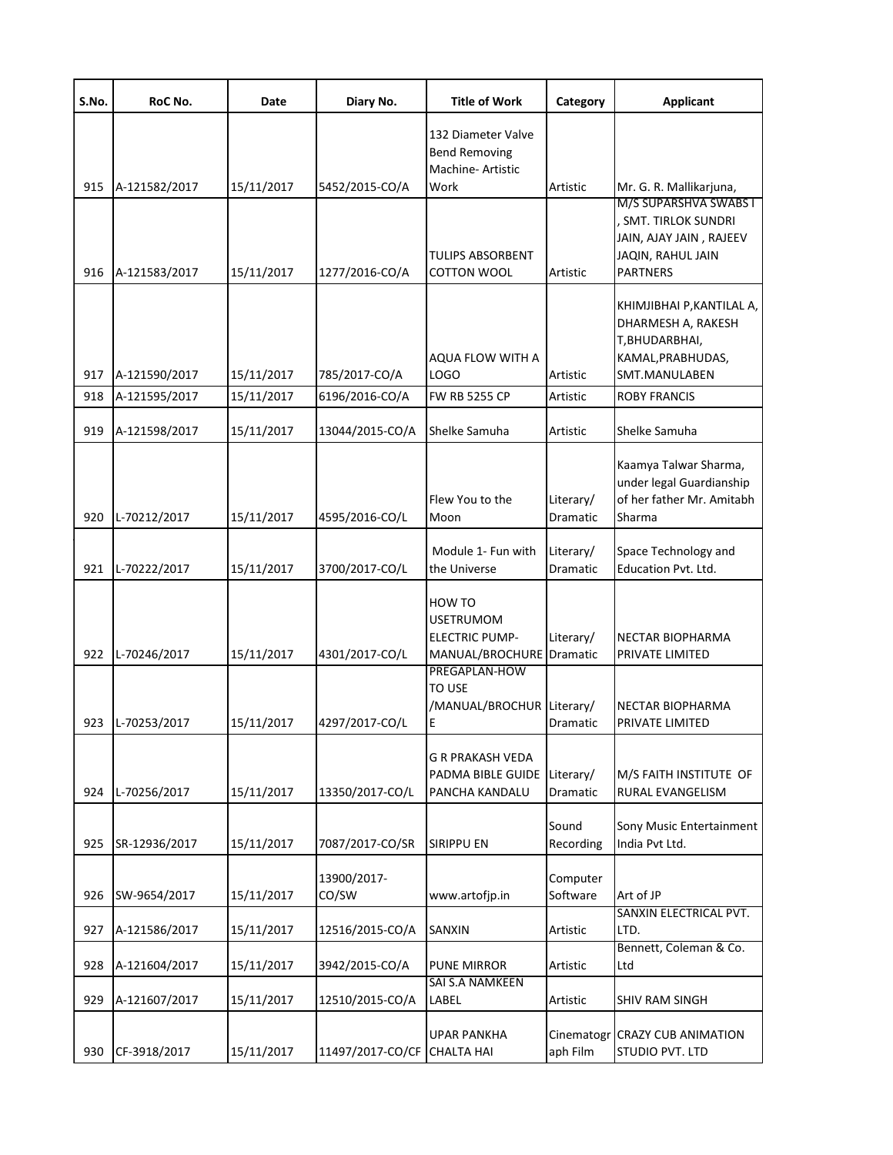| S.No. | RoC No.       | Date       | Diary No.                   | <b>Title of Work</b>                                                   | Category                     | <b>Applicant</b>                                                                                        |
|-------|---------------|------------|-----------------------------|------------------------------------------------------------------------|------------------------------|---------------------------------------------------------------------------------------------------------|
|       |               |            |                             | 132 Diameter Valve<br><b>Bend Removing</b><br><b>Machine-Artistic</b>  |                              |                                                                                                         |
| 915   | A-121582/2017 | 15/11/2017 | 5452/2015-CO/A              | Work                                                                   | Artistic                     | Mr. G. R. Mallikarjuna,<br>M/S SUPARSHVA SWABS I                                                        |
| 916   | A-121583/2017 | 15/11/2017 | 1277/2016-CO/A              | <b>TULIPS ABSORBENT</b><br><b>COTTON WOOL</b>                          | Artistic                     | <b>SMT. TIRLOK SUNDRI</b><br>JAIN, AJAY JAIN, RAJEEV<br>JAQIN, RAHUL JAIN<br><b>PARTNERS</b>            |
| 917   | A-121590/2017 | 15/11/2017 | 785/2017-CO/A               | AQUA FLOW WITH A<br>LOGO                                               | Artistic                     | KHIMJIBHAI P, KANTILAL A,<br>DHARMESH A, RAKESH<br>T, BHUDARBHAI,<br>KAMAL, PRABHUDAS,<br>SMT.MANULABEN |
| 918   | A-121595/2017 | 15/11/2017 | 6196/2016-CO/A              | <b>FW RB 5255 CP</b>                                                   | Artistic                     | <b>ROBY FRANCIS</b>                                                                                     |
| 919   | A-121598/2017 | 15/11/2017 | 13044/2015-CO/A             | Shelke Samuha                                                          | Artistic                     | Shelke Samuha                                                                                           |
| 920   | L-70212/2017  | 15/11/2017 | 4595/2016-CO/L              | Flew You to the<br>Moon                                                | Literary/<br>Dramatic        | Kaamya Talwar Sharma,<br>under legal Guardianship<br>of her father Mr. Amitabh<br>Sharma                |
| 921   | L-70222/2017  | 15/11/2017 | 3700/2017-CO/L              | Module 1- Fun with<br>the Universe                                     | Literary/<br>Dramatic        | Space Technology and<br>Education Pvt. Ltd.                                                             |
| 922   | L-70246/2017  | 15/11/2017 | 4301/2017-CO/L              | HOW TO<br><b>USETRUMOM</b><br><b>ELECTRIC PUMP-</b><br>MANUAL/BROCHURE | Literary/<br>Dramatic        | NECTAR BIOPHARMA<br>PRIVATE LIMITED                                                                     |
| 923   | L-70253/2017  | 15/11/2017 | 4297/2017-CO/L              | PREGAPLAN-HOW<br><b>TO USE</b><br>/MANUAL/BROCHUR<br>E                 | Literary/<br><b>Dramatic</b> | <b>NECTAR BIOPHARMA</b><br>PRIVATE LIMITED                                                              |
| 924   | L-70256/2017  | 15/11/2017 | 13350/2017-CO/L             | <b>G R PRAKASH VEDA</b><br>PADMA BIBLE GUIDE<br>PANCHA KANDALU         | Literary/<br>Dramatic        | M/S FAITH INSTITUTE OF<br><b>RURAL EVANGELISM</b>                                                       |
| 925   | SR-12936/2017 | 15/11/2017 | 7087/2017-CO/SR             | <b>SIRIPPU EN</b>                                                      | Sound<br>Recording           | Sony Music Entertainment<br>India Pvt Ltd.                                                              |
| 926   | SW-9654/2017  | 15/11/2017 | 13900/2017-<br>CO/SW        | www.artofjp.in                                                         | Computer<br>Software         | Art of JP                                                                                               |
| 927   | A-121586/2017 | 15/11/2017 | 12516/2015-CO/A             | <b>SANXIN</b>                                                          | Artistic                     | SANXIN ELECTRICAL PVT.<br>LTD.                                                                          |
| 928   | A-121604/2017 | 15/11/2017 | 3942/2015-CO/A              | <b>PUNE MIRROR</b>                                                     | Artistic                     | Bennett, Coleman & Co.<br>Ltd                                                                           |
| 929   | A-121607/2017 | 15/11/2017 | 12510/2015-CO/A             | SAI S.A NAMKEEN<br>LABEL                                               | Artistic                     | SHIV RAM SINGH                                                                                          |
| 930   | CF-3918/2017  | 15/11/2017 | 11497/2017-CO/CF CHALTA HAI | UPAR PANKHA                                                            | aph Film                     | Cinematogr CRAZY CUB ANIMATION<br>STUDIO PVT. LTD                                                       |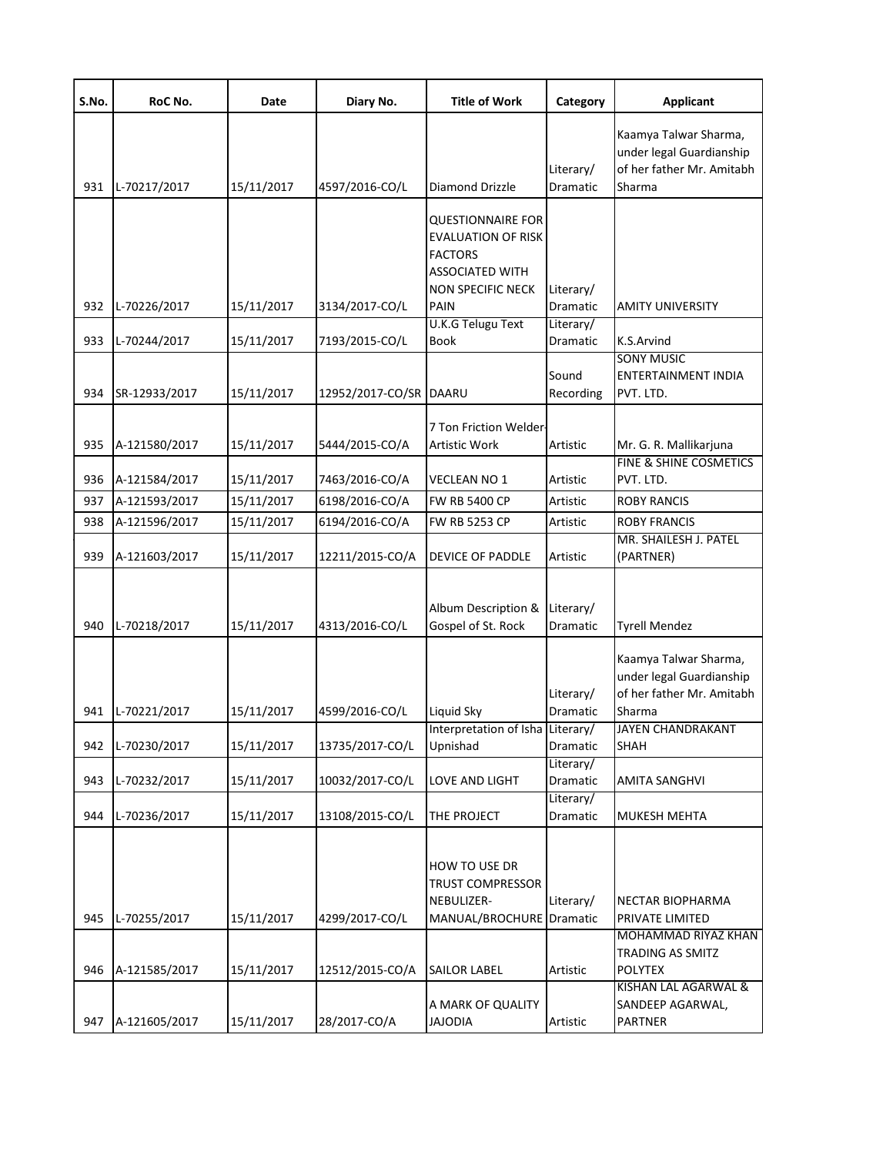| S.No. | RoC No.       | Date       | Diary No.              | <b>Title of Work</b>                                                                                                   | Category              | <b>Applicant</b>                                                                         |
|-------|---------------|------------|------------------------|------------------------------------------------------------------------------------------------------------------------|-----------------------|------------------------------------------------------------------------------------------|
| 931   | L-70217/2017  | 15/11/2017 | 4597/2016-CO/L         | <b>Diamond Drizzle</b>                                                                                                 | Literary/<br>Dramatic | Kaamya Talwar Sharma,<br>under legal Guardianship<br>of her father Mr. Amitabh<br>Sharma |
|       |               |            |                        | <b>QUESTIONNAIRE FOR</b><br><b>EVALUATION OF RISK</b><br><b>FACTORS</b><br><b>ASSOCIATED WITH</b><br>NON SPECIFIC NECK | Literary/             |                                                                                          |
| 932   | L-70226/2017  | 15/11/2017 | 3134/2017-CO/L         | <b>PAIN</b><br>U.K.G Telugu Text                                                                                       | Dramatic<br>Literary/ | <b>AMITY UNIVERSITY</b>                                                                  |
| 933   | L-70244/2017  | 15/11/2017 | 7193/2015-CO/L         | <b>Book</b>                                                                                                            | Dramatic              | K.S.Arvind<br><b>SONY MUSIC</b>                                                          |
| 934   | SR-12933/2017 | 15/11/2017 | 12952/2017-CO/SR DAARU |                                                                                                                        | Sound<br>Recording    | ENTERTAINMENT INDIA<br>PVT. LTD.                                                         |
| 935   | A-121580/2017 | 15/11/2017 | 5444/2015-CO/A         | 7 Ton Friction Welder<br>Artistic Work                                                                                 | Artistic              | Mr. G. R. Mallikarjuna<br>FINE & SHINE COSMETICS                                         |
| 936   | A-121584/2017 | 15/11/2017 | 7463/2016-CO/A         | <b>VECLEAN NO 1</b>                                                                                                    | Artistic              | PVT. LTD.                                                                                |
| 937   | A-121593/2017 | 15/11/2017 | 6198/2016-CO/A         | <b>FW RB 5400 CP</b>                                                                                                   | Artistic              | <b>ROBY RANCIS</b>                                                                       |
| 938   | A-121596/2017 | 15/11/2017 | 6194/2016-CO/A         | <b>FW RB 5253 CP</b>                                                                                                   | Artistic              | <b>ROBY FRANCIS</b>                                                                      |
| 939   | A-121603/2017 | 15/11/2017 | 12211/2015-CO/A        | DEVICE OF PADDLE                                                                                                       | Artistic              | MR. SHAILESH J. PATEL<br>(PARTNER)                                                       |
| 940   | L-70218/2017  | 15/11/2017 | 4313/2016-CO/L         | Album Description &<br>Gospel of St. Rock                                                                              | Literary/<br>Dramatic | <b>Tyrell Mendez</b>                                                                     |
|       |               |            |                        |                                                                                                                        | Literary/             | Kaamya Talwar Sharma,<br>under legal Guardianship<br>of her father Mr. Amitabh           |
| 941   | L-70221/2017  | 15/11/2017 | 4599/2016-CO/L         | Liquid Sky<br>Interpretation of Isha Literary/                                                                         | Dramatic              | Sharma<br>JAYEN CHANDRAKANT                                                              |
| 942   | L-70230/2017  | 15/11/2017 | 13735/2017-CO/L        | Upnishad                                                                                                               | Dramatic              | SHAH                                                                                     |
| 943   | L-70232/2017  | 15/11/2017 | 10032/2017-CO/L        | LOVE AND LIGHT                                                                                                         | Literary/<br>Dramatic | AMITA SANGHVI                                                                            |
| 944   | L-70236/2017  | 15/11/2017 | 13108/2015-CO/L        | THE PROJECT                                                                                                            | Literary/<br>Dramatic | MUKESH MEHTA                                                                             |
| 945   | L-70255/2017  | 15/11/2017 | 4299/2017-CO/L         | HOW TO USE DR<br><b>TRUST COMPRESSOR</b><br>NEBULIZER-<br>MANUAL/BROCHURE Dramatic                                     | Literary/             | NECTAR BIOPHARMA<br>PRIVATE LIMITED                                                      |
| 946   | A-121585/2017 | 15/11/2017 | 12512/2015-CO/A        | <b>SAILOR LABEL</b>                                                                                                    | Artistic              | MOHAMMAD RIYAZ KHAN<br>TRADING AS SMITZ<br><b>POLYTEX</b>                                |
| 947   | A-121605/2017 | 15/11/2017 | 28/2017-CO/A           | A MARK OF QUALITY<br><b>JAJODIA</b>                                                                                    | Artistic              | KISHAN LAL AGARWAL &<br>SANDEEP AGARWAL,<br><b>PARTNER</b>                               |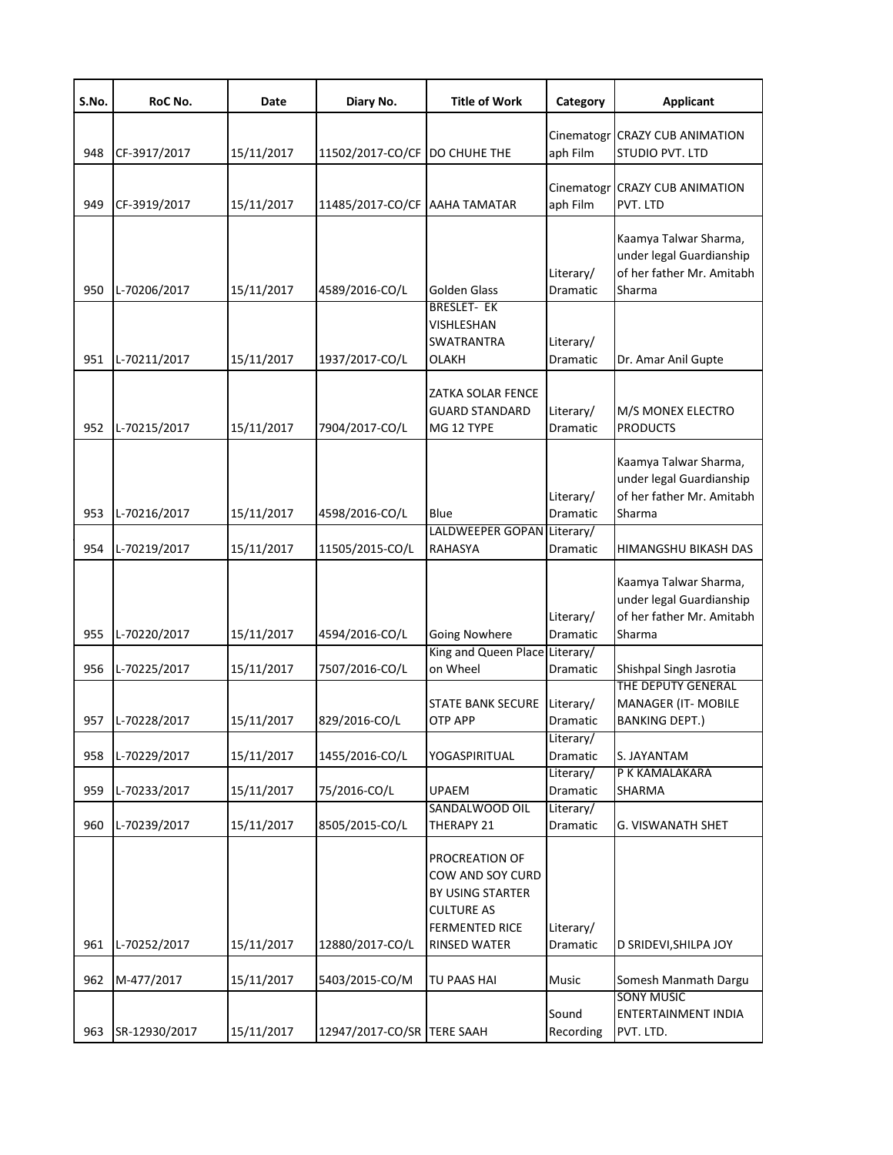| S.No. | RoC No.       | Date       | Diary No.                     | <b>Title of Work</b>                                                                                                 | Category                     | <b>Applicant</b>                                                                         |
|-------|---------------|------------|-------------------------------|----------------------------------------------------------------------------------------------------------------------|------------------------------|------------------------------------------------------------------------------------------|
| 948   | CF-3917/2017  | 15/11/2017 | 11502/2017-CO/CF              | <b>DO CHUHE THE</b>                                                                                                  | Cinematogr<br>aph Film       | <b>CRAZY CUB ANIMATION</b><br>STUDIO PVT. LTD                                            |
| 949   | CF-3919/2017  | 15/11/2017 | 11485/2017-CO/CF AAHA TAMATAR |                                                                                                                      | aph Film                     | Cinematogr CRAZY CUB ANIMATION<br>PVT. LTD                                               |
| 950   | L-70206/2017  | 15/11/2017 | 4589/2016-CO/L                | Golden Glass                                                                                                         | Literary/<br>Dramatic        | Kaamya Talwar Sharma,<br>under legal Guardianship<br>of her father Mr. Amitabh<br>Sharma |
| 951   | L-70211/2017  | 15/11/2017 | 1937/2017-CO/L                | <b>BRESLET- EK</b><br>VISHLESHAN<br><b>SWATRANTRA</b><br>OLAKH                                                       | Literary/<br>Dramatic        | Dr. Amar Anil Gupte                                                                      |
| 952   | L-70215/2017  | 15/11/2017 | 7904/2017-CO/L                | ZATKA SOLAR FENCE<br><b>GUARD STANDARD</b><br>MG 12 TYPE                                                             | Literary/<br>Dramatic        | M/S MONEX ELECTRO<br><b>PRODUCTS</b>                                                     |
| 953   | L-70216/2017  | 15/11/2017 | 4598/2016-CO/L                | Blue                                                                                                                 | Literary/<br>Dramatic        | Kaamya Talwar Sharma,<br>under legal Guardianship<br>of her father Mr. Amitabh<br>Sharma |
| 954   | L-70219/2017  | 15/11/2017 | 11505/2015-CO/L               | LALDWEEPER GOPAN Literary/<br>RAHASYA                                                                                | Dramatic                     | HIMANGSHU BIKASH DAS                                                                     |
| 955   | L-70220/2017  | 15/11/2017 | 4594/2016-CO/L                | <b>Going Nowhere</b>                                                                                                 | Literary/<br>Dramatic        | Kaamya Talwar Sharma,<br>under legal Guardianship<br>of her father Mr. Amitabh<br>Sharma |
| 956   | L-70225/2017  | 15/11/2017 | 7507/2016-CO/L                | King and Queen Place Literary/<br>on Wheel                                                                           | Dramatic                     | Shishpal Singh Jasrotia                                                                  |
| 957   | L-70228/2017  | 15/11/2017 | 829/2016-CO/L                 | <b>STATE BANK SECURE</b><br><b>OTP APP</b>                                                                           | Literary/<br><b>Dramatic</b> | THE DEPUTY GENERAL<br>MANAGER (IT- MOBILE<br><b>BANKING DEPT.)</b>                       |
| 958   | L-70229/2017  | 15/11/2017 | 1455/2016-CO/L                | YOGASPIRITUAL                                                                                                        | Literary/<br>Dramatic        | S. JAYANTAM                                                                              |
| 959   | L-70233/2017  | 15/11/2017 | 75/2016-CO/L                  | <b>UPAEM</b>                                                                                                         | Literary/<br>Dramatic        | P K KAMALAKARA<br>SHARMA                                                                 |
| 960   | L-70239/2017  | 15/11/2017 | 8505/2015-CO/L                | SANDALWOOD OIL<br>THERAPY 21                                                                                         | Literary/<br>Dramatic        | G. VISWANATH SHET                                                                        |
| 961   | L-70252/2017  | 15/11/2017 | 12880/2017-CO/L               | PROCREATION OF<br>COW AND SOY CURD<br>BY USING STARTER<br><b>CULTURE AS</b><br><b>FERMENTED RICE</b><br>RINSED WATER | Literary/<br>Dramatic        | D SRIDEVI, SHILPA JOY                                                                    |
| 962   | M-477/2017    | 15/11/2017 | 5403/2015-CO/M                | TU PAAS HAI                                                                                                          | Music                        | Somesh Manmath Dargu                                                                     |
| 963   | SR-12930/2017 | 15/11/2017 | 12947/2017-CO/SR TERE SAAH    |                                                                                                                      | Sound<br>Recording           | <b>SONY MUSIC</b><br>ENTERTAINMENT INDIA<br>PVT. LTD.                                    |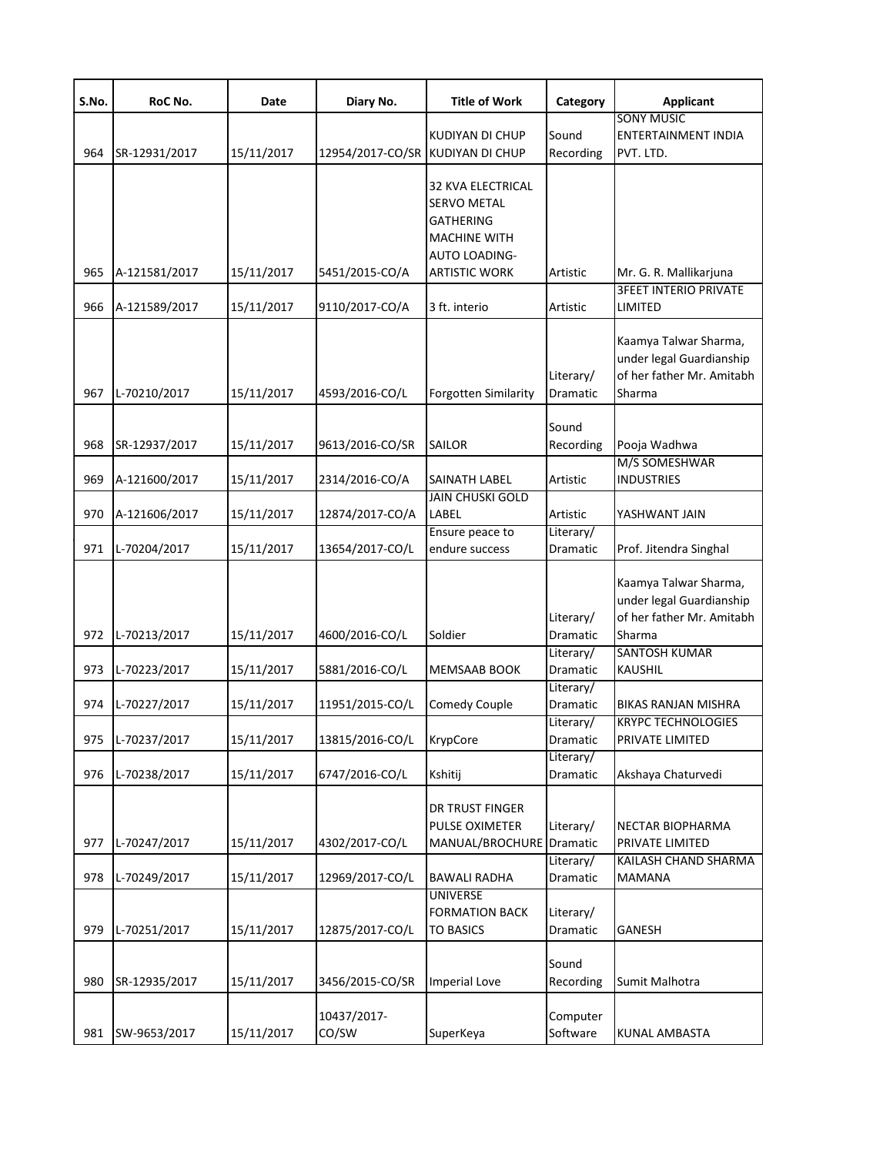| S.No. | RoC No.       | Date       | Diary No.                        | <b>Title of Work</b>                                                                                                                      | Category                           | <b>Applicant</b>                                                                                                 |
|-------|---------------|------------|----------------------------------|-------------------------------------------------------------------------------------------------------------------------------------------|------------------------------------|------------------------------------------------------------------------------------------------------------------|
| 964   | SR-12931/2017 | 15/11/2017 | 12954/2017-CO/SR KUDIYAN DI CHUP | KUDIYAN DI CHUP                                                                                                                           | Sound<br>Recording                 | <b>SONY MUSIC</b><br>ENTERTAINMENT INDIA<br>PVT. LTD.                                                            |
| 965   | A-121581/2017 | 15/11/2017 | 5451/2015-CO/A                   | <b>32 KVA ELECTRICAL</b><br><b>SERVO METAL</b><br><b>GATHERING</b><br><b>MACHINE WITH</b><br><b>AUTO LOADING-</b><br><b>ARTISTIC WORK</b> | Artistic                           | Mr. G. R. Mallikarjuna                                                                                           |
| 966   | A-121589/2017 | 15/11/2017 | 9110/2017-CO/A                   | 3 ft. interio                                                                                                                             | Artistic                           | <b>3FEET INTERIO PRIVATE</b><br>LIMITED                                                                          |
| 967   | L-70210/2017  | 15/11/2017 | 4593/2016-CO/L                   | <b>Forgotten Similarity</b>                                                                                                               | Literary/<br>Dramatic              | Kaamya Talwar Sharma,<br>under legal Guardianship<br>of her father Mr. Amitabh<br>Sharma                         |
| 968   | SR-12937/2017 | 15/11/2017 | 9613/2016-CO/SR                  | <b>SAILOR</b>                                                                                                                             | Sound<br>Recording                 | Pooja Wadhwa                                                                                                     |
| 969   | A-121600/2017 | 15/11/2017 | 2314/2016-CO/A                   | SAINATH LABEL                                                                                                                             | Artistic                           | M/S SOMESHWAR<br><b>INDUSTRIES</b>                                                                               |
| 970   | A-121606/2017 | 15/11/2017 | 12874/2017-CO/A                  | <b>JAIN CHUSKI GOLD</b><br>LABEL                                                                                                          | Artistic                           | YASHWANT JAIN                                                                                                    |
| 971   | L-70204/2017  | 15/11/2017 | 13654/2017-CO/L                  | Ensure peace to<br>endure success                                                                                                         | Literary/<br>Dramatic              | Prof. Jitendra Singhal                                                                                           |
| 972   | L-70213/2017  | 15/11/2017 | 4600/2016-CO/L                   | Soldier                                                                                                                                   | Literary/<br>Dramatic<br>Literary/ | Kaamya Talwar Sharma,<br>under legal Guardianship<br>of her father Mr. Amitabh<br>Sharma<br><b>SANTOSH KUMAR</b> |
| 973   | L-70223/2017  | 15/11/2017 | 5881/2016-CO/L                   | MEMSAAB BOOK                                                                                                                              | Dramatic<br>Literary/              | <b>KAUSHIL</b>                                                                                                   |
| 974   | L-70227/2017  | 15/11/2017 | 11951/2015-CO/L                  | <b>Comedy Couple</b>                                                                                                                      | Dramatic                           | BIKAS RANJAN MISHRA                                                                                              |
| 975   | L-70237/2017  | 15/11/2017 | 13815/2016-CO/L                  | KrypCore                                                                                                                                  | Literary/<br>Dramatic              | <b>KRYPC TECHNOLOGIES</b><br>PRIVATE LIMITED                                                                     |
| 976   | L-70238/2017  | 15/11/2017 | 6747/2016-CO/L                   | Kshitij                                                                                                                                   | Literary/<br>Dramatic              | Akshaya Chaturvedi                                                                                               |
| 977   | L-70247/2017  | 15/11/2017 | 4302/2017-CO/L                   | DR TRUST FINGER<br>PULSE OXIMETER<br>MANUAL/BROCHURE Dramatic                                                                             | Literary/                          | <b>NECTAR BIOPHARMA</b><br>PRIVATE LIMITED                                                                       |
| 978   | L-70249/2017  | 15/11/2017 | 12969/2017-CO/L                  | <b>BAWALI RADHA</b>                                                                                                                       | Literary/<br>Dramatic              | KAILASH CHAND SHARMA<br><b>MAMANA</b>                                                                            |
| 979   | L-70251/2017  | 15/11/2017 | 12875/2017-CO/L                  | <b>UNIVERSE</b><br><b>FORMATION BACK</b><br><b>TO BASICS</b>                                                                              | Literary/<br>Dramatic              | GANESH                                                                                                           |
| 980   | SR-12935/2017 | 15/11/2017 | 3456/2015-CO/SR                  | <b>Imperial Love</b>                                                                                                                      | Sound<br>Recording                 | Sumit Malhotra                                                                                                   |
| 981   | SW-9653/2017  | 15/11/2017 | 10437/2017-<br>CO/SW             | SuperKeya                                                                                                                                 | Computer<br>Software               | <b>KUNAL AMBASTA</b>                                                                                             |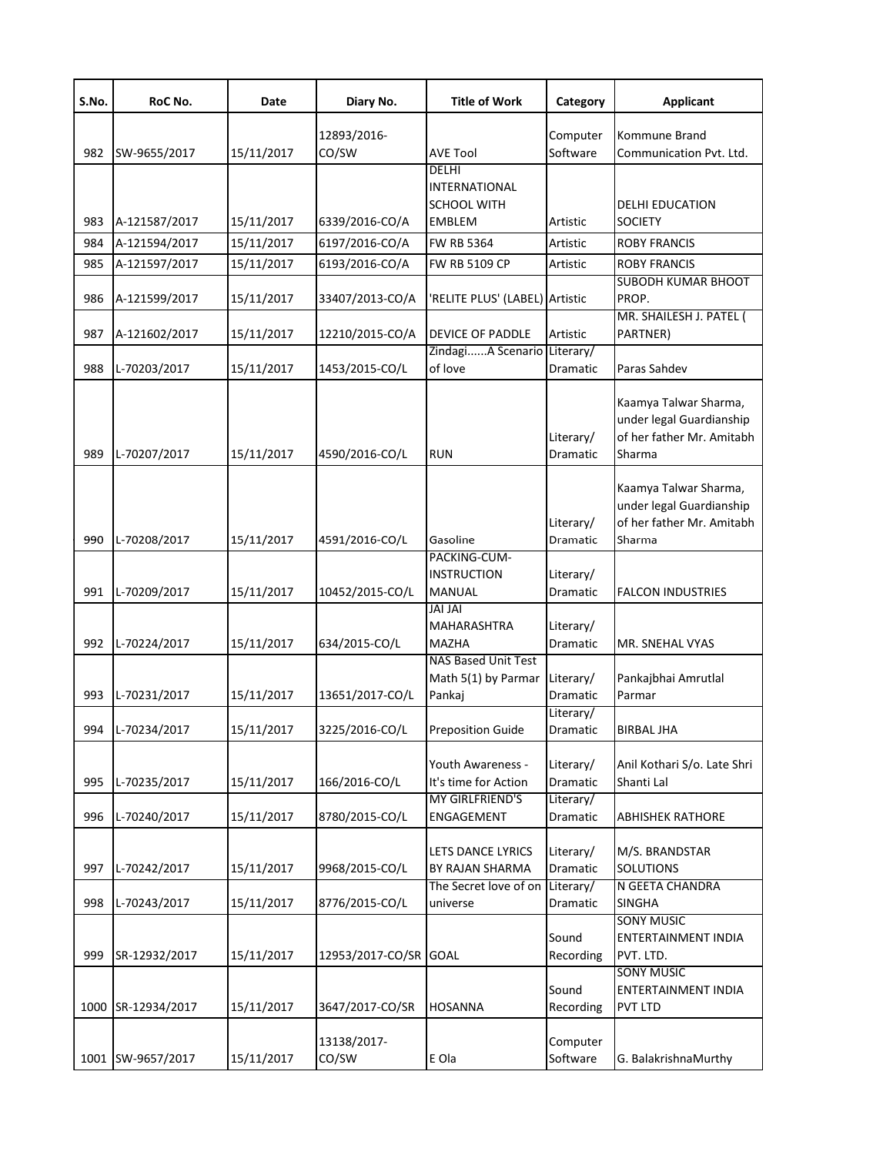| S.No. | RoC No.           | Date       | Diary No.            | <b>Title of Work</b>                                                 | Category              | <b>Applicant</b>                                                                         |
|-------|-------------------|------------|----------------------|----------------------------------------------------------------------|-----------------------|------------------------------------------------------------------------------------------|
| 982   | SW-9655/2017      | 15/11/2017 | 12893/2016-<br>CO/SW | <b>AVE Tool</b>                                                      | Computer<br>Software  | Kommune Brand<br>Communication Pvt. Ltd.                                                 |
| 983   | A-121587/2017     | 15/11/2017 | 6339/2016-CO/A       | DELHI<br><b>INTERNATIONAL</b><br><b>SCHOOL WITH</b><br><b>EMBLEM</b> | Artistic              | <b>DELHI EDUCATION</b><br><b>SOCIETY</b>                                                 |
| 984   | A-121594/2017     | 15/11/2017 | 6197/2016-CO/A       | <b>FW RB 5364</b>                                                    | Artistic              | <b>ROBY FRANCIS</b>                                                                      |
| 985   | A-121597/2017     | 15/11/2017 | 6193/2016-CO/A       | FW RB 5109 CP                                                        | Artistic              | <b>ROBY FRANCIS</b>                                                                      |
| 986   | A-121599/2017     | 15/11/2017 | 33407/2013-CO/A      | 'RELITE PLUS' (LABEL) Artistic                                       |                       | <b>SUBODH KUMAR BHOOT</b><br>PROP.                                                       |
| 987   | A-121602/2017     | 15/11/2017 | 12210/2015-CO/A      | DEVICE OF PADDLE                                                     | Artistic              | MR. SHAILESH J. PATEL (<br>PARTNER)                                                      |
| 988   | L-70203/2017      | 15/11/2017 | 1453/2015-CO/L       | ZindagiA Scenario<br>of love                                         | Literary/<br>Dramatic | Paras Sahdev                                                                             |
| 989   | L-70207/2017      | 15/11/2017 | 4590/2016-CO/L       | <b>RUN</b>                                                           | Literary/<br>Dramatic | Kaamya Talwar Sharma,<br>under legal Guardianship<br>of her father Mr. Amitabh<br>Sharma |
| 990   | L-70208/2017      | 15/11/2017 | 4591/2016-CO/L       | Gasoline                                                             | Literary/<br>Dramatic | Kaamya Talwar Sharma,<br>under legal Guardianship<br>of her father Mr. Amitabh<br>Sharma |
| 991   | L-70209/2017      | 15/11/2017 | 10452/2015-CO/L      | PACKING-CUM-<br><b>INSTRUCTION</b><br>MANUAL                         | Literary/<br>Dramatic | <b>FALCON INDUSTRIES</b>                                                                 |
| 992   | L-70224/2017      | 15/11/2017 | 634/2015-CO/L        | <b>JAI JAI</b><br>MAHARASHTRA<br>MAZHA                               | Literary/<br>Dramatic | MR. SNEHAL VYAS                                                                          |
| 993   | L-70231/2017      | 15/11/2017 | 13651/2017-CO/L      | <b>NAS Based Unit Test</b><br>Math 5(1) by Parmar<br>Pankaj          | Literary/<br>Dramatic | Pankajbhai Amrutlal<br>Parmar                                                            |
|       | 994 L-70234/2017  | 15/11/2017 | 3225/2016-CO/L       | <b>Preposition Guide</b>                                             | Literary/<br>Dramatic | <b>BIRBAL JHA</b>                                                                        |
| 995   | L-70235/2017      | 15/11/2017 | 166/2016-CO/L        | Youth Awareness -<br>It's time for Action                            | Literary/<br>Dramatic | Anil Kothari S/o. Late Shri<br>Shanti Lal                                                |
| 996   | L-70240/2017      | 15/11/2017 | 8780/2015-CO/L       | MY GIRLFRIEND'S<br>ENGAGEMENT                                        | Literary/<br>Dramatic | <b>ABHISHEK RATHORE</b>                                                                  |
| 997   | L-70242/2017      | 15/11/2017 | 9968/2015-CO/L       | LETS DANCE LYRICS<br>BY RAJAN SHARMA                                 | Literary/<br>Dramatic | M/S. BRANDSTAR<br><b>SOLUTIONS</b>                                                       |
| 998   | L-70243/2017      | 15/11/2017 | 8776/2015-CO/L       | The Secret love of on<br>universe                                    | Literary/<br>Dramatic | N GEETA CHANDRA<br><b>SINGHA</b>                                                         |
| 999   | SR-12932/2017     | 15/11/2017 | 12953/2017-CO/SR     | <b>GOAL</b>                                                          | Sound<br>Recording    | <b>SONY MUSIC</b><br>ENTERTAINMENT INDIA<br>PVT. LTD.<br><b>SONY MUSIC</b>               |
| 1000  | SR-12934/2017     | 15/11/2017 | 3647/2017-CO/SR      | <b>HOSANNA</b>                                                       | Sound<br>Recording    | ENTERTAINMENT INDIA<br>PVT LTD                                                           |
|       | 1001 SW-9657/2017 | 15/11/2017 | 13138/2017-<br>CO/SW | E Ola                                                                | Computer<br>Software  | G. BalakrishnaMurthy                                                                     |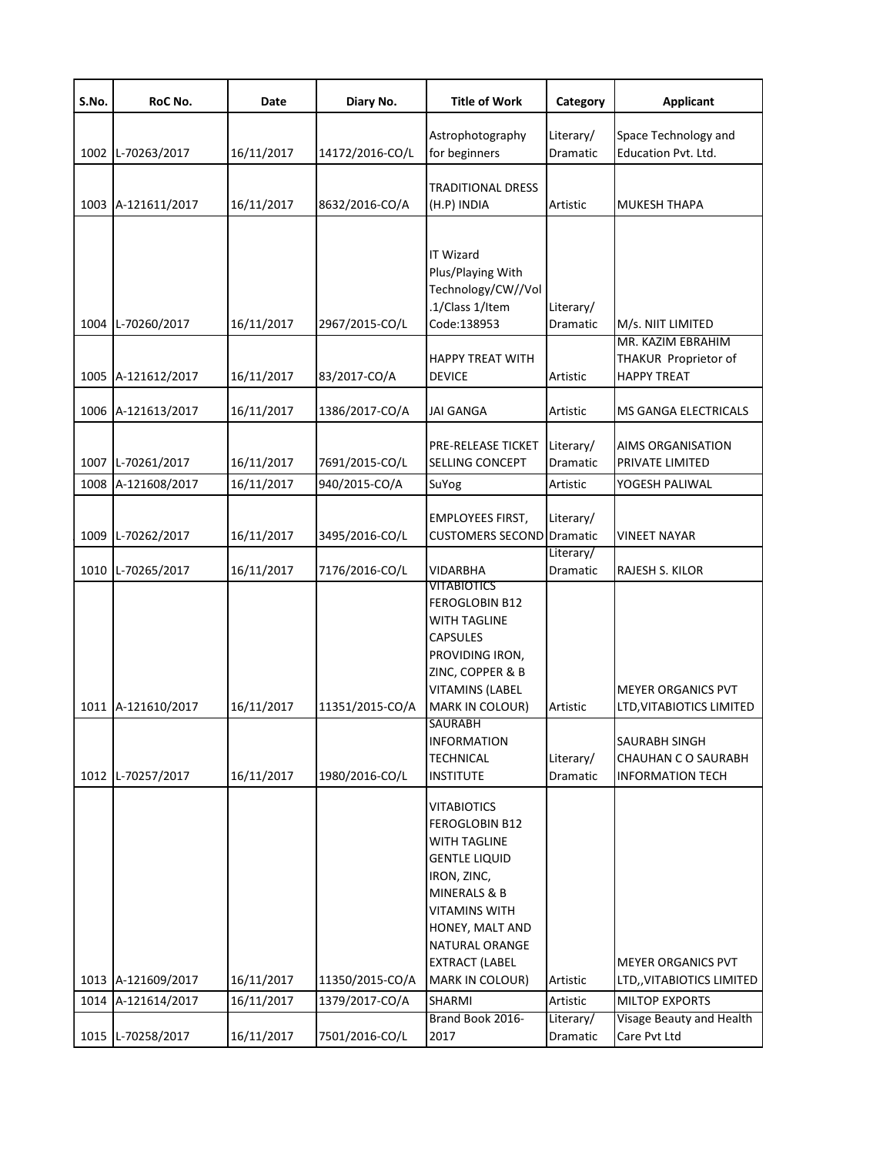| S.No. | RoC No.            | Date       | Diary No.       | <b>Title of Work</b>                                                                                                                                                                                                               | Category               | <b>Applicant</b>                                                       |
|-------|--------------------|------------|-----------------|------------------------------------------------------------------------------------------------------------------------------------------------------------------------------------------------------------------------------------|------------------------|------------------------------------------------------------------------|
|       | 1002 L-70263/2017  | 16/11/2017 | 14172/2016-CO/L | Astrophotography<br>for beginners                                                                                                                                                                                                  | Literary/<br>Dramatic  | Space Technology and<br>Education Pvt. Ltd.                            |
|       | 1003 A-121611/2017 | 16/11/2017 | 8632/2016-CO/A  | <b>TRADITIONAL DRESS</b><br>(H.P) INDIA                                                                                                                                                                                            | Artistic               | <b>MUKESH THAPA</b>                                                    |
| 1004  | L-70260/2017       | 16/11/2017 | 2967/2015-CO/L  | <b>IT Wizard</b><br>Plus/Playing With<br>Technology/CW//Vol<br>.1/Class 1/Item<br>Code:138953                                                                                                                                      | Literary/<br>Dramatic  | M/s. NIIT LIMITED                                                      |
|       | 1005 A-121612/2017 | 16/11/2017 | 83/2017-CO/A    | <b>HAPPY TREAT WITH</b><br><b>DEVICE</b>                                                                                                                                                                                           | Artistic               | MR. KAZIM EBRAHIM<br>THAKUR Proprietor of<br><b>HAPPY TREAT</b>        |
|       | 1006 A-121613/2017 | 16/11/2017 | 1386/2017-CO/A  | JAI GANGA                                                                                                                                                                                                                          | Artistic               | MS GANGA ELECTRICALS                                                   |
|       | 1007 L-70261/2017  | 16/11/2017 | 7691/2015-CO/L  | PRE-RELEASE TICKET<br>SELLING CONCEPT                                                                                                                                                                                              | Literary/<br>Dramatic  | <b>AIMS ORGANISATION</b><br>PRIVATE LIMITED                            |
| 1008  | A-121608/2017      | 16/11/2017 | 940/2015-CO/A   | SuYog                                                                                                                                                                                                                              | Artistic               | YOGESH PALIWAL                                                         |
| 1009  | L-70262/2017       | 16/11/2017 | 3495/2016-CO/L  | <b>EMPLOYEES FIRST,</b><br><b>CUSTOMERS SECOND</b> Dramatic                                                                                                                                                                        | Literary/<br>Literary/ | <b>VINEET NAYAR</b>                                                    |
| 1010  | L-70265/2017       | 16/11/2017 | 7176/2016-CO/L  | VIDARBHA                                                                                                                                                                                                                           | Dramatic               | RAJESH S. KILOR                                                        |
|       | 1011 A-121610/2017 | 16/11/2017 | 11351/2015-CO/A | VITABIOTICS<br><b>FEROGLOBIN B12</b><br>WITH TAGLINE<br><b>CAPSULES</b><br>PROVIDING IRON,<br>ZINC, COPPER & B<br><b>VITAMINS (LABEL</b><br>MARK IN COLOUR)                                                                        | Artistic               | <b>MEYER ORGANICS PVT</b><br>LTD, VITABIOTICS LIMITED                  |
|       | 1012 L-70257/2017  | 16/11/2017 | 1980/2016-CO/L  | <b>SAURABH</b><br><b>INFORMATION</b><br><b>TECHNICAL</b><br><b>INSTITUTE</b>                                                                                                                                                       | Literary/<br>Dramatic  | <b>SAURABH SINGH</b><br>CHAUHAN C O SAURABH<br><b>INFORMATION TECH</b> |
|       | 1013 A-121609/2017 | 16/11/2017 | 11350/2015-CO/A | <b>VITABIOTICS</b><br><b>FEROGLOBIN B12</b><br>WITH TAGLINE<br><b>GENTLE LIQUID</b><br>IRON, ZINC,<br>MINERALS & B<br><b>VITAMINS WITH</b><br>HONEY, MALT AND<br>NATURAL ORANGE<br><b>EXTRACT (LABEL</b><br><b>MARK IN COLOUR)</b> | Artistic               | <b>MEYER ORGANICS PVT</b><br>LTD,, VITABIOTICS LIMITED                 |
|       | 1014 A-121614/2017 | 16/11/2017 | 1379/2017-CO/A  | SHARMI                                                                                                                                                                                                                             | Artistic               | <b>MILTOP EXPORTS</b>                                                  |
|       | 1015 L-70258/2017  | 16/11/2017 | 7501/2016-CO/L  | Brand Book 2016-<br>2017                                                                                                                                                                                                           | Literary/<br>Dramatic  | Visage Beauty and Health<br>Care Pvt Ltd                               |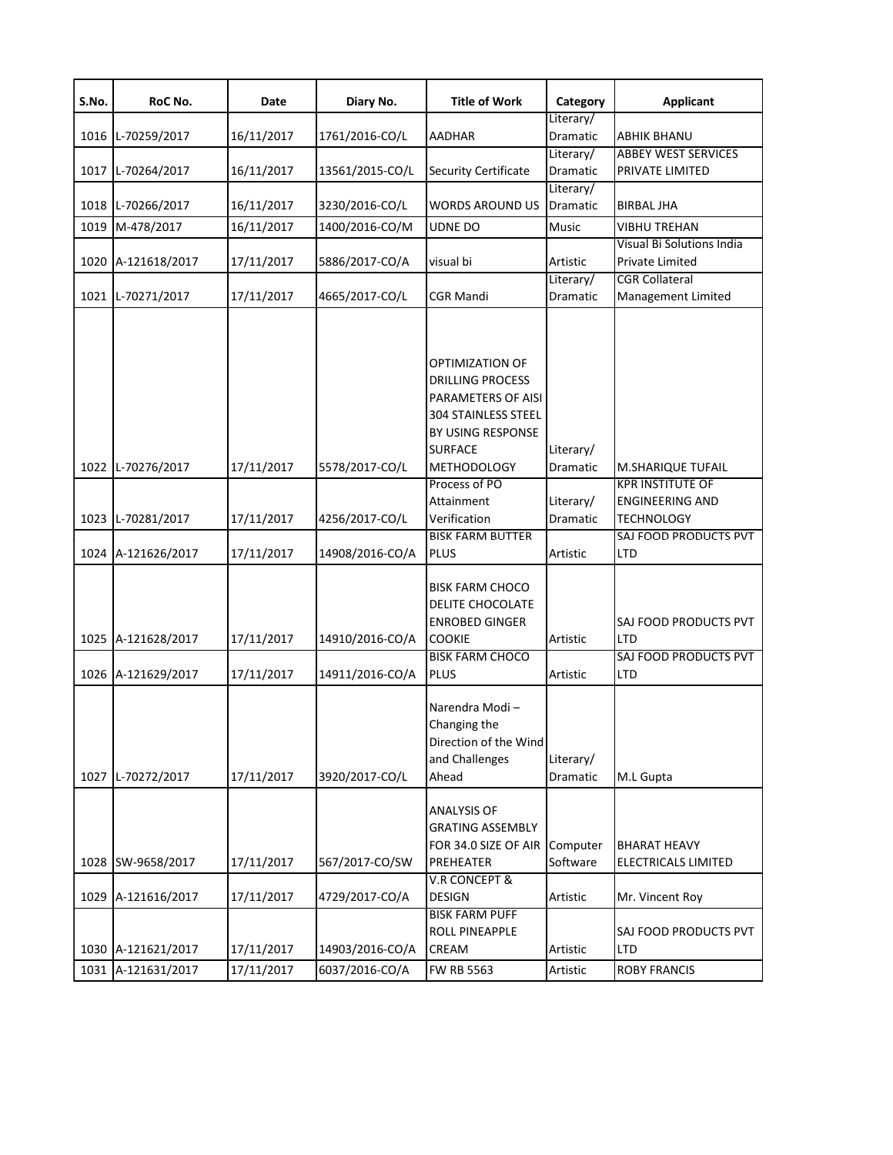| S.No.        | RoC No.                                            | Date                                   | Diary No.                                           | <b>Title of Work</b>                                                                                                                                                                                                                                                           | Category                                                   | <b>Applicant</b>                                                                                                                   |
|--------------|----------------------------------------------------|----------------------------------------|-----------------------------------------------------|--------------------------------------------------------------------------------------------------------------------------------------------------------------------------------------------------------------------------------------------------------------------------------|------------------------------------------------------------|------------------------------------------------------------------------------------------------------------------------------------|
|              |                                                    |                                        |                                                     |                                                                                                                                                                                                                                                                                | Literary/                                                  |                                                                                                                                    |
| 1016         | L-70259/2017                                       | 16/11/2017                             | 1761/2016-CO/L                                      | <b>AADHAR</b>                                                                                                                                                                                                                                                                  | Dramatic                                                   | <b>ABHIK BHANU</b>                                                                                                                 |
|              |                                                    |                                        |                                                     |                                                                                                                                                                                                                                                                                | Literary/                                                  | <b>ABBEY WEST SERVICES</b>                                                                                                         |
| 1017         | L-70264/2017                                       | 16/11/2017                             | 13561/2015-CO/L                                     | <b>Security Certificate</b>                                                                                                                                                                                                                                                    | Dramatic                                                   | PRIVATE LIMITED                                                                                                                    |
|              |                                                    |                                        |                                                     |                                                                                                                                                                                                                                                                                | Literary/                                                  |                                                                                                                                    |
|              | 1018 L-70266/2017                                  | 16/11/2017                             | 3230/2016-CO/L                                      | <b>WORDS AROUND US</b>                                                                                                                                                                                                                                                         | Dramatic                                                   | <b>BIRBAL JHA</b>                                                                                                                  |
| 1019         | M-478/2017                                         | 16/11/2017                             | 1400/2016-CO/M                                      | <b>UDNE DO</b>                                                                                                                                                                                                                                                                 | Music                                                      | <b>VIBHU TREHAN</b>                                                                                                                |
|              |                                                    |                                        |                                                     |                                                                                                                                                                                                                                                                                |                                                            | Visual Bi Solutions India                                                                                                          |
| 1020         | A-121618/2017                                      | 17/11/2017                             | 5886/2017-CO/A                                      | visual bi                                                                                                                                                                                                                                                                      | Artistic                                                   | <b>Private Limited</b>                                                                                                             |
|              |                                                    |                                        |                                                     |                                                                                                                                                                                                                                                                                | Literary/                                                  | <b>CGR Collateral</b>                                                                                                              |
| 1021         | L-70271/2017                                       | 17/11/2017                             | 4665/2017-CO/L                                      | CGR Mandi                                                                                                                                                                                                                                                                      | Dramatic                                                   | Management Limited                                                                                                                 |
| 1022<br>1023 | L-70276/2017<br>L-70281/2017<br>1024 A-121626/2017 | 17/11/2017<br>17/11/2017<br>17/11/2017 | 5578/2017-CO/L<br>4256/2017-CO/L<br>14908/2016-CO/A | OPTIMIZATION OF<br><b>DRILLING PROCESS</b><br>PARAMETERS OF AISI<br><b>304 STAINLESS STEEL</b><br>BY USING RESPONSE<br><b>SURFACE</b><br><b>METHODOLOGY</b><br>Process of PO<br>Attainment<br>Verification<br><b>BISK FARM BUTTER</b><br><b>PLUS</b><br><b>BISK FARM CHOCO</b> | Literary/<br>Dramatic<br>Literary/<br>Dramatic<br>Artistic | M.SHARIQUE TUFAIL<br><b>KPR INSTITUTE OF</b><br><b>ENGINEERING AND</b><br><b>TECHNOLOGY</b><br>SAJ FOOD PRODUCTS PVT<br><b>LTD</b> |
| 1025         | A-121628/2017                                      | 17/11/2017                             | 14910/2016-CO/A                                     | DELITE CHOCOLATE<br><b>ENROBED GINGER</b><br><b>COOKIE</b>                                                                                                                                                                                                                     | Artistic                                                   | SAJ FOOD PRODUCTS PVT<br><b>LTD</b>                                                                                                |
|              | 1026 A-121629/2017                                 | 17/11/2017                             | 14911/2016-CO/A                                     | <b>BISK FARM CHOCO</b><br><b>PLUS</b>                                                                                                                                                                                                                                          | Artistic                                                   | SAJ FOOD PRODUCTS PVT<br><b>LTD</b>                                                                                                |
| 1027         | L-70272/2017                                       | 17/11/2017                             | 3920/2017-CO/L                                      | Narendra Modi-<br>Changing the<br>Direction of the Wind<br>and Challenges<br>Ahead                                                                                                                                                                                             | Literary/<br>Dramatic                                      | M.L Gupta                                                                                                                          |
| 1028         | SW-9658/2017                                       | 17/11/2017                             | 567/2017-CO/SW                                      | <b>ANALYSIS OF</b><br><b>GRATING ASSEMBLY</b><br>FOR 34.0 SIZE OF AIR<br>PREHEATER<br><b>V.R CONCEPT &amp;</b>                                                                                                                                                                 | Computer<br>Software                                       | <b>BHARAT HEAVY</b><br><b>ELECTRICALS LIMITED</b>                                                                                  |
| 1029         | A-121616/2017                                      | 17/11/2017                             | 4729/2017-CO/A                                      | <b>DESIGN</b>                                                                                                                                                                                                                                                                  | Artistic                                                   | Mr. Vincent Roy                                                                                                                    |
|              | 1030 A-121621/2017                                 | 17/11/2017                             | 14903/2016-CO/A                                     | <b>BISK FARM PUFF</b><br><b>ROLL PINEAPPLE</b><br>CREAM                                                                                                                                                                                                                        | Artistic                                                   | SAJ FOOD PRODUCTS PVT<br><b>LTD</b>                                                                                                |
|              | 1031 A-121631/2017                                 | 17/11/2017                             | 6037/2016-CO/A                                      | <b>FW RB 5563</b>                                                                                                                                                                                                                                                              | Artistic                                                   | <b>ROBY FRANCIS</b>                                                                                                                |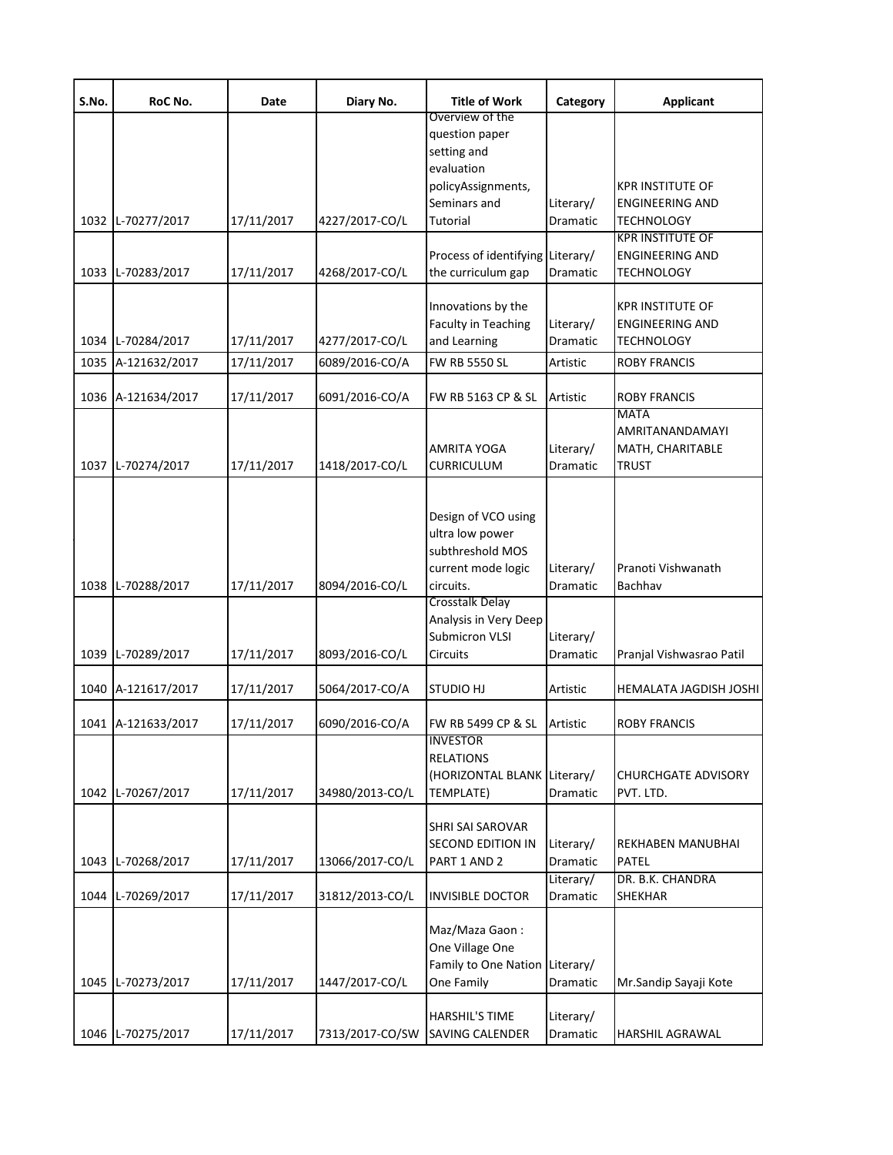| S.No. | RoC No.            | Date       | Diary No.       | <b>Title of Work</b>                                                                                 | Category              | <b>Applicant</b>                                                       |
|-------|--------------------|------------|-----------------|------------------------------------------------------------------------------------------------------|-----------------------|------------------------------------------------------------------------|
|       |                    |            |                 | Overview of the<br>question paper<br>setting and<br>evaluation<br>policyAssignments,<br>Seminars and | Literary/             | KPR INSTITUTE OF<br><b>ENGINEERING AND</b>                             |
| 1032  | L-70277/2017       | 17/11/2017 | 4227/2017-CO/L  | Tutorial                                                                                             | Dramatic              | TECHNOLOGY<br><b>KPR INSTITUTE OF</b>                                  |
| 1033  | L-70283/2017       | 17/11/2017 | 4268/2017-CO/L  | Process of identifying Literary/<br>the curriculum gap                                               | Dramatic              | <b>ENGINEERING AND</b><br>TECHNOLOGY                                   |
| 1034  | L-70284/2017       | 17/11/2017 | 4277/2017-CO/L  | Innovations by the<br>Faculty in Teaching<br>and Learning                                            | Literary/<br>Dramatic | <b>KPR INSTITUTE OF</b><br><b>ENGINEERING AND</b><br><b>TECHNOLOGY</b> |
| 1035  | A-121632/2017      | 17/11/2017 | 6089/2016-CO/A  | <b>FW RB 5550 SL</b>                                                                                 | Artistic              | ROBY FRANCIS                                                           |
| 1036  | A-121634/2017      | 17/11/2017 | 6091/2016-CO/A  | FW RB 5163 CP & SL<br>AMRITA YOGA                                                                    | Artistic<br>Literary/ | ROBY FRANCIS<br><b>MATA</b><br>AMRITANANDAMAYI<br>MATH, CHARITABLE     |
| 1037  | L-70274/2017       | 17/11/2017 | 1418/2017-CO/L  | <b>CURRICULUM</b>                                                                                    | Dramatic              | <b>TRUST</b>                                                           |
| 1038  | L-70288/2017       | 17/11/2017 | 8094/2016-CO/L  | Design of VCO using<br>ultra low power<br>subthreshold MOS<br>current mode logic<br>circuits.        | Literary/<br>Dramatic | Pranoti Vishwanath<br>Bachhav                                          |
| 1039  | L-70289/2017       | 17/11/2017 | 8093/2016-CO/L  | <b>Crosstalk Delay</b><br>Analysis in Very Deep<br><b>Submicron VLSI</b><br>Circuits                 | Literary/<br>Dramatic | Pranjal Vishwasrao Patil                                               |
| 1040  | A-121617/2017      | 17/11/2017 | 5064/2017-CO/A  | STUDIO HJ                                                                                            | Artistic              | HEMALATA JAGDISH JOSHI                                                 |
|       | 1041 A-121633/2017 | 17/11/2017 | 6090/2016-CO/A  | FW RB 5499 CP & SL                                                                                   | Artistic              | <b>ROBY FRANCIS</b>                                                    |
| 1042  | L-70267/2017       | 17/11/2017 | 34980/2013-CO/L | <b>INVESTOR</b><br><b>RELATIONS</b><br>(HORIZONTAL BLANK Literary/<br>TEMPLATE)                      | Dramatic              | <b>CHURCHGATE ADVISORY</b><br>PVT. LTD.                                |
| 1043  | L-70268/2017       | 17/11/2017 | 13066/2017-CO/L | <b>SHRI SAI SAROVAR</b><br><b>SECOND EDITION IN</b><br>PART 1 AND 2                                  | Literary/<br>Dramatic | REKHABEN MANUBHAI<br>PATEL                                             |
| 1044  | L-70269/2017       | 17/11/2017 | 31812/2013-CO/L | <b>INVISIBLE DOCTOR</b>                                                                              | Literary/<br>Dramatic | DR. B.K. CHANDRA<br>SHEKHAR                                            |
| 1045  | L-70273/2017       | 17/11/2017 | 1447/2017-CO/L  | Maz/Maza Gaon:<br>One Village One<br>Family to One Nation Literary/<br>One Family                    | Dramatic              | Mr.Sandip Sayaji Kote                                                  |
| 1046  | L-70275/2017       | 17/11/2017 | 7313/2017-CO/SW | <b>HARSHIL'S TIME</b><br>SAVING CALENDER                                                             | Literary/<br>Dramatic | HARSHIL AGRAWAL                                                        |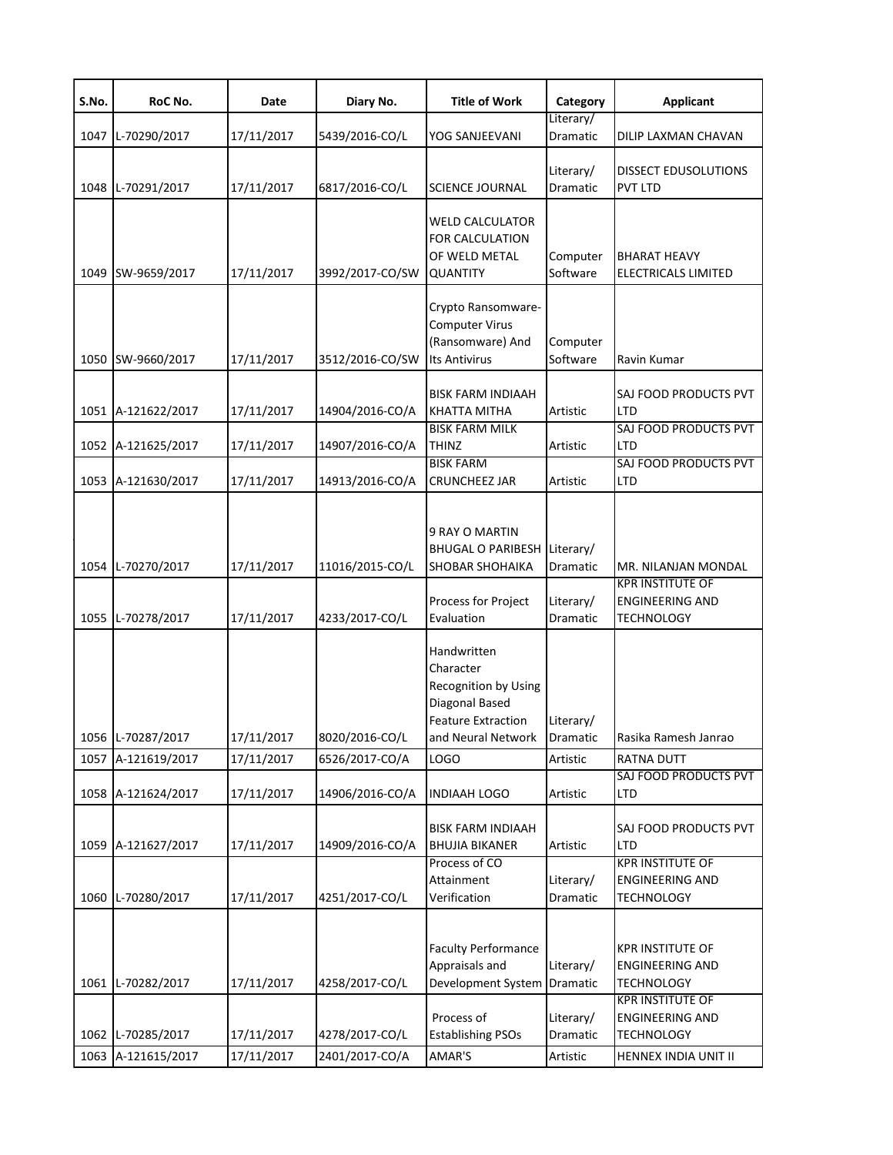| S.No. | RoC No.            | Date       | Diary No.       | <b>Title of Work</b>                                                                                                         | Category              | <b>Applicant</b>                                                       |
|-------|--------------------|------------|-----------------|------------------------------------------------------------------------------------------------------------------------------|-----------------------|------------------------------------------------------------------------|
| 1047  | L-70290/2017       | 17/11/2017 | 5439/2016-CO/L  | YOG SANJEEVANI                                                                                                               | Literary/<br>Dramatic | DILIP LAXMAN CHAVAN                                                    |
|       | 1048 L-70291/2017  | 17/11/2017 | 6817/2016-CO/L  | <b>SCIENCE JOURNAL</b>                                                                                                       | Literary/<br>Dramatic | <b>DISSECT EDUSOLUTIONS</b><br><b>PVT LTD</b>                          |
| 1049  | SW-9659/2017       | 17/11/2017 | 3992/2017-CO/SW | <b>WELD CALCULATOR</b><br>FOR CALCULATION<br>OF WELD METAL<br>QUANTITY                                                       | Computer<br>Software  | <b>BHARAT HEAVY</b><br>ELECTRICALS LIMITED                             |
| 1050  | SW-9660/2017       | 17/11/2017 | 3512/2016-CO/SW | Crypto Ransomware-<br><b>Computer Virus</b><br>(Ransomware) And<br><b>Its Antivirus</b>                                      | Computer<br>Software  | Ravin Kumar                                                            |
|       | 1051 A-121622/2017 | 17/11/2017 | 14904/2016-CO/A | <b>BISK FARM INDIAAH</b><br>KHATTA MITHA                                                                                     | Artistic              | <b>SAJ FOOD PRODUCTS PVT</b><br><b>LTD</b>                             |
|       | 1052 A-121625/2017 | 17/11/2017 | 14907/2016-CO/A | <b>BISK FARM MILK</b><br><b>THINZ</b>                                                                                        | Artistic              | SAJ FOOD PRODUCTS PVT<br><b>LTD</b>                                    |
|       | 1053 A-121630/2017 | 17/11/2017 | 14913/2016-CO/A | <b>BISK FARM</b><br><b>CRUNCHEEZ JAR</b>                                                                                     | Artistic              | SAJ FOOD PRODUCTS PVT<br><b>LTD</b>                                    |
|       | 1054 L-70270/2017  | 17/11/2017 | 11016/2015-CO/L | 9 RAY O MARTIN<br><b>BHUGAL O PARIBESH</b><br><b>SHOBAR SHOHAIKA</b>                                                         | Literary/<br>Dramatic | MR. NILANJAN MONDAL                                                    |
|       | 1055 L-70278/2017  | 17/11/2017 | 4233/2017-CO/L  | Process for Project<br>Evaluation                                                                                            | Literary/<br>Dramatic | <b>KPR INSTITUTE OF</b><br><b>ENGINEERING AND</b><br><b>TECHNOLOGY</b> |
|       | 1056 L-70287/2017  | 17/11/2017 | 8020/2016-CO/L  | Handwritten<br>Character<br><b>Recognition by Using</b><br>Diagonal Based<br><b>Feature Extraction</b><br>and Neural Network | Literary/<br>Dramatic | Rasika Ramesh Janrao                                                   |
| 1057  | A-121619/2017      | 17/11/2017 | 6526/2017-CO/A  | LOGO                                                                                                                         | Artistic              | <b>RATNA DUTT</b>                                                      |
|       | 1058 A-121624/2017 | 17/11/2017 | 14906/2016-CO/A | <b>INDIAAH LOGO</b>                                                                                                          | Artistic              | SAJ FOOD PRODUCTS PVT<br><b>LTD</b>                                    |
| 1059  | A-121627/2017      | 17/11/2017 | 14909/2016-CO/A | <b>BISK FARM INDIAAH</b><br><b>BHUJIA BIKANER</b>                                                                            | Artistic              | SAJ FOOD PRODUCTS PVT<br><b>LTD</b>                                    |
| 1060  | L-70280/2017       | 17/11/2017 | 4251/2017-CO/L  | Process of CO<br>Attainment<br>Verification                                                                                  | Literary/<br>Dramatic | <b>KPR INSTITUTE OF</b><br><b>ENGINEERING AND</b><br><b>TECHNOLOGY</b> |
|       | 1061 L-70282/2017  | 17/11/2017 | 4258/2017-CO/L  | <b>Faculty Performance</b><br>Appraisals and<br>Development System                                                           | Literary/<br>Dramatic | <b>KPR INSTITUTE OF</b><br><b>ENGINEERING AND</b><br><b>TECHNOLOGY</b> |
| 1062  | L-70285/2017       | 17/11/2017 | 4278/2017-CO/L  | Process of<br><b>Establishing PSOs</b>                                                                                       | Literary/<br>Dramatic | <b>KPR INSTITUTE OF</b><br>ENGINEERING AND<br><b>TECHNOLOGY</b>        |
| 1063  | A-121615/2017      | 17/11/2017 | 2401/2017-CO/A  | AMAR'S                                                                                                                       | Artistic              | HENNEX INDIA UNIT II                                                   |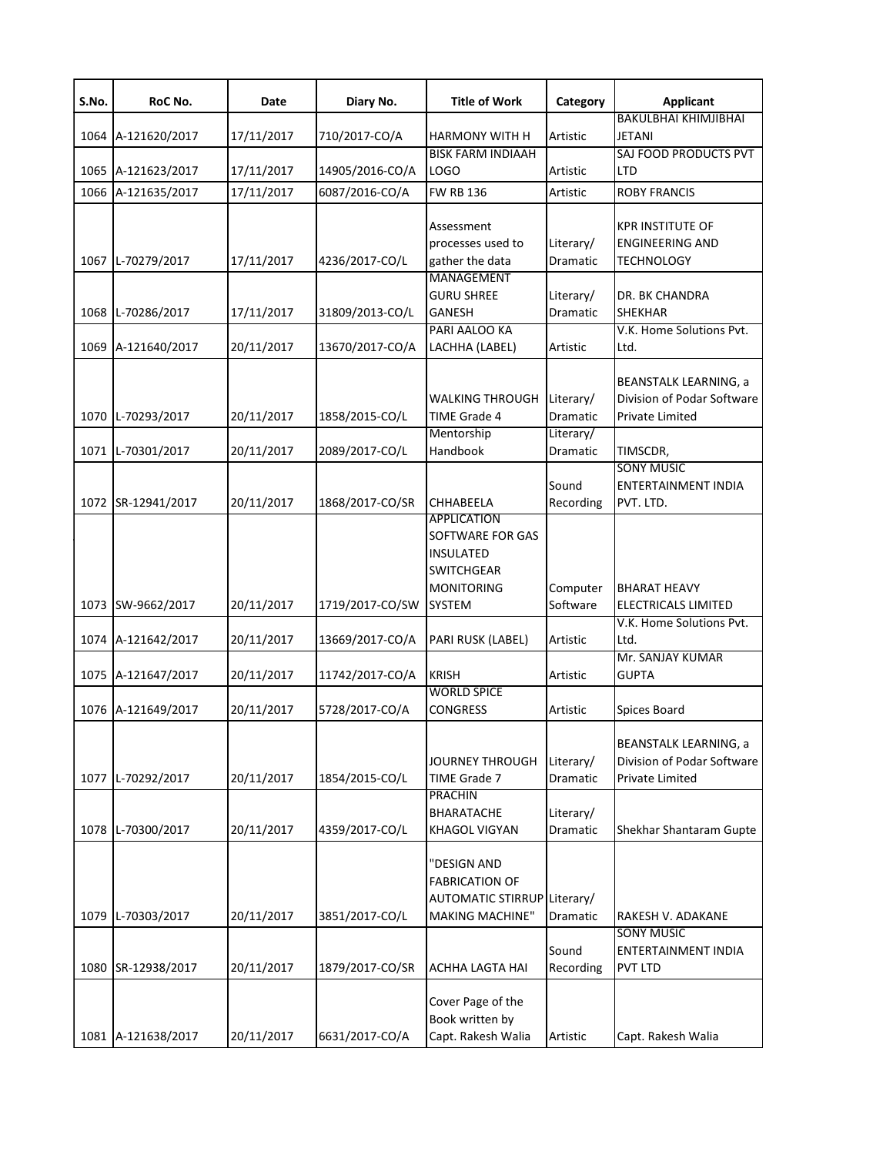| S.No. | RoC No.            | Date       | Diary No.       | <b>Title of Work</b>                                                                          | Category                           | <b>Applicant</b>                                                                     |
|-------|--------------------|------------|-----------------|-----------------------------------------------------------------------------------------------|------------------------------------|--------------------------------------------------------------------------------------|
| 1064  | A-121620/2017      | 17/11/2017 | 710/2017-CO/A   | HARMONY WITH H                                                                                | Artistic                           | <b>BAKULBHAI KHIMJIBHAI</b><br>JETANI                                                |
|       | 1065 A-121623/2017 | 17/11/2017 | 14905/2016-CO/A | <b>BISK FARM INDIAAH</b><br>LOGO                                                              | Artistic                           | SAJ FOOD PRODUCTS PVT<br>LTD                                                         |
| 1066  | A-121635/2017      | 17/11/2017 | 6087/2016-CO/A  | <b>FW RB 136</b>                                                                              | Artistic                           | <b>ROBY FRANCIS</b>                                                                  |
| 1067  | L-70279/2017       | 17/11/2017 | 4236/2017-CO/L  | Assessment<br>processes used to<br>gather the data<br>MANAGEMENT                              | Literary/<br>Dramatic              | <b>KPR INSTITUTE OF</b><br><b>ENGINEERING AND</b><br><b>TECHNOLOGY</b>               |
| 1068  | L-70286/2017       | 17/11/2017 | 31809/2013-CO/L | <b>GURU SHREE</b><br><b>GANESH</b>                                                            | Literary/<br>Dramatic              | DR. BK CHANDRA<br><b>SHEKHAR</b>                                                     |
|       | 1069 A-121640/2017 | 20/11/2017 | 13670/2017-CO/A | PARI AALOO KA<br>LACHHA (LABEL)                                                               | Artistic                           | V.K. Home Solutions Pvt.<br>Ltd.                                                     |
| 1070  | L-70293/2017       | 20/11/2017 | 1858/2015-CO/L  | WALKING THROUGH<br>TIME Grade 4<br>Mentorship                                                 | Literary/<br>Dramatic<br>Literary/ | <b>BEANSTALK LEARNING, a</b><br>Division of Podar Software<br><b>Private Limited</b> |
| 1071  | L-70301/2017       | 20/11/2017 | 2089/2017-CO/L  | Handbook                                                                                      | Dramatic                           | TIMSCDR,                                                                             |
| 1072  | SR-12941/2017      | 20/11/2017 | 1868/2017-CO/SR | CHHABEELA<br><b>APPLICATION</b>                                                               | Sound<br>Recording                 | <b>SONY MUSIC</b><br>ENTERTAINMENT INDIA<br>PVT. LTD.                                |
|       | 1073 SW-9662/2017  | 20/11/2017 | 1719/2017-CO/SW | SOFTWARE FOR GAS<br><b>INSULATED</b><br><b>SWITCHGEAR</b><br><b>MONITORING</b><br>SYSTEM      | Computer<br>Software               | <b>BHARAT HEAVY</b><br><b>ELECTRICALS LIMITED</b>                                    |
|       | 1074 A-121642/2017 | 20/11/2017 | 13669/2017-CO/A | PARI RUSK (LABEL)                                                                             | Artistic                           | V.K. Home Solutions Pvt.<br>Ltd.                                                     |
|       | 1075 A-121647/2017 | 20/11/2017 | 11742/2017-CO/A | <b>KRISH</b>                                                                                  | Artistic                           | Mr. SANJAY KUMAR<br><b>GUPTA</b>                                                     |
|       | 1076 A-121649/2017 | 20/11/2017 | 5728/2017-CO/A  | <b>WORLD SPICE</b><br><b>CONGRESS</b>                                                         | Artistic                           | <b>Spices Board</b>                                                                  |
|       | 1077 L-70292/2017  | 20/11/2017 | 1854/2015-CO/L  | JOURNEY THROUGH<br>TIME Grade 7                                                               | Literary/<br>Dramatic              | <b>BEANSTALK LEARNING, a</b><br>Division of Podar Software<br>Private Limited        |
| 1078  | L-70300/2017       | 20/11/2017 | 4359/2017-CO/L  | <b>PRACHIN</b><br>BHARATACHE<br><b>KHAGOL VIGYAN</b>                                          | Literary/<br>Dramatic              | Shekhar Shantaram Gupte                                                              |
|       | 1079 L-70303/2017  | 20/11/2017 | 3851/2017-CO/L  | "DESIGN AND<br><b>FABRICATION OF</b><br>AUTOMATIC STIRRUP Literary/<br><b>MAKING MACHINE"</b> | Dramatic                           | RAKESH V. ADAKANE                                                                    |
| 1080  | SR-12938/2017      | 20/11/2017 | 1879/2017-CO/SR | ACHHA LAGTA HAI                                                                               | Sound<br>Recording                 | <b>SONY MUSIC</b><br>ENTERTAINMENT INDIA<br><b>PVT LTD</b>                           |
|       | 1081 A-121638/2017 | 20/11/2017 | 6631/2017-CO/A  | Cover Page of the<br>Book written by<br>Capt. Rakesh Walia                                    | Artistic                           | Capt. Rakesh Walia                                                                   |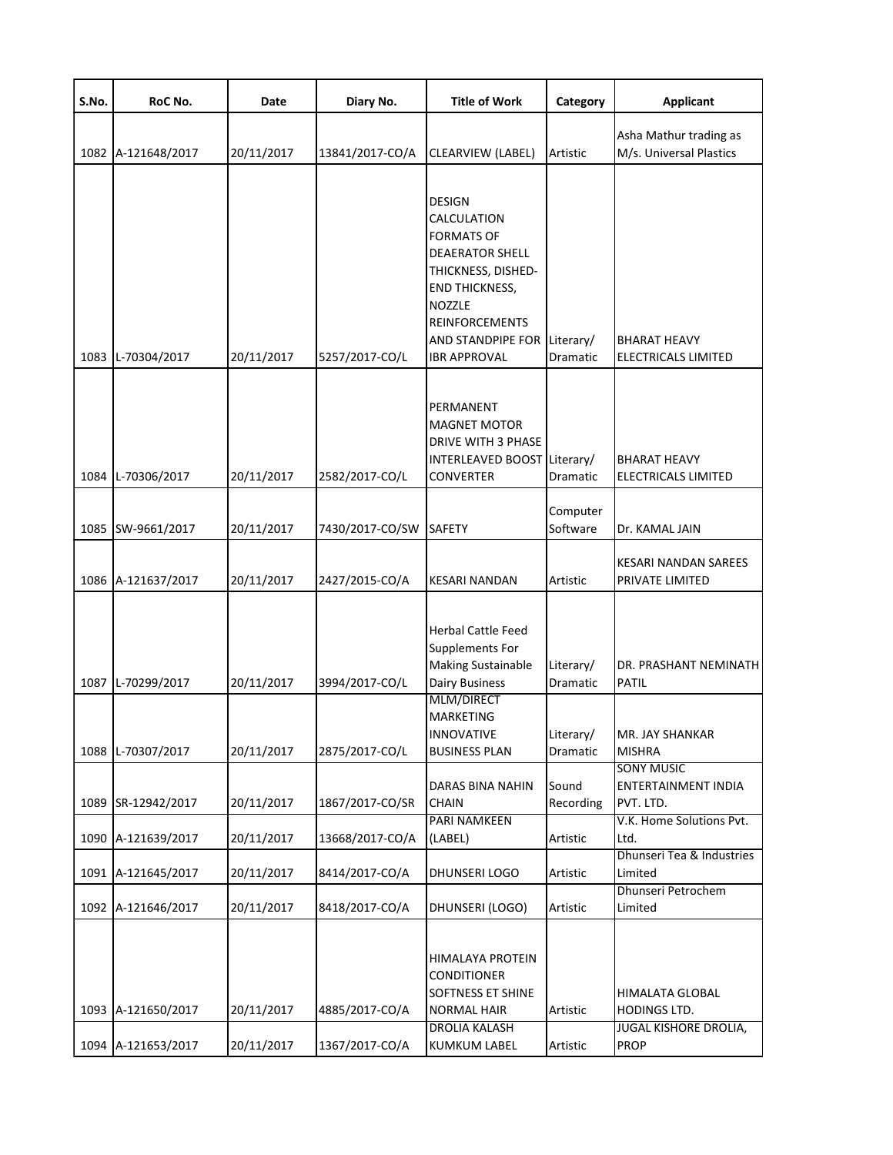| S.No. | RoC No.            | Date       | Diary No.       | <b>Title of Work</b>                                                                                                                                                                                                | Category              | <b>Applicant</b>                                                |
|-------|--------------------|------------|-----------------|---------------------------------------------------------------------------------------------------------------------------------------------------------------------------------------------------------------------|-----------------------|-----------------------------------------------------------------|
|       | 1082 A-121648/2017 | 20/11/2017 | 13841/2017-CO/A | CLEARVIEW (LABEL)                                                                                                                                                                                                   | Artistic              | Asha Mathur trading as<br>M/s. Universal Plastics               |
|       | 1083 L-70304/2017  | 20/11/2017 | 5257/2017-CO/L  | <b>DESIGN</b><br>CALCULATION<br><b>FORMATS OF</b><br><b>DEAERATOR SHELL</b><br>THICKNESS, DISHED-<br><b>END THICKNESS,</b><br>NOZZLE<br><b>REINFORCEMENTS</b><br>AND STANDPIPE FOR Literary/<br><b>IBR APPROVAL</b> | Dramatic              | <b>BHARAT HEAVY</b><br>ELECTRICALS LIMITED                      |
|       | 1084 L-70306/2017  | 20/11/2017 | 2582/2017-CO/L  | PERMANENT<br><b>MAGNET MOTOR</b><br>DRIVE WITH 3 PHASE<br>INTERLEAVED BOOST Literary/<br><b>CONVERTER</b>                                                                                                           | Dramatic              | <b>BHARAT HEAVY</b><br>ELECTRICALS LIMITED                      |
|       | 1085 SW-9661/2017  | 20/11/2017 | 7430/2017-CO/SW | <b>SAFETY</b>                                                                                                                                                                                                       | Computer<br>Software  | Dr. KAMAL JAIN                                                  |
|       | 1086 A-121637/2017 | 20/11/2017 | 2427/2015-CO/A  | <b>KESARI NANDAN</b>                                                                                                                                                                                                | Artistic              | KESARI NANDAN SAREES<br>PRIVATE LIMITED                         |
|       | 1087 L-70299/2017  | 20/11/2017 | 3994/2017-CO/L  | <b>Herbal Cattle Feed</b><br><b>Supplements For</b><br><b>Making Sustainable</b><br><b>Dairy Business</b>                                                                                                           | Literary/<br>Dramatic | DR. PRASHANT NEMINATH<br><b>PATIL</b>                           |
|       | 1088 L-70307/2017  | 20/11/2017 | 2875/2017-CO/L  | MLM/DIRECT<br><b>MARKETING</b><br><b>INNOVATIVE</b><br><b>BUSINESS PLAN</b>                                                                                                                                         | Literary/<br>Dramatic | MR. JAY SHANKAR<br><b>MISHRA</b>                                |
|       | 1089 SR-12942/2017 | 20/11/2017 | 1867/2017-CO/SR | <b>DARAS BINA NAHIN</b><br><b>CHAIN</b>                                                                                                                                                                             | Sound<br>Recording    | <b>SONY MUSIC</b><br>ENTERTAINMENT INDIA<br>PVT. LTD.           |
|       | 1090 A-121639/2017 | 20/11/2017 | 13668/2017-CO/A | PARI NAMKEEN<br>(LABEL)                                                                                                                                                                                             | Artistic              | V.K. Home Solutions Pvt.<br>Ltd.                                |
|       | 1091 A-121645/2017 | 20/11/2017 | 8414/2017-CO/A  | DHUNSERI LOGO                                                                                                                                                                                                       | Artistic              | Dhunseri Tea & Industries<br>Limited                            |
|       | 1092 A-121646/2017 | 20/11/2017 | 8418/2017-CO/A  | DHUNSERI (LOGO)                                                                                                                                                                                                     | Artistic              | Dhunseri Petrochem<br>Limited                                   |
|       | 1093 A-121650/2017 | 20/11/2017 | 4885/2017-CO/A  | <b>HIMALAYA PROTEIN</b><br><b>CONDITIONER</b><br><b>SOFTNESS ET SHINE</b><br><b>NORMAL HAIR</b><br><b>DROLIA KALASH</b>                                                                                             | Artistic              | HIMALATA GLOBAL<br>HODINGS LTD.<br><b>JUGAL KISHORE DROLIA,</b> |
|       | 1094 A-121653/2017 | 20/11/2017 | 1367/2017-CO/A  | <b>KUMKUM LABEL</b>                                                                                                                                                                                                 | Artistic              | <b>PROP</b>                                                     |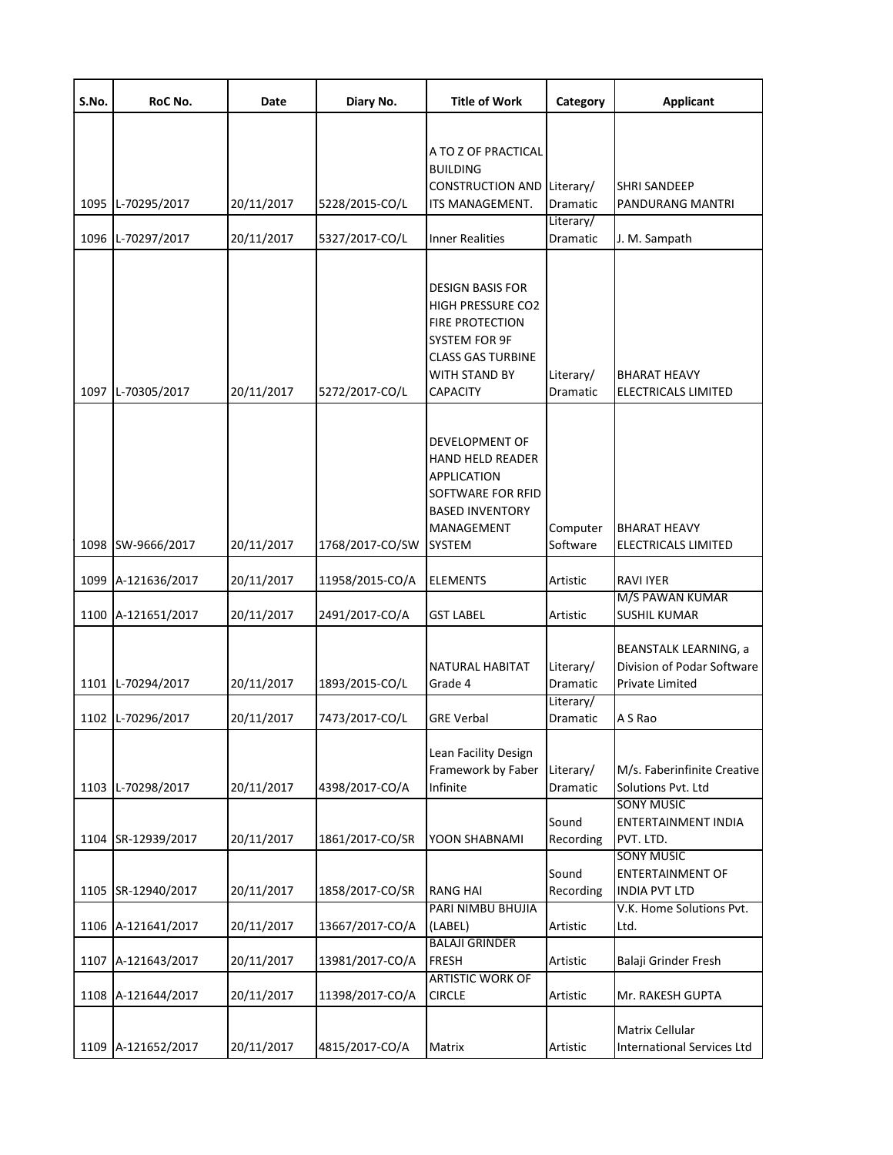| S.No. | RoC No.            | Date       | Diary No.       | <b>Title of Work</b>                                                                                                                                                  | Category              | <b>Applicant</b>                                                              |
|-------|--------------------|------------|-----------------|-----------------------------------------------------------------------------------------------------------------------------------------------------------------------|-----------------------|-------------------------------------------------------------------------------|
| 1095  | L-70295/2017       | 20/11/2017 | 5228/2015-CO/L  | A TO Z OF PRACTICAL<br><b>BUILDING</b><br>CONSTRUCTION AND Literary/<br>ITS MANAGEMENT.                                                                               | Dramatic              | SHRI SANDEEP<br>PANDURANG MANTRI                                              |
|       |                    |            |                 |                                                                                                                                                                       | Literary/             |                                                                               |
| 1096  | L-70297/2017       | 20/11/2017 | 5327/2017-CO/L  | <b>Inner Realities</b>                                                                                                                                                | Dramatic              | J. M. Sampath                                                                 |
|       | 1097 L-70305/2017  | 20/11/2017 | 5272/2017-CO/L  | <b>DESIGN BASIS FOR</b><br><b>HIGH PRESSURE CO2</b><br><b>FIRE PROTECTION</b><br>SYSTEM FOR 9F<br><b>CLASS GAS TURBINE</b><br><b>WITH STAND BY</b><br><b>CAPACITY</b> | Literary/<br>Dramatic | <b>BHARAT HEAVY</b><br>ELECTRICALS LIMITED                                    |
|       | 1098 SW-9666/2017  | 20/11/2017 | 1768/2017-CO/SW | DEVELOPMENT OF<br><b>HAND HELD READER</b><br>APPLICATION<br>SOFTWARE FOR RFID<br><b>BASED INVENTORY</b><br>MANAGEMENT<br>SYSTEM                                       | Computer<br>Software  | BHARAT HEAVY<br>ELECTRICALS LIMITED                                           |
|       | 1099 A-121636/2017 | 20/11/2017 | 11958/2015-CO/A | <b>ELEMENTS</b>                                                                                                                                                       | Artistic              | <b>RAVI IYER</b>                                                              |
|       |                    |            |                 |                                                                                                                                                                       |                       | M/S PAWAN KUMAR                                                               |
|       | 1100 A-121651/2017 | 20/11/2017 | 2491/2017-CO/A  | GST LABEL                                                                                                                                                             | Artistic              | SUSHIL KUMAR                                                                  |
|       | 1101 L-70294/2017  | 20/11/2017 | 1893/2015-CO/L  | NATURAL HABITAT<br>Grade 4                                                                                                                                            | Literary/<br>Dramatic | <b>BEANSTALK LEARNING, a</b><br>Division of Podar Software<br>Private Limited |
|       | 1102 L-70296/2017  | 20/11/2017 | 7473/2017-CO/L  | <b>GRE Verbal</b>                                                                                                                                                     | Literary/<br>Dramatic | A S Rao                                                                       |
|       | 1103 L-70298/2017  | 20/11/2017 | 4398/2017-CO/A  | Lean Facility Design<br>Framework by Faber<br>Infinite                                                                                                                | Literary/<br>Dramatic | M/s. Faberinfinite Creative<br>Solutions Pvt. Ltd                             |
|       | 1104 SR-12939/2017 | 20/11/2017 | 1861/2017-CO/SR | YOON SHABNAMI                                                                                                                                                         | Sound<br>Recording    | <b>SONY MUSIC</b><br><b>ENTERTAINMENT INDIA</b><br>PVT. LTD.                  |
|       |                    |            |                 |                                                                                                                                                                       |                       | <b>SONY MUSIC</b>                                                             |
|       | 1105 SR-12940/2017 | 20/11/2017 | 1858/2017-CO/SR | <b>RANG HAI</b>                                                                                                                                                       | Sound<br>Recording    | <b>ENTERTAINMENT OF</b><br><b>INDIA PVT LTD</b>                               |
|       |                    |            |                 | PARI NIMBU BHUJIA                                                                                                                                                     |                       | V.K. Home Solutions Pvt.                                                      |
|       | 1106 A-121641/2017 | 20/11/2017 | 13667/2017-CO/A | (LABEL)                                                                                                                                                               | Artistic              | Ltd.                                                                          |
|       | 1107 A-121643/2017 | 20/11/2017 | 13981/2017-CO/A | <b>BALAJI GRINDER</b><br><b>FRESH</b>                                                                                                                                 | Artistic              | Balaji Grinder Fresh                                                          |
|       | 1108 A-121644/2017 | 20/11/2017 | 11398/2017-CO/A | <b>ARTISTIC WORK OF</b><br><b>CIRCLE</b>                                                                                                                              | Artistic              | Mr. RAKESH GUPTA                                                              |
|       | 1109 A-121652/2017 | 20/11/2017 | 4815/2017-CO/A  | Matrix                                                                                                                                                                | Artistic              | <b>Matrix Cellular</b><br><b>International Services Ltd</b>                   |
|       |                    |            |                 |                                                                                                                                                                       |                       |                                                                               |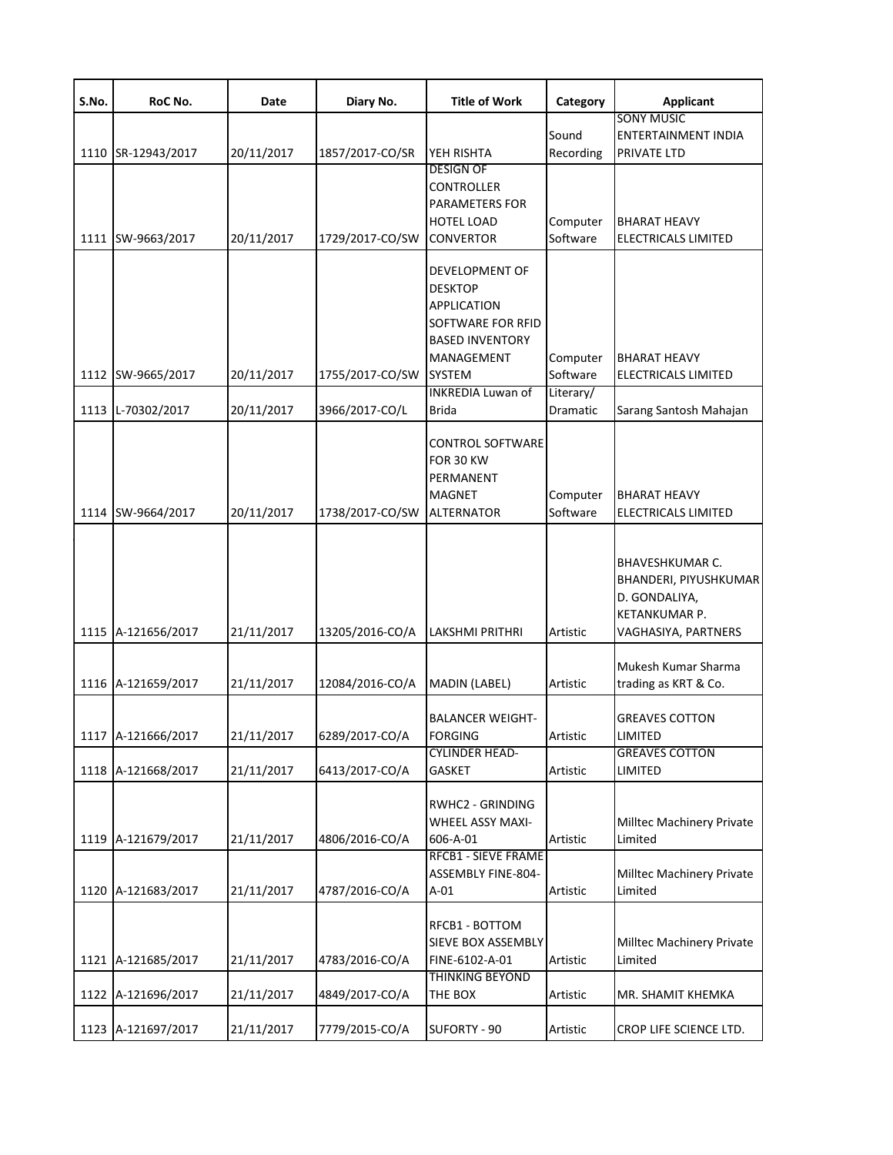| S.No. | RoC No.                                | Date                     | Diary No.                         | <b>Title of Work</b>                                                                                                                 | Category                         | <b>Applicant</b>                                                                                  |
|-------|----------------------------------------|--------------------------|-----------------------------------|--------------------------------------------------------------------------------------------------------------------------------------|----------------------------------|---------------------------------------------------------------------------------------------------|
|       |                                        |                          |                                   |                                                                                                                                      |                                  | <b>SONY MUSIC</b>                                                                                 |
|       | 1110 SR-12943/2017                     | 20/11/2017               | 1857/2017-CO/SR                   | YEH RISHTA                                                                                                                           | Sound<br>Recording               | ENTERTAINMENT INDIA<br>PRIVATE LTD                                                                |
|       |                                        |                          |                                   | <b>DESIGN OF</b><br>CONTROLLER<br>PARAMETERS FOR                                                                                     |                                  |                                                                                                   |
|       | 1111 SW-9663/2017                      | 20/11/2017               | 1729/2017-CO/SW                   | HOTEL LOAD<br><b>CONVERTOR</b>                                                                                                       | Computer<br>Software             | <b>BHARAT HEAVY</b><br>ELECTRICALS LIMITED                                                        |
|       | 1112 SW-9665/2017                      | 20/11/2017               | 1755/2017-CO/SW                   | <b>DEVELOPMENT OF</b><br><b>DESKTOP</b><br>APPLICATION<br>SOFTWARE FOR RFID<br><b>BASED INVENTORY</b><br>MANAGEMENT<br><b>SYSTEM</b> | Computer<br>Software             | <b>BHARAT HEAVY</b><br>ELECTRICALS LIMITED                                                        |
|       |                                        |                          |                                   | <b>INKREDIA Luwan of</b>                                                                                                             | Literary/                        |                                                                                                   |
|       | 1113 L-70302/2017<br>1114 SW-9664/2017 | 20/11/2017<br>20/11/2017 | 3966/2017-CO/L<br>1738/2017-CO/SW | <b>Brida</b><br>CONTROL SOFTWARE<br>FOR 30 KW<br>PERMANENT<br><b>MAGNET</b><br><b>ALTERNATOR</b>                                     | Dramatic<br>Computer<br>Software | Sarang Santosh Mahajan<br><b>BHARAT HEAVY</b><br><b>ELECTRICALS LIMITED</b>                       |
|       | 1115 A-121656/2017                     | 21/11/2017               | 13205/2016-CO/A                   | LAKSHMI PRITHRI                                                                                                                      | Artistic                         | BHAVESHKUMAR C.<br>BHANDERI, PIYUSHKUMAR<br>D. GONDALIYA,<br>KETANKUMAR P.<br>VAGHASIYA, PARTNERS |
|       | 1116 A-121659/2017                     | 21/11/2017               | 12084/2016-CO/A                   | MADIN (LABEL)                                                                                                                        | Artistic                         | Mukesh Kumar Sharma<br>trading as KRT & Co.                                                       |
|       | 1117 A-121666/2017                     | 21/11/2017               | 6289/2017-CO/A                    | <b>BALANCER WEIGHT-</b><br><b>FORGING</b><br><b>CYLINDER HEAD-</b>                                                                   | Artistic                         | <b>GREAVES COTTON</b><br><b>LIMITED</b><br><b>GREAVES COTTON</b>                                  |
|       | 1118 A-121668/2017                     | 21/11/2017               | 6413/2017-CO/A                    | GASKET                                                                                                                               | Artistic                         | LIMITED                                                                                           |
|       | 1119 A-121679/2017                     | 21/11/2017               | 4806/2016-CO/A                    | RWHC2 - GRINDING<br>WHEEL ASSY MAXI-<br>606-A-01                                                                                     | Artistic                         | Milltec Machinery Private<br>Limited                                                              |
|       | 1120 A-121683/2017                     | 21/11/2017               | 4787/2016-CO/A                    | <b>RFCB1 - SIEVE FRAME</b><br>ASSEMBLY FINE-804-<br>$A-01$                                                                           | Artistic                         | Milltec Machinery Private<br>Limited                                                              |
|       | 1121 A-121685/2017                     | 21/11/2017               | 4783/2016-CO/A                    | RFCB1 - BOTTOM<br>SIEVE BOX ASSEMBLY<br>FINE-6102-A-01                                                                               | Artistic                         | Milltec Machinery Private<br>Limited                                                              |
|       | 1122 A-121696/2017                     | 21/11/2017               | 4849/2017-CO/A                    | <b>THINKING BEYOND</b><br>THE BOX                                                                                                    | Artistic                         | MR. SHAMIT KHEMKA                                                                                 |
|       | 1123 A-121697/2017                     | 21/11/2017               | 7779/2015-CO/A                    | SUFORTY - 90                                                                                                                         | Artistic                         | CROP LIFE SCIENCE LTD.                                                                            |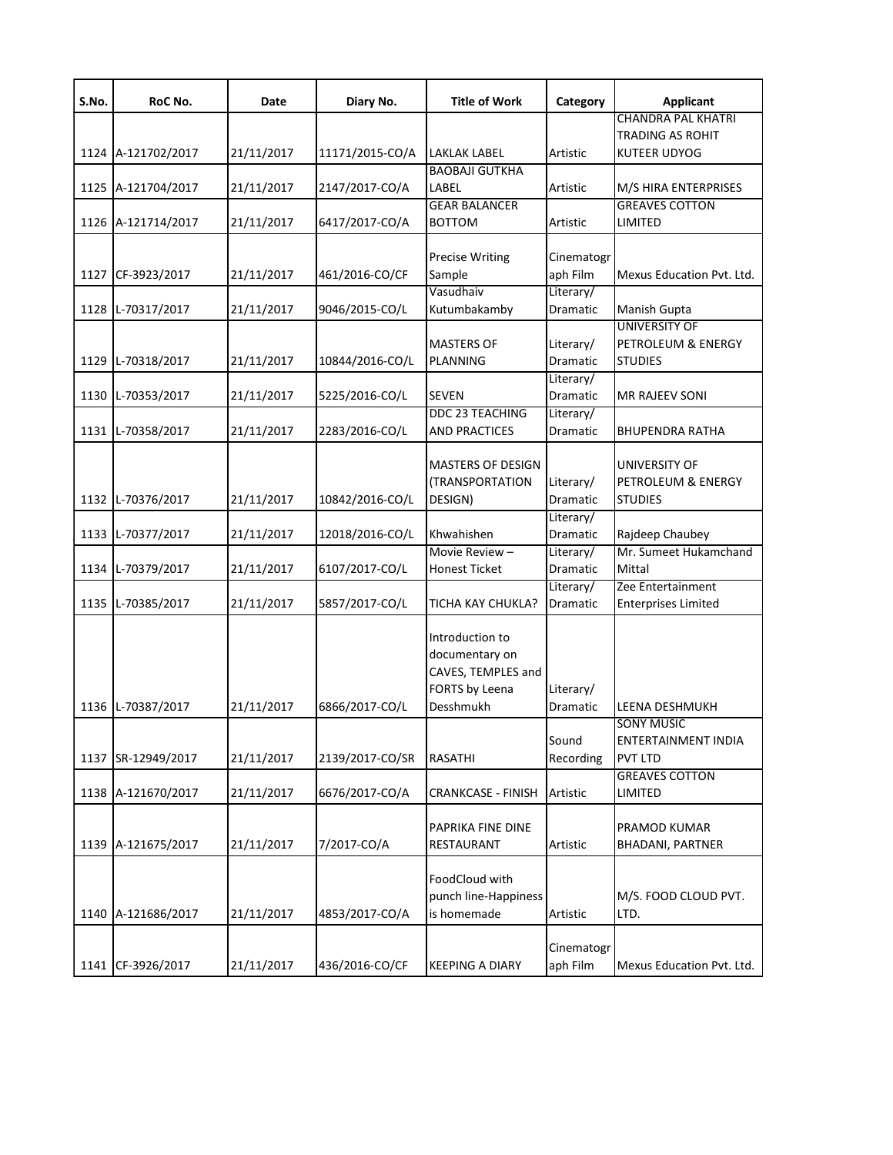| S.No. | RoC No.            | Date       | Diary No.       | <b>Title of Work</b>      | Category   | <b>Applicant</b>           |
|-------|--------------------|------------|-----------------|---------------------------|------------|----------------------------|
|       |                    |            |                 |                           |            | <b>CHANDRA PAL KHATRI</b>  |
|       |                    |            |                 |                           |            | <b>TRADING AS ROHIT</b>    |
|       | 1124 A-121702/2017 | 21/11/2017 | 11171/2015-CO/A | LAKLAK LABEL              | Artistic   | <b>KUTEER UDYOG</b>        |
|       |                    |            |                 | <b>BAOBAJI GUTKHA</b>     |            |                            |
| 1125  | A-121704/2017      | 21/11/2017 | 2147/2017-CO/A  | LABEL                     | Artistic   | M/S HIRA ENTERPRISES       |
|       |                    |            |                 | <b>GEAR BALANCER</b>      |            | <b>GREAVES COTTON</b>      |
|       | 1126 A-121714/2017 | 21/11/2017 | 6417/2017-CO/A  | <b>BOTTOM</b>             | Artistic   | LIMITED                    |
|       |                    |            |                 |                           |            |                            |
|       |                    |            |                 | <b>Precise Writing</b>    | Cinematogr |                            |
| 1127  | CF-3923/2017       | 21/11/2017 | 461/2016-CO/CF  | Sample                    | aph Film   | Mexus Education Pvt. Ltd.  |
|       |                    |            |                 | Vasudhaiv                 | Literary/  |                            |
| 1128  | L-70317/2017       | 21/11/2017 | 9046/2015-CO/L  | Kutumbakamby              | Dramatic   | Manish Gupta               |
|       |                    |            |                 |                           |            | <b>UNIVERSITY OF</b>       |
|       |                    |            |                 | <b>MASTERS OF</b>         | Literary/  | PETROLEUM & ENERGY         |
| 1129  | L-70318/2017       | 21/11/2017 | 10844/2016-CO/L | PLANNING                  | Dramatic   | <b>STUDIES</b>             |
|       |                    |            |                 |                           | Literary/  |                            |
| 1130  | L-70353/2017       | 21/11/2017 | 5225/2016-CO/L  | <b>SEVEN</b>              | Dramatic   | <b>MR RAJEEV SONI</b>      |
|       |                    |            |                 | DDC 23 TEACHING           | Literary/  |                            |
| 1131  | L-70358/2017       | 21/11/2017 | 2283/2016-CO/L  | <b>AND PRACTICES</b>      | Dramatic   | <b>BHUPENDRA RATHA</b>     |
|       |                    |            |                 |                           |            |                            |
|       |                    |            |                 | <b>MASTERS OF DESIGN</b>  |            | UNIVERSITY OF              |
|       |                    |            |                 | (TRANSPORTATION           | Literary/  | PETROLEUM & ENERGY         |
| 1132  | L-70376/2017       | 21/11/2017 | 10842/2016-CO/L | DESIGN)                   | Dramatic   | <b>STUDIES</b>             |
|       |                    |            |                 |                           | Literary/  |                            |
| 1133  | L-70377/2017       | 21/11/2017 | 12018/2016-CO/L | Khwahishen                | Dramatic   | Rajdeep Chaubey            |
|       |                    |            |                 | Movie Review-             | Literary/  | Mr. Sumeet Hukamchand      |
| 1134  | L-70379/2017       | 21/11/2017 | 6107/2017-CO/L  | <b>Honest Ticket</b>      | Dramatic   | Mittal                     |
|       |                    |            |                 |                           | Literary/  | Zee Entertainment          |
| 1135  | L-70385/2017       | 21/11/2017 | 5857/2017-CO/L  | TICHA KAY CHUKLA?         | Dramatic   | <b>Enterprises Limited</b> |
|       |                    |            |                 |                           |            |                            |
|       |                    |            |                 | Introduction to           |            |                            |
|       |                    |            |                 | documentary on            |            |                            |
|       |                    |            |                 | CAVES, TEMPLES and        |            |                            |
|       |                    |            |                 | FORTS by Leena            | Literary/  |                            |
| 1136  | L-70387/2017       | 21/11/2017 | 6866/2017-CO/L  | Desshmukh                 | Dramatic   | LEENA DESHMUKH             |
|       |                    |            |                 |                           |            | <b>SONY MUSIC</b>          |
|       |                    |            |                 |                           | Sound      | <b>ENTERTAINMENT INDIA</b> |
| 1137  | SR-12949/2017      | 21/11/2017 | 2139/2017-CO/SR | <b>RASATHI</b>            | Recording  | <b>PVT LTD</b>             |
|       |                    |            |                 |                           |            | <b>GREAVES COTTON</b>      |
| 1138  | A-121670/2017      | 21/11/2017 | 6676/2017-CO/A  | <b>CRANKCASE - FINISH</b> | Artistic   | LIMITED                    |
|       |                    |            |                 |                           |            |                            |
|       |                    |            |                 | PAPRIKA FINE DINE         |            | PRAMOD KUMAR               |
| 1139  | A-121675/2017      | 21/11/2017 | 7/2017-CO/A     | RESTAURANT                | Artistic   | <b>BHADANI, PARTNER</b>    |
|       |                    |            |                 |                           |            |                            |
|       |                    |            |                 | FoodCloud with            |            |                            |
|       |                    |            |                 | punch line-Happiness      |            | M/S. FOOD CLOUD PVT.       |
| 1140  | A-121686/2017      | 21/11/2017 | 4853/2017-CO/A  | is homemade               | Artistic   | LTD.                       |
|       |                    |            |                 |                           |            |                            |
|       |                    |            |                 |                           | Cinematogr |                            |
| 1141  | CF-3926/2017       | 21/11/2017 | 436/2016-CO/CF  | <b>KEEPING A DIARY</b>    | aph Film   | Mexus Education Pvt. Ltd.  |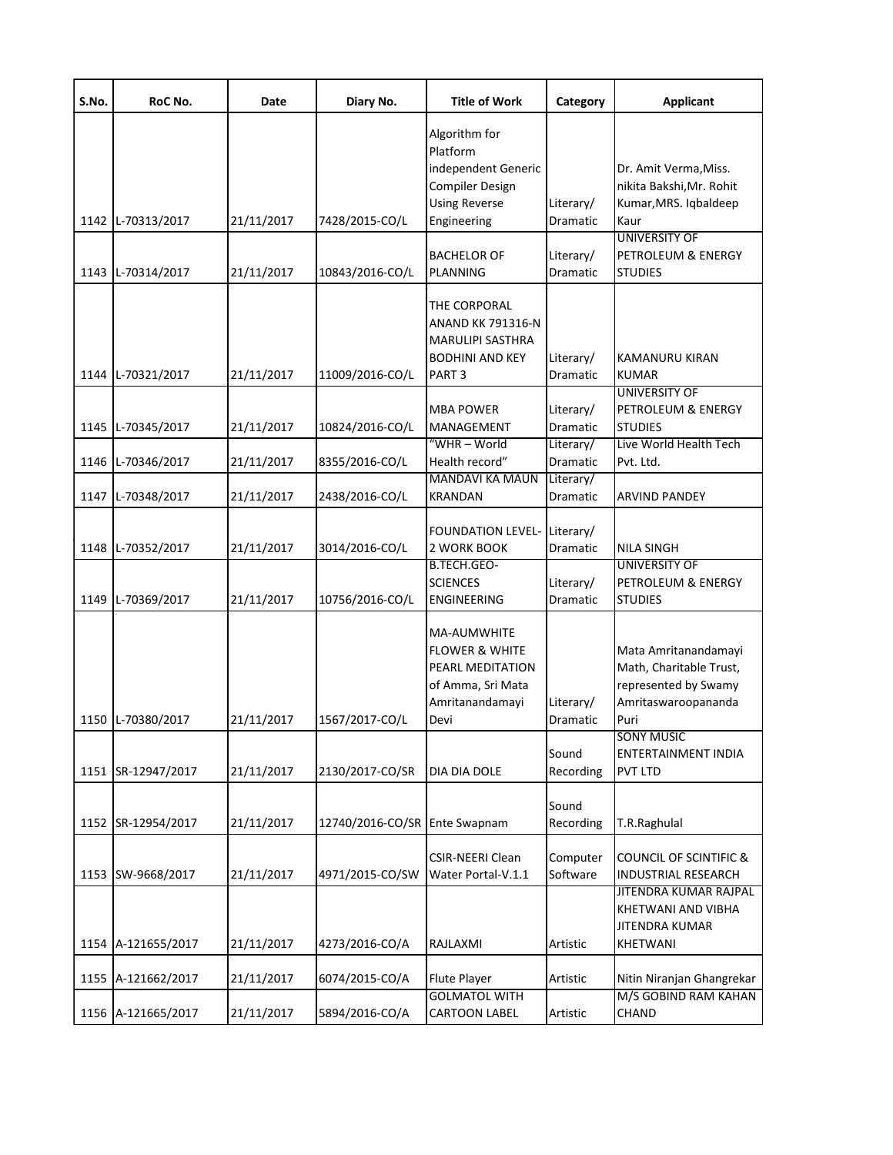| S.No. | RoC No.            | Date       | Diary No.                     | <b>Title of Work</b>                                                                                         | Category                     | <b>Applicant</b>                                                                                       |
|-------|--------------------|------------|-------------------------------|--------------------------------------------------------------------------------------------------------------|------------------------------|--------------------------------------------------------------------------------------------------------|
|       |                    |            |                               | Algorithm for<br>Platform<br>independent Generic<br><b>Compiler Design</b><br><b>Using Reverse</b>           | Literary/                    | Dr. Amit Verma, Miss.<br>nikita Bakshi, Mr. Rohit<br>Kumar, MRS. Iqbaldeep                             |
|       | 1142 L-70313/2017  | 21/11/2017 | 7428/2015-CO/L                | Engineering                                                                                                  | Dramatic                     | Kaur<br><b>UNIVERSITY OF</b>                                                                           |
|       | 1143 L-70314/2017  | 21/11/2017 | 10843/2016-CO/L               | <b>BACHELOR OF</b><br>PLANNING                                                                               | Literary/<br>Dramatic        | PETROLEUM & ENERGY<br><b>STUDIES</b>                                                                   |
|       | 1144 L-70321/2017  | 21/11/2017 | 11009/2016-CO/L               | THE CORPORAL<br><b>ANAND KK 791316-N</b><br>MARULIPI SASTHRA<br><b>BODHINI AND KEY</b><br>PART <sub>3</sub>  | Literary/<br>Dramatic        | <b>KAMANURU KIRAN</b><br><b>KUMAR</b>                                                                  |
|       |                    |            |                               | <b>MBA POWER</b>                                                                                             | Literary/                    | <b>UNIVERSITY OF</b><br>PETROLEUM & ENERGY                                                             |
|       | 1145 L-70345/2017  | 21/11/2017 | 10824/2016-CO/L               | MANAGEMENT                                                                                                   | Dramatic                     | <b>STUDIES</b>                                                                                         |
|       |                    |            |                               | "WHR-World                                                                                                   | Literary/                    | Live World Health Tech                                                                                 |
|       | 1146 L-70346/2017  | 21/11/2017 | 8355/2016-CO/L                | Health record"<br><b>MANDAVI KA MAUN</b>                                                                     | <b>Dramatic</b><br>Literary/ | Pvt. Ltd.                                                                                              |
| 1147  | L-70348/2017       | 21/11/2017 | 2438/2016-CO/L                | <b>KRANDAN</b>                                                                                               | Dramatic                     | <b>ARVIND PANDEY</b>                                                                                   |
|       | 1148 L-70352/2017  | 21/11/2017 | 3014/2016-CO/L                | <b>FOUNDATION LEVEL-</b><br>2 WORK BOOK                                                                      | Literary/<br>Dramatic        | <b>NILA SINGH</b>                                                                                      |
|       |                    |            |                               | B.TECH.GEO-<br><b>SCIENCES</b>                                                                               | Literary/                    | <b>UNIVERSITY OF</b><br>PETROLEUM & ENERGY                                                             |
|       | 1149 L-70369/2017  | 21/11/2017 | 10756/2016-CO/L               | <b>ENGINEERING</b>                                                                                           | Dramatic                     | <b>STUDIES</b>                                                                                         |
|       | 1150 L-70380/2017  | 21/11/2017 | 1567/2017-CO/L                | MA-AUMWHITE<br><b>FLOWER &amp; WHITE</b><br>PEARL MEDITATION<br>of Amma, Sri Mata<br>Amritanandamayi<br>Devi | Literary/<br><b>Dramatic</b> | Mata Amritanandamayi<br>Math, Charitable Trust,<br>represented by Swamy<br>Amritaswaroopananda<br>Puri |
|       |                    |            |                               |                                                                                                              |                              | SONY MUSIC                                                                                             |
|       | 1151 SR-12947/2017 | 21/11/2017 | 2130/2017-CO/SR               | <b>DIA DIA DOLE</b>                                                                                          | Sound<br>Recording           | ENTERTAINMENT INDIA<br><b>PVT LTD</b>                                                                  |
|       | 1152 SR-12954/2017 | 21/11/2017 | 12740/2016-CO/SR Ente Swapnam |                                                                                                              | Sound<br>Recording           | T.R.Raghulal                                                                                           |
|       | 1153 SW-9668/2017  | 21/11/2017 | 4971/2015-CO/SW               | <b>CSIR-NEERI Clean</b><br>Water Portal-V.1.1                                                                | Computer<br>Software         | <b>COUNCIL OF SCINTIFIC &amp;</b><br><b>INDUSTRIAL RESEARCH</b>                                        |
|       | 1154 A-121655/2017 | 21/11/2017 | 4273/2016-CO/A                | RAJLAXMI                                                                                                     | Artistic                     | JITENDRA KUMAR RAJPAL<br>KHETWANI AND VIBHA<br><b>JITENDRA KUMAR</b><br>KHETWANI                       |
|       | 1155 A-121662/2017 | 21/11/2017 | 6074/2015-CO/A                | Flute Player                                                                                                 | Artistic                     | Nitin Niranjan Ghangrekar                                                                              |
|       | 1156 A-121665/2017 | 21/11/2017 | 5894/2016-CO/A                | <b>GOLMATOL WITH</b><br><b>CARTOON LABEL</b>                                                                 | Artistic                     | M/S GOBIND RAM KAHAN<br>CHAND                                                                          |
|       |                    |            |                               |                                                                                                              |                              |                                                                                                        |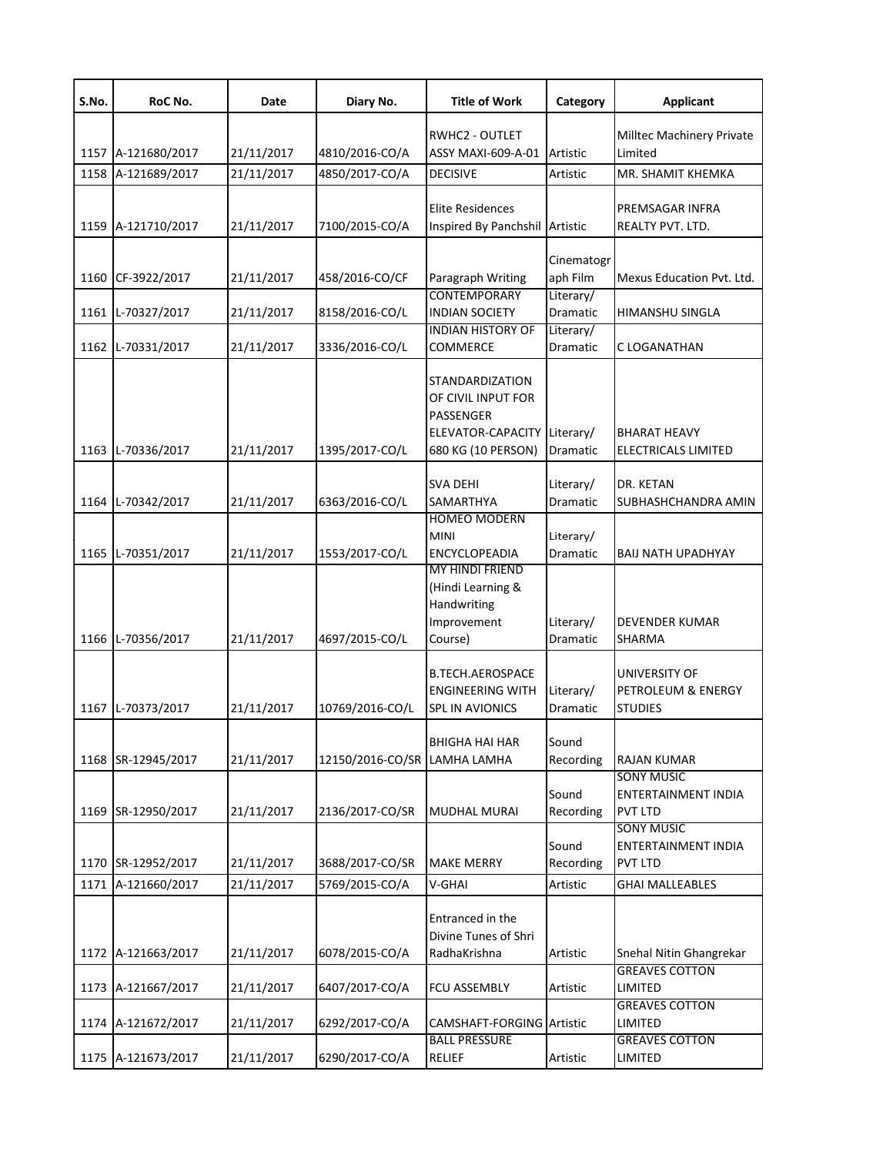| Milltec Machinery Private<br>RWHC2 - OUTLET<br>Limited<br>1157 A-121680/2017<br>21/11/2017<br>4810/2016-CO/A<br>ASSY MAXI-609-A-01<br>Artistic<br>1158 A-121689/2017<br>21/11/2017<br>4850/2017-CO/A<br>MR. SHAMIT KHEMKA<br><b>DECISIVE</b><br>Artistic<br>Elite Residences<br>PREMSAGAR INFRA<br>1159 A-121710/2017<br>21/11/2017<br>7100/2015-CO/A<br>Inspired By Panchshil<br>Artistic<br>REALTY PVT. LTD.<br>Cinematogr<br>21/11/2017<br>458/2016-CO/CF<br>aph Film<br>Mexus Education Pvt. Ltd.<br>CF-3922/2017<br>Paragraph Writing<br>1160<br><b>CONTEMPORARY</b><br>Literary/<br>1161 L-70327/2017<br>21/11/2017<br>8158/2016-CO/L<br><b>INDIAN SOCIETY</b><br>Dramatic<br><b>HIMANSHU SINGLA</b><br><b>INDIAN HISTORY OF</b><br>Literary/<br>1162 L-70331/2017<br>21/11/2017<br>3336/2016-CO/L<br>COMMERCE<br>Dramatic<br>C LOGANATHAN<br>STANDARDIZATION<br>OF CIVIL INPUT FOR<br>PASSENGER<br>ELEVATOR-CAPACITY<br>Literary/<br><b>BHARAT HEAVY</b><br>1163 L-70336/2017<br>21/11/2017<br>1395/2017-CO/L<br>680 KG (10 PERSON)<br>Dramatic<br>ELECTRICALS LIMITED<br><b>SVA DEHI</b><br>Literary/<br>DR. KETAN<br>1164<br>L-70342/2017<br>21/11/2017<br>6363/2016-CO/L<br>SAMARTHYA<br>Dramatic<br>SUBHASHCHANDRA AMIN<br><b>HOMEO MODERN</b><br>Literary/<br><b>MINI</b><br>21/11/2017<br>1553/2017-CO/L<br>ENCYCLOPEADIA<br>L-70351/2017<br><b>BAIJ NATH UPADHYAY</b><br>1165<br>Dramatic<br><b>MY HINDI FRIEND</b><br>(Hindi Learning &<br>Handwriting<br>Improvement<br>Literary/<br><b>DEVENDER KUMAR</b><br>4697/2015-CO/L<br>1166 L-70356/2017<br>21/11/2017<br>Course)<br>SHARMA<br>Dramatic<br><b>B.TECH.AEROSPACE</b><br>UNIVERSITY OF<br>PETROLEUM & ENERGY<br><b>ENGINEERING WITH</b><br>Literary/<br>1167 L-70373/2017<br>10769/2016-CO/L<br><b>STUDIES</b><br>21/11/2017<br>SPL IN AVIONICS<br>Dramatic<br>Sound<br><b>BHIGHA HAI HAR</b><br>1168 SR-12945/2017<br>21/11/2017<br>12150/2016-CO/SR<br>LAMHA LAMHA<br>Recording<br><b>RAJAN KUMAR</b><br><b>SONY MUSIC</b><br>Sound<br>ENTERTAINMENT INDIA<br>1169 SR-12950/2017<br>21/11/2017<br>2136/2017-CO/SR<br>Recording<br><b>PVT LTD</b><br>MUDHAL MURAI<br><b>SONY MUSIC</b><br>Sound<br>ENTERTAINMENT INDIA<br>1170 SR-12952/2017<br>21/11/2017<br>3688/2017-CO/SR<br><b>MAKE MERRY</b><br>Recording<br><b>PVT LTD</b><br>1171 A-121660/2017<br>21/11/2017<br>5769/2015-CO/A<br>V-GHAI<br><b>GHAI MALLEABLES</b><br>Artistic<br>Entranced in the<br>Divine Tunes of Shri<br>1172 A-121663/2017<br>21/11/2017<br>6078/2015-CO/A<br>RadhaKrishna<br>Snehal Nitin Ghangrekar<br>Artistic<br><b>GREAVES COTTON</b><br>1173 A-121667/2017<br>21/11/2017<br>6407/2017-CO/A<br>FCU ASSEMBLY<br>Artistic<br>LIMITED<br><b>GREAVES COTTON</b><br>21/11/2017<br>6292/2017-CO/A<br>CAMSHAFT-FORGING Artistic<br>LIMITED<br>1174 A-121672/2017<br><b>BALL PRESSURE</b><br><b>GREAVES COTTON</b> | S.No. | RoC No. | Date | Diary No. | <b>Title of Work</b> | Category | <b>Applicant</b> |
|-----------------------------------------------------------------------------------------------------------------------------------------------------------------------------------------------------------------------------------------------------------------------------------------------------------------------------------------------------------------------------------------------------------------------------------------------------------------------------------------------------------------------------------------------------------------------------------------------------------------------------------------------------------------------------------------------------------------------------------------------------------------------------------------------------------------------------------------------------------------------------------------------------------------------------------------------------------------------------------------------------------------------------------------------------------------------------------------------------------------------------------------------------------------------------------------------------------------------------------------------------------------------------------------------------------------------------------------------------------------------------------------------------------------------------------------------------------------------------------------------------------------------------------------------------------------------------------------------------------------------------------------------------------------------------------------------------------------------------------------------------------------------------------------------------------------------------------------------------------------------------------------------------------------------------------------------------------------------------------------------------------------------------------------------------------------------------------------------------------------------------------------------------------------------------------------------------------------------------------------------------------------------------------------------------------------------------------------------------------------------------------------------------------------------------------------------------------------------------------------------------------------------------------------------------------------------------------------------------------------------------------------------------------------------------------------------------------------------------------------------------------------------------------------------------------------------------------------------------------------------|-------|---------|------|-----------|----------------------|----------|------------------|
|                                                                                                                                                                                                                                                                                                                                                                                                                                                                                                                                                                                                                                                                                                                                                                                                                                                                                                                                                                                                                                                                                                                                                                                                                                                                                                                                                                                                                                                                                                                                                                                                                                                                                                                                                                                                                                                                                                                                                                                                                                                                                                                                                                                                                                                                                                                                                                                                                                                                                                                                                                                                                                                                                                                                                                                                                                                                       |       |         |      |           |                      |          |                  |
|                                                                                                                                                                                                                                                                                                                                                                                                                                                                                                                                                                                                                                                                                                                                                                                                                                                                                                                                                                                                                                                                                                                                                                                                                                                                                                                                                                                                                                                                                                                                                                                                                                                                                                                                                                                                                                                                                                                                                                                                                                                                                                                                                                                                                                                                                                                                                                                                                                                                                                                                                                                                                                                                                                                                                                                                                                                                       |       |         |      |           |                      |          |                  |
|                                                                                                                                                                                                                                                                                                                                                                                                                                                                                                                                                                                                                                                                                                                                                                                                                                                                                                                                                                                                                                                                                                                                                                                                                                                                                                                                                                                                                                                                                                                                                                                                                                                                                                                                                                                                                                                                                                                                                                                                                                                                                                                                                                                                                                                                                                                                                                                                                                                                                                                                                                                                                                                                                                                                                                                                                                                                       |       |         |      |           |                      |          |                  |
|                                                                                                                                                                                                                                                                                                                                                                                                                                                                                                                                                                                                                                                                                                                                                                                                                                                                                                                                                                                                                                                                                                                                                                                                                                                                                                                                                                                                                                                                                                                                                                                                                                                                                                                                                                                                                                                                                                                                                                                                                                                                                                                                                                                                                                                                                                                                                                                                                                                                                                                                                                                                                                                                                                                                                                                                                                                                       |       |         |      |           |                      |          |                  |
|                                                                                                                                                                                                                                                                                                                                                                                                                                                                                                                                                                                                                                                                                                                                                                                                                                                                                                                                                                                                                                                                                                                                                                                                                                                                                                                                                                                                                                                                                                                                                                                                                                                                                                                                                                                                                                                                                                                                                                                                                                                                                                                                                                                                                                                                                                                                                                                                                                                                                                                                                                                                                                                                                                                                                                                                                                                                       |       |         |      |           |                      |          |                  |
|                                                                                                                                                                                                                                                                                                                                                                                                                                                                                                                                                                                                                                                                                                                                                                                                                                                                                                                                                                                                                                                                                                                                                                                                                                                                                                                                                                                                                                                                                                                                                                                                                                                                                                                                                                                                                                                                                                                                                                                                                                                                                                                                                                                                                                                                                                                                                                                                                                                                                                                                                                                                                                                                                                                                                                                                                                                                       |       |         |      |           |                      |          |                  |
|                                                                                                                                                                                                                                                                                                                                                                                                                                                                                                                                                                                                                                                                                                                                                                                                                                                                                                                                                                                                                                                                                                                                                                                                                                                                                                                                                                                                                                                                                                                                                                                                                                                                                                                                                                                                                                                                                                                                                                                                                                                                                                                                                                                                                                                                                                                                                                                                                                                                                                                                                                                                                                                                                                                                                                                                                                                                       |       |         |      |           |                      |          |                  |
|                                                                                                                                                                                                                                                                                                                                                                                                                                                                                                                                                                                                                                                                                                                                                                                                                                                                                                                                                                                                                                                                                                                                                                                                                                                                                                                                                                                                                                                                                                                                                                                                                                                                                                                                                                                                                                                                                                                                                                                                                                                                                                                                                                                                                                                                                                                                                                                                                                                                                                                                                                                                                                                                                                                                                                                                                                                                       |       |         |      |           |                      |          |                  |
|                                                                                                                                                                                                                                                                                                                                                                                                                                                                                                                                                                                                                                                                                                                                                                                                                                                                                                                                                                                                                                                                                                                                                                                                                                                                                                                                                                                                                                                                                                                                                                                                                                                                                                                                                                                                                                                                                                                                                                                                                                                                                                                                                                                                                                                                                                                                                                                                                                                                                                                                                                                                                                                                                                                                                                                                                                                                       |       |         |      |           |                      |          |                  |
|                                                                                                                                                                                                                                                                                                                                                                                                                                                                                                                                                                                                                                                                                                                                                                                                                                                                                                                                                                                                                                                                                                                                                                                                                                                                                                                                                                                                                                                                                                                                                                                                                                                                                                                                                                                                                                                                                                                                                                                                                                                                                                                                                                                                                                                                                                                                                                                                                                                                                                                                                                                                                                                                                                                                                                                                                                                                       |       |         |      |           |                      |          |                  |
|                                                                                                                                                                                                                                                                                                                                                                                                                                                                                                                                                                                                                                                                                                                                                                                                                                                                                                                                                                                                                                                                                                                                                                                                                                                                                                                                                                                                                                                                                                                                                                                                                                                                                                                                                                                                                                                                                                                                                                                                                                                                                                                                                                                                                                                                                                                                                                                                                                                                                                                                                                                                                                                                                                                                                                                                                                                                       |       |         |      |           |                      |          |                  |
|                                                                                                                                                                                                                                                                                                                                                                                                                                                                                                                                                                                                                                                                                                                                                                                                                                                                                                                                                                                                                                                                                                                                                                                                                                                                                                                                                                                                                                                                                                                                                                                                                                                                                                                                                                                                                                                                                                                                                                                                                                                                                                                                                                                                                                                                                                                                                                                                                                                                                                                                                                                                                                                                                                                                                                                                                                                                       |       |         |      |           |                      |          |                  |
|                                                                                                                                                                                                                                                                                                                                                                                                                                                                                                                                                                                                                                                                                                                                                                                                                                                                                                                                                                                                                                                                                                                                                                                                                                                                                                                                                                                                                                                                                                                                                                                                                                                                                                                                                                                                                                                                                                                                                                                                                                                                                                                                                                                                                                                                                                                                                                                                                                                                                                                                                                                                                                                                                                                                                                                                                                                                       |       |         |      |           |                      |          |                  |
|                                                                                                                                                                                                                                                                                                                                                                                                                                                                                                                                                                                                                                                                                                                                                                                                                                                                                                                                                                                                                                                                                                                                                                                                                                                                                                                                                                                                                                                                                                                                                                                                                                                                                                                                                                                                                                                                                                                                                                                                                                                                                                                                                                                                                                                                                                                                                                                                                                                                                                                                                                                                                                                                                                                                                                                                                                                                       |       |         |      |           |                      |          |                  |
|                                                                                                                                                                                                                                                                                                                                                                                                                                                                                                                                                                                                                                                                                                                                                                                                                                                                                                                                                                                                                                                                                                                                                                                                                                                                                                                                                                                                                                                                                                                                                                                                                                                                                                                                                                                                                                                                                                                                                                                                                                                                                                                                                                                                                                                                                                                                                                                                                                                                                                                                                                                                                                                                                                                                                                                                                                                                       |       |         |      |           |                      |          |                  |
|                                                                                                                                                                                                                                                                                                                                                                                                                                                                                                                                                                                                                                                                                                                                                                                                                                                                                                                                                                                                                                                                                                                                                                                                                                                                                                                                                                                                                                                                                                                                                                                                                                                                                                                                                                                                                                                                                                                                                                                                                                                                                                                                                                                                                                                                                                                                                                                                                                                                                                                                                                                                                                                                                                                                                                                                                                                                       |       |         |      |           |                      |          |                  |
|                                                                                                                                                                                                                                                                                                                                                                                                                                                                                                                                                                                                                                                                                                                                                                                                                                                                                                                                                                                                                                                                                                                                                                                                                                                                                                                                                                                                                                                                                                                                                                                                                                                                                                                                                                                                                                                                                                                                                                                                                                                                                                                                                                                                                                                                                                                                                                                                                                                                                                                                                                                                                                                                                                                                                                                                                                                                       |       |         |      |           |                      |          |                  |
|                                                                                                                                                                                                                                                                                                                                                                                                                                                                                                                                                                                                                                                                                                                                                                                                                                                                                                                                                                                                                                                                                                                                                                                                                                                                                                                                                                                                                                                                                                                                                                                                                                                                                                                                                                                                                                                                                                                                                                                                                                                                                                                                                                                                                                                                                                                                                                                                                                                                                                                                                                                                                                                                                                                                                                                                                                                                       |       |         |      |           |                      |          |                  |
|                                                                                                                                                                                                                                                                                                                                                                                                                                                                                                                                                                                                                                                                                                                                                                                                                                                                                                                                                                                                                                                                                                                                                                                                                                                                                                                                                                                                                                                                                                                                                                                                                                                                                                                                                                                                                                                                                                                                                                                                                                                                                                                                                                                                                                                                                                                                                                                                                                                                                                                                                                                                                                                                                                                                                                                                                                                                       |       |         |      |           |                      |          |                  |
|                                                                                                                                                                                                                                                                                                                                                                                                                                                                                                                                                                                                                                                                                                                                                                                                                                                                                                                                                                                                                                                                                                                                                                                                                                                                                                                                                                                                                                                                                                                                                                                                                                                                                                                                                                                                                                                                                                                                                                                                                                                                                                                                                                                                                                                                                                                                                                                                                                                                                                                                                                                                                                                                                                                                                                                                                                                                       |       |         |      |           |                      |          |                  |
|                                                                                                                                                                                                                                                                                                                                                                                                                                                                                                                                                                                                                                                                                                                                                                                                                                                                                                                                                                                                                                                                                                                                                                                                                                                                                                                                                                                                                                                                                                                                                                                                                                                                                                                                                                                                                                                                                                                                                                                                                                                                                                                                                                                                                                                                                                                                                                                                                                                                                                                                                                                                                                                                                                                                                                                                                                                                       |       |         |      |           |                      |          |                  |
|                                                                                                                                                                                                                                                                                                                                                                                                                                                                                                                                                                                                                                                                                                                                                                                                                                                                                                                                                                                                                                                                                                                                                                                                                                                                                                                                                                                                                                                                                                                                                                                                                                                                                                                                                                                                                                                                                                                                                                                                                                                                                                                                                                                                                                                                                                                                                                                                                                                                                                                                                                                                                                                                                                                                                                                                                                                                       |       |         |      |           |                      |          |                  |
|                                                                                                                                                                                                                                                                                                                                                                                                                                                                                                                                                                                                                                                                                                                                                                                                                                                                                                                                                                                                                                                                                                                                                                                                                                                                                                                                                                                                                                                                                                                                                                                                                                                                                                                                                                                                                                                                                                                                                                                                                                                                                                                                                                                                                                                                                                                                                                                                                                                                                                                                                                                                                                                                                                                                                                                                                                                                       |       |         |      |           |                      |          |                  |
|                                                                                                                                                                                                                                                                                                                                                                                                                                                                                                                                                                                                                                                                                                                                                                                                                                                                                                                                                                                                                                                                                                                                                                                                                                                                                                                                                                                                                                                                                                                                                                                                                                                                                                                                                                                                                                                                                                                                                                                                                                                                                                                                                                                                                                                                                                                                                                                                                                                                                                                                                                                                                                                                                                                                                                                                                                                                       |       |         |      |           |                      |          |                  |
|                                                                                                                                                                                                                                                                                                                                                                                                                                                                                                                                                                                                                                                                                                                                                                                                                                                                                                                                                                                                                                                                                                                                                                                                                                                                                                                                                                                                                                                                                                                                                                                                                                                                                                                                                                                                                                                                                                                                                                                                                                                                                                                                                                                                                                                                                                                                                                                                                                                                                                                                                                                                                                                                                                                                                                                                                                                                       |       |         |      |           |                      |          |                  |
|                                                                                                                                                                                                                                                                                                                                                                                                                                                                                                                                                                                                                                                                                                                                                                                                                                                                                                                                                                                                                                                                                                                                                                                                                                                                                                                                                                                                                                                                                                                                                                                                                                                                                                                                                                                                                                                                                                                                                                                                                                                                                                                                                                                                                                                                                                                                                                                                                                                                                                                                                                                                                                                                                                                                                                                                                                                                       |       |         |      |           |                      |          |                  |
| 1175 A-121673/2017<br>21/11/2017<br>6290/2017-CO/A<br>RELIEF<br>LIMITED<br>Artistic                                                                                                                                                                                                                                                                                                                                                                                                                                                                                                                                                                                                                                                                                                                                                                                                                                                                                                                                                                                                                                                                                                                                                                                                                                                                                                                                                                                                                                                                                                                                                                                                                                                                                                                                                                                                                                                                                                                                                                                                                                                                                                                                                                                                                                                                                                                                                                                                                                                                                                                                                                                                                                                                                                                                                                                   |       |         |      |           |                      |          |                  |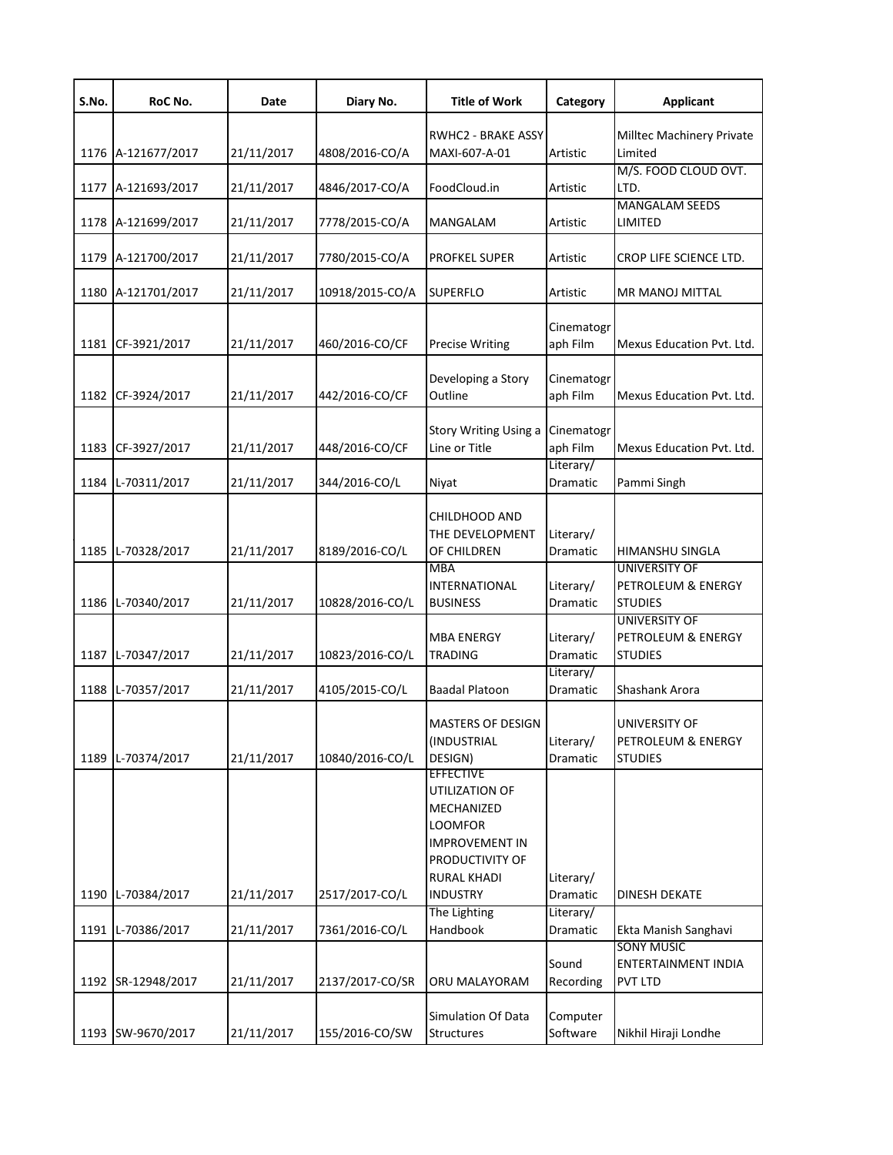| S.No. | RoC No.       | Date       | Diary No.       | <b>Title of Work</b>                                                                                                          | Category                     | <b>Applicant</b>                                             |
|-------|---------------|------------|-----------------|-------------------------------------------------------------------------------------------------------------------------------|------------------------------|--------------------------------------------------------------|
| 1176  | A-121677/2017 | 21/11/2017 | 4808/2016-CO/A  | <b>RWHC2 - BRAKE ASSY</b><br>MAXI-607-A-01                                                                                    | Artistic                     | Milltec Machinery Private<br>Limited                         |
| 1177  | A-121693/2017 | 21/11/2017 | 4846/2017-CO/A  | FoodCloud.in                                                                                                                  | Artistic                     | M/S. FOOD CLOUD OVT.<br>LTD.                                 |
| 1178  | A-121699/2017 | 21/11/2017 | 7778/2015-CO/A  | <b>MANGALAM</b>                                                                                                               | Artistic                     | <b>MANGALAM SEEDS</b><br>LIMITED                             |
| 1179  | A-121700/2017 | 21/11/2017 | 7780/2015-CO/A  | <b>PROFKEL SUPER</b>                                                                                                          | Artistic                     | CROP LIFE SCIENCE LTD.                                       |
| 1180  | A-121701/2017 | 21/11/2017 | 10918/2015-CO/A | <b>SUPERFLO</b>                                                                                                               | Artistic                     | MR MANOJ MITTAL                                              |
| 1181  | CF-3921/2017  | 21/11/2017 | 460/2016-CO/CF  | <b>Precise Writing</b>                                                                                                        | Cinematogr<br>aph Film       | Mexus Education Pvt. Ltd.                                    |
| 1182  | CF-3924/2017  | 21/11/2017 | 442/2016-CO/CF  | Developing a Story<br>Outline                                                                                                 | Cinematogr<br>aph Film       | Mexus Education Pvt. Ltd.                                    |
| 1183  | CF-3927/2017  | 21/11/2017 | 448/2016-CO/CF  | Story Writing Using a<br>Line or Title                                                                                        | Cinematogr<br>aph Film       | Mexus Education Pyt. Ltd.                                    |
| 1184  | L-70311/2017  | 21/11/2017 | 344/2016-CO/L   | Nivat                                                                                                                         | Literary/<br>Dramatic        | Pammi Singh                                                  |
| 1185  | L-70328/2017  | 21/11/2017 | 8189/2016-CO/L  | CHILDHOOD AND<br>THE DEVELOPMENT<br>OF CHILDREN<br><b>MBA</b>                                                                 | Literary/<br>Dramatic        | HIMANSHU SINGLA<br><b>UNIVERSITY OF</b>                      |
| 1186  | L-70340/2017  | 21/11/2017 | 10828/2016-CO/L | <b>INTERNATIONAL</b><br><b>BUSINESS</b>                                                                                       | Literary/<br>Dramatic        | PETROLEUM & ENERGY<br><b>STUDIES</b>                         |
| 1187  | L-70347/2017  | 21/11/2017 | 10823/2016-CO/L | <b>MBA ENERGY</b><br><b>TRADING</b>                                                                                           | Literary/<br><b>Dramatic</b> | <b>UNIVERSITY OF</b><br>PETROLEUM & ENERGY<br><b>STUDIES</b> |
| 1188  | L-70357/2017  | 21/11/2017 | 4105/2015-CO/L  | <b>Baadal Platoon</b>                                                                                                         | Literary/<br>Dramatic        | Shashank Arora                                               |
| 1189  | L-70374/2017  | 21/11/2017 | 10840/2016-CO/L | <b>MASTERS OF DESIGN</b><br>(INDUSTRIAL<br>DESIGN)                                                                            | Literary/<br>Dramatic        | UNIVERSITY OF<br>PETROLEUM & ENERGY<br><b>STUDIES</b>        |
|       |               |            |                 | <b>EFFECTIVE</b><br>UTILIZATION OF<br>MECHANIZED<br><b>LOOMFOR</b><br><b>IMPROVEMENT IN</b><br>PRODUCTIVITY OF<br>RURAL KHADI | Literary/                    |                                                              |
| 1190  | L-70384/2017  | 21/11/2017 | 2517/2017-CO/L  | <b>INDUSTRY</b><br>The Lighting                                                                                               | Dramatic<br>Literary/        | DINESH DEKATE                                                |
| 1191  | L-70386/2017  | 21/11/2017 | 7361/2016-CO/L  | Handbook                                                                                                                      | Dramatic                     | Ekta Manish Sanghavi<br><b>SONY MUSIC</b>                    |
| 1192  | SR-12948/2017 | 21/11/2017 | 2137/2017-CO/SR | ORU MALAYORAM                                                                                                                 | Sound<br>Recording           | ENTERTAINMENT INDIA<br>PVT LTD                               |
| 1193  | SW-9670/2017  | 21/11/2017 | 155/2016-CO/SW  | Simulation Of Data<br>Structures                                                                                              | Computer<br>Software         | Nikhil Hiraji Londhe                                         |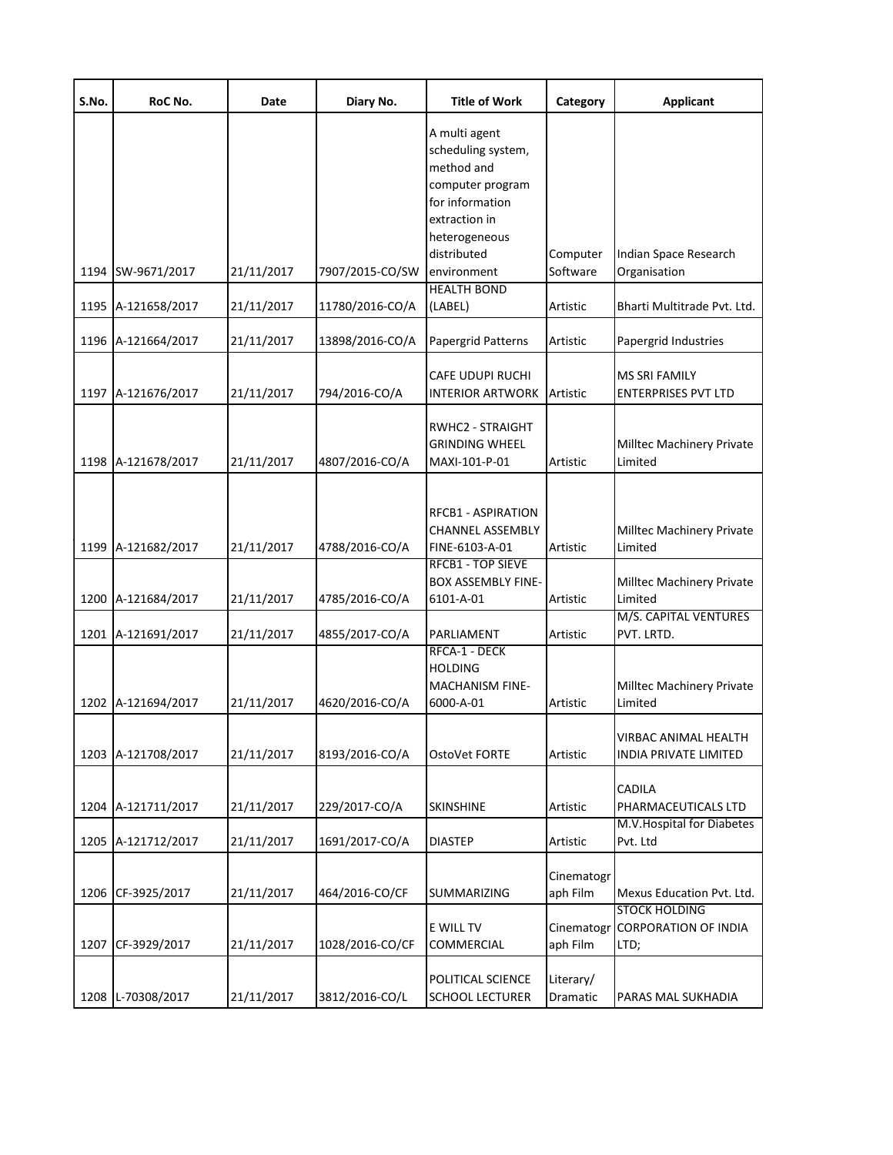| S.No. | RoC No.            | Date       | Diary No.       | <b>Title of Work</b>                                                                                                                                     | Category               | <b>Applicant</b>                                            |
|-------|--------------------|------------|-----------------|----------------------------------------------------------------------------------------------------------------------------------------------------------|------------------------|-------------------------------------------------------------|
|       | 1194 SW-9671/2017  | 21/11/2017 | 7907/2015-CO/SW | A multi agent<br>scheduling system,<br>method and<br>computer program<br>for information<br>extraction in<br>heterogeneous<br>distributed<br>environment | Computer<br>Software   | Indian Space Research<br>Organisation                       |
|       | 1195 A-121658/2017 | 21/11/2017 | 11780/2016-CO/A | <b>HEALTH BOND</b><br>(LABEL)                                                                                                                            | Artistic               | Bharti Multitrade Pvt. Ltd.                                 |
|       | 1196 A-121664/2017 | 21/11/2017 | 13898/2016-CO/A | Papergrid Patterns                                                                                                                                       | Artistic               | Papergrid Industries                                        |
|       | 1197 A-121676/2017 | 21/11/2017 | 794/2016-CO/A   | CAFE UDUPI RUCHI<br><b>INTERIOR ARTWORK</b>                                                                                                              | Artistic               | <b>MS SRI FAMILY</b><br><b>ENTERPRISES PVT LTD</b>          |
|       | 1198 A-121678/2017 | 21/11/2017 | 4807/2016-CO/A  | RWHC2 - STRAIGHT<br><b>GRINDING WHEEL</b><br>MAXI-101-P-01                                                                                               | Artistic               | Milltec Machinery Private<br>Limited                        |
|       | 1199 A-121682/2017 | 21/11/2017 | 4788/2016-CO/A  | RFCB1 - ASPIRATION<br><b>CHANNEL ASSEMBLY</b><br>FINE-6103-A-01                                                                                          | Artistic               | Milltec Machinery Private<br>Limited                        |
|       | 1200 A-121684/2017 | 21/11/2017 | 4785/2016-CO/A  | RFCB1 - TOP SIEVE<br><b>BOX ASSEMBLY FINE-</b><br>6101-A-01                                                                                              | Artistic               | Milltec Machinery Private<br>Limited                        |
|       | 1201 A-121691/2017 | 21/11/2017 | 4855/2017-CO/A  | PARLIAMENT                                                                                                                                               | Artistic               | M/S. CAPITAL VENTURES<br>PVT. LRTD.                         |
|       | 1202 A-121694/2017 | 21/11/2017 | 4620/2016-CO/A  | RFCA-1 - DECK<br>HOLDING<br><b>MACHANISM FINE-</b><br>6000-A-01                                                                                          | Artistic               | Milltec Machinery Private<br>Limited                        |
|       | 1203 A-121708/2017 | 21/11/2017 | 8193/2016-CO/A  | OstoVet FORTE                                                                                                                                            | Artistic               | VIRBAC ANIMAL HEALTH<br>INDIA PRIVATE LIMITED               |
| 1204  | A-121711/2017      | 21/11/2017 | 229/2017-CO/A   | SKINSHINE                                                                                                                                                | Artistic               | CADILA<br>PHARMACEUTICALS LTD                               |
|       | 1205 A-121712/2017 | 21/11/2017 | 1691/2017-CO/A  | <b>DIASTEP</b>                                                                                                                                           | Artistic               | M.V. Hospital for Diabetes<br>Pvt. Ltd                      |
| 1206  | CF-3925/2017       | 21/11/2017 | 464/2016-CO/CF  | SUMMARIZING                                                                                                                                              | Cinematogr<br>aph Film | Mexus Education Pvt. Ltd.                                   |
| 1207  | CF-3929/2017       | 21/11/2017 | 1028/2016-CO/CF | E WILL TV<br>COMMERCIAL                                                                                                                                  | Cinematogr<br>aph Film | <b>STOCK HOLDING</b><br><b>CORPORATION OF INDIA</b><br>LTD; |
| 1208  | L-70308/2017       | 21/11/2017 | 3812/2016-CO/L  | POLITICAL SCIENCE<br><b>SCHOOL LECTURER</b>                                                                                                              | Literary/<br>Dramatic  | PARAS MAL SUKHADIA                                          |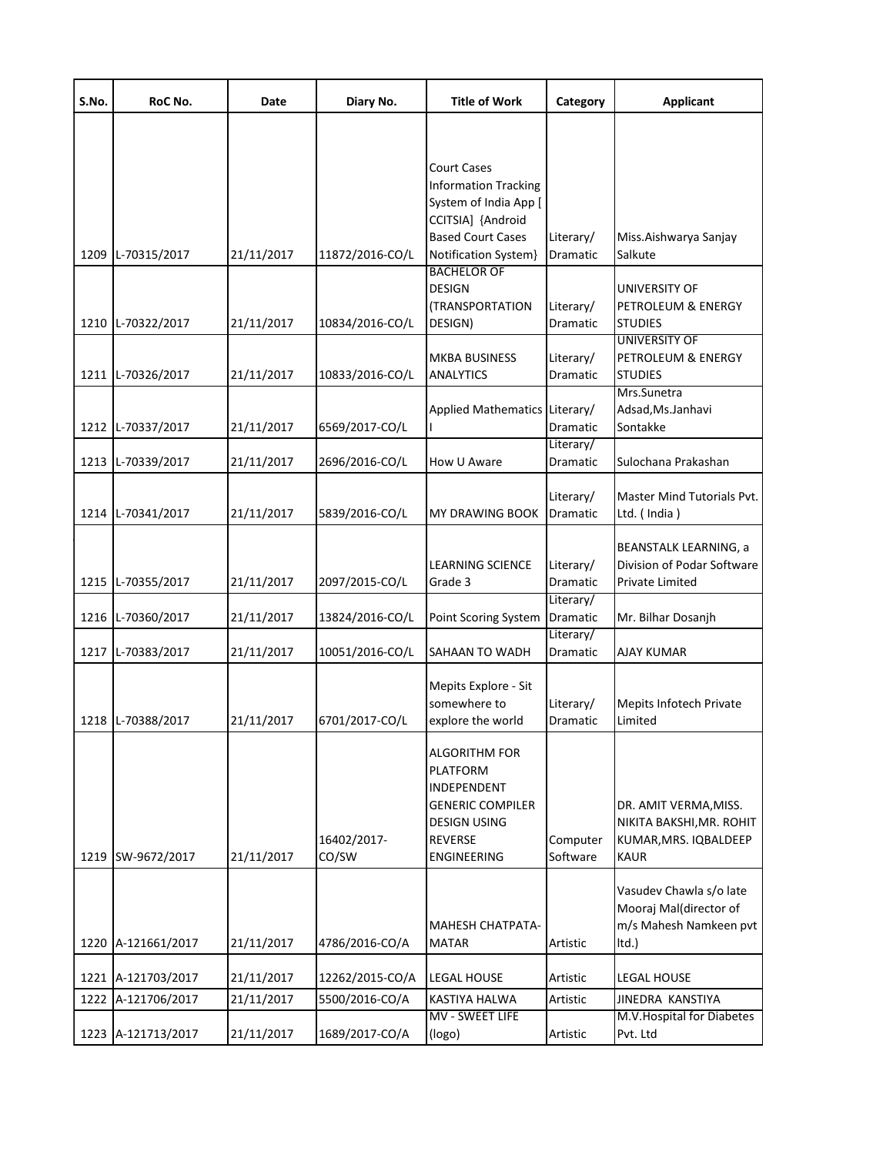| S.No. | RoC No.            | Date       | Diary No.            | <b>Title of Work</b>                                                                                                               | Category              | <b>Applicant</b>                                                                          |
|-------|--------------------|------------|----------------------|------------------------------------------------------------------------------------------------------------------------------------|-----------------------|-------------------------------------------------------------------------------------------|
|       |                    |            |                      | <b>Court Cases</b><br><b>Information Tracking</b><br>System of India App [                                                         |                       |                                                                                           |
| 1209  | L-70315/2017       | 21/11/2017 | 11872/2016-CO/L      | CCITSIA] {Android<br><b>Based Court Cases</b><br>Notification System}                                                              | Literary/<br>Dramatic | Miss.Aishwarya Sanjay<br>Salkute                                                          |
|       | 1210 L-70322/2017  | 21/11/2017 | 10834/2016-CO/L      | <b>BACHELOR OF</b><br><b>DESIGN</b><br>(TRANSPORTATION<br>DESIGN)                                                                  | Literary/<br>Dramatic | UNIVERSITY OF<br>PETROLEUM & ENERGY<br><b>STUDIES</b>                                     |
|       | 1211 L-70326/2017  | 21/11/2017 | 10833/2016-CO/L      | <b>MKBA BUSINESS</b><br><b>ANALYTICS</b>                                                                                           | Literary/<br>Dramatic | UNIVERSITY OF<br>PETROLEUM & ENERGY<br><b>STUDIES</b><br>Mrs.Sunetra                      |
|       | 1212 L-70337/2017  | 21/11/2017 | 6569/2017-CO/L       | Applied Mathematics Literary/                                                                                                      | Dramatic<br>Literary/ | Adsad, Ms. Janhavi<br>Sontakke                                                            |
|       | 1213 L-70339/2017  | 21/11/2017 | 2696/2016-CO/L       | How U Aware                                                                                                                        | Dramatic              | Sulochana Prakashan                                                                       |
|       | 1214 L-70341/2017  | 21/11/2017 | 5839/2016-CO/L       | <b>MY DRAWING BOOK</b>                                                                                                             | Literary/<br>Dramatic | Master Mind Tutorials Pvt.<br>Ltd. (India)                                                |
|       | 1215 L-70355/2017  | 21/11/2017 | 2097/2015-CO/L       | <b>LEARNING SCIENCE</b><br>Grade 3                                                                                                 | Literary/<br>Dramatic | <b>BEANSTALK LEARNING, a</b><br>Division of Podar Software<br>Private Limited             |
|       | 1216 L-70360/2017  | 21/11/2017 | 13824/2016-CO/L      | Point Scoring System                                                                                                               | Literary/<br>Dramatic | Mr. Bilhar Dosanjh                                                                        |
|       | 1217 L-70383/2017  | 21/11/2017 | 10051/2016-CO/L      | SAHAAN TO WADH                                                                                                                     | Literary/<br>Dramatic | AJAY KUMAR                                                                                |
|       | 1218 L-70388/2017  | 21/11/2017 | 6701/2017-CO/L       | Mepits Explore - Sit<br>somewhere to<br>explore the world                                                                          | Literary/<br>Dramatic | Mepits Infotech Private<br>Limited                                                        |
|       | 1219 SW-9672/2017  | 21/11/2017 | 16402/2017-<br>CO/SW | <b>ALGORITHM FOR</b><br><b>PLATFORM</b><br>INDEPENDENT<br><b>GENERIC COMPILER</b><br><b>DESIGN USING</b><br>REVERSE<br>ENGINEERING | Computer<br>Software  | DR. AMIT VERMA, MISS.<br>NIKITA BAKSHI, MR. ROHIT<br>KUMAR, MRS. IQBALDEEP<br><b>KAUR</b> |
|       | 1220 A-121661/2017 | 21/11/2017 | 4786/2016-CO/A       | MAHESH CHATPATA-<br><b>MATAR</b>                                                                                                   | Artistic              | Vasudev Chawla s/o late<br>Mooraj Mal(director of<br>m/s Mahesh Namkeen pvt<br>ltd.)      |
|       | 1221 A-121703/2017 | 21/11/2017 | 12262/2015-CO/A      | LEGAL HOUSE                                                                                                                        | Artistic              | LEGAL HOUSE                                                                               |
| 1222  | A-121706/2017      | 21/11/2017 | 5500/2016-CO/A       | KASTIYA HALWA                                                                                                                      | Artistic              | JINEDRA KANSTIYA                                                                          |
|       | 1223 A-121713/2017 | 21/11/2017 | 1689/2017-CO/A       | MV - SWEET LIFE<br>(logo)                                                                                                          | Artistic              | M.V. Hospital for Diabetes<br>Pvt. Ltd                                                    |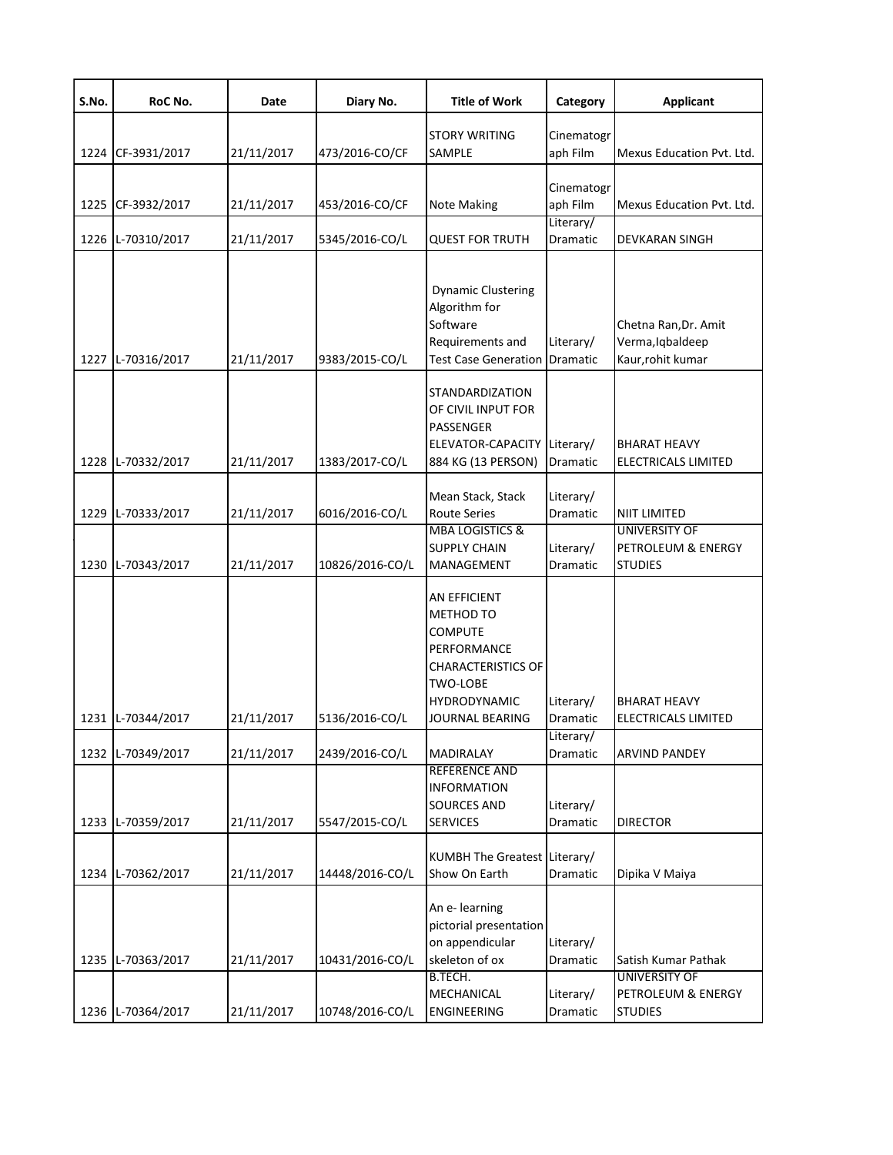| S.No. | RoC No.      | Date       | Diary No.       | <b>Title of Work</b>                                                                                                                                 | Category               | <b>Applicant</b>                                              |
|-------|--------------|------------|-----------------|------------------------------------------------------------------------------------------------------------------------------------------------------|------------------------|---------------------------------------------------------------|
| 1224  | CF-3931/2017 | 21/11/2017 | 473/2016-CO/CF  | <b>STORY WRITING</b><br>SAMPLE                                                                                                                       | Cinematogr<br>aph Film | Mexus Education Pvt. Ltd.                                     |
| 1225  | CF-3932/2017 | 21/11/2017 | 453/2016-CO/CF  | Note Making                                                                                                                                          | Cinematogr<br>aph Film | Mexus Education Pvt. Ltd.                                     |
| 1226  | L-70310/2017 | 21/11/2017 | 5345/2016-CO/L  | <b>QUEST FOR TRUTH</b>                                                                                                                               | Literary/<br>Dramatic  | DEVKARAN SINGH                                                |
| 1227  | L-70316/2017 | 21/11/2017 | 9383/2015-CO/L  | <b>Dynamic Clustering</b><br>Algorithm for<br>Software<br>Requirements and<br><b>Test Case Generation</b>                                            | Literary/<br>Dramatic  | Chetna Ran, Dr. Amit<br>Verma, Iqbaldeep<br>Kaur, rohit kumar |
| 1228  | L-70332/2017 | 21/11/2017 | 1383/2017-CO/L  | <b>STANDARDIZATION</b><br>OF CIVIL INPUT FOR<br>PASSENGER<br>ELEVATOR-CAPACITY Literary/<br>884 KG (13 PERSON)                                       | Dramatic               | <b>BHARAT HEAVY</b><br>ELECTRICALS LIMITED                    |
| 1229  | L-70333/2017 | 21/11/2017 | 6016/2016-CO/L  | Mean Stack, Stack<br><b>Route Series</b>                                                                                                             | Literary/<br>Dramatic  | NIIT LIMITED                                                  |
| 1230  | L-70343/2017 | 21/11/2017 | 10826/2016-CO/L | <b>MBA LOGISTICS &amp;</b><br><b>SUPPLY CHAIN</b><br>MANAGEMENT                                                                                      | Literary/<br>Dramatic  | <b>UNIVERSITY OF</b><br>PETROLEUM & ENERGY<br><b>STUDIES</b>  |
| 1231  | L-70344/2017 | 21/11/2017 | 5136/2016-CO/L  | AN EFFICIENT<br><b>METHOD TO</b><br><b>COMPUTE</b><br>PERFORMANCE<br><b>CHARACTERISTICS OF</b><br>TWO-LOBE<br>HYDRODYNAMIC<br><b>JOURNAL BEARING</b> | Literary/<br>Dramatic  | BHARAT HEAVY<br>ELECTRICALS LIMITED                           |
| 1232  | L-70349/2017 | 21/11/2017 | 2439/2016-CO/L  | MADIRALAY                                                                                                                                            | Literary/<br>Dramatic  | <b>ARVIND PANDEY</b>                                          |
| 1233  | L-70359/2017 | 21/11/2017 | 5547/2015-CO/L  | REFERENCE AND<br><b>INFORMATION</b><br><b>SOURCES AND</b><br><b>SERVICES</b>                                                                         | Literary/<br>Dramatic  | <b>DIRECTOR</b>                                               |
| 1234  | L-70362/2017 | 21/11/2017 | 14448/2016-CO/L | KUMBH The Greatest Literary/<br>Show On Earth                                                                                                        | Dramatic               | Dipika V Maiya                                                |
| 1235  | L-70363/2017 | 21/11/2017 | 10431/2016-CO/L | An e- learning<br>pictorial presentation<br>on appendicular<br>skeleton of ox<br>B.TECH.                                                             | Literary/<br>Dramatic  | Satish Kumar Pathak<br><b>UNIVERSITY OF</b>                   |
| 1236  | L-70364/2017 | 21/11/2017 | 10748/2016-CO/L | MECHANICAL<br><b>ENGINEERING</b>                                                                                                                     | Literary/<br>Dramatic  | PETROLEUM & ENERGY<br><b>STUDIES</b>                          |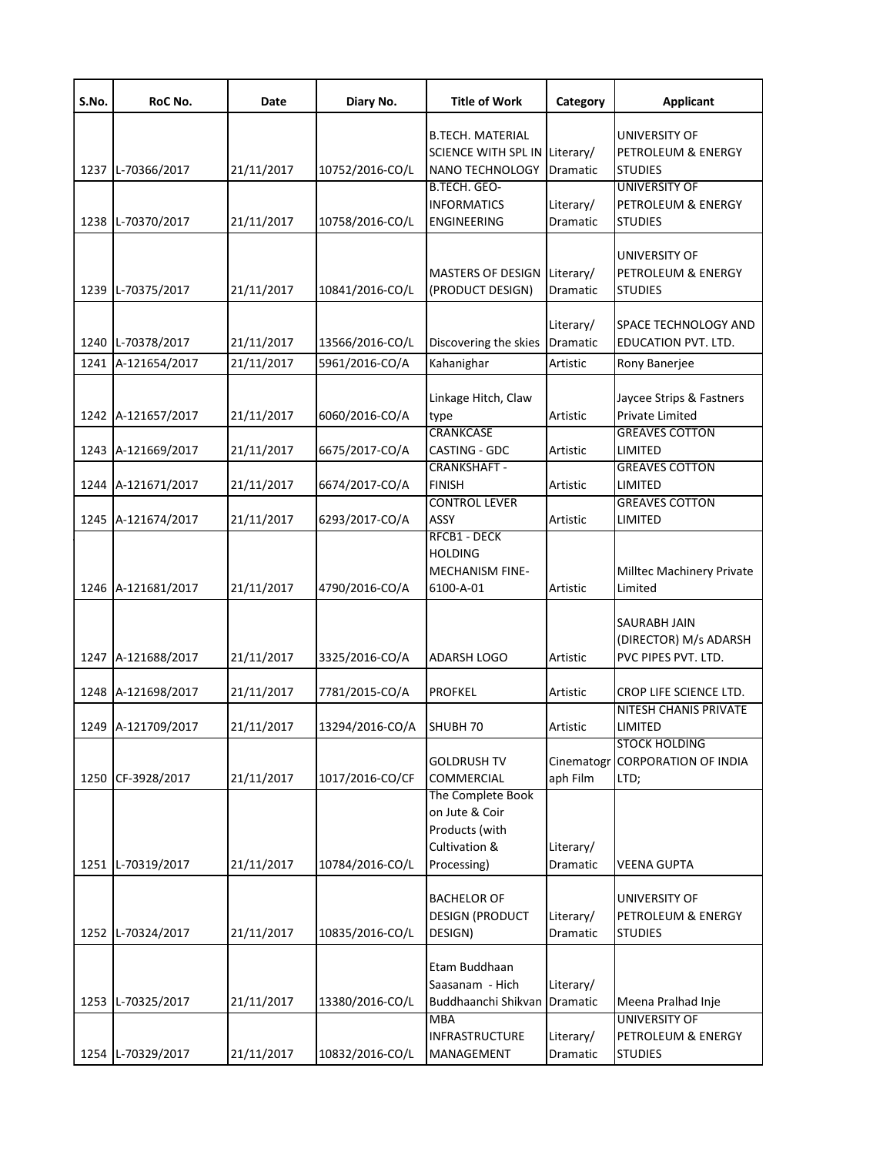| S.No. | RoC No.            | Date       | Diary No.       | <b>Title of Work</b>                                                                  | Category              | <b>Applicant</b>                                                |
|-------|--------------------|------------|-----------------|---------------------------------------------------------------------------------------|-----------------------|-----------------------------------------------------------------|
|       |                    |            |                 | <b>B.TECH. MATERIAL</b><br>SCIENCE WITH SPL IN Literary/                              |                       | UNIVERSITY OF<br>PETROLEUM & ENERGY                             |
|       | 1237 L-70366/2017  | 21/11/2017 | 10752/2016-CO/L | <b>NANO TECHNOLOGY</b><br>B.TECH. GEO-                                                | Dramatic              | <b>STUDIES</b><br><b>UNIVERSITY OF</b>                          |
|       | 1238 L-70370/2017  | 21/11/2017 | 10758/2016-CO/L | <b>INFORMATICS</b><br><b>ENGINEERING</b>                                              | Literary/<br>Dramatic | PETROLEUM & ENERGY<br><b>STUDIES</b>                            |
|       | 1239 L-70375/2017  | 21/11/2017 | 10841/2016-CO/L | <b>MASTERS OF DESIGN</b><br>(PRODUCT DESIGN)                                          | Literary/<br>Dramatic | UNIVERSITY OF<br>PETROLEUM & ENERGY<br><b>STUDIES</b>           |
|       | 1240 L-70378/2017  | 21/11/2017 | 13566/2016-CO/L | Discovering the skies                                                                 | Literary/<br>Dramatic | SPACE TECHNOLOGY AND<br>EDUCATION PVT. LTD.                     |
|       | 1241 A-121654/2017 | 21/11/2017 | 5961/2016-CO/A  | Kahanighar                                                                            | Artistic              | Rony Banerjee                                                   |
|       | 1242 A-121657/2017 | 21/11/2017 | 6060/2016-CO/A  | Linkage Hitch, Claw<br>type                                                           | Artistic              | Jaycee Strips & Fastners<br><b>Private Limited</b>              |
|       | 1243 A-121669/2017 | 21/11/2017 | 6675/2017-CO/A  | <b>CRANKCASE</b><br>CASTING - GDC                                                     | Artistic              | <b>GREAVES COTTON</b><br>LIMITED                                |
|       | 1244 A-121671/2017 | 21/11/2017 | 6674/2017-CO/A  | <b>CRANKSHAFT -</b><br><b>FINISH</b>                                                  | Artistic              | <b>GREAVES COTTON</b><br>LIMITED                                |
|       | 1245 A-121674/2017 | 21/11/2017 | 6293/2017-CO/A  | <b>CONTROL LEVER</b><br>ASSY                                                          | Artistic              | <b>GREAVES COTTON</b><br>LIMITED                                |
|       | 1246 A-121681/2017 | 21/11/2017 | 4790/2016-CO/A  | RFCB1 - DECK<br><b>HOLDING</b><br><b>MECHANISM FINE-</b><br>6100-A-01                 | Artistic              | Milltec Machinery Private<br>Limited                            |
|       | 1247 A-121688/2017 | 21/11/2017 | 3325/2016-CO/A  | ADARSH LOGO                                                                           | Artistic              | SAURABH JAIN<br>(DIRECTOR) M/s ADARSH<br>PVC PIPES PVT. LTD.    |
|       | 1248 A-121698/2017 | 21/11/2017 | 7781/2015-CO/A  | <b>PROFKEL</b>                                                                        | Artistic              | CROP LIFE SCIENCE LTD.                                          |
|       | 1249 A-121709/2017 | 21/11/2017 | 13294/2016-CO/A | SHUBH <sub>70</sub>                                                                   | Artistic              | <b>NITESH CHANIS PRIVATE</b><br>LIMITED                         |
| 1250  | CF-3928/2017       | 21/11/2017 | 1017/2016-CO/CF | <b>GOLDRUSH TV</b><br>COMMERCIAL                                                      | aph Film              | <b>STOCK HOLDING</b><br>Cinematogr CORPORATION OF INDIA<br>LTD; |
|       | 1251 L-70319/2017  | 21/11/2017 | 10784/2016-CO/L | The Complete Book<br>on Jute & Coir<br>Products (with<br>Cultivation &<br>Processing) | Literary/<br>Dramatic | <b>VEENA GUPTA</b>                                              |
| 1252  | L-70324/2017       | 21/11/2017 | 10835/2016-CO/L | <b>BACHELOR OF</b><br><b>DESIGN (PRODUCT</b><br>DESIGN)                               | Literary/<br>Dramatic | UNIVERSITY OF<br>PETROLEUM & ENERGY<br><b>STUDIES</b>           |
| 1253  | L-70325/2017       | 21/11/2017 | 13380/2016-CO/L | Etam Buddhaan<br>Saasanam - Hich<br>Buddhaanchi Shikvan                               | Literary/<br>Dramatic | Meena Pralhad Inje                                              |
|       | 1254 L-70329/2017  | 21/11/2017 | 10832/2016-CO/L | <b>MBA</b><br><b>INFRASTRUCTURE</b><br>MANAGEMENT                                     | Literary/<br>Dramatic | <b>UNIVERSITY OF</b><br>PETROLEUM & ENERGY<br><b>STUDIES</b>    |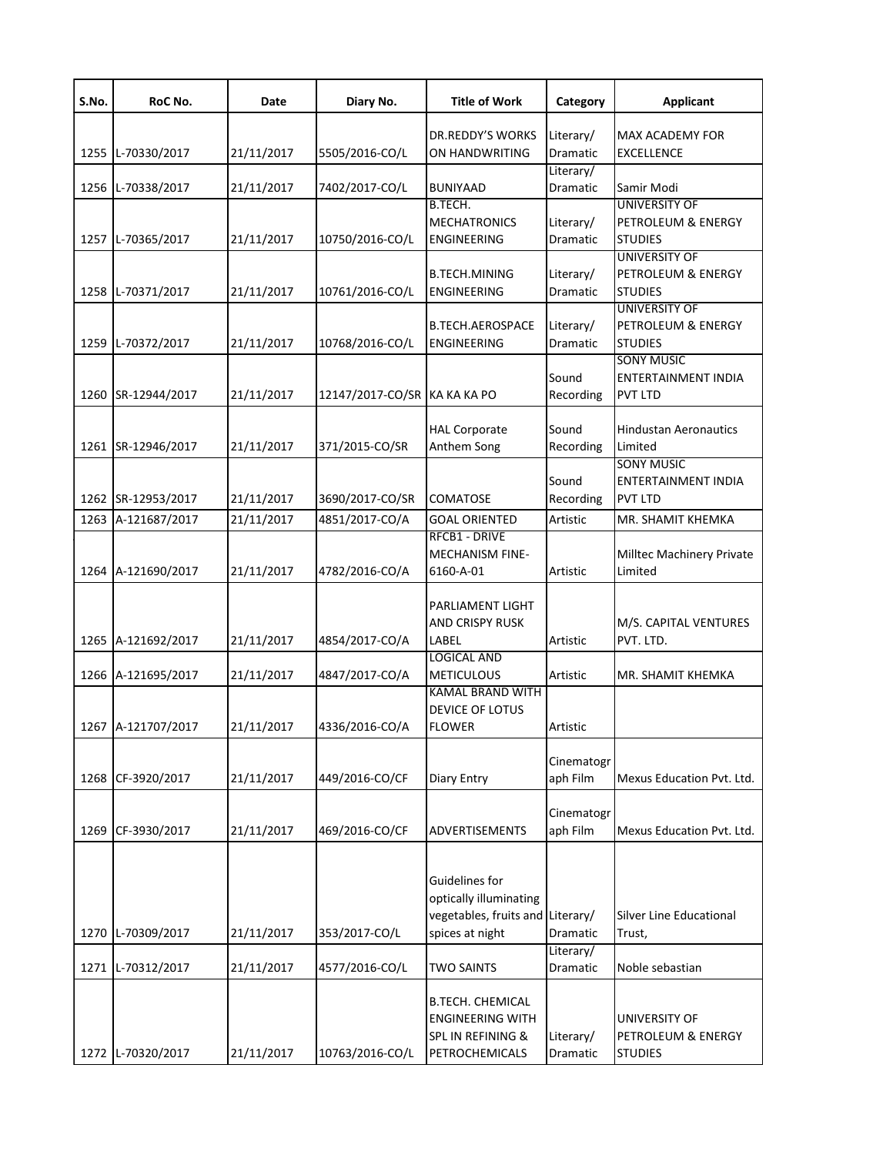| S.No. | RoC No.            | Date       | Diary No.                    | <b>Title of Work</b>                                                                            | Category               | <b>Applicant</b>                                             |
|-------|--------------------|------------|------------------------------|-------------------------------------------------------------------------------------------------|------------------------|--------------------------------------------------------------|
| 1255  | L-70330/2017       | 21/11/2017 | 5505/2016-CO/L               | DR.REDDY'S WORKS<br>ON HANDWRITING                                                              | Literary/<br>Dramatic  | MAX ACADEMY FOR<br><b>EXCELLENCE</b>                         |
|       | 1256 L-70338/2017  | 21/11/2017 | 7402/2017-CO/L               | <b>BUNIYAAD</b>                                                                                 | Literary/<br>Dramatic  | Samir Modi                                                   |
|       | 1257 L-70365/2017  | 21/11/2017 | 10750/2016-CO/L              | B.TECH.<br><b>MECHATRONICS</b><br><b>ENGINEERING</b>                                            | Literary/<br>Dramatic  | <b>UNIVERSITY OF</b><br>PETROLEUM & ENERGY<br><b>STUDIES</b> |
|       | 1258 L-70371/2017  | 21/11/2017 | 10761/2016-CO/L              | <b>B.TECH.MINING</b><br><b>ENGINEERING</b>                                                      | Literary/<br>Dramatic  | <b>UNIVERSITY OF</b><br>PETROLEUM & ENERGY<br><b>STUDIES</b> |
| 1259  | L-70372/2017       | 21/11/2017 | 10768/2016-CO/L              | <b>B.TECH.AEROSPACE</b><br>ENGINEERING                                                          | Literary/<br>Dramatic  | <b>UNIVERSITY OF</b><br>PETROLEUM & ENERGY<br><b>STUDIES</b> |
| 1260  | SR-12944/2017      | 21/11/2017 | 12147/2017-CO/SR KA KA KA PO |                                                                                                 | Sound<br>Recording     | <b>SONY MUSIC</b><br>ENTERTAINMENT INDIA<br><b>PVT LTD</b>   |
|       | 1261 SR-12946/2017 | 21/11/2017 | 371/2015-CO/SR               | <b>HAL Corporate</b><br>Anthem Song                                                             | Sound<br>Recording     | <b>Hindustan Aeronautics</b><br>Limited<br><b>SONY MUSIC</b> |
|       | 1262 SR-12953/2017 | 21/11/2017 | 3690/2017-CO/SR              | <b>COMATOSE</b>                                                                                 | Sound<br>Recording     | <b>ENTERTAINMENT INDIA</b><br><b>PVT LTD</b>                 |
| 1263  | A-121687/2017      | 21/11/2017 | 4851/2017-CO/A               | <b>GOAL ORIENTED</b>                                                                            | Artistic               | MR. SHAMIT KHEMKA                                            |
|       | 1264 A-121690/2017 | 21/11/2017 | 4782/2016-CO/A               | <b>RFCB1 - DRIVE</b><br>MECHANISM FINE-<br>6160-A-01                                            | Artistic               | Milltec Machinery Private<br>Limited                         |
| 1265  | A-121692/2017      | 21/11/2017 | 4854/2017-CO/A               | PARLIAMENT LIGHT<br>AND CRISPY RUSK<br>LABEL                                                    | Artistic               | M/S. CAPITAL VENTURES<br>PVT. LTD.                           |
|       | 1266 A-121695/2017 | 21/11/2017 | 4847/2017-CO/A               | <b>LOGICAL AND</b><br><b>METICULOUS</b>                                                         | Artistic               | MR. SHAMIT KHEMKA                                            |
|       | 1267 A-121707/2017 | 21/11/2017 | 4336/2016-CO/A               | <b>KAMAL BRAND WITH</b><br>DEVICE OF LOTUS<br><b>FLOWER</b>                                     | Artistic               |                                                              |
| 1268  | CF-3920/2017       | 21/11/2017 | 449/2016-CO/CF               | Diary Entry                                                                                     | Cinematogr<br>aph Film | Mexus Education Pvt. Ltd.                                    |
| 1269  | CF-3930/2017       | 21/11/2017 | 469/2016-CO/CF               | ADVERTISEMENTS                                                                                  | Cinematogr<br>aph Film | Mexus Education Pvt. Ltd.                                    |
| 1270  | L-70309/2017       | 21/11/2017 | 353/2017-CO/L                | Guidelines for<br>optically illuminating<br>vegetables, fruits and Literary/<br>spices at night | Dramatic               | Silver Line Educational<br>Trust,                            |
| 1271  | L-70312/2017       | 21/11/2017 | 4577/2016-CO/L               | <b>TWO SAINTS</b>                                                                               | Literary/<br>Dramatic  | Noble sebastian                                              |
|       | 1272 L-70320/2017  | 21/11/2017 | 10763/2016-CO/L              | <b>B.TECH. CHEMICAL</b><br><b>ENGINEERING WITH</b><br>SPL IN REFINING &<br>PETROCHEMICALS       | Literary/<br>Dramatic  | UNIVERSITY OF<br>PETROLEUM & ENERGY<br><b>STUDIES</b>        |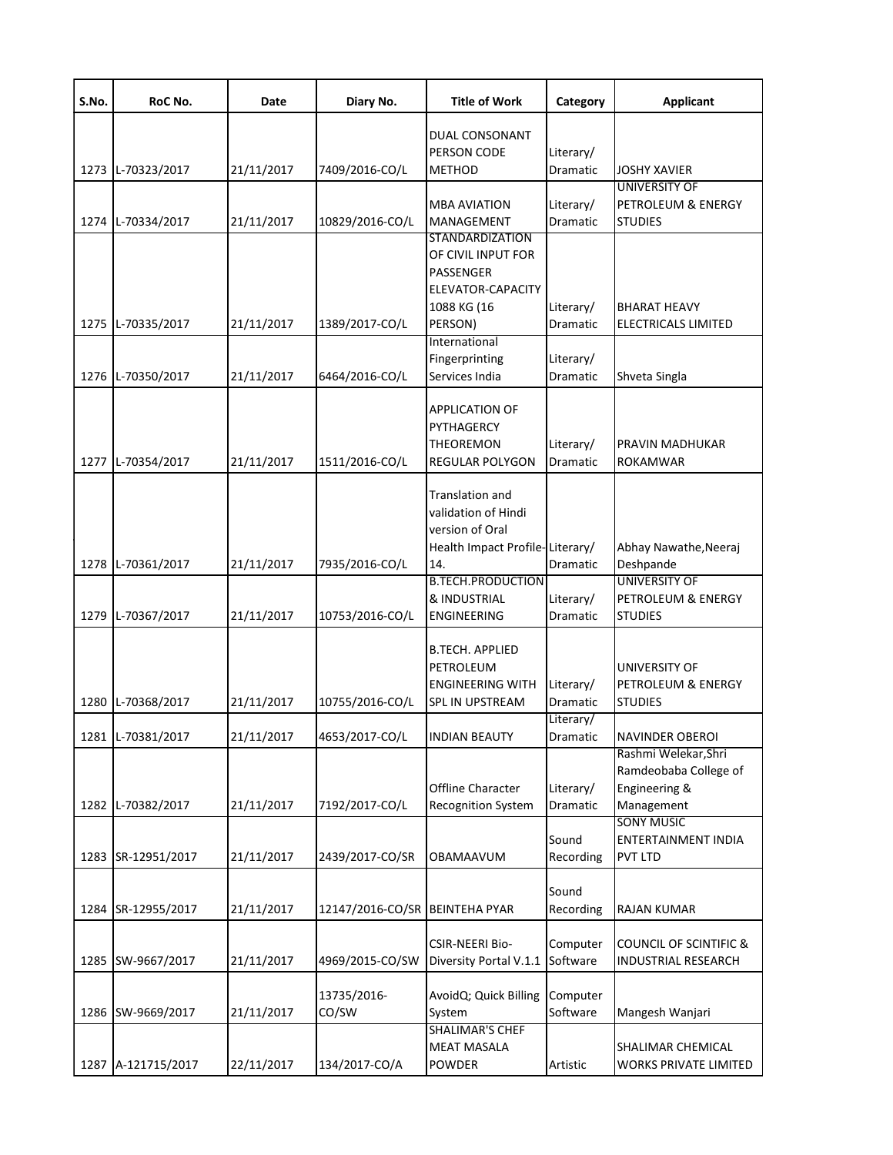| S.No. | RoC No.            | Date       | Diary No.                      | <b>Title of Work</b>                   | Category  | <b>Applicant</b>                              |
|-------|--------------------|------------|--------------------------------|----------------------------------------|-----------|-----------------------------------------------|
|       |                    |            |                                | DUAL CONSONANT                         |           |                                               |
|       |                    |            |                                | PERSON CODE                            | Literary/ |                                               |
|       | 1273 L-70323/2017  | 21/11/2017 | 7409/2016-CO/L                 | <b>METHOD</b>                          | Dramatic  | <b>JOSHY XAVIER</b>                           |
|       |                    |            |                                | <b>MBA AVIATION</b>                    | Literary/ | <b>UNIVERSITY OF</b><br>PETROLEUM & ENERGY    |
|       | 1274 L-70334/2017  | 21/11/2017 | 10829/2016-CO/L                | <b>MANAGEMENT</b>                      | Dramatic  | <b>STUDIES</b>                                |
|       |                    |            |                                | <b>STANDARDIZATION</b>                 |           |                                               |
|       |                    |            |                                | OF CIVIL INPUT FOR                     |           |                                               |
|       |                    |            |                                | PASSENGER                              |           |                                               |
|       |                    |            |                                | ELEVATOR-CAPACITY                      |           |                                               |
|       |                    |            |                                | 1088 KG (16                            | Literary/ | <b>BHARAT HEAVY</b>                           |
|       | 1275 L-70335/2017  | 21/11/2017 | 1389/2017-CO/L                 | PERSON)<br>International               | Dramatic  | <b>ELECTRICALS LIMITED</b>                    |
|       |                    |            |                                | Fingerprinting                         | Literary/ |                                               |
|       | 1276 L-70350/2017  | 21/11/2017 | 6464/2016-CO/L                 | Services India                         | Dramatic  | Shveta Singla                                 |
|       |                    |            |                                |                                        |           |                                               |
|       |                    |            |                                | <b>APPLICATION OF</b>                  |           |                                               |
|       |                    |            |                                | PYTHAGERCY                             |           |                                               |
|       |                    |            |                                | <b>THEOREMON</b>                       | Literary/ | PRAVIN MADHUKAR                               |
|       | 1277 L-70354/2017  | 21/11/2017 | 1511/2016-CO/L                 | <b>REGULAR POLYGON</b>                 | Dramatic  | <b>ROKAMWAR</b>                               |
|       |                    |            |                                |                                        |           |                                               |
|       |                    |            |                                | <b>Translation and</b>                 |           |                                               |
|       |                    |            |                                | validation of Hindi                    |           |                                               |
|       |                    |            |                                | version of Oral                        |           |                                               |
|       | 1278 L-70361/2017  | 21/11/2017 | 7935/2016-CO/L                 | Health Impact Profile-Literary/<br>14. | Dramatic  | Abhay Nawathe, Neeraj<br>Deshpande            |
|       |                    |            |                                | <b>B.TECH.PRODUCTION</b>               |           | <b>UNIVERSITY OF</b>                          |
|       |                    |            |                                | & INDUSTRIAL                           | Literary/ | PETROLEUM & ENERGY                            |
|       | 1279 L-70367/2017  | 21/11/2017 | 10753/2016-CO/L                | <b>ENGINEERING</b>                     | Dramatic  | <b>STUDIES</b>                                |
|       |                    |            |                                |                                        |           |                                               |
|       |                    |            |                                | <b>B.TECH. APPLIED</b>                 |           |                                               |
|       |                    |            |                                | PETROLEUM                              |           | UNIVERSITY OF                                 |
|       |                    |            |                                | <b>ENGINEERING WITH</b>                | Literary/ | PETROLEUM & ENERGY                            |
|       | 1280 L-70368/2017  | 21/11/2017 | 10755/2016-CO/L                | SPL IN UPSTREAM                        | Dramatic  | <b>STUDIES</b>                                |
|       |                    |            |                                |                                        | Literary/ |                                               |
|       | 1281 IL-70381/2017 | 21/11/2017 | 4653/2017-CO/L                 | <b>INDIAN BEAUTY</b>                   | Dramatic  | NAVINDER OBEROI                               |
|       |                    |            |                                |                                        |           | Rashmi Welekar, Shri<br>Ramdeobaba College of |
|       |                    |            |                                | Offline Character                      | Literary/ | Engineering &                                 |
|       | 1282 L-70382/2017  | 21/11/2017 | 7192/2017-CO/L                 | <b>Recognition System</b>              | Dramatic  | Management                                    |
|       |                    |            |                                |                                        |           | <b>SONY MUSIC</b>                             |
|       |                    |            |                                |                                        | Sound     | ENTERTAINMENT INDIA                           |
|       | 1283 SR-12951/2017 | 21/11/2017 | 2439/2017-CO/SR                | <b>OBAMAAVUM</b>                       | Recording | <b>PVT LTD</b>                                |
|       |                    |            |                                |                                        |           |                                               |
|       |                    |            |                                |                                        | Sound     |                                               |
|       | 1284 SR-12955/2017 | 21/11/2017 | 12147/2016-CO/SR BEINTEHA PYAR |                                        | Recording | <b>RAJAN KUMAR</b>                            |
|       |                    |            |                                |                                        |           |                                               |
|       |                    |            |                                | <b>CSIR-NEERI Bio-</b>                 | Computer  | <b>COUNCIL OF SCINTIFIC &amp;</b>             |
|       | 1285 SW-9667/2017  | 21/11/2017 | 4969/2015-CO/SW                | Diversity Portal V.1.1                 | Software  | <b>INDUSTRIAL RESEARCH</b>                    |
|       |                    |            | 13735/2016-                    | AvoidQ; Quick Billing                  | Computer  |                                               |
|       | 1286 SW-9669/2017  | 21/11/2017 | CO/SW                          | System                                 | Software  | Mangesh Wanjari                               |
|       |                    |            |                                | <b>SHALIMAR'S CHEF</b>                 |           |                                               |
|       |                    |            |                                | <b>MEAT MASALA</b>                     |           | SHALIMAR CHEMICAL                             |
|       | 1287 A-121715/2017 | 22/11/2017 | 134/2017-CO/A                  | <b>POWDER</b>                          | Artistic  | <b>WORKS PRIVATE LIMITED</b>                  |
|       |                    |            |                                |                                        |           |                                               |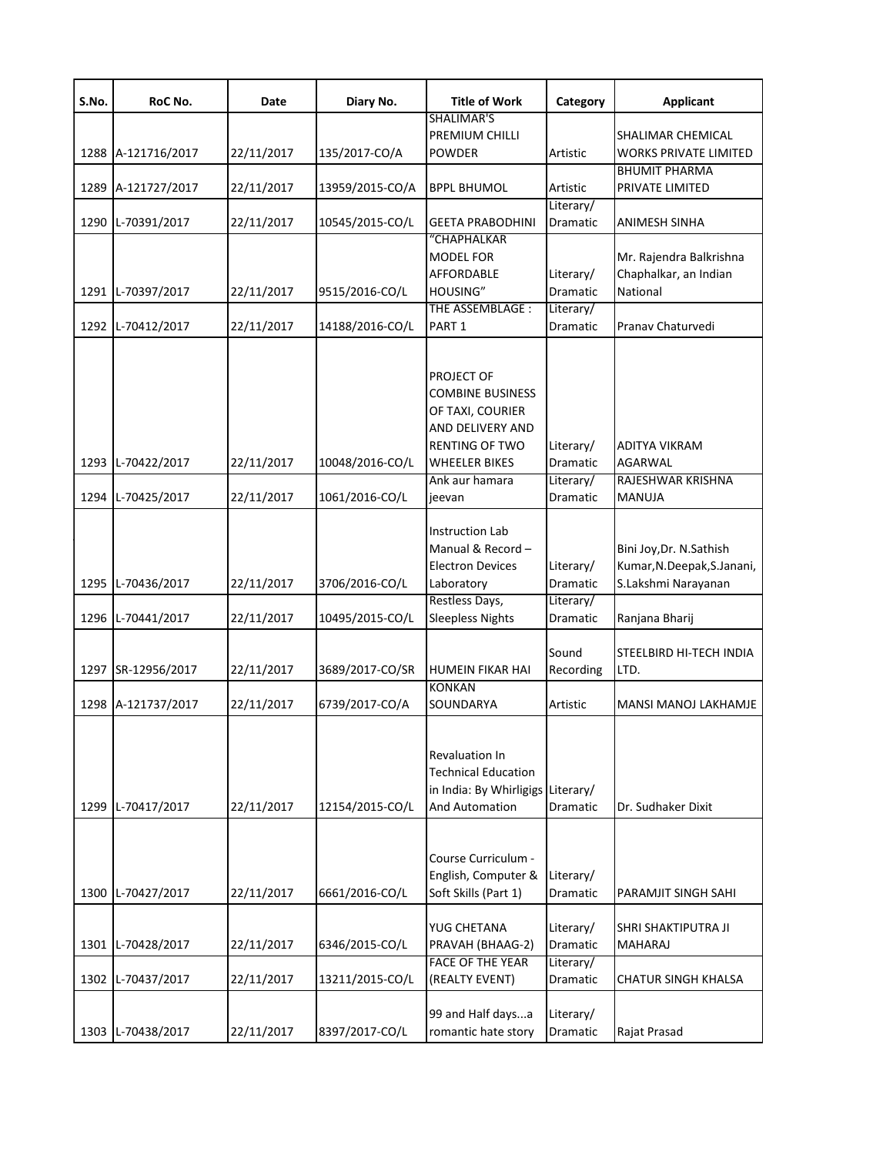| S.No. | RoC No.            | Date       | Diary No.       | <b>Title of Work</b>                                                                                             | Category                           | <b>Applicant</b>                                                              |
|-------|--------------------|------------|-----------------|------------------------------------------------------------------------------------------------------------------|------------------------------------|-------------------------------------------------------------------------------|
|       | 1288 A-121716/2017 | 22/11/2017 | 135/2017-CO/A   | SHALIMAR'S<br>PREMIUM CHILLI<br><b>POWDER</b>                                                                    | Artistic                           | SHALIMAR CHEMICAL<br><b>WORKS PRIVATE LIMITED</b>                             |
|       | 1289 A-121727/2017 | 22/11/2017 | 13959/2015-CO/A | <b>BPPL BHUMOL</b>                                                                                               | Artistic                           | <b>BHUMIT PHARMA</b><br>PRIVATE LIMITED                                       |
|       | 1290 L-70391/2017  | 22/11/2017 | 10545/2015-CO/L | <b>GEETA PRABODHINI</b>                                                                                          | Literary/<br>Dramatic              | ANIMESH SINHA                                                                 |
|       | 1291 L-70397/2017  | 22/11/2017 | 9515/2016-CO/L  | "CHAPHALKAR<br>MODEL FOR<br>AFFORDABLE<br>HOUSING"<br>THE ASSEMBLAGE :                                           | Literary/<br>Dramatic<br>Literary/ | Mr. Rajendra Balkrishna<br>Chaphalkar, an Indian<br>National                  |
| 1292  | L-70412/2017       | 22/11/2017 | 14188/2016-CO/L | PART <sub>1</sub>                                                                                                | Dramatic                           | Pranav Chaturvedi                                                             |
|       | 1293 L-70422/2017  | 22/11/2017 | 10048/2016-CO/L | PROJECT OF<br>COMBINE BUSINESS<br>OF TAXI, COURIER<br>AND DELIVERY AND<br><b>RENTING OF TWO</b><br>WHEELER BIKES | Literary/<br><b>Dramatic</b>       | <b>ADITYA VIKRAM</b><br><b>AGARWAL</b>                                        |
|       | 1294 L-70425/2017  | 22/11/2017 | 1061/2016-CO/L  | Ank aur hamara<br>ieevan                                                                                         | Literary/<br>Dramatic              | RAJESHWAR KRISHNA<br>MANUJA                                                   |
|       | 1295 L-70436/2017  | 22/11/2017 | 3706/2016-CO/L  | <b>Instruction Lab</b><br>Manual & Record-<br><b>Electron Devices</b><br>Laboratory                              | Literary/<br>Dramatic              | Bini Joy, Dr. N. Sathish<br>Kumar, N.Deepak, S.Janani,<br>S.Lakshmi Narayanan |
| 1296  | L-70441/2017       | 22/11/2017 | 10495/2015-CO/L | Restless Days,<br><b>Sleepless Nights</b>                                                                        | Literary/<br><b>Dramatic</b>       | Ranjana Bharij                                                                |
|       | 1297 SR-12956/2017 | 22/11/2017 | 3689/2017-CO/SR | <b>HUMEIN FIKAR HAI</b>                                                                                          | Sound<br>Recording                 | STEELBIRD HI-TECH INDIA<br>LTD.                                               |
|       | 1298 A-121737/2017 | 22/11/2017 | 6739/2017-CO/A  | <b>KONKAN</b><br>SOUNDARYA                                                                                       | Artistic                           | MANSI MANOJ LAKHAMJE                                                          |
| 1299  | L-70417/2017       | 22/11/2017 | 12154/2015-CO/L | <b>Revaluation In</b><br><b>Technical Education</b><br>in India: By Whirligigs Literary/<br>And Automation       | Dramatic                           | Dr. Sudhaker Dixit                                                            |
|       | 1300 L-70427/2017  | 22/11/2017 | 6661/2016-CO/L  | Course Curriculum -<br>English, Computer &<br>Soft Skills (Part 1)                                               | Literary/<br>Dramatic              | PARAMJIT SINGH SAHI                                                           |
|       | 1301 L-70428/2017  | 22/11/2017 | 6346/2015-CO/L  | YUG CHETANA<br>PRAVAH (BHAAG-2)                                                                                  | Literary/<br>Dramatic              | SHRI SHAKTIPUTRA JI<br><b>MAHARAJ</b>                                         |
|       | 1302 L-70437/2017  | 22/11/2017 | 13211/2015-CO/L | FACE OF THE YEAR<br>(REALTY EVENT)                                                                               | Literary/<br>Dramatic              | <b>CHATUR SINGH KHALSA</b>                                                    |
|       | 1303 L-70438/2017  | 22/11/2017 | 8397/2017-CO/L  | 99 and Half daysa<br>romantic hate story                                                                         | Literary/<br>Dramatic              | Rajat Prasad                                                                  |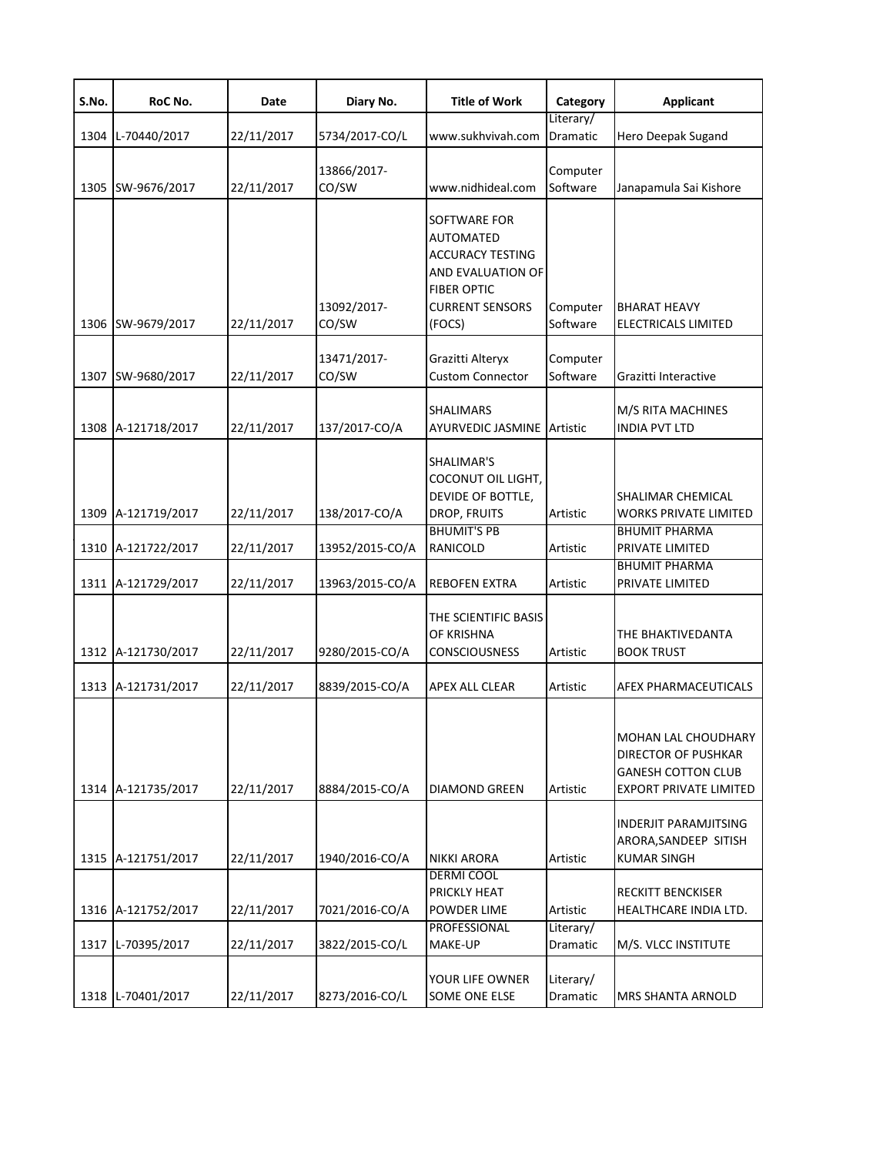| S.No. | RoC No.                                  | Date                     | Diary No.                        | <b>Title of Work</b>                                                                                                                       | Category              | <b>Applicant</b>                                                                                                |
|-------|------------------------------------------|--------------------------|----------------------------------|--------------------------------------------------------------------------------------------------------------------------------------------|-----------------------|-----------------------------------------------------------------------------------------------------------------|
| 1304  | L-70440/2017                             | 22/11/2017               | 5734/2017-CO/L                   | www.sukhvivah.com                                                                                                                          | Literary/<br>Dramatic | Hero Deepak Sugand                                                                                              |
| 1305  | SW-9676/2017                             | 22/11/2017               | 13866/2017-<br>CO/SW             | www.nidhideal.com                                                                                                                          | Computer<br>Software  | Janapamula Sai Kishore                                                                                          |
| 1306  | SW-9679/2017                             | 22/11/2017               | 13092/2017-<br>CO/SW             | SOFTWARE FOR<br><b>AUTOMATED</b><br><b>ACCURACY TESTING</b><br>AND EVALUATION OF<br><b>FIBER OPTIC</b><br><b>CURRENT SENSORS</b><br>(FOCS) | Computer<br>Software  | <b>BHARAT HEAVY</b><br>ELECTRICALS LIMITED                                                                      |
| 1307  | SW-9680/2017                             | 22/11/2017               | 13471/2017-<br>CO/SW             | Grazitti Alteryx<br><b>Custom Connector</b>                                                                                                | Computer<br>Software  | Grazitti Interactive                                                                                            |
|       | 1308 A-121718/2017                       | 22/11/2017               | 137/2017-CO/A                    | <b>SHALIMARS</b><br><b>AYURVEDIC JASMINE</b>                                                                                               | Artistic              | M/S RITA MACHINES<br><b>INDIA PVT LTD</b>                                                                       |
|       | 1309 A-121719/2017<br>1310 A-121722/2017 | 22/11/2017<br>22/11/2017 | 138/2017-CO/A<br>13952/2015-CO/A | SHALIMAR'S<br>COCONUT OIL LIGHT,<br>DEVIDE OF BOTTLE,<br>DROP, FRUITS<br><b>BHUMIT'S PB</b><br>RANICOLD                                    | Artistic<br>Artistic  | SHALIMAR CHEMICAL<br><b>WORKS PRIVATE LIMITED</b><br><b>BHUMIT PHARMA</b><br>PRIVATE LIMITED                    |
|       | 1311 A-121729/2017                       | 22/11/2017               | 13963/2015-CO/A                  | <b>REBOFEN EXTRA</b>                                                                                                                       | Artistic              | <b>BHUMIT PHARMA</b><br>PRIVATE LIMITED                                                                         |
|       | 1312 A-121730/2017                       | 22/11/2017               | 9280/2015-CO/A                   | THE SCIENTIFIC BASIS<br>OF KRISHNA<br><b>CONSCIOUSNESS</b>                                                                                 | Artistic              | THE BHAKTIVEDANTA<br><b>BOOK TRUST</b>                                                                          |
|       | 1313 A-121731/2017                       | 22/11/2017               | 8839/2015-CO/A                   | <b>APEX ALL CLEAR</b>                                                                                                                      | Artistic              | <b>AFEX PHARMACEUTICALS</b>                                                                                     |
|       | 1314 A-121735/2017                       | 22/11/2017               | 8884/2015-CO/A                   | <b>DIAMOND GREEN</b>                                                                                                                       | Artistic              | MOHAN LAL CHOUDHARY<br><b>DIRECTOR OF PUSHKAR</b><br><b>GANESH COTTON CLUB</b><br><b>EXPORT PRIVATE LIMITED</b> |
|       | 1315 A-121751/2017                       | 22/11/2017               | 1940/2016-CO/A                   | <b>NIKKI ARORA</b>                                                                                                                         | Artistic              | <b>INDERJIT PARAMJITSING</b><br>ARORA, SANDEEP SITISH<br><b>KUMAR SINGH</b>                                     |
|       | 1316 A-121752/2017                       | 22/11/2017               | 7021/2016-CO/A                   | <b>DERMI COOL</b><br>PRICKLY HEAT<br>POWDER LIME                                                                                           | Artistic              | RECKITT BENCKISER<br>HEALTHCARE INDIA LTD.                                                                      |
| 1317  | L-70395/2017                             | 22/11/2017               | 3822/2015-CO/L                   | PROFESSIONAL<br>MAKE-UP                                                                                                                    | Literary/<br>Dramatic | M/S. VLCC INSTITUTE                                                                                             |
|       | 1318 L-70401/2017                        | 22/11/2017               | 8273/2016-CO/L                   | YOUR LIFE OWNER<br><b>SOME ONE ELSE</b>                                                                                                    | Literary/<br>Dramatic | <b>MRS SHANTA ARNOLD</b>                                                                                        |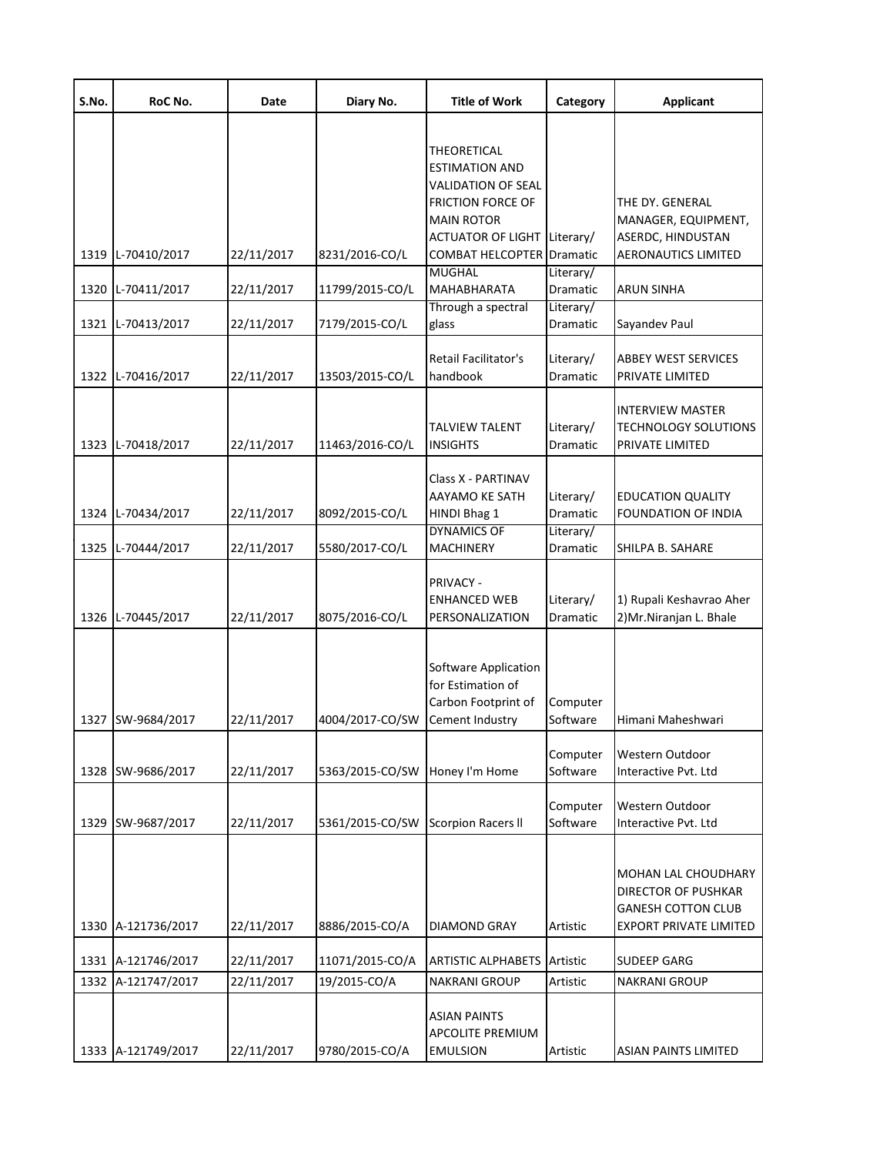| S.No. | RoC No.            | Date       | Diary No.       | <b>Title of Work</b>                                                                          | Category              | <b>Applicant</b>                                                                                                |
|-------|--------------------|------------|-----------------|-----------------------------------------------------------------------------------------------|-----------------------|-----------------------------------------------------------------------------------------------------------------|
|       |                    |            |                 | THEORETICAL<br><b>ESTIMATION AND</b><br><b>VALIDATION OF SEAL</b><br><b>FRICTION FORCE OF</b> |                       | THE DY. GENERAL                                                                                                 |
|       |                    |            |                 | <b>MAIN ROTOR</b>                                                                             |                       | MANAGER, EQUIPMENT,                                                                                             |
|       | 1319 L-70410/2017  | 22/11/2017 | 8231/2016-CO/L  | <b>ACTUATOR OF LIGHT</b><br><b>COMBAT HELCOPTER Dramatic</b>                                  | Literary/             | ASERDC, HINDUSTAN<br><b>AERONAUTICS LIMITED</b>                                                                 |
|       |                    |            |                 | <b>MUGHAL</b>                                                                                 | Literary/             |                                                                                                                 |
|       | 1320 L-70411/2017  | 22/11/2017 | 11799/2015-CO/L | <b>MAHABHARATA</b><br>Through a spectral                                                      | Dramatic<br>Literary/ | <b>ARUN SINHA</b>                                                                                               |
|       | 1321 L-70413/2017  | 22/11/2017 | 7179/2015-CO/L  | glass                                                                                         | Dramatic              | Sayandev Paul                                                                                                   |
|       | 1322 L-70416/2017  | 22/11/2017 | 13503/2015-CO/L | Retail Facilitator's<br>handbook                                                              | Literary/<br>Dramatic | <b>ABBEY WEST SERVICES</b><br>PRIVATE LIMITED                                                                   |
|       | 1323 L-70418/2017  | 22/11/2017 | 11463/2016-CO/L | <b>TALVIEW TALENT</b><br><b>INSIGHTS</b>                                                      | Literary/<br>Dramatic | <b>INTERVIEW MASTER</b><br><b>TECHNOLOGY SOLUTIONS</b><br>PRIVATE LIMITED                                       |
|       | 1324 L-70434/2017  | 22/11/2017 | 8092/2015-CO/L  | Class X - PARTINAV<br><b>AAYAMO KE SATH</b><br>HINDI Bhag 1                                   | Literary/<br>Dramatic | <b>EDUCATION QUALITY</b><br><b>FOUNDATION OF INDIA</b>                                                          |
| 1325  | L-70444/2017       | 22/11/2017 | 5580/2017-CO/L  | <b>DYNAMICS OF</b><br><b>MACHINERY</b>                                                        | Literary/<br>Dramatic | SHILPA B. SAHARE                                                                                                |
|       | 1326 L-70445/2017  | 22/11/2017 | 8075/2016-CO/L  | <b>PRIVACY -</b><br><b>ENHANCED WEB</b><br>PERSONALIZATION                                    | Literary/<br>Dramatic | 1) Rupali Keshavrao Aher<br>2) Mr. Niranjan L. Bhale                                                            |
|       | 1327 SW-9684/2017  | 22/11/2017 | 4004/2017-CO/SW | Software Application<br>for Estimation of<br>Carbon Footprint of<br>Cement Industry           | Computer<br>Software  | Himani Maheshwari                                                                                               |
|       | 1328 SW-9686/2017  | 22/11/2017 | 5363/2015-CO/SW | Honey I'm Home                                                                                | Computer<br>Software  | Western Outdoor<br>Interactive Pvt. Ltd                                                                         |
|       | 1329 SW-9687/2017  | 22/11/2017 | 5361/2015-CO/SW | <b>Scorpion Racers II</b>                                                                     | Computer<br>Software  | Western Outdoor<br>Interactive Pvt. Ltd                                                                         |
|       | 1330 A-121736/2017 | 22/11/2017 | 8886/2015-CO/A  | <b>DIAMOND GRAY</b>                                                                           | Artistic              | MOHAN LAL CHOUDHARY<br><b>DIRECTOR OF PUSHKAR</b><br><b>GANESH COTTON CLUB</b><br><b>EXPORT PRIVATE LIMITED</b> |
|       | 1331 A-121746/2017 | 22/11/2017 | 11071/2015-CO/A | <b>ARTISTIC ALPHABETS</b>                                                                     | Artistic              | <b>SUDEEP GARG</b>                                                                                              |
| 1332  | A-121747/2017      | 22/11/2017 | 19/2015-CO/A    | <b>NAKRANI GROUP</b>                                                                          | Artistic              | <b>NAKRANI GROUP</b>                                                                                            |
|       | 1333 A-121749/2017 | 22/11/2017 | 9780/2015-CO/A  | <b>ASIAN PAINTS</b><br><b>APCOLITE PREMIUM</b><br><b>EMULSION</b>                             | Artistic              | <b>ASIAN PAINTS LIMITED</b>                                                                                     |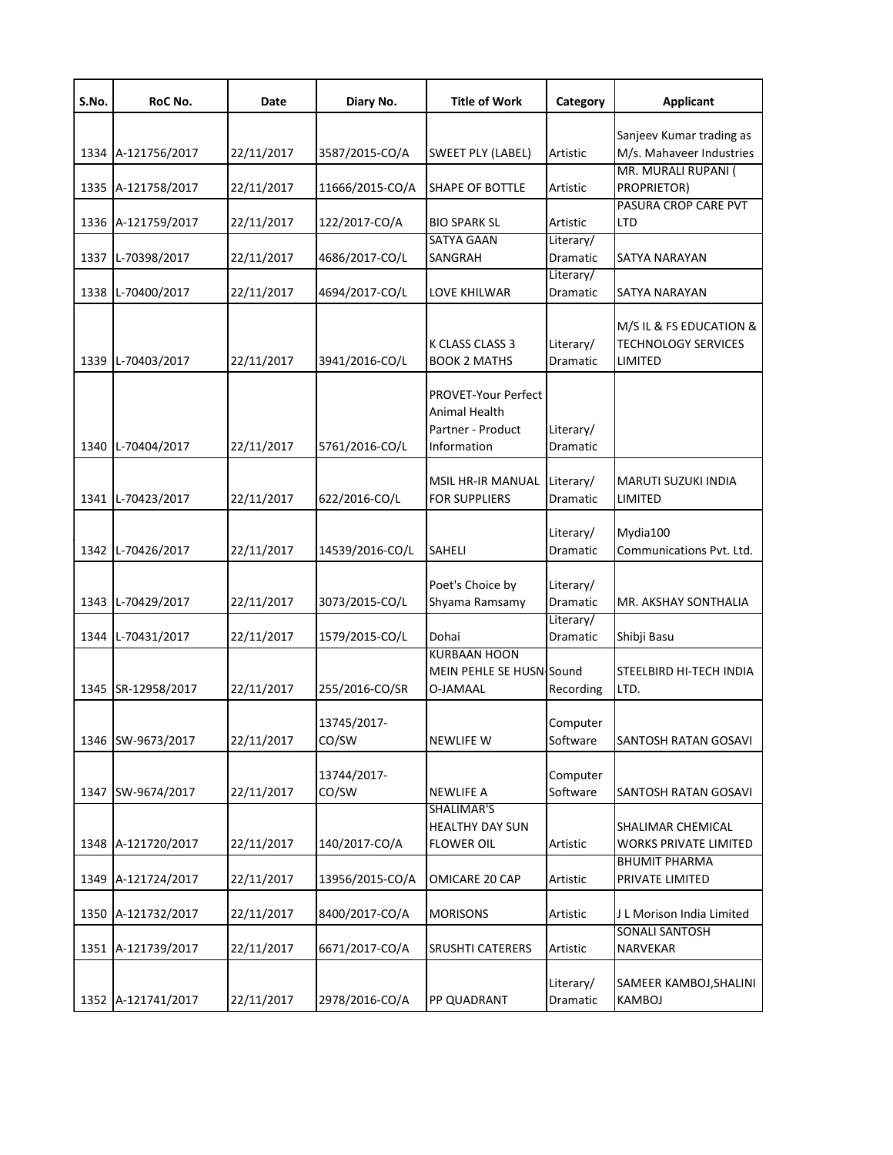| S.No. | RoC No.            | Date       | Diary No.            | <b>Title of Work</b>                                                            | Category              | <b>Applicant</b>                                                 |
|-------|--------------------|------------|----------------------|---------------------------------------------------------------------------------|-----------------------|------------------------------------------------------------------|
|       | 1334 A-121756/2017 | 22/11/2017 | 3587/2015-CO/A       | <b>SWEET PLY (LABEL)</b>                                                        | Artistic              | Sanjeev Kumar trading as<br>M/s. Mahaveer Industries             |
|       | 1335 A-121758/2017 | 22/11/2017 | 11666/2015-CO/A      | SHAPE OF BOTTLE                                                                 | Artistic              | MR. MURALI RUPANI (<br>PROPRIETOR)                               |
|       | 1336 A-121759/2017 | 22/11/2017 | 122/2017-CO/A        | <b>BIO SPARK SL</b>                                                             | Artistic              | PASURA CROP CARE PVT<br><b>LTD</b>                               |
|       | 1337 L-70398/2017  | 22/11/2017 | 4686/2017-CO/L       | <b>SATYA GAAN</b><br>SANGRAH                                                    | Literary/<br>Dramatic | SATYA NARAYAN                                                    |
|       | 1338 L-70400/2017  | 22/11/2017 | 4694/2017-CO/L       | LOVE KHILWAR                                                                    | Literary/<br>Dramatic | SATYA NARAYAN                                                    |
|       | 1339 L-70403/2017  | 22/11/2017 | 3941/2016-CO/L       | K CLASS CLASS 3<br><b>BOOK 2 MATHS</b>                                          | Literary/<br>Dramatic | M/S IL & FS EDUCATION &<br><b>TECHNOLOGY SERVICES</b><br>LIMITED |
|       | 1340 L-70404/2017  | 22/11/2017 | 5761/2016-CO/L       | <b>PROVET-Your Perfect</b><br>Animal Health<br>Partner - Product<br>Information | Literary/<br>Dramatic |                                                                  |
|       | 1341 L-70423/2017  | 22/11/2017 | 622/2016-CO/L        | MSIL HR-IR MANUAL<br><b>FOR SUPPLIERS</b>                                       | Literary/<br>Dramatic | MARUTI SUZUKI INDIA<br>LIMITED                                   |
|       | 1342 L-70426/2017  | 22/11/2017 | 14539/2016-CO/L      | <b>SAHELI</b>                                                                   | Literary/<br>Dramatic | Mydia100<br>Communications Pvt. Ltd.                             |
|       | 1343 L-70429/2017  | 22/11/2017 | 3073/2015-CO/L       | Poet's Choice by<br>Shyama Ramsamy                                              | Literary/<br>Dramatic | MR. AKSHAY SONTHALIA                                             |
|       | 1344 L-70431/2017  | 22/11/2017 | 1579/2015-CO/L       | Dohai                                                                           | Literary/<br>Dramatic | Shibji Basu                                                      |
|       | 1345 SR-12958/2017 | 22/11/2017 | 255/2016-CO/SR       | <b>KURBAAN HOON</b><br>MEIN PEHLE SE HUSN-Sound<br>O-JAMAAL                     | Recording             | STEELBIRD HI-TECH INDIA<br>LTD.                                  |
|       | 1346 SW-9673/2017  | 22/11/2017 | 13745/2017-<br>CO/SW | <b>NEWLIFE W</b>                                                                | Computer<br>Software  | SANTOSH RATAN GOSAVI                                             |
|       | 1347 SW-9674/2017  | 22/11/2017 | 13744/2017-<br>CO/SW | <b>NEWLIFE A</b>                                                                | Computer<br>Software  | SANTOSH RATAN GOSAVI                                             |
|       | 1348 A-121720/2017 | 22/11/2017 | 140/2017-CO/A        | SHALIMAR'S<br><b>HEALTHY DAY SUN</b><br><b>FLOWER OIL</b>                       | Artistic              | SHALIMAR CHEMICAL<br>WORKS PRIVATE LIMITED                       |
|       | 1349 A-121724/2017 | 22/11/2017 | 13956/2015-CO/A      | OMICARE 20 CAP                                                                  | Artistic              | <b>BHUMIT PHARMA</b><br>PRIVATE LIMITED                          |
|       | 1350 A-121732/2017 | 22/11/2017 | 8400/2017-CO/A       | <b>MORISONS</b>                                                                 | Artistic              | J L Morison India Limited                                        |
|       | 1351 A-121739/2017 | 22/11/2017 | 6671/2017-CO/A       | SRUSHTI CATERERS                                                                | Artistic              | <b>SONALI SANTOSH</b><br>NARVEKAR                                |
|       | 1352 A-121741/2017 | 22/11/2017 | 2978/2016-CO/A       | PP QUADRANT                                                                     | Literary/<br>Dramatic | SAMEER KAMBOJ,SHALINI<br>KAMBOJ                                  |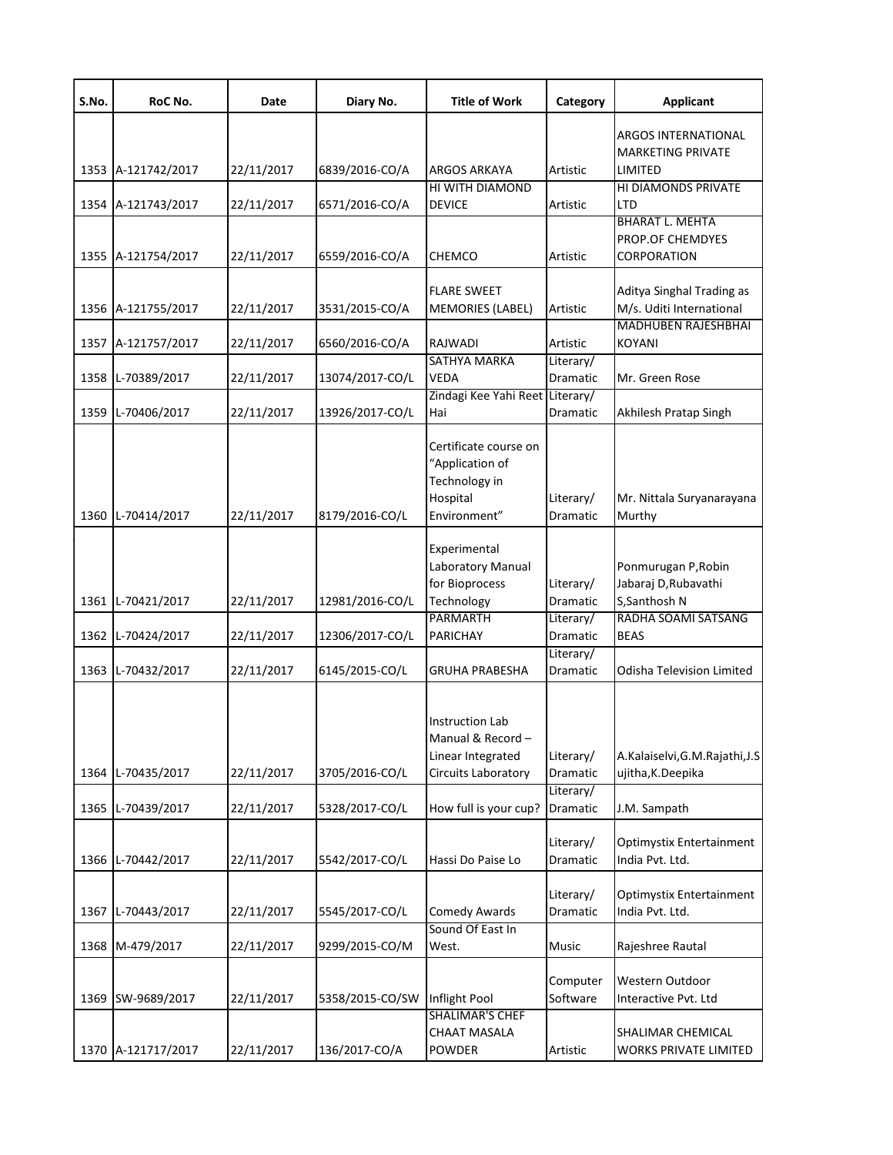| S.No. | RoC No.                           | Date                     | Diary No.                          | <b>Title of Work</b>                                                                             | Category                                              | <b>Applicant</b>                                                                                   |
|-------|-----------------------------------|--------------------------|------------------------------------|--------------------------------------------------------------------------------------------------|-------------------------------------------------------|----------------------------------------------------------------------------------------------------|
|       |                                   |                          |                                    |                                                                                                  |                                                       | <b>ARGOS INTERNATIONAL</b><br><b>MARKETING PRIVATE</b>                                             |
|       | 1353 A-121742/2017                | 22/11/2017               | 6839/2016-CO/A                     | <b>ARGOS ARKAYA</b>                                                                              | Artistic                                              | LIMITED                                                                                            |
|       | 1354 A-121743/2017                | 22/11/2017               | 6571/2016-CO/A                     | HI WITH DIAMOND<br><b>DEVICE</b>                                                                 | Artistic                                              | HI DIAMONDS PRIVATE<br>LTD                                                                         |
|       |                                   |                          |                                    |                                                                                                  |                                                       | <b>BHARAT L. MEHTA</b><br>PROP.OF CHEMDYES                                                         |
|       | 1355 A-121754/2017                | 22/11/2017               | 6559/2016-CO/A                     | CHEMCO                                                                                           | Artistic                                              | CORPORATION                                                                                        |
|       | 1356 A-121755/2017                | 22/11/2017               | 3531/2015-CO/A                     | <b>FLARE SWEET</b><br>MEMORIES (LABEL)                                                           | Artistic                                              | Aditya Singhal Trading as<br>M/s. Uditi International                                              |
|       | 1357 A-121757/2017                | 22/11/2017               | 6560/2016-CO/A                     | RAJWADI                                                                                          | Artistic                                              | <b>MADHUBEN RAJESHBHAI</b><br><b>KOYANI</b>                                                        |
| 1358  | L-70389/2017                      | 22/11/2017               | 13074/2017-CO/L                    | SATHYA MARKA<br><b>VEDA</b>                                                                      | Literary/<br>Dramatic                                 | Mr. Green Rose                                                                                     |
|       |                                   |                          |                                    | Zindagi Kee Yahi Reet Literary/                                                                  |                                                       |                                                                                                    |
| 1359  | L-70406/2017                      | 22/11/2017               | 13926/2017-CO/L                    | Hai                                                                                              | Dramatic                                              | Akhilesh Pratap Singh                                                                              |
| 1360  | L-70414/2017                      | 22/11/2017               | 8179/2016-CO/L                     | Certificate course on<br>"Application of<br>Technology in<br>Hospital<br>Environment"            | Literary/<br><b>Dramatic</b>                          | Mr. Nittala Suryanarayana<br>Murthy                                                                |
| 1362  | 1361 L-70421/2017<br>L-70424/2017 | 22/11/2017<br>22/11/2017 | 12981/2016-CO/L<br>12306/2017-CO/L | Experimental<br>Laboratory Manual<br>for Bioprocess<br>Technology<br><b>PARMARTH</b><br>PARICHAY | Literary/<br>Dramatic<br>Literary/<br><b>Dramatic</b> | Ponmurugan P, Robin<br>Jabaraj D, Rubavathi<br>S, Santhosh N<br>RADHA SOAMI SATSANG<br><b>BEAS</b> |
|       | 1363 L-70432/2017                 | 22/11/2017               | 6145/2015-CO/L                     | <b>GRUHA PRABESHA</b>                                                                            | Literary/<br><b>Dramatic</b>                          | <b>Odisha Television Limited</b>                                                                   |
| 1364  | L-70435/2017                      | 22/11/2017               | 3705/2016-CO/L                     | <b>Instruction Lab</b><br>Manual & Record-<br>Linear Integrated<br>Circuits Laboratory           | Literary/<br>Dramatic<br>Literary/                    | A.Kalaiselvi, G.M.Rajathi, J.S<br>ujitha, K.Deepika                                                |
| 1365  | L-70439/2017                      | 22/11/2017               | 5328/2017-CO/L                     | How full is your cup?                                                                            | Dramatic                                              | J.M. Sampath                                                                                       |
| 1366  | L-70442/2017                      | 22/11/2017               | 5542/2017-CO/L                     | Hassi Do Paise Lo                                                                                | Literary/<br>Dramatic                                 | <b>Optimystix Entertainment</b><br>India Pvt. Ltd.                                                 |
| 1367  | L-70443/2017                      | 22/11/2017               | 5545/2017-CO/L                     | <b>Comedy Awards</b>                                                                             | Literary/<br>Dramatic                                 | <b>Optimystix Entertainment</b><br>India Pvt. Ltd.                                                 |
| 1368  | M-479/2017                        | 22/11/2017               | 9299/2015-CO/M                     | Sound Of East In<br>West.                                                                        | Music                                                 | Rajeshree Rautal                                                                                   |
| 1369  | SW-9689/2017                      | 22/11/2017               | 5358/2015-CO/SW                    | Inflight Pool<br><b>SHALIMAR'S CHEF</b>                                                          | Computer<br>Software                                  | Western Outdoor<br>Interactive Pvt. Ltd                                                            |
|       | 1370 A-121717/2017                | 22/11/2017               | 136/2017-CO/A                      | CHAAT MASALA<br>POWDER                                                                           | Artistic                                              | SHALIMAR CHEMICAL<br>WORKS PRIVATE LIMITED                                                         |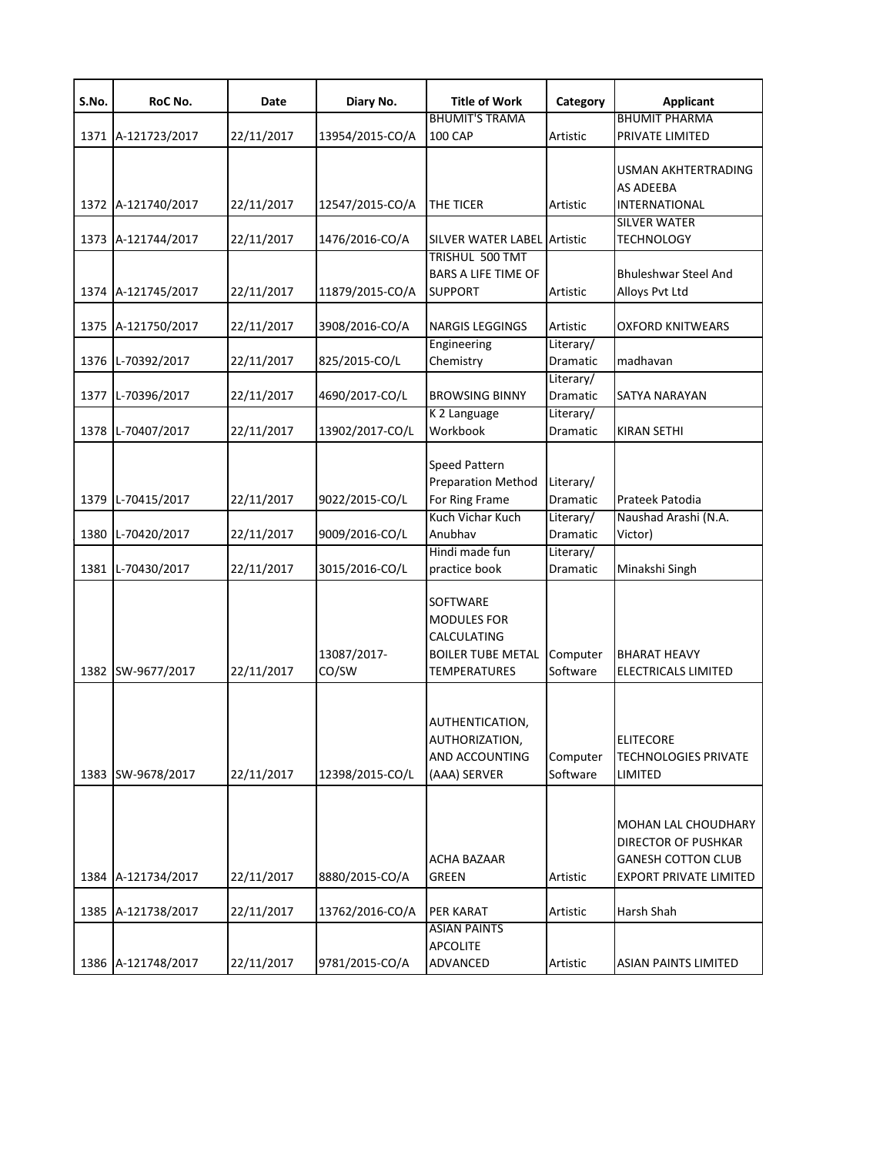| S.No.        | RoC No.                      | Date                     | Diary No.                        | <b>Title of Work</b>                                                                                    | Category                                              | <b>Applicant</b>                                                                                                |
|--------------|------------------------------|--------------------------|----------------------------------|---------------------------------------------------------------------------------------------------------|-------------------------------------------------------|-----------------------------------------------------------------------------------------------------------------|
|              |                              |                          |                                  | <b>BHUMIT'S TRAMA</b>                                                                                   |                                                       | <b>BHUMIT PHARMA</b>                                                                                            |
|              | 1371 A-121723/2017           | 22/11/2017               | 13954/2015-CO/A                  | <b>100 CAP</b>                                                                                          | Artistic                                              | PRIVATE LIMITED                                                                                                 |
|              | 1372 A-121740/2017           | 22/11/2017               | 12547/2015-CO/A                  | THE TICER                                                                                               | Artistic                                              | USMAN AKHTERTRADING<br><b>AS ADEEBA</b><br>INTERNATIONAL                                                        |
|              |                              |                          |                                  |                                                                                                         |                                                       | <b>SILVER WATER</b>                                                                                             |
|              | 1373 A-121744/2017           | 22/11/2017               | 1476/2016-CO/A                   | SILVER WATER LABEL Artistic                                                                             |                                                       | <b>TECHNOLOGY</b>                                                                                               |
|              | 1374 A-121745/2017           | 22/11/2017               | 11879/2015-CO/A                  | TRISHUL 500 TMT<br><b>BARS A LIFE TIME OF</b><br><b>SUPPORT</b>                                         | Artistic                                              | <b>Bhuleshwar Steel And</b><br>Alloys Pvt Ltd                                                                   |
|              | 1375 A-121750/2017           | 22/11/2017               | 3908/2016-CO/A                   | <b>NARGIS LEGGINGS</b>                                                                                  | Artistic                                              | <b>OXFORD KNITWEARS</b>                                                                                         |
|              | 1376 L-70392/2017            | 22/11/2017               | 825/2015-CO/L                    | Engineering<br>Chemistry                                                                                | Literary/<br>Dramatic                                 | madhavan                                                                                                        |
| 1377         | L-70396/2017                 | 22/11/2017               | 4690/2017-CO/L                   | <b>BROWSING BINNY</b>                                                                                   | Literary/<br><b>Dramatic</b>                          | SATYA NARAYAN                                                                                                   |
|              | 1378 L-70407/2017            | 22/11/2017               | 13902/2017-CO/L                  | K 2 Language<br>Workbook                                                                                | Literary/<br>Dramatic                                 | <b>KIRAN SETHI</b>                                                                                              |
| 1379<br>1380 | L-70415/2017<br>L-70420/2017 | 22/11/2017<br>22/11/2017 | 9022/2015-CO/L<br>9009/2016-CO/L | <b>Speed Pattern</b><br><b>Preparation Method</b><br>For Ring Frame<br>Kuch Vichar Kuch<br>Anubhav      | Literary/<br><b>Dramatic</b><br>Literary/<br>Dramatic | Prateek Patodia<br>Naushad Arashi (N.A.<br>Victor)                                                              |
|              |                              |                          |                                  | Hindi made fun                                                                                          | Literary/                                             |                                                                                                                 |
| 1381         | L-70430/2017                 | 22/11/2017               | 3015/2016-CO/L                   | practice book                                                                                           | Dramatic                                              | Minakshi Singh                                                                                                  |
|              | 1382 SW-9677/2017            | 22/11/2017               | 13087/2017-<br>CO/SW             | <b>SOFTWARE</b><br><b>MODULES FOR</b><br>CALCULATING<br><b>BOILER TUBE METAL</b><br><b>TEMPERATURES</b> | Computer<br>Software                                  | <b>BHARAT HEAVY</b><br>ELECTRICALS LIMITED                                                                      |
| 1383         | SW-9678/2017                 | 22/11/2017               | 12398/2015-CO/L                  | AUTHENTICATION,<br>AUTHORIZATION,<br><b>AND ACCOUNTING</b><br>(AAA) SERVER                              | Computer<br>Software                                  | <b>ELITECORE</b><br><b>TECHNOLOGIES PRIVATE</b><br>LIMITED                                                      |
|              | 1384 A-121734/2017           | 22/11/2017               | 8880/2015-CO/A                   | ACHA BAZAAR<br><b>GREEN</b>                                                                             | Artistic                                              | MOHAN LAL CHOUDHARY<br><b>DIRECTOR OF PUSHKAR</b><br><b>GANESH COTTON CLUB</b><br><b>EXPORT PRIVATE LIMITED</b> |
|              | 1385 A-121738/2017           | 22/11/2017               | 13762/2016-CO/A                  | <b>PER KARAT</b>                                                                                        | Artistic                                              | Harsh Shah                                                                                                      |
|              | 1386 A-121748/2017           | 22/11/2017               | 9781/2015-CO/A                   | <b>ASIAN PAINTS</b><br><b>APCOLITE</b><br>ADVANCED                                                      | Artistic                                              | <b>ASIAN PAINTS LIMITED</b>                                                                                     |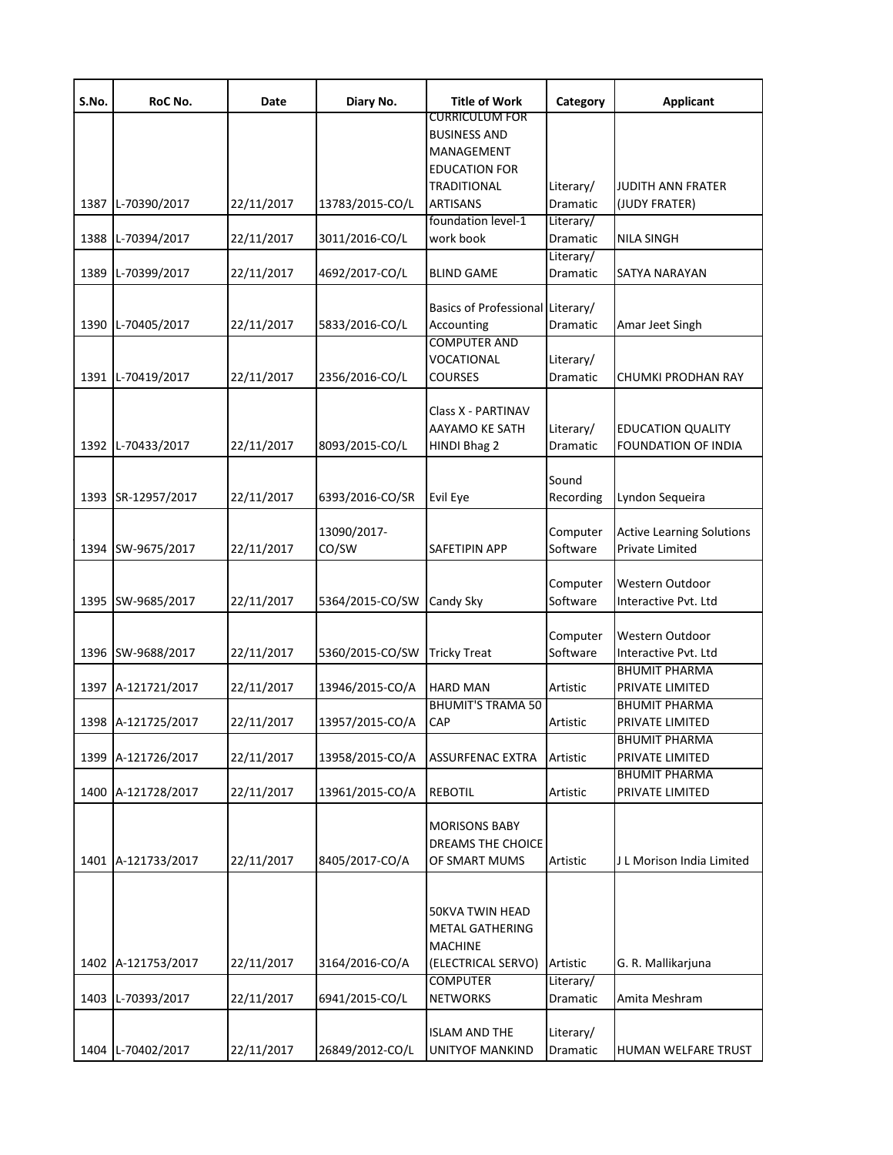| S.No. | RoC No.            | Date       | Diary No.            | <b>Title of Work</b>                                                                              | Category              | <b>Applicant</b>                                       |
|-------|--------------------|------------|----------------------|---------------------------------------------------------------------------------------------------|-----------------------|--------------------------------------------------------|
|       |                    |            |                      | CURRICULUM FOR<br><b>BUSINESS AND</b><br>MANAGEMENT<br><b>EDUCATION FOR</b><br><b>TRADITIONAL</b> | Literary/             | JUDITH ANN FRATER                                      |
| 1387  | L-70390/2017       | 22/11/2017 | 13783/2015-CO/L      | <b>ARTISANS</b>                                                                                   | Dramatic              | (JUDY FRATER)                                          |
| 1388  | L-70394/2017       | 22/11/2017 | 3011/2016-CO/L       | foundation level-1<br>work book                                                                   | Literary/<br>Dramatic | <b>NILA SINGH</b>                                      |
| 1389  | L-70399/2017       | 22/11/2017 | 4692/2017-CO/L       | <b>BLIND GAME</b>                                                                                 | Literary/<br>Dramatic | SATYA NARAYAN                                          |
| 1390  | L-70405/2017       | 22/11/2017 | 5833/2016-CO/L       | Basics of Professional Literary/<br>Accounting<br><b>COMPUTER AND</b>                             | Dramatic              | Amar Jeet Singh                                        |
| 1391  | L-70419/2017       | 22/11/2017 | 2356/2016-CO/L       | VOCATIONAL<br><b>COURSES</b>                                                                      | Literary/<br>Dramatic | CHUMKI PRODHAN RAY                                     |
| 1392  | L-70433/2017       | 22/11/2017 | 8093/2015-CO/L       | Class X - PARTINAV<br>AAYAMO KE SATH<br>HINDI Bhag 2                                              | Literary/<br>Dramatic | <b>EDUCATION QUALITY</b><br><b>FOUNDATION OF INDIA</b> |
| 1393  | SR-12957/2017      | 22/11/2017 | 6393/2016-CO/SR      | Evil Eye                                                                                          | Sound<br>Recording    | Lyndon Sequeira                                        |
| 1394  | SW-9675/2017       | 22/11/2017 | 13090/2017-<br>CO/SW | SAFETIPIN APP                                                                                     | Computer<br>Software  | <b>Active Learning Solutions</b><br>Private Limited    |
| 1395  | SW-9685/2017       | 22/11/2017 | 5364/2015-CO/SW      | Candy Sky                                                                                         | Computer<br>Software  | Western Outdoor<br>Interactive Pvt. Ltd                |
| 1396  | SW-9688/2017       | 22/11/2017 | 5360/2015-CO/SW      | <b>Tricky Treat</b>                                                                               | Computer<br>Software  | Western Outdoor<br>Interactive Pvt. Ltd                |
| 1397  | A-121721/2017      | 22/11/2017 | 13946/2015-CO/A      | <b>HARD MAN</b>                                                                                   | Artistic              | <b>BHUMIT PHARMA</b><br>PRIVATE LIMITED                |
|       | 1398 A-121725/2017 | 22/11/2017 | 13957/2015-CO/A      | <b>BHUMIT'S TRAMA 50</b><br><b>CAP</b>                                                            | Artistic              | <b>BHUMIT PHARMA</b><br>PRIVATE LIMITED                |
| 1399  | A-121726/2017      | 22/11/2017 | 13958/2015-CO/A      | <b>ASSURFENAC EXTRA</b>                                                                           | Artistic              | <b>BHUMIT PHARMA</b><br>PRIVATE LIMITED                |
| 1400  | A-121728/2017      | 22/11/2017 | 13961/2015-CO/A      | <b>REBOTIL</b>                                                                                    | Artistic              | <b>BHUMIT PHARMA</b><br>PRIVATE LIMITED                |
| 1401  | A-121733/2017      | 22/11/2017 | 8405/2017-CO/A       | <b>MORISONS BABY</b><br><b>DREAMS THE CHOICE</b><br>OF SMART MUMS                                 | Artistic              | J L Morison India Limited                              |
| 1402  | A-121753/2017      | 22/11/2017 | 3164/2016-CO/A       | 50KVA TWIN HEAD<br><b>METAL GATHERING</b><br><b>MACHINE</b><br>(ELECTRICAL SERVO)                 | Artistic              | G. R. Mallikarjuna                                     |
| 1403  | L-70393/2017       | 22/11/2017 | 6941/2015-CO/L       | <b>COMPUTER</b><br><b>NETWORKS</b>                                                                | Literary/<br>Dramatic | Amita Meshram                                          |
| 1404  | L-70402/2017       | 22/11/2017 | 26849/2012-CO/L      | <b>ISLAM AND THE</b><br>UNITYOF MANKIND                                                           | Literary/<br>Dramatic | HUMAN WELFARE TRUST                                    |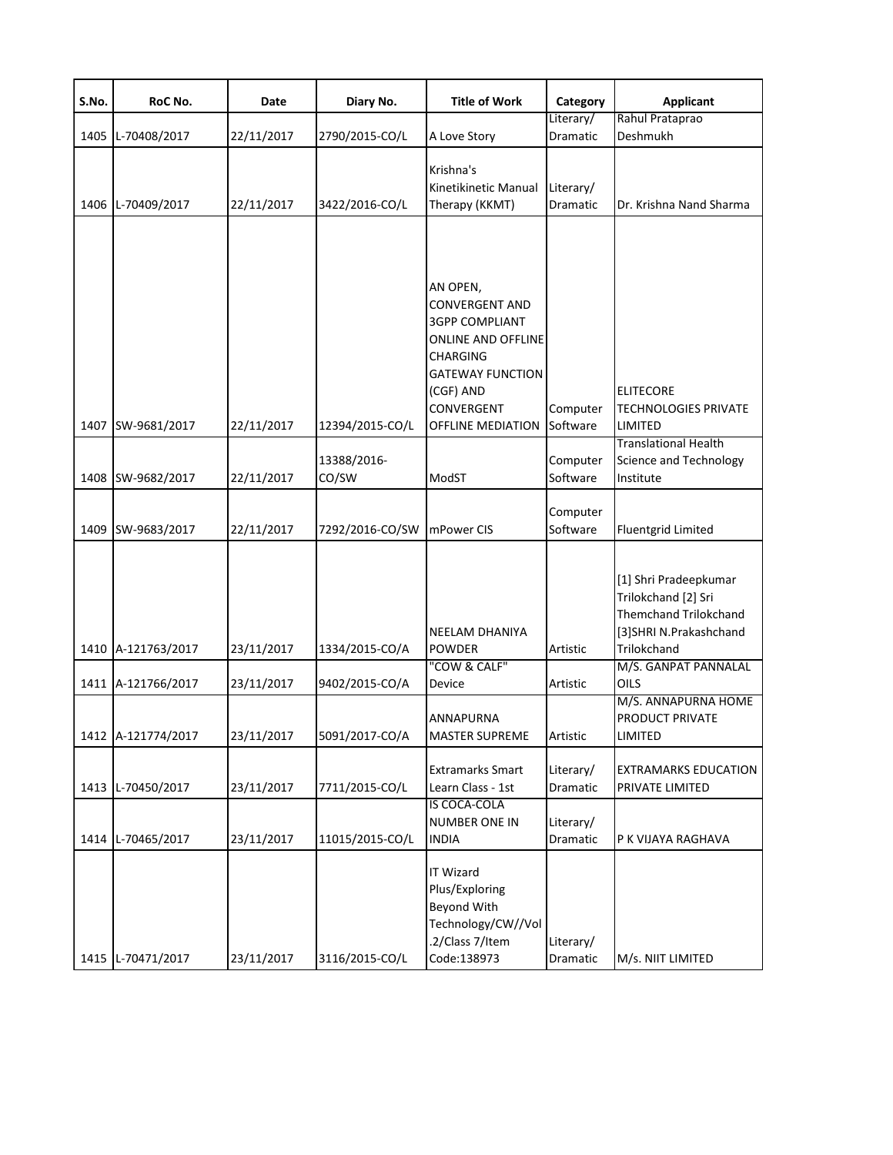| S.No. | RoC No.            | Date       | Diary No.       | <b>Title of Work</b>                                                                                                                                                                  | Category              | <b>Applicant</b>                                                                                                                                     |
|-------|--------------------|------------|-----------------|---------------------------------------------------------------------------------------------------------------------------------------------------------------------------------------|-----------------------|------------------------------------------------------------------------------------------------------------------------------------------------------|
|       |                    |            |                 |                                                                                                                                                                                       | Literary/             | Rahul Prataprao                                                                                                                                      |
| 1405  | L-70408/2017       | 22/11/2017 | 2790/2015-CO/L  | A Love Story                                                                                                                                                                          | Dramatic              | Deshmukh                                                                                                                                             |
|       | 1406 L-70409/2017  | 22/11/2017 | 3422/2016-CO/L  | Krishna's<br>Kinetikinetic Manual<br>Therapy (KKMT)                                                                                                                                   | Literary/<br>Dramatic | Dr. Krishna Nand Sharma                                                                                                                              |
|       | 1407 SW-9681/2017  | 22/11/2017 | 12394/2015-CO/L | AN OPEN,<br><b>CONVERGENT AND</b><br><b>3GPP COMPLIANT</b><br>ONLINE AND OFFLINE<br><b>CHARGING</b><br><b>GATEWAY FUNCTION</b><br>(CGF) AND<br><b>CONVERGENT</b><br>OFFLINE MEDIATION | Computer<br>Software  | <b>ELITECORE</b><br><b>TECHNOLOGIES PRIVATE</b><br>LIMITED<br><b>Translational Health</b>                                                            |
|       |                    |            | 13388/2016-     |                                                                                                                                                                                       | Computer              | Science and Technology                                                                                                                               |
|       | 1408 SW-9682/2017  | 22/11/2017 | CO/SW           | ModST                                                                                                                                                                                 | Software              | Institute                                                                                                                                            |
|       | 1409 SW-9683/2017  | 22/11/2017 | 7292/2016-CO/SW | mPower CIS                                                                                                                                                                            | Computer<br>Software  | <b>Fluentgrid Limited</b>                                                                                                                            |
|       | 1410 A-121763/2017 | 23/11/2017 | 1334/2015-CO/A  | <b>NEELAM DHANIYA</b><br><b>POWDER</b><br>"COW & CALF"                                                                                                                                | Artistic              | [1] Shri Pradeepkumar<br>Trilokchand [2] Sri<br><b>Themchand Trilokchand</b><br>[3]SHRI N.Prakashchand<br><b>Trilokchand</b><br>M/S. GANPAT PANNALAL |
|       | 1411 A-121766/2017 | 23/11/2017 | 9402/2015-CO/A  | Device                                                                                                                                                                                | Artistic              | OILS                                                                                                                                                 |
|       | 1412 A-121774/2017 | 23/11/2017 | 5091/2017-CO/A  | ANNAPURNA<br><b>MASTER SUPREME</b>                                                                                                                                                    | Artistic              | M/S. ANNAPURNA HOME<br>PRODUCT PRIVATE<br>LIMITED                                                                                                    |
|       | 1413 L-70450/2017  | 23/11/2017 | 7711/2015-CO/L  | <b>Extramarks Smart</b><br>Learn Class - 1st                                                                                                                                          | Literary/<br>Dramatic | <b>EXTRAMARKS EDUCATION</b><br>PRIVATE LIMITED                                                                                                       |
|       | 1414 L-70465/2017  | 23/11/2017 | 11015/2015-CO/L | <b>IS COCA-COLA</b><br><b>NUMBER ONE IN</b><br><b>INDIA</b>                                                                                                                           | Literary/<br>Dramatic | P K VIJAYA RAGHAVA                                                                                                                                   |
|       | 1415 L-70471/2017  | 23/11/2017 | 3116/2015-CO/L  | <b>IT Wizard</b><br>Plus/Exploring<br>Beyond With<br>Technology/CW//Vol<br>.2/Class 7/Item<br>Code:138973                                                                             | Literary/<br>Dramatic | M/s. NIIT LIMITED                                                                                                                                    |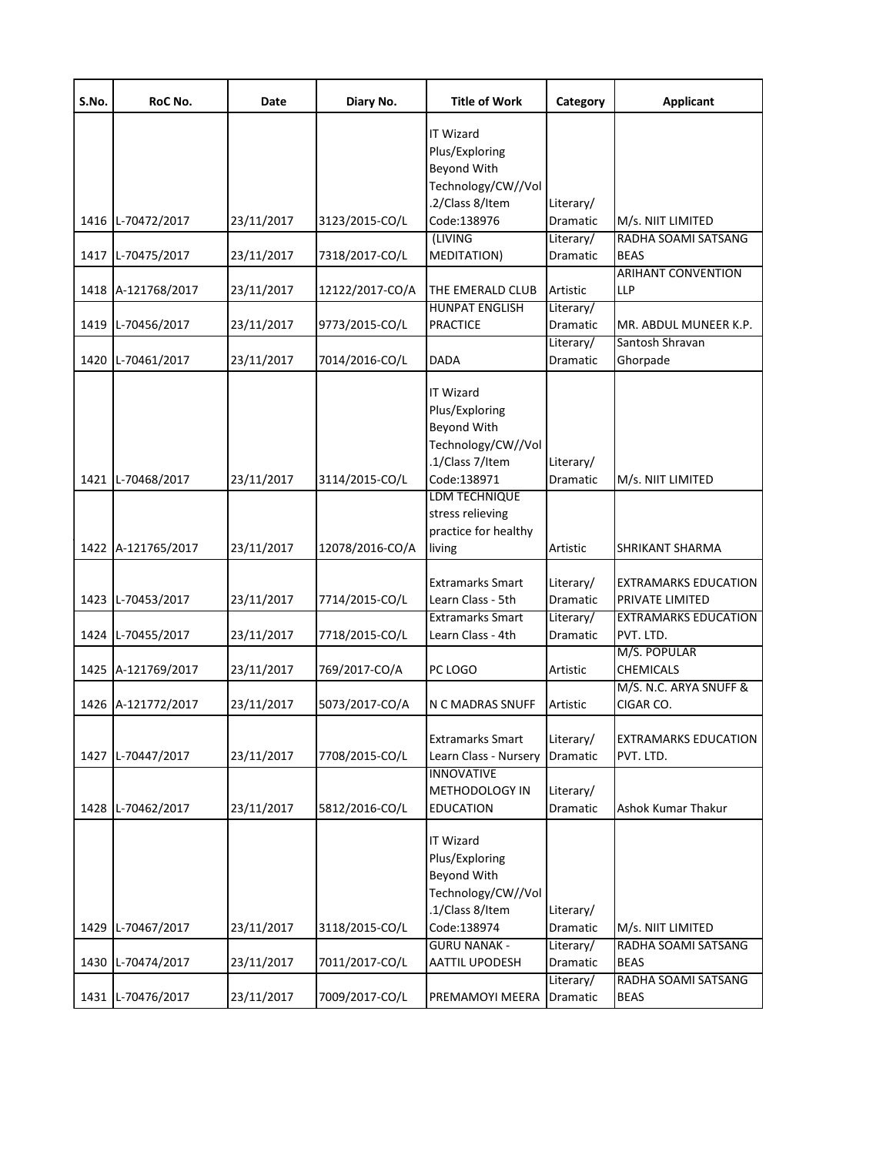| S.No. | RoC No.            | Date       | Diary No.       | <b>Title of Work</b>                                                                                      | Category                     | <b>Applicant</b>                         |
|-------|--------------------|------------|-----------------|-----------------------------------------------------------------------------------------------------------|------------------------------|------------------------------------------|
|       |                    |            |                 | IT Wizard<br>Plus/Exploring<br>Beyond With<br>Technology/CW//Vol<br>.2/Class 8/Item                       | Literary/                    |                                          |
|       | 1416 L-70472/2017  | 23/11/2017 | 3123/2015-CO/L  | Code:138976                                                                                               | Dramatic                     | M/s. NIIT LIMITED                        |
|       | 1417 L-70475/2017  | 23/11/2017 | 7318/2017-CO/L  | (LIVING<br><b>MEDITATION)</b>                                                                             | Literary/<br>Dramatic        | RADHA SOAMI SATSANG<br><b>BEAS</b>       |
|       | 1418 A-121768/2017 | 23/11/2017 | 12122/2017-CO/A | THE EMERALD CLUB                                                                                          | Artistic                     | <b>ARIHANT CONVENTION</b><br>LLP         |
|       | 1419 L-70456/2017  | 23/11/2017 | 9773/2015-CO/L  | <b>HUNPAT ENGLISH</b><br><b>PRACTICE</b>                                                                  | Literary/<br>Dramatic        | MR. ABDUL MUNEER K.P.                    |
| 1420  | L-70461/2017       | 23/11/2017 | 7014/2016-CO/L  | <b>DADA</b>                                                                                               | Literary/<br>Dramatic        | Santosh Shravan<br>Ghorpade              |
|       | 1421 L-70468/2017  | 23/11/2017 | 3114/2015-CO/L  | IT Wizard<br>Plus/Exploring<br>Beyond With<br>Technology/CW//Vol<br>.1/Class 7/Item<br>Code:138971        | Literary/<br>Dramatic        | M/s. NIIT LIMITED                        |
|       |                    |            |                 | LDM TECHNIQUE<br>stress relieving<br>practice for healthy                                                 |                              |                                          |
|       | 1422 A-121765/2017 | 23/11/2017 | 12078/2016-CO/A | living                                                                                                    | Artistic                     | SHRIKANT SHARMA                          |
|       | 1423 L-70453/2017  | 23/11/2017 | 7714/2015-CO/L  | <b>Extramarks Smart</b><br>Learn Class - 5th                                                              | Literary/<br>Dramatic        | EXTRAMARKS EDUCATION<br>PRIVATE LIMITED  |
|       | 1424 L-70455/2017  | 23/11/2017 | 7718/2015-CO/L  | <b>Extramarks Smart</b><br>Learn Class - 4th                                                              | Literary/<br>Dramatic        | <b>EXTRAMARKS EDUCATION</b><br>PVT. LTD. |
|       | 1425 A-121769/2017 | 23/11/2017 | 769/2017-CO/A   | PC LOGO                                                                                                   | Artistic                     | M/S. POPULAR<br><b>CHEMICALS</b>         |
|       | 1426 A-121772/2017 | 23/11/2017 | 5073/2017-CO/A  | N C MADRAS SNUFF                                                                                          | Artistic                     | M/S. N.C. ARYA SNUFF &<br>CIGAR CO.      |
|       | 1427 L-70447/2017  | 23/11/2017 | 7708/2015-CO/L  | <b>Extramarks Smart</b><br>Learn Class - Nursery                                                          | Literary/<br><b>Dramatic</b> | <b>EXTRAMARKS EDUCATION</b><br>PVT. LTD. |
|       | 1428 L-70462/2017  | 23/11/2017 | 5812/2016-CO/L  | <b>INNOVATIVE</b><br><b>METHODOLOGY IN</b><br><b>EDUCATION</b>                                            | Literary/<br>Dramatic        | Ashok Kumar Thakur                       |
|       | 1429 L-70467/2017  | 23/11/2017 | 3118/2015-CO/L  | <b>IT Wizard</b><br>Plus/Exploring<br>Beyond With<br>Technology/CW//Vol<br>.1/Class 8/Item<br>Code:138974 | Literary/<br>Dramatic        | M/s. NIIT LIMITED                        |
|       |                    |            |                 | <b>GURU NANAK -</b>                                                                                       | Literary/                    | RADHA SOAMI SATSANG                      |
| 1430  | L-70474/2017       | 23/11/2017 | 7011/2017-CO/L  | AATTIL UPODESH                                                                                            | Dramatic<br>Literary/        | <b>BEAS</b><br>RADHA SOAMI SATSANG       |
|       | 1431 L-70476/2017  | 23/11/2017 | 7009/2017-CO/L  | PREMAMOYI MEERA                                                                                           | Dramatic                     | <b>BEAS</b>                              |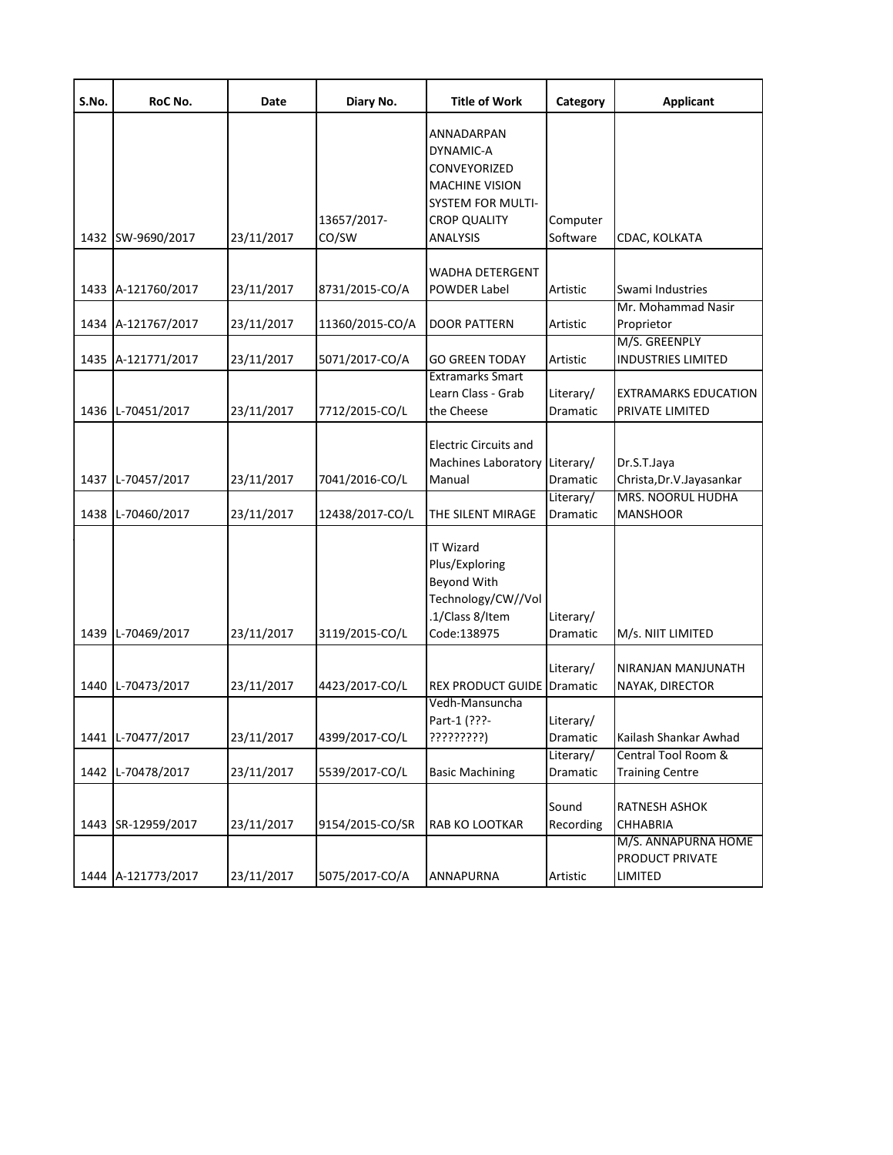| S.No. | RoC No.                                | Date                     | Diary No.                         | <b>Title of Work</b>                                                                                                            | Category                          | <b>Applicant</b>                                                                         |
|-------|----------------------------------------|--------------------------|-----------------------------------|---------------------------------------------------------------------------------------------------------------------------------|-----------------------------------|------------------------------------------------------------------------------------------|
|       | 1432 SW-9690/2017                      | 23/11/2017               | 13657/2017-<br>CO/SW              | ANNADARPAN<br>DYNAMIC-A<br>CONVEYORIZED<br><b>MACHINE VISION</b><br><b>SYSTEM FOR MULTI-</b><br><b>CROP QUALITY</b><br>ANALYSIS | Computer<br>Software              | CDAC, KOLKATA                                                                            |
|       | 1433 A-121760/2017                     | 23/11/2017               | 8731/2015-CO/A                    | <b>WADHA DETERGENT</b><br><b>POWDER Label</b>                                                                                   | Artistic                          | Swami Industries                                                                         |
|       | 1434 A-121767/2017                     | 23/11/2017               | 11360/2015-CO/A                   | <b>DOOR PATTERN</b>                                                                                                             | Artistic                          | Mr. Mohammad Nasir<br>Proprietor                                                         |
|       | 1435 A-121771/2017                     | 23/11/2017               | 5071/2017-CO/A                    | <b>GO GREEN TODAY</b>                                                                                                           | Artistic                          | M/S. GREENPLY<br><b>INDUSTRIES LIMITED</b>                                               |
|       | 1436 L-70451/2017                      | 23/11/2017               | 7712/2015-CO/L                    | <b>Extramarks Smart</b><br>Learn Class - Grab<br>the Cheese                                                                     | Literary/<br>Dramatic             | EXTRAMARKS EDUCATION<br>PRIVATE LIMITED                                                  |
|       | 1437 L-70457/2017<br>1438 L-70460/2017 | 23/11/2017<br>23/11/2017 | 7041/2016-CO/L<br>12438/2017-CO/L | <b>Electric Circuits and</b><br>Machines Laboratory Literary/<br>Manual<br>THE SILENT MIRAGE                                    | Dramatic<br>Literary/<br>Dramatic | Dr.S.T.Jaya<br>Christa, Dr. V. Jayasankar<br><b>MRS. NOORUL HUDHA</b><br><b>MANSHOOR</b> |
|       | 1439 L-70469/2017                      | 23/11/2017               | 3119/2015-CO/L                    | <b>IT Wizard</b><br>Plus/Exploring<br>Beyond With<br>Technology/CW//Vol<br>.1/Class 8/Item<br>Code:138975                       | Literary/<br>Dramatic             | M/s. NIIT LIMITED                                                                        |
|       | 1440 L-70473/2017                      | 23/11/2017               | 4423/2017-CO/L                    | <b>REX PRODUCT GUIDE Dramatic</b>                                                                                               | Literary/                         | NIRANJAN MANJUNATH<br>NAYAK, DIRECTOR                                                    |
|       | 1441 L-70477/2017                      | 23/11/2017               | 4399/2017-CO/L                    | Vedh-Mansuncha<br>Part-1 (???-<br>?????????)                                                                                    | Literary/<br><b>Dramatic</b>      | Kailash Shankar Awhad                                                                    |
|       | 1442 L-70478/2017                      | 23/11/2017               | 5539/2017-CO/L                    | <b>Basic Machining</b>                                                                                                          | Literary/<br>Dramatic             | Central Tool Room &<br><b>Training Centre</b>                                            |
|       | 1443 SR-12959/2017                     | 23/11/2017               | 9154/2015-CO/SR                   | <b>RAB KO LOOTKAR</b>                                                                                                           | Sound<br>Recording                | RATNESH ASHOK<br><b>CHHABRIA</b><br>M/S. ANNAPURNA HOME                                  |
|       | 1444 A-121773/2017                     | 23/11/2017               | 5075/2017-CO/A                    | <b>ANNAPURNA</b>                                                                                                                | Artistic                          | PRODUCT PRIVATE<br>LIMITED                                                               |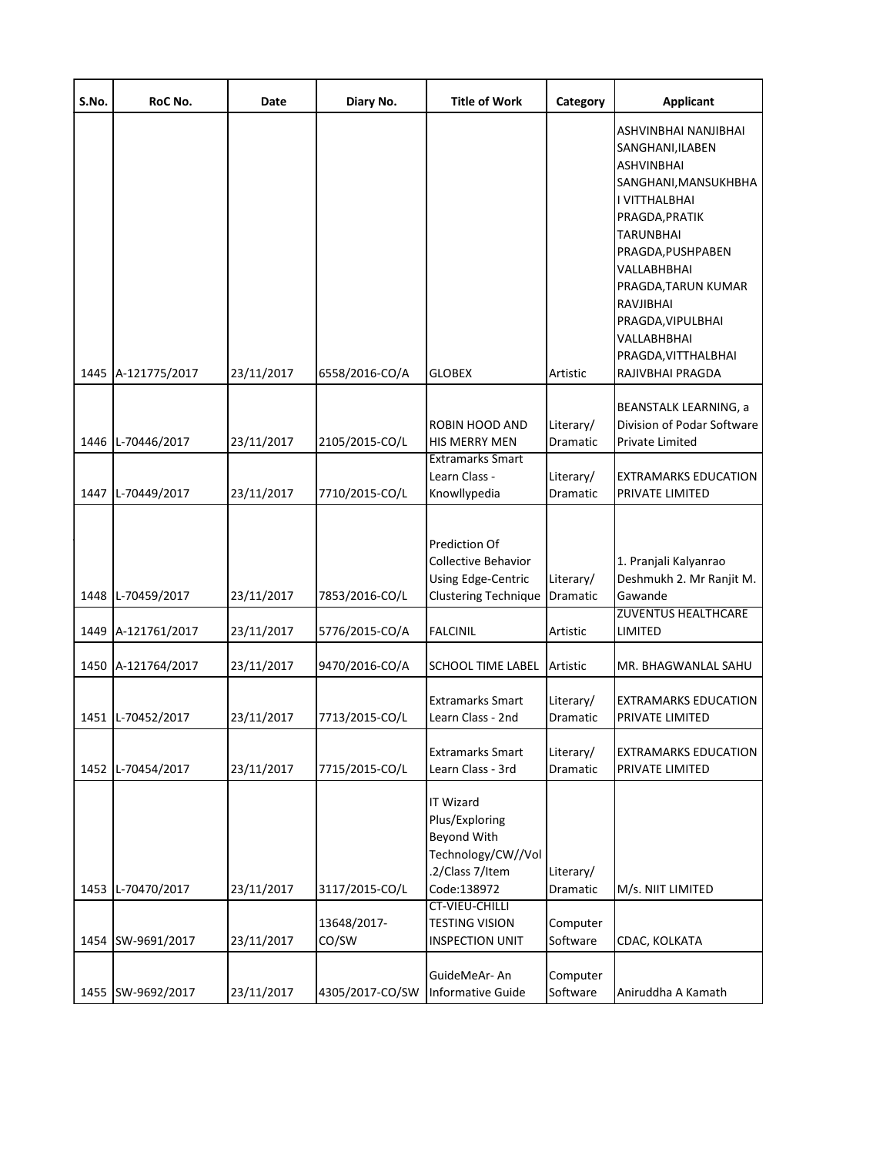| S.No. | RoC No.                                | Date                     | Diary No.                              | <b>Title of Work</b>                                                                                                                                                           | Category                                      | <b>Applicant</b>                                                                                                                                                                                                                                                                      |
|-------|----------------------------------------|--------------------------|----------------------------------------|--------------------------------------------------------------------------------------------------------------------------------------------------------------------------------|-----------------------------------------------|---------------------------------------------------------------------------------------------------------------------------------------------------------------------------------------------------------------------------------------------------------------------------------------|
|       | 1445 A-121775/2017                     | 23/11/2017               | 6558/2016-CO/A                         | <b>GLOBEX</b>                                                                                                                                                                  | Artistic                                      | ASHVINBHAI NANJIBHAI<br>SANGHANI, ILABEN<br>ASHVINBHAI<br>SANGHANI, MANSUKHBHA<br>I VITTHALBHAI<br>PRAGDA, PRATIK<br>TARUNBHAI<br>PRAGDA, PUSHPABEN<br>VALLABHBHAI<br>PRAGDA, TARUN KUMAR<br>RAVJIBHAI<br>PRAGDA, VIPULBHAI<br>VALLABHBHAI<br>PRAGDA, VITTHALBHAI<br>RAJIVBHAI PRAGDA |
|       |                                        |                          |                                        |                                                                                                                                                                                |                                               |                                                                                                                                                                                                                                                                                       |
|       | 1446 L-70446/2017                      | 23/11/2017               | 2105/2015-CO/L                         | ROBIN HOOD AND<br><b>HIS MERRY MEN</b><br><b>Extramarks Smart</b>                                                                                                              | Literary/<br>Dramatic                         | BEANSTALK LEARNING, a<br>Division of Podar Software<br>Private Limited                                                                                                                                                                                                                |
|       | 1447 L-70449/2017                      | 23/11/2017               | 7710/2015-CO/L                         | Learn Class -<br>Knowllypedia                                                                                                                                                  | Literary/<br>Dramatic                         | EXTRAMARKS EDUCATION<br>PRIVATE LIMITED                                                                                                                                                                                                                                               |
|       | 1448 L-70459/2017                      | 23/11/2017               | 7853/2016-CO/L                         | Prediction Of<br>Collective Behavior<br>Using Edge-Centric<br><b>Clustering Technique</b>                                                                                      | Literary/<br>Dramatic                         | 1. Pranjali Kalyanrao<br>Deshmukh 2. Mr Ranjit M.<br>Gawande                                                                                                                                                                                                                          |
|       | 1449 A-121761/2017                     | 23/11/2017               | 5776/2015-CO/A                         | <b>FALCINIL</b>                                                                                                                                                                | Artistic                                      | <b>ZUVENTUS HEALTHCARE</b><br>LIMITED                                                                                                                                                                                                                                                 |
|       | 1450 A-121764/2017                     | 23/11/2017               | 9470/2016-CO/A                         | SCHOOL TIME LABEL                                                                                                                                                              | Artistic                                      | MR. BHAGWANLAL SAHU                                                                                                                                                                                                                                                                   |
|       | 1451 L-70452/2017                      | 23/11/2017               | 7713/2015-CO/L                         | <b>Extramarks Smart</b><br>Learn Class - 2nd                                                                                                                                   | Literary/<br>Dramatic                         | <b>EXTRAMARKS EDUCATION</b><br>PRIVATE LIMITED                                                                                                                                                                                                                                        |
|       | 1452 L-70454/2017                      | 23/11/2017               | 7715/2015-CO/L                         | <b>Extramarks Smart</b><br>Learn Class - 3rd                                                                                                                                   | Literary/<br>Dramatic                         | <b>EXTRAMARKS EDUCATION</b><br>PRIVATE LIMITED                                                                                                                                                                                                                                        |
|       | 1453 L-70470/2017<br>1454 SW-9691/2017 | 23/11/2017<br>23/11/2017 | 3117/2015-CO/L<br>13648/2017-<br>CO/SW | IT Wizard<br>Plus/Exploring<br>Beyond With<br>Technology/CW//Vol<br>.2/Class 7/Item<br>Code:138972<br><b>CT-VIEU-CHILLI</b><br><b>TESTING VISION</b><br><b>INSPECTION UNIT</b> | Literary/<br>Dramatic<br>Computer<br>Software | M/s. NIIT LIMITED<br>CDAC, KOLKATA                                                                                                                                                                                                                                                    |
|       | 1455 SW-9692/2017                      | 23/11/2017               | 4305/2017-CO/SW                        | GuideMeAr- An<br><b>Informative Guide</b>                                                                                                                                      | Computer<br>Software                          | Aniruddha A Kamath                                                                                                                                                                                                                                                                    |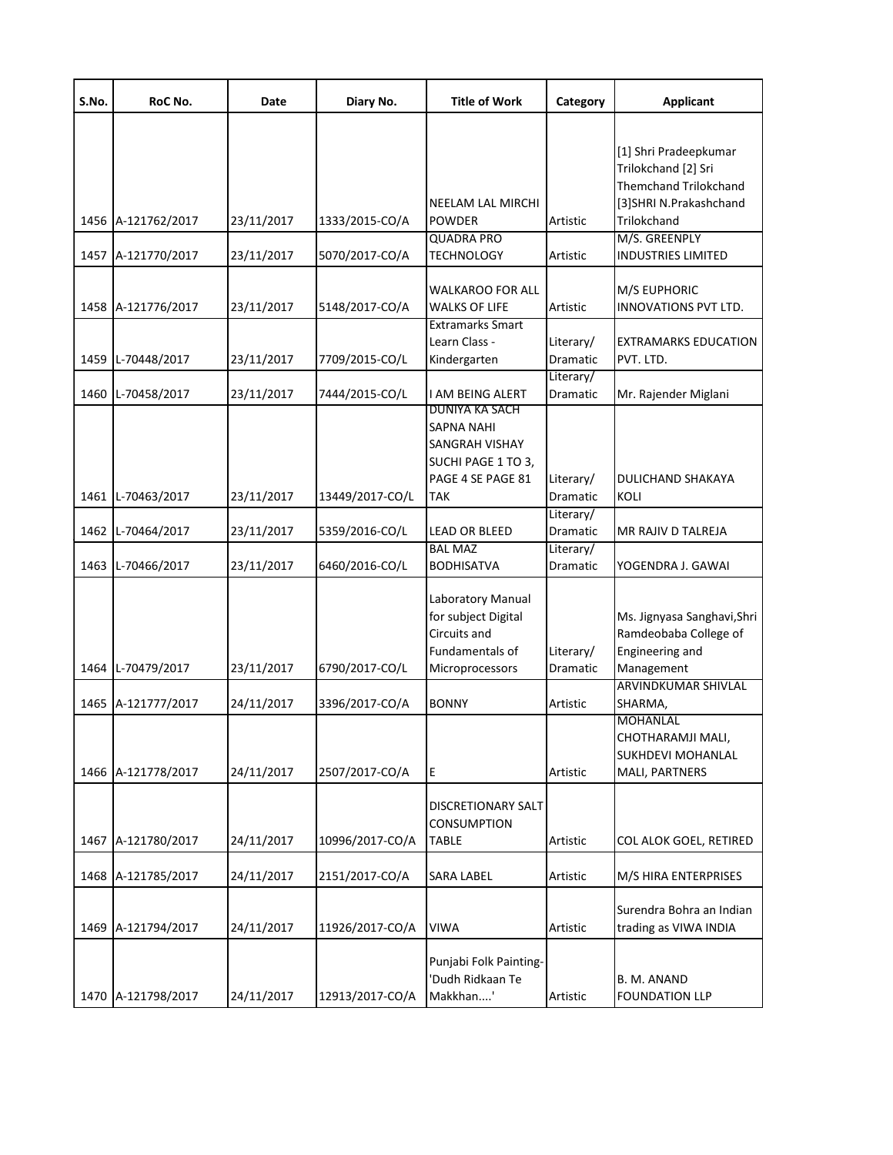| S.No. | RoC No.            | Date       | Diary No.       | <b>Title of Work</b>     | Category              | <b>Applicant</b>                                    |
|-------|--------------------|------------|-----------------|--------------------------|-----------------------|-----------------------------------------------------|
|       |                    |            |                 |                          |                       |                                                     |
|       |                    |            |                 |                          |                       | [1] Shri Pradeepkumar                               |
|       |                    |            |                 |                          |                       | Trilokchand [2] Sri<br><b>Themchand Trilokchand</b> |
|       |                    |            |                 | <b>NEELAM LAL MIRCHI</b> |                       | [3]SHRI N.Prakashchand                              |
|       | 1456 A-121762/2017 | 23/11/2017 | 1333/2015-CO/A  | <b>POWDER</b>            | Artistic              | Trilokchand                                         |
|       |                    |            |                 | <b>QUADRA PRO</b>        |                       | M/S. GREENPLY                                       |
|       | 1457 A-121770/2017 | 23/11/2017 | 5070/2017-CO/A  | <b>TECHNOLOGY</b>        | Artistic              | <b>INDUSTRIES LIMITED</b>                           |
|       |                    |            |                 | <b>WALKAROO FOR ALL</b>  |                       | M/S EUPHORIC                                        |
|       | 1458 A-121776/2017 | 23/11/2017 | 5148/2017-CO/A  | <b>WALKS OF LIFE</b>     | Artistic              | INNOVATIONS PVT LTD.                                |
|       |                    |            |                 | <b>Extramarks Smart</b>  |                       |                                                     |
|       |                    |            |                 | Learn Class -            | Literary/             | EXTRAMARKS EDUCATION                                |
|       | 1459 L-70448/2017  | 23/11/2017 | 7709/2015-CO/L  | Kindergarten             | Dramatic              | PVT. LTD.                                           |
|       | 1460 L-70458/2017  |            | 7444/2015-CO/L  | I AM BEING ALERT         | Literary/<br>Dramatic |                                                     |
|       |                    | 23/11/2017 |                 | DUNIYA KA SACH           |                       | Mr. Rajender Miglani                                |
|       |                    |            |                 | <b>SAPNA NAHI</b>        |                       |                                                     |
|       |                    |            |                 | SANGRAH VISHAY           |                       |                                                     |
|       |                    |            |                 | SUCHI PAGE 1 TO 3,       |                       |                                                     |
|       |                    |            |                 | PAGE 4 SE PAGE 81        | Literary/             | DULICHAND SHAKAYA                                   |
|       | 1461 L-70463/2017  | 23/11/2017 | 13449/2017-CO/L | <b>TAK</b>               | Dramatic              | KOLI                                                |
|       |                    |            |                 |                          | Literary/             |                                                     |
|       | 1462 L-70464/2017  | 23/11/2017 | 5359/2016-CO/L  | <b>LEAD OR BLEED</b>     | Dramatic              | MR RAJIV D TALREJA                                  |
|       |                    |            |                 | <b>BAL MAZ</b>           | Literary/             |                                                     |
|       | 1463 L-70466/2017  | 23/11/2017 | 6460/2016-CO/L  | <b>BODHISATVA</b>        | Dramatic              | YOGENDRA J. GAWAI                                   |
|       |                    |            |                 | Laboratory Manual        |                       |                                                     |
|       |                    |            |                 | for subject Digital      |                       | Ms. Jignyasa Sanghavi, Shri                         |
|       |                    |            |                 | Circuits and             |                       | Ramdeobaba College of                               |
|       |                    |            |                 | Fundamentals of          | Literary/             | Engineering and                                     |
|       | 1464 L-70479/2017  | 23/11/2017 | 6790/2017-CO/L  | Microprocessors          | Dramatic              | Management                                          |
|       |                    |            |                 |                          |                       | ARVINDKUMAR SHIVLAL                                 |
|       | 1465 A-121777/2017 | 24/11/2017 | 3396/2017-CO/A  | <b>BONNY</b>             | Artistic              | SHARMA,                                             |
|       |                    |            |                 |                          |                       | MOHANLAL                                            |
|       |                    |            |                 |                          |                       | CHOTHARAMJI MALI,                                   |
|       | 1466 A-121778/2017 | 24/11/2017 | 2507/2017-CO/A  | E                        | Artistic              | SUKHDEVI MOHANLAL<br>MALI, PARTNERS                 |
|       |                    |            |                 |                          |                       |                                                     |
|       |                    |            |                 | DISCRETIONARY SALT       |                       |                                                     |
|       |                    |            |                 | <b>CONSUMPTION</b>       |                       |                                                     |
|       | 1467 A-121780/2017 | 24/11/2017 | 10996/2017-CO/A | <b>TABLE</b>             | Artistic              | COL ALOK GOEL, RETIRED                              |
|       |                    |            |                 |                          |                       |                                                     |
|       | 1468 A-121785/2017 | 24/11/2017 | 2151/2017-CO/A  | SARA LABEL               | Artistic              | M/S HIRA ENTERPRISES                                |
|       |                    |            |                 |                          |                       | Surendra Bohra an Indian                            |
|       | 1469 A-121794/2017 | 24/11/2017 | 11926/2017-CO/A | <b>VIWA</b>              | Artistic              | trading as VIWA INDIA                               |
|       |                    |            |                 |                          |                       |                                                     |
|       |                    |            |                 | Punjabi Folk Painting-   |                       |                                                     |
|       |                    |            |                 | 'Dudh Ridkaan Te         |                       | B. M. ANAND                                         |
|       | 1470 A-121798/2017 | 24/11/2017 | 12913/2017-CO/A | Makkhan'                 | Artistic              | <b>FOUNDATION LLP</b>                               |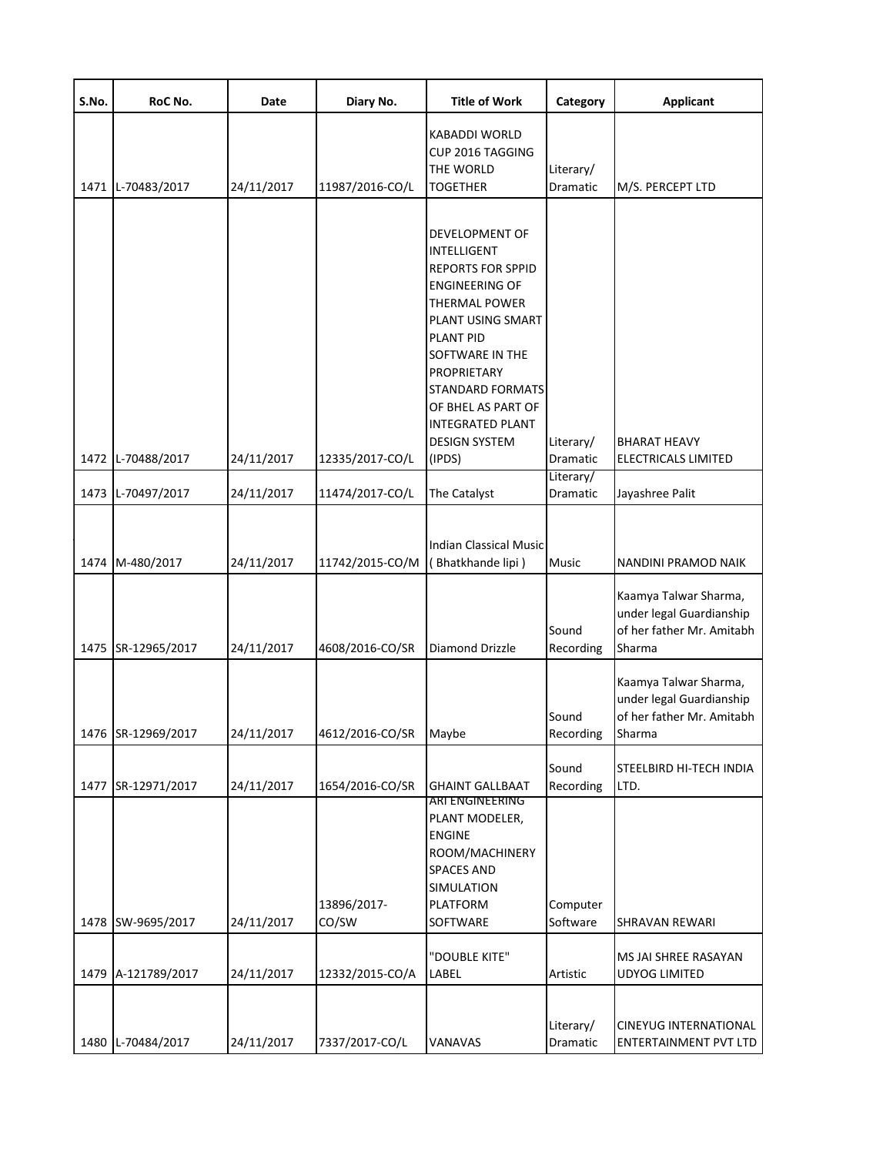| S.No. | RoC No.                                  | Date                     | Diary No.                          | <b>Title of Work</b>                                                                                                                                                                                                                                                                                              | Category                        | <b>Applicant</b>                                                                                      |
|-------|------------------------------------------|--------------------------|------------------------------------|-------------------------------------------------------------------------------------------------------------------------------------------------------------------------------------------------------------------------------------------------------------------------------------------------------------------|---------------------------------|-------------------------------------------------------------------------------------------------------|
|       | 1471 L-70483/2017                        | 24/11/2017               | 11987/2016-CO/L                    | <b>KABADDI WORLD</b><br>CUP 2016 TAGGING<br>THE WORLD<br><b>TOGETHER</b>                                                                                                                                                                                                                                          | Literary/<br>Dramatic           | M/S. PERCEPT LTD                                                                                      |
|       | 1472 L-70488/2017                        | 24/11/2017               | 12335/2017-CO/L                    | <b>DEVELOPMENT OF</b><br><b>INTELLIGENT</b><br><b>REPORTS FOR SPPID</b><br><b>ENGINEERING OF</b><br><b>THERMAL POWER</b><br>PLANT USING SMART<br><b>PLANT PID</b><br>SOFTWARE IN THE<br>PROPRIETARY<br><b>STANDARD FORMATS</b><br>OF BHEL AS PART OF<br><b>INTEGRATED PLANT</b><br><b>DESIGN SYSTEM</b><br>(IPDS) | Literary/<br>Dramatic           | <b>BHARAT HEAVY</b><br>ELECTRICALS LIMITED                                                            |
|       | 1473 L-70497/2017                        | 24/11/2017               | 11474/2017-CO/L                    | The Catalyst                                                                                                                                                                                                                                                                                                      | Literary/<br>Dramatic           | Jayashree Palit                                                                                       |
|       | 1474 M-480/2017                          | 24/11/2017               | 11742/2015-CO/M                    | <b>Indian Classical Music</b><br>(Bhatkhande lipi)                                                                                                                                                                                                                                                                | Music<br>Sound                  | NANDINI PRAMOD NAIK<br>Kaamya Talwar Sharma,<br>under legal Guardianship<br>of her father Mr. Amitabh |
|       | 1475 SR-12965/2017<br>1476 SR-12969/2017 | 24/11/2017<br>24/11/2017 | 4608/2016-CO/SR<br>4612/2016-CO/SR | <b>Diamond Drizzle</b><br>Maybe                                                                                                                                                                                                                                                                                   | Recording<br>Sound<br>Recording | Sharma<br>Kaamya Talwar Sharma,<br>under legal Guardianship<br>of her father Mr. Amitabh<br>Sharma    |
|       | 1477 SR-12971/2017                       | 24/11/2017               | 1654/2016-CO/SR                    | <b>GHAINT GALLBAAT</b><br>ARI ENGINEERING<br>PLANT MODELER,                                                                                                                                                                                                                                                       | Sound<br>Recording              | STEELBIRD HI-TECH INDIA<br>LTD.                                                                       |
|       | 1478 SW-9695/2017                        | 24/11/2017               | 13896/2017-<br>CO/SW               | <b>ENGINE</b><br>ROOM/MACHINERY<br><b>SPACES AND</b><br><b>SIMULATION</b><br>PLATFORM<br>SOFTWARE                                                                                                                                                                                                                 | Computer<br>Software            | <b>SHRAVAN REWARI</b>                                                                                 |
|       | 1479 A-121789/2017                       | 24/11/2017               | 12332/2015-CO/A                    | "DOUBLE KITE"<br><b>LABEL</b>                                                                                                                                                                                                                                                                                     | Artistic                        | MS JAI SHREE RASAYAN<br><b>UDYOG LIMITED</b>                                                          |
|       | 1480 L-70484/2017                        | 24/11/2017               | 7337/2017-CO/L                     | VANAVAS                                                                                                                                                                                                                                                                                                           | Literary/<br>Dramatic           | <b>CINEYUG INTERNATIONAL</b><br>ENTERTAINMENT PVT LTD                                                 |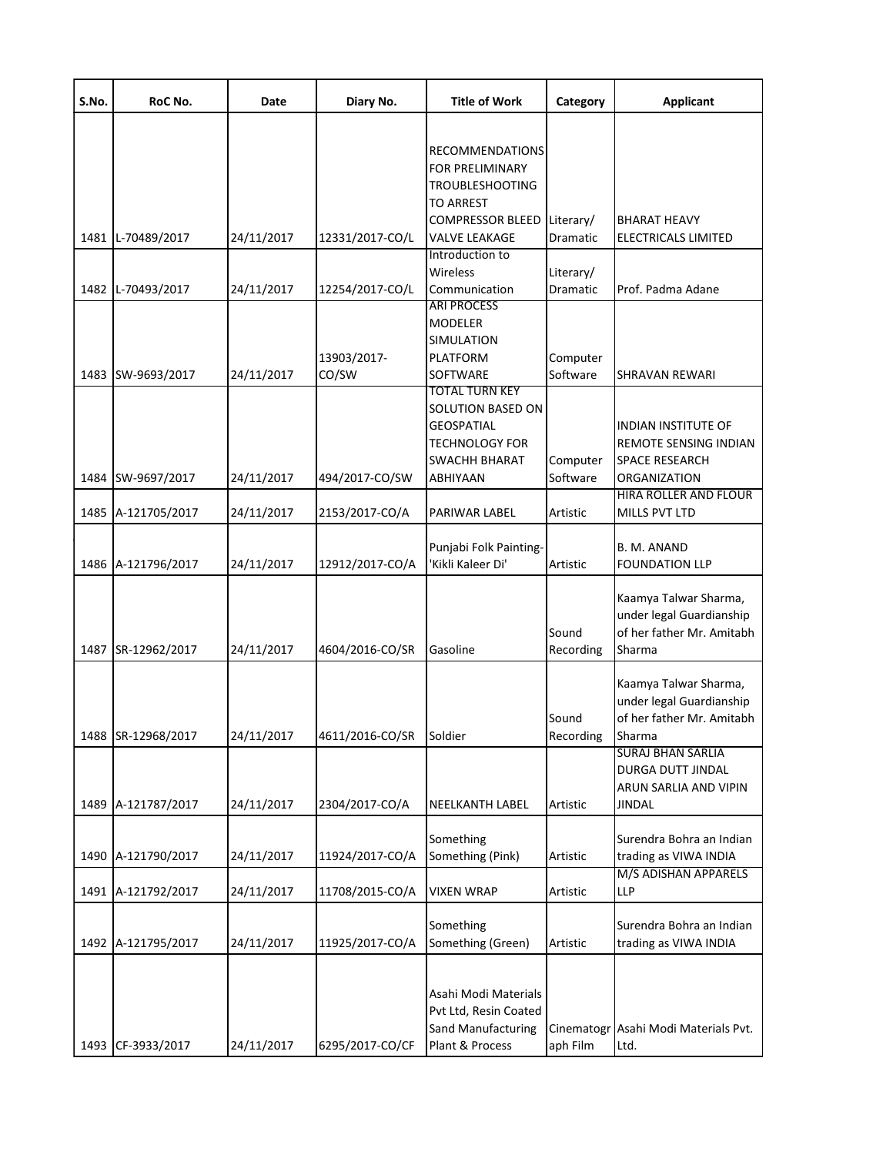| S.No. | RoC No.            | Date       | Diary No.            | <b>Title of Work</b>                                                                                           | Category              | <b>Applicant</b>                                                                               |
|-------|--------------------|------------|----------------------|----------------------------------------------------------------------------------------------------------------|-----------------------|------------------------------------------------------------------------------------------------|
|       |                    |            |                      | <b>RECOMMENDATIONS</b><br><b>FOR PRELIMINARY</b><br><b>TROUBLESHOOTING</b><br>TO ARREST                        |                       |                                                                                                |
|       | 1481 L-70489/2017  | 24/11/2017 | 12331/2017-CO/L      | <b>COMPRESSOR BLEED</b><br><b>VALVE LEAKAGE</b>                                                                | Literary/<br>Dramatic | <b>BHARAT HEAVY</b><br>ELECTRICALS LIMITED                                                     |
|       | 1482 L-70493/2017  | 24/11/2017 | 12254/2017-CO/L      | Introduction to<br>Wireless<br>Communication                                                                   | Literary/<br>Dramatic | Prof. Padma Adane                                                                              |
|       | 1483 SW-9693/2017  | 24/11/2017 | 13903/2017-<br>CO/SW | <b>ARI PROCESS</b><br>MODELER<br>SIMULATION<br>PLATFORM<br>SOFTWARE                                            | Computer<br>Software  | SHRAVAN REWARI                                                                                 |
|       | 1484 SW-9697/2017  | 24/11/2017 | 494/2017-CO/SW       | TOTAL TURN KEY<br>SOLUTION BASED ON<br><b>GEOSPATIAL</b><br><b>TECHNOLOGY FOR</b><br>SWACHH BHARAT<br>ABHIYAAN | Computer<br>Software  | INDIAN INSTITUTE OF<br>REMOTE SENSING INDIAN<br><b>SPACE RESEARCH</b><br>ORGANIZATION          |
|       | 1485 A-121705/2017 | 24/11/2017 | 2153/2017-CO/A       | PARIWAR LABEL                                                                                                  | Artistic              | HIRA ROLLER AND FLOUR<br>MILLS PVT LTD                                                         |
|       | 1486 A-121796/2017 | 24/11/2017 | 12912/2017-CO/A      | Punjabi Folk Painting-<br>'Kikli Kaleer Di'                                                                    | Artistic              | B. M. ANAND<br><b>FOUNDATION LLP</b>                                                           |
|       | 1487 SR-12962/2017 | 24/11/2017 | 4604/2016-CO/SR      | Gasoline                                                                                                       | Sound<br>Recording    | Kaamya Talwar Sharma,<br>under legal Guardianship<br>of her father Mr. Amitabh<br>Sharma       |
|       | 1488 SR-12968/2017 | 24/11/2017 | 4611/2016-CO/SR      | Soldier                                                                                                        | Sound<br>Recording    | Kaamya Talwar Sharma,<br>under legal Guardianship<br>of her father Mr. Amitabh<br>Sharma       |
|       | 1489 A-121787/2017 | 24/11/2017 | 2304/2017-CO/A       | NEELKANTH LABEL                                                                                                | Artistic              | <b>SURAJ BHAN SARLIA</b><br><b>DURGA DUTT JINDAL</b><br>ARUN SARLIA AND VIPIN<br><b>JINDAL</b> |
|       | 1490 A-121790/2017 | 24/11/2017 | 11924/2017-CO/A      | Something<br>Something (Pink)                                                                                  | Artistic              | Surendra Bohra an Indian<br>trading as VIWA INDIA                                              |
|       | 1491 A-121792/2017 | 24/11/2017 | 11708/2015-CO/A      | <b>VIXEN WRAP</b>                                                                                              | Artistic              | M/S ADISHAN APPARELS<br>LLP                                                                    |
|       | 1492 A-121795/2017 | 24/11/2017 | 11925/2017-CO/A      | Something<br>Something (Green)                                                                                 | Artistic              | Surendra Bohra an Indian<br>trading as VIWA INDIA                                              |
|       | 1493 CF-3933/2017  | 24/11/2017 | 6295/2017-CO/CF      | Asahi Modi Materials<br>Pvt Ltd, Resin Coated<br>Sand Manufacturing<br>Plant & Process                         | aph Film              | Cinematogr Asahi Modi Materials Pvt.<br>Ltd.                                                   |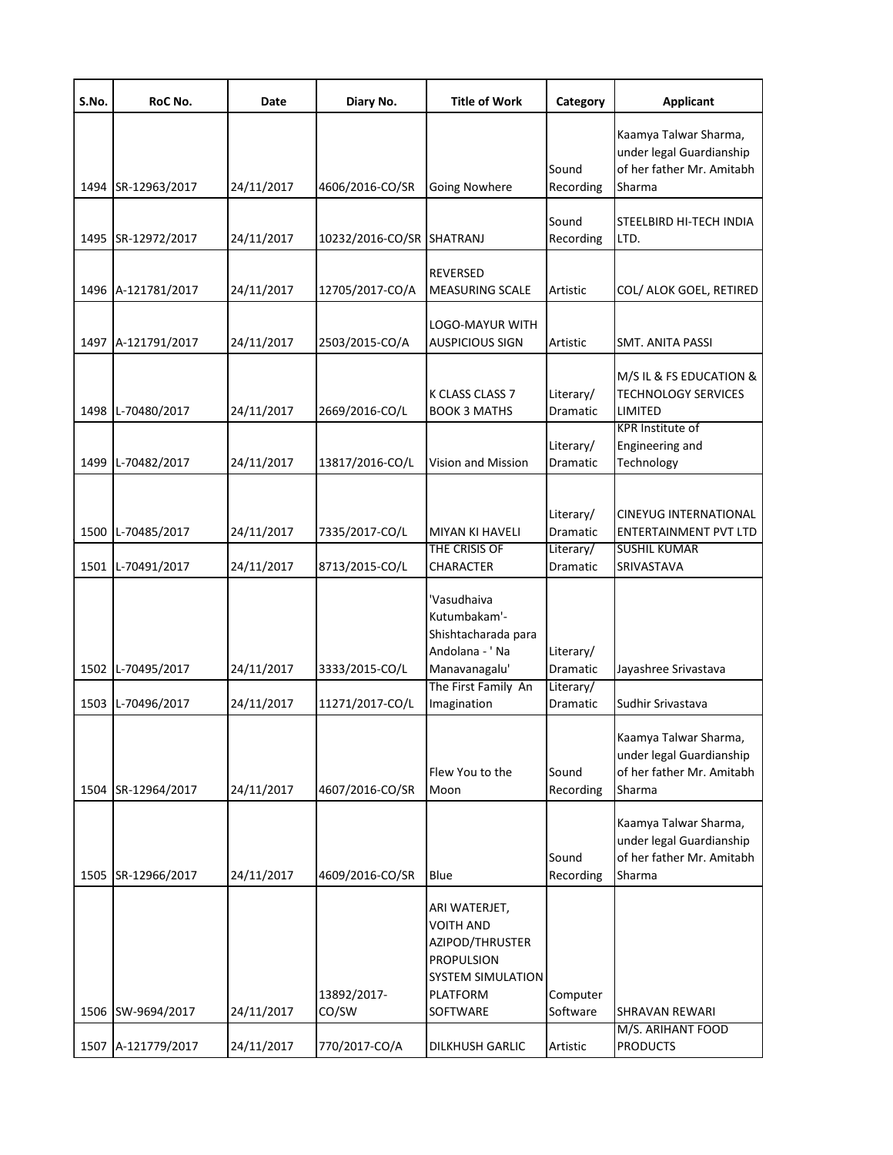| S.No. | RoC No.            | Date       | Diary No.            | <b>Title of Work</b>                                                                                                          | Category                           | <b>Applicant</b>                                                                            |
|-------|--------------------|------------|----------------------|-------------------------------------------------------------------------------------------------------------------------------|------------------------------------|---------------------------------------------------------------------------------------------|
|       | 1494 SR-12963/2017 | 24/11/2017 | 4606/2016-CO/SR      | <b>Going Nowhere</b>                                                                                                          | Sound<br>Recording                 | Kaamya Talwar Sharma,<br>under legal Guardianship<br>of her father Mr. Amitabh<br>Sharma    |
|       | 1495 SR-12972/2017 | 24/11/2017 | 10232/2016-CO/SR     | SHATRANJ                                                                                                                      | Sound<br>Recording                 | STEELBIRD HI-TECH INDIA<br>LTD.                                                             |
|       | 1496 A-121781/2017 | 24/11/2017 | 12705/2017-CO/A      | <b>REVERSED</b><br><b>MEASURING SCALE</b>                                                                                     | Artistic                           | COL/ ALOK GOEL, RETIRED                                                                     |
|       | 1497 A-121791/2017 | 24/11/2017 | 2503/2015-CO/A       | LOGO-MAYUR WITH<br><b>AUSPICIOUS SIGN</b>                                                                                     | Artistic                           | SMT. ANITA PASSI                                                                            |
|       | 1498 L-70480/2017  | 24/11/2017 | 2669/2016-CO/L       | K CLASS CLASS 7<br><b>BOOK 3 MATHS</b>                                                                                        | Literary/<br>Dramatic              | M/S IL & FS EDUCATION &<br><b>TECHNOLOGY SERVICES</b><br>LIMITED<br><b>KPR Institute of</b> |
|       | 1499 L-70482/2017  | 24/11/2017 | 13817/2016-CO/L      | <b>Vision and Mission</b>                                                                                                     | Literary/<br>Dramatic              | Engineering and<br>Technology                                                               |
|       | 1500 L-70485/2017  | 24/11/2017 | 7335/2017-CO/L       | <b>MIYAN KI HAVELI</b><br>THE CRISIS OF                                                                                       | Literary/<br>Dramatic<br>Literary/ | <b>CINEYUG INTERNATIONAL</b><br>ENTERTAINMENT PVT LTD<br><b>SUSHIL KUMAR</b>                |
|       | 1501 L-70491/2017  | 24/11/2017 | 8713/2015-CO/L       | <b>CHARACTER</b>                                                                                                              | Dramatic                           | SRIVASTAVA                                                                                  |
|       | 1502 L-70495/2017  | 24/11/2017 | 3333/2015-CO/L       | 'Vasudhaiva<br>Kutumbakam'-<br>Shishtacharada para<br>Andolana - 'Na<br>Manavanagalu'<br>The First Family An                  | Literary/<br>Dramatic<br>Literary/ | Jayashree Srivastava                                                                        |
|       | 1503 L-70496/2017  | 24/11/2017 | 11271/2017-CO/L      | Imagination                                                                                                                   | <b>Dramatic</b>                    | Sudhir Srivastava                                                                           |
|       | 1504 SR-12964/2017 | 24/11/2017 | 4607/2016-CO/SR      | Flew You to the<br>Moon                                                                                                       | Sound<br>Recording                 | Kaamya Talwar Sharma,<br>under legal Guardianship<br>of her father Mr. Amitabh<br>Sharma    |
|       | 1505 SR-12966/2017 | 24/11/2017 | 4609/2016-CO/SR      | Blue                                                                                                                          | Sound<br>Recording                 | Kaamya Talwar Sharma,<br>under legal Guardianship<br>of her father Mr. Amitabh<br>Sharma    |
|       | 1506 SW-9694/2017  | 24/11/2017 | 13892/2017-<br>CO/SW | ARI WATERJET,<br><b>VOITH AND</b><br>AZIPOD/THRUSTER<br><b>PROPULSION</b><br>SYSTEM SIMULATION<br><b>PLATFORM</b><br>SOFTWARE | Computer<br>Software               | SHRAVAN REWARI<br>M/S. ARIHANT FOOD                                                         |
|       | 1507 A-121779/2017 | 24/11/2017 | 770/2017-CO/A        | DILKHUSH GARLIC                                                                                                               | Artistic                           | <b>PRODUCTS</b>                                                                             |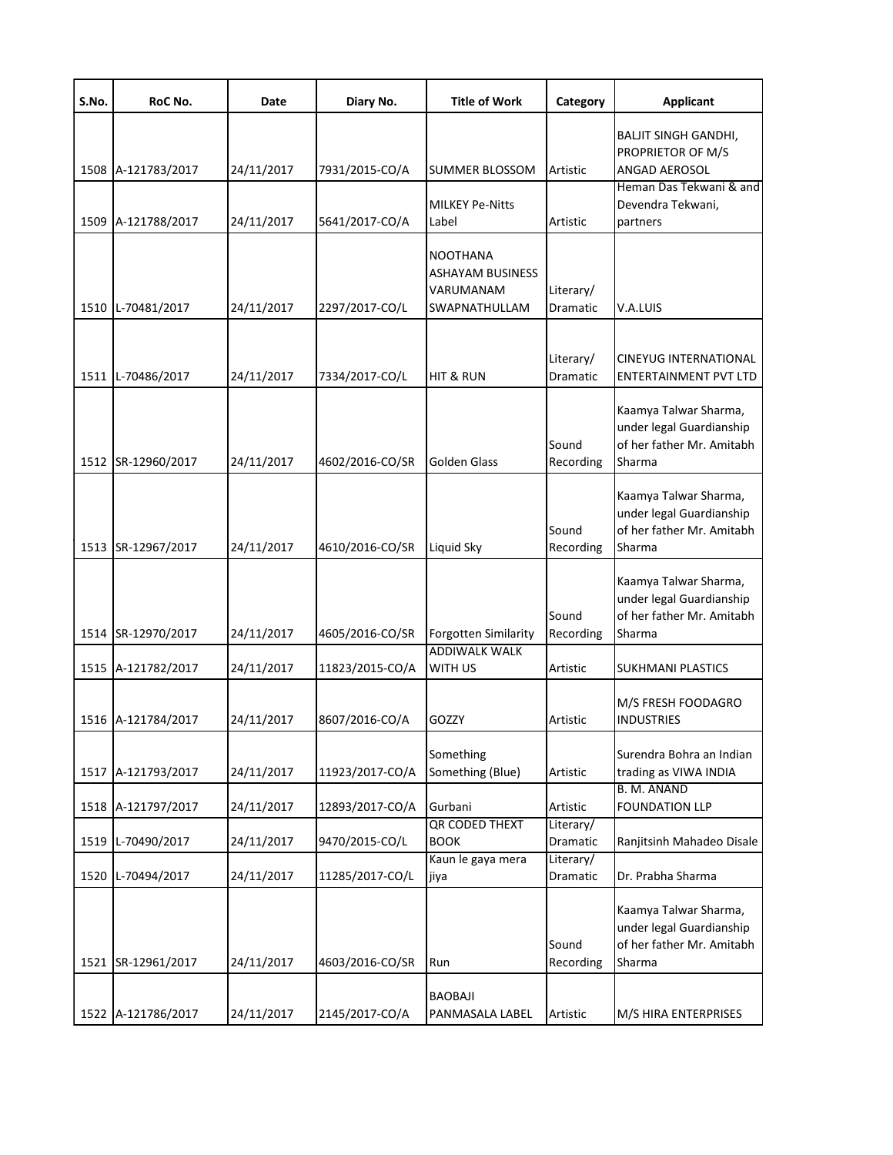| S.No. | RoC No.            | Date       | Diary No.       | <b>Title of Work</b>                                                     | Category              | <b>Applicant</b>                                                                         |
|-------|--------------------|------------|-----------------|--------------------------------------------------------------------------|-----------------------|------------------------------------------------------------------------------------------|
|       |                    |            |                 |                                                                          |                       | BALJIT SINGH GANDHI,                                                                     |
|       |                    |            |                 |                                                                          |                       | PROPRIETOR OF M/S                                                                        |
|       | 1508 A-121783/2017 | 24/11/2017 | 7931/2015-CO/A  | <b>SUMMER BLOSSOM</b>                                                    | Artistic              | ANGAD AEROSOL                                                                            |
|       |                    |            |                 | <b>MILKEY Pe-Nitts</b>                                                   |                       | Heman Das Tekwani & and<br>Devendra Tekwani,                                             |
|       | 1509 A-121788/2017 | 24/11/2017 | 5641/2017-CO/A  | Label                                                                    | Artistic              | partners                                                                                 |
|       | 1510 L-70481/2017  | 24/11/2017 | 2297/2017-CO/L  | <b>NOOTHANA</b><br><b>ASHAYAM BUSINESS</b><br>VARUMANAM<br>SWAPNATHULLAM | Literary/<br>Dramatic | V.A.LUIS                                                                                 |
|       |                    |            |                 |                                                                          |                       |                                                                                          |
|       | 1511 L-70486/2017  | 24/11/2017 | 7334/2017-CO/L  | HIT & RUN                                                                | Literary/<br>Dramatic | <b>CINEYUG INTERNATIONAL</b><br><b>ENTERTAINMENT PVT LTD</b>                             |
|       | 1512 SR-12960/2017 | 24/11/2017 | 4602/2016-CO/SR | <b>Golden Glass</b>                                                      | Sound<br>Recording    | Kaamya Talwar Sharma,<br>under legal Guardianship<br>of her father Mr. Amitabh<br>Sharma |
|       | 1513 SR-12967/2017 | 24/11/2017 | 4610/2016-CO/SR | Liquid Sky                                                               | Sound<br>Recording    | Kaamya Talwar Sharma,<br>under legal Guardianship<br>of her father Mr. Amitabh<br>Sharma |
|       | 1514 SR-12970/2017 | 24/11/2017 | 4605/2016-CO/SR | <b>Forgotten Similarity</b>                                              | Sound<br>Recording    | Kaamya Talwar Sharma,<br>under legal Guardianship<br>of her father Mr. Amitabh<br>Sharma |
|       | 1515 A-121782/2017 | 24/11/2017 | 11823/2015-CO/A | <b>ADDIWALK WALK</b><br>WITH US                                          | Artistic              | SUKHMANI PLASTICS                                                                        |
|       | 1516 A-121784/2017 | 24/11/2017 | 8607/2016-CO/A  | GOZZY                                                                    | Artistic              | M/S FRESH FOODAGRO<br><b>INDUSTRIES</b>                                                  |
|       | 1517 A-121793/2017 | 24/11/2017 | 11923/2017-CO/A | Something<br>Something (Blue)                                            | Artistic              | Surendra Bohra an Indian<br>trading as VIWA INDIA                                        |
|       | 1518 A-121797/2017 | 24/11/2017 | 12893/2017-CO/A | Gurbani                                                                  | Artistic              | <b>B. M. ANAND</b><br><b>FOUNDATION LLP</b>                                              |
|       | 1519 L-70490/2017  | 24/11/2017 | 9470/2015-CO/L  | QR CODED THEXT<br><b>BOOK</b>                                            | Literary/<br>Dramatic | Ranjitsinh Mahadeo Disale                                                                |
|       | 1520 L-70494/2017  | 24/11/2017 | 11285/2017-CO/L | Kaun le gaya mera<br>jiya                                                | Literary/<br>Dramatic | Dr. Prabha Sharma                                                                        |
|       | 1521 SR-12961/2017 | 24/11/2017 | 4603/2016-CO/SR | Run                                                                      | Sound<br>Recording    | Kaamya Talwar Sharma,<br>under legal Guardianship<br>of her father Mr. Amitabh<br>Sharma |
|       | 1522 A-121786/2017 | 24/11/2017 | 2145/2017-CO/A  | <b>BAOBAJI</b><br>PANMASALA LABEL                                        | Artistic              | M/S HIRA ENTERPRISES                                                                     |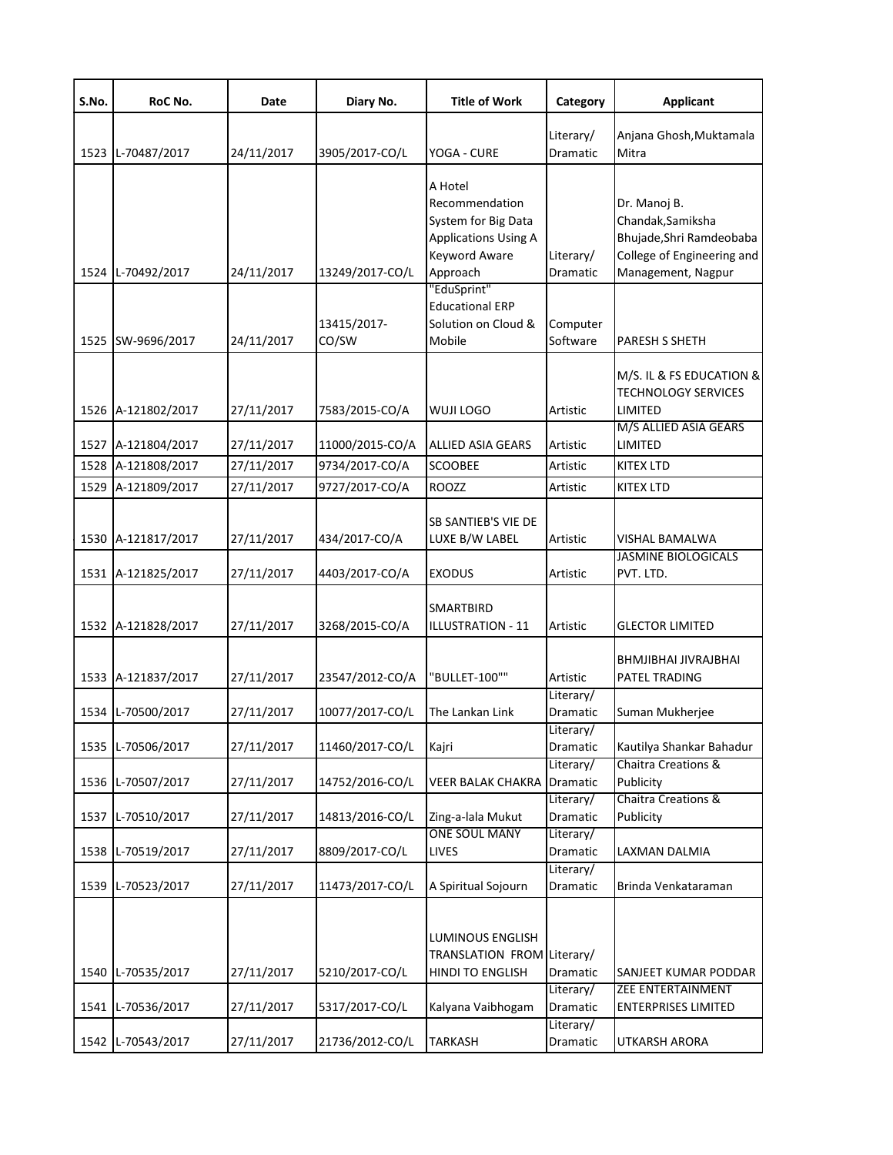| S.No. | RoC No.            | Date       | Diary No.            | <b>Title of Work</b>                                                                                                | Category                           | <b>Applicant</b>                                                                                                  |
|-------|--------------------|------------|----------------------|---------------------------------------------------------------------------------------------------------------------|------------------------------------|-------------------------------------------------------------------------------------------------------------------|
|       | 1523 L-70487/2017  | 24/11/2017 | 3905/2017-CO/L       | YOGA - CURE                                                                                                         | Literary/<br>Dramatic              | Anjana Ghosh, Muktamala<br>Mitra                                                                                  |
|       | 1524 L-70492/2017  | 24/11/2017 | 13249/2017-CO/L      | A Hotel<br>Recommendation<br>System for Big Data<br><b>Applications Using A</b><br><b>Keyword Aware</b><br>Approach | Literary/<br>Dramatic              | Dr. Manoj B.<br>Chandak, Samiksha<br>Bhujade, Shri Ramdeobaba<br>College of Engineering and<br>Management, Nagpur |
|       | 1525 SW-9696/2017  | 24/11/2017 | 13415/2017-<br>CO/SW | "EduSprint"<br><b>Educational ERP</b><br>Solution on Cloud &<br>Mobile                                              | Computer<br>Software               | PARESH S SHETH                                                                                                    |
|       | 1526 A-121802/2017 | 27/11/2017 | 7583/2015-CO/A       | <b>WUJI LOGO</b>                                                                                                    | Artistic                           | M/S. IL & FS EDUCATION &<br><b>TECHNOLOGY SERVICES</b><br>LIMITED                                                 |
|       | 1527 A-121804/2017 | 27/11/2017 | 11000/2015-CO/A      | <b>ALLIED ASIA GEARS</b>                                                                                            | Artistic                           | M/S ALLIED ASIA GEARS<br>LIMITED                                                                                  |
|       | 1528 A-121808/2017 | 27/11/2017 | 9734/2017-CO/A       | <b>SCOOBEE</b>                                                                                                      | Artistic                           | <b>KITEX LTD</b>                                                                                                  |
| 1529  | A-121809/2017      | 27/11/2017 | 9727/2017-CO/A       | <b>ROOZZ</b>                                                                                                        | Artistic                           | <b>KITEX LTD</b>                                                                                                  |
|       | 1530 A-121817/2017 | 27/11/2017 | 434/2017-CO/A        | SB SANTIEB'S VIE DE<br>LUXE B/W LABEL                                                                               | Artistic                           | VISHAL BAMALWA<br><b>JASMINE BIOLOGICALS</b>                                                                      |
|       | 1531 A-121825/2017 | 27/11/2017 | 4403/2017-CO/A       | <b>EXODUS</b>                                                                                                       | Artistic                           | PVT. LTD.                                                                                                         |
|       | 1532 A-121828/2017 | 27/11/2017 | 3268/2015-CO/A       | SMARTBIRD<br>ILLUSTRATION - 11                                                                                      | Artistic                           | <b>GLECTOR LIMITED</b>                                                                                            |
|       | 1533 A-121837/2017 | 27/11/2017 | 23547/2012-CO/A      | "BULLET-100""                                                                                                       | Artistic                           | <b>BHMJIBHAI JIVRAJBHAI</b><br><b>PATEL TRADING</b>                                                               |
|       | 1534 L-70500/2017  | 27/11/2017 | 10077/2017-CO/L      | The Lankan Link                                                                                                     | Literary/<br>Dramatic              | Suman Mukherjee                                                                                                   |
|       | 1535 L-70506/2017  | 27/11/2017 | 11460/2017-CO/L      | Kajri                                                                                                               | Literary/<br>Dramatic              | Kautilya Shankar Bahadur<br>Chaitra Creations &                                                                   |
|       | 1536 L-70507/2017  | 27/11/2017 | 14752/2016-CO/L      | VEER BALAK CHAKRA                                                                                                   | Literary/<br>Dramatic<br>Literary/ | Publicity<br><b>Chaitra Creations &amp;</b>                                                                       |
|       | 1537 L-70510/2017  | 27/11/2017 | 14813/2016-CO/L      | Zing-a-lala Mukut                                                                                                   | Dramatic                           | Publicity                                                                                                         |
|       | 1538 L-70519/2017  | 27/11/2017 | 8809/2017-CO/L       | <b>ONE SOUL MANY</b><br>LIVES                                                                                       | Literary/<br>Dramatic              | LAXMAN DALMIA                                                                                                     |
|       | 1539 L-70523/2017  | 27/11/2017 | 11473/2017-CO/L      | A Spiritual Sojourn                                                                                                 | Literary/<br>Dramatic              | Brinda Venkataraman                                                                                               |
|       | 1540 L-70535/2017  | 27/11/2017 | 5210/2017-CO/L       | LUMINOUS ENGLISH<br>TRANSLATION FROM Literary/<br>HINDI TO ENGLISH                                                  | Dramatic                           | SANJEET KUMAR PODDAR                                                                                              |
|       | 1541 L-70536/2017  | 27/11/2017 | 5317/2017-CO/L       | Kalyana Vaibhogam                                                                                                   | Literary/<br>Dramatic              | ZEE ENTERTAINMENT<br><b>ENTERPRISES LIMITED</b>                                                                   |
|       | 1542 L-70543/2017  | 27/11/2017 | 21736/2012-CO/L      | <b>TARKASH</b>                                                                                                      | Literary/<br>Dramatic              | UTKARSH ARORA                                                                                                     |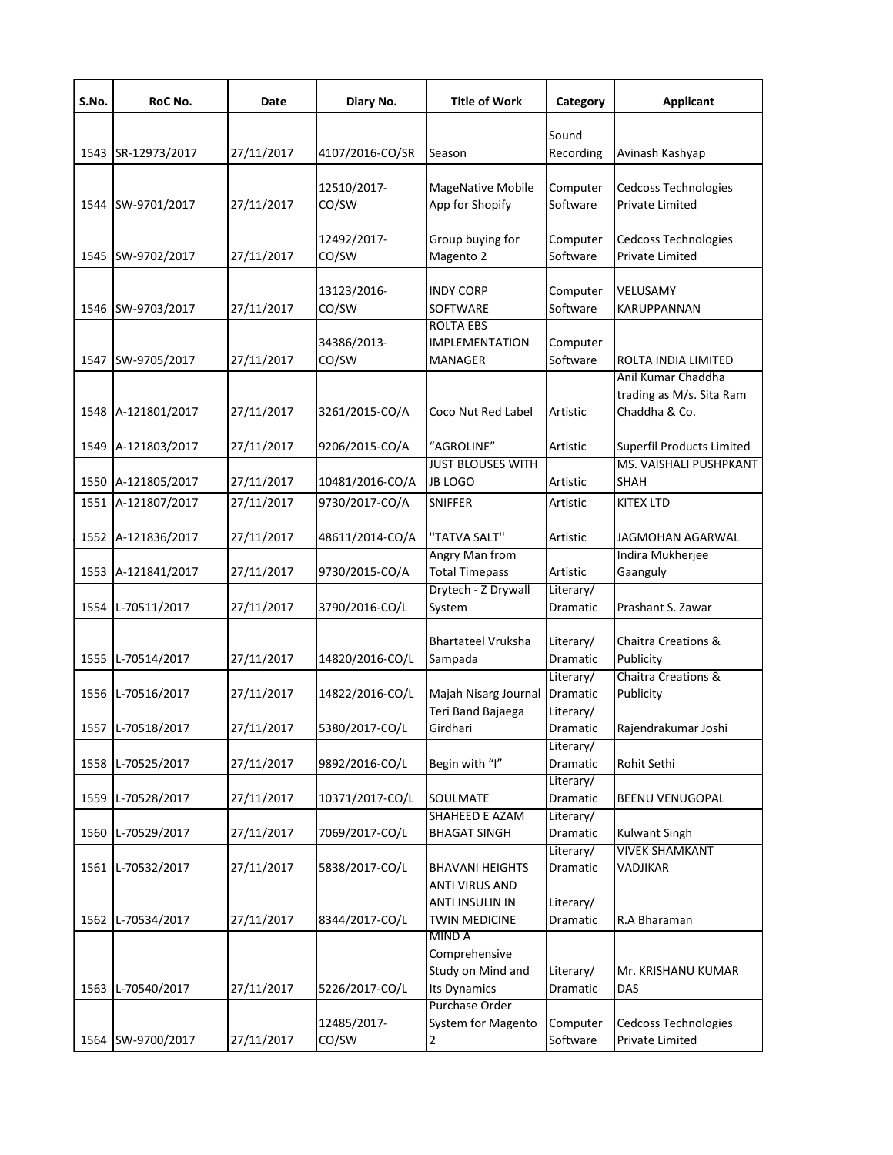| S.No. | RoC No.            | Date       | Diary No.            | <b>Title of Work</b>                            | Category              | <b>Applicant</b>                          |
|-------|--------------------|------------|----------------------|-------------------------------------------------|-----------------------|-------------------------------------------|
|       |                    |            |                      |                                                 | Sound                 |                                           |
|       | 1543 SR-12973/2017 | 27/11/2017 | 4107/2016-CO/SR      | Season                                          | Recording             | Avinash Kashyap                           |
|       |                    |            |                      |                                                 |                       |                                           |
|       | 1544 SW-9701/2017  | 27/11/2017 | 12510/2017-<br>CO/SW | MageNative Mobile<br>App for Shopify            | Computer<br>Software  | Cedcoss Technologies<br>Private Limited   |
|       |                    |            |                      |                                                 |                       |                                           |
|       |                    |            | 12492/2017-          | Group buying for                                | Computer              | Cedcoss Technologies                      |
|       | 1545 SW-9702/2017  | 27/11/2017 | CO/SW                | Magento 2                                       | Software              | Private Limited                           |
|       |                    |            | 13123/2016-          | <b>INDY CORP</b>                                |                       | VELUSAMY                                  |
|       | 1546 SW-9703/2017  | 27/11/2017 | CO/SW                | SOFTWARE                                        | Computer<br>Software  | KARUPPANNAN                               |
|       |                    |            |                      | <b>ROLTA EBS</b>                                |                       |                                           |
|       |                    |            | 34386/2013-          | <b>IMPLEMENTATION</b>                           | Computer              |                                           |
|       | 1547 SW-9705/2017  | 27/11/2017 | CO/SW                | MANAGER                                         | Software              | ROLTA INDIA LIMITED                       |
|       |                    |            |                      |                                                 |                       | Anil Kumar Chaddha                        |
|       | 1548 A-121801/2017 | 27/11/2017 | 3261/2015-CO/A       | Coco Nut Red Label                              | Artistic              | trading as M/s. Sita Ram<br>Chaddha & Co. |
|       |                    |            |                      |                                                 |                       |                                           |
|       | 1549 A-121803/2017 | 27/11/2017 | 9206/2015-CO/A       | "AGROLINE"                                      | Artistic              | Superfil Products Limited                 |
|       |                    |            |                      | <b>JUST BLOUSES WITH</b>                        |                       | MS. VAISHALI PUSHPKANT                    |
|       | 1550 A-121805/2017 | 27/11/2017 | 10481/2016-CO/A      | <b>JB LOGO</b>                                  | Artistic              | <b>SHAH</b>                               |
|       | 1551 A-121807/2017 | 27/11/2017 | 9730/2017-CO/A       | SNIFFER                                         | Artistic              | KITEX LTD                                 |
|       | 1552 A-121836/2017 | 27/11/2017 | 48611/2014-CO/A      | "TATVA SALT"                                    | Artistic              | JAGMOHAN AGARWAL                          |
|       |                    |            |                      | Angry Man from                                  |                       | Indira Mukherjee                          |
|       | 1553 A-121841/2017 | 27/11/2017 | 9730/2015-CO/A       | <b>Total Timepass</b>                           | Artistic              | Gaanguly                                  |
|       |                    |            |                      | Drytech - Z Drywall                             | Literary/             |                                           |
|       | 1554 L-70511/2017  | 27/11/2017 | 3790/2016-CO/L       | System                                          | Dramatic              | Prashant S. Zawar                         |
|       |                    |            |                      | <b>Bhartateel Vruksha</b>                       |                       | <b>Chaitra Creations &amp;</b>            |
|       | 1555 L-70514/2017  | 27/11/2017 | 14820/2016-CO/L      | Sampada                                         | Literary/<br>Dramatic | Publicity                                 |
|       |                    |            |                      |                                                 | Literary/             | Chaitra Creations &                       |
|       | 1556 L-70516/2017  | 27/11/2017 | 14822/2016-CO/L      | Majah Nisarg Journal                            | Dramatic              | Publicity                                 |
|       |                    |            |                      | Teri Band Bajaega                               | Literary/             |                                           |
|       | 1557 L-70518/2017  | 27/11/2017 | 5380/2017-CO/L       | Girdhari                                        | Dramatic              | Rajendrakumar Joshi                       |
| 1558  | L-70525/2017       | 27/11/2017 | 9892/2016-CO/L       | Begin with "I"                                  | Literary/<br>Dramatic | Rohit Sethi                               |
|       |                    |            |                      |                                                 | Literary/             |                                           |
| 1559  | L-70528/2017       | 27/11/2017 | 10371/2017-CO/L      | SOULMATE                                        | Dramatic              | BEENU VENUGOPAL                           |
|       |                    |            |                      | SHAHEED E AZAM                                  | Literary/             |                                           |
| 1560  | L-70529/2017       | 27/11/2017 | 7069/2017-CO/L       | <b>BHAGAT SINGH</b>                             | Dramatic              | <b>Kulwant Singh</b>                      |
|       |                    |            |                      |                                                 | Literary/             | <b>VIVEK SHAMKANT</b>                     |
| 1561  | L-70532/2017       | 27/11/2017 | 5838/2017-CO/L       | <b>BHAVANI HEIGHTS</b><br><b>ANTI VIRUS AND</b> | Dramatic              | VADJIKAR                                  |
|       |                    |            |                      | <b>ANTI INSULIN IN</b>                          | Literary/             |                                           |
|       | 1562 L-70534/2017  | 27/11/2017 | 8344/2017-CO/L       | <b>TWIN MEDICINE</b>                            | Dramatic              | R.A Bharaman                              |
|       |                    |            |                      | MIND A                                          |                       |                                           |
|       |                    |            |                      | Comprehensive                                   |                       |                                           |
|       | 1563 L-70540/2017  | 27/11/2017 | 5226/2017-CO/L       | Study on Mind and<br>Its Dynamics               | Literary/<br>Dramatic | Mr. KRISHANU KUMAR<br>DAS                 |
|       |                    |            |                      | Purchase Order                                  |                       |                                           |
|       |                    |            | 12485/2017-          | System for Magento                              | Computer              | Cedcoss Technologies                      |
|       | 1564 SW-9700/2017  | 27/11/2017 | CO/SW                |                                                 | Software              | Private Limited                           |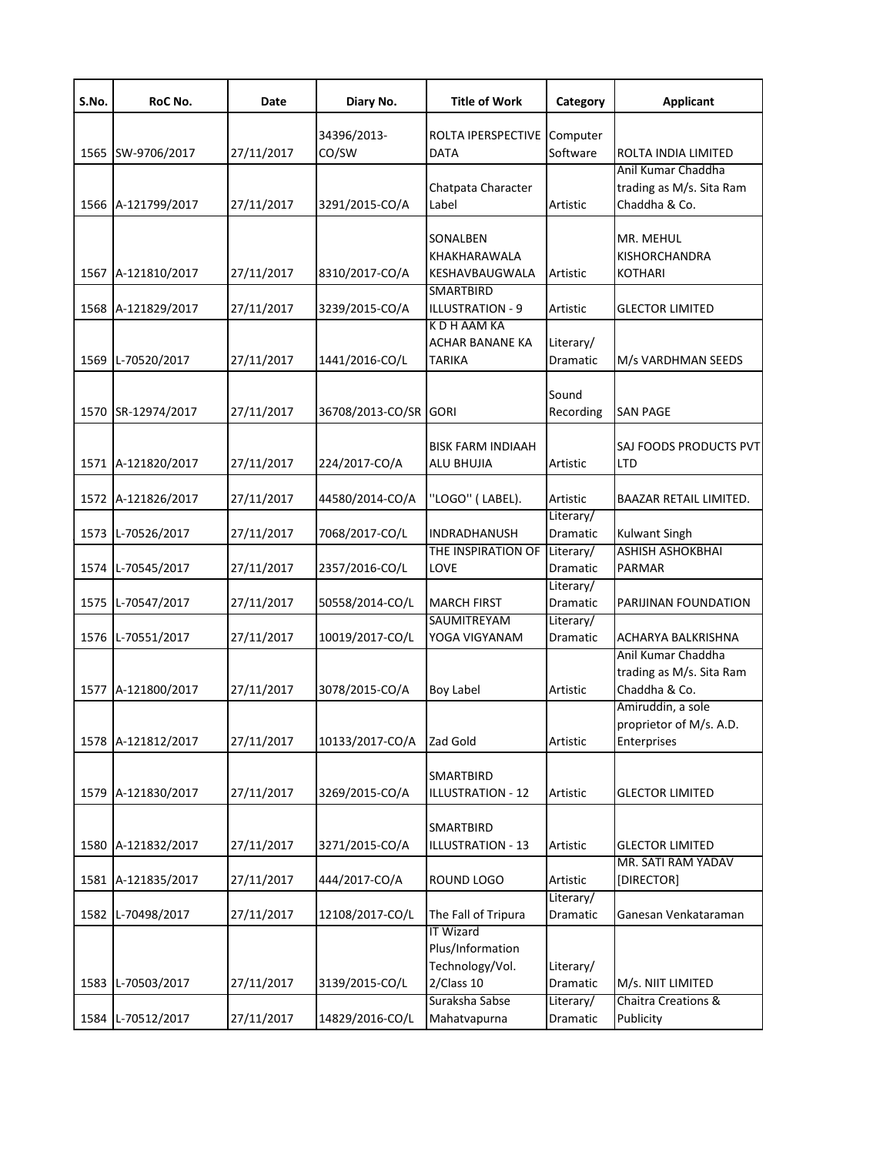| S.No. | RoC No.            | Date       | Diary No.        | <b>Title of Work</b>                                    | Category              | <b>Applicant</b>                                                |
|-------|--------------------|------------|------------------|---------------------------------------------------------|-----------------------|-----------------------------------------------------------------|
|       |                    |            | 34396/2013-      | ROLTA IPERSPECTIVE                                      | Computer              |                                                                 |
|       | 1565 SW-9706/2017  | 27/11/2017 | CO/SW            | <b>DATA</b>                                             | Software              | ROLTA INDIA LIMITED                                             |
|       |                    |            |                  |                                                         |                       | Anil Kumar Chaddha                                              |
|       |                    |            |                  | Chatpata Character                                      |                       | trading as M/s. Sita Ram                                        |
|       | 1566 A-121799/2017 | 27/11/2017 | 3291/2015-CO/A   | Label                                                   | Artistic              | Chaddha & Co.                                                   |
|       | 1567 A-121810/2017 | 27/11/2017 | 8310/2017-CO/A   | SONALBEN<br>KHAKHARAWALA<br>KESHAVBAUGWALA              | Artistic              | MR. MEHUL<br><b>KISHORCHANDRA</b><br><b>KOTHARI</b>             |
|       | 1568 A-121829/2017 | 27/11/2017 | 3239/2015-CO/A   | <b>SMARTBIRD</b><br>ILLUSTRATION - 9                    | Artistic              | <b>GLECTOR LIMITED</b>                                          |
|       |                    |            |                  | K D H AAM KA                                            |                       |                                                                 |
|       |                    |            |                  | ACHAR BANANE KA                                         | Literary/             |                                                                 |
|       | 1569 L-70520/2017  | 27/11/2017 | 1441/2016-CO/L   | TARIKA                                                  | Dramatic              | M/s VARDHMAN SEEDS                                              |
|       | 1570 SR-12974/2017 | 27/11/2017 | 36708/2013-CO/SR | <b>GORI</b>                                             | Sound<br>Recording    | <b>SAN PAGE</b>                                                 |
|       | 1571 A-121820/2017 | 27/11/2017 | 224/2017-CO/A    | <b>BISK FARM INDIAAH</b><br>ALU BHUJIA                  | Artistic              | SAJ FOODS PRODUCTS PVT<br>LTD                                   |
|       | 1572 A-121826/2017 | 27/11/2017 | 44580/2014-CO/A  | 'LOGO" (LABEL).                                         | Artistic              | BAAZAR RETAIL LIMITED.                                          |
|       | 1573 L-70526/2017  | 27/11/2017 | 7068/2017-CO/L   | INDRADHANUSH                                            | Literary/<br>Dramatic | <b>Kulwant Singh</b>                                            |
|       | 1574 L-70545/2017  | 27/11/2017 | 2357/2016-CO/L   | THE INSPIRATION OF Literary/<br>LOVE                    | Dramatic              | <b>ASHISH ASHOKBHAI</b><br>PARMAR                               |
|       | 1575 L-70547/2017  | 27/11/2017 | 50558/2014-CO/L  | <b>MARCH FIRST</b>                                      | Literary/<br>Dramatic | PARIJINAN FOUNDATION                                            |
|       |                    |            |                  | SAUMITREYAM                                             | Literary/             |                                                                 |
|       | 1576 L-70551/2017  | 27/11/2017 | 10019/2017-CO/L  | YOGA VIGYANAM                                           | Dramatic              | ACHARYA BALKRISHNA                                              |
|       | 1577 A-121800/2017 | 27/11/2017 | 3078/2015-CO/A   | Boy Label                                               | Artistic              | Anil Kumar Chaddha<br>trading as M/s. Sita Ram<br>Chaddha & Co. |
|       | 1578 A-121812/2017 | 27/11/2017 | 10133/2017-CO/A  | Zad Gold                                                | Artistic              | Amiruddin, a sole<br>proprietor of M/s. A.D.<br>Enterprises     |
|       | 1579 A-121830/2017 | 27/11/2017 | 3269/2015-CO/A   | <b>SMARTBIRD</b><br><b>ILLUSTRATION - 12</b>            | Artistic              | <b>GLECTOR LIMITED</b>                                          |
|       | 1580 A-121832/2017 | 27/11/2017 | 3271/2015-CO/A   | SMARTBIRD<br><b>ILLUSTRATION - 13</b>                   | Artistic              | <b>GLECTOR LIMITED</b>                                          |
|       |                    |            |                  |                                                         |                       | MR. SATI RAM YADAV                                              |
|       | 1581 A-121835/2017 | 27/11/2017 | 444/2017-CO/A    | ROUND LOGO                                              | Artistic<br>Literary/ | [DIRECTOR]                                                      |
| 1582  | L-70498/2017       | 27/11/2017 | 12108/2017-CO/L  | The Fall of Tripura                                     | Dramatic              | Ganesan Venkataraman                                            |
|       |                    |            |                  | <b>IT Wizard</b><br>Plus/Information<br>Technology/Vol. | Literary/             |                                                                 |
|       | 1583 L-70503/2017  | 27/11/2017 | 3139/2015-CO/L   | 2/Class 10                                              | Dramatic              | M/s. NIIT LIMITED                                               |
|       |                    |            |                  | Suraksha Sabse                                          | Literary/             | Chaitra Creations &                                             |
|       | 1584 L-70512/2017  | 27/11/2017 | 14829/2016-CO/L  | Mahatvapurna                                            | Dramatic              | Publicity                                                       |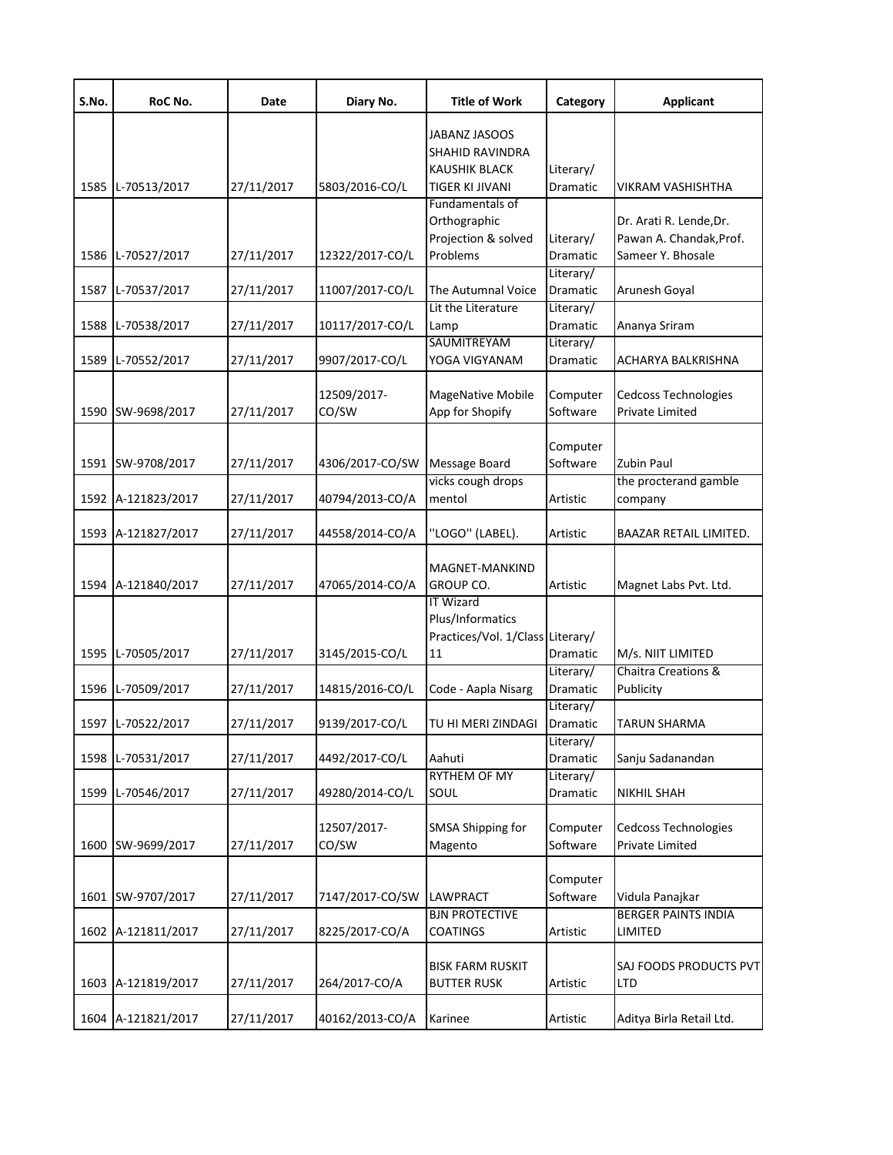| S.No. | RoC No.            | Date       | Diary No.       | <b>Title of Work</b>             | Category  | <b>Applicant</b>           |
|-------|--------------------|------------|-----------------|----------------------------------|-----------|----------------------------|
|       |                    |            |                 | JABANZ JASOOS                    |           |                            |
|       |                    |            |                 | SHAHID RAVINDRA                  |           |                            |
|       |                    |            |                 | KAUSHIK BLACK                    | Literary/ |                            |
|       | 1585 L-70513/2017  | 27/11/2017 | 5803/2016-CO/L  | TIGER KI JIVANI                  | Dramatic  | VIKRAM VASHISHTHA          |
|       |                    |            |                 | Fundamentals of                  |           |                            |
|       |                    |            |                 | Orthographic                     |           | Dr. Arati R. Lende, Dr.    |
|       |                    |            |                 | Projection & solved              | Literary/ | Pawan A. Chandak, Prof.    |
|       | 1586 L-70527/2017  | 27/11/2017 | 12322/2017-CO/L | Problems                         | Dramatic  | Sameer Y. Bhosale          |
|       |                    |            |                 |                                  | Literary/ |                            |
| 1587  | L-70537/2017       | 27/11/2017 | 11007/2017-CO/L | The Autumnal Voice               | Dramatic  | Arunesh Goyal              |
|       |                    |            |                 | Lit the Literature               | Literary/ |                            |
| 1588  | L-70538/2017       | 27/11/2017 | 10117/2017-CO/L | Lamp                             | Dramatic  | Ananya Sriram              |
|       |                    |            |                 | SAUMITREYAM                      | Literary/ |                            |
| 1589  | L-70552/2017       | 27/11/2017 | 9907/2017-CO/L  | YOGA VIGYANAM                    | Dramatic  | ACHARYA BALKRISHNA         |
|       |                    |            |                 |                                  |           |                            |
|       |                    |            | 12509/2017-     | MageNative Mobile                | Computer  | Cedcoss Technologies       |
|       | 1590 SW-9698/2017  | 27/11/2017 | CO/SW           | App for Shopify                  | Software  | Private Limited            |
|       |                    |            |                 |                                  |           |                            |
|       |                    |            |                 |                                  | Computer  |                            |
|       | 1591 SW-9708/2017  | 27/11/2017 | 4306/2017-CO/SW | Message Board                    | Software  | <b>Zubin Paul</b>          |
|       |                    |            |                 | vicks cough drops                |           | the procterand gamble      |
|       | 1592 A-121823/2017 | 27/11/2017 | 40794/2013-CO/A | mentol                           | Artistic  | company                    |
|       |                    |            |                 |                                  |           |                            |
|       | 1593 A-121827/2017 | 27/11/2017 | 44558/2014-CO/A | "LOGO" (LABEL).                  | Artistic  | BAAZAR RETAIL LIMITED.     |
|       |                    |            |                 |                                  |           |                            |
|       |                    |            |                 | MAGNET-MANKIND                   |           |                            |
|       | 1594 A-121840/2017 | 27/11/2017 | 47065/2014-CO/A | GROUP CO.                        | Artistic  | Magnet Labs Pvt. Ltd.      |
|       |                    |            |                 | <b>IT Wizard</b>                 |           |                            |
|       |                    |            |                 | Plus/Informatics                 |           |                            |
|       |                    |            |                 | Practices/Vol. 1/Class Literary/ |           |                            |
|       | 1595 L-70505/2017  | 27/11/2017 | 3145/2015-CO/L  | 11                               | Dramatic  | M/s. NIIT LIMITED          |
|       |                    |            |                 |                                  | Literary/ | Chaitra Creations &        |
|       | 1596 L-70509/2017  | 27/11/2017 | 14815/2016-CO/L | Code - Aapla Nisarg              | Dramatic  | Publicity                  |
|       |                    |            |                 |                                  | Literary/ |                            |
|       | 1597 L-70522/2017  | 27/11/2017 | 9139/2017-CO/L  | TU HI MERI ZINDAGI               | Dramatic  | TARUN SHARMA               |
|       |                    |            |                 |                                  | Literary/ |                            |
| 1598  | L-70531/2017       | 27/11/2017 | 4492/2017-CO/L  | Aahuti                           | Dramatic  | Sanju Sadanandan           |
|       |                    |            |                 | <b>RYTHEM OF MY</b>              | Literary/ |                            |
| 1599  | L-70546/2017       | 27/11/2017 | 49280/2014-CO/L | SOUL                             | Dramatic  | NIKHIL SHAH                |
|       |                    |            |                 |                                  |           |                            |
|       |                    |            | 12507/2017-     | SMSA Shipping for                | Computer  | Cedcoss Technologies       |
| 1600  | SW-9699/2017       | 27/11/2017 | CO/SW           | Magento                          | Software  | Private Limited            |
|       |                    |            |                 |                                  |           |                            |
|       |                    |            |                 |                                  | Computer  |                            |
|       | 1601 SW-9707/2017  | 27/11/2017 | 7147/2017-CO/SW | LAWPRACT                         | Software  | Vidula Panajkar            |
|       |                    |            |                 | <b>BJN PROTECTIVE</b>            |           | <b>BERGER PAINTS INDIA</b> |
|       | 1602 A-121811/2017 | 27/11/2017 | 8225/2017-CO/A  | <b>COATINGS</b>                  | Artistic  | LIMITED                    |
|       |                    |            |                 |                                  |           |                            |
|       |                    |            |                 | <b>BISK FARM RUSKIT</b>          |           | SAJ FOODS PRODUCTS PVT     |
|       | 1603 A-121819/2017 | 27/11/2017 | 264/2017-CO/A   | <b>BUTTER RUSK</b>               | Artistic  | LTD                        |
|       |                    |            |                 |                                  |           |                            |
|       | 1604 A-121821/2017 | 27/11/2017 | 40162/2013-CO/A | Karinee                          | Artistic  | Aditya Birla Retail Ltd.   |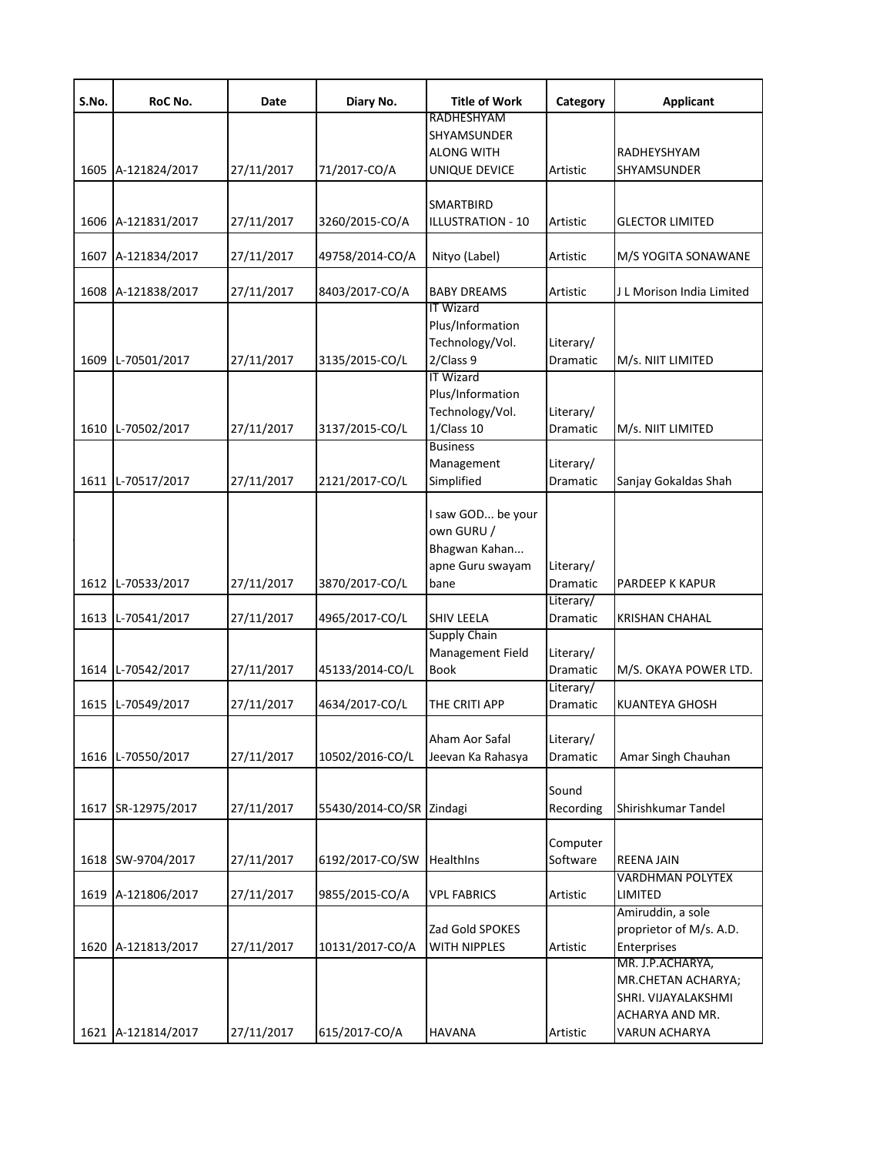| S.No. | RoC No.            | Date       | Diary No.                | <b>Title of Work</b>      | Category        | <b>Applicant</b>          |
|-------|--------------------|------------|--------------------------|---------------------------|-----------------|---------------------------|
|       |                    |            |                          | RADHESHYAM<br>SHYAMSUNDER |                 |                           |
|       |                    |            |                          | <b>ALONG WITH</b>         |                 | RADHEYSHYAM               |
|       | 1605 A-121824/2017 | 27/11/2017 | 71/2017-CO/A             | UNIQUE DEVICE             | Artistic        | <b>SHYAMSUNDER</b>        |
|       |                    |            |                          |                           |                 |                           |
|       |                    |            |                          | SMARTBIRD                 |                 |                           |
| 1606  | A-121831/2017      | 27/11/2017 | 3260/2015-CO/A           | ILLUSTRATION - 10         | Artistic        | <b>GLECTOR LIMITED</b>    |
|       |                    |            |                          |                           |                 |                           |
| 1607  | A-121834/2017      | 27/11/2017 | 49758/2014-CO/A          | Nityo (Label)             | Artistic        | M/S YOGITA SONAWANE       |
|       |                    |            |                          |                           |                 |                           |
| 1608  | A-121838/2017      | 27/11/2017 | 8403/2017-CO/A           | <b>BABY DREAMS</b>        | Artistic        | J L Morison India Limited |
|       |                    |            |                          | <b>IT Wizard</b>          |                 |                           |
|       |                    |            |                          | Plus/Information          |                 |                           |
|       |                    |            |                          | Technology/Vol.           | Literary/       |                           |
| 1609  | L-70501/2017       | 27/11/2017 | 3135/2015-CO/L           | 2/Class 9                 | Dramatic        | M/s. NIIT LIMITED         |
|       |                    |            |                          | <b>IT Wizard</b>          |                 |                           |
|       |                    |            |                          | Plus/Information          |                 |                           |
|       |                    |            |                          | Technology/Vol.           | Literary/       |                           |
|       | 1610 L-70502/2017  | 27/11/2017 | 3137/2015-CO/L           | 1/Class 10                | Dramatic        | M/s. NIIT LIMITED         |
|       |                    |            |                          | <b>Business</b>           |                 |                           |
|       |                    |            | 2121/2017-CO/L           | Management                | Literary/       |                           |
|       | 1611 L-70517/2017  | 27/11/2017 |                          | Simplified                | Dramatic        | Sanjay Gokaldas Shah      |
|       |                    |            |                          | I saw GOD be your         |                 |                           |
|       |                    |            |                          | own GURU /                |                 |                           |
|       |                    |            |                          | Bhagwan Kahan             |                 |                           |
|       |                    |            |                          | apne Guru swayam          | Literary/       |                           |
|       | 1612 L-70533/2017  | 27/11/2017 | 3870/2017-CO/L           | bane                      | <b>Dramatic</b> | PARDEEP K KAPUR           |
|       |                    |            |                          |                           | Literary/       |                           |
| 1613  | L-70541/2017       | 27/11/2017 | 4965/2017-CO/L           | <b>SHIV LEELA</b>         | <b>Dramatic</b> | <b>KRISHAN CHAHAL</b>     |
|       |                    |            |                          | <b>Supply Chain</b>       |                 |                           |
|       |                    |            |                          | Management Field          | Literary/       |                           |
|       | 1614 L-70542/2017  | 27/11/2017 | 45133/2014-CO/L          | <b>Book</b>               | Dramatic        | M/S. OKAYA POWER LTD.     |
|       |                    |            |                          |                           | Literary/       |                           |
|       | 1615 L-70549/2017  | 27/11/2017 | 4634/2017-CO/L           | THE CRITI APP             | <b>Dramatic</b> | <b>KUANTEYA GHOSH</b>     |
|       |                    |            |                          |                           |                 |                           |
|       |                    |            |                          | Aham Aor Safal            | Literary/       |                           |
|       | 1616 L-70550/2017  | 27/11/2017 | 10502/2016-CO/L          | Jeevan Ka Rahasya         | Dramatic        | Amar Singh Chauhan        |
|       |                    |            |                          |                           |                 |                           |
|       |                    |            |                          |                           | Sound           |                           |
| 1617  | SR-12975/2017      | 27/11/2017 | 55430/2014-CO/SR Zindagi |                           | Recording       | Shirishkumar Tandel       |
|       |                    |            |                          |                           |                 |                           |
|       |                    |            |                          |                           | Computer        |                           |
|       | 1618 SW-9704/2017  | 27/11/2017 | 6192/2017-CO/SW          | <b>Healthins</b>          | Software        | <b>REENA JAIN</b>         |
|       |                    |            |                          |                           |                 | <b>VARDHMAN POLYTEX</b>   |
| 1619  | A-121806/2017      | 27/11/2017 | 9855/2015-CO/A           | <b>VPL FABRICS</b>        | Artistic        | LIMITED                   |
|       |                    |            |                          |                           |                 | Amiruddin, a sole         |
|       |                    |            |                          | Zad Gold SPOKES           |                 | proprietor of M/s. A.D.   |
| 1620  | A-121813/2017      | 27/11/2017 | 10131/2017-CO/A          | WITH NIPPLES              | Artistic        | Enterprises               |
|       |                    |            |                          |                           |                 | MR. J.P.ACHARYA,          |
|       |                    |            |                          |                           |                 | MR.CHETAN ACHARYA;        |
|       |                    |            |                          |                           |                 | SHRI. VIJAYALAKSHMI       |
|       |                    |            |                          |                           |                 | ACHARYA AND MR.           |
|       | 1621 A-121814/2017 | 27/11/2017 | 615/2017-CO/A            | <b>HAVANA</b>             | Artistic        | VARUN ACHARYA             |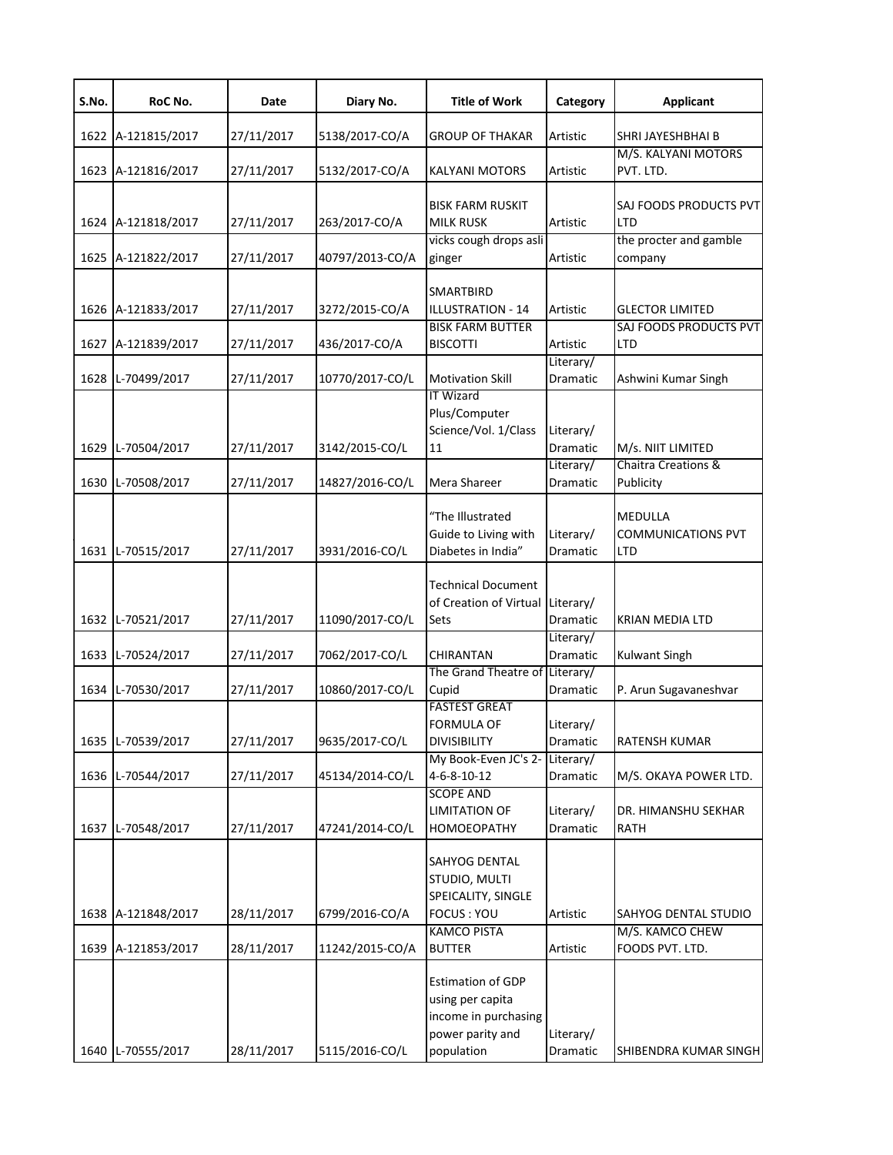| S.No. | RoC No.            | Date       | Diary No.       | <b>Title of Work</b>                                                                                   | Category                     | <b>Applicant</b>                            |
|-------|--------------------|------------|-----------------|--------------------------------------------------------------------------------------------------------|------------------------------|---------------------------------------------|
|       | 1622 A-121815/2017 | 27/11/2017 | 5138/2017-CO/A  | <b>GROUP OF THAKAR</b>                                                                                 | Artistic                     | SHRI JAYESHBHAI B                           |
|       |                    |            |                 |                                                                                                        |                              | M/S. KALYANI MOTORS                         |
|       | 1623 A-121816/2017 | 27/11/2017 | 5132/2017-CO/A  | <b>KALYANI MOTORS</b>                                                                                  | Artistic                     | PVT. LTD.                                   |
|       | 1624 A-121818/2017 | 27/11/2017 | 263/2017-CO/A   | <b>BISK FARM RUSKIT</b><br><b>MILK RUSK</b>                                                            | Artistic                     | SAJ FOODS PRODUCTS PVT<br>LTD               |
|       | 1625 A-121822/2017 | 27/11/2017 | 40797/2013-CO/A | vicks cough drops asli<br>ginger                                                                       | Artistic                     | the procter and gamble<br>company           |
|       | 1626 A-121833/2017 | 27/11/2017 | 3272/2015-CO/A  | <b>SMARTBIRD</b><br><b>ILLUSTRATION - 14</b>                                                           | Artistic                     | <b>GLECTOR LIMITED</b>                      |
|       | 1627 A-121839/2017 | 27/11/2017 | 436/2017-CO/A   | <b>BISK FARM BUTTER</b><br><b>BISCOTTI</b>                                                             | Artistic                     | SAJ FOODS PRODUCTS PVT<br>LTD               |
|       | 1628 L-70499/2017  | 27/11/2017 | 10770/2017-CO/L | <b>Motivation Skill</b>                                                                                | Literary/<br>Dramatic        | Ashwini Kumar Singh                         |
|       | 1629 L-70504/2017  | 27/11/2017 | 3142/2015-CO/L  | <b>IT Wizard</b><br>Plus/Computer<br>Science/Vol. 1/Class<br>11                                        | Literary/<br><b>Dramatic</b> | M/s. NIIT LIMITED                           |
|       | 1630 L-70508/2017  | 27/11/2017 | 14827/2016-CO/L | Mera Shareer                                                                                           | Literary/<br>Dramatic        | Chaitra Creations &<br>Publicity            |
|       | 1631 L-70515/2017  | 27/11/2017 | 3931/2016-CO/L  | "The Illustrated<br>Guide to Living with<br>Diabetes in India"                                         | Literary/<br>Dramatic        | MEDULLA<br><b>COMMUNICATIONS PVT</b><br>LTD |
|       | 1632 L-70521/2017  | 27/11/2017 | 11090/2017-CO/L | <b>Technical Document</b><br>of Creation of Virtual Literary/<br>Sets                                  | Dramatic                     | KRIAN MEDIA LTD                             |
|       | 1633 L-70524/2017  | 27/11/2017 | 7062/2017-CO/L  | CHIRANTAN                                                                                              | Literary/<br><b>Dramatic</b> | <b>Kulwant Singh</b>                        |
|       | 1634 L-70530/2017  | 27/11/2017 | 10860/2017-CO/L | The Grand Theatre of Literary/<br>Cupid                                                                | Dramatic                     | P. Arun Sugavaneshvar                       |
|       | 1635 L-70539/2017  | 27/11/2017 | 9635/2017-CO/L  | <b>FASTEST GREAT</b><br><b>FORMULA OF</b><br><b>DIVISIBILITY</b>                                       | Literary/<br>Dramatic        | RATENSH KUMAR                               |
|       | 1636 L-70544/2017  | 27/11/2017 | 45134/2014-CO/L | My Book-Even JC's 2-<br>$4 - 6 - 8 - 10 - 12$                                                          | Literary/<br>Dramatic        | M/S. OKAYA POWER LTD.                       |
| 1637  | L-70548/2017       | 27/11/2017 | 47241/2014-CO/L | <b>SCOPE AND</b><br><b>LIMITATION OF</b><br>HOMOEOPATHY                                                | Literary/<br>Dramatic        | DR. HIMANSHU SEKHAR<br>RATH                 |
|       | 1638 A-121848/2017 | 28/11/2017 | 6799/2016-CO/A  | SAHYOG DENTAL<br>STUDIO, MULTI<br>SPEICALITY, SINGLE<br>FOCUS: YOU                                     | Artistic                     | SAHYOG DENTAL STUDIO                        |
|       | 1639 A-121853/2017 | 28/11/2017 | 11242/2015-CO/A | <b>KAMCO PISTA</b><br><b>BUTTER</b>                                                                    | Artistic                     | M/S. KAMCO CHEW<br>FOODS PVT. LTD.          |
|       | 1640 L-70555/2017  | 28/11/2017 | 5115/2016-CO/L  | <b>Estimation of GDP</b><br>using per capita<br>income in purchasing<br>power parity and<br>population | Literary/<br>Dramatic        | SHIBENDRA KUMAR SINGH                       |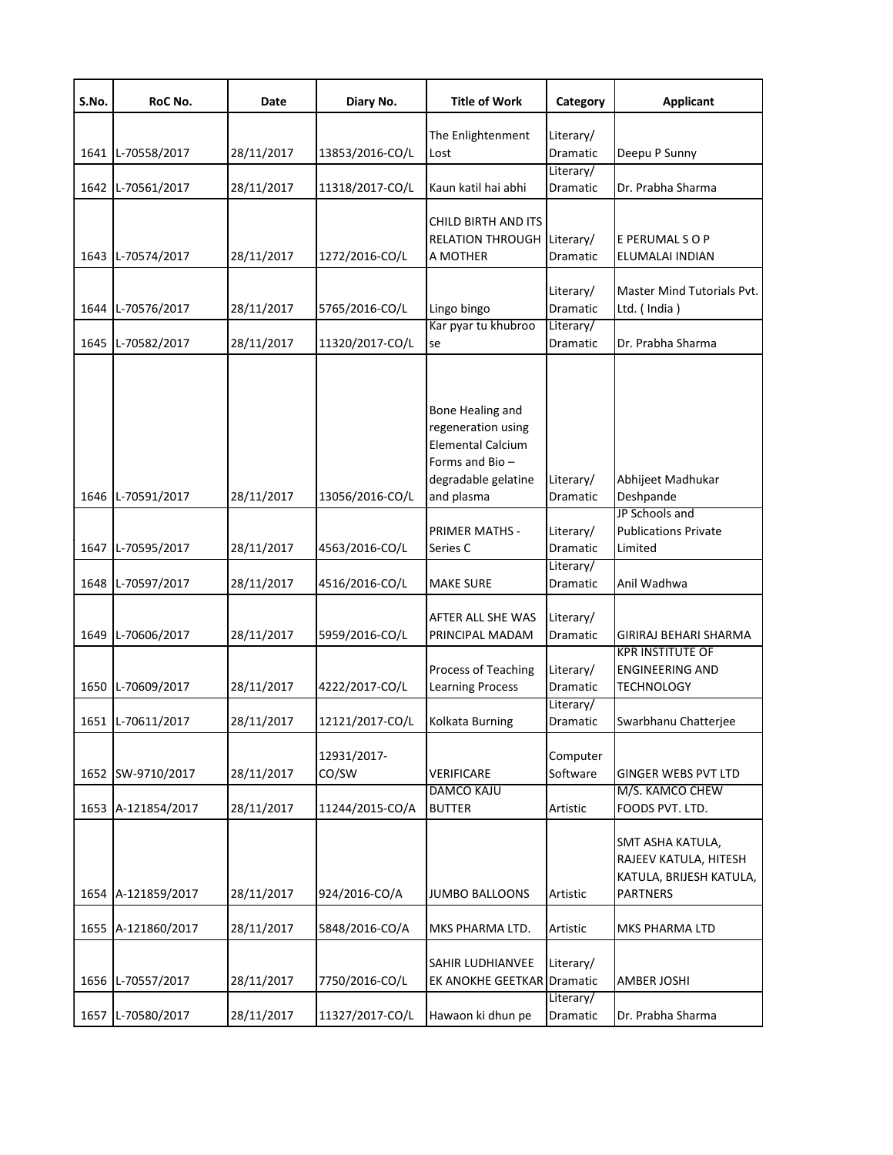| S.No. | RoC No.            | Date       | Diary No.            | <b>Title of Work</b>                                                                                                      | Category                     | <b>Applicant</b>                                                                        |
|-------|--------------------|------------|----------------------|---------------------------------------------------------------------------------------------------------------------------|------------------------------|-----------------------------------------------------------------------------------------|
|       | 1641 L-70558/2017  | 28/11/2017 | 13853/2016-CO/L      | The Enlightenment<br>Lost                                                                                                 | Literary/<br>Dramatic        | Deepu P Sunny                                                                           |
| 1642  | L-70561/2017       | 28/11/2017 | 11318/2017-CO/L      | Kaun katil hai abhi                                                                                                       | Literary/<br><b>Dramatic</b> | Dr. Prabha Sharma                                                                       |
|       | 1643 L-70574/2017  | 28/11/2017 | 1272/2016-CO/L       | CHILD BIRTH AND ITS<br><b>RELATION THROUGH</b><br>A MOTHER                                                                | Literary/<br>Dramatic        | E PERUMAL SOP<br>ELUMALAI INDIAN                                                        |
| 1644  | L-70576/2017       | 28/11/2017 | 5765/2016-CO/L       | Lingo bingo                                                                                                               | Literary/<br>Dramatic        | Master Mind Tutorials Pvt.<br>Ltd. (India)                                              |
| 1645  | L-70582/2017       | 28/11/2017 | 11320/2017-CO/L      | Kar pyar tu khubroo<br>se                                                                                                 | Literary/<br>Dramatic        | Dr. Prabha Sharma                                                                       |
|       | 1646 L-70591/2017  | 28/11/2017 | 13056/2016-CO/L      | Bone Healing and<br>regeneration using<br><b>Elemental Calcium</b><br>Forms and Bio-<br>degradable gelatine<br>and plasma | Literary/<br>Dramatic        | Abhijeet Madhukar<br>Deshpande                                                          |
| 1647  | L-70595/2017       | 28/11/2017 | 4563/2016-CO/L       | PRIMER MATHS -<br>Series C                                                                                                | Literary/<br>Dramatic        | JP Schools and<br><b>Publications Private</b><br>Limited                                |
| 1648  | L-70597/2017       | 28/11/2017 | 4516/2016-CO/L       | <b>MAKE SURE</b>                                                                                                          | Literary/<br>Dramatic        | Anil Wadhwa                                                                             |
| 1649  | L-70606/2017       | 28/11/2017 | 5959/2016-CO/L       | AFTER ALL SHE WAS<br>PRINCIPAL MADAM                                                                                      | Literary/<br>Dramatic        | GIRIRAJ BEHARI SHARMA<br><b>KPR INSTITUTE OF</b>                                        |
|       | 1650 L-70609/2017  | 28/11/2017 | 4222/2017-CO/L       | Process of Teaching<br><b>Learning Process</b>                                                                            | Literary/<br><b>Dramatic</b> | <b>ENGINEERING AND</b><br><b>TECHNOLOGY</b>                                             |
|       | 1651 L-70611/2017  | 28/11/2017 | 12121/2017-CO/L      | Kolkata Burning                                                                                                           | Literary/<br>Dramatic        | Swarbhanu Chatterjee                                                                    |
|       | 1652 SW-9710/2017  | 28/11/2017 | 12931/2017-<br>CO/SW | VERIFICARE                                                                                                                | Computer<br>Software         | GINGER WEBS PVT LTD                                                                     |
|       | 1653 A-121854/2017 | 28/11/2017 | 11244/2015-CO/A      | <b>DAMCO KAJU</b><br><b>BUTTER</b>                                                                                        | Artistic                     | M/S. KAMCO CHEW<br>FOODS PVT. LTD.                                                      |
|       | 1654 A-121859/2017 | 28/11/2017 | 924/2016-CO/A        | <b>JUMBO BALLOONS</b>                                                                                                     | Artistic                     | SMT ASHA KATULA,<br>RAJEEV KATULA, HITESH<br>KATULA, BRIJESH KATULA,<br><b>PARTNERS</b> |
|       | 1655 A-121860/2017 | 28/11/2017 | 5848/2016-CO/A       | MKS PHARMA LTD.                                                                                                           | Artistic                     | MKS PHARMA LTD                                                                          |
|       | 1656 L-70557/2017  | 28/11/2017 | 7750/2016-CO/L       | <b>SAHIR LUDHIANVEE</b><br>EK ANOKHE GEETKAR                                                                              | Literary/<br>Dramatic        | AMBER JOSHI                                                                             |
|       | 1657 L-70580/2017  | 28/11/2017 | 11327/2017-CO/L      | Hawaon ki dhun pe                                                                                                         | Literary/<br>Dramatic        | Dr. Prabha Sharma                                                                       |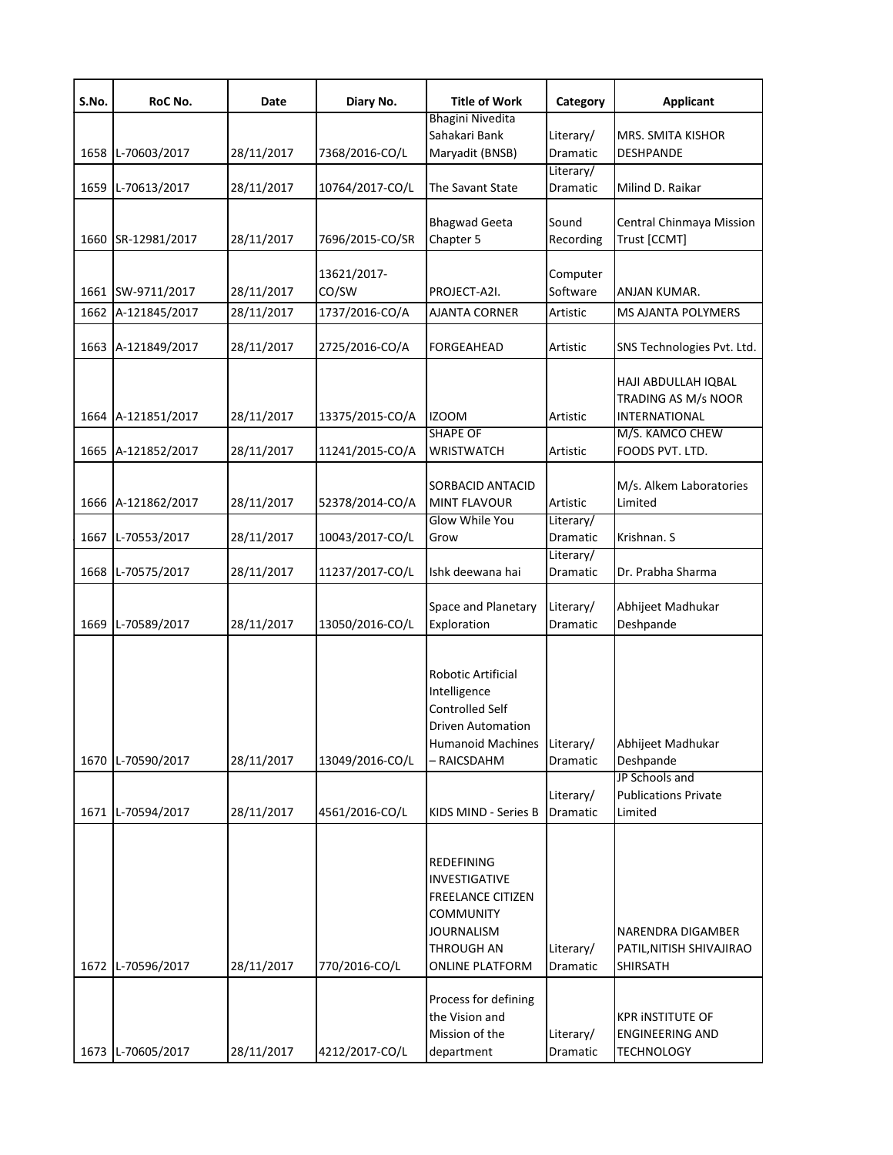| S.No. | RoC No.            | Date       | Diary No.       | <b>Title of Work</b>        | Category  | <b>Applicant</b>            |
|-------|--------------------|------------|-----------------|-----------------------------|-----------|-----------------------------|
|       |                    |            |                 | Bhagini Nivedita            |           |                             |
|       |                    |            |                 | Sahakari Bank               | Literary/ | MRS. SMITA KISHOR           |
|       | 1658 L-70603/2017  | 28/11/2017 | 7368/2016-CO/L  | Maryadit (BNSB)             | Dramatic  | DESHPANDE                   |
|       |                    | 28/11/2017 |                 | The Savant State            | Literary/ | Milind D. Raikar            |
|       | 1659 L-70613/2017  |            | 10764/2017-CO/L |                             | Dramatic  |                             |
|       |                    |            |                 | <b>Bhagwad Geeta</b>        | Sound     | Central Chinmaya Mission    |
|       | 1660 SR-12981/2017 | 28/11/2017 | 7696/2015-CO/SR | Chapter 5                   | Recording | Trust [CCMT]                |
|       |                    |            |                 |                             |           |                             |
|       |                    |            | 13621/2017-     |                             | Computer  |                             |
|       | 1661 SW-9711/2017  | 28/11/2017 | CO/SW           | PROJECT-A2I.                | Software  | ANJAN KUMAR.                |
|       | 1662 A-121845/2017 | 28/11/2017 | 1737/2016-CO/A  | AJANTA CORNER               | Artistic  | MS AJANTA POLYMERS          |
|       |                    |            |                 |                             |           |                             |
|       | 1663 A-121849/2017 | 28/11/2017 | 2725/2016-CO/A  | FORGEAHEAD                  | Artistic  | SNS Technologies Pvt. Ltd.  |
|       |                    |            |                 |                             |           |                             |
|       |                    |            |                 |                             |           | HAJI ABDULLAH IQBAL         |
|       |                    |            |                 |                             |           | TRADING AS M/s NOOR         |
|       | 1664 A-121851/2017 | 28/11/2017 | 13375/2015-CO/A | <b>IZOOM</b>                | Artistic  | INTERNATIONAL               |
|       |                    |            |                 | <b>SHAPE OF</b>             |           | M/S. KAMCO CHEW             |
|       | 1665 A-121852/2017 | 28/11/2017 | 11241/2015-CO/A | <b>WRISTWATCH</b>           | Artistic  | FOODS PVT. LTD.             |
|       |                    |            |                 |                             |           |                             |
|       |                    |            |                 | SORBACID ANTACID            |           | M/s. Alkem Laboratories     |
|       | 1666 A-121862/2017 | 28/11/2017 | 52378/2014-CO/A | <b>MINT FLAVOUR</b>         | Artistic  | Limited                     |
|       |                    |            |                 | Glow While You              | Literary/ |                             |
| 1667  | L-70553/2017       | 28/11/2017 | 10043/2017-CO/L | Grow                        | Dramatic  | Krishnan. S                 |
|       |                    |            |                 |                             | Literary/ |                             |
|       | 1668 L-70575/2017  | 28/11/2017 | 11237/2017-CO/L | Ishk deewana hai            | Dramatic  | Dr. Prabha Sharma           |
|       |                    |            |                 | Space and Planetary         | Literary/ | Abhijeet Madhukar           |
|       | 1669 L-70589/2017  | 28/11/2017 | 13050/2016-CO/L | Exploration                 | Dramatic  | Deshpande                   |
|       |                    |            |                 |                             |           |                             |
|       |                    |            |                 |                             |           |                             |
|       |                    |            |                 | Robotic Artificial          |           |                             |
|       |                    |            |                 | Intelligence                |           |                             |
|       |                    |            |                 | Controlled Self             |           |                             |
|       |                    |            |                 | <b>Driven Automation</b>    |           |                             |
|       |                    |            |                 | Humanoid Machines Literary/ |           | Abhijeet Madhukar           |
|       | 1670 L-70590/2017  | 28/11/2017 | 13049/2016-CO/L | - RAICSDAHM                 | Dramatic  | Deshpande                   |
|       |                    |            |                 |                             |           | JP Schools and              |
|       |                    |            |                 |                             | Literary/ | <b>Publications Private</b> |
|       | 1671 L-70594/2017  | 28/11/2017 | 4561/2016-CO/L  | KIDS MIND - Series B        | Dramatic  | Limited                     |
|       |                    |            |                 |                             |           |                             |
|       |                    |            |                 | <b>REDEFINING</b>           |           |                             |
|       |                    |            |                 | <b>INVESTIGATIVE</b>        |           |                             |
|       |                    |            |                 | <b>FREELANCE CITIZEN</b>    |           |                             |
|       |                    |            |                 | <b>COMMUNITY</b>            |           |                             |
|       |                    |            |                 | <b>JOURNALISM</b>           |           | NARENDRA DIGAMBER           |
|       |                    |            |                 | THROUGH AN                  | Literary/ | PATIL, NITISH SHIVAJIRAO    |
|       | 1672 L-70596/2017  | 28/11/2017 | 770/2016-CO/L   | <b>ONLINE PLATFORM</b>      | Dramatic  | SHIRSATH                    |
|       |                    |            |                 |                             |           |                             |
|       |                    |            |                 | Process for defining        |           |                             |
|       |                    |            |                 | the Vision and              |           | <b>KPR INSTITUTE OF</b>     |
|       |                    |            |                 | Mission of the              | Literary/ | <b>ENGINEERING AND</b>      |
|       | 1673 L-70605/2017  | 28/11/2017 | 4212/2017-CO/L  | department                  | Dramatic  | <b>TECHNOLOGY</b>           |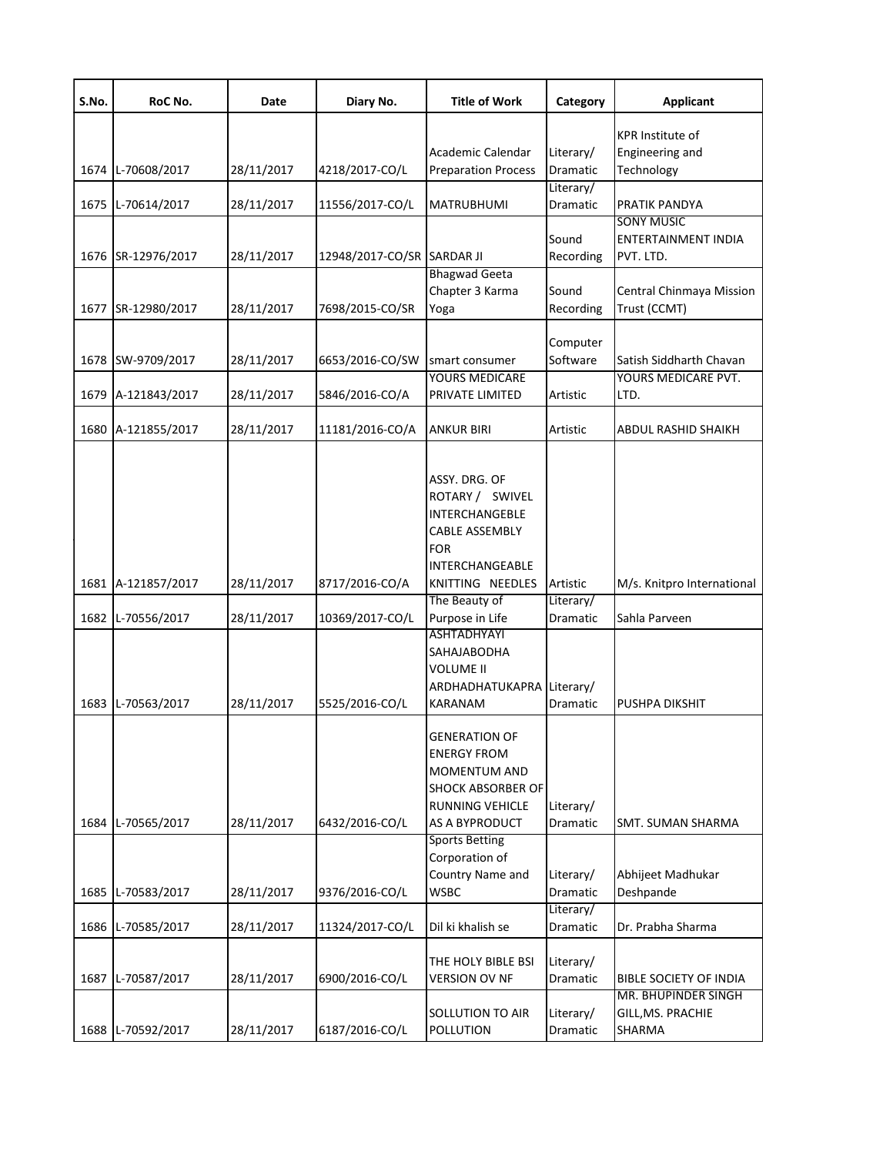| S.No. | RoC No.            | Date       | Diary No.        | <b>Title of Work</b>       | Category              | <b>Applicant</b>                         |
|-------|--------------------|------------|------------------|----------------------------|-----------------------|------------------------------------------|
|       |                    |            |                  |                            |                       | <b>KPR Institute of</b>                  |
|       |                    |            |                  | Academic Calendar          | Literary/             | Engineering and                          |
|       | 1674 L-70608/2017  | 28/11/2017 | 4218/2017-CO/L   | <b>Preparation Process</b> | Dramatic              | Technology                               |
|       |                    |            |                  |                            | Literary/             |                                          |
| 1675  | L-70614/2017       | 28/11/2017 | 11556/2017-CO/L  | MATRUBHUMI                 | Dramatic              | PRATIK PANDYA                            |
|       |                    |            |                  |                            |                       | <b>SONY MUSIC</b>                        |
|       | 1676 SR-12976/2017 |            |                  | <b>SARDAR JI</b>           | Sound                 | ENTERTAINMENT INDIA<br>PVT. LTD.         |
|       |                    | 28/11/2017 | 12948/2017-CO/SR | <b>Bhagwad Geeta</b>       | Recording             |                                          |
|       |                    |            |                  | Chapter 3 Karma            | Sound                 | Central Chinmaya Mission                 |
| 1677  | SR-12980/2017      | 28/11/2017 | 7698/2015-CO/SR  | Yoga                       | Recording             | Trust (CCMT)                             |
|       |                    |            |                  |                            |                       |                                          |
|       |                    |            |                  |                            | Computer              |                                          |
|       | 1678 SW-9709/2017  | 28/11/2017 | 6653/2016-CO/SW  | smart consumer             | Software              | Satish Siddharth Chavan                  |
|       |                    |            |                  | <b>YOURS MEDICARE</b>      |                       | YOURS MEDICARE PVT.                      |
|       | 1679 A-121843/2017 | 28/11/2017 | 5846/2016-CO/A   | PRIVATE LIMITED            | Artistic              | LTD.                                     |
|       | 1680 A-121855/2017 | 28/11/2017 | 11181/2016-CO/A  | ANKUR BIRI                 | Artistic              | <b>ABDUL RASHID SHAIKH</b>               |
|       |                    |            |                  |                            |                       |                                          |
|       |                    |            |                  | ASSY. DRG. OF              |                       |                                          |
|       |                    |            |                  | ROTARY / SWIVEL            |                       |                                          |
|       |                    |            |                  | INTERCHANGEBLE             |                       |                                          |
|       |                    |            |                  | <b>CABLE ASSEMBLY</b>      |                       |                                          |
|       |                    |            |                  | <b>FOR</b>                 |                       |                                          |
|       |                    |            |                  | INTERCHANGEABLE            |                       |                                          |
|       | 1681 A-121857/2017 | 28/11/2017 | 8717/2016-CO/A   | KNITTING NEEDLES           | Artistic              | M/s. Knitpro International               |
|       |                    |            |                  | The Beauty of              | Literary/             |                                          |
|       | 1682 L-70556/2017  | 28/11/2017 | 10369/2017-CO/L  | Purpose in Life            | Dramatic              | Sahla Parveen                            |
|       |                    |            |                  | ASHTADHYAYI                |                       |                                          |
|       |                    |            |                  | SAHAJABODHA                |                       |                                          |
|       |                    |            |                  | <b>VOLUME II</b>           |                       |                                          |
|       |                    |            |                  | ARDHADHATUKAPRA Literary/  |                       |                                          |
|       | 1683 L-70563/2017  | 28/11/2017 | 5525/2016-CO/L   | KARANAM                    | Dramatic              | PUSHPA DIKSHIT                           |
|       |                    |            |                  | <b>GENERATION OF</b>       |                       |                                          |
|       |                    |            |                  | <b>ENERGY FROM</b>         |                       |                                          |
|       |                    |            |                  | <b>MOMENTUM AND</b>        |                       |                                          |
|       |                    |            |                  | <b>SHOCK ABSORBER OF</b>   |                       |                                          |
|       |                    |            |                  | RUNNING VEHICLE            | Literary/             |                                          |
| 1684  | L-70565/2017       | 28/11/2017 | 6432/2016-CO/L   | AS A BYPRODUCT             | Dramatic              | SMT. SUMAN SHARMA                        |
|       |                    |            |                  | <b>Sports Betting</b>      |                       |                                          |
|       |                    |            |                  | Corporation of             |                       |                                          |
|       |                    |            |                  | Country Name and           | Literary/             | Abhijeet Madhukar                        |
| 1685  | L-70583/2017       | 28/11/2017 | 9376/2016-CO/L   | <b>WSBC</b>                | Dramatic              | Deshpande                                |
|       |                    |            |                  |                            | Literary/             |                                          |
| 1686  | L-70585/2017       | 28/11/2017 | 11324/2017-CO/L  | Dil ki khalish se          | Dramatic              | Dr. Prabha Sharma                        |
|       |                    |            |                  |                            |                       |                                          |
|       |                    |            |                  | THE HOLY BIBLE BSI         | Literary/             |                                          |
| 1687  | L-70587/2017       | 28/11/2017 | 6900/2016-CO/L   | <b>VERSION OV NF</b>       | Dramatic              | <b>BIBLE SOCIETY OF INDIA</b>            |
|       |                    |            |                  | <b>SOLLUTION TO AIR</b>    |                       | MR. BHUPINDER SINGH<br>GILL, MS. PRACHIE |
| 1688  | L-70592/2017       | 28/11/2017 | 6187/2016-CO/L   | <b>POLLUTION</b>           | Literary/<br>Dramatic | SHARMA                                   |
|       |                    |            |                  |                            |                       |                                          |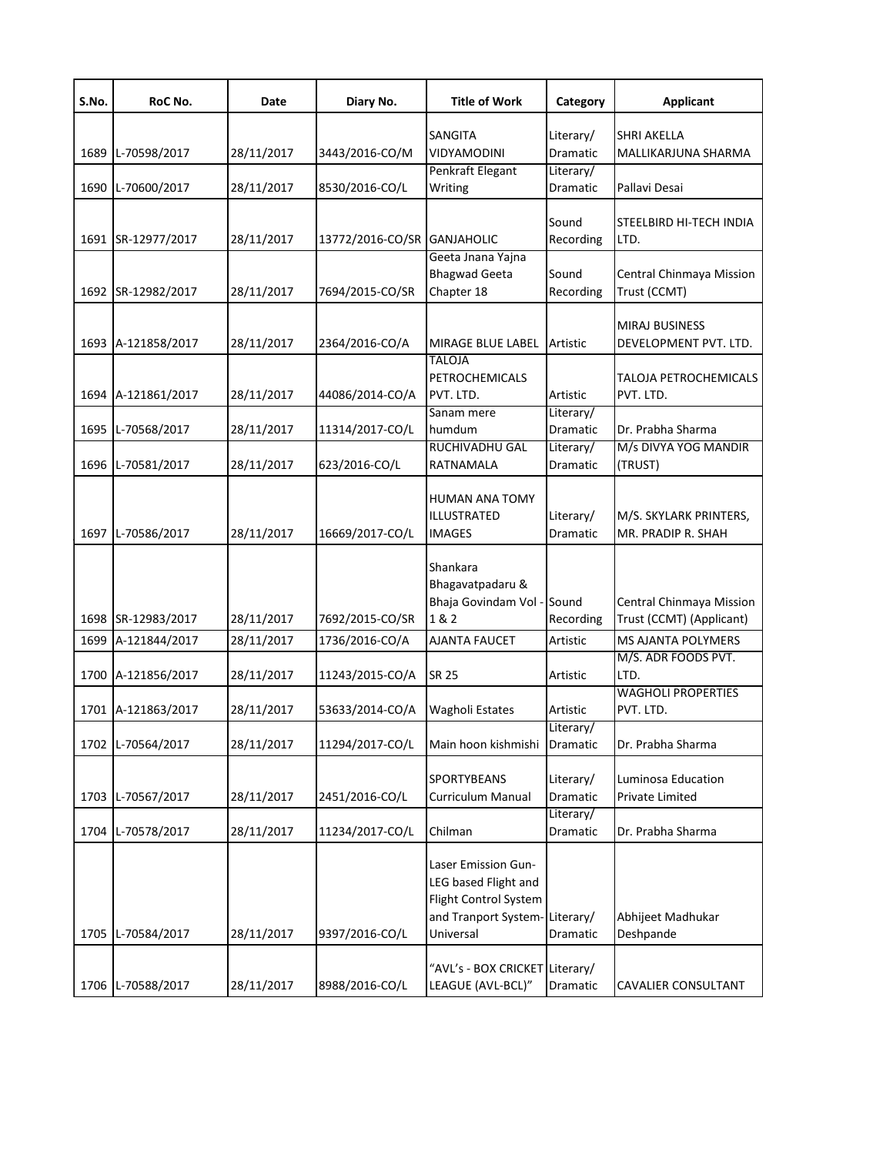| S.No. | RoC No.            | Date       | Diary No.                   | <b>Title of Work</b>                                                                                               | Category              | <b>Applicant</b>                                     |
|-------|--------------------|------------|-----------------------------|--------------------------------------------------------------------------------------------------------------------|-----------------------|------------------------------------------------------|
|       |                    |            |                             | <b>SANGITA</b>                                                                                                     | Literary/             | <b>SHRI AKELLA</b>                                   |
| 1689  | L-70598/2017       | 28/11/2017 | 3443/2016-CO/M              | <b>VIDYAMODINI</b>                                                                                                 | Dramatic              | MALLIKARJUNA SHARMA                                  |
|       |                    |            |                             | Penkraft Elegant                                                                                                   | Literary/             |                                                      |
|       | 1690 L-70600/2017  | 28/11/2017 | 8530/2016-CO/L              | Writing                                                                                                            | Dramatic              | Pallavi Desai                                        |
|       |                    |            |                             |                                                                                                                    |                       |                                                      |
|       | 1691 SR-12977/2017 | 28/11/2017 | 13772/2016-CO/SR GANJAHOLIC |                                                                                                                    | Sound<br>Recording    | STEELBIRD HI-TECH INDIA<br>LTD.                      |
|       |                    |            |                             | Geeta Jnana Yajna                                                                                                  |                       |                                                      |
|       |                    |            |                             | <b>Bhagwad Geeta</b>                                                                                               | Sound                 | Central Chinmaya Mission                             |
|       | 1692 SR-12982/2017 | 28/11/2017 | 7694/2015-CO/SR             | Chapter 18                                                                                                         | Recording             | Trust (CCMT)                                         |
|       |                    |            |                             |                                                                                                                    |                       |                                                      |
|       |                    |            |                             |                                                                                                                    |                       | <b>MIRAJ BUSINESS</b>                                |
|       | 1693 A-121858/2017 | 28/11/2017 | 2364/2016-CO/A              | MIRAGE BLUE LABEL                                                                                                  | Artistic              | DEVELOPMENT PVT. LTD.                                |
|       |                    |            |                             | TALOJA                                                                                                             |                       |                                                      |
|       |                    |            |                             | PETROCHEMICALS                                                                                                     |                       | <b>TALOJA PETROCHEMICALS</b>                         |
|       | 1694 A-121861/2017 | 28/11/2017 | 44086/2014-CO/A             | PVT. LTD.<br>Sanam mere                                                                                            | Artistic<br>Literary/ | PVT. LTD.                                            |
|       | 1695 L-70568/2017  | 28/11/2017 | 11314/2017-CO/L             | humdum                                                                                                             | Dramatic              | Dr. Prabha Sharma                                    |
|       |                    |            |                             | <b>RUCHIVADHU GAL</b>                                                                                              | Literary/             | M/s DIVYA YOG MANDIR                                 |
| 1696  | L-70581/2017       | 28/11/2017 | 623/2016-CO/L               | RATNAMALA                                                                                                          | Dramatic              | (TRUST)                                              |
|       | 1697 L-70586/2017  | 28/11/2017 | 16669/2017-CO/L             | <b>HUMAN ANA TOMY</b><br>ILLUSTRATED<br><b>IMAGES</b>                                                              | Literary/<br>Dramatic | M/S. SKYLARK PRINTERS,<br>MR. PRADIP R. SHAH         |
|       | 1698 SR-12983/2017 | 28/11/2017 | 7692/2015-CO/SR             | Shankara<br>Bhagavatpadaru &<br>Bhaja Govindam Vol - Sound<br>1 & 2                                                | Recording             | Central Chinmaya Mission<br>Trust (CCMT) (Applicant) |
| 1699  | A-121844/2017      | 28/11/2017 | 1736/2016-CO/A              | AJANTA FAUCET                                                                                                      | Artistic              | MS AJANTA POLYMERS                                   |
|       |                    |            |                             |                                                                                                                    |                       | M/S. ADR FOODS PVT.                                  |
|       | 1700 A-121856/2017 | 28/11/2017 | 11243/2015-CO/A             | <b>SR 25</b>                                                                                                       | Artistic              | LTD.                                                 |
|       |                    |            |                             |                                                                                                                    |                       | <b>WAGHOLI PROPERTIES</b>                            |
|       | 1701 A-121863/2017 | 28/11/2017 | 53633/2014-CO/A             | <b>Wagholi Estates</b>                                                                                             | Artistic              | PVT. LTD.                                            |
|       |                    |            |                             |                                                                                                                    | Literary/             |                                                      |
|       | 1702 L-70564/2017  | 28/11/2017 | 11294/2017-CO/L             | Main hoon kishmishi                                                                                                | Dramatic              | Dr. Prabha Sharma                                    |
|       |                    |            |                             | SPORTYBEANS                                                                                                        | Literary/             | Luminosa Education                                   |
|       | 1703 L-70567/2017  | 28/11/2017 | 2451/2016-CO/L              | Curriculum Manual                                                                                                  | Dramatic              | Private Limited                                      |
|       |                    |            |                             |                                                                                                                    | Literary/             |                                                      |
|       | 1704 L-70578/2017  | 28/11/2017 | 11234/2017-CO/L             | Chilman                                                                                                            | Dramatic              | Dr. Prabha Sharma                                    |
|       | 1705 L-70584/2017  | 28/11/2017 | 9397/2016-CO/L              | Laser Emission Gun-<br>LEG based Flight and<br>Flight Control System<br>and Tranport System-Literary/<br>Universal | Dramatic              | Abhijeet Madhukar<br>Deshpande                       |
|       | 1706 L-70588/2017  | 28/11/2017 | 8988/2016-CO/L              | "AVL's - BOX CRICKET Literary/<br>LEAGUE (AVL-BCL)"                                                                | Dramatic              | <b>CAVALIER CONSULTANT</b>                           |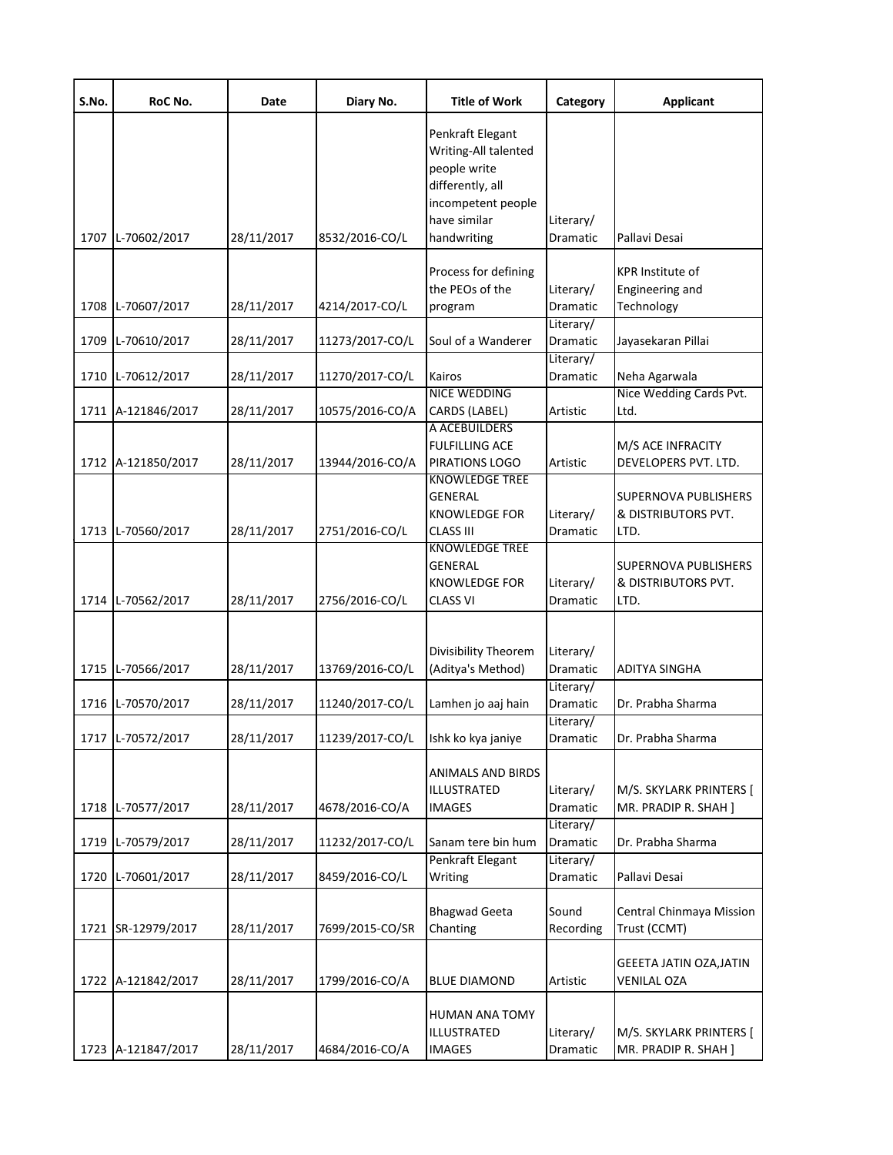| S.No. | RoC No.            | Date       | Diary No.       | <b>Title of Work</b>                                                                                                              | Category                           | <b>Applicant</b>                                           |
|-------|--------------------|------------|-----------------|-----------------------------------------------------------------------------------------------------------------------------------|------------------------------------|------------------------------------------------------------|
|       | 1707 L-70602/2017  | 28/11/2017 | 8532/2016-CO/L  | Penkraft Elegant<br>Writing-All talented<br>people write<br>differently, all<br>incompetent people<br>have similar<br>handwriting | Literary/<br>Dramatic              | Pallavi Desai                                              |
|       | 1708 L-70607/2017  | 28/11/2017 | 4214/2017-CO/L  | Process for defining<br>the PEOs of the<br>program                                                                                | Literary/<br>Dramatic              | <b>KPR Institute of</b><br>Engineering and<br>Technology   |
| 1709  | L-70610/2017       | 28/11/2017 | 11273/2017-CO/L | Soul of a Wanderer                                                                                                                | Literary/<br>Dramatic              | Jayasekaran Pillai                                         |
|       | 1710 L-70612/2017  | 28/11/2017 | 11270/2017-CO/L | Kairos                                                                                                                            | Literary/<br><b>Dramatic</b>       | Neha Agarwala                                              |
|       | 1711 A-121846/2017 | 28/11/2017 | 10575/2016-CO/A | <b>NICE WEDDING</b><br>CARDS (LABEL)                                                                                              | Artistic                           | Nice Wedding Cards Pvt.<br>Ltd.                            |
|       | 1712 A-121850/2017 | 28/11/2017 | 13944/2016-CO/A | A ACEBUILDERS<br><b>FULFILLING ACE</b><br>PIRATIONS LOGO                                                                          | Artistic                           | M/S ACE INFRACITY<br>DEVELOPERS PVT. LTD.                  |
|       | 1713 L-70560/2017  | 28/11/2017 | 2751/2016-CO/L  | <b>KNOWLEDGE TREE</b><br><b>GENERAL</b><br>KNOWLEDGE FOR<br><b>CLASS III</b>                                                      | Literary/<br>Dramatic              | <b>SUPERNOVA PUBLISHERS</b><br>& DISTRIBUTORS PVT.<br>LTD. |
|       | 1714 L-70562/2017  | 28/11/2017 | 2756/2016-CO/L  | <b>KNOWLEDGE TREE</b><br><b>GENERAL</b><br><b>KNOWLEDGE FOR</b><br><b>CLASS VI</b>                                                | Literary/<br>Dramatic              | <b>SUPERNOVA PUBLISHERS</b><br>& DISTRIBUTORS PVT.<br>LTD. |
|       | 1715 L-70566/2017  | 28/11/2017 | 13769/2016-CO/L | Divisibility Theorem<br>(Aditya's Method)                                                                                         | Literary/<br>Dramatic<br>Literary/ | <b>ADITYA SINGHA</b>                                       |
|       | 1716 L-70570/2017  | 28/11/2017 | 11240/2017-CO/L | Lamhen jo aaj hain                                                                                                                | <b>Dramatic</b><br>Literary/       | Dr. Prabha Sharma                                          |
|       | 1717 L-70572/2017  | 28/11/2017 | 11239/2017-CO/L | Ishk ko kya janiye                                                                                                                | Dramatic                           | Dr. Prabha Sharma                                          |
|       | 1718 L-70577/2017  | 28/11/2017 | 4678/2016-CO/A  | <b>ANIMALS AND BIRDS</b><br>ILLUSTRATED<br><b>IMAGES</b>                                                                          | Literary/<br>Dramatic              | M/S. SKYLARK PRINTERS [<br>MR. PRADIP R. SHAH ]            |
| 1719  | L-70579/2017       | 28/11/2017 | 11232/2017-CO/L | Sanam tere bin hum                                                                                                                | Literary/<br>Dramatic              | Dr. Prabha Sharma                                          |
| 1720  | L-70601/2017       | 28/11/2017 | 8459/2016-CO/L  | Penkraft Elegant<br>Writing                                                                                                       | Literary/<br>Dramatic              | Pallavi Desai                                              |
| 1721  | SR-12979/2017      | 28/11/2017 | 7699/2015-CO/SR | <b>Bhagwad Geeta</b><br>Chanting                                                                                                  | Sound<br>Recording                 | Central Chinmaya Mission<br>Trust (CCMT)                   |
|       | 1722 A-121842/2017 | 28/11/2017 | 1799/2016-CO/A  | <b>BLUE DIAMOND</b>                                                                                                               | Artistic                           | <b>GEEETA JATIN OZA, JATIN</b><br><b>VENILAL OZA</b>       |
|       | 1723 A-121847/2017 | 28/11/2017 | 4684/2016-CO/A  | HUMAN ANA TOMY<br>ILLUSTRATED<br><b>IMAGES</b>                                                                                    | Literary/<br>Dramatic              | M/S. SKYLARK PRINTERS [<br>MR. PRADIP R. SHAH ]            |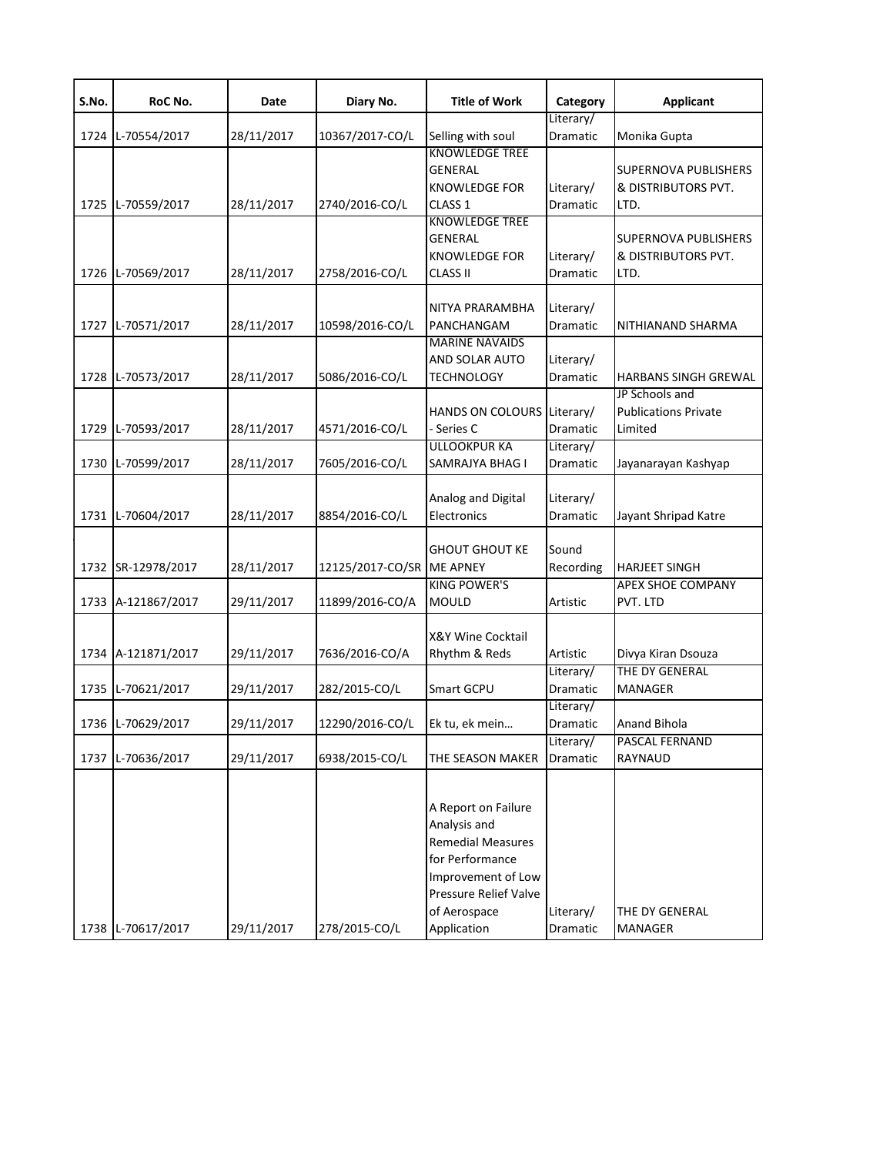| S.No. | RoC No.            | Date       | Diary No.                 | <b>Title of Work</b>       | Category  | <b>Applicant</b>                                 |
|-------|--------------------|------------|---------------------------|----------------------------|-----------|--------------------------------------------------|
|       |                    |            |                           |                            | Literary/ |                                                  |
| 1724  | L-70554/2017       | 28/11/2017 | 10367/2017-CO/L           | Selling with soul          | Dramatic  | Monika Gupta                                     |
|       |                    |            |                           | <b>KNOWLEDGE TREE</b>      |           |                                                  |
|       |                    |            |                           | <b>GENERAL</b>             |           | SUPERNOVA PUBLISHERS                             |
|       |                    |            |                           | <b>KNOWLEDGE FOR</b>       | Literary/ | & DISTRIBUTORS PVT.                              |
| 1725  | L-70559/2017       | 28/11/2017 | 2740/2016-CO/L            | CLASS <sub>1</sub>         | Dramatic  | LTD.                                             |
|       |                    |            |                           | <b>KNOWLEDGE TREE</b>      |           |                                                  |
|       |                    |            |                           | <b>GENERAL</b>             |           | <b>SUPERNOVA PUBLISHERS</b>                      |
|       |                    |            |                           | <b>KNOWLEDGE FOR</b>       | Literary/ | & DISTRIBUTORS PVT.                              |
| 1726  | L-70569/2017       | 28/11/2017 | 2758/2016-CO/L            | <b>CLASS II</b>            | Dramatic  | LTD.                                             |
|       |                    |            |                           |                            |           |                                                  |
|       |                    |            |                           | NITYA PRARAMBHA            | Literary/ |                                                  |
| 1727  | L-70571/2017       | 28/11/2017 | 10598/2016-CO/L           | PANCHANGAM                 | Dramatic  | NITHIANAND SHARMA                                |
|       |                    |            |                           | <b>MARINE NAVAIDS</b>      |           |                                                  |
|       |                    |            |                           | AND SOLAR AUTO             | Literary/ |                                                  |
| 1728  | L-70573/2017       | 28/11/2017 | 5086/2016-CO/L            | <b>TECHNOLOGY</b>          | Dramatic  | HARBANS SINGH GREWAL                             |
|       |                    |            |                           |                            |           | JP Schools and                                   |
|       |                    |            |                           | HANDS ON COLOURS Literary/ |           | <b>Publications Private</b>                      |
| 1729  | L-70593/2017       | 28/11/2017 | 4571/2016-CO/L            | · Series C                 | Dramatic  | Limited                                          |
|       |                    |            |                           | <b>ULLOOKPUR KA</b>        | Literary/ |                                                  |
| 1730  | L-70599/2017       | 28/11/2017 | 7605/2016-CO/L            | SAMRAJYA BHAG I            | Dramatic  | Jayanarayan Kashyap                              |
|       |                    |            |                           |                            |           |                                                  |
|       |                    |            |                           | Analog and Digital         | Literary/ |                                                  |
| 1731  | L-70604/2017       | 28/11/2017 | 8854/2016-CO/L            | Electronics                | Dramatic  | Jayant Shripad Katre                             |
|       |                    |            |                           |                            |           |                                                  |
|       |                    |            |                           | <b>GHOUT GHOUT KE</b>      | Sound     |                                                  |
|       | 1732 SR-12978/2017 | 28/11/2017 | 12125/2017-CO/SR ME APNEY | <b>KING POWER'S</b>        | Recording | <b>HARJEET SINGH</b><br><b>APEX SHOE COMPANY</b> |
|       |                    |            |                           |                            |           |                                                  |
|       | 1733 A-121867/2017 | 29/11/2017 | 11899/2016-CO/A           | <b>MOULD</b>               | Artistic  | PVT. LTD                                         |
|       |                    |            |                           | X&Y Wine Cocktail          |           |                                                  |
|       | 1734 A-121871/2017 | 29/11/2017 | 7636/2016-CO/A            | Rhythm & Reds              | Artistic  | Divya Kiran Dsouza                               |
|       |                    |            |                           |                            | Literary/ | THE DY GENERAL                                   |
| 1735  | L-70621/2017       | 29/11/2017 | 282/2015-CO/L             | Smart GCPU                 | Dramatic  | MANAGER                                          |
|       |                    |            |                           |                            | Literary/ |                                                  |
|       | 1736 L-70629/2017  | 29/11/2017 | 12290/2016-CO/L           | Ek tu, ek mein             | Dramatic  | <b>Anand Bihola</b>                              |
|       |                    |            |                           |                            | Literary/ | PASCAL FERNAND                                   |
| 1737  | L-70636/2017       | 29/11/2017 | 6938/2015-CO/L            | THE SEASON MAKER           | Dramatic  | RAYNAUD                                          |
|       |                    |            |                           |                            |           |                                                  |
|       |                    |            |                           |                            |           |                                                  |
|       |                    |            |                           | A Report on Failure        |           |                                                  |
|       |                    |            |                           | Analysis and               |           |                                                  |
|       |                    |            |                           | <b>Remedial Measures</b>   |           |                                                  |
|       |                    |            |                           | for Performance            |           |                                                  |
|       |                    |            |                           | Improvement of Low         |           |                                                  |
|       |                    |            |                           | Pressure Relief Valve      |           |                                                  |
|       |                    |            |                           | of Aerospace               | Literary/ | THE DY GENERAL                                   |
|       | 1738 L-70617/2017  | 29/11/2017 | 278/2015-CO/L             | Application                | Dramatic  | MANAGER                                          |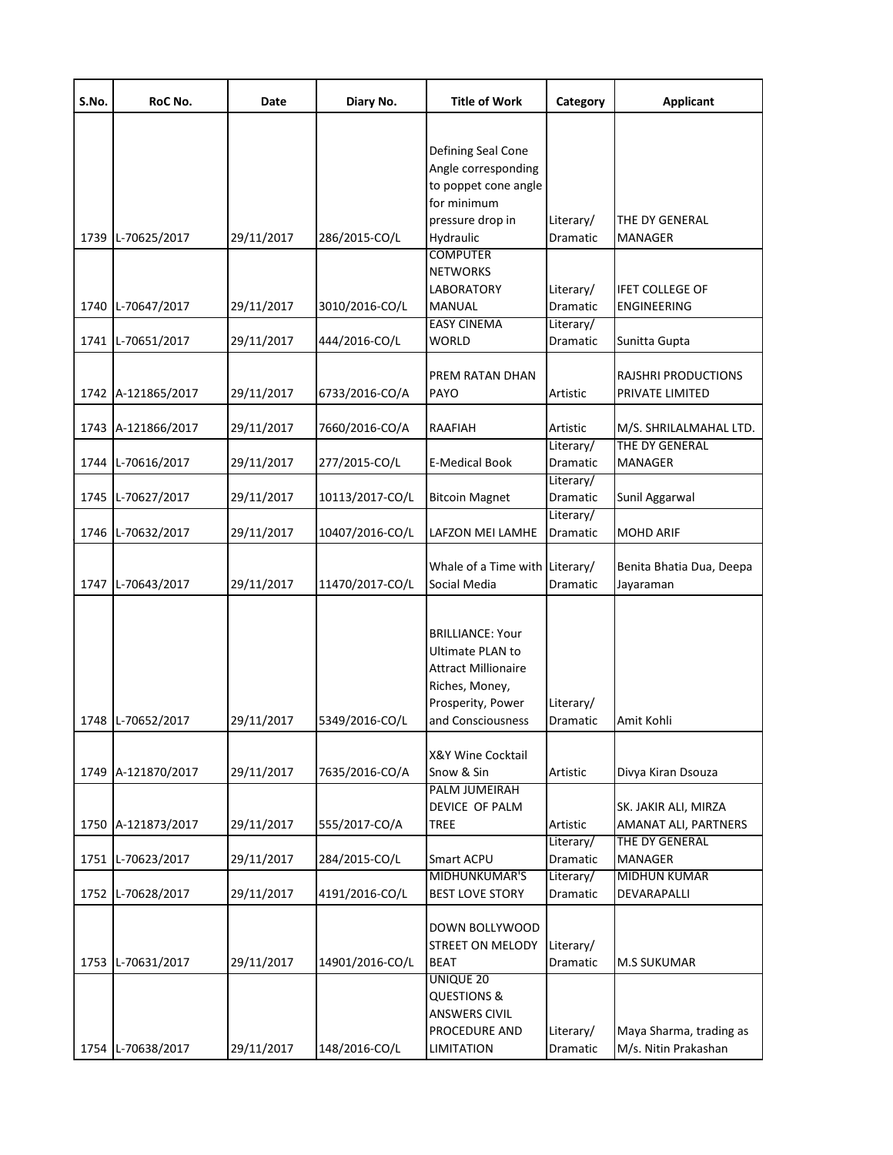| S.No. | RoC No.            | Date       | Diary No.       | <b>Title of Work</b>                                                                                                                  | Category                           | <b>Applicant</b>                                |
|-------|--------------------|------------|-----------------|---------------------------------------------------------------------------------------------------------------------------------------|------------------------------------|-------------------------------------------------|
|       |                    |            |                 | Defining Seal Cone<br>Angle corresponding<br>to poppet cone angle<br>for minimum                                                      |                                    |                                                 |
| 1739  | L-70625/2017       | 29/11/2017 | 286/2015-CO/L   | pressure drop in<br>Hydraulic                                                                                                         | Literary/<br>Dramatic              | THE DY GENERAL<br>MANAGER                       |
| 1740  | L-70647/2017       | 29/11/2017 | 3010/2016-CO/L  | <b>COMPUTER</b><br><b>NETWORKS</b><br>LABORATORY<br>MANUAL                                                                            | Literary/<br>Dramatic              | <b>IFET COLLEGE OF</b><br>ENGINEERING           |
| 1741  | L-70651/2017       | 29/11/2017 | 444/2016-CO/L   | <b>EASY CINEMA</b><br>WORLD                                                                                                           | Literary/<br>Dramatic              | Sunitta Gupta                                   |
|       | 1742 A-121865/2017 | 29/11/2017 | 6733/2016-CO/A  | PREM RATAN DHAN<br>PAYO                                                                                                               | Artistic                           | RAJSHRI PRODUCTIONS<br>PRIVATE LIMITED          |
| 1743  | A-121866/2017      | 29/11/2017 | 7660/2016-CO/A  | RAAFIAH                                                                                                                               | Artistic                           | M/S. SHRILALMAHAL LTD.                          |
| 1744  | L-70616/2017       | 29/11/2017 | 277/2015-CO/L   | E-Medical Book                                                                                                                        | Literary/<br>Dramatic              | THE DY GENERAL<br>MANAGER                       |
| 1745  | L-70627/2017       | 29/11/2017 | 10113/2017-CO/L | <b>Bitcoin Magnet</b>                                                                                                                 | Literary/<br>Dramatic<br>Literary/ | Sunil Aggarwal                                  |
| 1746  | L-70632/2017       | 29/11/2017 | 10407/2016-CO/L | LAFZON MEI LAMHE                                                                                                                      | Dramatic                           | <b>MOHD ARIF</b>                                |
| 1747  | L-70643/2017       | 29/11/2017 | 11470/2017-CO/L | Whale of a Time with Literary/<br>Social Media                                                                                        | Dramatic                           | Benita Bhatia Dua, Deepa<br>Jayaraman           |
|       | 1748 L-70652/2017  | 29/11/2017 | 5349/2016-CO/L  | <b>BRILLIANCE: Your</b><br>Ultimate PLAN to<br><b>Attract Millionaire</b><br>Riches, Money,<br>Prosperity, Power<br>and Consciousness | Literary/<br>Dramatic              | Amit Kohli                                      |
| 1749  | A-121870/2017      | 29/11/2017 | 7635/2016-CO/A  | <b>X&amp;Y Wine Cocktail</b><br>Snow & Sin                                                                                            | Artistic                           | Divya Kiran Dsouza                              |
| 1750  | A-121873/2017      | 29/11/2017 | 555/2017-CO/A   | PALM JUMEIRAH<br>DEVICE OF PALM<br><b>TREE</b>                                                                                        | Artistic                           | SK. JAKIR ALI, MIRZA<br>AMANAT ALI, PARTNERS    |
| 1751  | L-70623/2017       | 29/11/2017 | 284/2015-CO/L   | Smart ACPU                                                                                                                            | Literary/<br>Dramatic              | THE DY GENERAL<br><b>MANAGER</b>                |
| 1752  | L-70628/2017       | 29/11/2017 | 4191/2016-CO/L  | MIDHUNKUMAR'S<br><b>BEST LOVE STORY</b>                                                                                               | Literary/<br>Dramatic              | MIDHUN KUMAR<br>DEVARAPALLI                     |
| 1753  | L-70631/2017       | 29/11/2017 | 14901/2016-CO/L | DOWN BOLLYWOOD<br><b>STREET ON MELODY</b><br><b>BEAT</b>                                                                              | Literary/<br>Dramatic              | <b>M.S SUKUMAR</b>                              |
| 1754  | L-70638/2017       | 29/11/2017 | 148/2016-CO/L   | UNIQUE 20<br>QUESTIONS &<br><b>ANSWERS CIVIL</b><br>PROCEDURE AND<br><b>LIMITATION</b>                                                | Literary/<br>Dramatic              | Maya Sharma, trading as<br>M/s. Nitin Prakashan |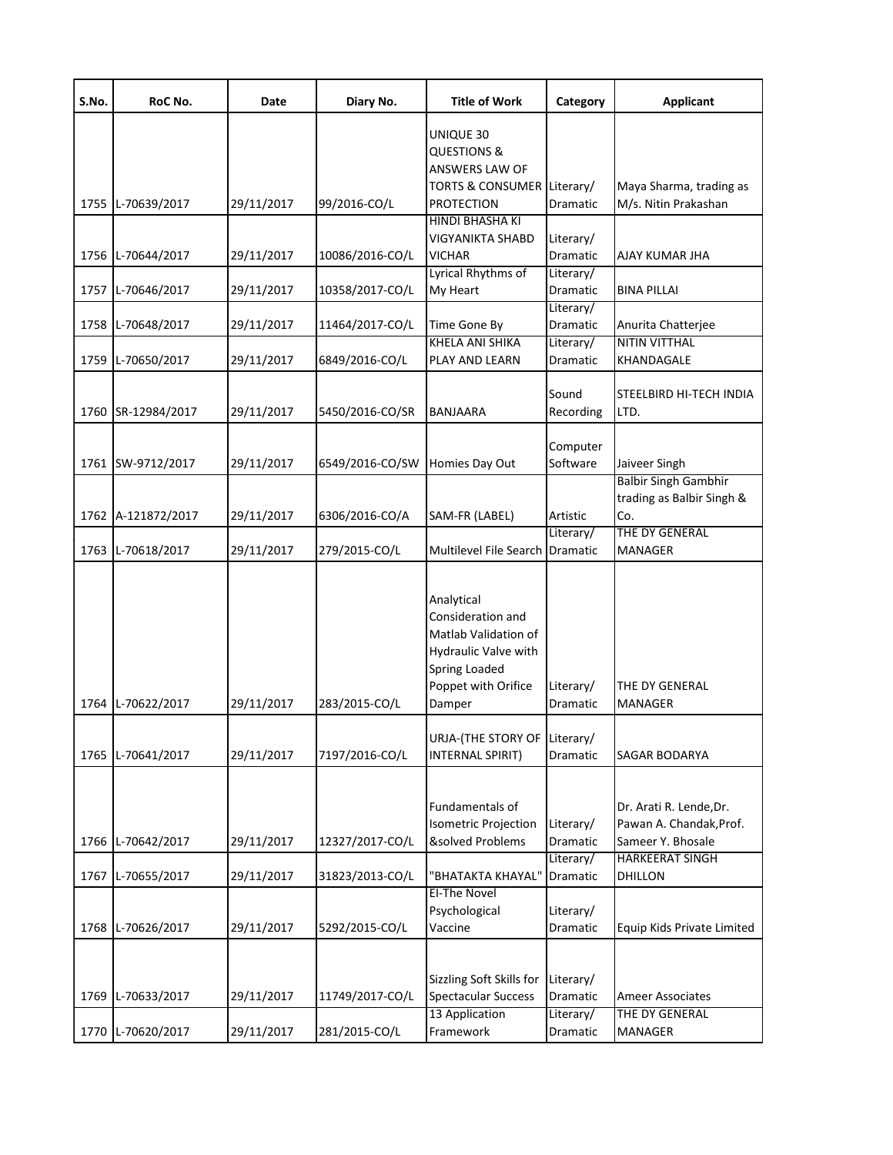| S.No. | RoC No.            | Date       | Diary No.       | <b>Title of Work</b>                                                                                                                     | Category              | <b>Applicant</b>                                                        |
|-------|--------------------|------------|-----------------|------------------------------------------------------------------------------------------------------------------------------------------|-----------------------|-------------------------------------------------------------------------|
|       |                    |            |                 | UNIQUE 30<br><b>QUESTIONS &amp;</b><br>ANSWERS LAW OF<br>TORTS & CONSUMER Literary/                                                      |                       | Maya Sharma, trading as                                                 |
|       | 1755 L-70639/2017  | 29/11/2017 | 99/2016-CO/L    | <b>PROTECTION</b>                                                                                                                        | Dramatic              | M/s. Nitin Prakashan                                                    |
|       | 1756 L-70644/2017  | 29/11/2017 | 10086/2016-CO/L | HINDI BHASHA KI<br>VIGYANIKTA SHABD<br>VICHAR                                                                                            | Literary/<br>Dramatic | AJAY KUMAR JHA                                                          |
|       | 1757 L-70646/2017  | 29/11/2017 | 10358/2017-CO/L | Lyrical Rhythms of<br>My Heart                                                                                                           | Literary/<br>Dramatic | <b>BINA PILLAI</b>                                                      |
| 1758  | L-70648/2017       | 29/11/2017 | 11464/2017-CO/L | Time Gone By                                                                                                                             | Literary/<br>Dramatic | Anurita Chatterjee                                                      |
| 1759  | L-70650/2017       | 29/11/2017 | 6849/2016-CO/L  | KHELA ANI SHIKA<br>PLAY AND LEARN                                                                                                        | Literary/<br>Dramatic | <b>NITIN VITTHAL</b><br>KHANDAGALE                                      |
| 1760  | SR-12984/2017      | 29/11/2017 | 5450/2016-CO/SR | BANJAARA                                                                                                                                 | Sound<br>Recording    | STEELBIRD HI-TECH INDIA<br>LTD.                                         |
|       | 1761 SW-9712/2017  | 29/11/2017 | 6549/2016-CO/SW | Homies Day Out                                                                                                                           | Computer<br>Software  | Jaiveer Singh                                                           |
|       | 1762 A-121872/2017 | 29/11/2017 | 6306/2016-CO/A  | SAM-FR (LABEL)                                                                                                                           | Artistic              | <b>Balbir Singh Gambhir</b><br>trading as Balbir Singh &<br>Co.         |
|       | 1763 L-70618/2017  | 29/11/2017 | 279/2015-CO/L   | Multilevel File Search Dramatic                                                                                                          | Literary/             | THE DY GENERAL<br><b>MANAGER</b>                                        |
|       | 1764 L-70622/2017  | 29/11/2017 | 283/2015-CO/L   | Analytical<br>Consideration and<br>Matlab Validation of<br>Hydraulic Valve with<br><b>Spring Loaded</b><br>Poppet with Orifice<br>Damper | Literary/<br>Dramatic | THE DY GENERAL<br>MANAGER                                               |
|       | 1765 L-70641/2017  | 29/11/2017 | 7197/2016-CO/L  | URJA-(THE STORY OF Literary/<br>INTERNAL SPIRIT)                                                                                         | Dramatic              | <b>SAGAR BODARYA</b>                                                    |
| 1766  | L-70642/2017       | 29/11/2017 | 12327/2017-CO/L | Fundamentals of<br>Isometric Projection<br>&solved Problems                                                                              | Literary/<br>Dramatic | Dr. Arati R. Lende, Dr.<br>Pawan A. Chandak, Prof.<br>Sameer Y. Bhosale |
| 1767  | L-70655/2017       | 29/11/2017 | 31823/2013-CO/L | "BHATAKTA KHAYAL"                                                                                                                        | Literary/<br>Dramatic | <b>HARKEERAT SINGH</b><br>DHILLON                                       |
|       | 1768 L-70626/2017  | 29/11/2017 | 5292/2015-CO/L  | EI-The Novel<br>Psychological<br>Vaccine                                                                                                 | Literary/<br>Dramatic | Equip Kids Private Limited                                              |
|       | 1769 L-70633/2017  | 29/11/2017 | 11749/2017-CO/L | Sizzling Soft Skills for<br><b>Spectacular Success</b>                                                                                   | Literary/<br>Dramatic | <b>Ameer Associates</b>                                                 |
|       | 1770 L-70620/2017  | 29/11/2017 | 281/2015-CO/L   | 13 Application<br>Framework                                                                                                              | Literary/<br>Dramatic | THE DY GENERAL<br><b>MANAGER</b>                                        |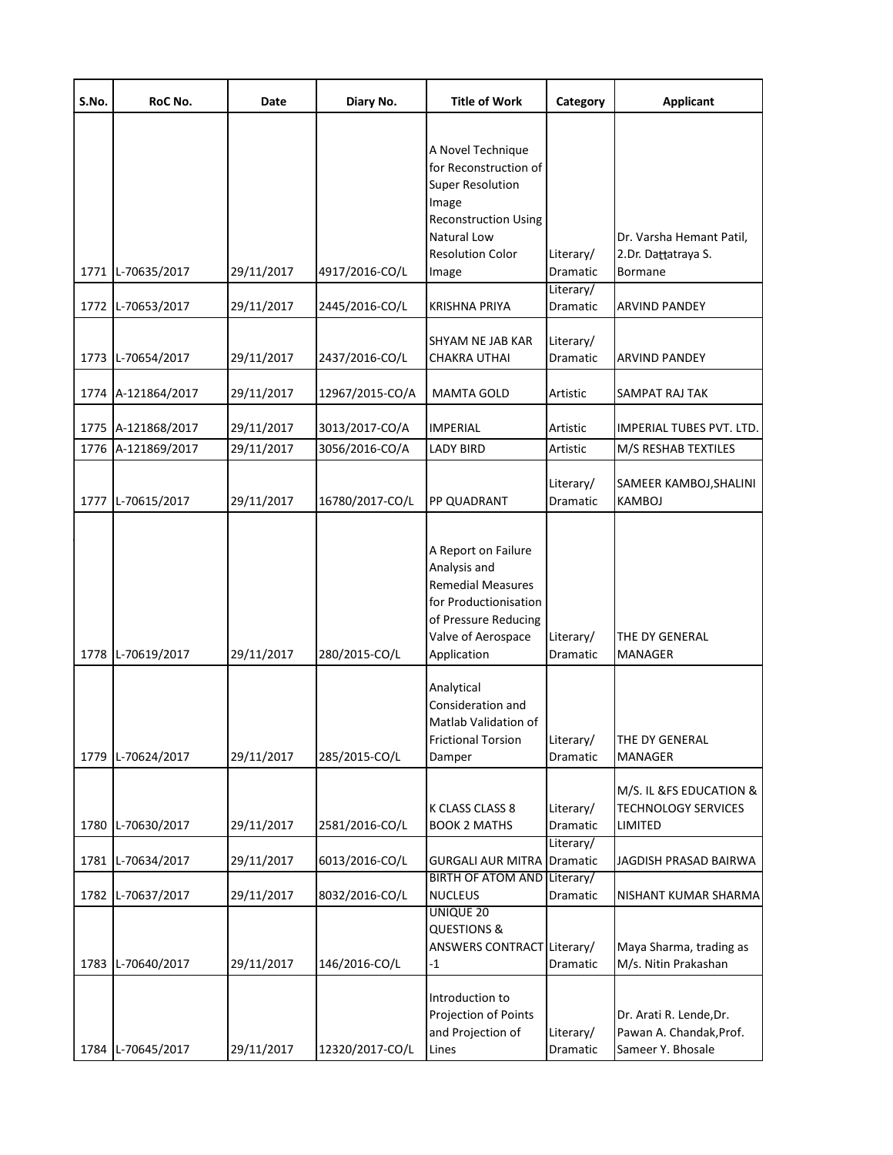| S.No. | RoC No.            | Date       | Diary No.       | <b>Title of Work</b>                                                                                                                                           | Category                     | <b>Applicant</b>                                                        |
|-------|--------------------|------------|-----------------|----------------------------------------------------------------------------------------------------------------------------------------------------------------|------------------------------|-------------------------------------------------------------------------|
|       |                    |            |                 | A Novel Technique<br>for Reconstruction of<br><b>Super Resolution</b><br>Image<br><b>Reconstruction Using</b><br><b>Natural Low</b><br><b>Resolution Color</b> | Literary/                    | Dr. Varsha Hemant Patil,<br>2.Dr. Dattatraya S.                         |
|       | 1771 L-70635/2017  | 29/11/2017 | 4917/2016-CO/L  | Image                                                                                                                                                          | <b>Dramatic</b><br>Literary/ | Bormane                                                                 |
|       | 1772 L-70653/2017  | 29/11/2017 | 2445/2016-CO/L  | KRISHNA PRIYA                                                                                                                                                  | Dramatic                     | ARVIND PANDEY                                                           |
|       | 1773 L-70654/2017  | 29/11/2017 | 2437/2016-CO/L  | SHYAM NE JAB KAR<br>CHAKRA UTHAI                                                                                                                               | Literary/<br>Dramatic        | <b>ARVIND PANDEY</b>                                                    |
|       | 1774 A-121864/2017 | 29/11/2017 | 12967/2015-CO/A | <b>MAMTA GOLD</b>                                                                                                                                              | Artistic                     | SAMPAT RAJ TAK                                                          |
|       | 1775 A-121868/2017 | 29/11/2017 | 3013/2017-CO/A  | <b>IMPERIAL</b>                                                                                                                                                | Artistic                     | IMPERIAL TUBES PVT. LTD.                                                |
| 1776  | A-121869/2017      | 29/11/2017 | 3056/2016-CO/A  | LADY BIRD                                                                                                                                                      | Artistic                     | M/S RESHAB TEXTILES                                                     |
| 1777  | L-70615/2017       | 29/11/2017 | 16780/2017-CO/L | PP QUADRANT                                                                                                                                                    | Literary/<br>Dramatic        | SAMEER KAMBOJ, SHALINI<br>KAMBOJ                                        |
|       | 1778 L-70619/2017  | 29/11/2017 | 280/2015-CO/L   | A Report on Failure<br>Analysis and<br><b>Remedial Measures</b><br>for Productionisation<br>of Pressure Reducing<br>Valve of Aerospace<br>Application          | Literary/<br>Dramatic        | THE DY GENERAL<br>MANAGER                                               |
|       | 1779 L-70624/2017  | 29/11/2017 | 285/2015-CO/L   | Analytical<br>Consideration and<br>Matlab Validation of<br><b>Frictional Torsion</b><br>Damper                                                                 | Literary/<br>Dramatic        | THE DY GENERAL<br><b>MANAGER</b>                                        |
|       | 1780 L-70630/2017  | 29/11/2017 | 2581/2016-CO/L  | K CLASS CLASS 8<br><b>BOOK 2 MATHS</b>                                                                                                                         | Literary/<br>Dramatic        | M/S. IL &FS EDUCATION &<br><b>TECHNOLOGY SERVICES</b><br>LIMITED        |
| 1781  | L-70634/2017       | 29/11/2017 | 6013/2016-CO/L  | <b>GURGALI AUR MITRA</b>                                                                                                                                       | Literary/<br>Dramatic        | JAGDISH PRASAD BAIRWA                                                   |
| 1782  | L-70637/2017       | 29/11/2017 | 8032/2016-CO/L  | <b>BIRTH OF ATOM AND</b><br><b>NUCLEUS</b>                                                                                                                     | Literary/<br>Dramatic        | NISHANT KUMAR SHARMA                                                    |
| 1783  | L-70640/2017       | 29/11/2017 | 146/2016-CO/L   | UNIQUE 20<br><b>QUESTIONS &amp;</b><br>ANSWERS CONTRACT Literary/<br>$-1$                                                                                      | Dramatic                     | Maya Sharma, trading as<br>M/s. Nitin Prakashan                         |
|       | 1784 L-70645/2017  | 29/11/2017 | 12320/2017-CO/L | Introduction to<br>Projection of Points<br>and Projection of<br>Lines                                                                                          | Literary/<br>Dramatic        | Dr. Arati R. Lende, Dr.<br>Pawan A. Chandak, Prof.<br>Sameer Y. Bhosale |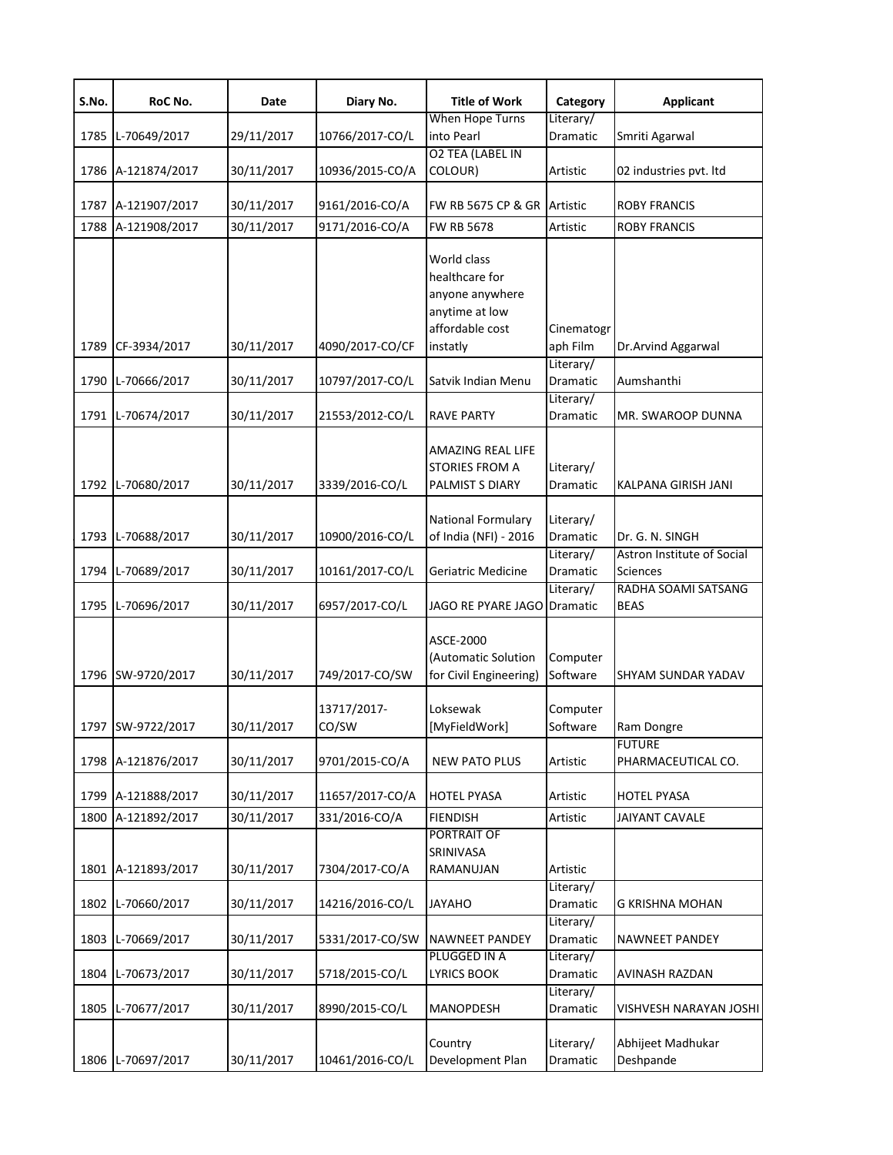| S.No. | RoC No.            | Date       | Diary No.            | <b>Title of Work</b>                                                                              | Category               | <b>Applicant</b>                              |
|-------|--------------------|------------|----------------------|---------------------------------------------------------------------------------------------------|------------------------|-----------------------------------------------|
| 1785  | L-70649/2017       | 29/11/2017 | 10766/2017-CO/L      | When Hope Turns<br>into Pearl                                                                     | Literary/<br>Dramatic  | Smriti Agarwal                                |
|       | 1786 A-121874/2017 | 30/11/2017 | 10936/2015-CO/A      | <b>O2 TEA (LABEL IN</b><br>COLOUR)                                                                | Artistic               | 02 industries pvt. Itd                        |
|       | 1787 A-121907/2017 | 30/11/2017 | 9161/2016-CO/A       | FW RB 5675 CP & GR                                                                                | Artistic               | <b>ROBY FRANCIS</b>                           |
| 1788  | A-121908/2017      | 30/11/2017 | 9171/2016-CO/A       | <b>FW RB 5678</b>                                                                                 | Artistic               | <b>ROBY FRANCIS</b>                           |
| 1789  | CF-3934/2017       | 30/11/2017 | 4090/2017-CO/CF      | World class<br>healthcare for<br>anyone anywhere<br>anytime at low<br>affordable cost<br>instatly | Cinematogr<br>aph Film | Dr.Arvind Aggarwal                            |
| 1790  | L-70666/2017       | 30/11/2017 | 10797/2017-CO/L      | Satvik Indian Menu                                                                                | Literary/<br>Dramatic  | Aumshanthi                                    |
| 1791  | L-70674/2017       | 30/11/2017 | 21553/2012-CO/L      | <b>RAVE PARTY</b>                                                                                 | Literary/<br>Dramatic  | MR. SWAROOP DUNNA                             |
|       | 1792 L-70680/2017  | 30/11/2017 | 3339/2016-CO/L       | AMAZING REAL LIFE<br><b>STORIES FROM A</b><br>PALMIST S DIARY                                     | Literary/<br>Dramatic  | KALPANA GIRISH JANI                           |
|       | 1793 L-70688/2017  | 30/11/2017 | 10900/2016-CO/L      | National Formulary<br>of India (NFI) - 2016                                                       | Literary/<br>Dramatic  | Dr. G. N. SINGH                               |
| 1794  | L-70689/2017       | 30/11/2017 | 10161/2017-CO/L      | Geriatric Medicine                                                                                | Literary/<br>Dramatic  | Astron Institute of Social<br><b>Sciences</b> |
|       | 1795 L-70696/2017  | 30/11/2017 | 6957/2017-CO/L       | JAGO RE PYARE JAGO                                                                                | Literary/<br>Dramatic  | RADHA SOAMI SATSANG<br><b>BEAS</b>            |
|       | 1796 SW-9720/2017  | 30/11/2017 | 749/2017-CO/SW       | ASCE-2000<br>(Automatic Solution<br>for Civil Engineering)                                        | Computer<br>Software   | SHYAM SUNDAR YADAV                            |
|       | 1797 SW-9722/2017  | 30/11/2017 | 13717/2017-<br>CO/SW | Loksewak<br>[MyFieldWork]                                                                         | Computer<br>Software   | Ram Dongre                                    |
| 1798  | A-121876/2017      | 30/11/2017 | 9701/2015-CO/A       | <b>NEW PATO PLUS</b>                                                                              | Artistic               | <b>FUTURE</b><br>PHARMACEUTICAL CO.           |
|       | 1799 A-121888/2017 | 30/11/2017 | 11657/2017-CO/A      | <b>HOTEL PYASA</b>                                                                                | Artistic               | <b>HOTEL PYASA</b>                            |
| 1800  | A-121892/2017      | 30/11/2017 | 331/2016-CO/A        | <b>FIENDISH</b>                                                                                   | Artistic               | <b>JAIYANT CAVALE</b>                         |
|       | 1801 A-121893/2017 | 30/11/2017 | 7304/2017-CO/A       | PORTRAIT OF<br><b>SRINIVASA</b><br>RAMANUJAN                                                      | Artistic               |                                               |
|       | 1802 L-70660/2017  | 30/11/2017 | 14216/2016-CO/L      | <b>JAYAHO</b>                                                                                     | Literary/<br>Dramatic  | G KRISHNA MOHAN                               |
| 1803  | L-70669/2017       | 30/11/2017 | 5331/2017-CO/SW      | <b>NAWNEET PANDEY</b>                                                                             | Literary/<br>Dramatic  | NAWNEET PANDEY                                |
| 1804  | L-70673/2017       | 30/11/2017 | 5718/2015-CO/L       | PLUGGED IN A<br><b>LYRICS BOOK</b>                                                                | Literary/<br>Dramatic  | AVINASH RAZDAN                                |
|       | 1805 L-70677/2017  | 30/11/2017 | 8990/2015-CO/L       | MANOPDESH                                                                                         | Literary/<br>Dramatic  | VISHVESH NARAYAN JOSHI                        |
|       | 1806 L-70697/2017  | 30/11/2017 | 10461/2016-CO/L      | Country<br>Development Plan                                                                       | Literary/<br>Dramatic  | Abhijeet Madhukar<br>Deshpande                |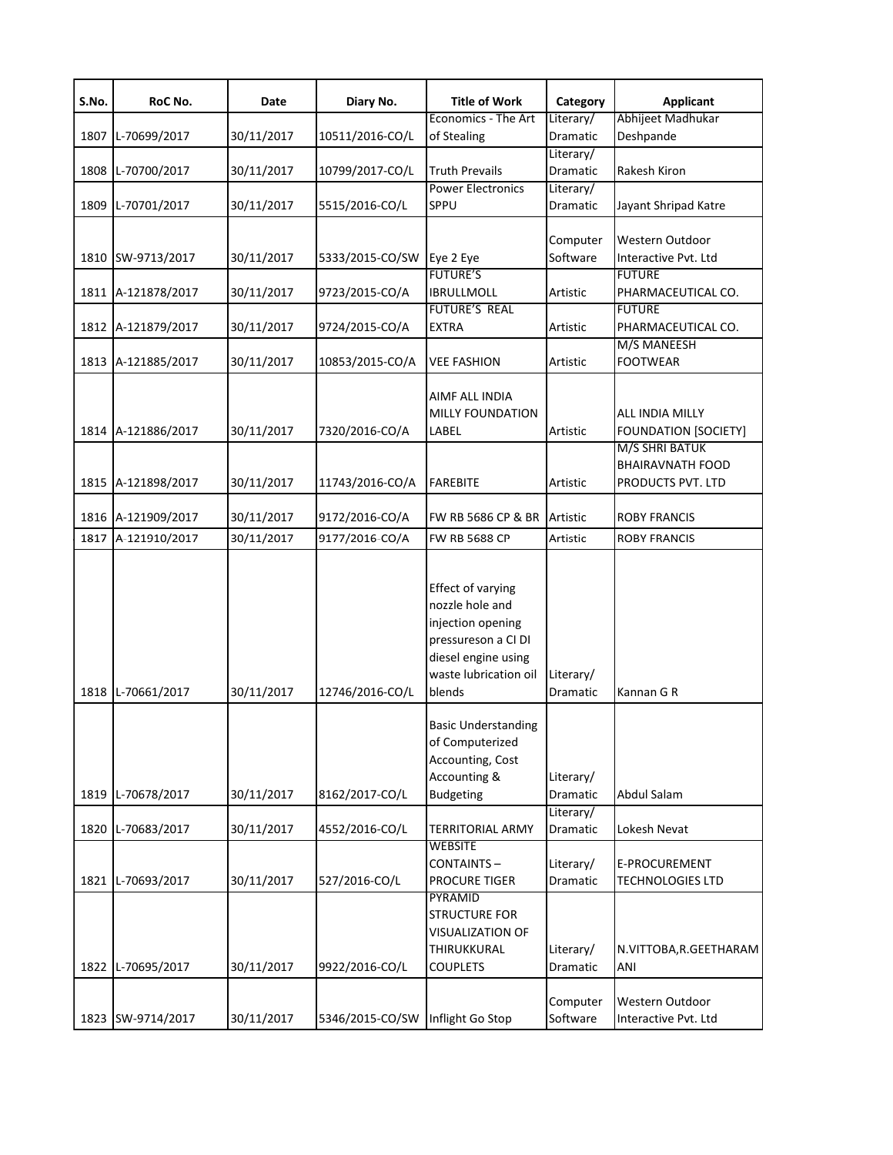| S.No. | RoC No.            | Date       | Diary No.       | <b>Title of Work</b>                                                                                                                       | Category              | <b>Applicant</b>                                                 |
|-------|--------------------|------------|-----------------|--------------------------------------------------------------------------------------------------------------------------------------------|-----------------------|------------------------------------------------------------------|
| 1807  | L-70699/2017       | 30/11/2017 | 10511/2016-CO/L | Economics - The Art<br>of Stealing                                                                                                         | Literary/<br>Dramatic | Abhijeet Madhukar<br>Deshpande                                   |
| 1808  | L-70700/2017       | 30/11/2017 | 10799/2017-CO/L | <b>Truth Prevails</b>                                                                                                                      | Literary/<br>Dramatic | Rakesh Kiron                                                     |
| 1809  | L-70701/2017       | 30/11/2017 | 5515/2016-CO/L  | <b>Power Electronics</b><br>SPPU                                                                                                           | Literary/<br>Dramatic | Jayant Shripad Katre                                             |
|       | 1810 SW-9713/2017  | 30/11/2017 | 5333/2015-CO/SW | Eye 2 Eye                                                                                                                                  | Computer<br>Software  | Western Outdoor<br>Interactive Pvt. Ltd                          |
| 1811  | A-121878/2017      | 30/11/2017 | 9723/2015-CO/A  | <b>FUTURE'S</b><br><b>IBRULLMOLL</b>                                                                                                       | Artistic              | <b>FUTURE</b><br>PHARMACEUTICAL CO.                              |
|       | 1812 A-121879/2017 | 30/11/2017 | 9724/2015-CO/A  | <b>FUTURE'S REAL</b><br><b>EXTRA</b>                                                                                                       | Artistic              | <b>FUTURE</b><br>PHARMACEUTICAL CO.                              |
|       | 1813 A-121885/2017 | 30/11/2017 | 10853/2015-CO/A | <b>VEE FASHION</b>                                                                                                                         | Artistic              | M/S MANEESH<br><b>FOOTWEAR</b>                                   |
|       | 1814 A-121886/2017 | 30/11/2017 | 7320/2016-CO/A  | AIMF ALL INDIA<br><b>MILLY FOUNDATION</b><br>LABEL                                                                                         | Artistic              | ALL INDIA MILLY<br><b>FOUNDATION [SOCIETY]</b><br>M/S SHRI BATUK |
|       | 1815 A-121898/2017 | 30/11/2017 | 11743/2016-CO/A | <b>FAREBITE</b>                                                                                                                            | Artistic              | <b>BHAIRAVNATH FOOD</b><br>PRODUCTS PVT. LTD                     |
|       | 1816 A-121909/2017 | 30/11/2017 | 9172/2016-CO/A  | FW RB 5686 CP & BR                                                                                                                         | Artistic              | <b>ROBY FRANCIS</b>                                              |
| 1817  | A-121910/2017      | 30/11/2017 | 9177/2016-CO/A  | <b>FW RB 5688 CP</b>                                                                                                                       | Artistic              | <b>ROBY FRANCIS</b>                                              |
|       | 1818 L-70661/2017  | 30/11/2017 | 12746/2016-CO/L | Effect of varying<br>nozzle hole and<br>injection opening<br>pressureson a CI DI<br>diesel engine using<br>waste lubrication oil<br>blends | Literary/<br>Dramatic | Kannan G R                                                       |
|       | 1819 L-70678/2017  | 30/11/2017 | 8162/2017-CO/L  | <b>Basic Understanding</b><br>of Computerized<br>Accounting, Cost<br>Accounting &<br><b>Budgeting</b>                                      | Literary/<br>Dramatic | Abdul Salam                                                      |
| 1820  | L-70683/2017       | 30/11/2017 | 4552/2016-CO/L  | <b>TERRITORIAL ARMY</b>                                                                                                                    | Literary/<br>Dramatic | Lokesh Nevat                                                     |
| 1821  | L-70693/2017       | 30/11/2017 | 527/2016-CO/L   | <b>WEBSITE</b><br>CONTAINTS-<br><b>PROCURE TIGER</b>                                                                                       | Literary/<br>Dramatic | E-PROCUREMENT<br><b>TECHNOLOGIES LTD</b>                         |
| 1822  | L-70695/2017       | 30/11/2017 | 9922/2016-CO/L  | PYRAMID<br><b>STRUCTURE FOR</b><br>VISUALIZATION OF<br>THIRUKKURAL<br><b>COUPLETS</b>                                                      | Literary/<br>Dramatic | N.VITTOBA, R.GEETHARAM<br>ANI                                    |
|       | 1823 SW-9714/2017  | 30/11/2017 | 5346/2015-CO/SW | Inflight Go Stop                                                                                                                           | Computer<br>Software  | Western Outdoor<br>Interactive Pvt. Ltd                          |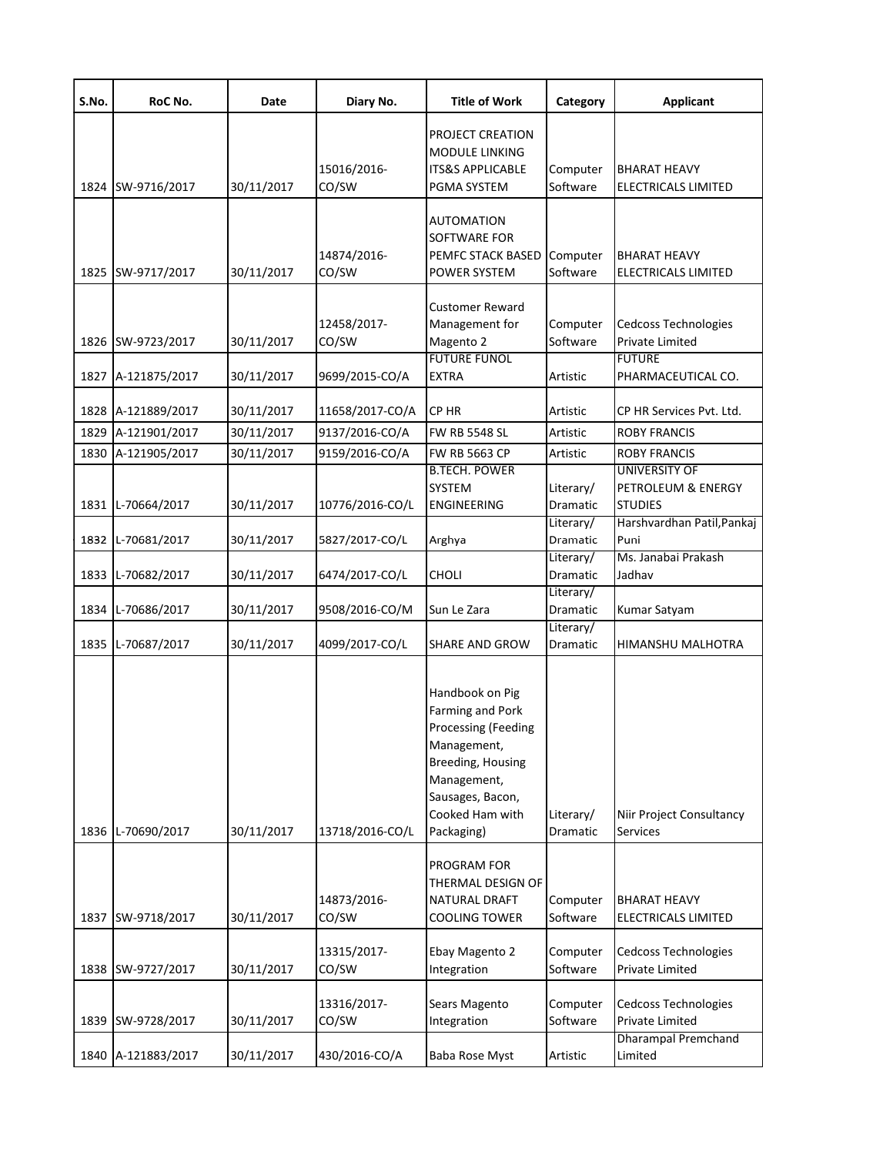| S.No.        | RoC No.                       | Date                     | Diary No.                         | <b>Title of Work</b>                                                                                                                                                      | Category                          | <b>Applicant</b>                                                             |
|--------------|-------------------------------|--------------------------|-----------------------------------|---------------------------------------------------------------------------------------------------------------------------------------------------------------------------|-----------------------------------|------------------------------------------------------------------------------|
|              |                               |                          | 15016/2016-                       | PROJECT CREATION<br><b>MODULE LINKING</b><br><b>ITS&amp;S APPLICABLE</b>                                                                                                  | Computer                          | <b>BHARAT HEAVY</b>                                                          |
| 1824         | SW-9716/2017                  | 30/11/2017               | CO/SW                             | PGMA SYSTEM                                                                                                                                                               | Software                          | <b>ELECTRICALS LIMITED</b>                                                   |
| 1825         | SW-9717/2017                  | 30/11/2017               | 14874/2016-<br>CO/SW              | <b>AUTOMATION</b><br>SOFTWARE FOR<br>PEMFC STACK BASED<br>POWER SYSTEM                                                                                                    | Computer<br>Software              | <b>BHARAT HEAVY</b><br><b>ELECTRICALS LIMITED</b>                            |
| 1826         | SW-9723/2017                  | 30/11/2017               | 12458/2017-<br>CO/SW              | Customer Reward<br>Management for<br>Magento 2<br><b>FUTURE FUNOL</b>                                                                                                     | Computer<br>Software              | <b>Cedcoss Technologies</b><br><b>Private Limited</b><br><b>FUTURE</b>       |
| 1827         | A-121875/2017                 | 30/11/2017               | 9699/2015-CO/A                    | <b>EXTRA</b>                                                                                                                                                              | Artistic                          | PHARMACEUTICAL CO.                                                           |
| 1828         | A-121889/2017                 | 30/11/2017               | 11658/2017-CO/A                   | CP HR                                                                                                                                                                     | Artistic                          | CP HR Services Pvt. Ltd.                                                     |
| 1829         | A-121901/2017                 | 30/11/2017               | 9137/2016-CO/A                    | <b>FW RB 5548 SL</b>                                                                                                                                                      | Artistic                          | <b>ROBY FRANCIS</b>                                                          |
| 1830<br>1831 | A-121905/2017<br>L-70664/2017 | 30/11/2017<br>30/11/2017 | 9159/2016-CO/A<br>10776/2016-CO/L | FW RB 5663 CP<br><b>B.TECH. POWER</b><br><b>SYSTEM</b><br><b>ENGINEERING</b>                                                                                              | Artistic<br>Literary/<br>Dramatic | <b>ROBY FRANCIS</b><br>UNIVERSITY OF<br>PETROLEUM & ENERGY<br><b>STUDIES</b> |
|              |                               |                          |                                   |                                                                                                                                                                           | Literary/                         | Harshvardhan Patil, Pankaj                                                   |
| 1832         | L-70681/2017                  | 30/11/2017               | 5827/2017-CO/L                    | Arghya                                                                                                                                                                    | Dramatic                          | Puni                                                                         |
| 1833         | L-70682/2017                  | 30/11/2017               | 6474/2017-CO/L                    | CHOLI                                                                                                                                                                     | Literary/<br>Dramatic             | Ms. Janabai Prakash<br>Jadhav                                                |
| 1834         | L-70686/2017                  | 30/11/2017               | 9508/2016-CO/M                    | Sun Le Zara                                                                                                                                                               | Literary/<br>Dramatic             | Kumar Satyam                                                                 |
| 1835         | L-70687/2017                  | 30/11/2017               | 4099/2017-CO/L                    | <b>SHARE AND GROW</b>                                                                                                                                                     | Literary/<br>Dramatic             | HIMANSHU MALHOTRA                                                            |
| 1836         | L-70690/2017                  | 30/11/2017               | 13718/2016-CO/L                   | Handbook on Pig<br>Farming and Pork<br><b>Processing (Feeding</b><br>Management,<br>Breeding, Housing<br>Management,<br>Sausages, Bacon,<br>Cooked Ham with<br>Packaging) | Literary/<br>Dramatic             | Niir Project Consultancy<br>Services                                         |
|              |                               |                          |                                   | PROGRAM FOR<br>THERMAL DESIGN OF                                                                                                                                          |                                   |                                                                              |
| 1837         | SW-9718/2017                  | 30/11/2017               | 14873/2016-<br>CO/SW              | NATURAL DRAFT<br><b>COOLING TOWER</b>                                                                                                                                     | Computer<br>Software              | <b>BHARAT HEAVY</b><br>ELECTRICALS LIMITED                                   |
| 1838         | SW-9727/2017                  | 30/11/2017               | 13315/2017-<br>CO/SW              | Ebay Magento 2<br>Integration                                                                                                                                             | Computer<br>Software              | Cedcoss Technologies<br>Private Limited                                      |
| 1839         | SW-9728/2017                  | 30/11/2017               | 13316/2017-<br>CO/SW              | Sears Magento<br>Integration                                                                                                                                              | Computer<br>Software              | Cedcoss Technologies<br>Private Limited                                      |
| 1840         | A-121883/2017                 | 30/11/2017               | 430/2016-CO/A                     | Baba Rose Myst                                                                                                                                                            | Artistic                          | <b>Dharampal Premchand</b><br>Limited                                        |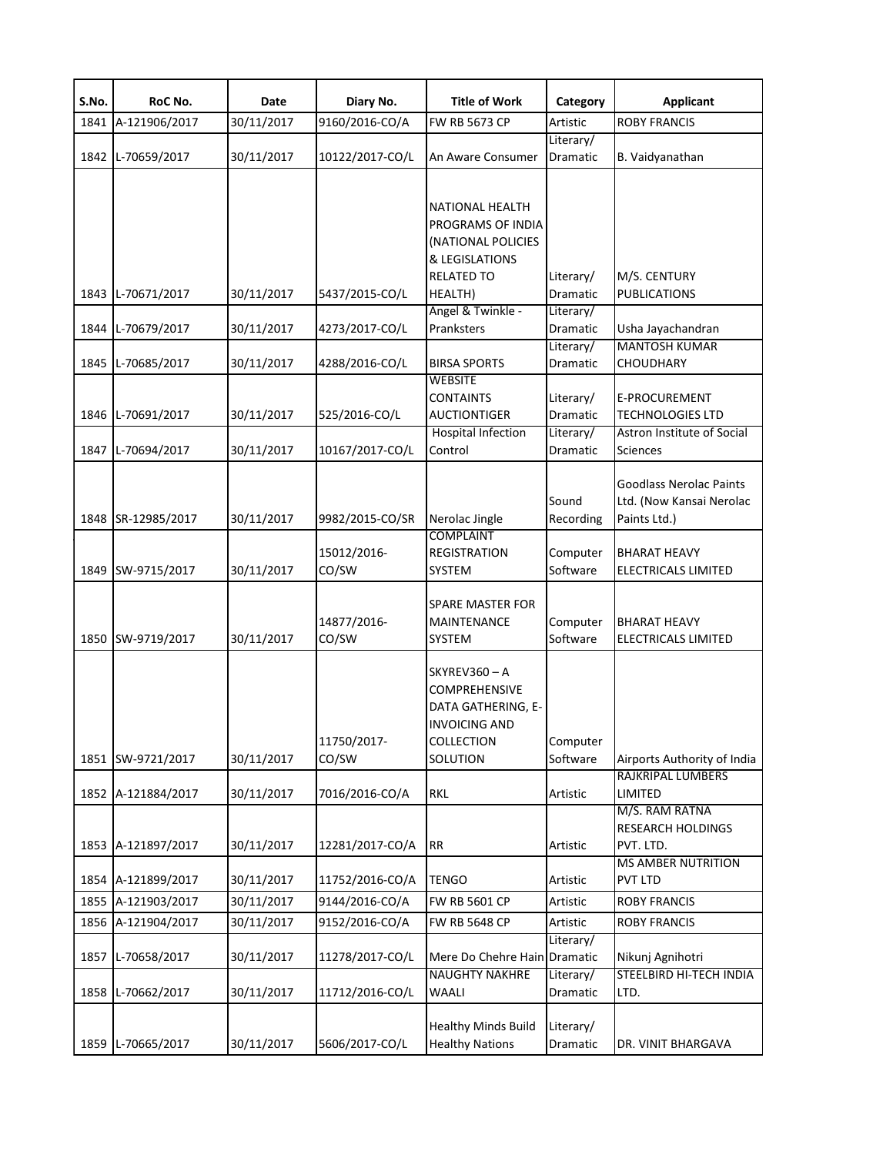| S.No. | RoC No.            | Date       | Diary No.       | <b>Title of Work</b>         | Category              | <b>Applicant</b>                      |
|-------|--------------------|------------|-----------------|------------------------------|-----------------------|---------------------------------------|
| 1841  | A-121906/2017      | 30/11/2017 | 9160/2016-CO/A  | FW RB 5673 CP                | Artistic              | <b>ROBY FRANCIS</b>                   |
| 1842  | L-70659/2017       | 30/11/2017 | 10122/2017-CO/L | An Aware Consumer            | Literary/<br>Dramatic | B. Vaidyanathan                       |
|       |                    |            |                 |                              |                       |                                       |
|       |                    |            |                 |                              |                       |                                       |
|       |                    |            |                 | NATIONAL HEALTH              |                       |                                       |
|       |                    |            |                 | PROGRAMS OF INDIA            |                       |                                       |
|       |                    |            |                 | (NATIONAL POLICIES           |                       |                                       |
|       |                    |            |                 | & LEGISLATIONS               |                       |                                       |
|       |                    |            |                 | <b>RELATED TO</b>            | Literary/             | M/S. CENTURY                          |
| 1843  | L-70671/2017       | 30/11/2017 | 5437/2015-CO/L  | HEALTH)<br>Angel & Twinkle - | Dramatic<br>Literary/ | <b>PUBLICATIONS</b>                   |
| 1844  | L-70679/2017       | 30/11/2017 | 4273/2017-CO/L  | Pranksters                   | Dramatic              | Usha Jayachandran                     |
|       |                    |            |                 |                              | Literary/             | <b>MANTOSH KUMAR</b>                  |
| 1845  | L-70685/2017       | 30/11/2017 | 4288/2016-CO/L  | <b>BIRSA SPORTS</b>          | Dramatic              | <b>CHOUDHARY</b>                      |
|       |                    |            |                 | <b>WEBSITE</b>               |                       |                                       |
|       |                    |            |                 | <b>CONTAINTS</b>             | Literary/             | E-PROCUREMENT                         |
| 1846  | L-70691/2017       | 30/11/2017 | 525/2016-CO/L   | <b>AUCTIONTIGER</b>          | Dramatic              | <b>TECHNOLOGIES LTD</b>               |
|       |                    |            |                 | <b>Hospital Infection</b>    | Literary/             | Astron Institute of Social            |
| 1847  | L-70694/2017       | 30/11/2017 | 10167/2017-CO/L | Control                      | Dramatic              | <b>Sciences</b>                       |
|       |                    |            |                 |                              |                       | <b>Goodlass Nerolac Paints</b>        |
|       |                    |            |                 |                              | Sound                 | Ltd. (Now Kansai Nerolac              |
|       | 1848 SR-12985/2017 | 30/11/2017 | 9982/2015-CO/SR | Nerolac Jingle               | Recording             | Paints Ltd.)                          |
|       |                    |            |                 | <b>COMPLAINT</b>             |                       |                                       |
|       |                    |            | 15012/2016-     | <b>REGISTRATION</b>          | Computer              | <b>BHARAT HEAVY</b>                   |
| 1849  | SW-9715/2017       | 30/11/2017 | CO/SW           | SYSTEM                       | Software              | ELECTRICALS LIMITED                   |
|       |                    |            |                 |                              |                       |                                       |
|       |                    |            |                 | <b>SPARE MASTER FOR</b>      |                       |                                       |
|       |                    |            | 14877/2016-     | MAINTENANCE                  | Computer              | <b>BHARAT HEAVY</b>                   |
| 1850  | SW-9719/2017       | 30/11/2017 | CO/SW           | SYSTEM                       | Software              | ELECTRICALS LIMITED                   |
|       |                    |            |                 | SKYREV360-A                  |                       |                                       |
|       |                    |            |                 | <b>COMPREHENSIVE</b>         |                       |                                       |
|       |                    |            |                 | DATA GATHERING, E-           |                       |                                       |
|       |                    |            |                 | <b>INVOICING AND</b>         |                       |                                       |
|       |                    |            | 11750/2017-     | <b>COLLECTION</b>            | Computer              |                                       |
| 1851  | SW-9721/2017       | 30/11/2017 | CO/SW           | SOLUTION                     | Software              | Airports Authority of India           |
|       |                    |            |                 |                              |                       | RAJKRIPAL LUMBERS                     |
| 1852  | A-121884/2017      | 30/11/2017 | 7016/2016-CO/A  | <b>RKL</b>                   | Artistic              | LIMITED                               |
|       |                    |            |                 |                              |                       | M/S. RAM RATNA                        |
| 1853  | A-121897/2017      | 30/11/2017 | 12281/2017-CO/A | <b>RR</b>                    | Artistic              | <b>RESEARCH HOLDINGS</b><br>PVT. LTD. |
|       |                    |            |                 |                              |                       | <b>MS AMBER NUTRITION</b>             |
| 1854  | A-121899/2017      | 30/11/2017 | 11752/2016-CO/A | <b>TENGO</b>                 | Artistic              | <b>PVT LTD</b>                        |
| 1855  | A-121903/2017      | 30/11/2017 | 9144/2016-CO/A  | FW RB 5601 CP                | Artistic              | <b>ROBY FRANCIS</b>                   |
| 1856  | A-121904/2017      | 30/11/2017 | 9152/2016-CO/A  | <b>FW RB 5648 CP</b>         | Artistic              | <b>ROBY FRANCIS</b>                   |
|       |                    |            |                 |                              | Literary/             |                                       |
| 1857  | L-70658/2017       | 30/11/2017 | 11278/2017-CO/L | Mere Do Chehre Hain          | Dramatic              | Nikunj Agnihotri                      |
|       |                    |            |                 | NAUGHTY NAKHRE               | Literary/             | STEELBIRD HI-TECH INDIA               |
| 1858  | L-70662/2017       | 30/11/2017 | 11712/2016-CO/L | WAALI                        | Dramatic              | LTD.                                  |
|       |                    |            |                 |                              |                       |                                       |
|       |                    |            |                 | <b>Healthy Minds Build</b>   | Literary/             |                                       |
|       | 1859 L-70665/2017  | 30/11/2017 | 5606/2017-CO/L  | <b>Healthy Nations</b>       | Dramatic              | DR. VINIT BHARGAVA                    |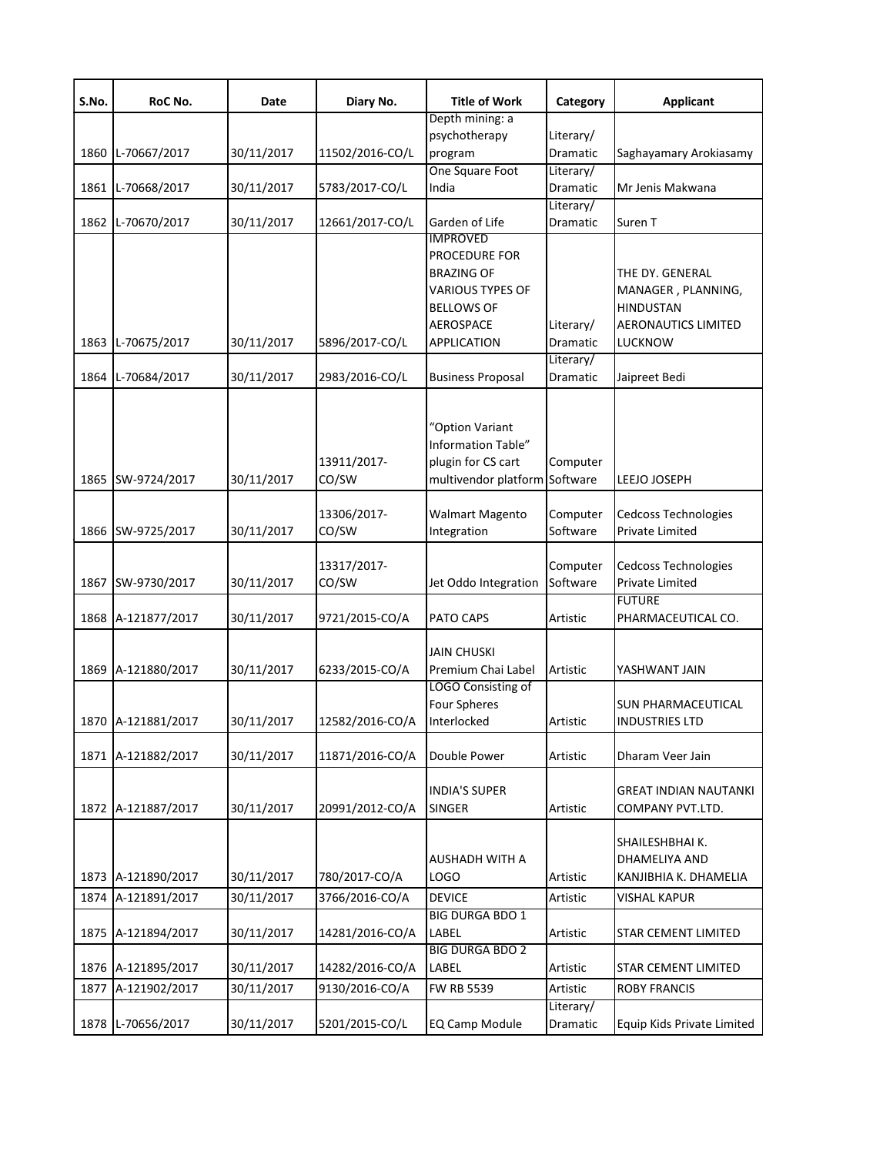| S.No. | RoC No.            | Date       | Diary No.       | <b>Title of Work</b>     | Category              | <b>Applicant</b>            |
|-------|--------------------|------------|-----------------|--------------------------|-----------------------|-----------------------------|
|       |                    |            |                 | Depth mining: a          |                       |                             |
|       |                    |            |                 | psychotherapy            | Literary/             |                             |
| 1860  | L-70667/2017       | 30/11/2017 | 11502/2016-CO/L | program                  | Dramatic              | Saghayamary Arokiasamy      |
|       |                    |            |                 | One Square Foot          | Literary/             |                             |
| 1861  | L-70668/2017       | 30/11/2017 | 5783/2017-CO/L  | India                    | Dramatic              | Mr Jenis Makwana            |
| 1862  | L-70670/2017       | 30/11/2017 | 12661/2017-CO/L | Garden of Life           | Literary/<br>Dramatic | Suren T                     |
|       |                    |            |                 | IMPROVED                 |                       |                             |
|       |                    |            |                 | <b>PROCEDURE FOR</b>     |                       |                             |
|       |                    |            |                 | <b>BRAZING OF</b>        |                       | THE DY. GENERAL             |
|       |                    |            |                 | <b>VARIOUS TYPES OF</b>  |                       | MANAGER, PLANNING,          |
|       |                    |            |                 | <b>BELLOWS OF</b>        |                       | <b>HINDUSTAN</b>            |
|       |                    |            |                 | <b>AEROSPACE</b>         | Literary/             | <b>AERONAUTICS LIMITED</b>  |
| 1863  | L-70675/2017       | 30/11/2017 | 5896/2017-CO/L  | APPLICATION              | Dramatic              | LUCKNOW                     |
|       |                    |            |                 |                          | Literary/             |                             |
| 1864  | L-70684/2017       | 30/11/2017 | 2983/2016-CO/L  | <b>Business Proposal</b> | Dramatic              | Jaipreet Bedi               |
|       |                    |            |                 | "Option Variant          |                       |                             |
|       |                    |            |                 | Information Table"       |                       |                             |
|       |                    |            |                 |                          |                       |                             |
|       |                    |            | 13911/2017-     | plugin for CS cart       | Computer              |                             |
| 1865  | SW-9724/2017       | 30/11/2017 | CO/SW           | multivendor platform     | Software              | LEEJO JOSEPH                |
|       |                    |            | 13306/2017-     | <b>Walmart Magento</b>   | Computer              | <b>Cedcoss Technologies</b> |
| 1866  | SW-9725/2017       | 30/11/2017 | CO/SW           |                          | Software              | Private Limited             |
|       |                    |            |                 | Integration              |                       |                             |
|       |                    |            | 13317/2017-     |                          | Computer              | <b>Cedcoss Technologies</b> |
| 1867  | SW-9730/2017       | 30/11/2017 | CO/SW           | Jet Oddo Integration     | Software              | Private Limited             |
|       |                    |            |                 |                          |                       | <b>FUTURE</b>               |
| 1868  | A-121877/2017      | 30/11/2017 | 9721/2015-CO/A  | PATO CAPS                | Artistic              | PHARMACEUTICAL CO.          |
|       |                    |            |                 |                          |                       |                             |
|       |                    |            |                 | <b>JAIN CHUSKI</b>       |                       |                             |
| 1869  | A-121880/2017      | 30/11/2017 | 6233/2015-CO/A  | Premium Chai Label       | Artistic              | YASHWANT JAIN               |
|       |                    |            |                 | LOGO Consisting of       |                       |                             |
|       |                    |            |                 | Four Spheres             |                       | <b>SUN PHARMACEUTICAL</b>   |
|       | 1870 A-121881/2017 | 30/11/2017 | 12582/2016-CO/A | Interlocked              | Artistic              | INDUSTRIES LTD              |
|       |                    |            |                 |                          |                       |                             |
| 1871  | A-121882/2017      | 30/11/2017 | 11871/2016-CO/A | Double Power             | Artistic              | Dharam Veer Jain            |
|       |                    |            |                 | <b>INDIA'S SUPER</b>     |                       | GREAT INDIAN NAUTANKI       |
| 1872  | A-121887/2017      | 30/11/2017 | 20991/2012-CO/A | <b>SINGER</b>            | Artistic              | COMPANY PVT.LTD.            |
|       |                    |            |                 |                          |                       |                             |
|       |                    |            |                 |                          |                       | SHAILESHBHAI K.             |
|       |                    |            |                 | AUSHADH WITH A           |                       | DHAMELIYA AND               |
| 1873  | A-121890/2017      | 30/11/2017 | 780/2017-CO/A   | <b>LOGO</b>              | Artistic              | KANJIBHIA K. DHAMELIA       |
| 1874  | A-121891/2017      | 30/11/2017 | 3766/2016-CO/A  | <b>DEVICE</b>            | Artistic              | <b>VISHAL KAPUR</b>         |
|       |                    |            |                 | <b>BIG DURGA BDO 1</b>   |                       |                             |
| 1875  | A-121894/2017      | 30/11/2017 | 14281/2016-CO/A | LABEL                    | Artistic              | <b>STAR CEMENT LIMITED</b>  |
|       |                    |            |                 | <b>BIG DURGA BDO 2</b>   |                       |                             |
| 1876  | A-121895/2017      | 30/11/2017 | 14282/2016-CO/A | LABEL                    | Artistic              | <b>STAR CEMENT LIMITED</b>  |
| 1877  | A-121902/2017      | 30/11/2017 | 9130/2016-CO/A  | FW RB 5539               | Artistic              | <b>ROBY FRANCIS</b>         |
|       |                    |            |                 |                          | Literary/             |                             |
| 1878  | L-70656/2017       | 30/11/2017 | 5201/2015-CO/L  | <b>EQ Camp Module</b>    | Dramatic              | Equip Kids Private Limited  |